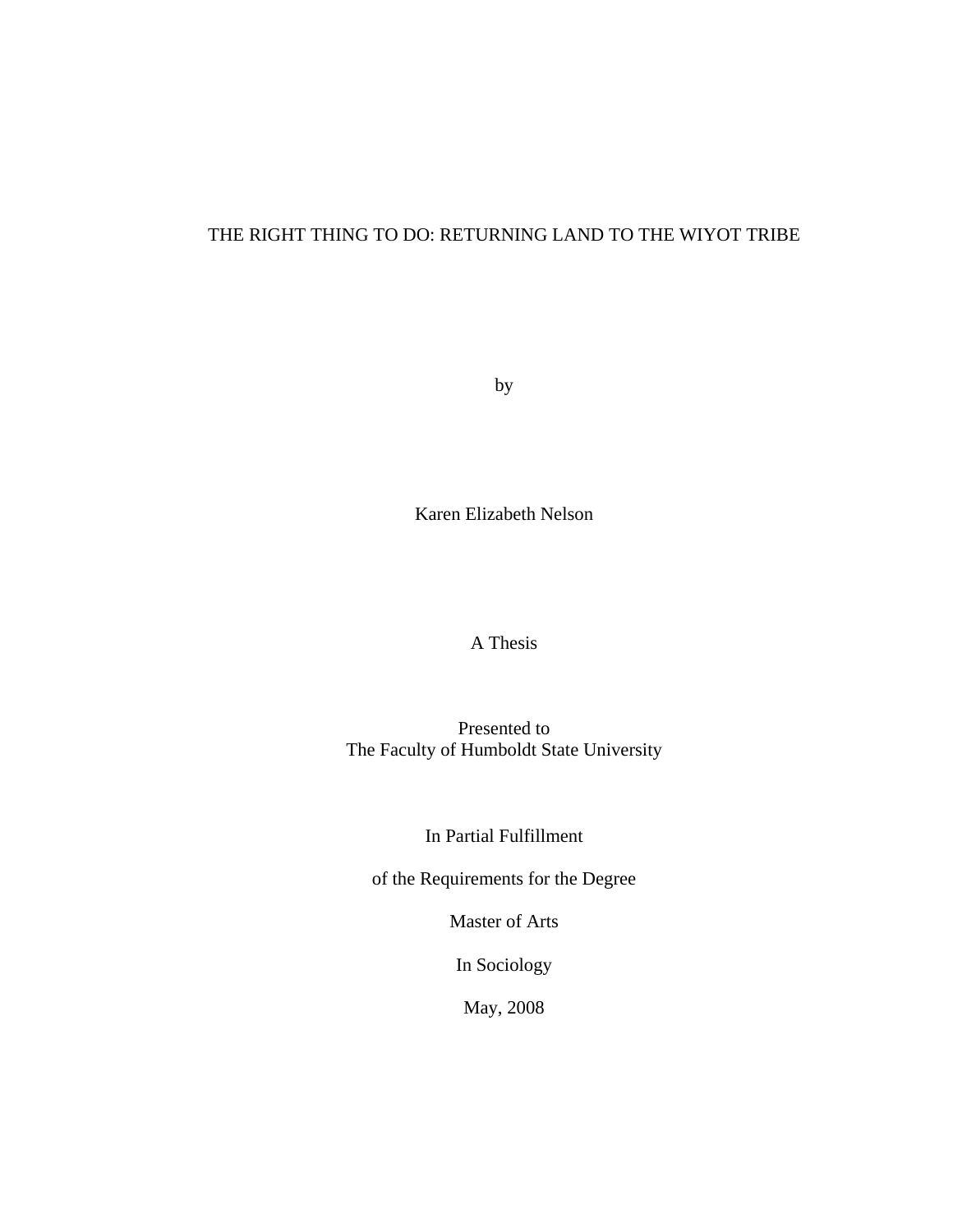# THE RIGHT THING TO DO: RETURNING LAND TO THE WIYOT TRIBE

by

Karen Elizabeth Nelson

A Thesis

Presented to The Faculty of Humboldt State University

In Partial Fulfillment

of the Requirements for the Degree

Master of Arts

In Sociology

May, 2008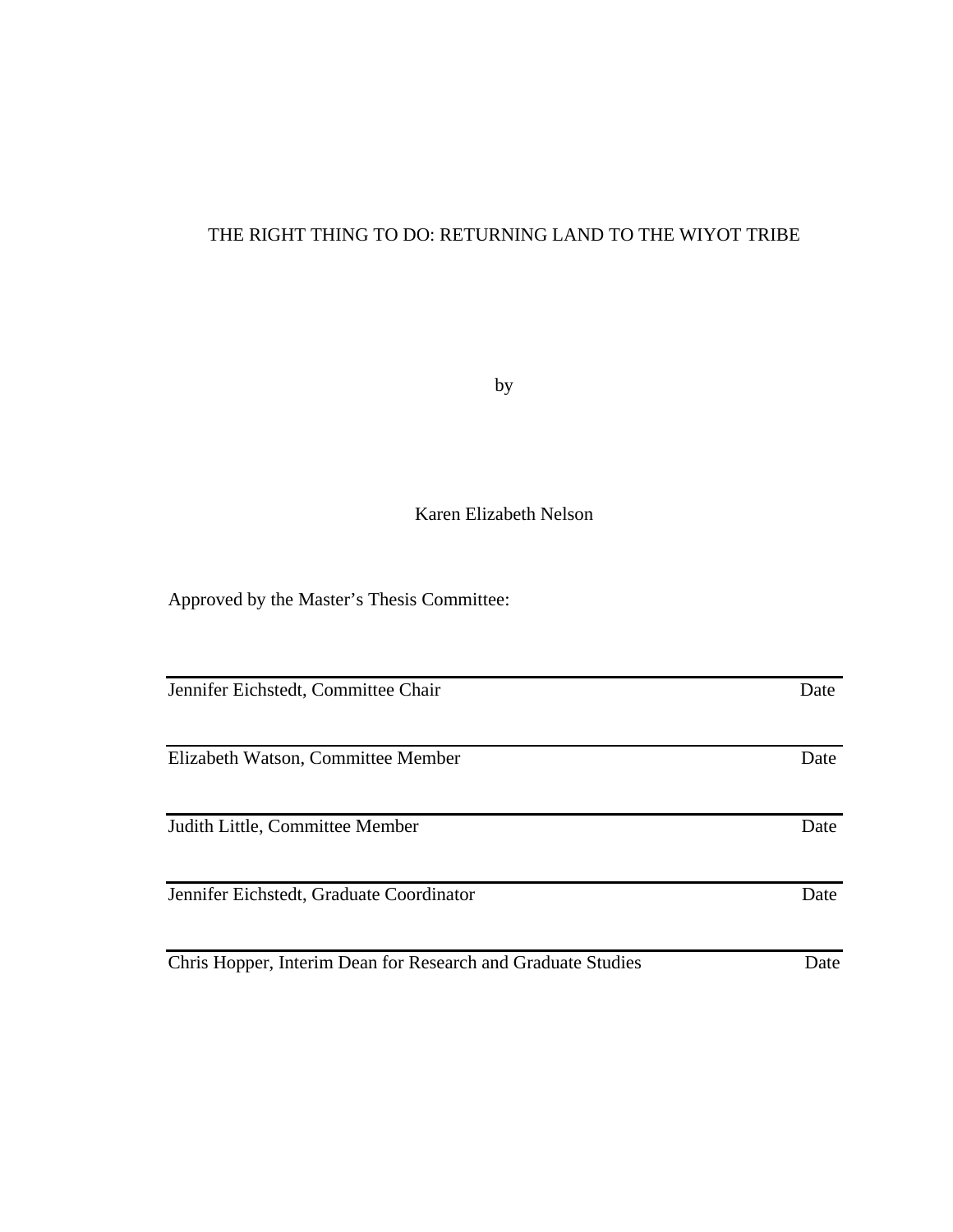# THE RIGHT THING TO DO: RETURNING LAND TO THE WIYOT TRIBE

by

Karen Elizabeth Nelson

Approved by the Master's Thesis Committee:

| Jennifer Eichstedt, Committee Chair                          | Date |
|--------------------------------------------------------------|------|
|                                                              |      |
| Elizabeth Watson, Committee Member                           | Date |
|                                                              |      |
| Judith Little, Committee Member                              | Date |
|                                                              |      |
| Jennifer Eichstedt, Graduate Coordinator                     | Date |
|                                                              |      |
| Chris Hopper, Interim Dean for Research and Graduate Studies | Date |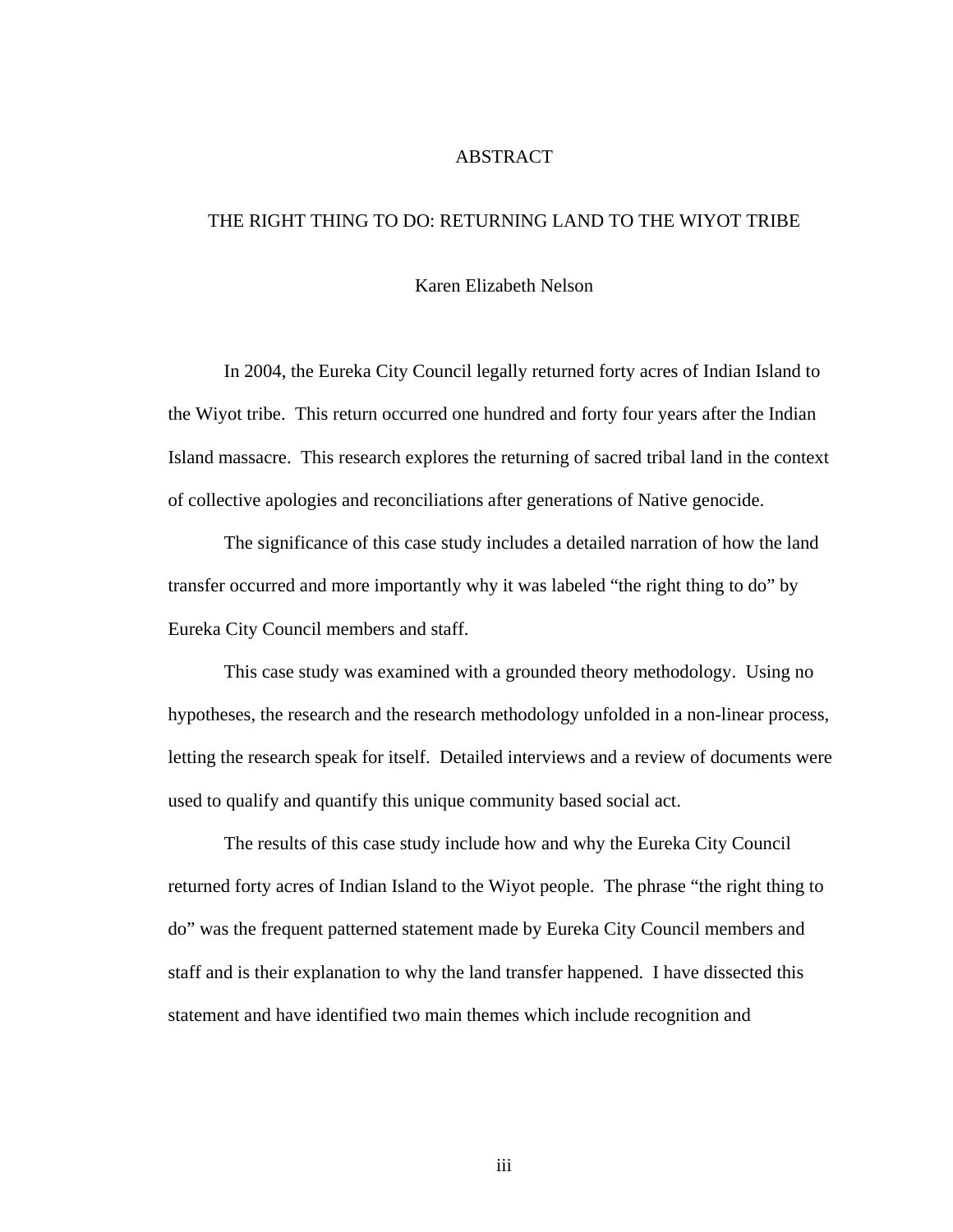### ABSTRACT

## THE RIGHT THING TO DO: RETURNING LAND TO THE WIYOT TRIBE

## Karen Elizabeth Nelson

 In 2004, the Eureka City Council legally returned forty acres of Indian Island to the Wiyot tribe. This return occurred one hundred and forty four years after the Indian Island massacre. This research explores the returning of sacred tribal land in the context of collective apologies and reconciliations after generations of Native genocide.

 The significance of this case study includes a detailed narration of how the land transfer occurred and more importantly why it was labeled "the right thing to do" by Eureka City Council members and staff.

 This case study was examined with a grounded theory methodology. Using no hypotheses, the research and the research methodology unfolded in a non-linear process, letting the research speak for itself. Detailed interviews and a review of documents were used to qualify and quantify this unique community based social act.

 The results of this case study include how and why the Eureka City Council returned forty acres of Indian Island to the Wiyot people. The phrase "the right thing to do" was the frequent patterned statement made by Eureka City Council members and staff and is their explanation to why the land transfer happened. I have dissected this statement and have identified two main themes which include recognition and

iii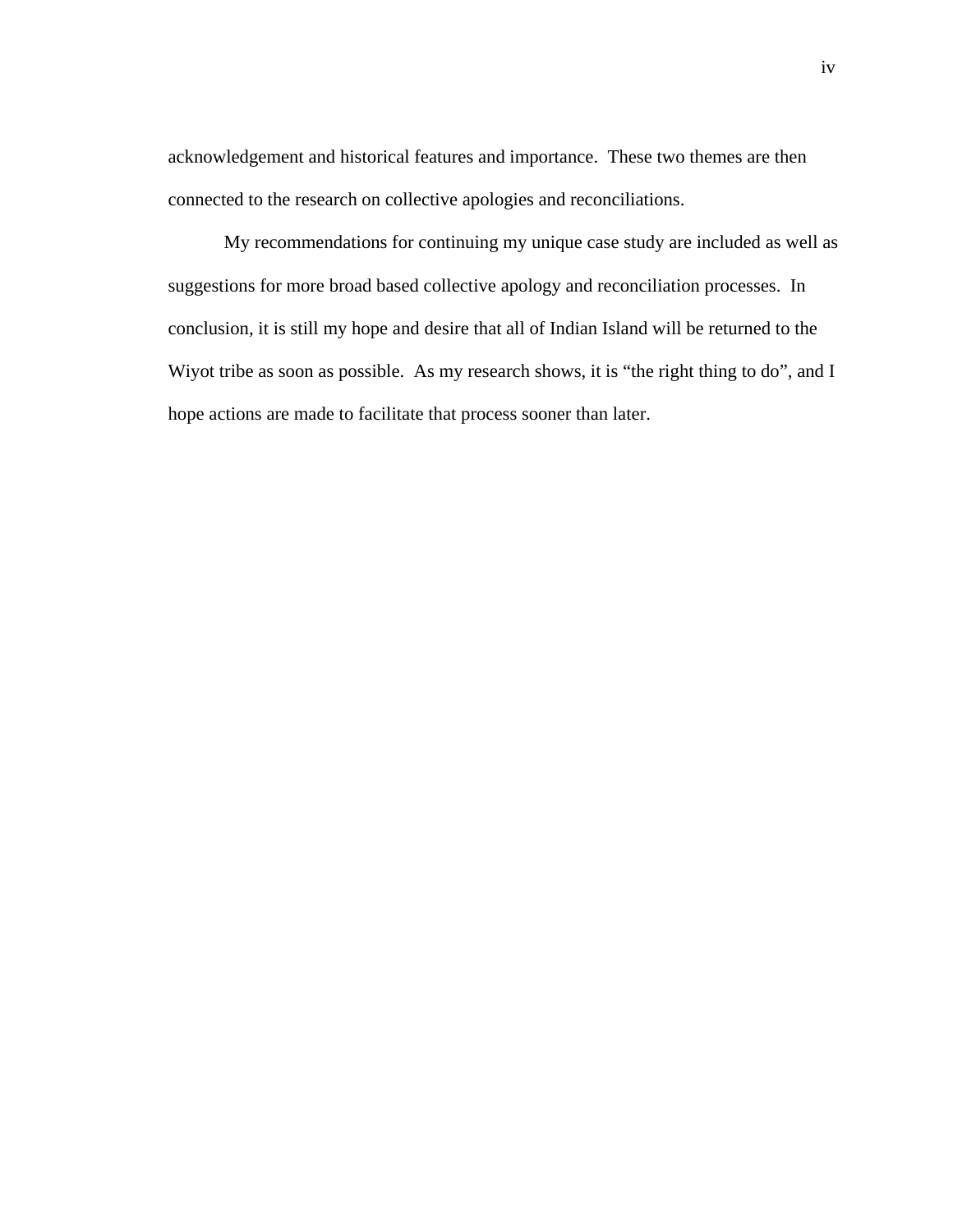acknowledgement and historical features and importance. These two themes are then connected to the research on collective apologies and reconciliations.

 My recommendations for continuing my unique case study are included as well as suggestions for more broad based collective apology and reconciliation processes. In conclusion, it is still my hope and desire that all of Indian Island will be returned to the Wiyot tribe as soon as possible. As my research shows, it is "the right thing to do", and I hope actions are made to facilitate that process sooner than later.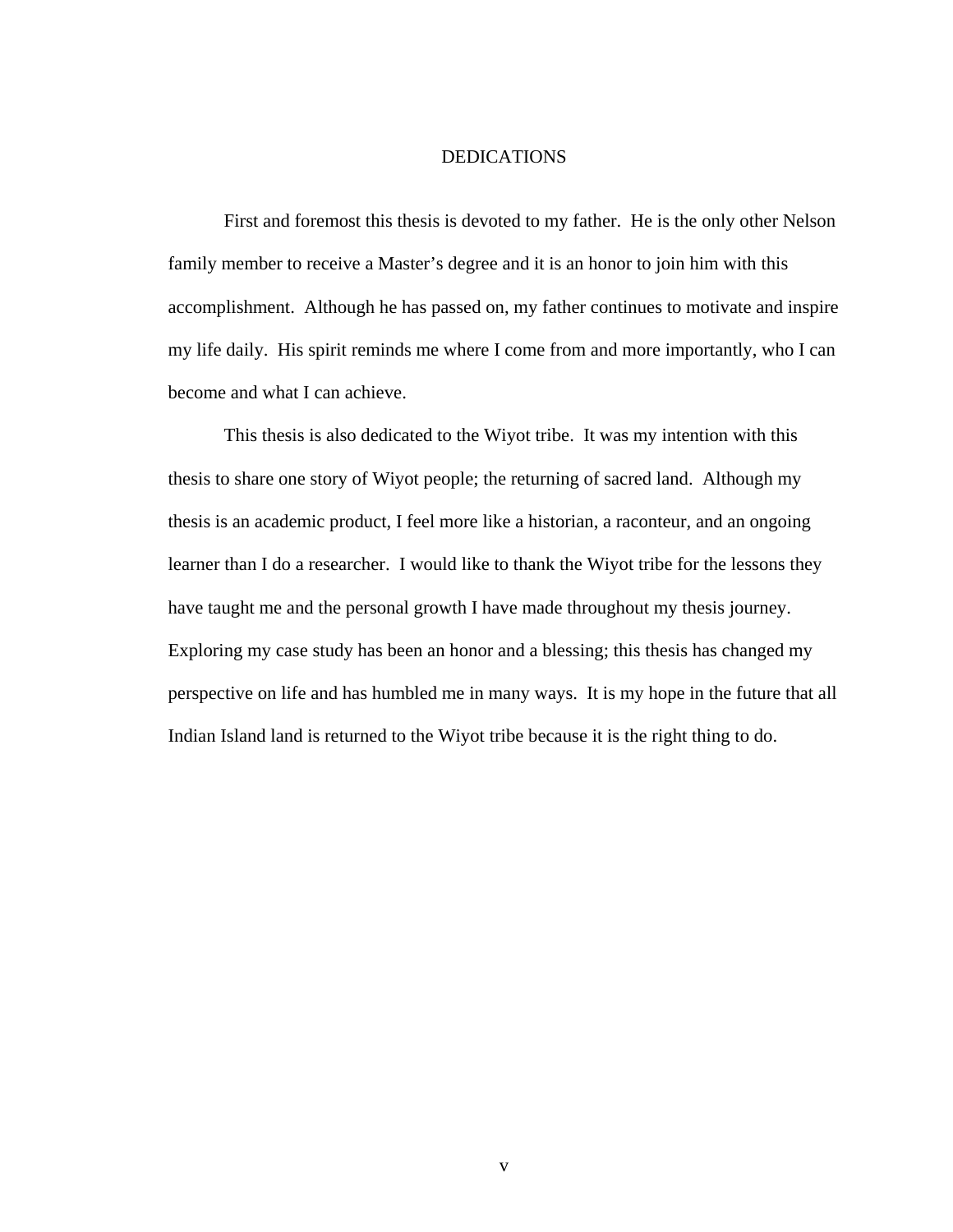## DEDICATIONS

 First and foremost this thesis is devoted to my father. He is the only other Nelson family member to receive a Master's degree and it is an honor to join him with this accomplishment. Although he has passed on, my father continues to motivate and inspire my life daily. His spirit reminds me where I come from and more importantly, who I can become and what I can achieve.

 This thesis is also dedicated to the Wiyot tribe. It was my intention with this thesis to share one story of Wiyot people; the returning of sacred land. Although my thesis is an academic product, I feel more like a historian, a raconteur, and an ongoing learner than I do a researcher. I would like to thank the Wiyot tribe for the lessons they have taught me and the personal growth I have made throughout my thesis journey. Exploring my case study has been an honor and a blessing; this thesis has changed my perspective on life and has humbled me in many ways. It is my hope in the future that all Indian Island land is returned to the Wiyot tribe because it is the right thing to do.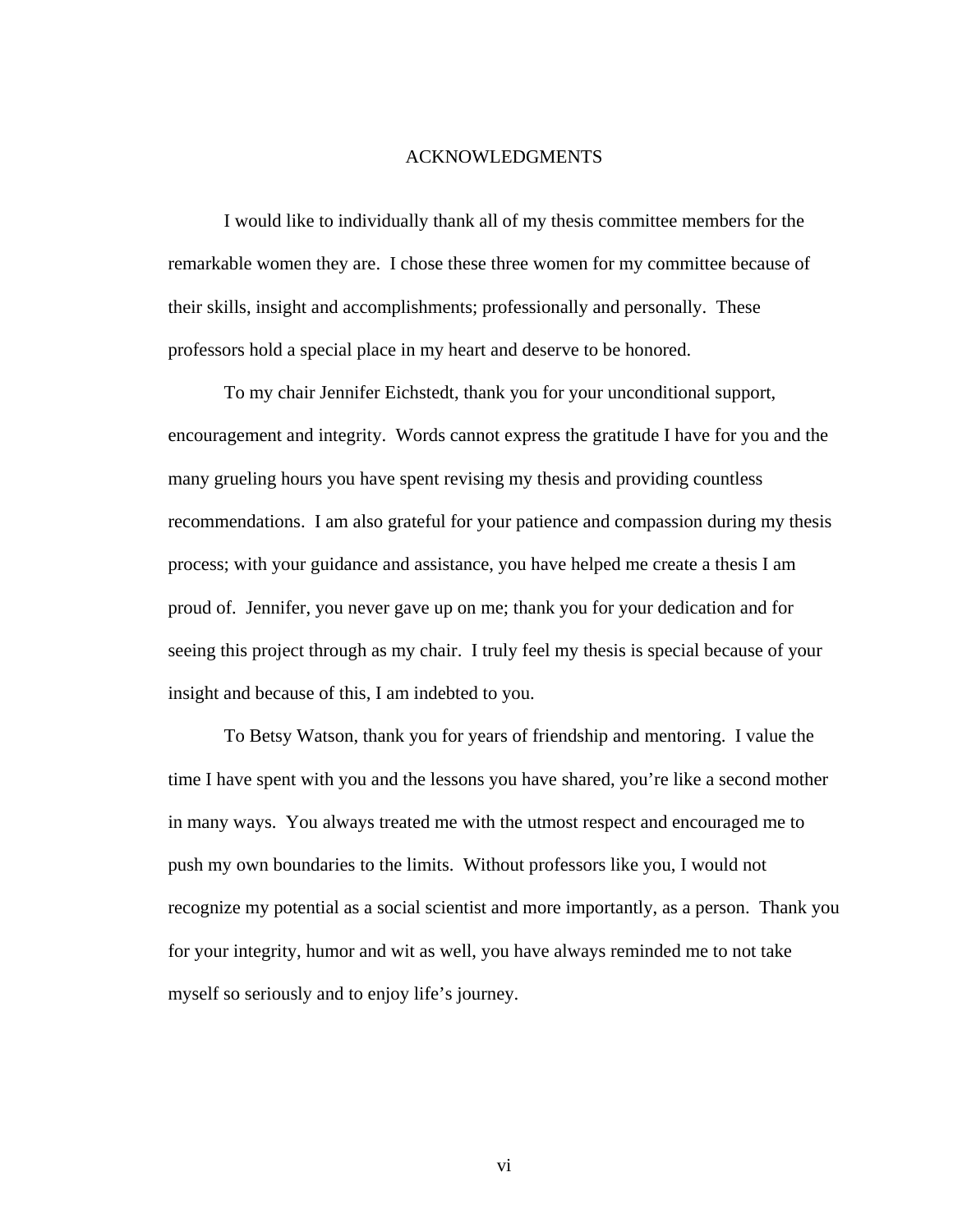### ACKNOWLEDGMENTS

 I would like to individually thank all of my thesis committee members for the remarkable women they are. I chose these three women for my committee because of their skills, insight and accomplishments; professionally and personally. These professors hold a special place in my heart and deserve to be honored.

To my chair Jennifer Eichstedt, thank you for your unconditional support, encouragement and integrity. Words cannot express the gratitude I have for you and the many grueling hours you have spent revising my thesis and providing countless recommendations. I am also grateful for your patience and compassion during my thesis process; with your guidance and assistance, you have helped me create a thesis I am proud of. Jennifer, you never gave up on me; thank you for your dedication and for seeing this project through as my chair. I truly feel my thesis is special because of your insight and because of this, I am indebted to you.

To Betsy Watson, thank you for years of friendship and mentoring. I value the time I have spent with you and the lessons you have shared, you're like a second mother in many ways. You always treated me with the utmost respect and encouraged me to push my own boundaries to the limits. Without professors like you, I would not recognize my potential as a social scientist and more importantly, as a person. Thank you for your integrity, humor and wit as well, you have always reminded me to not take myself so seriously and to enjoy life's journey.

vi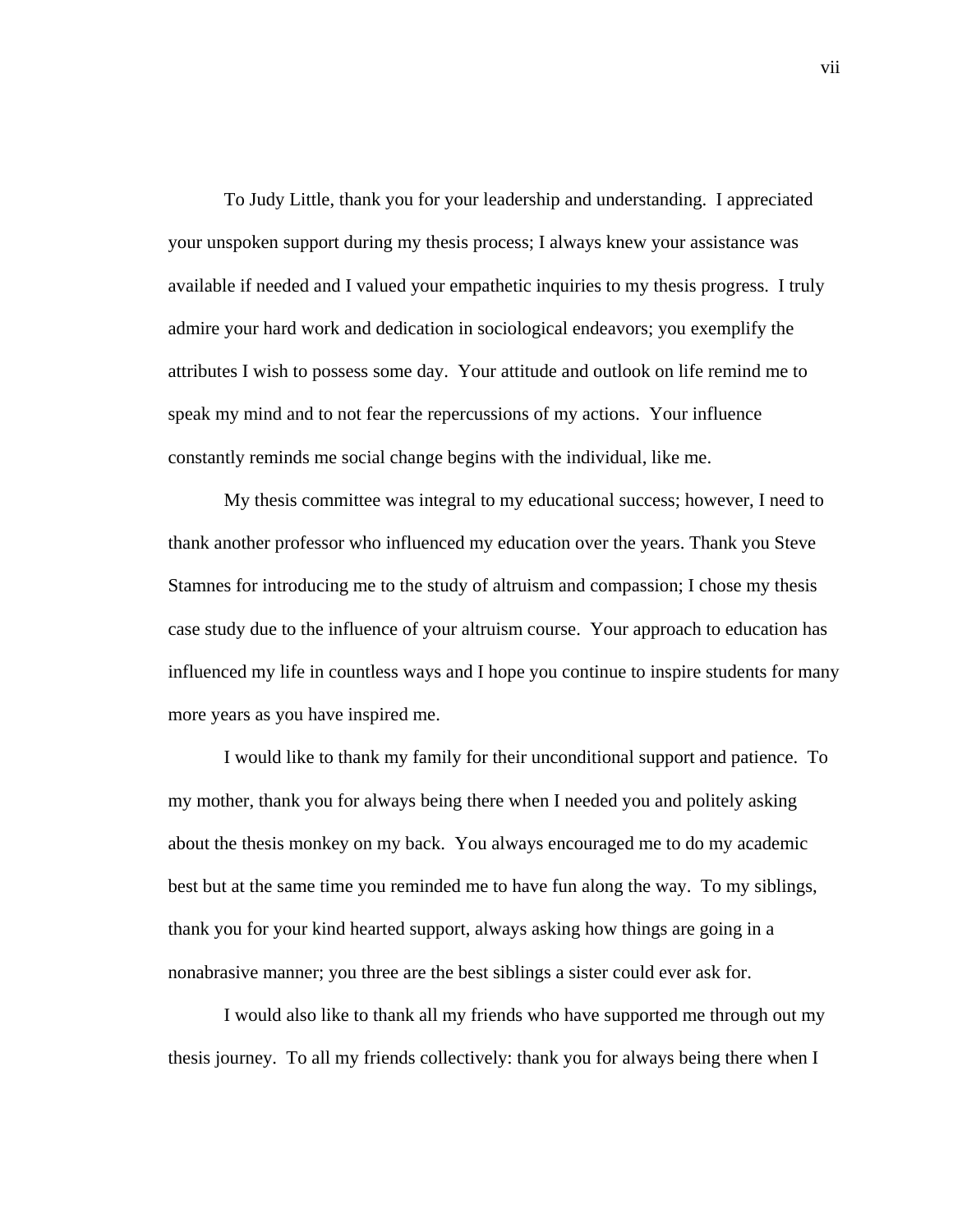To Judy Little, thank you for your leadership and understanding. I appreciated your unspoken support during my thesis process; I always knew your assistance was available if needed and I valued your empathetic inquiries to my thesis progress. I truly admire your hard work and dedication in sociological endeavors; you exemplify the attributes I wish to possess some day. Your attitude and outlook on life remind me to speak my mind and to not fear the repercussions of my actions. Your influence constantly reminds me social change begins with the individual, like me.

My thesis committee was integral to my educational success; however, I need to thank another professor who influenced my education over the years. Thank you Steve Stamnes for introducing me to the study of altruism and compassion; I chose my thesis case study due to the influence of your altruism course. Your approach to education has influenced my life in countless ways and I hope you continue to inspire students for many more years as you have inspired me.

 I would like to thank my family for their unconditional support and patience. To my mother, thank you for always being there when I needed you and politely asking about the thesis monkey on my back. You always encouraged me to do my academic best but at the same time you reminded me to have fun along the way. To my siblings, thank you for your kind hearted support, always asking how things are going in a nonabrasive manner; you three are the best siblings a sister could ever ask for.

 I would also like to thank all my friends who have supported me through out my thesis journey. To all my friends collectively: thank you for always being there when I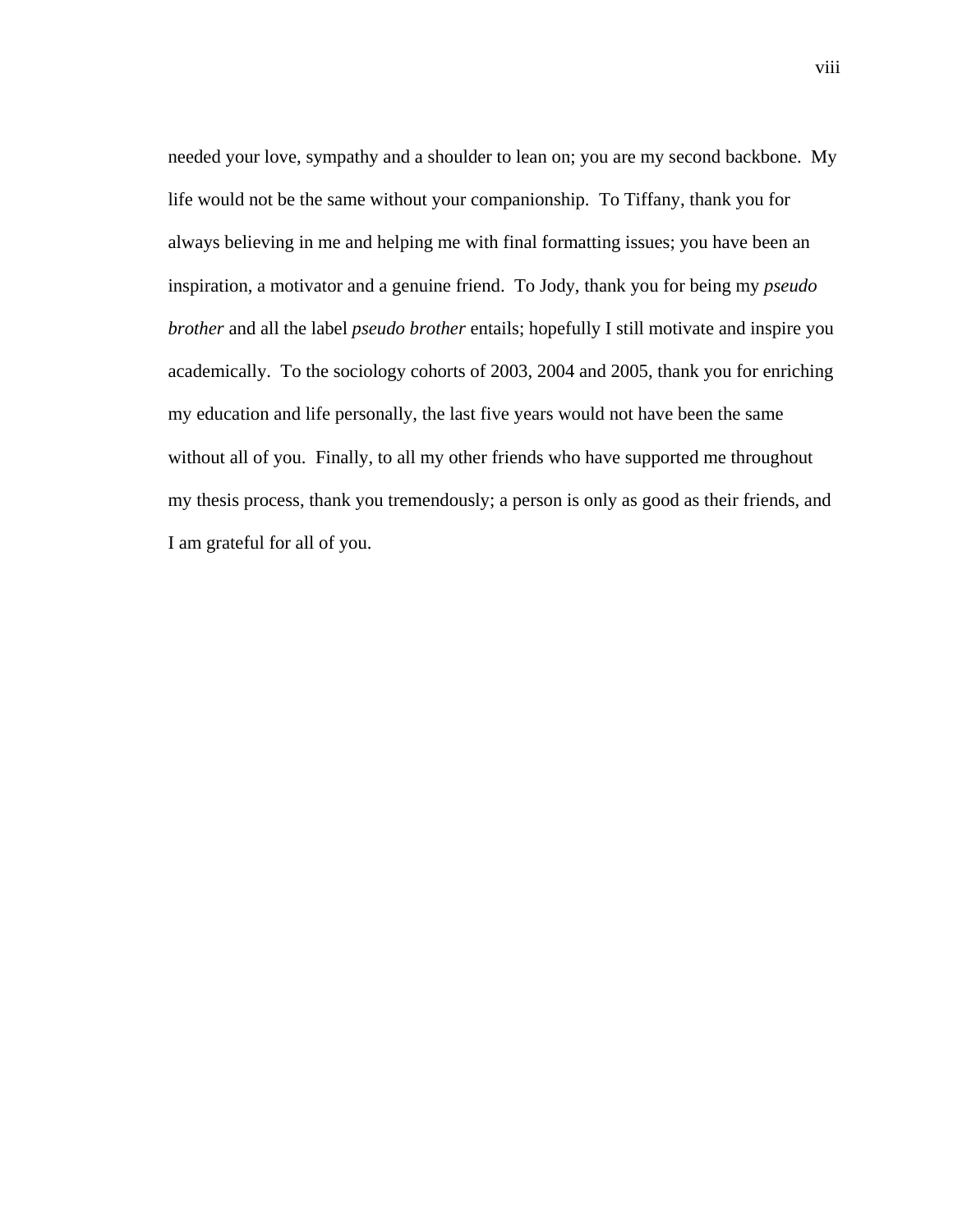needed your love, sympathy and a shoulder to lean on; you are my second backbone. My life would not be the same without your companionship. To Tiffany, thank you for always believing in me and helping me with final formatting issues; you have been an inspiration, a motivator and a genuine friend. To Jody, thank you for being my *pseudo brother* and all the label *pseudo brother* entails; hopefully I still motivate and inspire you academically. To the sociology cohorts of 2003, 2004 and 2005, thank you for enriching my education and life personally, the last five years would not have been the same without all of you. Finally, to all my other friends who have supported me throughout my thesis process, thank you tremendously; a person is only as good as their friends, and I am grateful for all of you.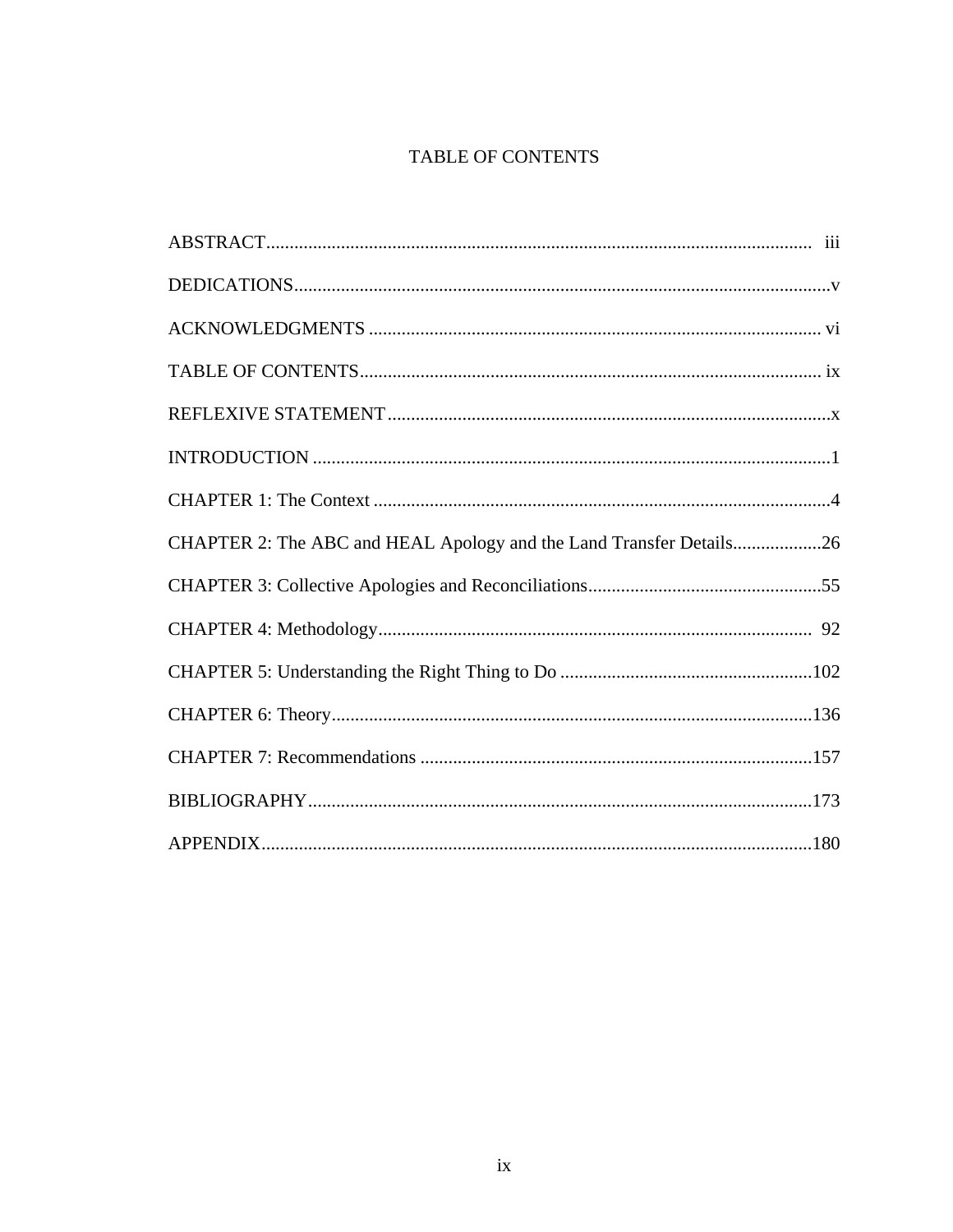# TABLE OF CONTENTS

| CHAPTER 2: The ABC and HEAL Apology and the Land Transfer Details26 |  |
|---------------------------------------------------------------------|--|
|                                                                     |  |
|                                                                     |  |
|                                                                     |  |
|                                                                     |  |
|                                                                     |  |
|                                                                     |  |
|                                                                     |  |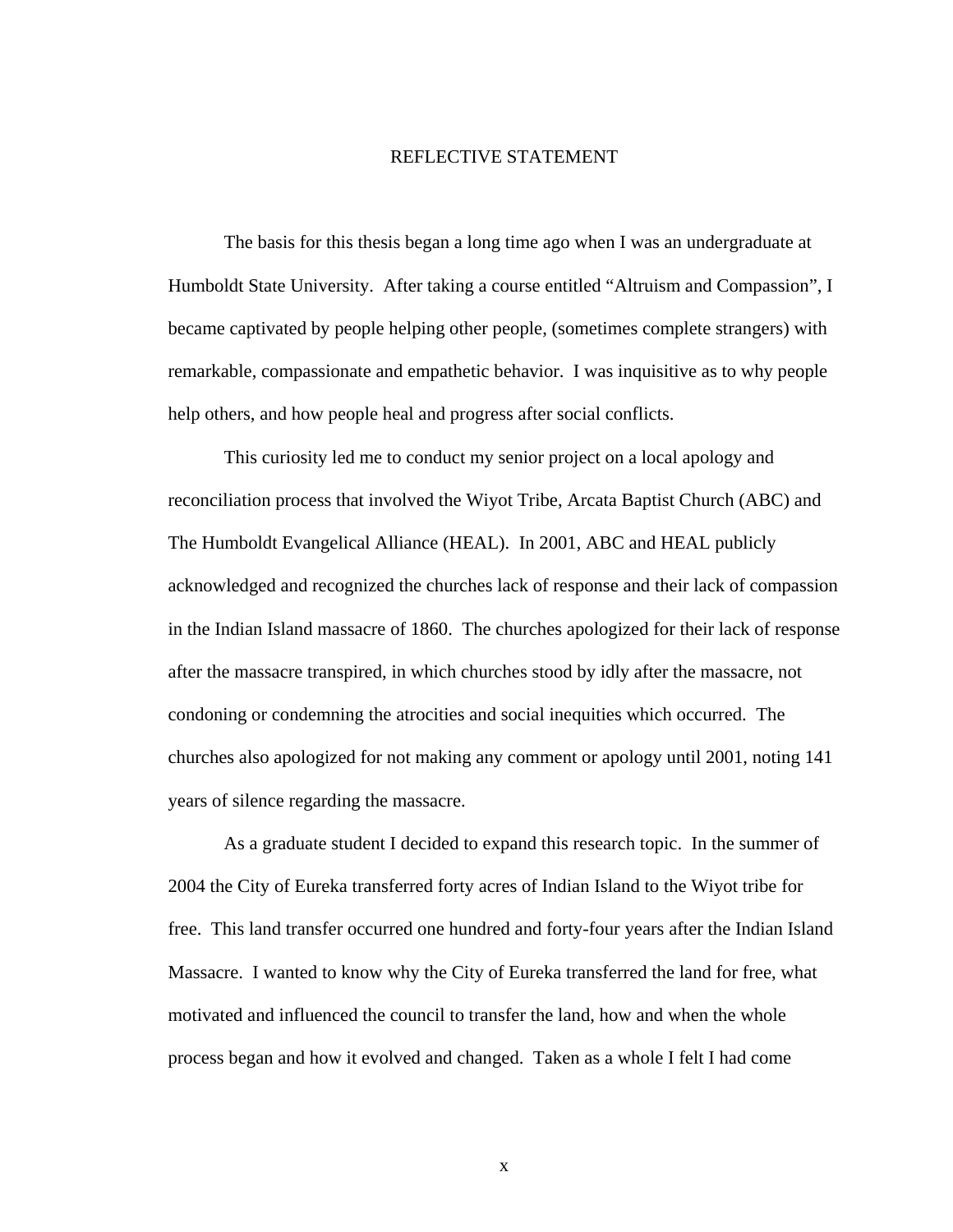#### REFLECTIVE STATEMENT

 The basis for this thesis began a long time ago when I was an undergraduate at Humboldt State University. After taking a course entitled "Altruism and Compassion", I became captivated by people helping other people, (sometimes complete strangers) with remarkable, compassionate and empathetic behavior. I was inquisitive as to why people help others, and how people heal and progress after social conflicts.

This curiosity led me to conduct my senior project on a local apology and reconciliation process that involved the Wiyot Tribe, Arcata Baptist Church (ABC) and The Humboldt Evangelical Alliance (HEAL). In 2001, ABC and HEAL publicly acknowledged and recognized the churches lack of response and their lack of compassion in the Indian Island massacre of 1860. The churches apologized for their lack of response after the massacre transpired, in which churches stood by idly after the massacre, not condoning or condemning the atrocities and social inequities which occurred. The churches also apologized for not making any comment or apology until 2001, noting 141 years of silence regarding the massacre.

 As a graduate student I decided to expand this research topic. In the summer of 2004 the City of Eureka transferred forty acres of Indian Island to the Wiyot tribe for free. This land transfer occurred one hundred and forty-four years after the Indian Island Massacre. I wanted to know why the City of Eureka transferred the land for free, what motivated and influenced the council to transfer the land, how and when the whole process began and how it evolved and changed. Taken as a whole I felt I had come

x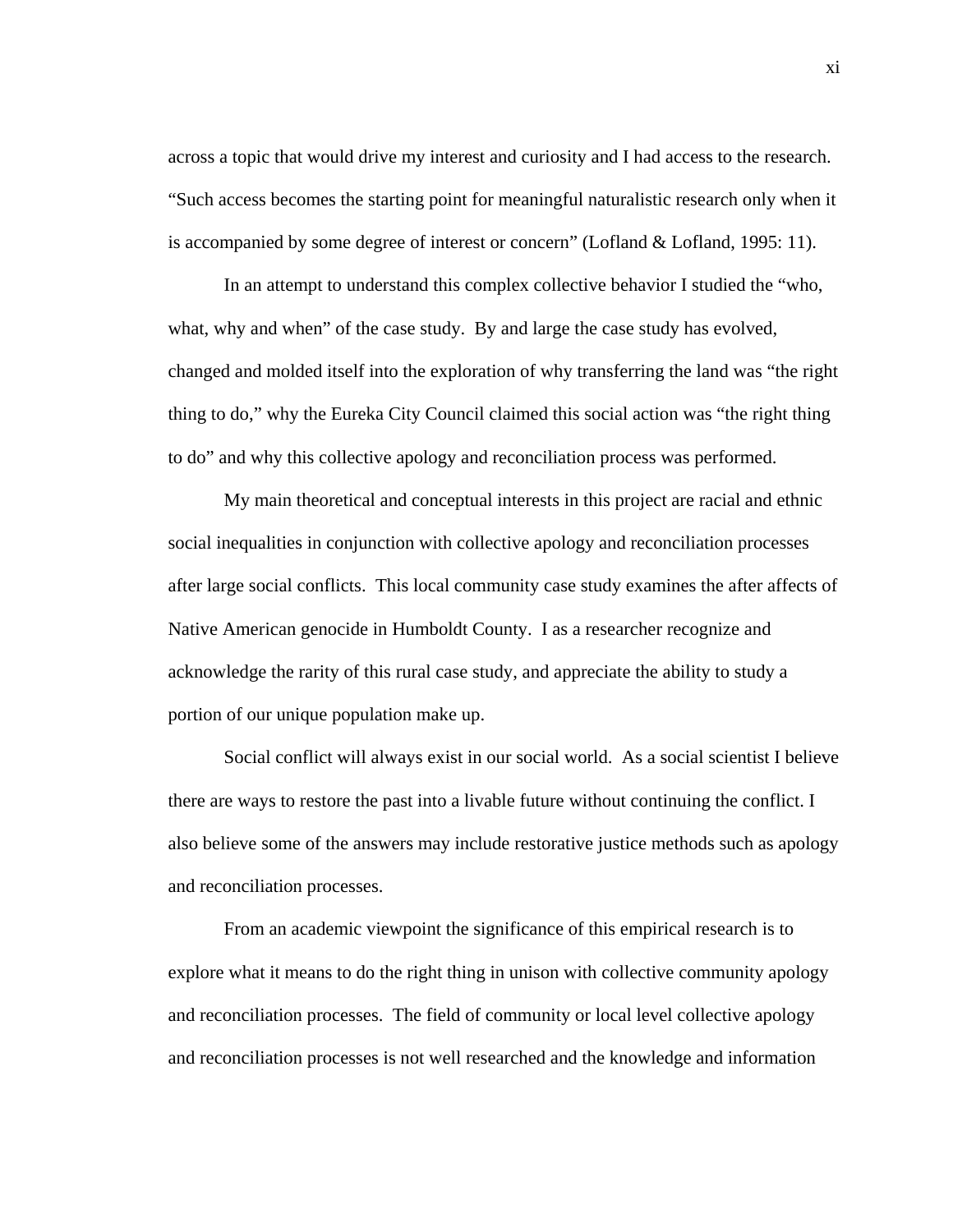across a topic that would drive my interest and curiosity and I had access to the research. "Such access becomes the starting point for meaningful naturalistic research only when it is accompanied by some degree of interest or concern" (Lofland & Lofland, 1995: 11).

In an attempt to understand this complex collective behavior I studied the "who, what, why and when" of the case study. By and large the case study has evolved, changed and molded itself into the exploration of why transferring the land was "the right thing to do," why the Eureka City Council claimed this social action was "the right thing to do" and why this collective apology and reconciliation process was performed.

My main theoretical and conceptual interests in this project are racial and ethnic social inequalities in conjunction with collective apology and reconciliation processes after large social conflicts. This local community case study examines the after affects of Native American genocide in Humboldt County. I as a researcher recognize and acknowledge the rarity of this rural case study, and appreciate the ability to study a portion of our unique population make up.

Social conflict will always exist in our social world. As a social scientist I believe there are ways to restore the past into a livable future without continuing the conflict. I also believe some of the answers may include restorative justice methods such as apology and reconciliation processes.

 From an academic viewpoint the significance of this empirical research is to explore what it means to do the right thing in unison with collective community apology and reconciliation processes. The field of community or local level collective apology and reconciliation processes is not well researched and the knowledge and information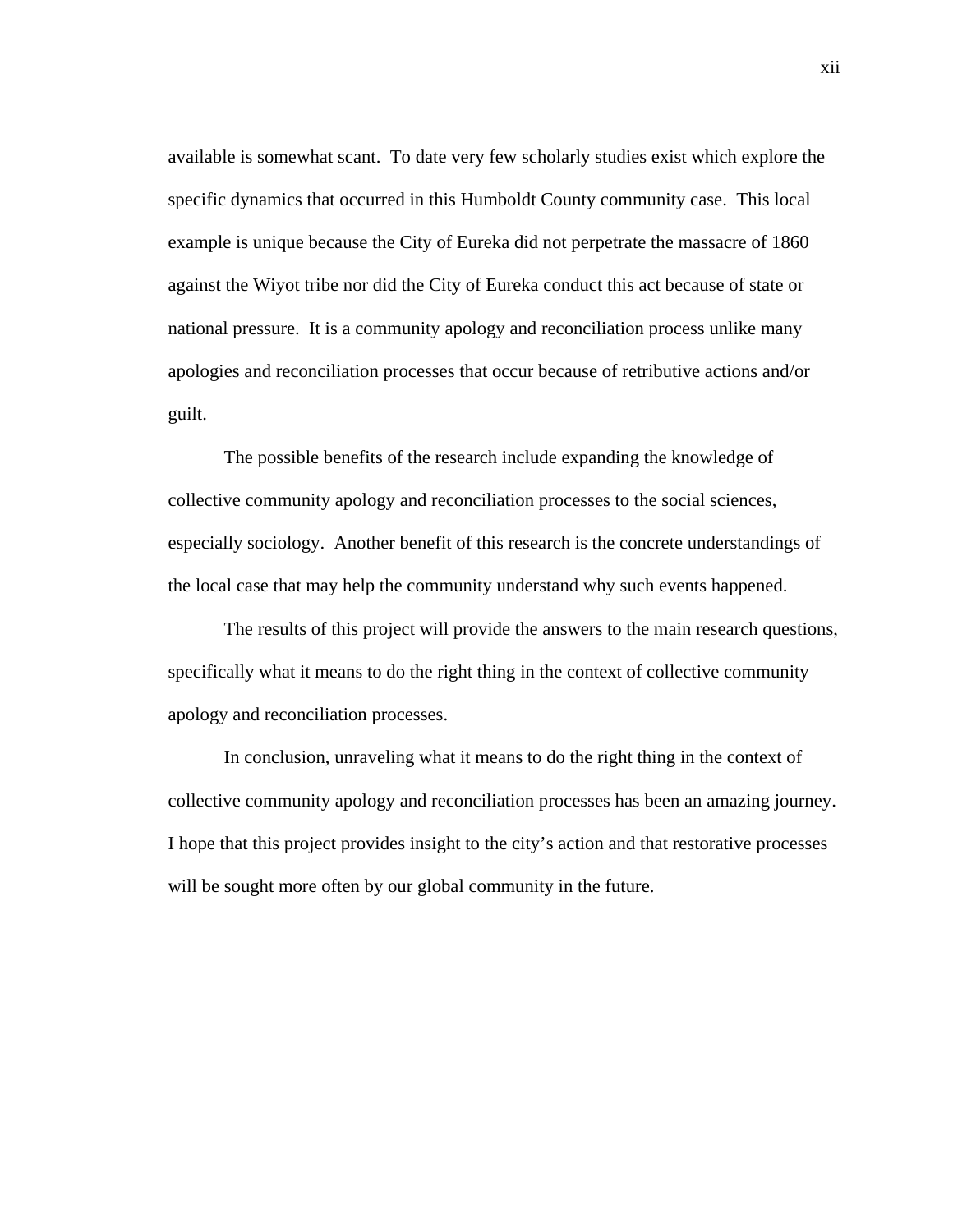available is somewhat scant. To date very few scholarly studies exist which explore the specific dynamics that occurred in this Humboldt County community case. This local example is unique because the City of Eureka did not perpetrate the massacre of 1860 against the Wiyot tribe nor did the City of Eureka conduct this act because of state or national pressure. It is a community apology and reconciliation process unlike many apologies and reconciliation processes that occur because of retributive actions and/or guilt.

 The possible benefits of the research include expanding the knowledge of collective community apology and reconciliation processes to the social sciences, especially sociology. Another benefit of this research is the concrete understandings of the local case that may help the community understand why such events happened.

The results of this project will provide the answers to the main research questions, specifically what it means to do the right thing in the context of collective community apology and reconciliation processes.

 In conclusion, unraveling what it means to do the right thing in the context of collective community apology and reconciliation processes has been an amazing journey. I hope that this project provides insight to the city's action and that restorative processes will be sought more often by our global community in the future.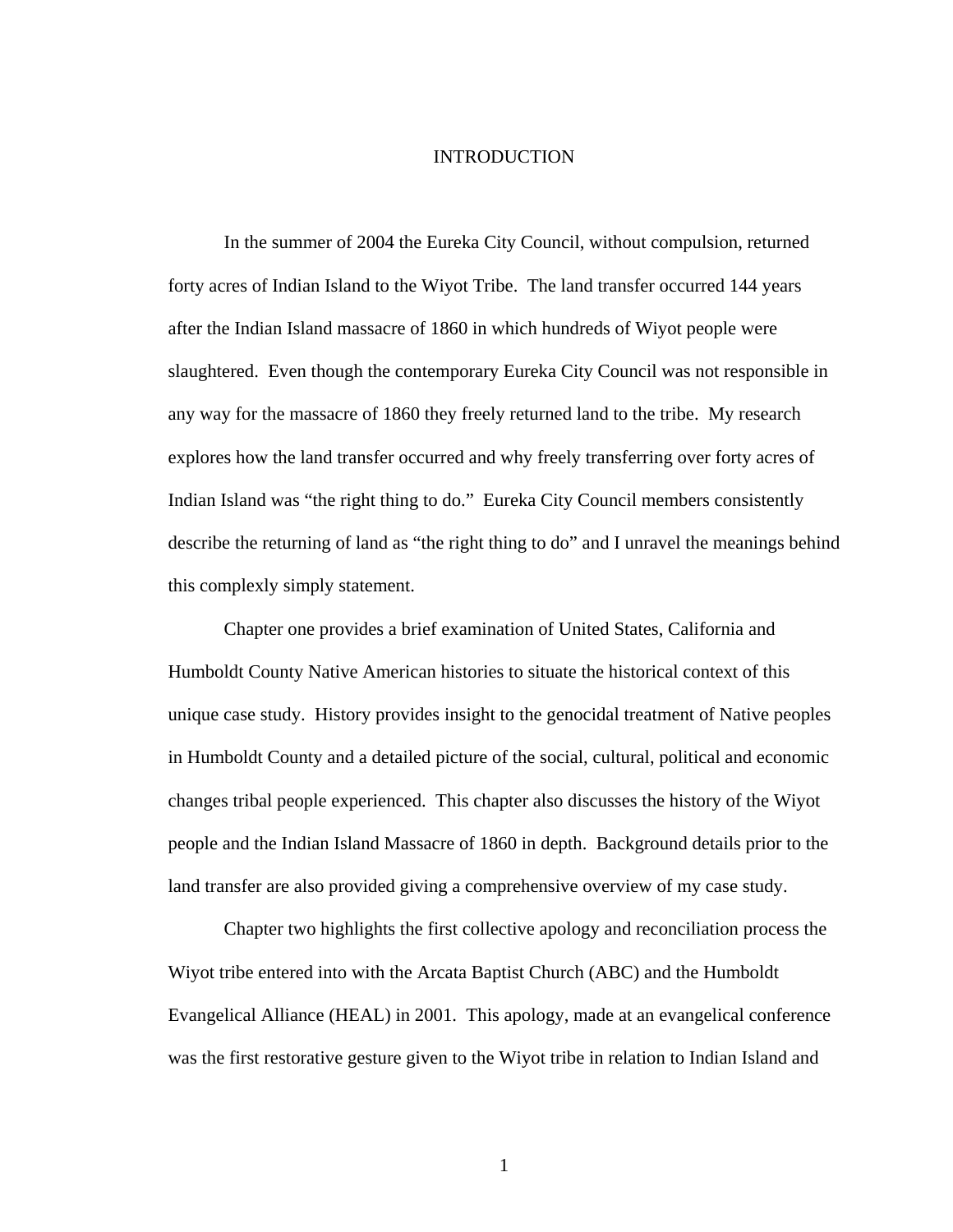### INTRODUCTION

 In the summer of 2004 the Eureka City Council, without compulsion, returned forty acres of Indian Island to the Wiyot Tribe. The land transfer occurred 144 years after the Indian Island massacre of 1860 in which hundreds of Wiyot people were slaughtered. Even though the contemporary Eureka City Council was not responsible in any way for the massacre of 1860 they freely returned land to the tribe. My research explores how the land transfer occurred and why freely transferring over forty acres of Indian Island was "the right thing to do." Eureka City Council members consistently describe the returning of land as "the right thing to do" and I unravel the meanings behind this complexly simply statement.

Chapter one provides a brief examination of United States, California and Humboldt County Native American histories to situate the historical context of this unique case study. History provides insight to the genocidal treatment of Native peoples in Humboldt County and a detailed picture of the social, cultural, political and economic changes tribal people experienced. This chapter also discusses the history of the Wiyot people and the Indian Island Massacre of 1860 in depth. Background details prior to the land transfer are also provided giving a comprehensive overview of my case study.

 Chapter two highlights the first collective apology and reconciliation process the Wiyot tribe entered into with the Arcata Baptist Church (ABC) and the Humboldt Evangelical Alliance (HEAL) in 2001. This apology, made at an evangelical conference was the first restorative gesture given to the Wiyot tribe in relation to Indian Island and

1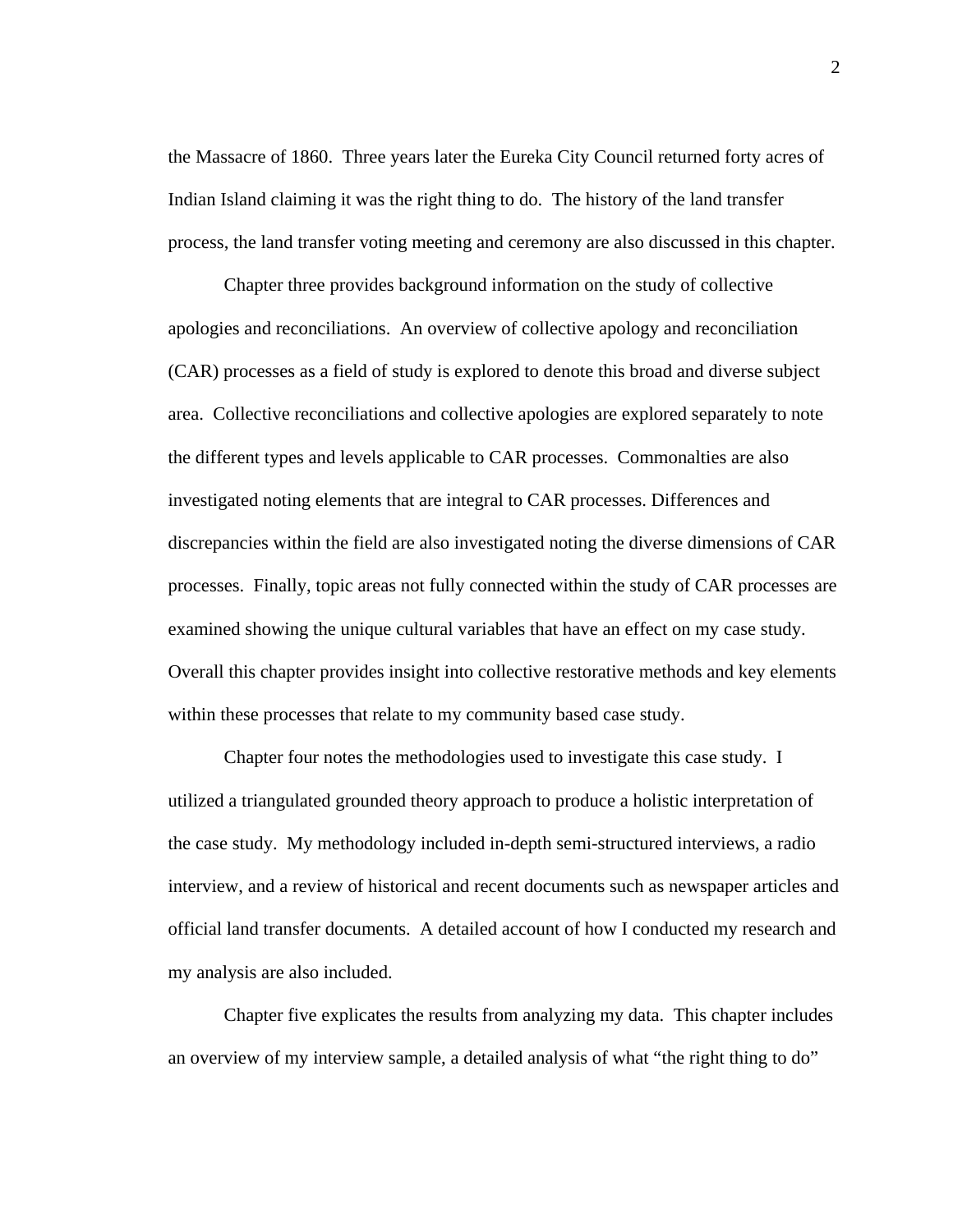the Massacre of 1860. Three years later the Eureka City Council returned forty acres of Indian Island claiming it was the right thing to do. The history of the land transfer process, the land transfer voting meeting and ceremony are also discussed in this chapter.

Chapter three provides background information on the study of collective apologies and reconciliations. An overview of collective apology and reconciliation (CAR) processes as a field of study is explored to denote this broad and diverse subject area. Collective reconciliations and collective apologies are explored separately to note the different types and levels applicable to CAR processes. Commonalties are also investigated noting elements that are integral to CAR processes. Differences and discrepancies within the field are also investigated noting the diverse dimensions of CAR processes. Finally, topic areas not fully connected within the study of CAR processes are examined showing the unique cultural variables that have an effect on my case study. Overall this chapter provides insight into collective restorative methods and key elements within these processes that relate to my community based case study.

Chapter four notes the methodologies used to investigate this case study. I utilized a triangulated grounded theory approach to produce a holistic interpretation of the case study. My methodology included in-depth semi-structured interviews, a radio interview, and a review of historical and recent documents such as newspaper articles and official land transfer documents. A detailed account of how I conducted my research and my analysis are also included.

Chapter five explicates the results from analyzing my data. This chapter includes an overview of my interview sample, a detailed analysis of what "the right thing to do"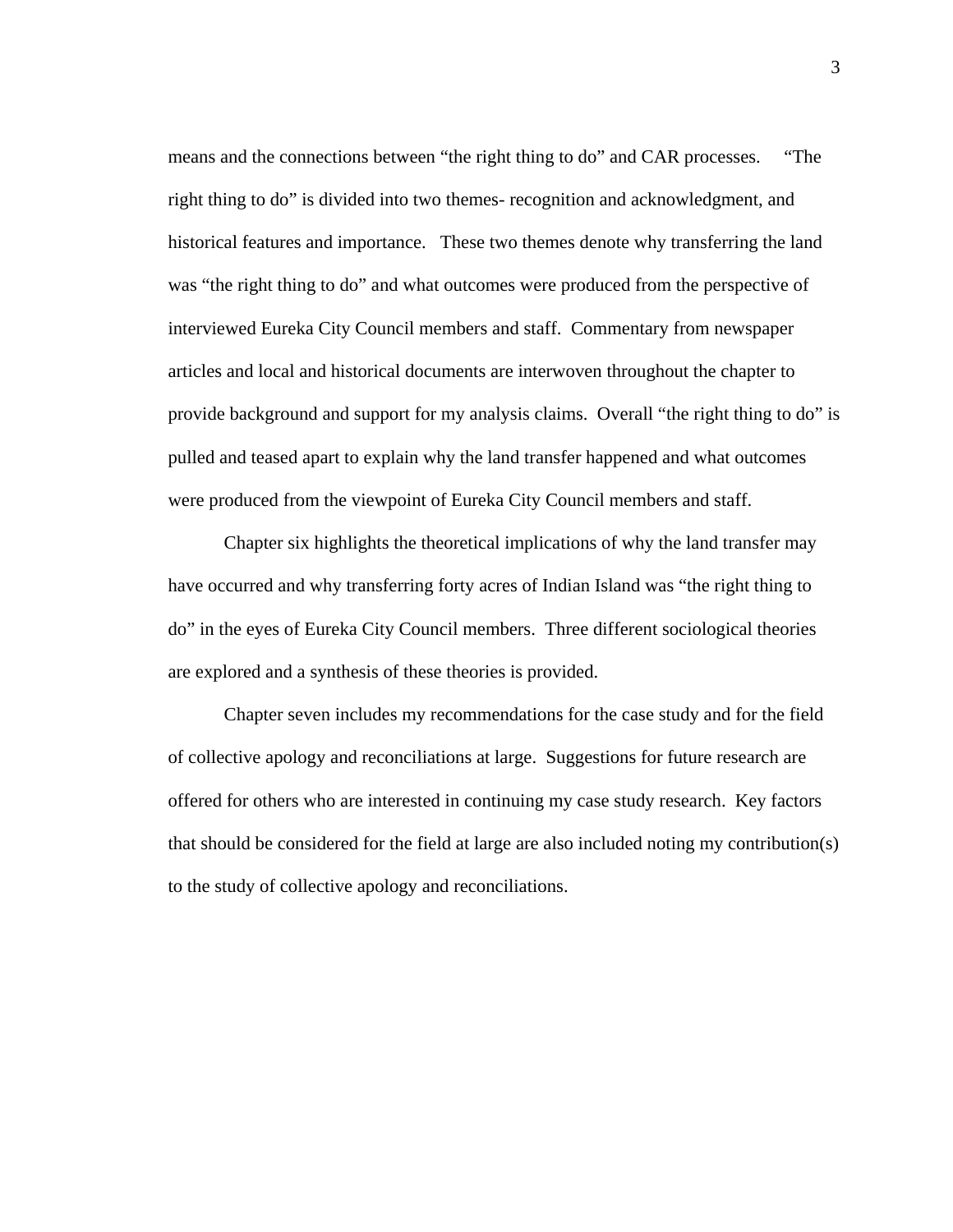means and the connections between "the right thing to do" and CAR processes. "The right thing to do" is divided into two themes- recognition and acknowledgment, and historical features and importance. These two themes denote why transferring the land was "the right thing to do" and what outcomes were produced from the perspective of interviewed Eureka City Council members and staff. Commentary from newspaper articles and local and historical documents are interwoven throughout the chapter to provide background and support for my analysis claims. Overall "the right thing to do" is pulled and teased apart to explain why the land transfer happened and what outcomes were produced from the viewpoint of Eureka City Council members and staff.

Chapter six highlights the theoretical implications of why the land transfer may have occurred and why transferring forty acres of Indian Island was "the right thing to do" in the eyes of Eureka City Council members. Three different sociological theories are explored and a synthesis of these theories is provided.

Chapter seven includes my recommendations for the case study and for the field of collective apology and reconciliations at large. Suggestions for future research are offered for others who are interested in continuing my case study research. Key factors that should be considered for the field at large are also included noting my contribution(s) to the study of collective apology and reconciliations.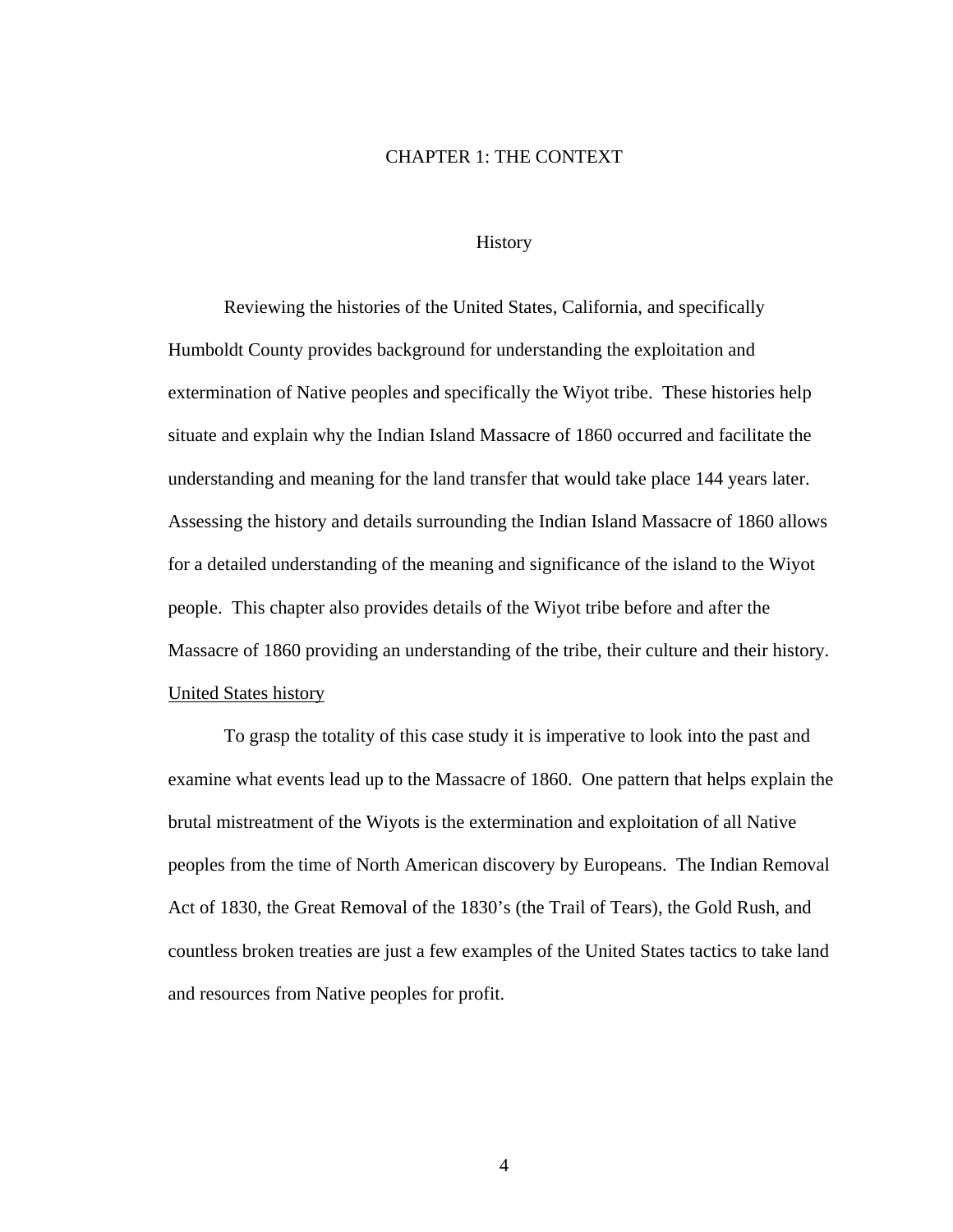### CHAPTER 1: THE CONTEXT

## **History**

 Reviewing the histories of the United States, California, and specifically Humboldt County provides background for understanding the exploitation and extermination of Native peoples and specifically the Wiyot tribe. These histories help situate and explain why the Indian Island Massacre of 1860 occurred and facilitate the understanding and meaning for the land transfer that would take place 144 years later. Assessing the history and details surrounding the Indian Island Massacre of 1860 allows for a detailed understanding of the meaning and significance of the island to the Wiyot people. This chapter also provides details of the Wiyot tribe before and after the Massacre of 1860 providing an understanding of the tribe, their culture and their history. United States history

To grasp the totality of this case study it is imperative to look into the past and examine what events lead up to the Massacre of 1860. One pattern that helps explain the brutal mistreatment of the Wiyots is the extermination and exploitation of all Native peoples from the time of North American discovery by Europeans. The Indian Removal Act of 1830, the Great Removal of the 1830's (the Trail of Tears), the Gold Rush, and countless broken treaties are just a few examples of the United States tactics to take land and resources from Native peoples for profit.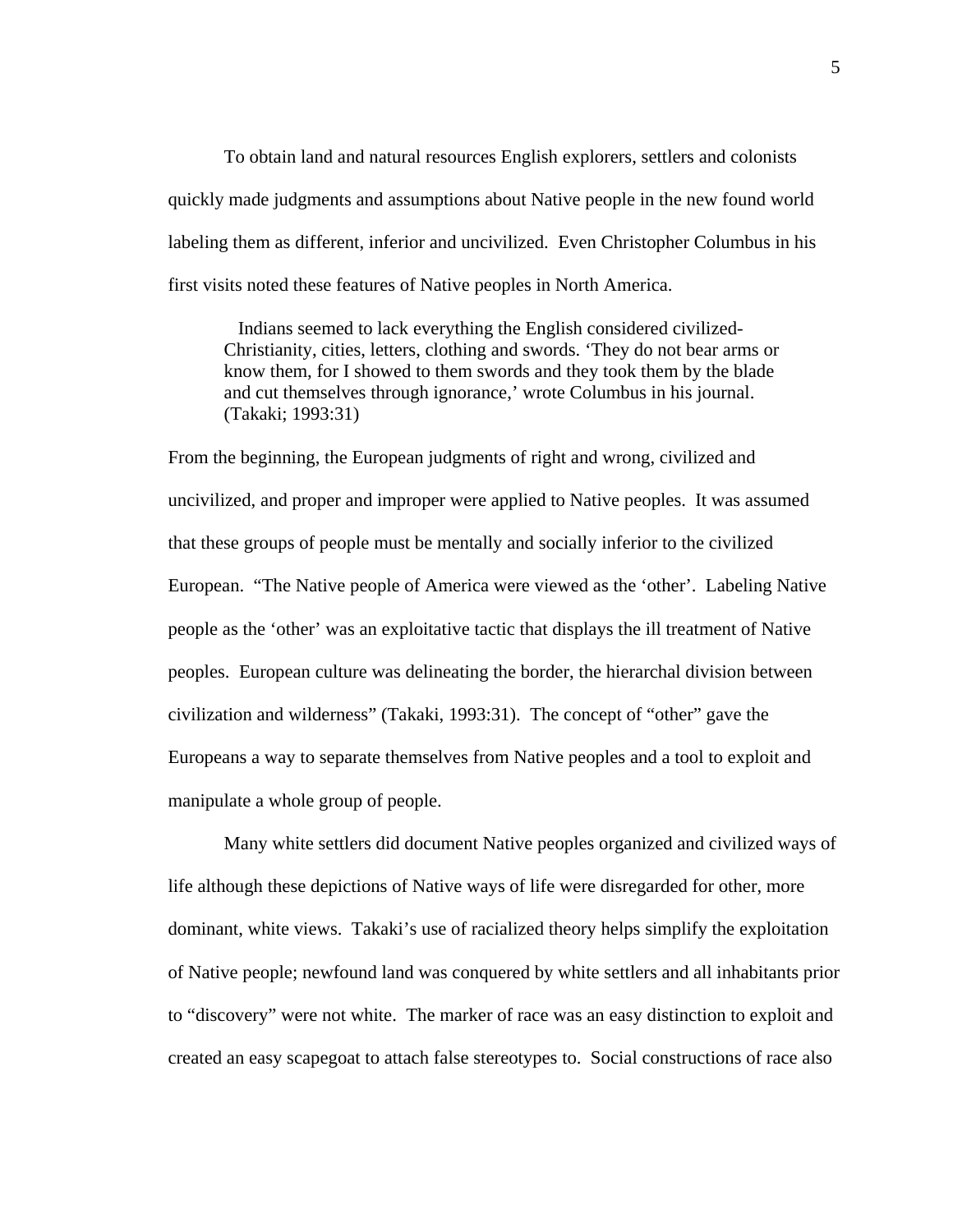To obtain land and natural resources English explorers, settlers and colonists quickly made judgments and assumptions about Native people in the new found world labeling them as different, inferior and uncivilized. Even Christopher Columbus in his first visits noted these features of Native peoples in North America.

 Indians seemed to lack everything the English considered civilized-Christianity, cities, letters, clothing and swords. 'They do not bear arms or know them, for I showed to them swords and they took them by the blade and cut themselves through ignorance,' wrote Columbus in his journal. (Takaki; 1993:31)

From the beginning, the European judgments of right and wrong, civilized and uncivilized, and proper and improper were applied to Native peoples. It was assumed that these groups of people must be mentally and socially inferior to the civilized European. "The Native people of America were viewed as the 'other'. Labeling Native people as the 'other' was an exploitative tactic that displays the ill treatment of Native peoples. European culture was delineating the border, the hierarchal division between civilization and wilderness" (Takaki, 1993:31). The concept of "other" gave the Europeans a way to separate themselves from Native peoples and a tool to exploit and manipulate a whole group of people.

Many white settlers did document Native peoples organized and civilized ways of life although these depictions of Native ways of life were disregarded for other, more dominant, white views. Takaki's use of racialized theory helps simplify the exploitation of Native people; newfound land was conquered by white settlers and all inhabitants prior to "discovery" were not white. The marker of race was an easy distinction to exploit and created an easy scapegoat to attach false stereotypes to. Social constructions of race also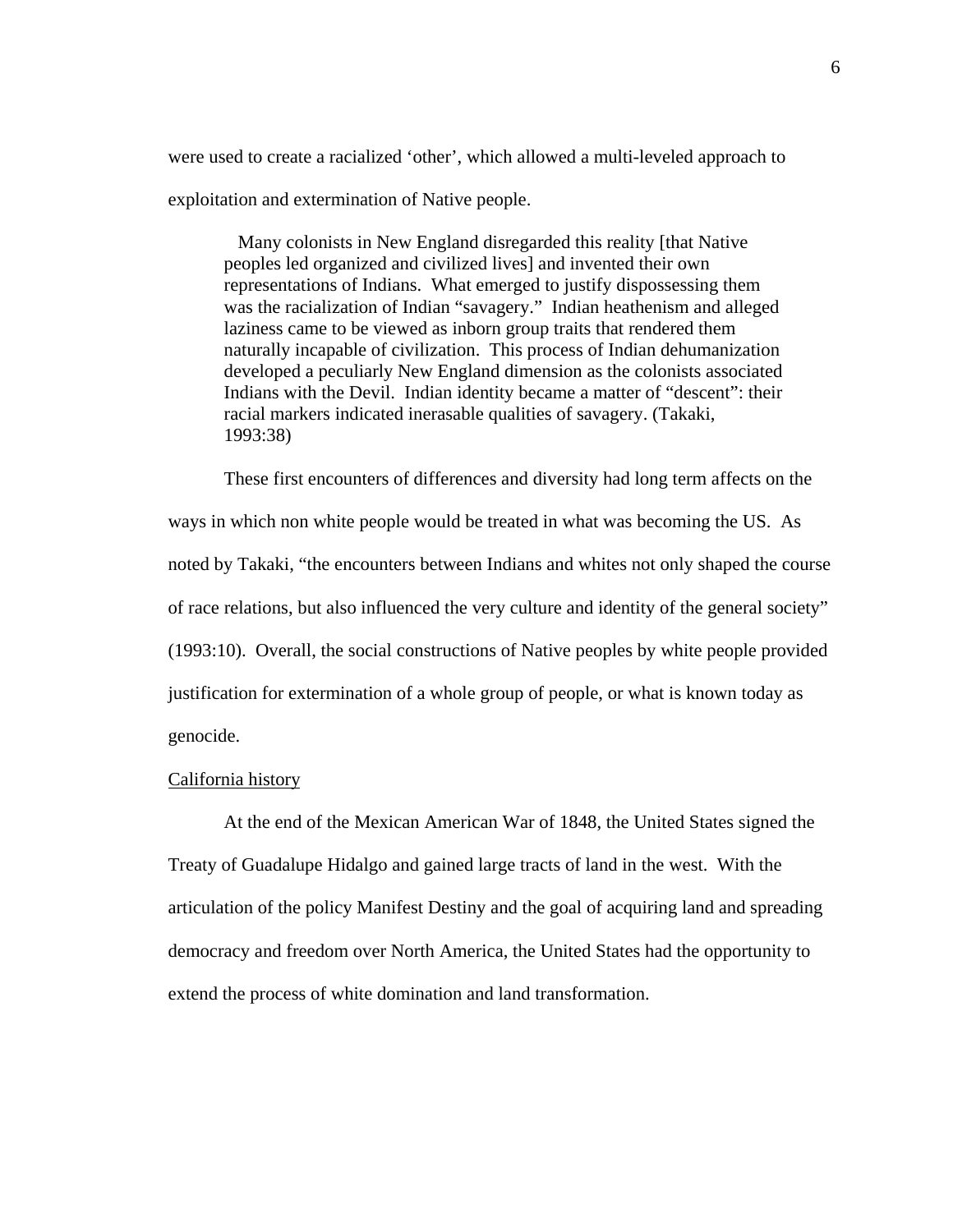were used to create a racialized 'other', which allowed a multi-leveled approach to exploitation and extermination of Native people.

 Many colonists in New England disregarded this reality [that Native peoples led organized and civilized lives] and invented their own representations of Indians. What emerged to justify dispossessing them was the racialization of Indian "savagery." Indian heathenism and alleged laziness came to be viewed as inborn group traits that rendered them naturally incapable of civilization. This process of Indian dehumanization developed a peculiarly New England dimension as the colonists associated Indians with the Devil. Indian identity became a matter of "descent": their racial markers indicated inerasable qualities of savagery. (Takaki, 1993:38)

These first encounters of differences and diversity had long term affects on the ways in which non white people would be treated in what was becoming the US. As noted by Takaki, "the encounters between Indians and whites not only shaped the course of race relations, but also influenced the very culture and identity of the general society" (1993:10). Overall, the social constructions of Native peoples by white people provided justification for extermination of a whole group of people, or what is known today as genocide.

#### California history

 At the end of the Mexican American War of 1848, the United States signed the Treaty of Guadalupe Hidalgo and gained large tracts of land in the west. With the articulation of the policy Manifest Destiny and the goal of acquiring land and spreading democracy and freedom over North America, the United States had the opportunity to extend the process of white domination and land transformation.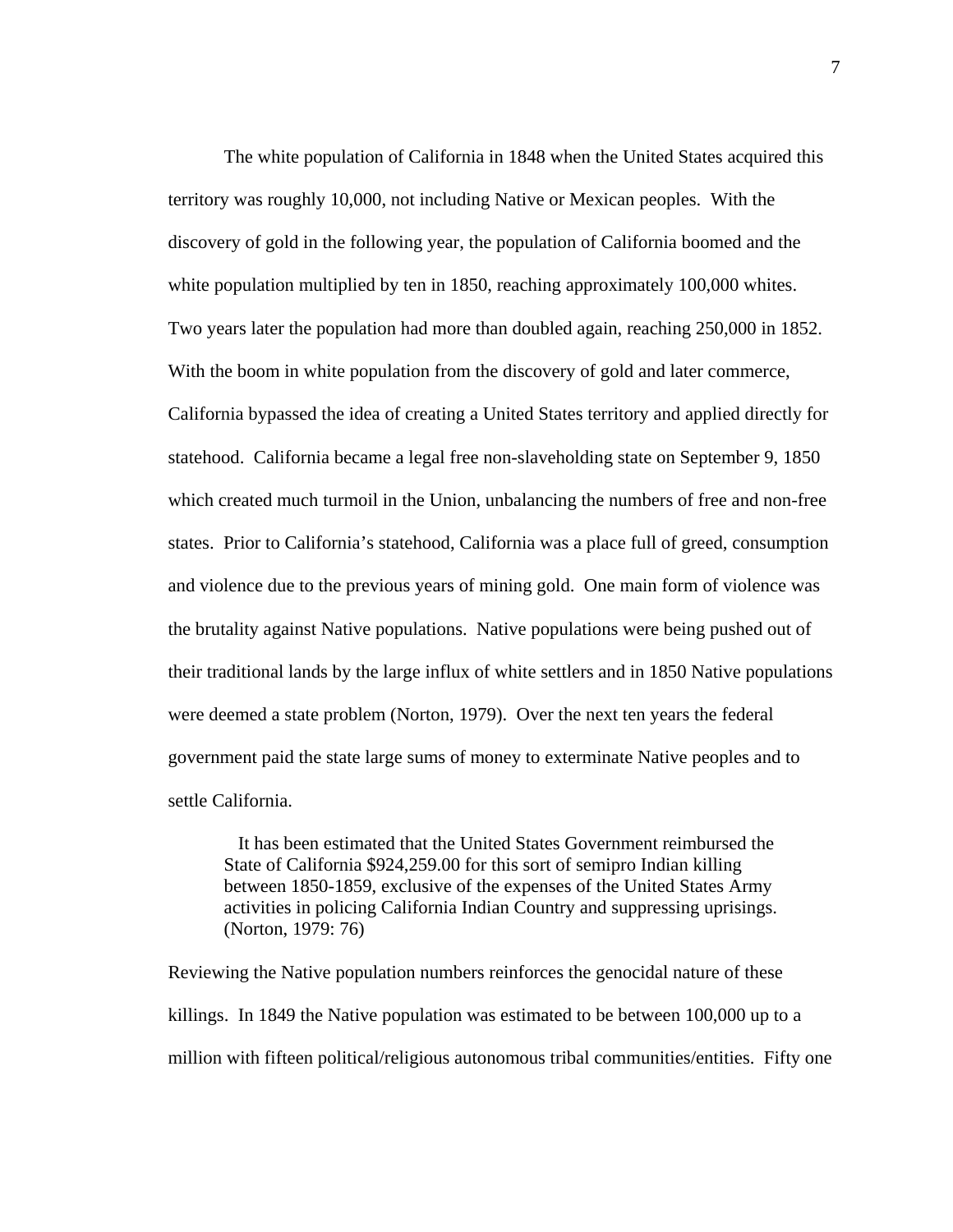The white population of California in 1848 when the United States acquired this territory was roughly 10,000, not including Native or Mexican peoples. With the discovery of gold in the following year, the population of California boomed and the white population multiplied by ten in 1850, reaching approximately 100,000 whites. Two years later the population had more than doubled again, reaching 250,000 in 1852. With the boom in white population from the discovery of gold and later commerce, California bypassed the idea of creating a United States territory and applied directly for statehood. California became a legal free non-slaveholding state on September 9, 1850 which created much turmoil in the Union, unbalancing the numbers of free and non-free states. Prior to California's statehood, California was a place full of greed, consumption and violence due to the previous years of mining gold. One main form of violence was the brutality against Native populations. Native populations were being pushed out of their traditional lands by the large influx of white settlers and in 1850 Native populations were deemed a state problem (Norton, 1979). Over the next ten years the federal government paid the state large sums of money to exterminate Native peoples and to settle California.

 It has been estimated that the United States Government reimbursed the State of California \$924,259.00 for this sort of semipro Indian killing between 1850-1859, exclusive of the expenses of the United States Army activities in policing California Indian Country and suppressing uprisings. (Norton, 1979: 76)

Reviewing the Native population numbers reinforces the genocidal nature of these killings. In 1849 the Native population was estimated to be between 100,000 up to a million with fifteen political/religious autonomous tribal communities/entities. Fifty one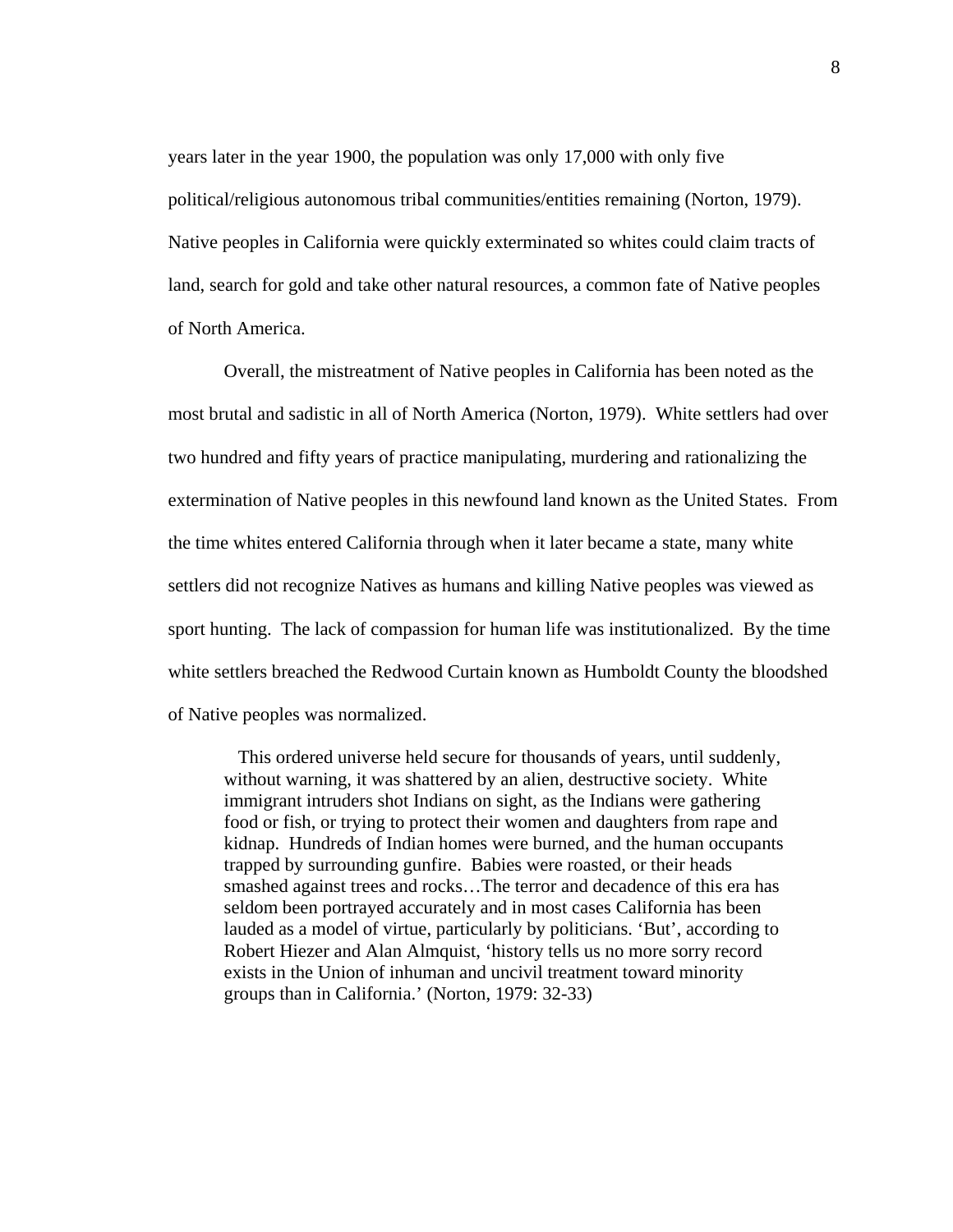years later in the year 1900, the population was only 17,000 with only five political/religious autonomous tribal communities/entities remaining (Norton, 1979). Native peoples in California were quickly exterminated so whites could claim tracts of land, search for gold and take other natural resources, a common fate of Native peoples of North America.

 Overall, the mistreatment of Native peoples in California has been noted as the most brutal and sadistic in all of North America (Norton, 1979). White settlers had over two hundred and fifty years of practice manipulating, murdering and rationalizing the extermination of Native peoples in this newfound land known as the United States. From the time whites entered California through when it later became a state, many white settlers did not recognize Natives as humans and killing Native peoples was viewed as sport hunting. The lack of compassion for human life was institutionalized. By the time white settlers breached the Redwood Curtain known as Humboldt County the bloodshed of Native peoples was normalized.

 This ordered universe held secure for thousands of years, until suddenly, without warning, it was shattered by an alien, destructive society. White immigrant intruders shot Indians on sight, as the Indians were gathering food or fish, or trying to protect their women and daughters from rape and kidnap. Hundreds of Indian homes were burned, and the human occupants trapped by surrounding gunfire. Babies were roasted, or their heads smashed against trees and rocks…The terror and decadence of this era has seldom been portrayed accurately and in most cases California has been lauded as a model of virtue, particularly by politicians. 'But', according to Robert Hiezer and Alan Almquist, 'history tells us no more sorry record exists in the Union of inhuman and uncivil treatment toward minority groups than in California.' (Norton, 1979: 32-33)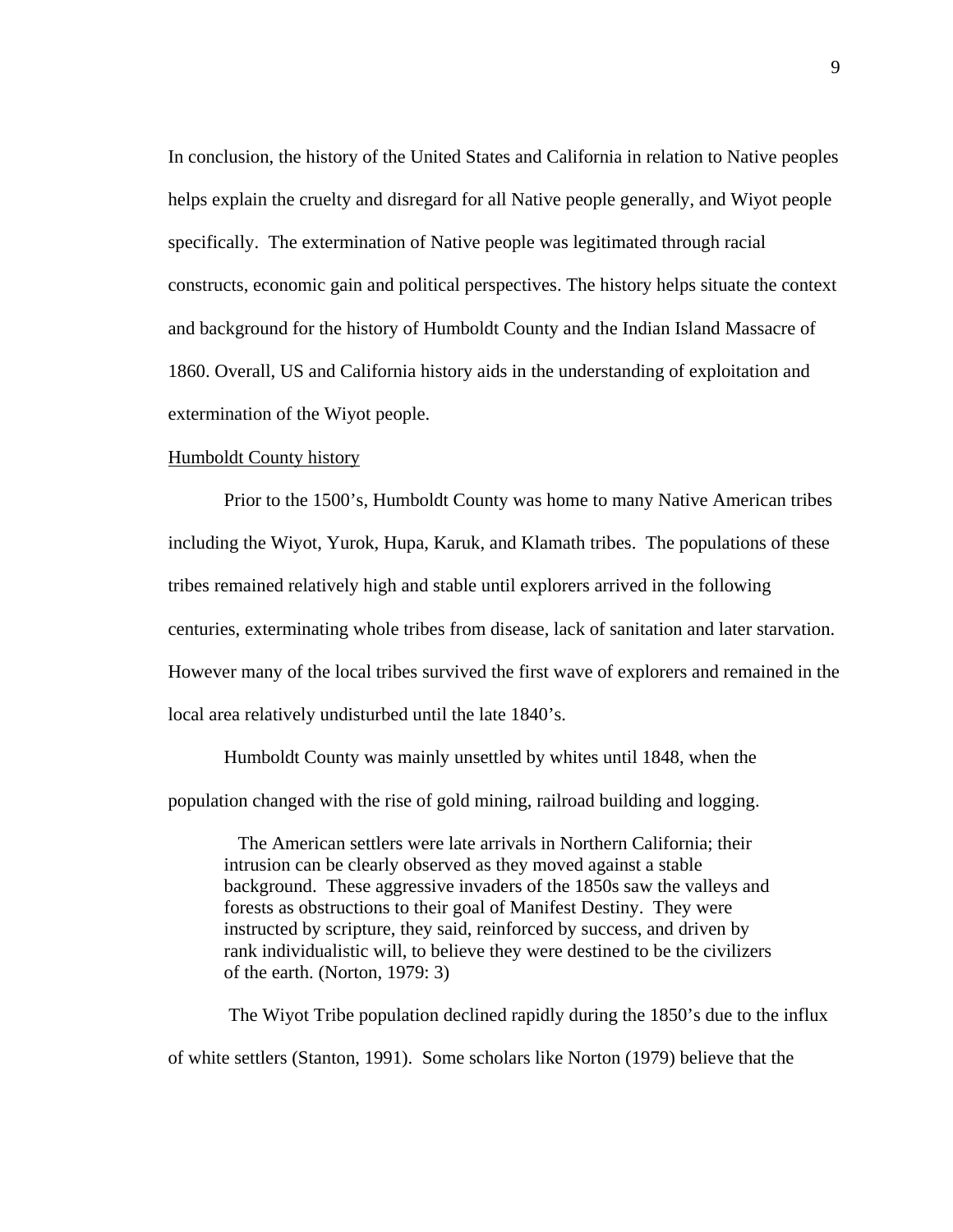In conclusion, the history of the United States and California in relation to Native peoples helps explain the cruelty and disregard for all Native people generally, and Wiyot people specifically. The extermination of Native people was legitimated through racial constructs, economic gain and political perspectives. The history helps situate the context and background for the history of Humboldt County and the Indian Island Massacre of 1860. Overall, US and California history aids in the understanding of exploitation and extermination of the Wiyot people.

## Humboldt County history

 Prior to the 1500's, Humboldt County was home to many Native American tribes including the Wiyot, Yurok, Hupa, Karuk, and Klamath tribes. The populations of these tribes remained relatively high and stable until explorers arrived in the following centuries, exterminating whole tribes from disease, lack of sanitation and later starvation. However many of the local tribes survived the first wave of explorers and remained in the local area relatively undisturbed until the late 1840's.

Humboldt County was mainly unsettled by whites until 1848, when the population changed with the rise of gold mining, railroad building and logging.

 The American settlers were late arrivals in Northern California; their intrusion can be clearly observed as they moved against a stable background. These aggressive invaders of the 1850s saw the valleys and forests as obstructions to their goal of Manifest Destiny. They were instructed by scripture, they said, reinforced by success, and driven by rank individualistic will, to believe they were destined to be the civilizers of the earth. (Norton, 1979: 3)

 The Wiyot Tribe population declined rapidly during the 1850's due to the influx of white settlers (Stanton, 1991). Some scholars like Norton (1979) believe that the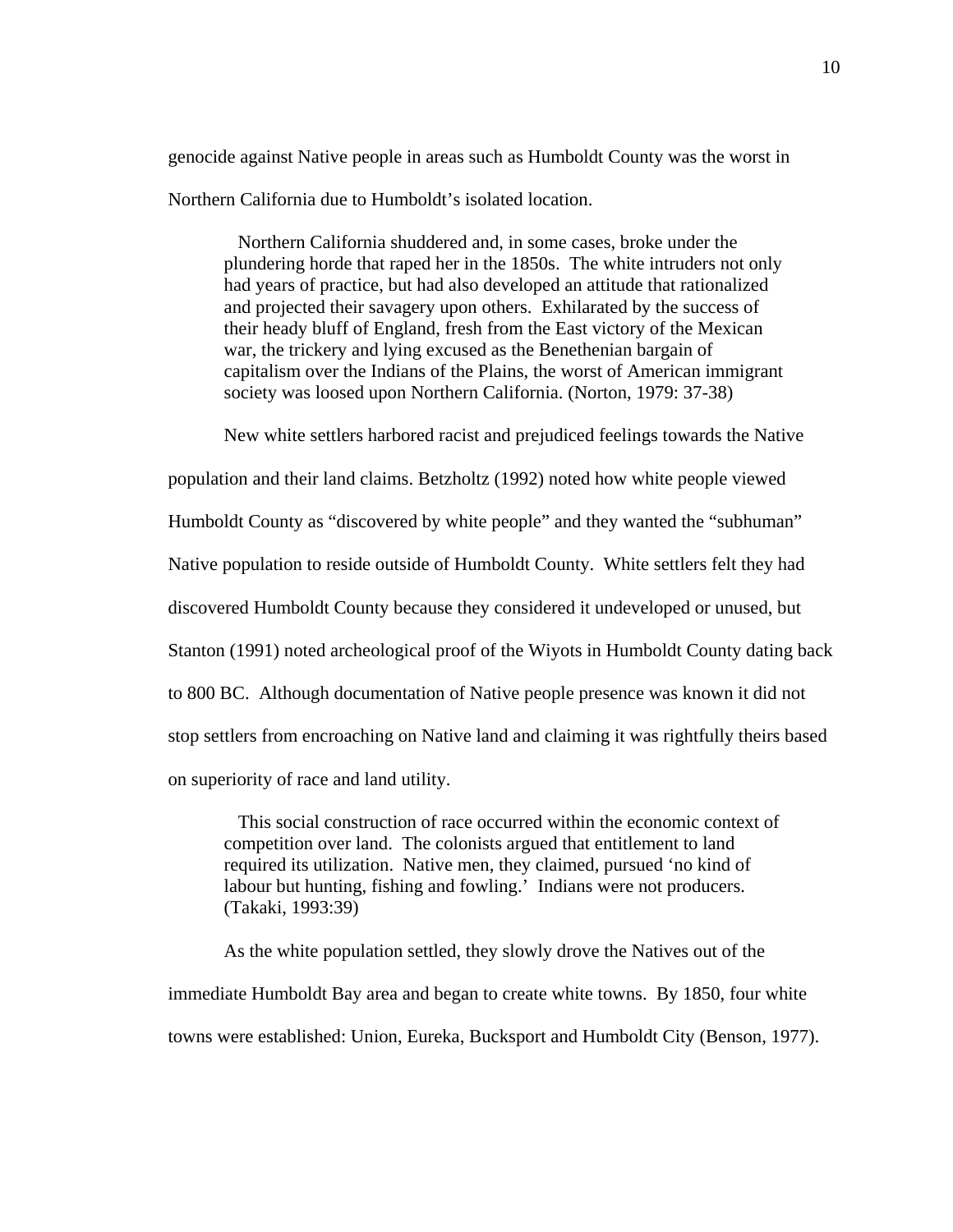genocide against Native people in areas such as Humboldt County was the worst in Northern California due to Humboldt's isolated location.

 Northern California shuddered and, in some cases, broke under the plundering horde that raped her in the 1850s. The white intruders not only had years of practice, but had also developed an attitude that rationalized and projected their savagery upon others. Exhilarated by the success of their heady bluff of England, fresh from the East victory of the Mexican war, the trickery and lying excused as the Benethenian bargain of capitalism over the Indians of the Plains, the worst of American immigrant society was loosed upon Northern California. (Norton, 1979: 37-38)

New white settlers harbored racist and prejudiced feelings towards the Native

population and their land claims. Betzholtz (1992) noted how white people viewed Humboldt County as "discovered by white people" and they wanted the "subhuman" Native population to reside outside of Humboldt County. White settlers felt they had discovered Humboldt County because they considered it undeveloped or unused, but Stanton (1991) noted archeological proof of the Wiyots in Humboldt County dating back to 800 BC. Although documentation of Native people presence was known it did not stop settlers from encroaching on Native land and claiming it was rightfully theirs based on superiority of race and land utility.

 This social construction of race occurred within the economic context of competition over land. The colonists argued that entitlement to land required its utilization. Native men, they claimed, pursued 'no kind of labour but hunting, fishing and fowling.' Indians were not producers. (Takaki, 1993:39)

 As the white population settled, they slowly drove the Natives out of the immediate Humboldt Bay area and began to create white towns. By 1850, four white towns were established: Union, Eureka, Bucksport and Humboldt City (Benson, 1977).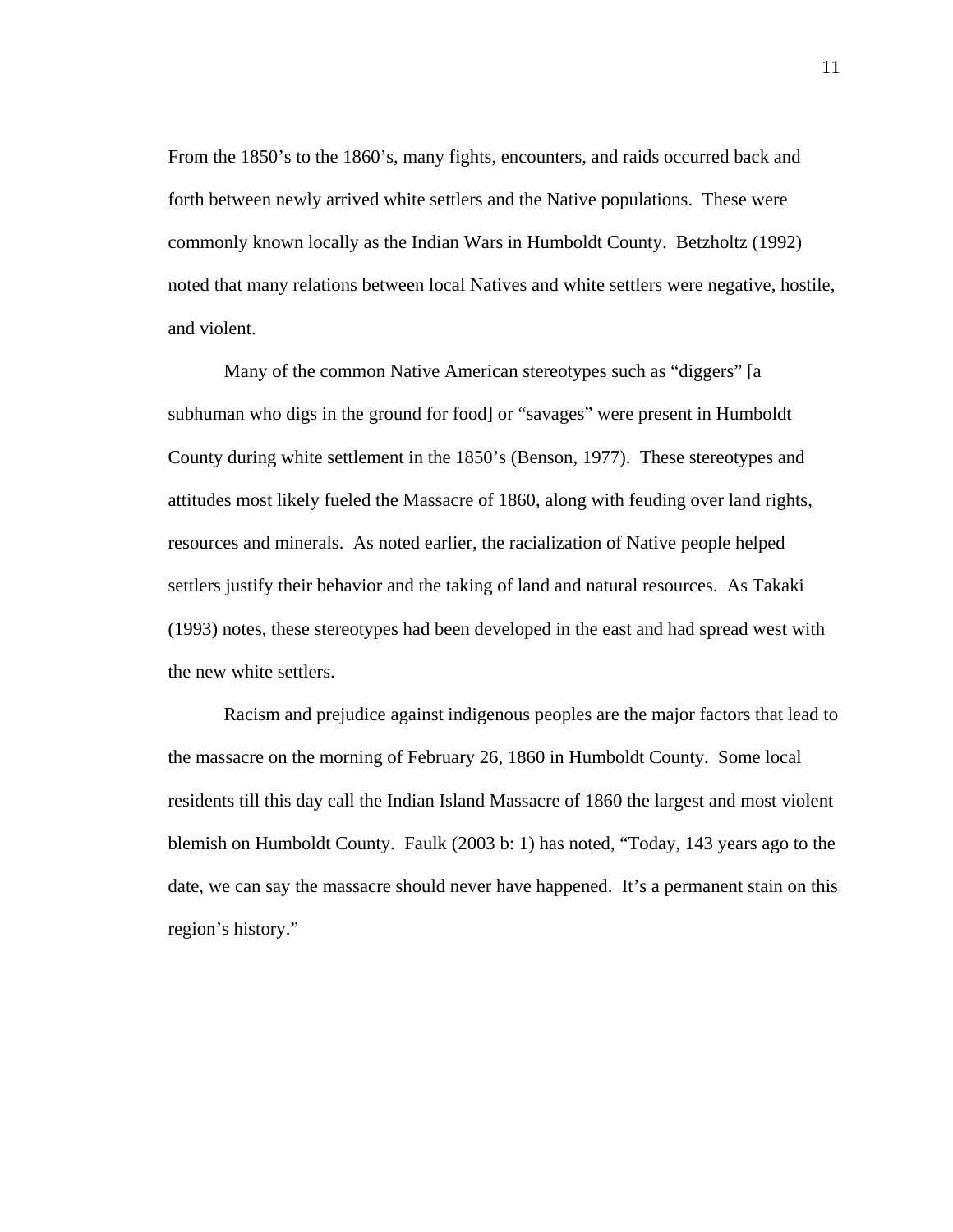From the 1850's to the 1860's, many fights, encounters, and raids occurred back and forth between newly arrived white settlers and the Native populations. These were commonly known locally as the Indian Wars in Humboldt County. Betzholtz (1992) noted that many relations between local Natives and white settlers were negative, hostile, and violent.

 Many of the common Native American stereotypes such as "diggers" [a subhuman who digs in the ground for food] or "savages" were present in Humboldt County during white settlement in the 1850's (Benson, 1977). These stereotypes and attitudes most likely fueled the Massacre of 1860, along with feuding over land rights, resources and minerals. As noted earlier, the racialization of Native people helped settlers justify their behavior and the taking of land and natural resources. As Takaki (1993) notes, these stereotypes had been developed in the east and had spread west with the new white settlers.

Racism and prejudice against indigenous peoples are the major factors that lead to the massacre on the morning of February 26, 1860 in Humboldt County. Some local residents till this day call the Indian Island Massacre of 1860 the largest and most violent blemish on Humboldt County. Faulk (2003 b: 1) has noted, "Today, 143 years ago to the date, we can say the massacre should never have happened. It's a permanent stain on this region's history."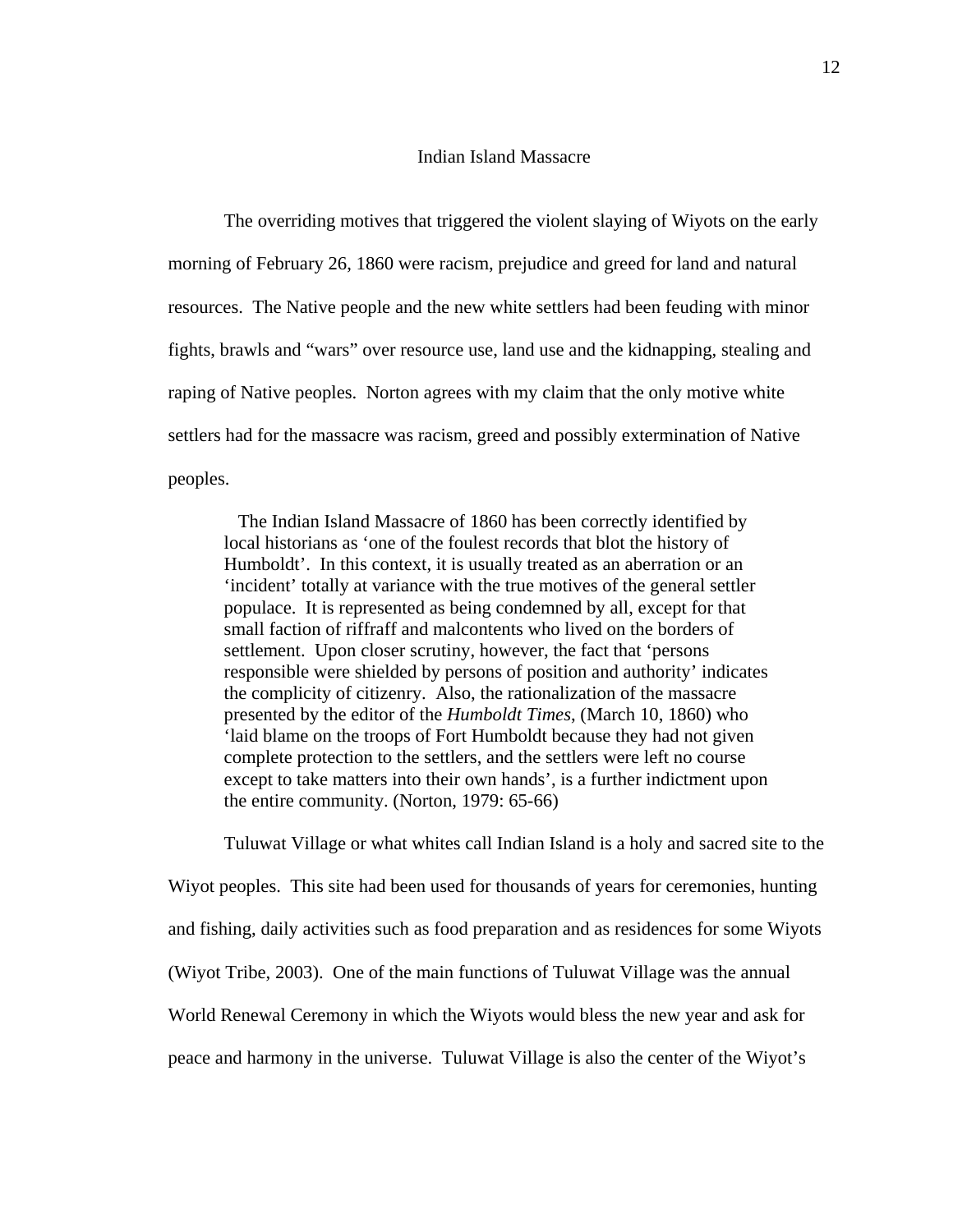### Indian Island Massacre

 The overriding motives that triggered the violent slaying of Wiyots on the early morning of February 26, 1860 were racism, prejudice and greed for land and natural resources. The Native people and the new white settlers had been feuding with minor fights, brawls and "wars" over resource use, land use and the kidnapping, stealing and raping of Native peoples. Norton agrees with my claim that the only motive white settlers had for the massacre was racism, greed and possibly extermination of Native peoples.

 The Indian Island Massacre of 1860 has been correctly identified by local historians as 'one of the foulest records that blot the history of Humboldt'. In this context, it is usually treated as an aberration or an 'incident' totally at variance with the true motives of the general settler populace. It is represented as being condemned by all, except for that small faction of riffraff and malcontents who lived on the borders of settlement. Upon closer scrutiny, however, the fact that 'persons responsible were shielded by persons of position and authority' indicates the complicity of citizenry. Also, the rationalization of the massacre presented by the editor of the *Humboldt Times*, (March 10, 1860) who 'laid blame on the troops of Fort Humboldt because they had not given complete protection to the settlers, and the settlers were left no course except to take matters into their own hands', is a further indictment upon the entire community. (Norton, 1979: 65-66)

Tuluwat Village or what whites call Indian Island is a holy and sacred site to the Wiyot peoples. This site had been used for thousands of years for ceremonies, hunting and fishing, daily activities such as food preparation and as residences for some Wiyots (Wiyot Tribe, 2003). One of the main functions of Tuluwat Village was the annual World Renewal Ceremony in which the Wiyots would bless the new year and ask for peace and harmony in the universe. Tuluwat Village is also the center of the Wiyot's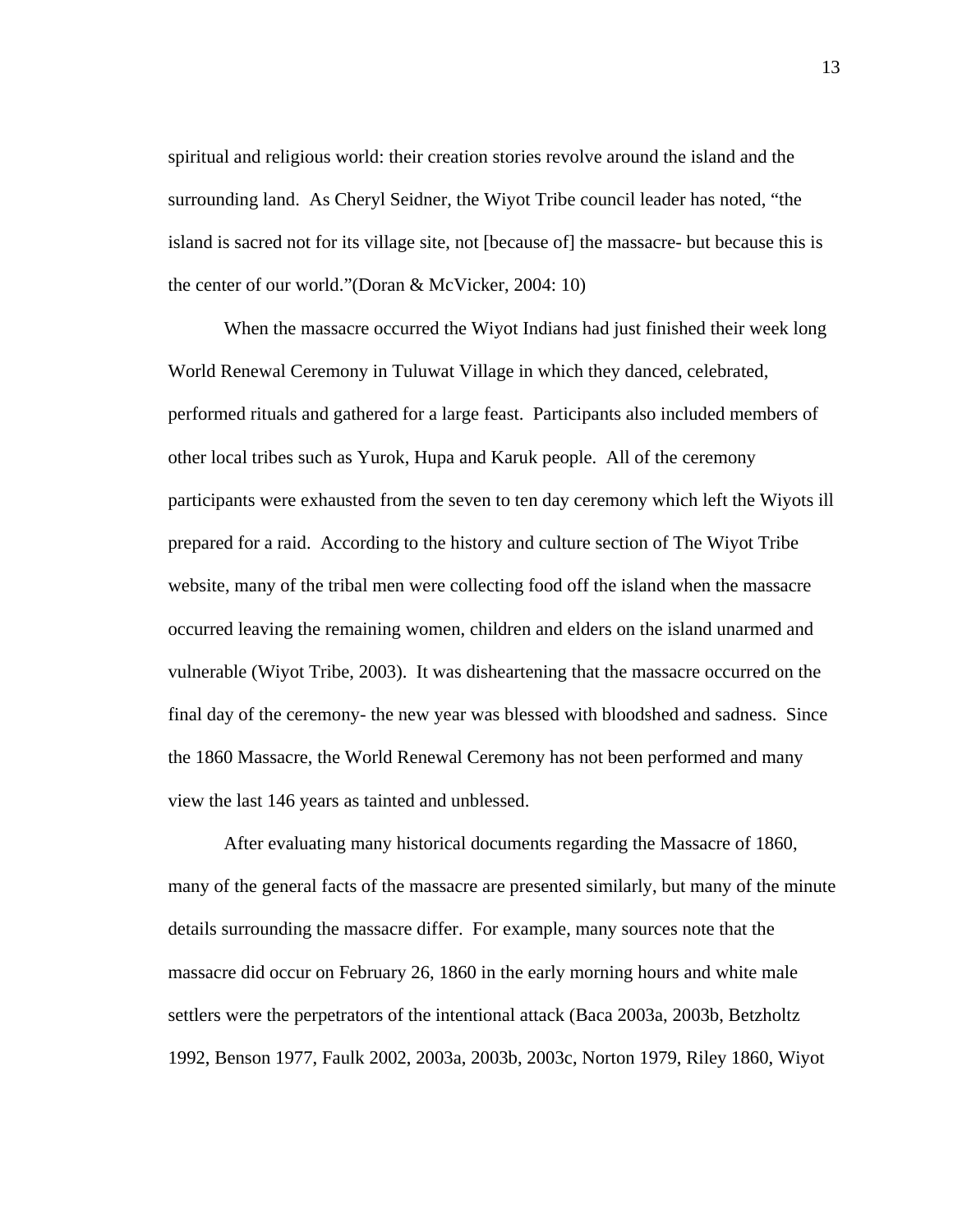spiritual and religious world: their creation stories revolve around the island and the surrounding land. As Cheryl Seidner, the Wiyot Tribe council leader has noted, "the island is sacred not for its village site, not [because of] the massacre- but because this is the center of our world."(Doran & McVicker, 2004: 10)

When the massacre occurred the Wiyot Indians had just finished their week long World Renewal Ceremony in Tuluwat Village in which they danced, celebrated, performed rituals and gathered for a large feast. Participants also included members of other local tribes such as Yurok, Hupa and Karuk people. All of the ceremony participants were exhausted from the seven to ten day ceremony which left the Wiyots ill prepared for a raid. According to the history and culture section of The Wiyot Tribe website, many of the tribal men were collecting food off the island when the massacre occurred leaving the remaining women, children and elders on the island unarmed and vulnerable (Wiyot Tribe, 2003). It was disheartening that the massacre occurred on the final day of the ceremony- the new year was blessed with bloodshed and sadness. Since the 1860 Massacre, the World Renewal Ceremony has not been performed and many view the last 146 years as tainted and unblessed.

After evaluating many historical documents regarding the Massacre of 1860, many of the general facts of the massacre are presented similarly, but many of the minute details surrounding the massacre differ. For example, many sources note that the massacre did occur on February 26, 1860 in the early morning hours and white male settlers were the perpetrators of the intentional attack (Baca 2003a, 2003b, Betzholtz 1992, Benson 1977, Faulk 2002, 2003a, 2003b, 2003c, Norton 1979, Riley 1860, Wiyot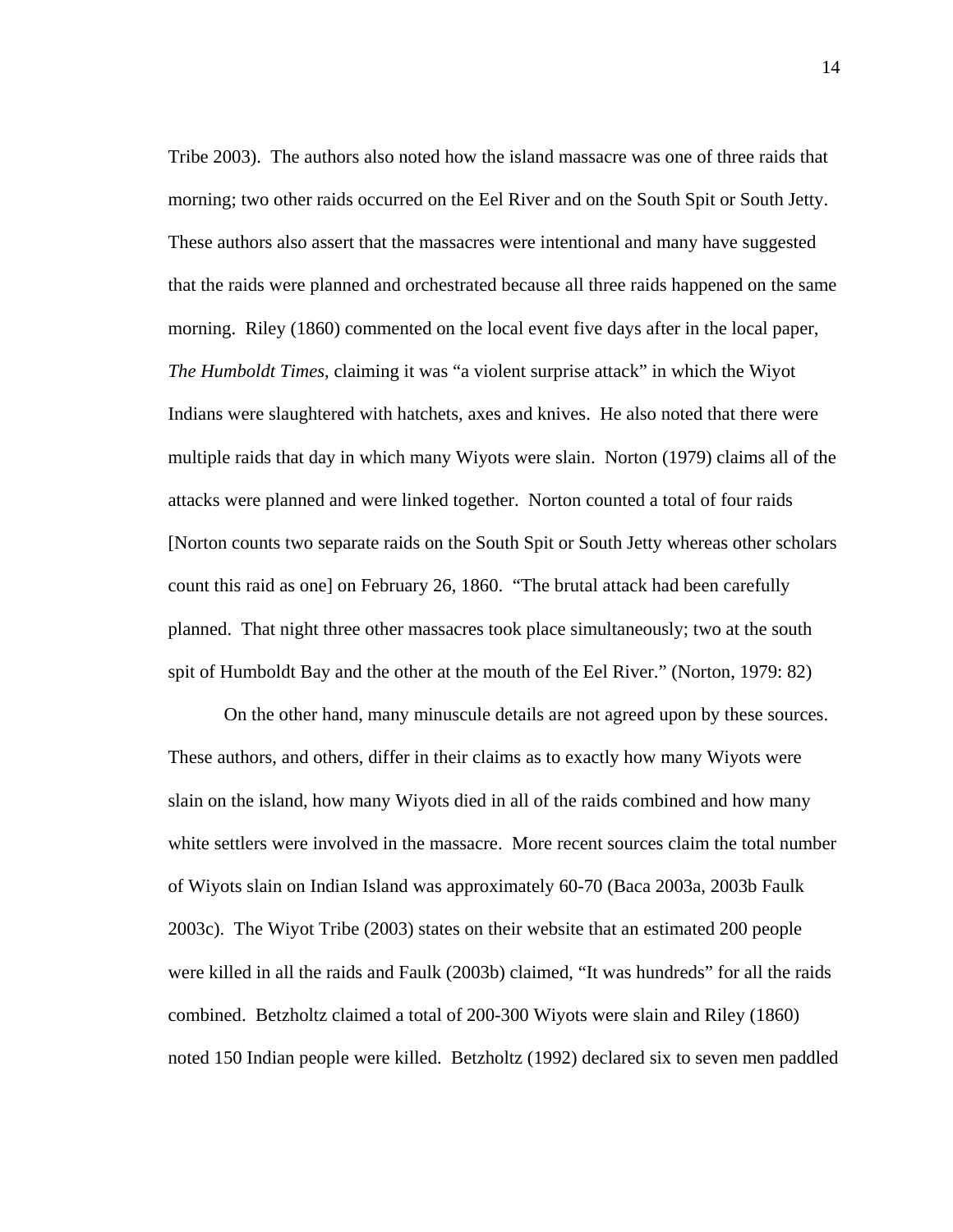Tribe 2003). The authors also noted how the island massacre was one of three raids that morning; two other raids occurred on the Eel River and on the South Spit or South Jetty. These authors also assert that the massacres were intentional and many have suggested that the raids were planned and orchestrated because all three raids happened on the same morning. Riley (1860) commented on the local event five days after in the local paper, *The Humboldt Times*, claiming it was "a violent surprise attack" in which the Wiyot Indians were slaughtered with hatchets, axes and knives. He also noted that there were multiple raids that day in which many Wiyots were slain. Norton (1979) claims all of the attacks were planned and were linked together. Norton counted a total of four raids [Norton counts two separate raids on the South Spit or South Jetty whereas other scholars count this raid as one] on February 26, 1860. "The brutal attack had been carefully planned. That night three other massacres took place simultaneously; two at the south spit of Humboldt Bay and the other at the mouth of the Eel River." (Norton, 1979: 82)

On the other hand, many minuscule details are not agreed upon by these sources. These authors, and others, differ in their claims as to exactly how many Wiyots were slain on the island, how many Wiyots died in all of the raids combined and how many white settlers were involved in the massacre. More recent sources claim the total number of Wiyots slain on Indian Island was approximately 60-70 (Baca 2003a, 2003b Faulk 2003c). The Wiyot Tribe (2003) states on their website that an estimated 200 people were killed in all the raids and Faulk (2003b) claimed, "It was hundreds" for all the raids combined. Betzholtz claimed a total of 200-300 Wiyots were slain and Riley (1860) noted 150 Indian people were killed. Betzholtz (1992) declared six to seven men paddled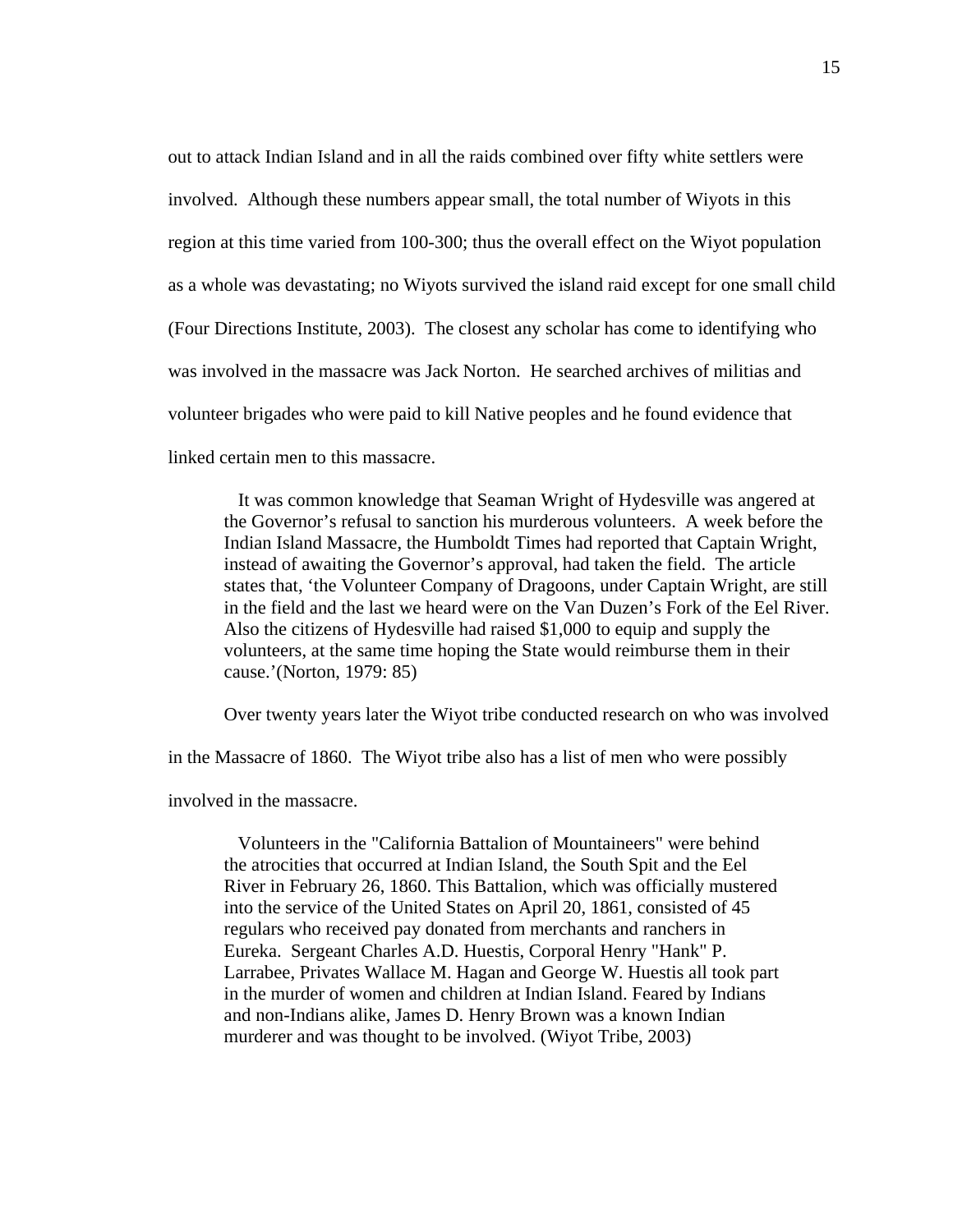out to attack Indian Island and in all the raids combined over fifty white settlers were involved. Although these numbers appear small, the total number of Wiyots in this region at this time varied from 100-300; thus the overall effect on the Wiyot population as a whole was devastating; no Wiyots survived the island raid except for one small child (Four Directions Institute, 2003). The closest any scholar has come to identifying who was involved in the massacre was Jack Norton. He searched archives of militias and volunteer brigades who were paid to kill Native peoples and he found evidence that linked certain men to this massacre.

 It was common knowledge that Seaman Wright of Hydesville was angered at the Governor's refusal to sanction his murderous volunteers. A week before the Indian Island Massacre, the Humboldt Times had reported that Captain Wright, instead of awaiting the Governor's approval, had taken the field. The article states that, 'the Volunteer Company of Dragoons, under Captain Wright, are still in the field and the last we heard were on the Van Duzen's Fork of the Eel River. Also the citizens of Hydesville had raised \$1,000 to equip and supply the volunteers, at the same time hoping the State would reimburse them in their cause.'(Norton, 1979: 85)

Over twenty years later the Wiyot tribe conducted research on who was involved

in the Massacre of 1860. The Wiyot tribe also has a list of men who were possibly

involved in the massacre.

 Volunteers in the "California Battalion of Mountaineers" were behind the atrocities that occurred at Indian Island, the South Spit and the Eel River in February 26, 1860. This Battalion, which was officially mustered into the service of the United States on April 20, 1861, consisted of 45 regulars who received pay donated from merchants and ranchers in Eureka. Sergeant Charles A.D. Huestis, Corporal Henry "Hank" P. Larrabee, Privates Wallace M. Hagan and George W. Huestis all took part in the murder of women and children at Indian Island. Feared by Indians and non-Indians alike, James D. Henry Brown was a known Indian murderer and was thought to be involved. (Wiyot Tribe, 2003)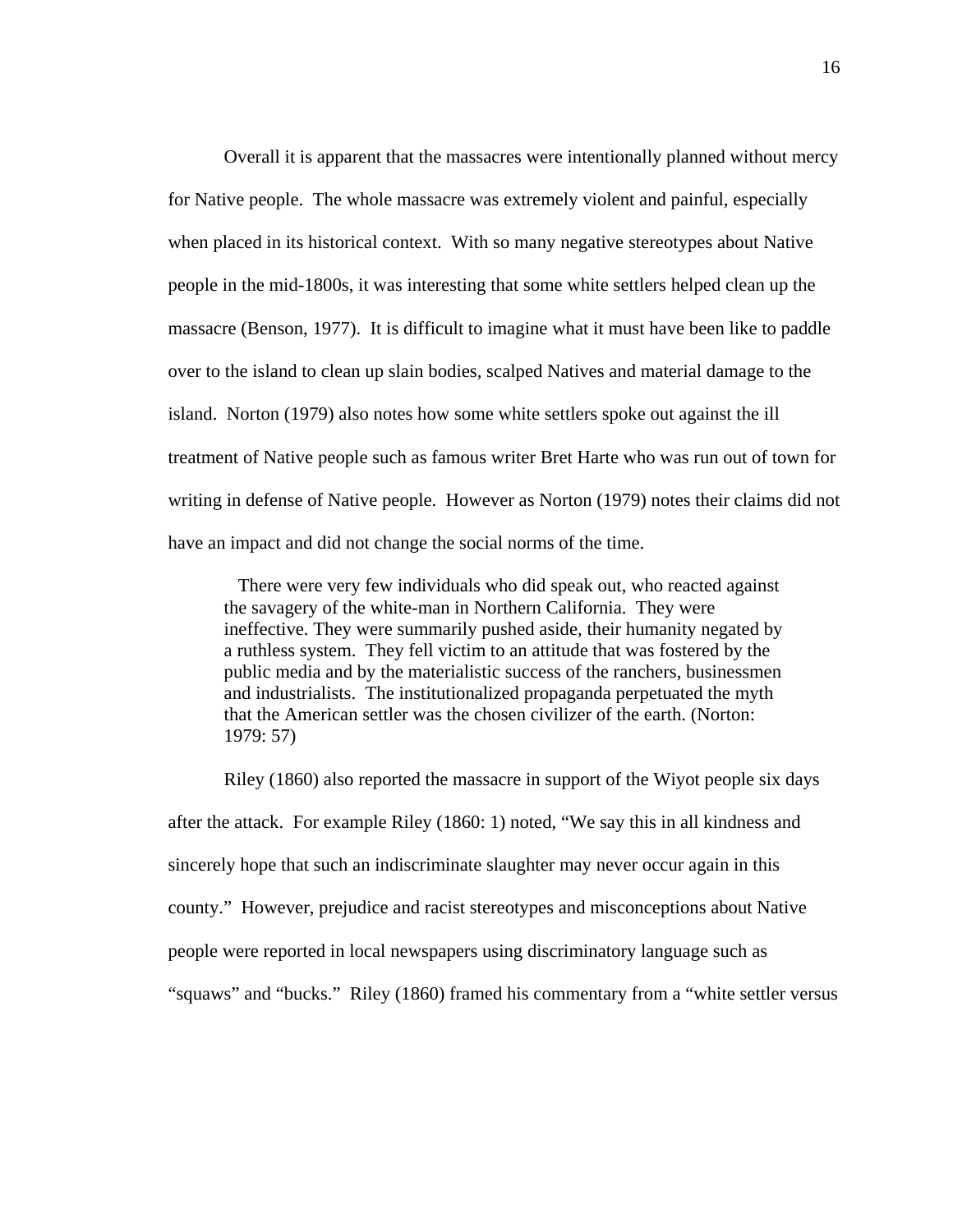Overall it is apparent that the massacres were intentionally planned without mercy for Native people. The whole massacre was extremely violent and painful, especially when placed in its historical context. With so many negative stereotypes about Native people in the mid-1800s, it was interesting that some white settlers helped clean up the massacre (Benson, 1977). It is difficult to imagine what it must have been like to paddle over to the island to clean up slain bodies, scalped Natives and material damage to the island. Norton (1979) also notes how some white settlers spoke out against the ill treatment of Native people such as famous writer Bret Harte who was run out of town for writing in defense of Native people. However as Norton (1979) notes their claims did not have an impact and did not change the social norms of the time.

 There were very few individuals who did speak out, who reacted against the savagery of the white-man in Northern California. They were ineffective. They were summarily pushed aside, their humanity negated by a ruthless system. They fell victim to an attitude that was fostered by the public media and by the materialistic success of the ranchers, businessmen and industrialists. The institutionalized propaganda perpetuated the myth that the American settler was the chosen civilizer of the earth. (Norton: 1979: 57)

Riley (1860) also reported the massacre in support of the Wiyot people six days after the attack. For example Riley (1860: 1) noted, "We say this in all kindness and sincerely hope that such an indiscriminate slaughter may never occur again in this county." However, prejudice and racist stereotypes and misconceptions about Native people were reported in local newspapers using discriminatory language such as "squaws" and "bucks." Riley (1860) framed his commentary from a "white settler versus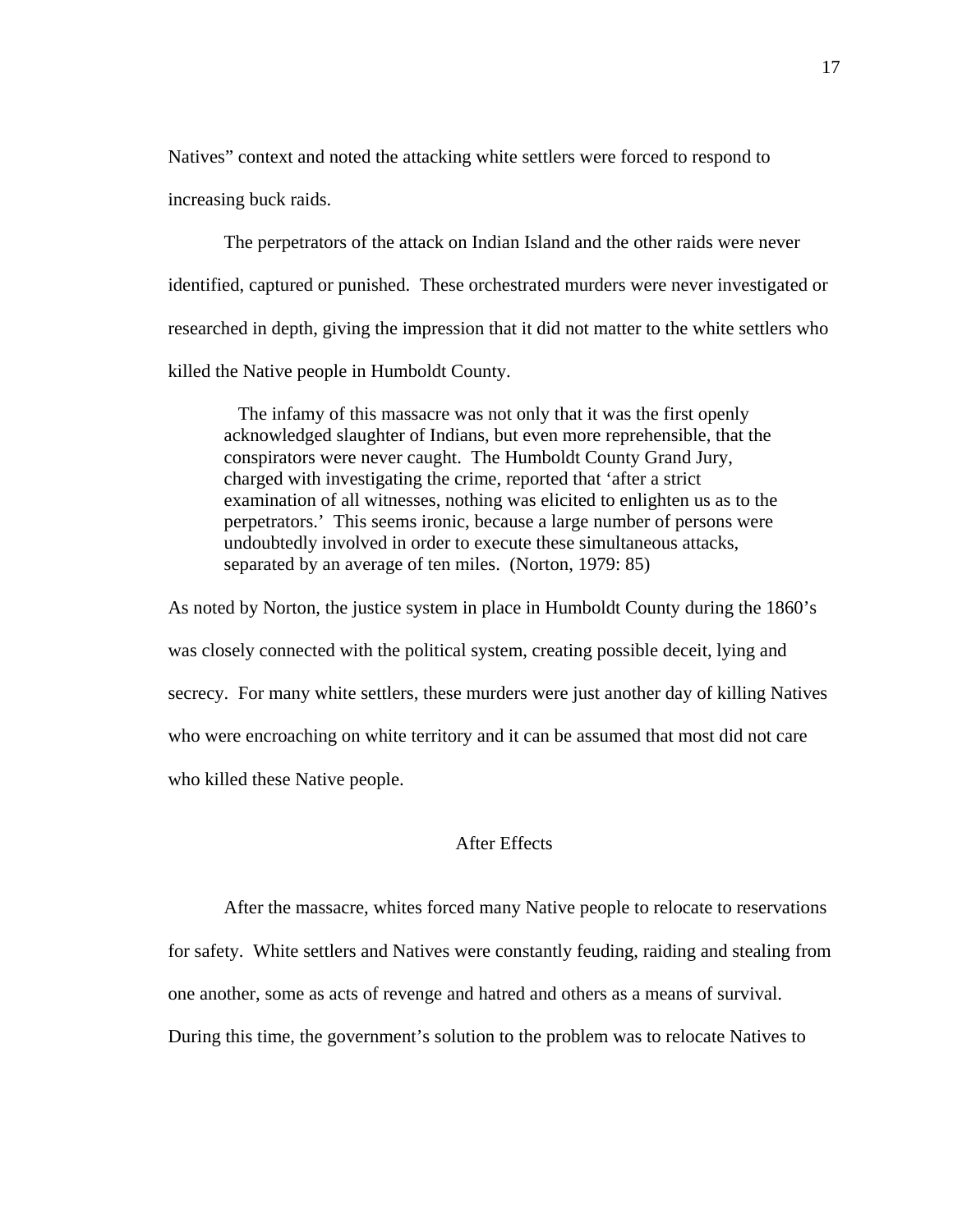Natives" context and noted the attacking white settlers were forced to respond to increasing buck raids.

 The perpetrators of the attack on Indian Island and the other raids were never identified, captured or punished. These orchestrated murders were never investigated or researched in depth, giving the impression that it did not matter to the white settlers who killed the Native people in Humboldt County.

 The infamy of this massacre was not only that it was the first openly acknowledged slaughter of Indians, but even more reprehensible, that the conspirators were never caught. The Humboldt County Grand Jury, charged with investigating the crime, reported that 'after a strict examination of all witnesses, nothing was elicited to enlighten us as to the perpetrators.' This seems ironic, because a large number of persons were undoubtedly involved in order to execute these simultaneous attacks, separated by an average of ten miles. (Norton, 1979: 85)

As noted by Norton, the justice system in place in Humboldt County during the 1860's was closely connected with the political system, creating possible deceit, lying and secrecy. For many white settlers, these murders were just another day of killing Natives who were encroaching on white territory and it can be assumed that most did not care who killed these Native people.

## After Effects

After the massacre, whites forced many Native people to relocate to reservations for safety. White settlers and Natives were constantly feuding, raiding and stealing from one another, some as acts of revenge and hatred and others as a means of survival. During this time, the government's solution to the problem was to relocate Natives to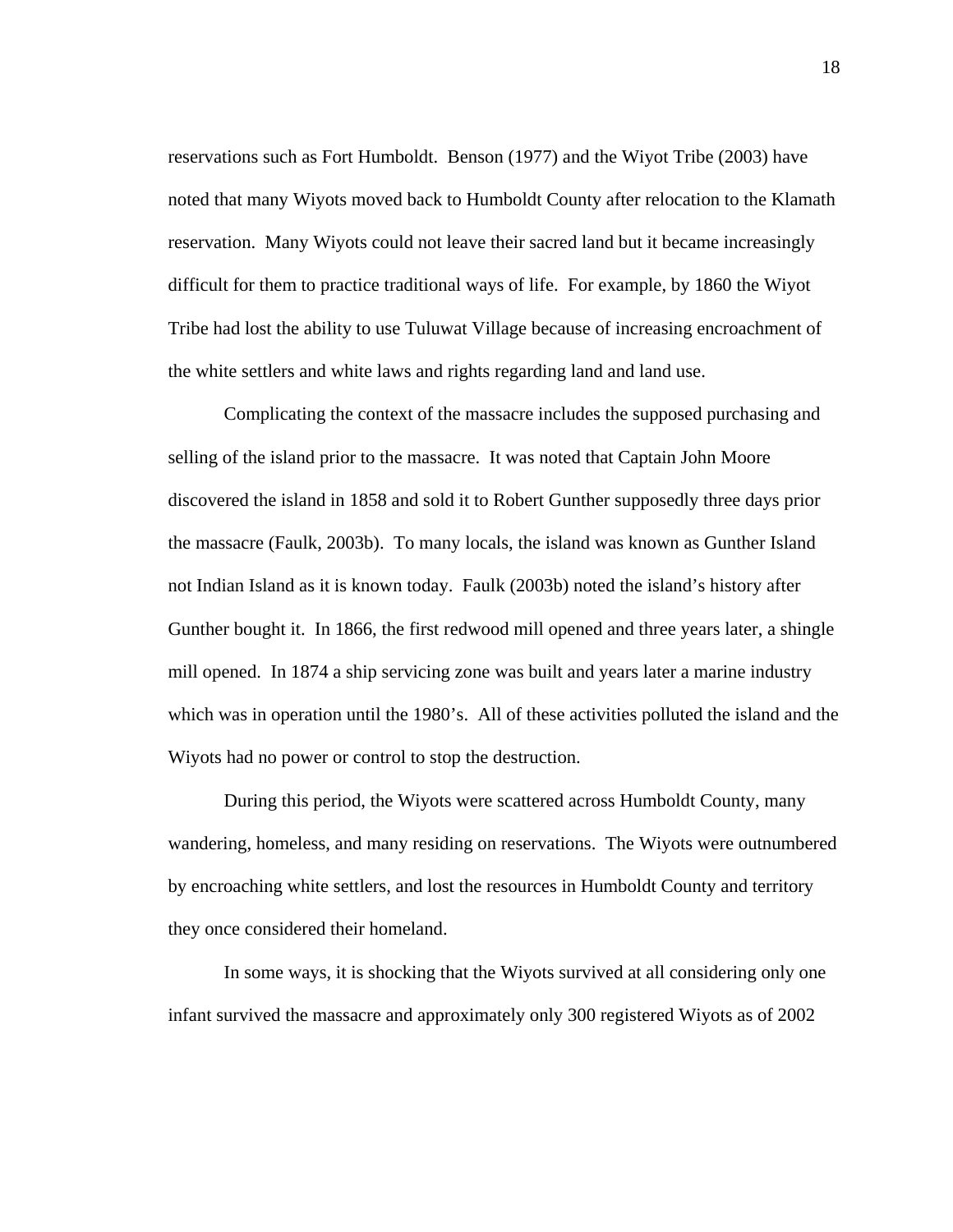reservations such as Fort Humboldt. Benson (1977) and the Wiyot Tribe (2003) have noted that many Wiyots moved back to Humboldt County after relocation to the Klamath reservation. Many Wiyots could not leave their sacred land but it became increasingly difficult for them to practice traditional ways of life. For example, by 1860 the Wiyot Tribe had lost the ability to use Tuluwat Village because of increasing encroachment of the white settlers and white laws and rights regarding land and land use.

Complicating the context of the massacre includes the supposed purchasing and selling of the island prior to the massacre. It was noted that Captain John Moore discovered the island in 1858 and sold it to Robert Gunther supposedly three days prior the massacre (Faulk, 2003b). To many locals, the island was known as Gunther Island not Indian Island as it is known today. Faulk (2003b) noted the island's history after Gunther bought it. In 1866, the first redwood mill opened and three years later, a shingle mill opened. In 1874 a ship servicing zone was built and years later a marine industry which was in operation until the 1980's. All of these activities polluted the island and the Wiyots had no power or control to stop the destruction.

During this period, the Wiyots were scattered across Humboldt County, many wandering, homeless, and many residing on reservations. The Wiyots were outnumbered by encroaching white settlers, and lost the resources in Humboldt County and territory they once considered their homeland.

 In some ways, it is shocking that the Wiyots survived at all considering only one infant survived the massacre and approximately only 300 registered Wiyots as of 2002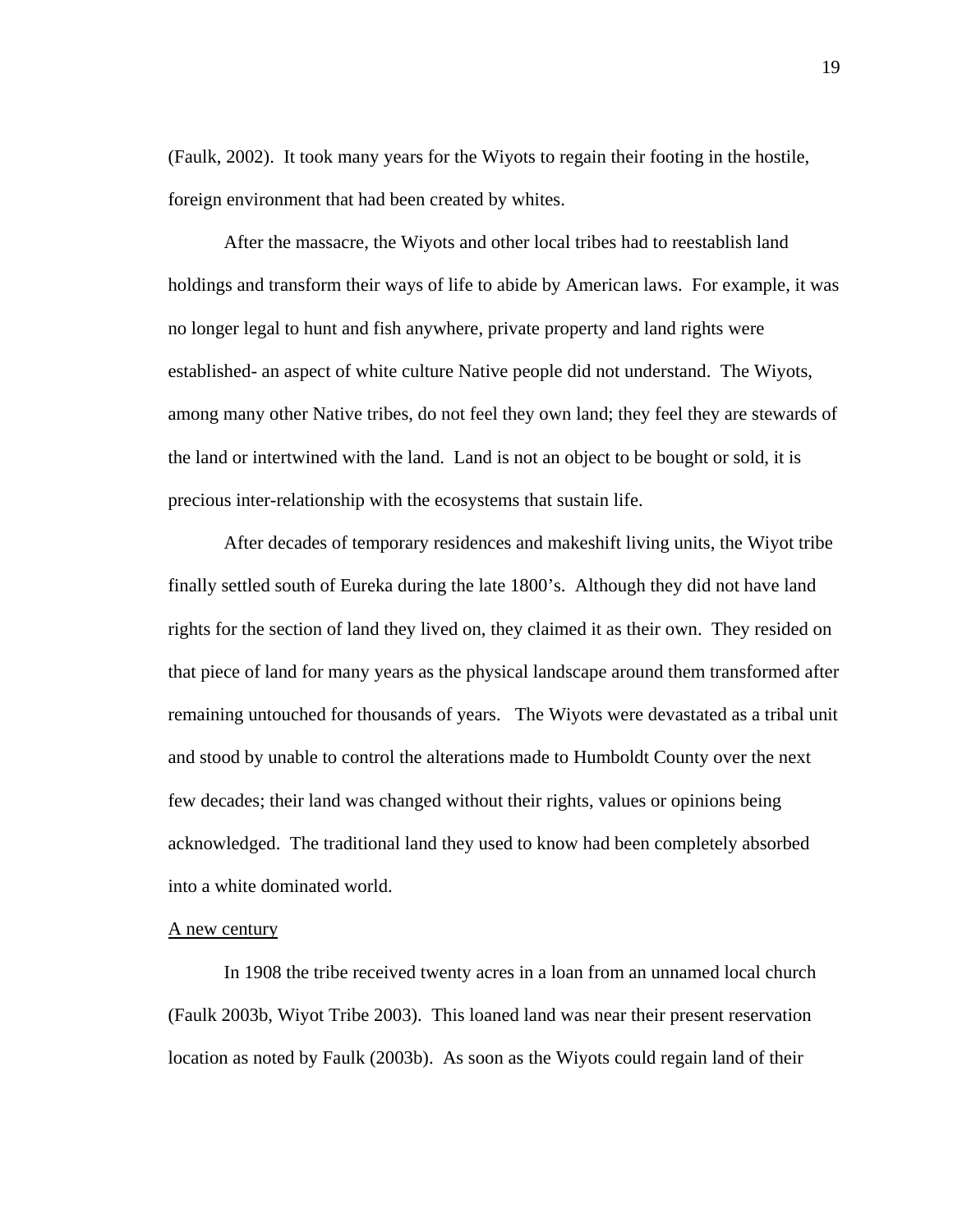(Faulk, 2002). It took many years for the Wiyots to regain their footing in the hostile, foreign environment that had been created by whites.

 After the massacre, the Wiyots and other local tribes had to reestablish land holdings and transform their ways of life to abide by American laws. For example, it was no longer legal to hunt and fish anywhere, private property and land rights were established- an aspect of white culture Native people did not understand. The Wiyots, among many other Native tribes, do not feel they own land; they feel they are stewards of the land or intertwined with the land. Land is not an object to be bought or sold, it is precious inter-relationship with the ecosystems that sustain life.

After decades of temporary residences and makeshift living units, the Wiyot tribe finally settled south of Eureka during the late 1800's. Although they did not have land rights for the section of land they lived on, they claimed it as their own. They resided on that piece of land for many years as the physical landscape around them transformed after remaining untouched for thousands of years. The Wiyots were devastated as a tribal unit and stood by unable to control the alterations made to Humboldt County over the next few decades; their land was changed without their rights, values or opinions being acknowledged. The traditional land they used to know had been completely absorbed into a white dominated world.

#### A new century

In 1908 the tribe received twenty acres in a loan from an unnamed local church (Faulk 2003b, Wiyot Tribe 2003). This loaned land was near their present reservation location as noted by Faulk (2003b). As soon as the Wiyots could regain land of their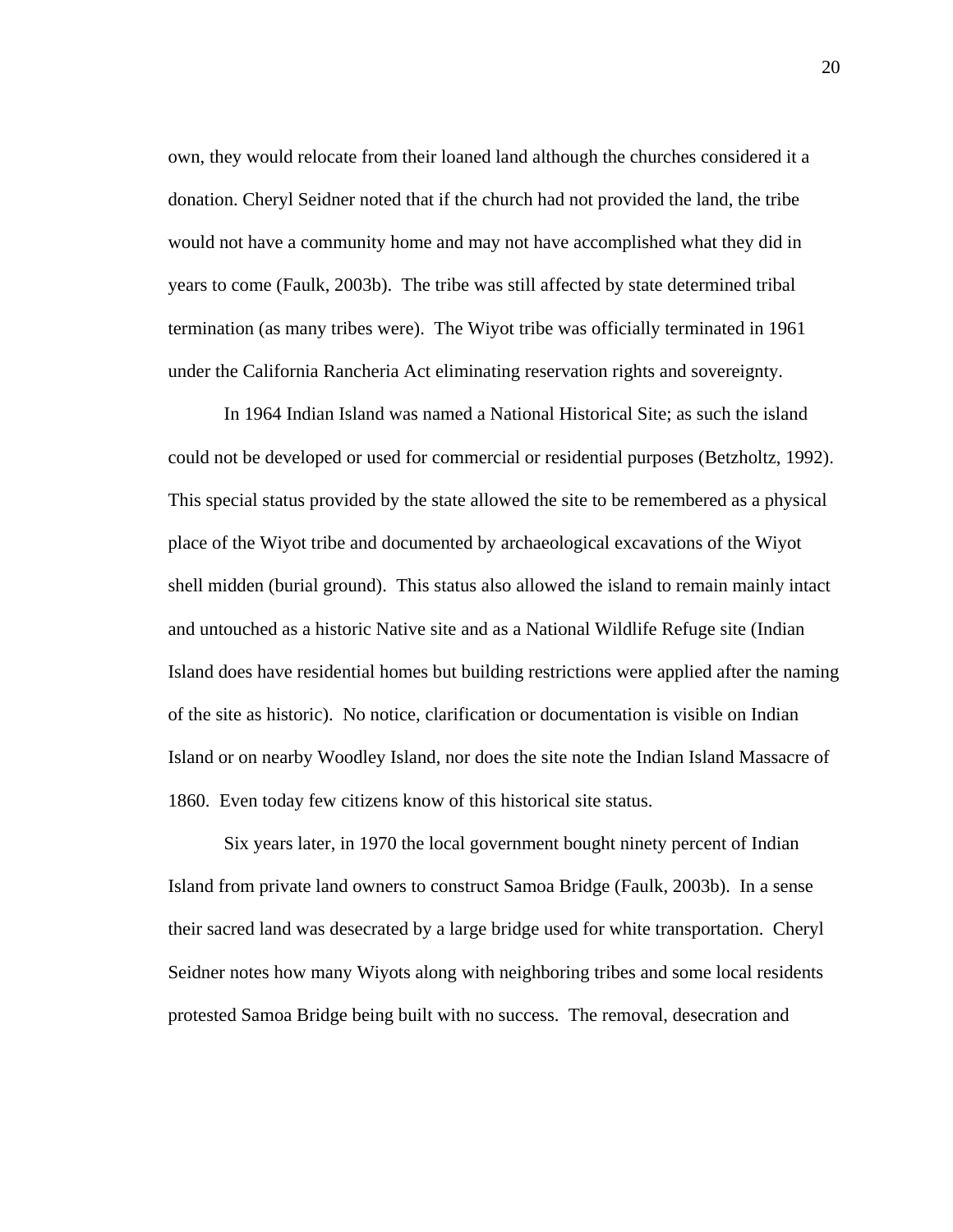own, they would relocate from their loaned land although the churches considered it a donation. Cheryl Seidner noted that if the church had not provided the land, the tribe would not have a community home and may not have accomplished what they did in years to come (Faulk, 2003b). The tribe was still affected by state determined tribal termination (as many tribes were). The Wiyot tribe was officially terminated in 1961 under the California Rancheria Act eliminating reservation rights and sovereignty.

In 1964 Indian Island was named a National Historical Site; as such the island could not be developed or used for commercial or residential purposes (Betzholtz, 1992). This special status provided by the state allowed the site to be remembered as a physical place of the Wiyot tribe and documented by archaeological excavations of the Wiyot shell midden (burial ground). This status also allowed the island to remain mainly intact and untouched as a historic Native site and as a National Wildlife Refuge site (Indian Island does have residential homes but building restrictions were applied after the naming of the site as historic). No notice, clarification or documentation is visible on Indian Island or on nearby Woodley Island, nor does the site note the Indian Island Massacre of 1860. Even today few citizens know of this historical site status.

Six years later, in 1970 the local government bought ninety percent of Indian Island from private land owners to construct Samoa Bridge (Faulk, 2003b). In a sense their sacred land was desecrated by a large bridge used for white transportation. Cheryl Seidner notes how many Wiyots along with neighboring tribes and some local residents protested Samoa Bridge being built with no success. The removal, desecration and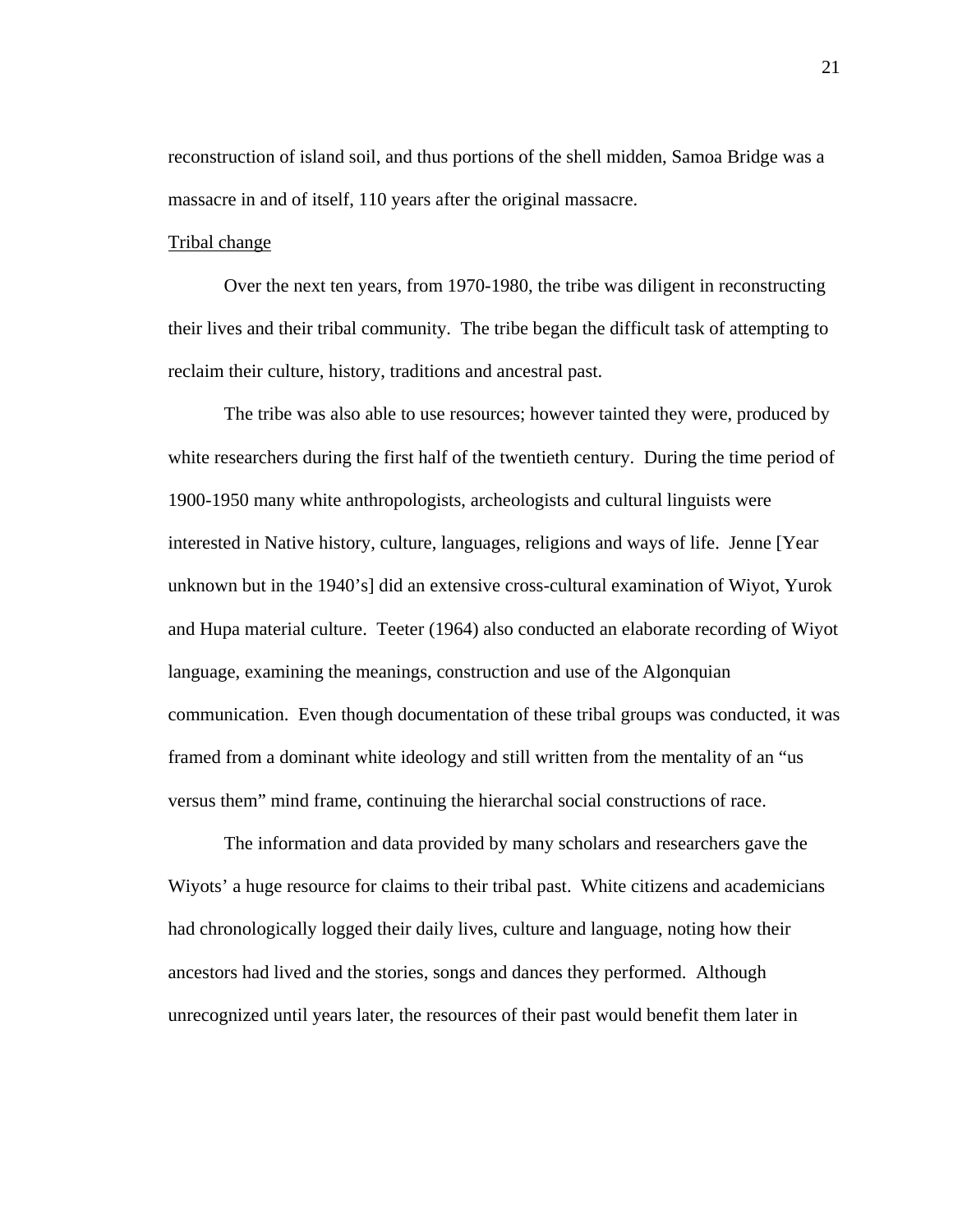reconstruction of island soil, and thus portions of the shell midden, Samoa Bridge was a massacre in and of itself, 110 years after the original massacre.

#### Tribal change

Over the next ten years, from 1970-1980, the tribe was diligent in reconstructing their lives and their tribal community. The tribe began the difficult task of attempting to reclaim their culture, history, traditions and ancestral past.

 The tribe was also able to use resources; however tainted they were, produced by white researchers during the first half of the twentieth century. During the time period of 1900-1950 many white anthropologists, archeologists and cultural linguists were interested in Native history, culture, languages, religions and ways of life. Jenne [Year unknown but in the 1940's] did an extensive cross-cultural examination of Wiyot, Yurok and Hupa material culture. Teeter (1964) also conducted an elaborate recording of Wiyot language, examining the meanings, construction and use of the Algonquian communication. Even though documentation of these tribal groups was conducted, it was framed from a dominant white ideology and still written from the mentality of an "us versus them" mind frame, continuing the hierarchal social constructions of race.

The information and data provided by many scholars and researchers gave the Wiyots' a huge resource for claims to their tribal past. White citizens and academicians had chronologically logged their daily lives, culture and language, noting how their ancestors had lived and the stories, songs and dances they performed. Although unrecognized until years later, the resources of their past would benefit them later in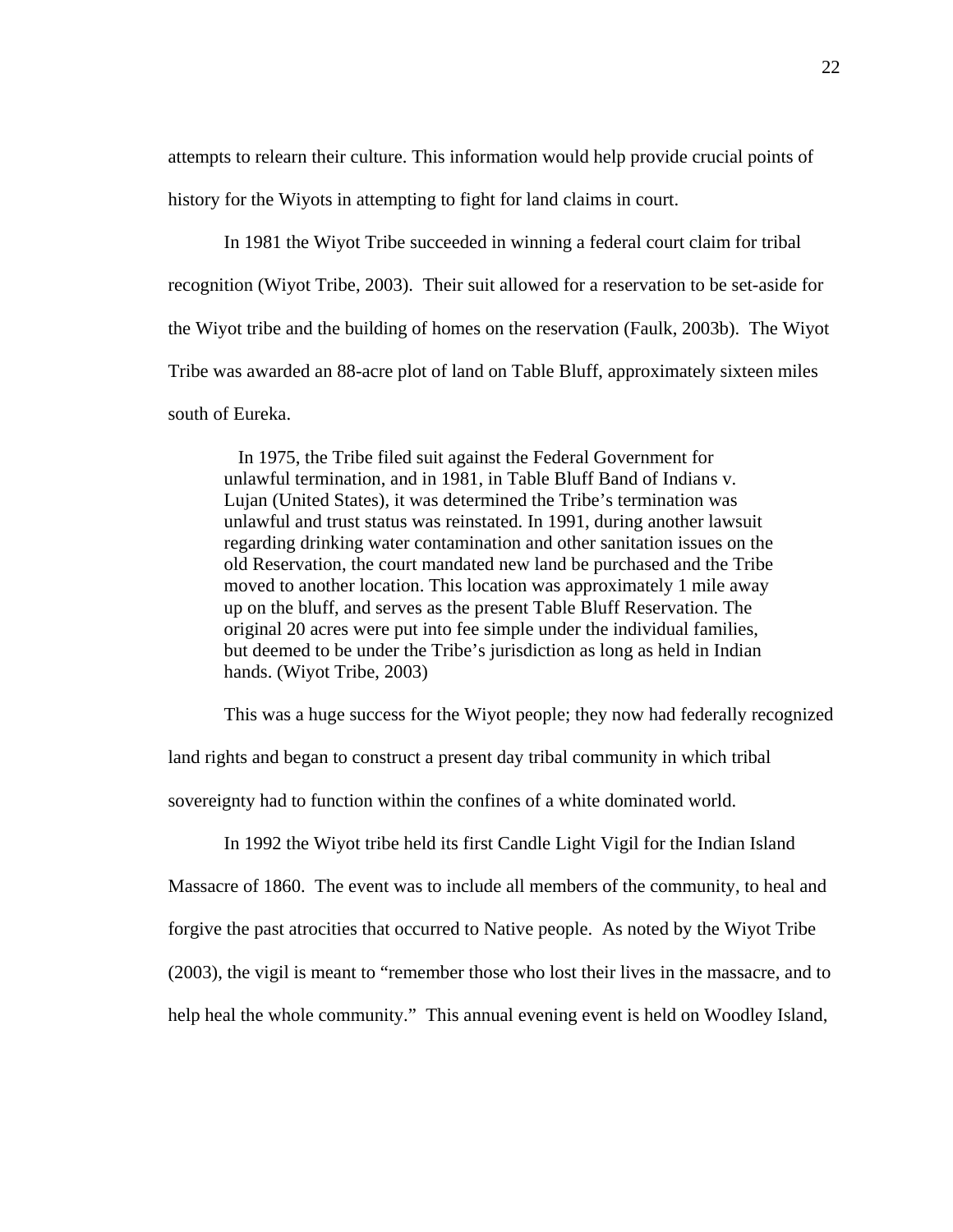attempts to relearn their culture. This information would help provide crucial points of history for the Wiyots in attempting to fight for land claims in court.

In 1981 the Wiyot Tribe succeeded in winning a federal court claim for tribal recognition (Wiyot Tribe, 2003). Their suit allowed for a reservation to be set-aside for the Wiyot tribe and the building of homes on the reservation (Faulk, 2003b). The Wiyot Tribe was awarded an 88-acre plot of land on Table Bluff, approximately sixteen miles south of Eureka.

 In 1975, the Tribe filed suit against the Federal Government for unlawful termination, and in 1981, in Table Bluff Band of Indians v. Lujan (United States), it was determined the Tribe's termination was unlawful and trust status was reinstated. In 1991, during another lawsuit regarding drinking water contamination and other sanitation issues on the old Reservation, the court mandated new land be purchased and the Tribe moved to another location. This location was approximately 1 mile away up on the bluff, and serves as the present Table Bluff Reservation. The original 20 acres were put into fee simple under the individual families, but deemed to be under the Tribe's jurisdiction as long as held in Indian hands. (Wiyot Tribe, 2003)

This was a huge success for the Wiyot people; they now had federally recognized

land rights and began to construct a present day tribal community in which tribal

sovereignty had to function within the confines of a white dominated world.

In 1992 the Wiyot tribe held its first Candle Light Vigil for the Indian Island

Massacre of 1860. The event was to include all members of the community, to heal and

forgive the past atrocities that occurred to Native people. As noted by the Wiyot Tribe

(2003), the vigil is meant to "remember those who lost their lives in the massacre, and to

help heal the whole community." This annual evening event is held on Woodley Island,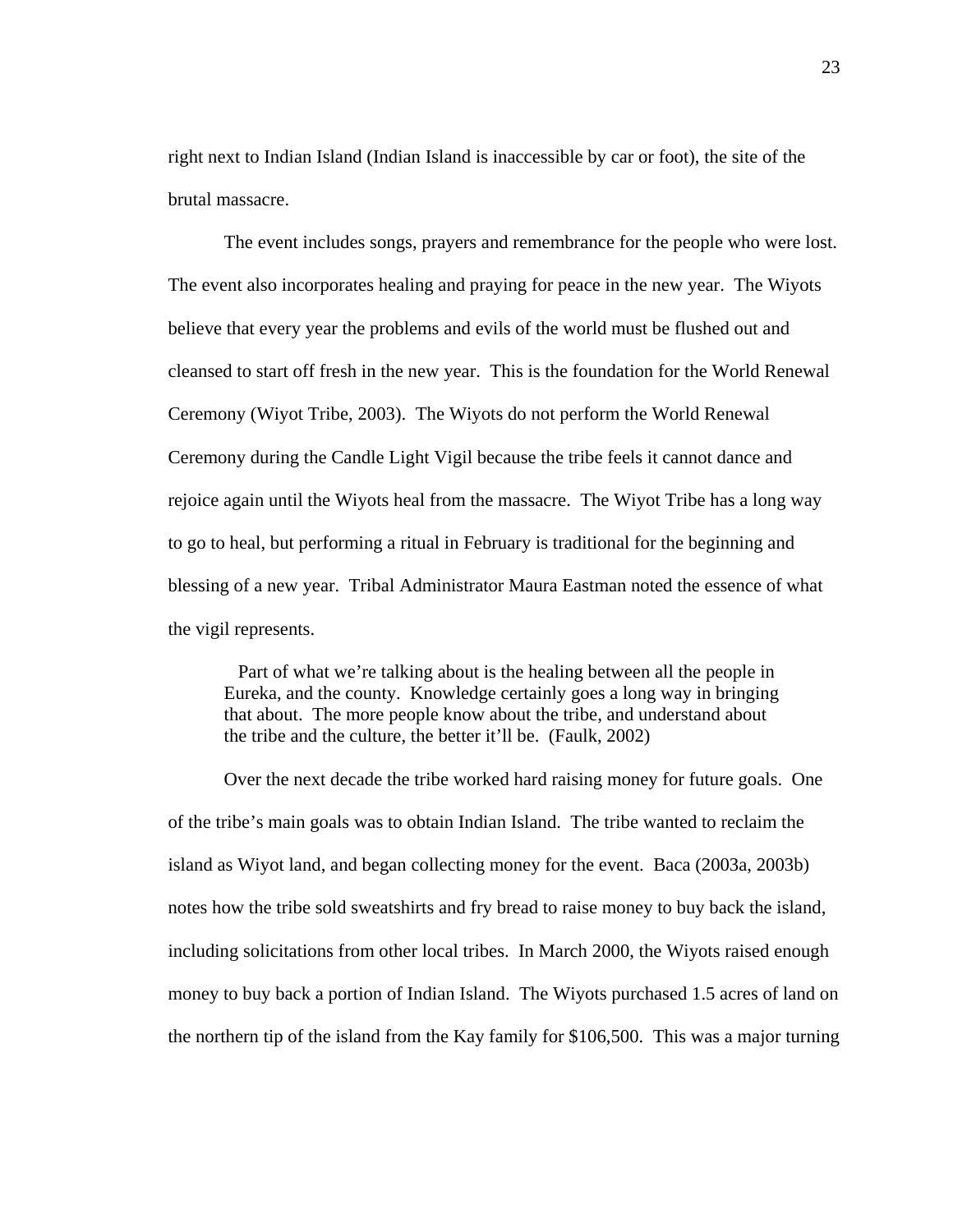right next to Indian Island (Indian Island is inaccessible by car or foot), the site of the brutal massacre.

The event includes songs, prayers and remembrance for the people who were lost. The event also incorporates healing and praying for peace in the new year. The Wiyots believe that every year the problems and evils of the world must be flushed out and cleansed to start off fresh in the new year. This is the foundation for the World Renewal Ceremony (Wiyot Tribe, 2003). The Wiyots do not perform the World Renewal Ceremony during the Candle Light Vigil because the tribe feels it cannot dance and rejoice again until the Wiyots heal from the massacre. The Wiyot Tribe has a long way to go to heal, but performing a ritual in February is traditional for the beginning and blessing of a new year. Tribal Administrator Maura Eastman noted the essence of what the vigil represents.

 Part of what we're talking about is the healing between all the people in Eureka, and the county. Knowledge certainly goes a long way in bringing that about. The more people know about the tribe, and understand about the tribe and the culture, the better it'll be. (Faulk, 2002)

Over the next decade the tribe worked hard raising money for future goals. One of the tribe's main goals was to obtain Indian Island. The tribe wanted to reclaim the island as Wiyot land, and began collecting money for the event. Baca (2003a, 2003b) notes how the tribe sold sweatshirts and fry bread to raise money to buy back the island, including solicitations from other local tribes. In March 2000, the Wiyots raised enough money to buy back a portion of Indian Island. The Wiyots purchased 1.5 acres of land on the northern tip of the island from the Kay family for \$106,500. This was a major turning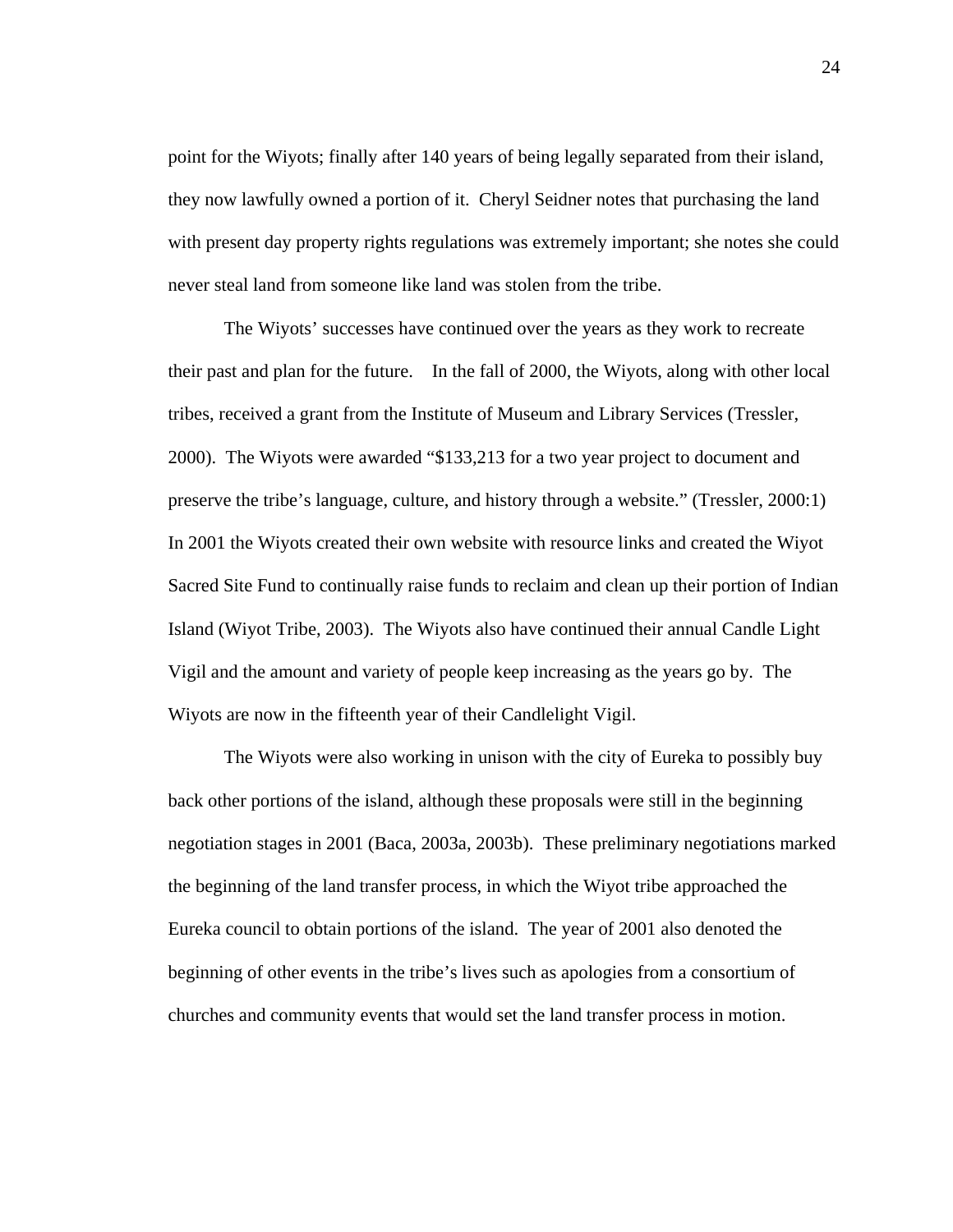point for the Wiyots; finally after 140 years of being legally separated from their island, they now lawfully owned a portion of it. Cheryl Seidner notes that purchasing the land with present day property rights regulations was extremely important; she notes she could never steal land from someone like land was stolen from the tribe.

The Wiyots' successes have continued over the years as they work to recreate their past and plan for the future. In the fall of 2000, the Wiyots, along with other local tribes, received a grant from the Institute of Museum and Library Services (Tressler, 2000). The Wiyots were awarded "\$133,213 for a two year project to document and preserve the tribe's language, culture, and history through a website." (Tressler, 2000:1) In 2001 the Wiyots created their own website with resource links and created the Wiyot Sacred Site Fund to continually raise funds to reclaim and clean up their portion of Indian Island (Wiyot Tribe, 2003). The Wiyots also have continued their annual Candle Light Vigil and the amount and variety of people keep increasing as the years go by. The Wiyots are now in the fifteenth year of their Candlelight Vigil.

The Wiyots were also working in unison with the city of Eureka to possibly buy back other portions of the island, although these proposals were still in the beginning negotiation stages in 2001 (Baca, 2003a, 2003b). These preliminary negotiations marked the beginning of the land transfer process, in which the Wiyot tribe approached the Eureka council to obtain portions of the island. The year of 2001 also denoted the beginning of other events in the tribe's lives such as apologies from a consortium of churches and community events that would set the land transfer process in motion.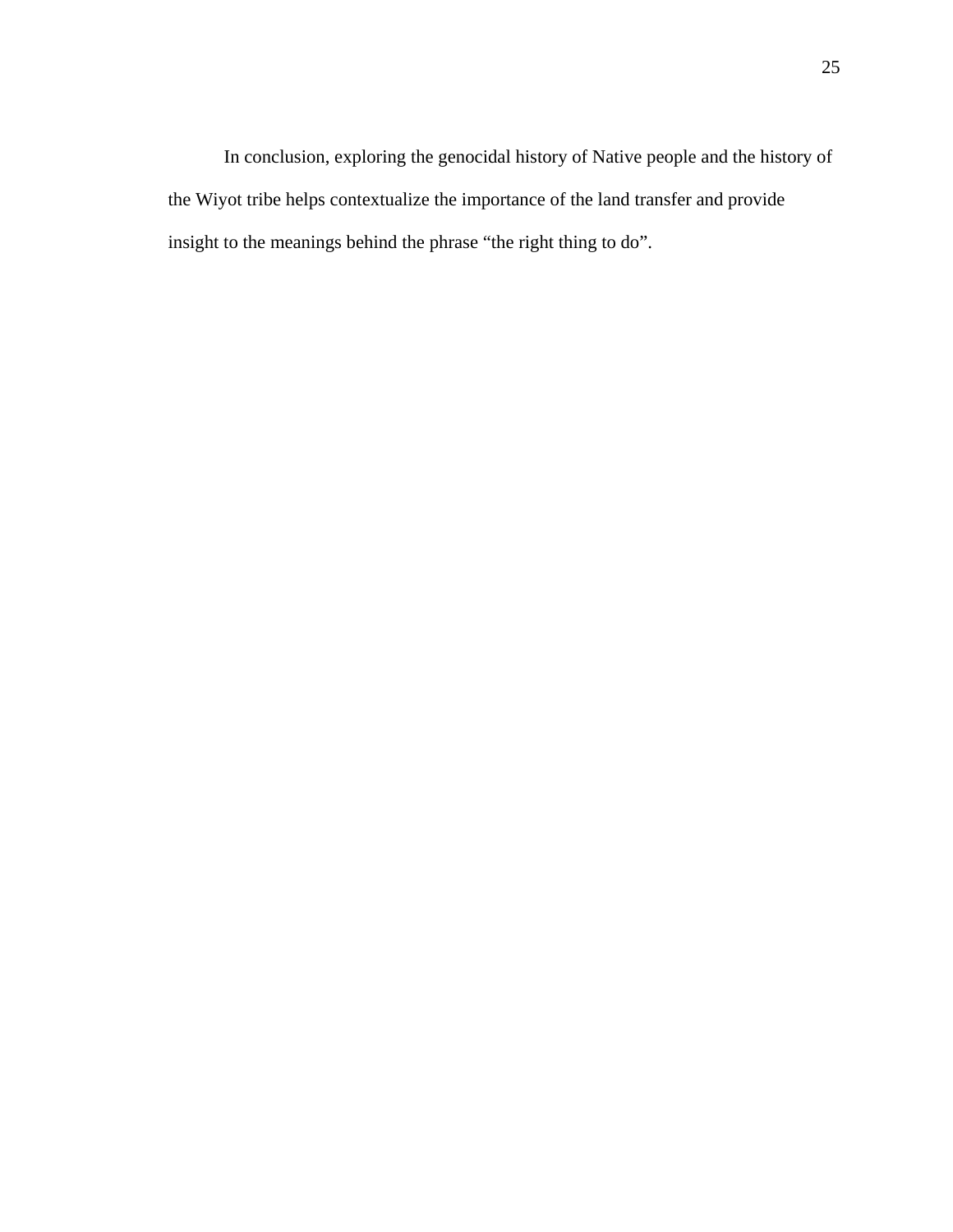In conclusion, exploring the genocidal history of Native people and the history of the Wiyot tribe helps contextualize the importance of the land transfer and provide insight to the meanings behind the phrase "the right thing to do".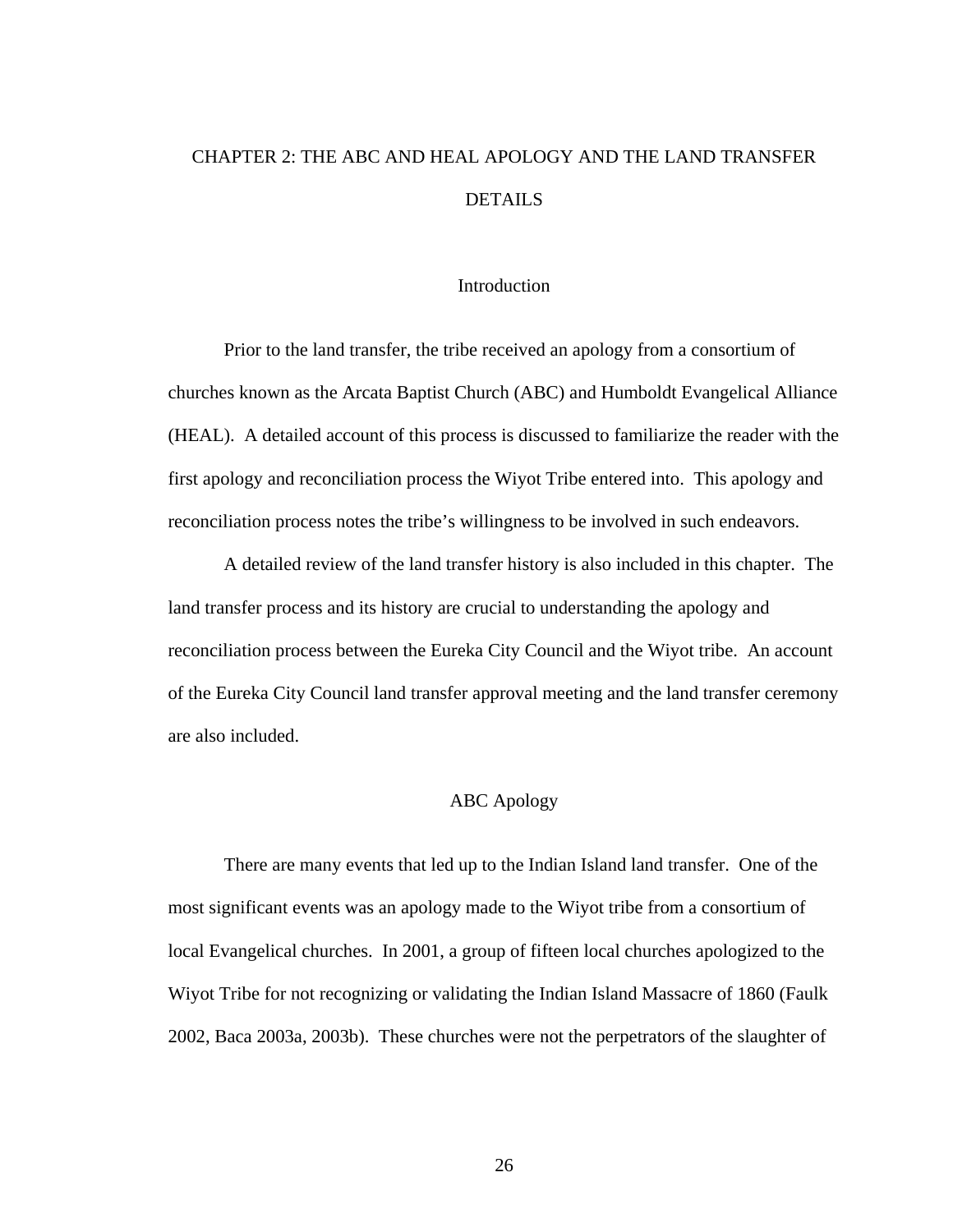# CHAPTER 2: THE ABC AND HEAL APOLOGY AND THE LAND TRANSFER **DETAILS**

# **Introduction**

 Prior to the land transfer, the tribe received an apology from a consortium of churches known as the Arcata Baptist Church (ABC) and Humboldt Evangelical Alliance (HEAL). A detailed account of this process is discussed to familiarize the reader with the first apology and reconciliation process the Wiyot Tribe entered into. This apology and reconciliation process notes the tribe's willingness to be involved in such endeavors.

 A detailed review of the land transfer history is also included in this chapter. The land transfer process and its history are crucial to understanding the apology and reconciliation process between the Eureka City Council and the Wiyot tribe. An account of the Eureka City Council land transfer approval meeting and the land transfer ceremony are also included.

# ABC Apology

 There are many events that led up to the Indian Island land transfer. One of the most significant events was an apology made to the Wiyot tribe from a consortium of local Evangelical churches. In 2001, a group of fifteen local churches apologized to the Wiyot Tribe for not recognizing or validating the Indian Island Massacre of 1860 (Faulk 2002, Baca 2003a, 2003b). These churches were not the perpetrators of the slaughter of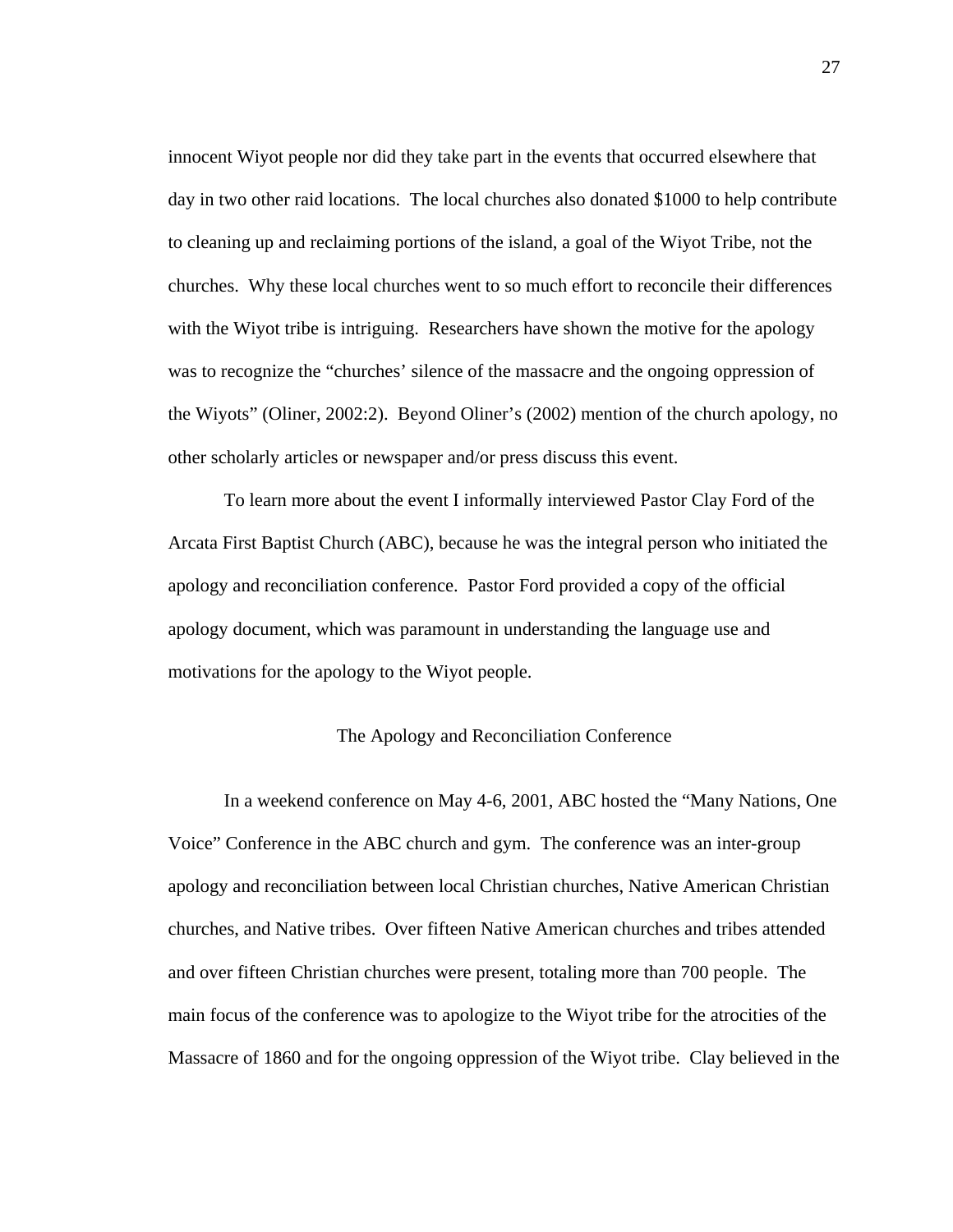innocent Wiyot people nor did they take part in the events that occurred elsewhere that day in two other raid locations. The local churches also donated \$1000 to help contribute to cleaning up and reclaiming portions of the island, a goal of the Wiyot Tribe, not the churches. Why these local churches went to so much effort to reconcile their differences with the Wiyot tribe is intriguing. Researchers have shown the motive for the apology was to recognize the "churches' silence of the massacre and the ongoing oppression of the Wiyots" (Oliner, 2002:2). Beyond Oliner's (2002) mention of the church apology, no other scholarly articles or newspaper and/or press discuss this event.

 To learn more about the event I informally interviewed Pastor Clay Ford of the Arcata First Baptist Church (ABC), because he was the integral person who initiated the apology and reconciliation conference. Pastor Ford provided a copy of the official apology document, which was paramount in understanding the language use and motivations for the apology to the Wiyot people.

# The Apology and Reconciliation Conference

In a weekend conference on May 4-6, 2001, ABC hosted the "Many Nations, One Voice" Conference in the ABC church and gym. The conference was an inter-group apology and reconciliation between local Christian churches, Native American Christian churches, and Native tribes. Over fifteen Native American churches and tribes attended and over fifteen Christian churches were present, totaling more than 700 people. The main focus of the conference was to apologize to the Wiyot tribe for the atrocities of the Massacre of 1860 and for the ongoing oppression of the Wiyot tribe. Clay believed in the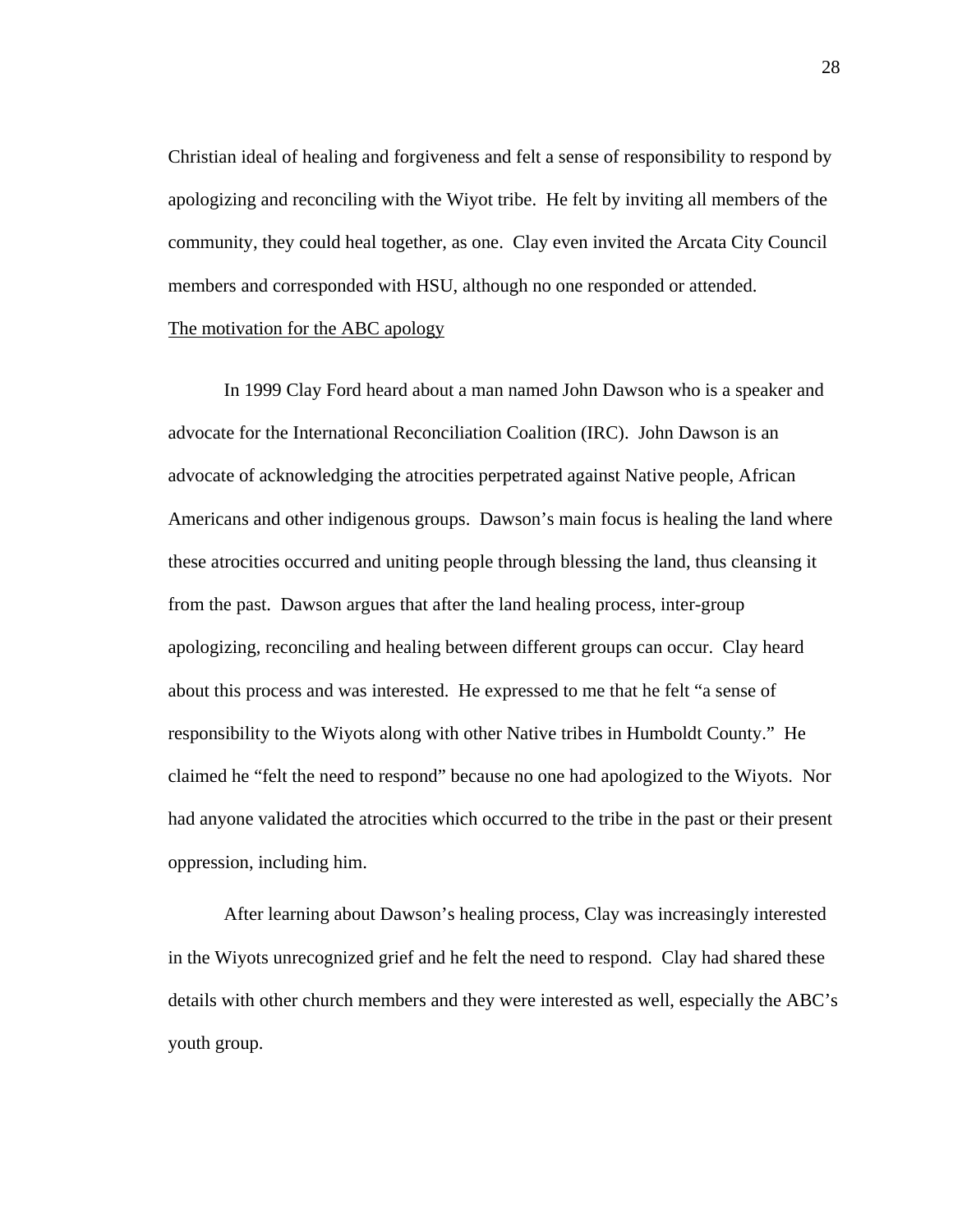Christian ideal of healing and forgiveness and felt a sense of responsibility to respond by apologizing and reconciling with the Wiyot tribe. He felt by inviting all members of the community, they could heal together, as one. Clay even invited the Arcata City Council members and corresponded with HSU, although no one responded or attended. The motivation for the ABC apology

In 1999 Clay Ford heard about a man named John Dawson who is a speaker and advocate for the International Reconciliation Coalition (IRC). John Dawson is an advocate of acknowledging the atrocities perpetrated against Native people, African Americans and other indigenous groups. Dawson's main focus is healing the land where these atrocities occurred and uniting people through blessing the land, thus cleansing it from the past. Dawson argues that after the land healing process, inter-group apologizing, reconciling and healing between different groups can occur. Clay heard about this process and was interested. He expressed to me that he felt "a sense of responsibility to the Wiyots along with other Native tribes in Humboldt County." He claimed he "felt the need to respond" because no one had apologized to the Wiyots. Nor had anyone validated the atrocities which occurred to the tribe in the past or their present oppression, including him.

After learning about Dawson's healing process, Clay was increasingly interested in the Wiyots unrecognized grief and he felt the need to respond. Clay had shared these details with other church members and they were interested as well, especially the ABC's youth group.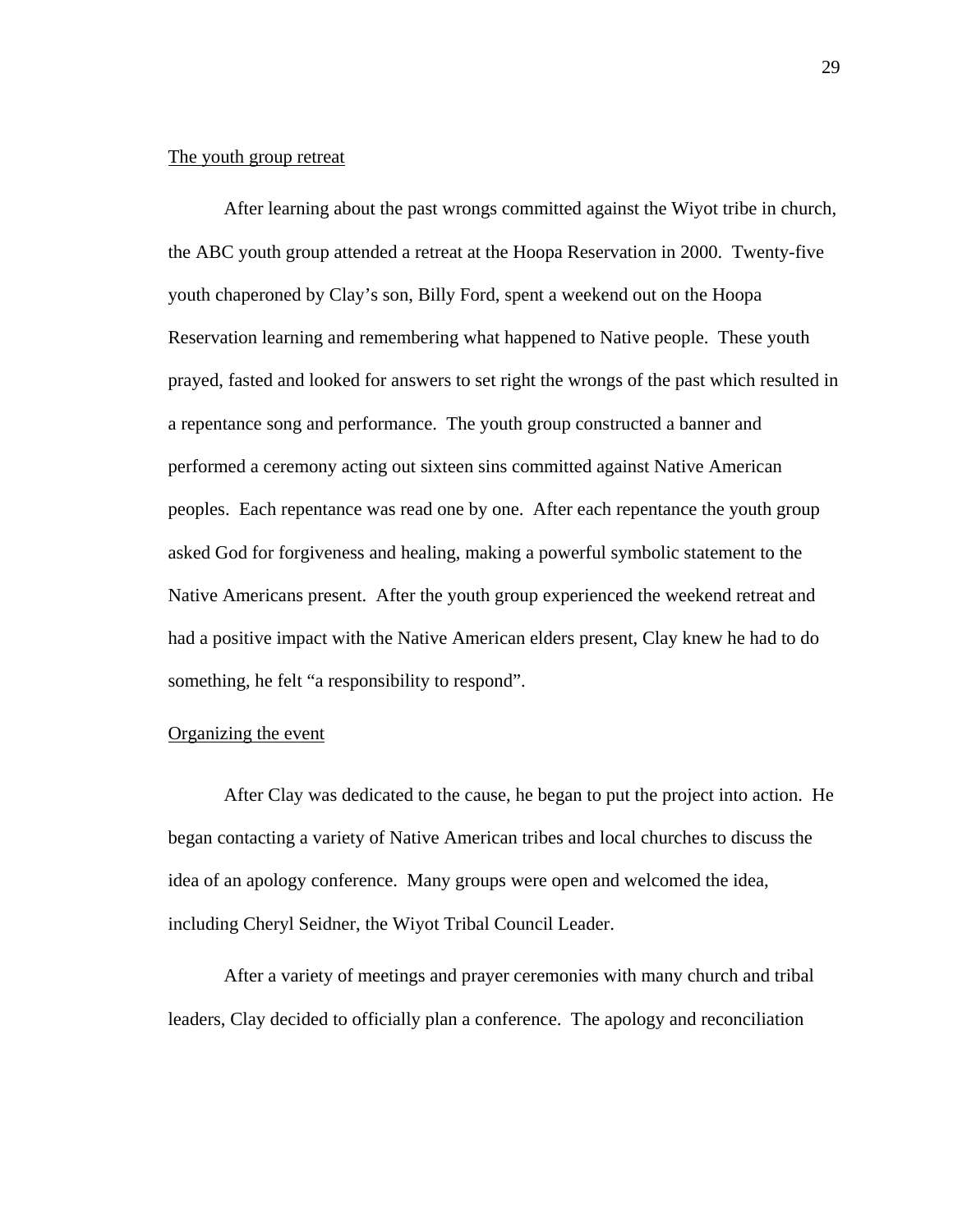# The youth group retreat

After learning about the past wrongs committed against the Wiyot tribe in church, the ABC youth group attended a retreat at the Hoopa Reservation in 2000. Twenty-five youth chaperoned by Clay's son, Billy Ford, spent a weekend out on the Hoopa Reservation learning and remembering what happened to Native people. These youth prayed, fasted and looked for answers to set right the wrongs of the past which resulted in a repentance song and performance. The youth group constructed a banner and performed a ceremony acting out sixteen sins committed against Native American peoples. Each repentance was read one by one. After each repentance the youth group asked God for forgiveness and healing, making a powerful symbolic statement to the Native Americans present. After the youth group experienced the weekend retreat and had a positive impact with the Native American elders present, Clay knew he had to do something, he felt "a responsibility to respond".

# Organizing the event

After Clay was dedicated to the cause, he began to put the project into action. He began contacting a variety of Native American tribes and local churches to discuss the idea of an apology conference. Many groups were open and welcomed the idea, including Cheryl Seidner, the Wiyot Tribal Council Leader.

After a variety of meetings and prayer ceremonies with many church and tribal leaders, Clay decided to officially plan a conference. The apology and reconciliation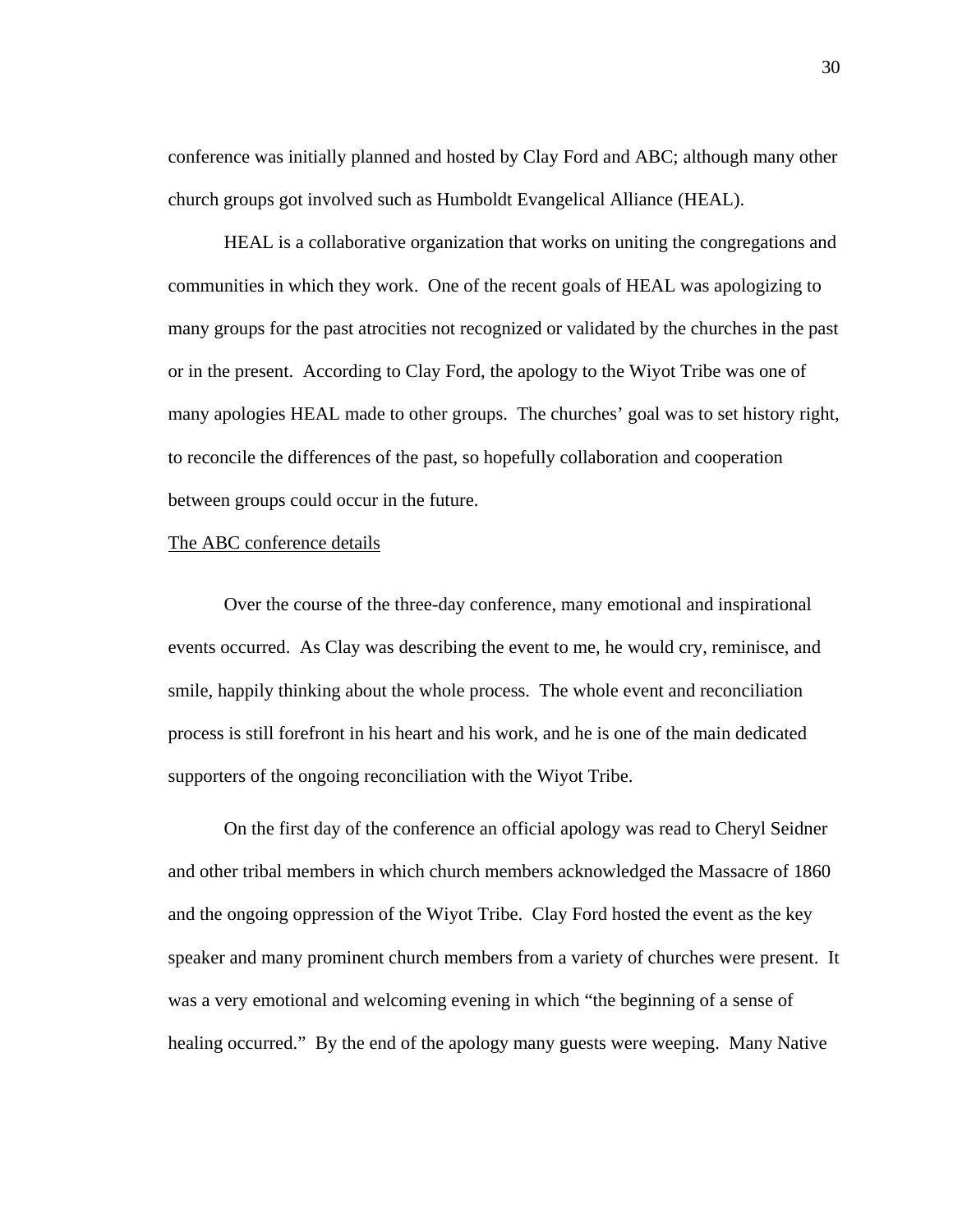conference was initially planned and hosted by Clay Ford and ABC; although many other church groups got involved such as Humboldt Evangelical Alliance (HEAL).

HEAL is a collaborative organization that works on uniting the congregations and communities in which they work. One of the recent goals of HEAL was apologizing to many groups for the past atrocities not recognized or validated by the churches in the past or in the present. According to Clay Ford, the apology to the Wiyot Tribe was one of many apologies HEAL made to other groups. The churches' goal was to set history right, to reconcile the differences of the past, so hopefully collaboration and cooperation between groups could occur in the future.

#### The ABC conference details

Over the course of the three-day conference, many emotional and inspirational events occurred. As Clay was describing the event to me, he would cry, reminisce, and smile, happily thinking about the whole process. The whole event and reconciliation process is still forefront in his heart and his work, and he is one of the main dedicated supporters of the ongoing reconciliation with the Wiyot Tribe.

On the first day of the conference an official apology was read to Cheryl Seidner and other tribal members in which church members acknowledged the Massacre of 1860 and the ongoing oppression of the Wiyot Tribe. Clay Ford hosted the event as the key speaker and many prominent church members from a variety of churches were present. It was a very emotional and welcoming evening in which "the beginning of a sense of healing occurred." By the end of the apology many guests were weeping. Many Native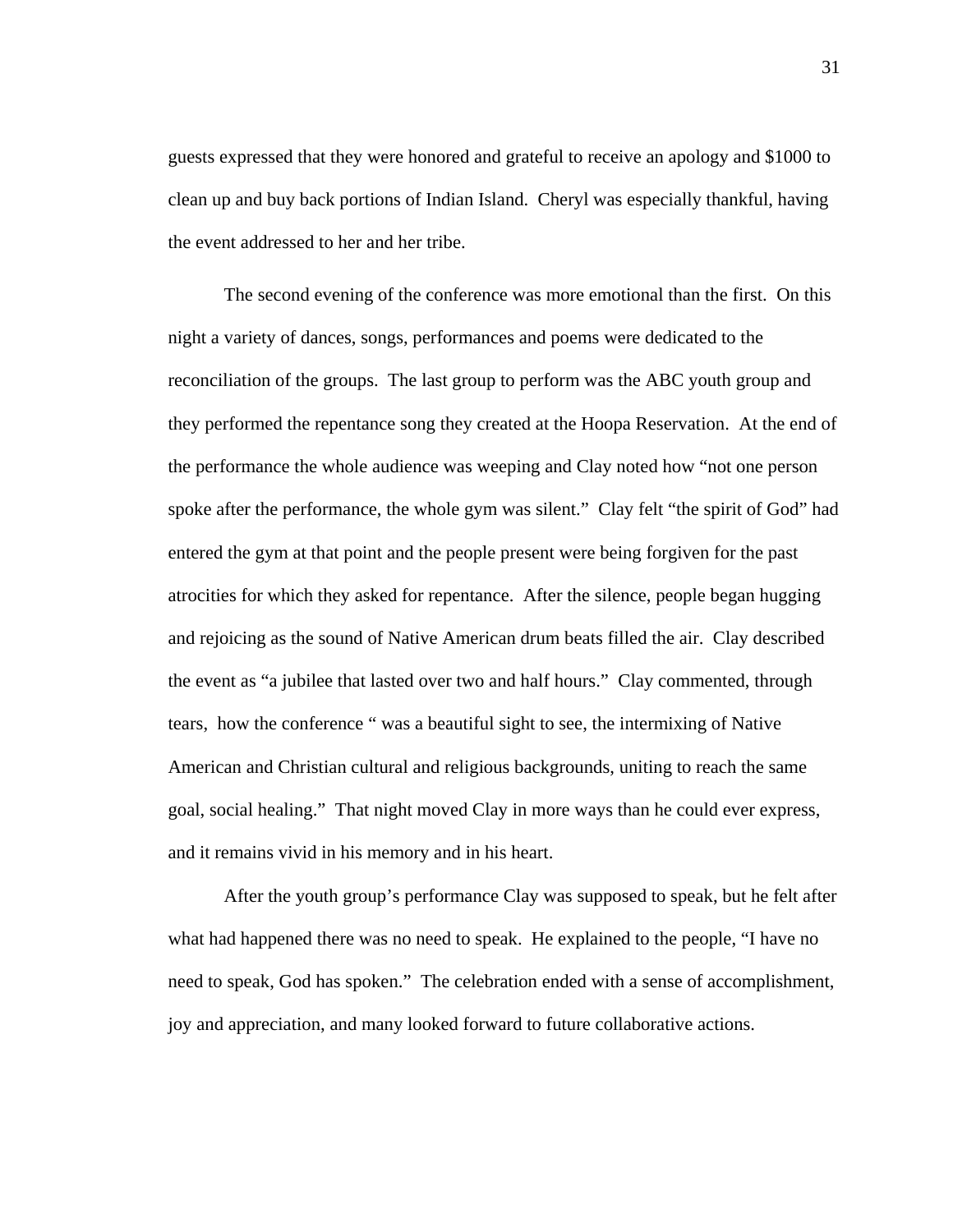guests expressed that they were honored and grateful to receive an apology and \$1000 to clean up and buy back portions of Indian Island. Cheryl was especially thankful, having the event addressed to her and her tribe.

The second evening of the conference was more emotional than the first. On this night a variety of dances, songs, performances and poems were dedicated to the reconciliation of the groups. The last group to perform was the ABC youth group and they performed the repentance song they created at the Hoopa Reservation. At the end of the performance the whole audience was weeping and Clay noted how "not one person spoke after the performance, the whole gym was silent." Clay felt "the spirit of God" had entered the gym at that point and the people present were being forgiven for the past atrocities for which they asked for repentance. After the silence, people began hugging and rejoicing as the sound of Native American drum beats filled the air. Clay described the event as "a jubilee that lasted over two and half hours." Clay commented, through tears, how the conference " was a beautiful sight to see, the intermixing of Native American and Christian cultural and religious backgrounds, uniting to reach the same goal, social healing." That night moved Clay in more ways than he could ever express, and it remains vivid in his memory and in his heart.

After the youth group's performance Clay was supposed to speak, but he felt after what had happened there was no need to speak. He explained to the people, "I have no need to speak, God has spoken." The celebration ended with a sense of accomplishment, joy and appreciation, and many looked forward to future collaborative actions.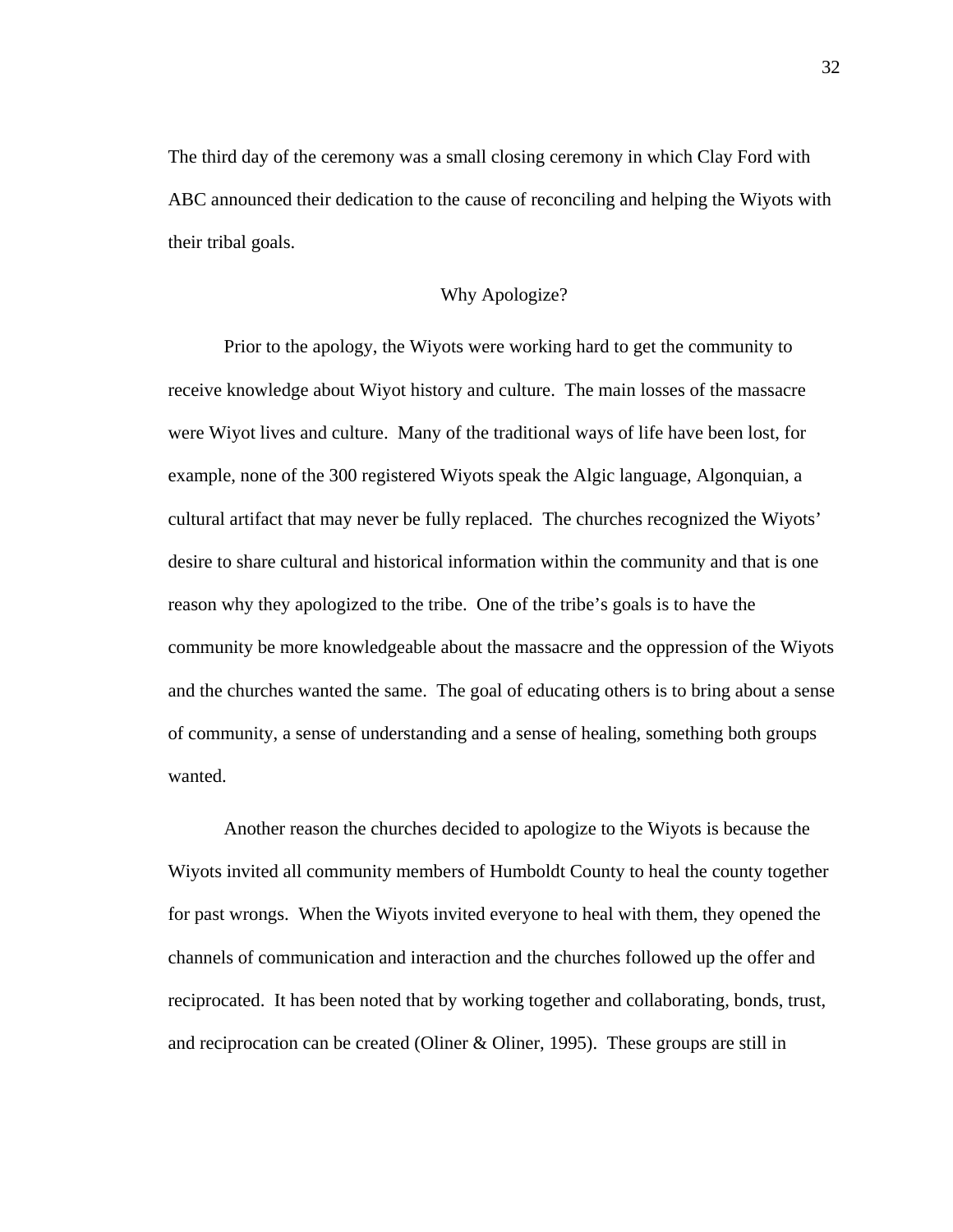The third day of the ceremony was a small closing ceremony in which Clay Ford with ABC announced their dedication to the cause of reconciling and helping the Wiyots with their tribal goals.

# Why Apologize?

Prior to the apology, the Wiyots were working hard to get the community to receive knowledge about Wiyot history and culture. The main losses of the massacre were Wiyot lives and culture. Many of the traditional ways of life have been lost, for example, none of the 300 registered Wiyots speak the Algic language, Algonquian, a cultural artifact that may never be fully replaced. The churches recognized the Wiyots' desire to share cultural and historical information within the community and that is one reason why they apologized to the tribe. One of the tribe's goals is to have the community be more knowledgeable about the massacre and the oppression of the Wiyots and the churches wanted the same.The goal of educating others is to bring about a sense of community, a sense of understanding and a sense of healing, something both groups wanted.

Another reason the churches decided to apologize to the Wiyots is because the Wiyots invited all community members of Humboldt County to heal the county together for past wrongs. When the Wiyots invited everyone to heal with them, they opened the channels of communication and interaction and the churches followed up the offer and reciprocated. It has been noted that by working together and collaborating, bonds, trust, and reciprocation can be created (Oliner & Oliner, 1995). These groups are still in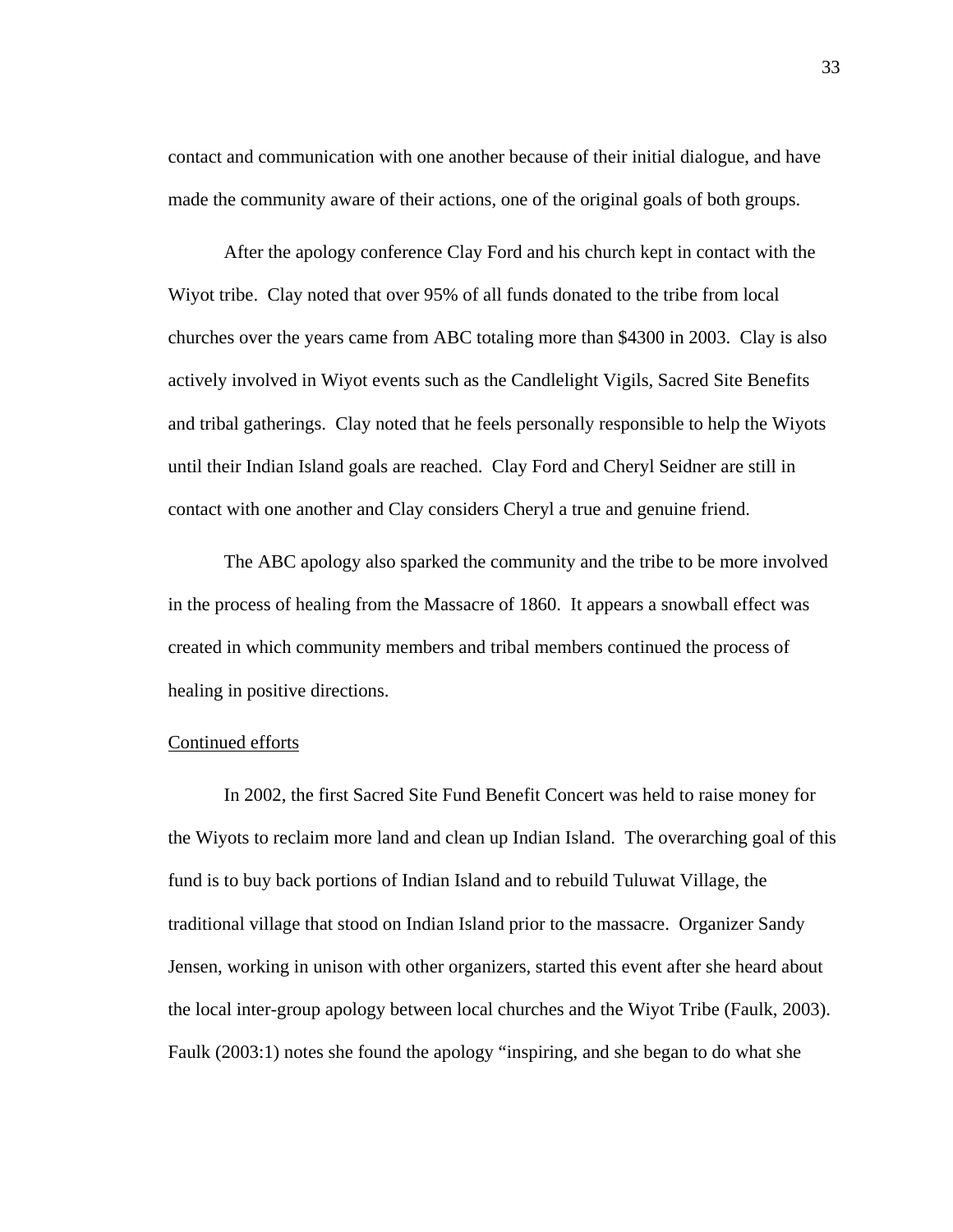contact and communication with one another because of their initial dialogue, and have made the community aware of their actions, one of the original goals of both groups.

After the apology conference Clay Ford and his church kept in contact with the Wiyot tribe. Clay noted that over 95% of all funds donated to the tribe from local churches over the years came from ABC totaling more than \$4300 in 2003. Clay is also actively involved in Wiyot events such as the Candlelight Vigils, Sacred Site Benefits and tribal gatherings. Clay noted that he feels personally responsible to help the Wiyots until their Indian Island goals are reached. Clay Ford and Cheryl Seidner are still in contact with one another and Clay considers Cheryl a true and genuine friend.

 The ABC apology also sparked the community and the tribe to be more involved in the process of healing from the Massacre of 1860. It appears a snowball effect was created in which community members and tribal members continued the process of healing in positive directions.

# Continued efforts

In 2002, the first Sacred Site Fund Benefit Concert was held to raise money for the Wiyots to reclaim more land and clean up Indian Island. The overarching goal of this fund is to buy back portions of Indian Island and to rebuild Tuluwat Village, the traditional village that stood on Indian Island prior to the massacre. Organizer Sandy Jensen, working in unison with other organizers, started this event after she heard about the local inter-group apology between local churches and the Wiyot Tribe (Faulk, 2003). Faulk (2003:1) notes she found the apology "inspiring, and she began to do what she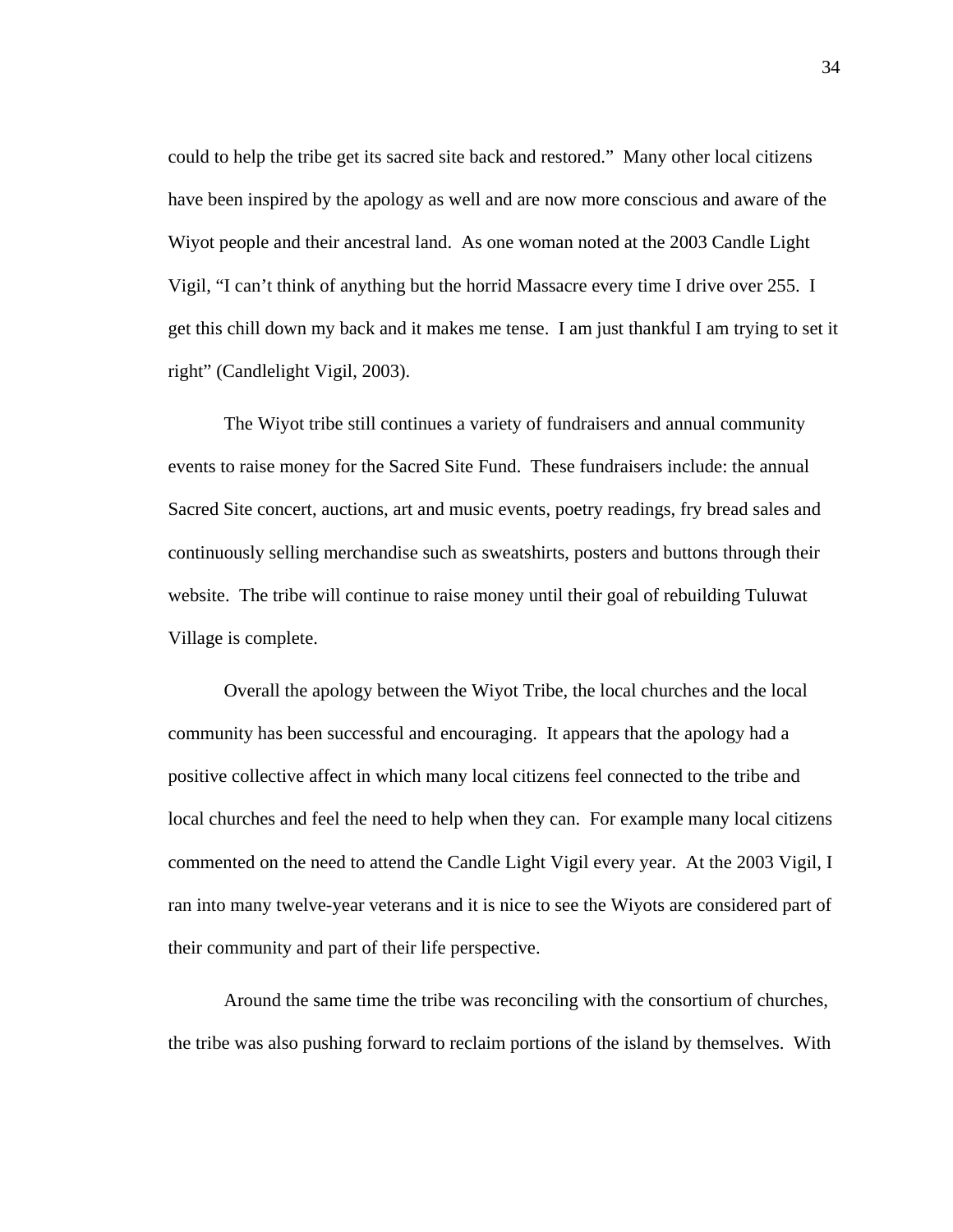could to help the tribe get its sacred site back and restored." Many other local citizens have been inspired by the apology as well and are now more conscious and aware of the Wiyot people and their ancestral land. As one woman noted at the 2003 Candle Light Vigil, "I can't think of anything but the horrid Massacre every time I drive over 255. I get this chill down my back and it makes me tense. I am just thankful I am trying to set it right" (Candlelight Vigil, 2003).

The Wiyot tribe still continues a variety of fundraisers and annual community events to raise money for the Sacred Site Fund. These fundraisers include: the annual Sacred Site concert, auctions, art and music events, poetry readings, fry bread sales and continuously selling merchandise such as sweatshirts, posters and buttons through their website. The tribe will continue to raise money until their goal of rebuilding Tuluwat Village is complete.

Overall the apology between the Wiyot Tribe, the local churches and the local community has been successful and encouraging. It appears that the apology had a positive collective affect in which many local citizens feel connected to the tribe and local churches and feel the need to help when they can. For example many local citizens commented on the need to attend the Candle Light Vigil every year. At the 2003 Vigil, I ran into many twelve-year veterans and it is nice to see the Wiyots are considered part of their community and part of their life perspective.

Around the same time the tribe was reconciling with the consortium of churches, the tribe was also pushing forward to reclaim portions of the island by themselves. With

34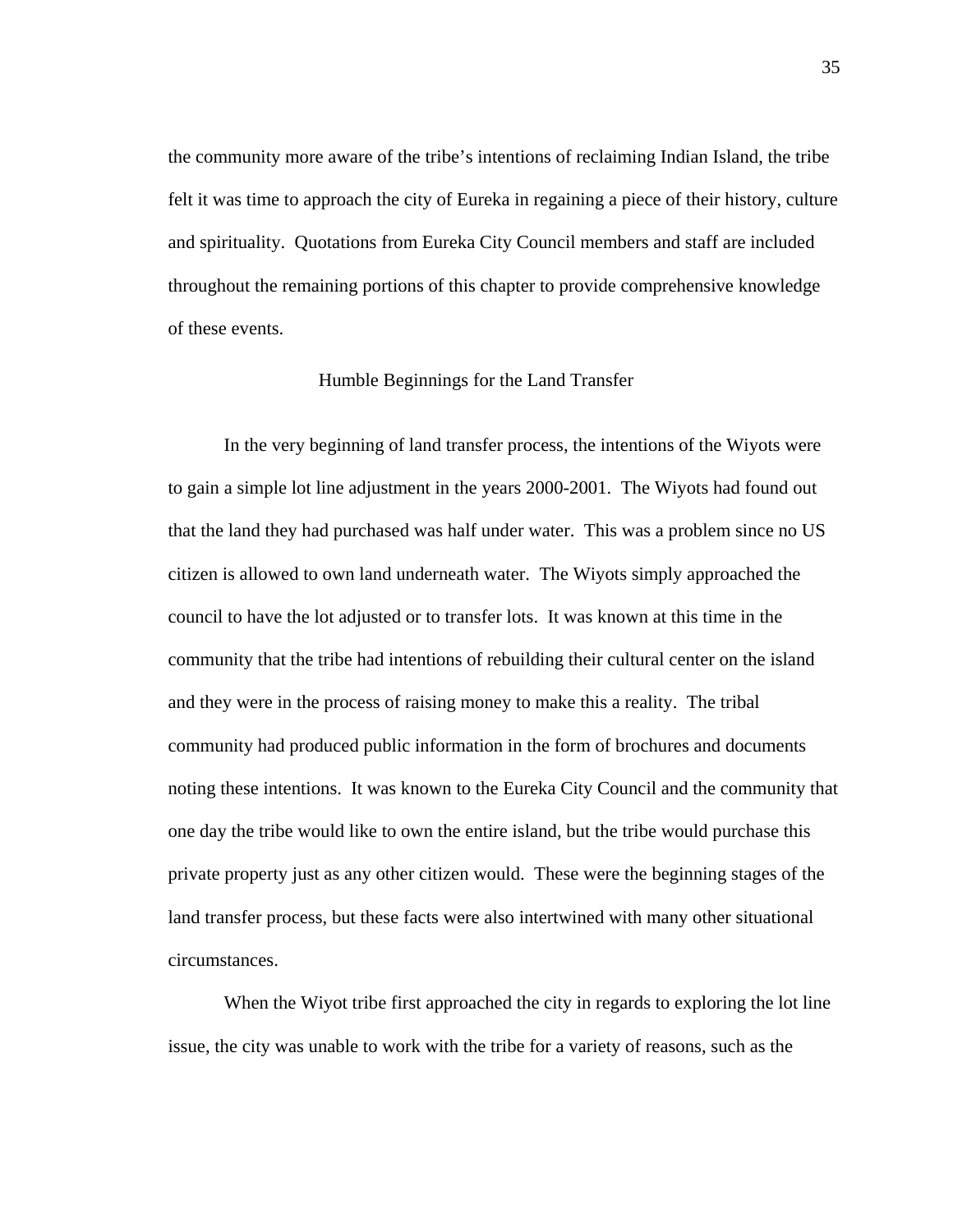the community more aware of the tribe's intentions of reclaiming Indian Island, the tribe felt it was time to approach the city of Eureka in regaining a piece of their history, culture and spirituality. Quotations from Eureka City Council members and staff are included throughout the remaining portions of this chapter to provide comprehensive knowledge of these events.

#### Humble Beginnings for the Land Transfer

In the very beginning of land transfer process, the intentions of the Wiyots were to gain a simple lot line adjustment in the years 2000-2001. The Wiyots had found out that the land they had purchased was half under water. This was a problem since no US citizen is allowed to own land underneath water. The Wiyots simply approached the council to have the lot adjusted or to transfer lots. It was known at this time in the community that the tribe had intentions of rebuilding their cultural center on the island and they were in the process of raising money to make this a reality. The tribal community had produced public information in the form of brochures and documents noting these intentions. It was known to the Eureka City Council and the community that one day the tribe would like to own the entire island, but the tribe would purchase this private property just as any other citizen would. These were the beginning stages of the land transfer process, but these facts were also intertwined with many other situational circumstances.

 When the Wiyot tribe first approached the city in regards to exploring the lot line issue, the city was unable to work with the tribe for a variety of reasons, such as the

35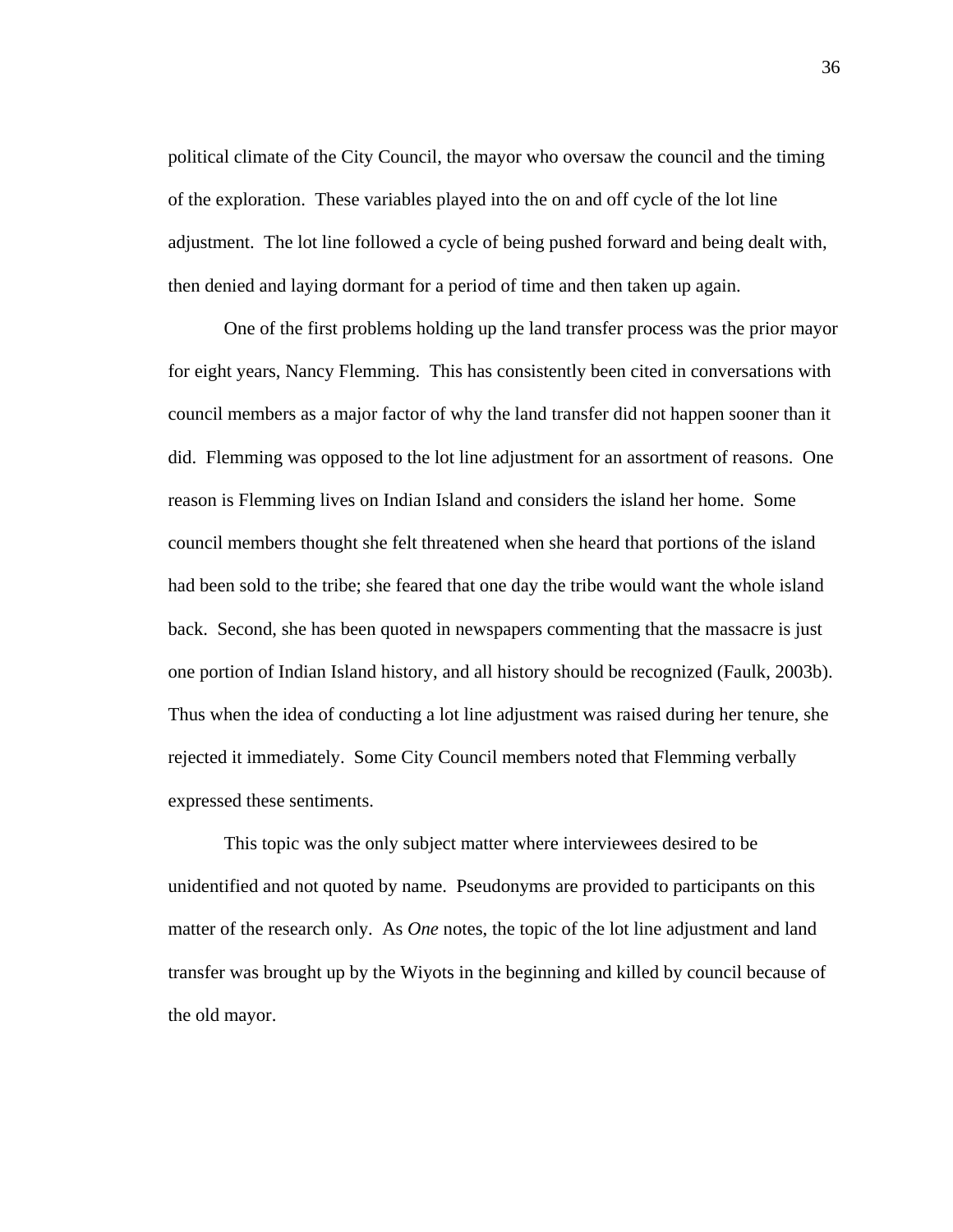political climate of the City Council, the mayor who oversaw the council and the timing of the exploration. These variables played into the on and off cycle of the lot line adjustment. The lot line followed a cycle of being pushed forward and being dealt with, then denied and laying dormant for a period of time and then taken up again.

 One of the first problems holding up the land transfer process was the prior mayor for eight years, Nancy Flemming. This has consistently been cited in conversations with council members as a major factor of why the land transfer did not happen sooner than it did. Flemming was opposed to the lot line adjustment for an assortment of reasons. One reason is Flemming lives on Indian Island and considers the island her home. Some council members thought she felt threatened when she heard that portions of the island had been sold to the tribe; she feared that one day the tribe would want the whole island back. Second, she has been quoted in newspapers commenting that the massacre is just one portion of Indian Island history, and all history should be recognized (Faulk, 2003b). Thus when the idea of conducting a lot line adjustment was raised during her tenure, she rejected it immediately. Some City Council members noted that Flemming verbally expressed these sentiments.

 This topic was the only subject matter where interviewees desired to be unidentified and not quoted by name. Pseudonyms are provided to participants on this matter of the research only. As *One* notes, the topic of the lot line adjustment and land transfer was brought up by the Wiyots in the beginning and killed by council because of the old mayor.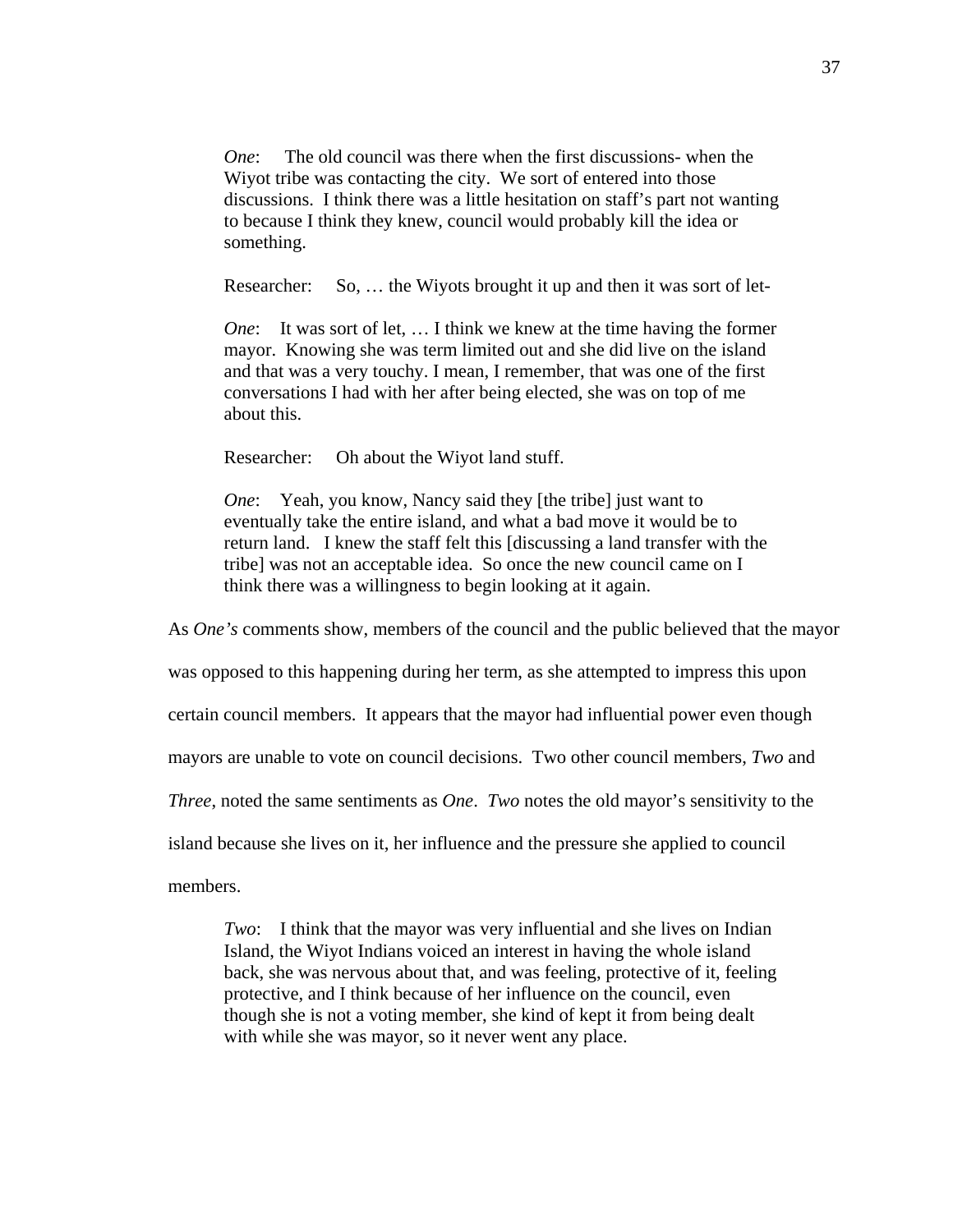*One*: The old council was there when the first discussions- when the Wiyot tribe was contacting the city. We sort of entered into those discussions. I think there was a little hesitation on staff's part not wanting to because I think they knew, council would probably kill the idea or something.

Researcher: So, … the Wiyots brought it up and then it was sort of let-

*One*: It was sort of let, ... I think we knew at the time having the former mayor. Knowing she was term limited out and she did live on the island and that was a very touchy. I mean, I remember, that was one of the first conversations I had with her after being elected, she was on top of me about this.

Researcher: Oh about the Wiyot land stuff.

*One*: Yeah, you know, Nancy said they [the tribe] just want to eventually take the entire island, and what a bad move it would be to return land. I knew the staff felt this [discussing a land transfer with the tribe] was not an acceptable idea. So once the new council came on I think there was a willingness to begin looking at it again.

As *One's* comments show, members of the council and the public believed that the mayor

was opposed to this happening during her term, as she attempted to impress this upon

certain council members. It appears that the mayor had influential power even though

mayors are unable to vote on council decisions. Two other council members, *Two* and

*Three*, noted the same sentiments as *One*. *Two* notes the old mayor's sensitivity to the

island because she lives on it, her influence and the pressure she applied to council

members.

*Two*: I think that the mayor was very influential and she lives on Indian Island, the Wiyot Indians voiced an interest in having the whole island back, she was nervous about that, and was feeling, protective of it, feeling protective, and I think because of her influence on the council, even though she is not a voting member, she kind of kept it from being dealt with while she was mayor, so it never went any place.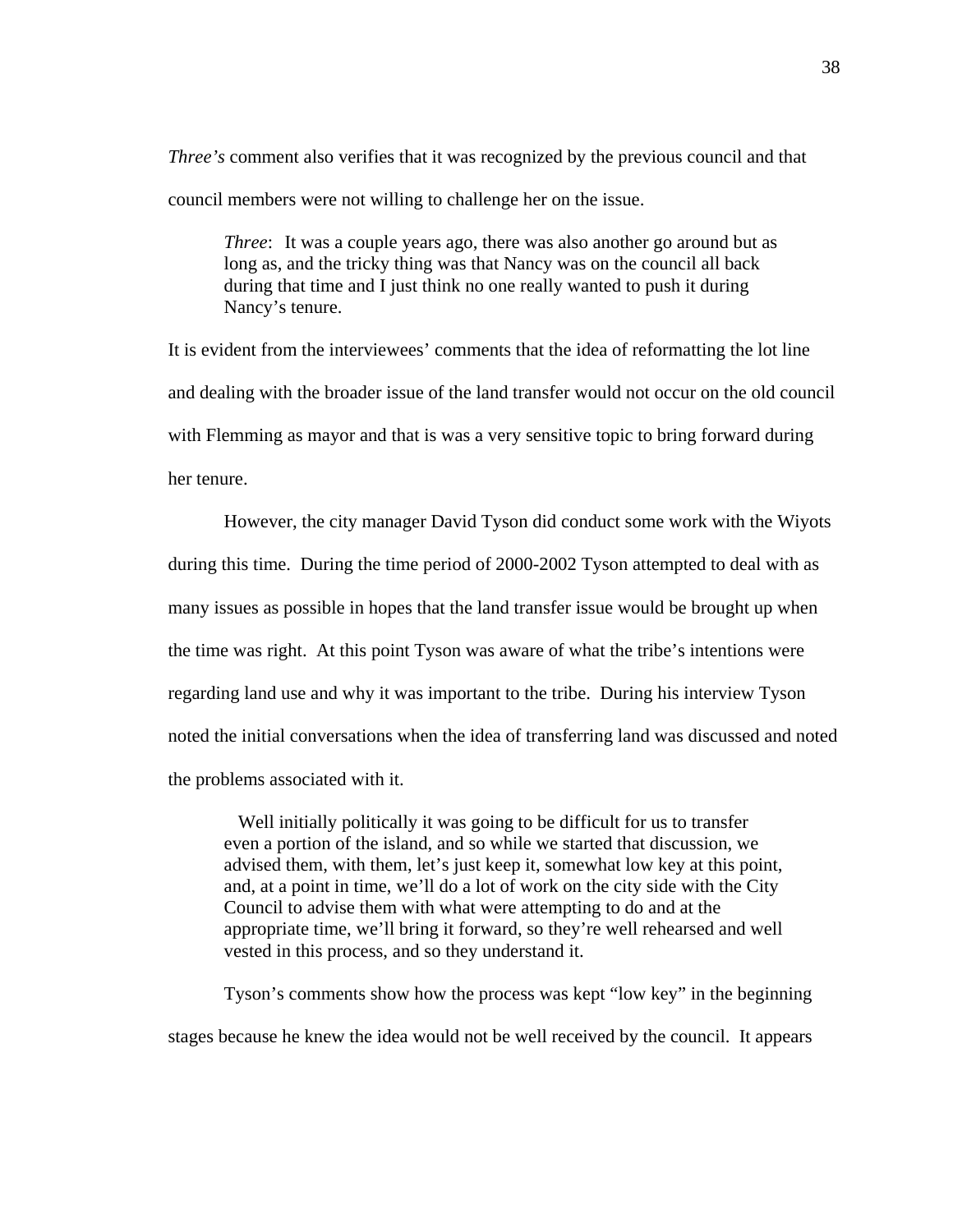*Three's* comment also verifies that it was recognized by the previous council and that council members were not willing to challenge her on the issue.

*Three*: It was a couple years ago, there was also another go around but as long as, and the tricky thing was that Nancy was on the council all back during that time and I just think no one really wanted to push it during Nancy's tenure.

It is evident from the interviewees' comments that the idea of reformatting the lot line and dealing with the broader issue of the land transfer would not occur on the old council with Flemming as mayor and that is was a very sensitive topic to bring forward during her tenure.

However, the city manager David Tyson did conduct some work with the Wiyots during this time. During the time period of 2000-2002 Tyson attempted to deal with as many issues as possible in hopes that the land transfer issue would be brought up when the time was right. At this point Tyson was aware of what the tribe's intentions were regarding land use and why it was important to the tribe. During his interview Tyson noted the initial conversations when the idea of transferring land was discussed and noted the problems associated with it.

 Well initially politically it was going to be difficult for us to transfer even a portion of the island, and so while we started that discussion, we advised them, with them, let's just keep it, somewhat low key at this point, and, at a point in time, we'll do a lot of work on the city side with the City Council to advise them with what were attempting to do and at the appropriate time, we'll bring it forward, so they're well rehearsed and well vested in this process, and so they understand it.

Tyson's comments show how the process was kept "low key" in the beginning stages because he knew the idea would not be well received by the council. It appears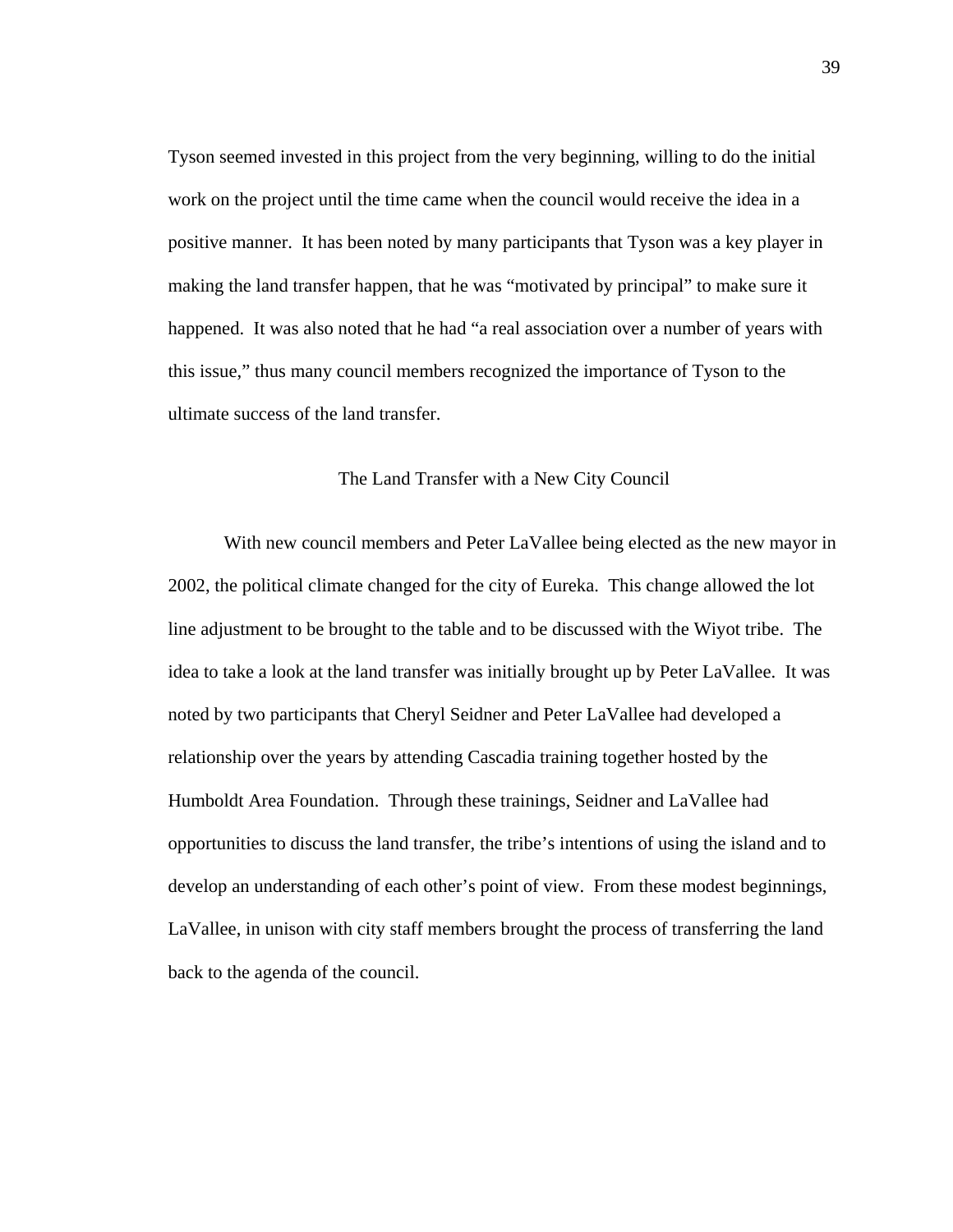Tyson seemed invested in this project from the very beginning, willing to do the initial work on the project until the time came when the council would receive the idea in a positive manner. It has been noted by many participants that Tyson was a key player in making the land transfer happen, that he was "motivated by principal" to make sure it happened. It was also noted that he had "a real association over a number of years with this issue," thus many council members recognized the importance of Tyson to the ultimate success of the land transfer.

## The Land Transfer with a New City Council

 With new council members and Peter LaVallee being elected as the new mayor in 2002, the political climate changed for the city of Eureka. This change allowed the lot line adjustment to be brought to the table and to be discussed with the Wiyot tribe. The idea to take a look at the land transfer was initially brought up by Peter LaVallee. It was noted by two participants that Cheryl Seidner and Peter LaVallee had developed a relationship over the years by attending Cascadia training together hosted by the Humboldt Area Foundation. Through these trainings, Seidner and LaVallee had opportunities to discuss the land transfer, the tribe's intentions of using the island and to develop an understanding of each other's point of view. From these modest beginnings, LaVallee, in unison with city staff members brought the process of transferring the land back to the agenda of the council.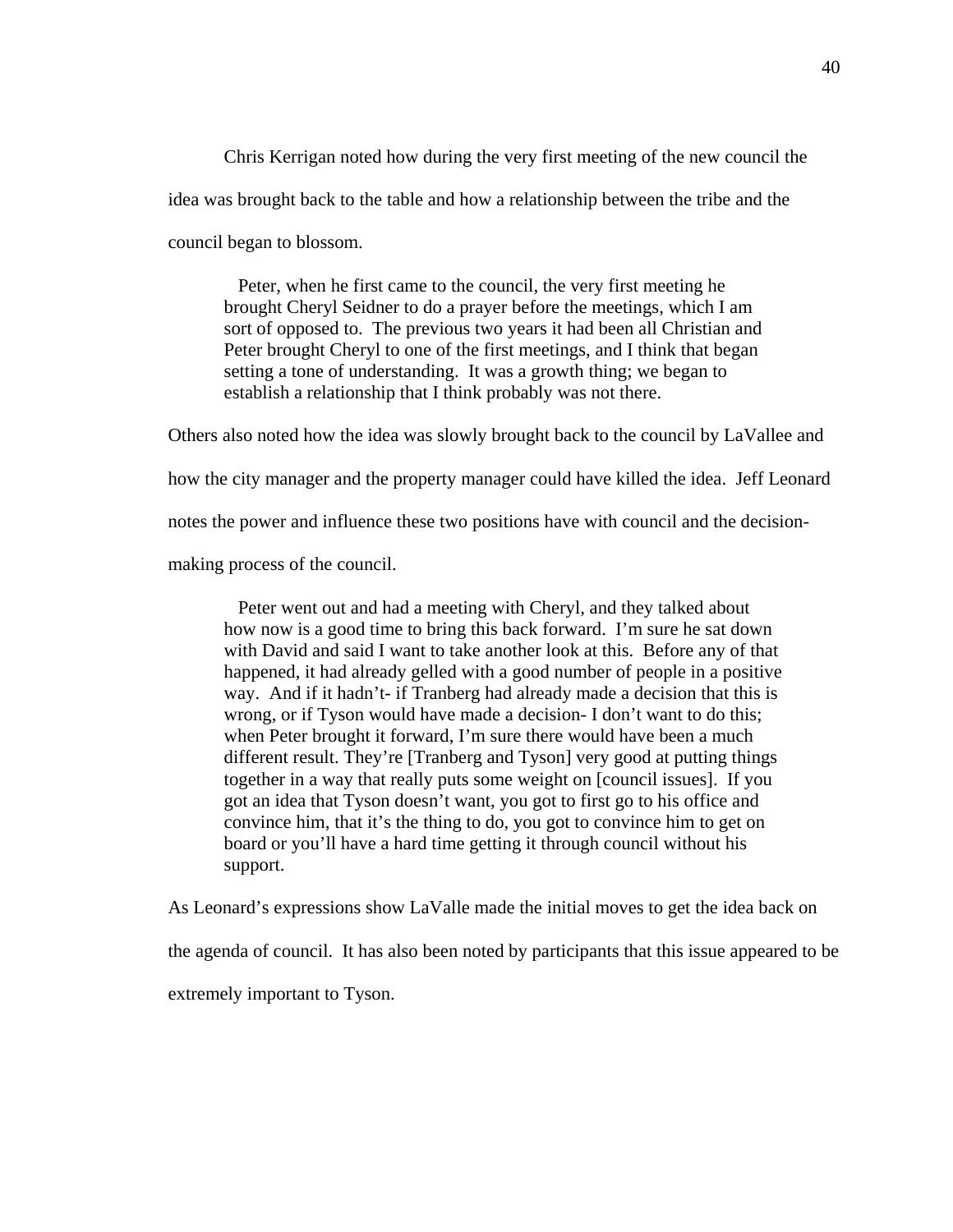Chris Kerrigan noted how during the very first meeting of the new council the idea was brought back to the table and how a relationship between the tribe and the council began to blossom.

 Peter, when he first came to the council, the very first meeting he brought Cheryl Seidner to do a prayer before the meetings, which I am sort of opposed to. The previous two years it had been all Christian and Peter brought Cheryl to one of the first meetings, and I think that began setting a tone of understanding. It was a growth thing; we began to establish a relationship that I think probably was not there.

Others also noted how the idea was slowly brought back to the council by LaVallee and

how the city manager and the property manager could have killed the idea. Jeff Leonard

notes the power and influence these two positions have with council and the decision-

making process of the council.

 Peter went out and had a meeting with Cheryl, and they talked about how now is a good time to bring this back forward. I'm sure he sat down with David and said I want to take another look at this. Before any of that happened, it had already gelled with a good number of people in a positive way. And if it hadn't- if Tranberg had already made a decision that this is wrong, or if Tyson would have made a decision- I don't want to do this; when Peter brought it forward, I'm sure there would have been a much different result. They're [Tranberg and Tyson] very good at putting things together in a way that really puts some weight on [council issues]. If you got an idea that Tyson doesn't want, you got to first go to his office and convince him, that it's the thing to do, you got to convince him to get on board or you'll have a hard time getting it through council without his support.

As Leonard's expressions show LaValle made the initial moves to get the idea back on

the agenda of council. It has also been noted by participants that this issue appeared to be

extremely important to Tyson.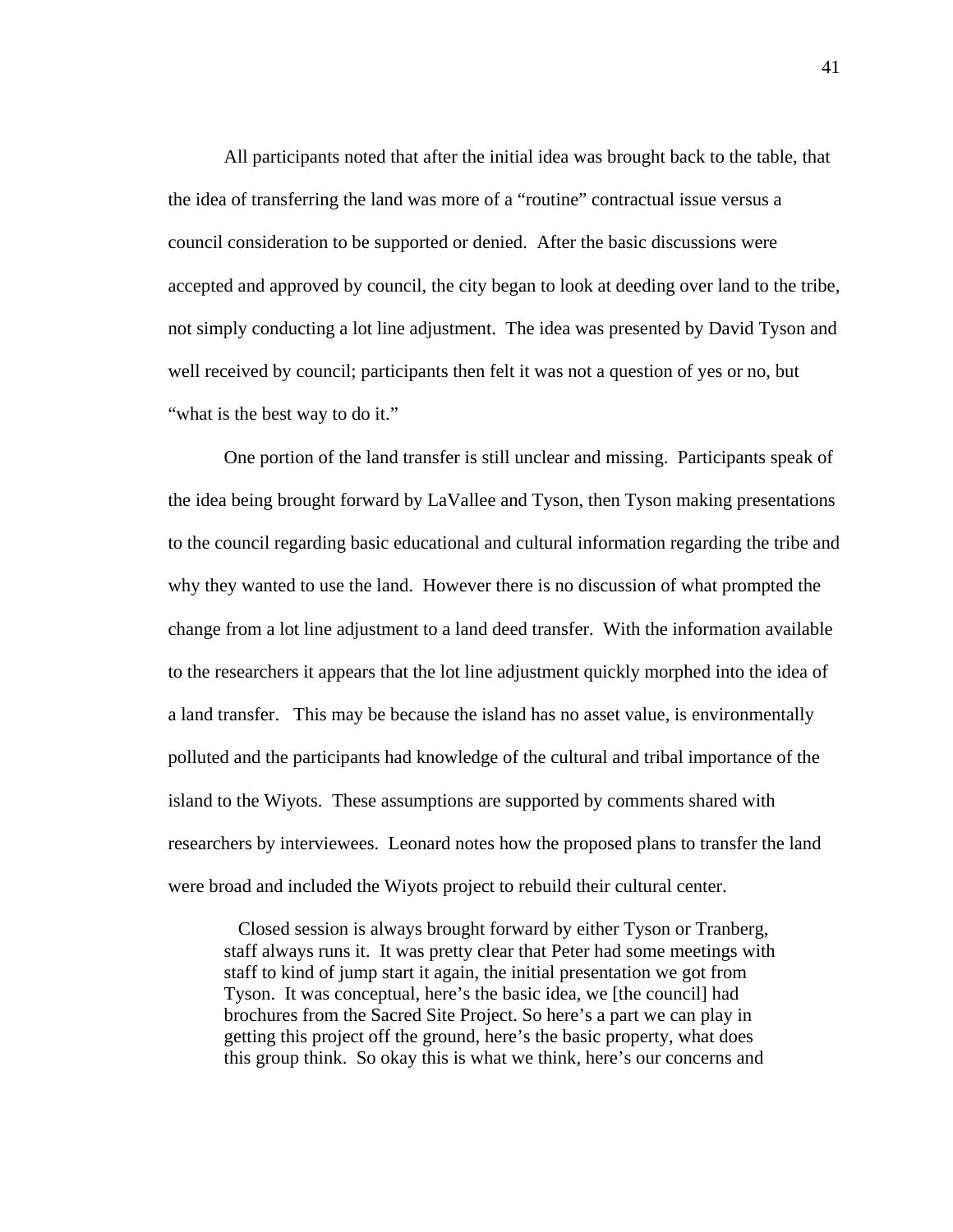All participants noted that after the initial idea was brought back to the table, that the idea of transferring the land was more of a "routine" contractual issue versus a council consideration to be supported or denied. After the basic discussions were accepted and approved by council, the city began to look at deeding over land to the tribe, not simply conducting a lot line adjustment. The idea was presented by David Tyson and well received by council; participants then felt it was not a question of yes or no, but "what is the best way to do it."

One portion of the land transfer is still unclear and missing. Participants speak of the idea being brought forward by LaVallee and Tyson, then Tyson making presentations to the council regarding basic educational and cultural information regarding the tribe and why they wanted to use the land. However there is no discussion of what prompted the change from a lot line adjustment to a land deed transfer. With the information available to the researchers it appears that the lot line adjustment quickly morphed into the idea of a land transfer. This may be because the island has no asset value, is environmentally polluted and the participants had knowledge of the cultural and tribal importance of the island to the Wiyots. These assumptions are supported by comments shared with researchers by interviewees. Leonard notes how the proposed plans to transfer the land were broad and included the Wiyots project to rebuild their cultural center.

 Closed session is always brought forward by either Tyson or Tranberg, staff always runs it. It was pretty clear that Peter had some meetings with staff to kind of jump start it again, the initial presentation we got from Tyson. It was conceptual, here's the basic idea, we [the council] had brochures from the Sacred Site Project. So here's a part we can play in getting this project off the ground, here's the basic property, what does this group think. So okay this is what we think, here's our concerns and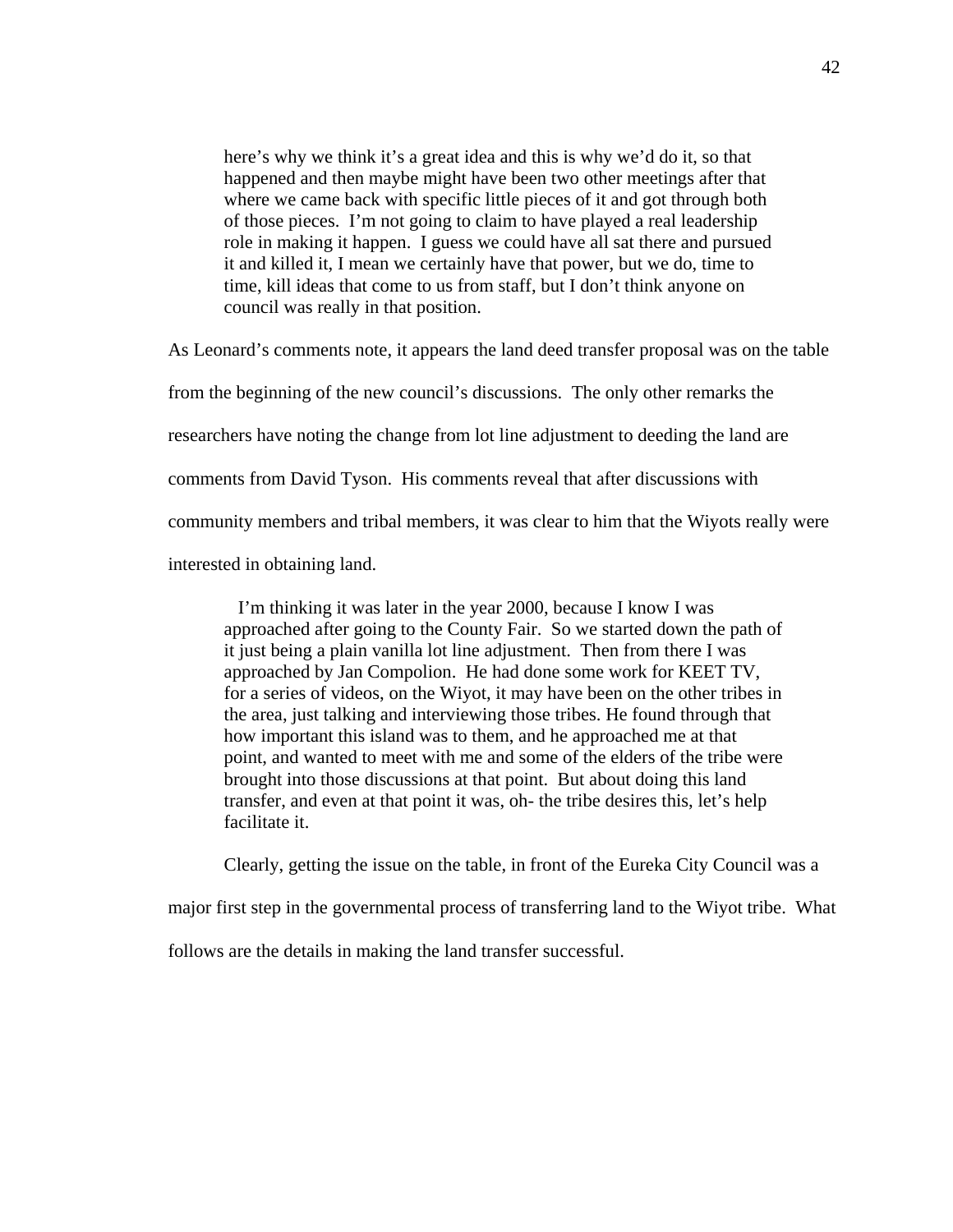here's why we think it's a great idea and this is why we'd do it, so that happened and then maybe might have been two other meetings after that where we came back with specific little pieces of it and got through both of those pieces. I'm not going to claim to have played a real leadership role in making it happen. I guess we could have all sat there and pursued it and killed it, I mean we certainly have that power, but we do, time to time, kill ideas that come to us from staff, but I don't think anyone on council was really in that position.

As Leonard's comments note, it appears the land deed transfer proposal was on the table from the beginning of the new council's discussions. The only other remarks the researchers have noting the change from lot line adjustment to deeding the land are comments from David Tyson. His comments reveal that after discussions with community members and tribal members, it was clear to him that the Wiyots really were interested in obtaining land.

 I'm thinking it was later in the year 2000, because I know I was approached after going to the County Fair. So we started down the path of it just being a plain vanilla lot line adjustment. Then from there I was approached by Jan Compolion. He had done some work for KEET TV, for a series of videos, on the Wiyot, it may have been on the other tribes in the area, just talking and interviewing those tribes. He found through that how important this island was to them, and he approached me at that point, and wanted to meet with me and some of the elders of the tribe were brought into those discussions at that point. But about doing this land transfer, and even at that point it was, oh- the tribe desires this, let's help facilitate it.

 Clearly, getting the issue on the table, in front of the Eureka City Council was a major first step in the governmental process of transferring land to the Wiyot tribe. What

follows are the details in making the land transfer successful.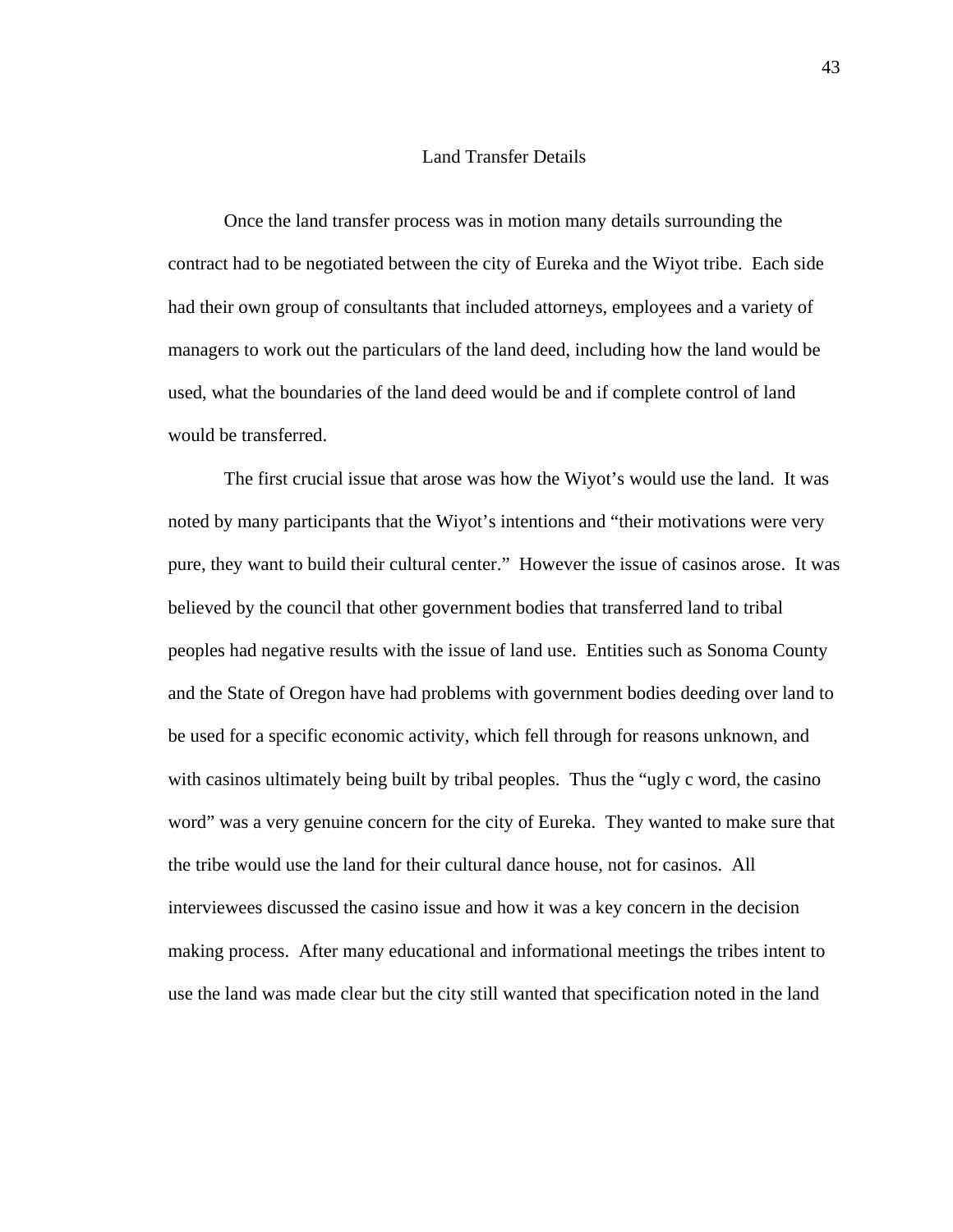#### Land Transfer Details

Once the land transfer process was in motion many details surrounding the contract had to be negotiated between the city of Eureka and the Wiyot tribe. Each side had their own group of consultants that included attorneys, employees and a variety of managers to work out the particulars of the land deed, including how the land would be used, what the boundaries of the land deed would be and if complete control of land would be transferred.

 The first crucial issue that arose was how the Wiyot's would use the land. It was noted by many participants that the Wiyot's intentions and "their motivations were very pure, they want to build their cultural center." However the issue of casinos arose. It was believed by the council that other government bodies that transferred land to tribal peoples had negative results with the issue of land use. Entities such as Sonoma County and the State of Oregon have had problems with government bodies deeding over land to be used for a specific economic activity, which fell through for reasons unknown, and with casinos ultimately being built by tribal peoples. Thus the "ugly c word, the casino" word" was a very genuine concern for the city of Eureka. They wanted to make sure that the tribe would use the land for their cultural dance house, not for casinos. All interviewees discussed the casino issue and how it was a key concern in the decision making process. After many educational and informational meetings the tribes intent to use the land was made clear but the city still wanted that specification noted in the land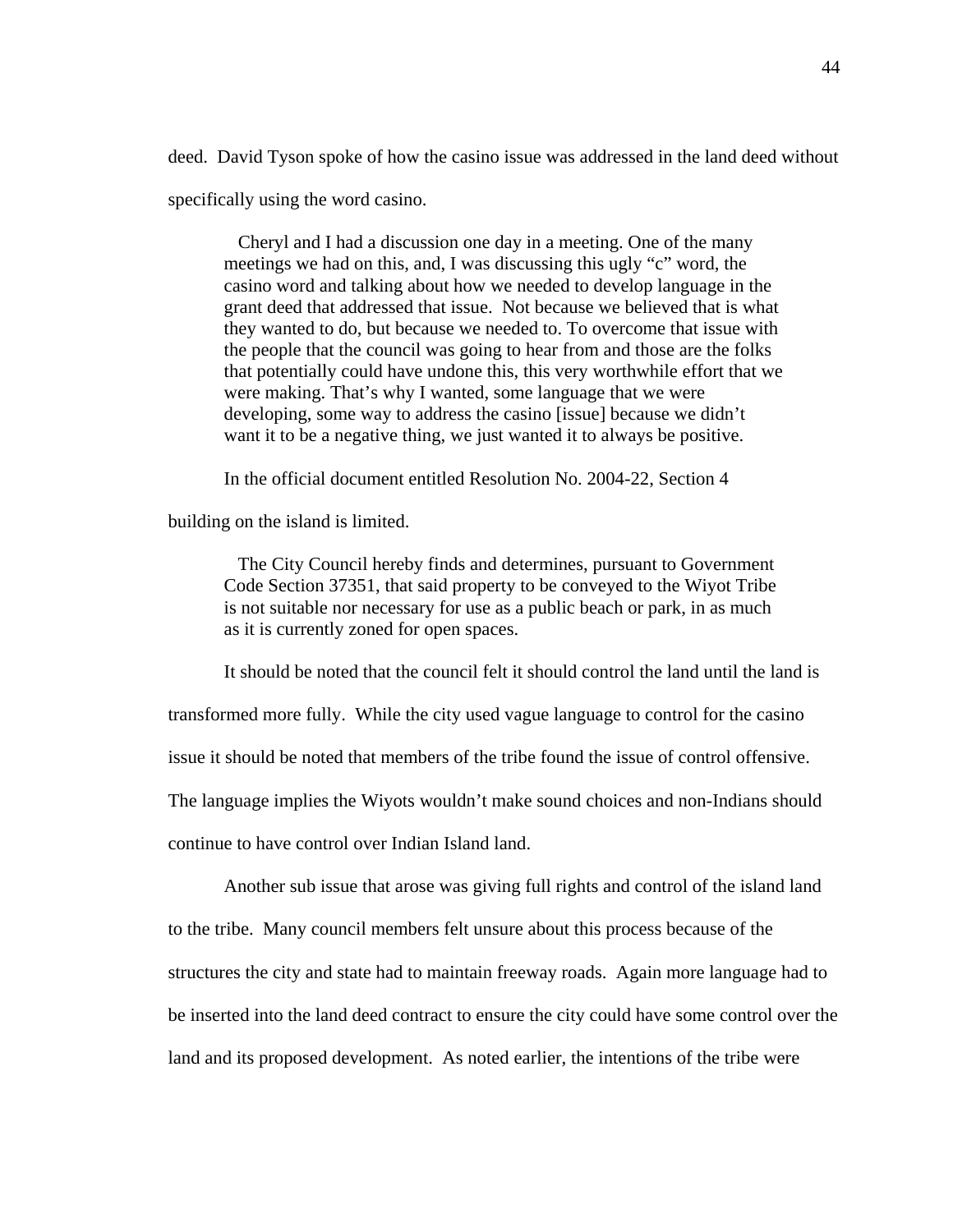deed. David Tyson spoke of how the casino issue was addressed in the land deed without specifically using the word casino.

 Cheryl and I had a discussion one day in a meeting. One of the many meetings we had on this, and, I was discussing this ugly "c" word, the casino word and talking about how we needed to develop language in the grant deed that addressed that issue. Not because we believed that is what they wanted to do, but because we needed to. To overcome that issue with the people that the council was going to hear from and those are the folks that potentially could have undone this, this very worthwhile effort that we were making. That's why I wanted, some language that we were developing, some way to address the casino [issue] because we didn't want it to be a negative thing, we just wanted it to always be positive.

In the official document entitled Resolution No. 2004-22, Section 4

building on the island is limited.

 The City Council hereby finds and determines, pursuant to Government Code Section 37351, that said property to be conveyed to the Wiyot Tribe is not suitable nor necessary for use as a public beach or park, in as much as it is currently zoned for open spaces.

It should be noted that the council felt it should control the land until the land is

transformed more fully. While the city used vague language to control for the casino

issue it should be noted that members of the tribe found the issue of control offensive.

The language implies the Wiyots wouldn't make sound choices and non-Indians should

continue to have control over Indian Island land.

 Another sub issue that arose was giving full rights and control of the island land to the tribe. Many council members felt unsure about this process because of the structures the city and state had to maintain freeway roads. Again more language had to be inserted into the land deed contract to ensure the city could have some control over the land and its proposed development. As noted earlier, the intentions of the tribe were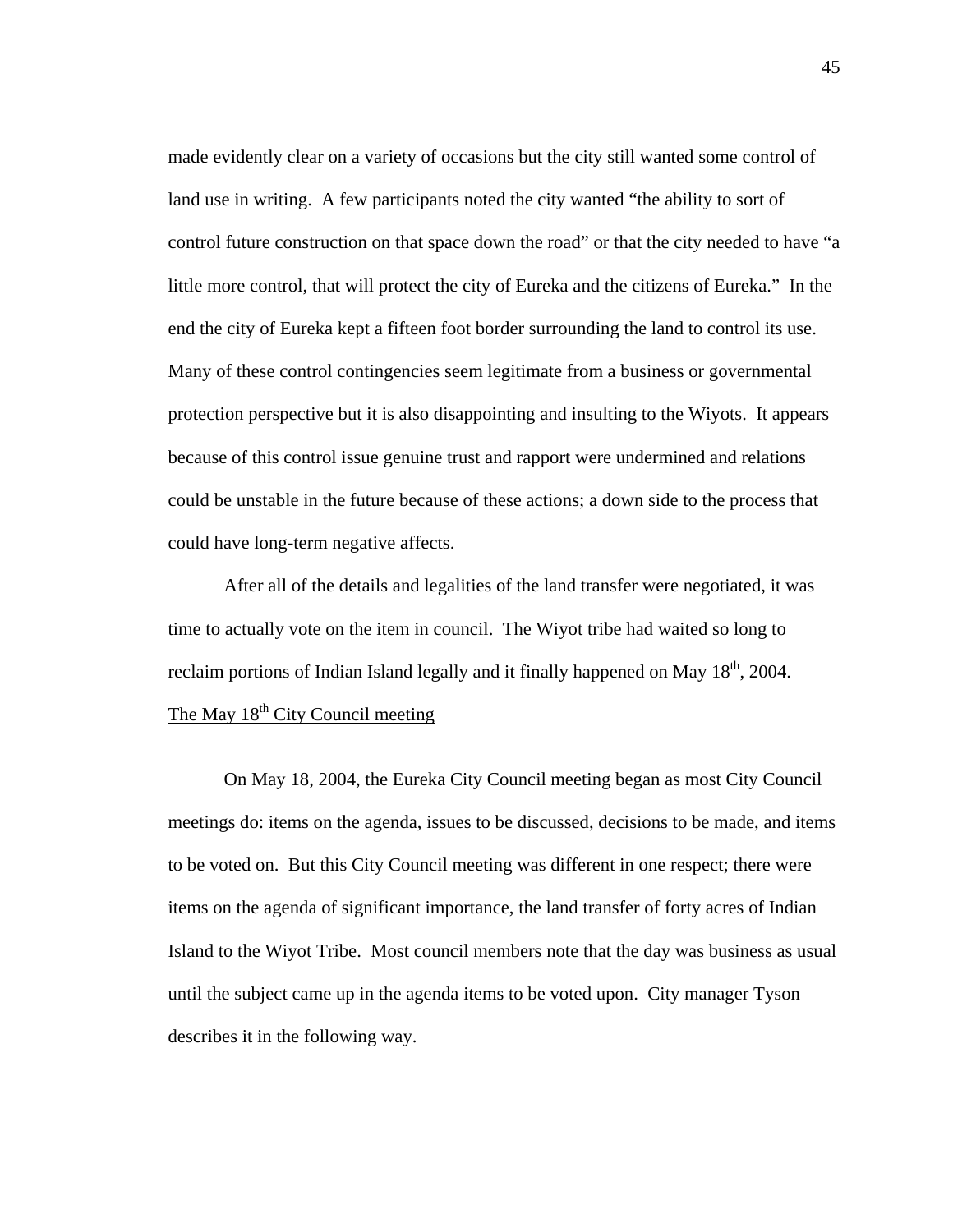made evidently clear on a variety of occasions but the city still wanted some control of land use in writing. A few participants noted the city wanted "the ability to sort of control future construction on that space down the road" or that the city needed to have "a little more control, that will protect the city of Eureka and the citizens of Eureka." In the end the city of Eureka kept a fifteen foot border surrounding the land to control its use. Many of these control contingencies seem legitimate from a business or governmental protection perspective but it is also disappointing and insulting to the Wiyots. It appears because of this control issue genuine trust and rapport were undermined and relations could be unstable in the future because of these actions; a down side to the process that could have long-term negative affects.

After all of the details and legalities of the land transfer were negotiated, it was time to actually vote on the item in council. The Wiyot tribe had waited so long to reclaim portions of Indian Island legally and it finally happened on May  $18<sup>th</sup>$ , 2004. The May  $18<sup>th</sup>$  City Council meeting

 On May 18, 2004, the Eureka City Council meeting began as most City Council meetings do: items on the agenda, issues to be discussed, decisions to be made, and items to be voted on. But this City Council meeting was different in one respect; there were items on the agenda of significant importance, the land transfer of forty acres of Indian Island to the Wiyot Tribe. Most council members note that the day was business as usual until the subject came up in the agenda items to be voted upon. City manager Tyson describes it in the following way.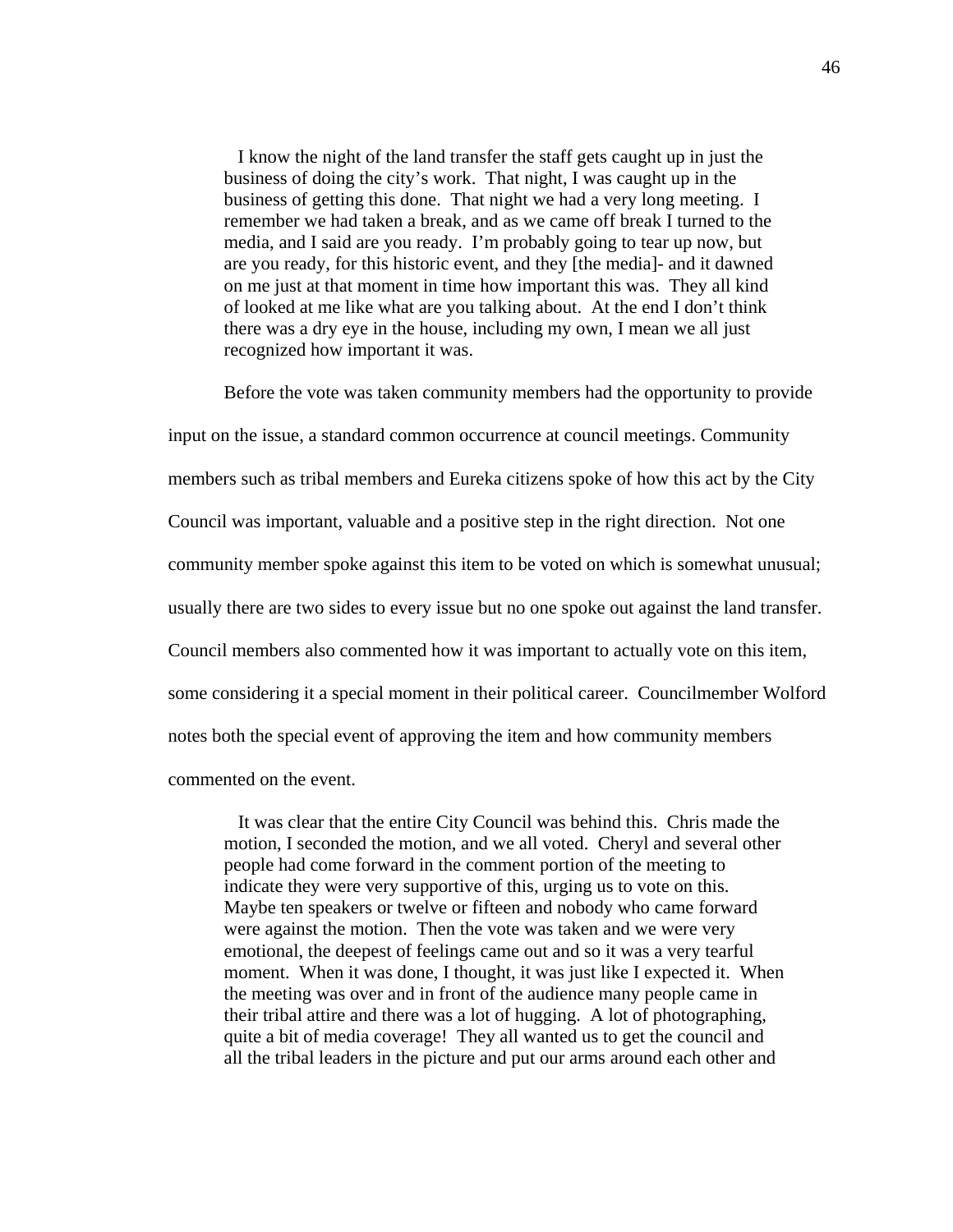I know the night of the land transfer the staff gets caught up in just the business of doing the city's work. That night, I was caught up in the business of getting this done. That night we had a very long meeting. I remember we had taken a break, and as we came off break I turned to the media, and I said are you ready. I'm probably going to tear up now, but are you ready, for this historic event, and they [the media]- and it dawned on me just at that moment in time how important this was. They all kind of looked at me like what are you talking about. At the end I don't think there was a dry eye in the house, including my own, I mean we all just recognized how important it was.

 Before the vote was taken community members had the opportunity to provide input on the issue, a standard common occurrence at council meetings. Community members such as tribal members and Eureka citizens spoke of how this act by the City Council was important, valuable and a positive step in the right direction. Not one community member spoke against this item to be voted on which is somewhat unusual; usually there are two sides to every issue but no one spoke out against the land transfer. Council members also commented how it was important to actually vote on this item, some considering it a special moment in their political career. Councilmember Wolford notes both the special event of approving the item and how community members commented on the event.

 It was clear that the entire City Council was behind this. Chris made the motion, I seconded the motion, and we all voted. Cheryl and several other people had come forward in the comment portion of the meeting to indicate they were very supportive of this, urging us to vote on this. Maybe ten speakers or twelve or fifteen and nobody who came forward were against the motion. Then the vote was taken and we were very emotional, the deepest of feelings came out and so it was a very tearful moment. When it was done, I thought, it was just like I expected it. When the meeting was over and in front of the audience many people came in their tribal attire and there was a lot of hugging. A lot of photographing, quite a bit of media coverage! They all wanted us to get the council and all the tribal leaders in the picture and put our arms around each other and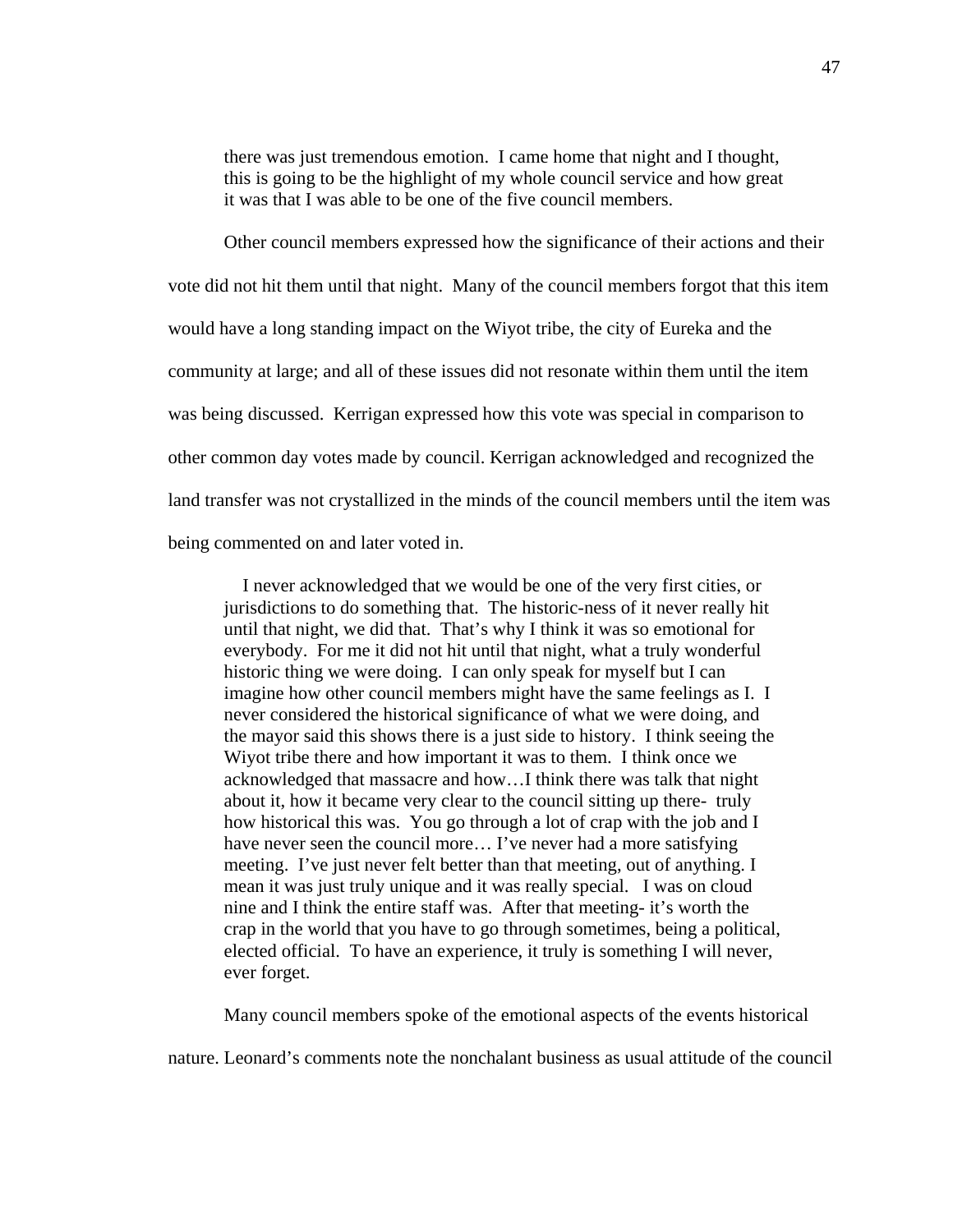there was just tremendous emotion. I came home that night and I thought, this is going to be the highlight of my whole council service and how great it was that I was able to be one of the five council members.

 Other council members expressed how the significance of their actions and their vote did not hit them until that night. Many of the council members forgot that this item would have a long standing impact on the Wiyot tribe, the city of Eureka and the community at large; and all of these issues did not resonate within them until the item was being discussed. Kerrigan expressed how this vote was special in comparison to other common day votes made by council. Kerrigan acknowledged and recognized the land transfer was not crystallized in the minds of the council members until the item was being commented on and later voted in.

 I never acknowledged that we would be one of the very first cities, or jurisdictions to do something that. The historic-ness of it never really hit until that night, we did that. That's why I think it was so emotional for everybody. For me it did not hit until that night, what a truly wonderful historic thing we were doing. I can only speak for myself but I can imagine how other council members might have the same feelings as I. I never considered the historical significance of what we were doing, and the mayor said this shows there is a just side to history. I think seeing the Wiyot tribe there and how important it was to them. I think once we acknowledged that massacre and how…I think there was talk that night about it, how it became very clear to the council sitting up there- truly how historical this was. You go through a lot of crap with the job and I have never seen the council more... I've never had a more satisfying meeting. I've just never felt better than that meeting, out of anything. I mean it was just truly unique and it was really special. I was on cloud nine and I think the entire staff was. After that meeting- it's worth the crap in the world that you have to go through sometimes, being a political, elected official. To have an experience, it truly is something I will never, ever forget.

Many council members spoke of the emotional aspects of the events historical

nature. Leonard's comments note the nonchalant business as usual attitude of the council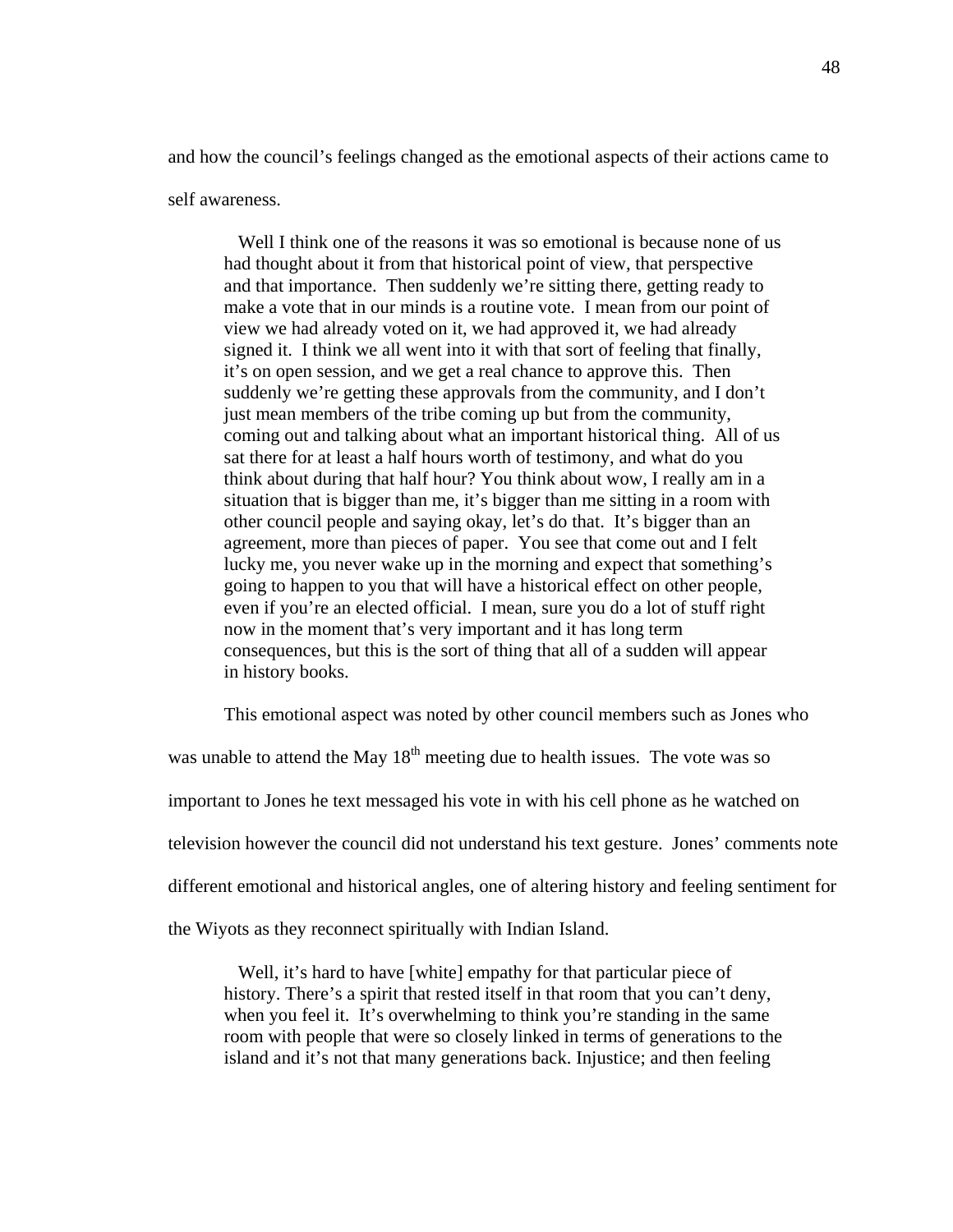and how the council's feelings changed as the emotional aspects of their actions came to self awareness.

 Well I think one of the reasons it was so emotional is because none of us had thought about it from that historical point of view, that perspective and that importance. Then suddenly we're sitting there, getting ready to make a vote that in our minds is a routine vote. I mean from our point of view we had already voted on it, we had approved it, we had already signed it. I think we all went into it with that sort of feeling that finally, it's on open session, and we get a real chance to approve this. Then suddenly we're getting these approvals from the community, and I don't just mean members of the tribe coming up but from the community, coming out and talking about what an important historical thing. All of us sat there for at least a half hours worth of testimony, and what do you think about during that half hour? You think about wow, I really am in a situation that is bigger than me, it's bigger than me sitting in a room with other council people and saying okay, let's do that. It's bigger than an agreement, more than pieces of paper. You see that come out and I felt lucky me, you never wake up in the morning and expect that something's going to happen to you that will have a historical effect on other people, even if you're an elected official. I mean, sure you do a lot of stuff right now in the moment that's very important and it has long term consequences, but this is the sort of thing that all of a sudden will appear in history books.

This emotional aspect was noted by other council members such as Jones who

was unable to attend the May  $18<sup>th</sup>$  meeting due to health issues. The vote was so important to Jones he text messaged his vote in with his cell phone as he watched on television however the council did not understand his text gesture. Jones' comments note different emotional and historical angles, one of altering history and feeling sentiment for the Wiyots as they reconnect spiritually with Indian Island.

Well, it's hard to have [white] empathy for that particular piece of history. There's a spirit that rested itself in that room that you can't deny, when you feel it. It's overwhelming to think you're standing in the same room with people that were so closely linked in terms of generations to the island and it's not that many generations back. Injustice; and then feeling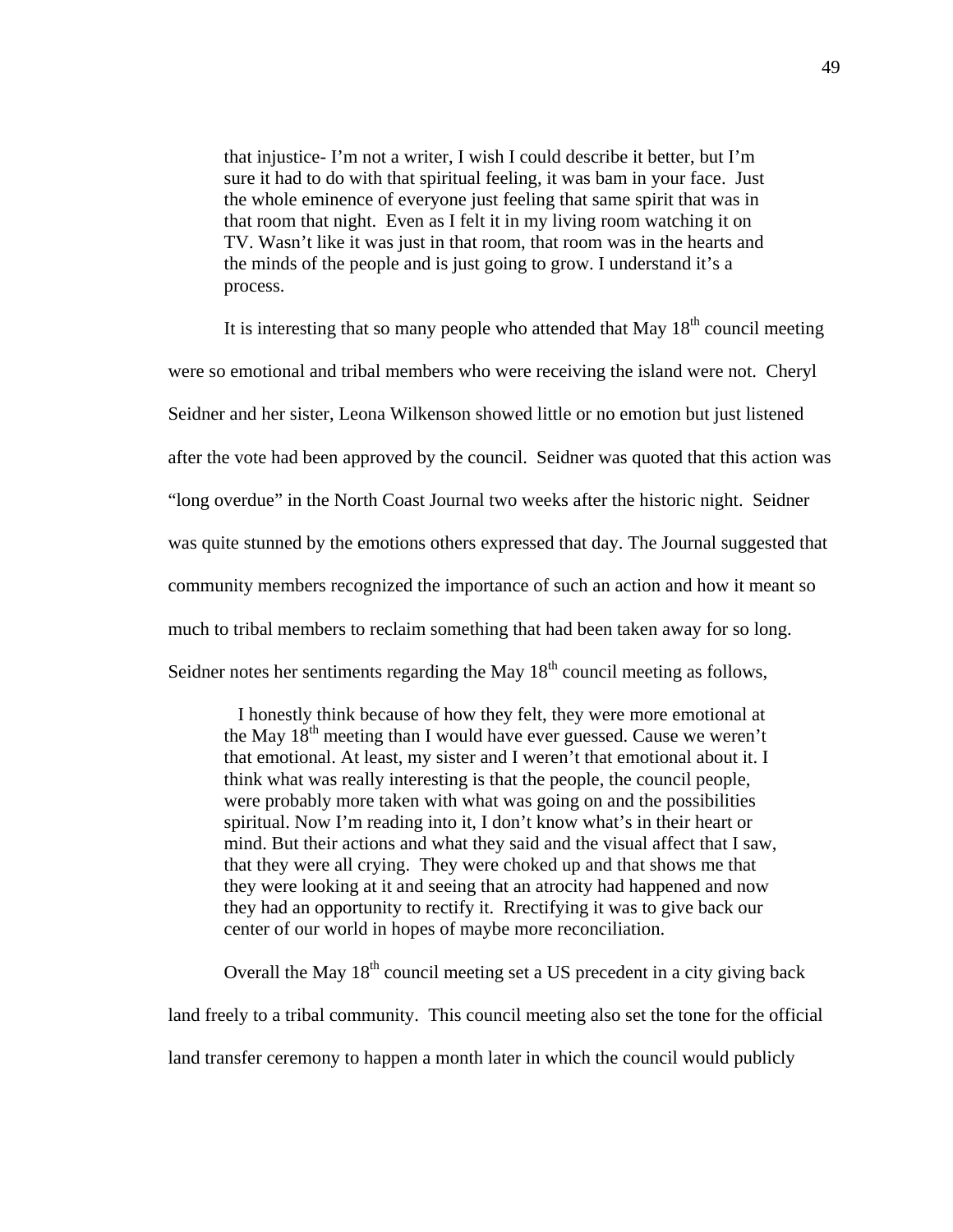that injustice- I'm not a writer, I wish I could describe it better, but I'm sure it had to do with that spiritual feeling, it was bam in your face. Just the whole eminence of everyone just feeling that same spirit that was in that room that night. Even as I felt it in my living room watching it on TV. Wasn't like it was just in that room, that room was in the hearts and the minds of the people and is just going to grow. I understand it's a process.

It is interesting that so many people who attended that May  $18<sup>th</sup>$  council meeting were so emotional and tribal members who were receiving the island were not. Cheryl Seidner and her sister, Leona Wilkenson showed little or no emotion but just listened after the vote had been approved by the council. Seidner was quoted that this action was "long overdue" in the North Coast Journal two weeks after the historic night. Seidner was quite stunned by the emotions others expressed that day. The Journal suggested that community members recognized the importance of such an action and how it meant so much to tribal members to reclaim something that had been taken away for so long. Seidner notes her sentiments regarding the May  $18<sup>th</sup>$  council meeting as follows,

 I honestly think because of how they felt, they were more emotional at the May  $18<sup>th</sup>$  meeting than I would have ever guessed. Cause we weren't that emotional. At least, my sister and I weren't that emotional about it. I think what was really interesting is that the people, the council people, were probably more taken with what was going on and the possibilities spiritual. Now I'm reading into it, I don't know what's in their heart or mind. But their actions and what they said and the visual affect that I saw, that they were all crying. They were choked up and that shows me that they were looking at it and seeing that an atrocity had happened and now they had an opportunity to rectify it. Rrectifying it was to give back our center of our world in hopes of maybe more reconciliation.

Overall the May  $18<sup>th</sup>$  council meeting set a US precedent in a city giving back land freely to a tribal community. This council meeting also set the tone for the official land transfer ceremony to happen a month later in which the council would publicly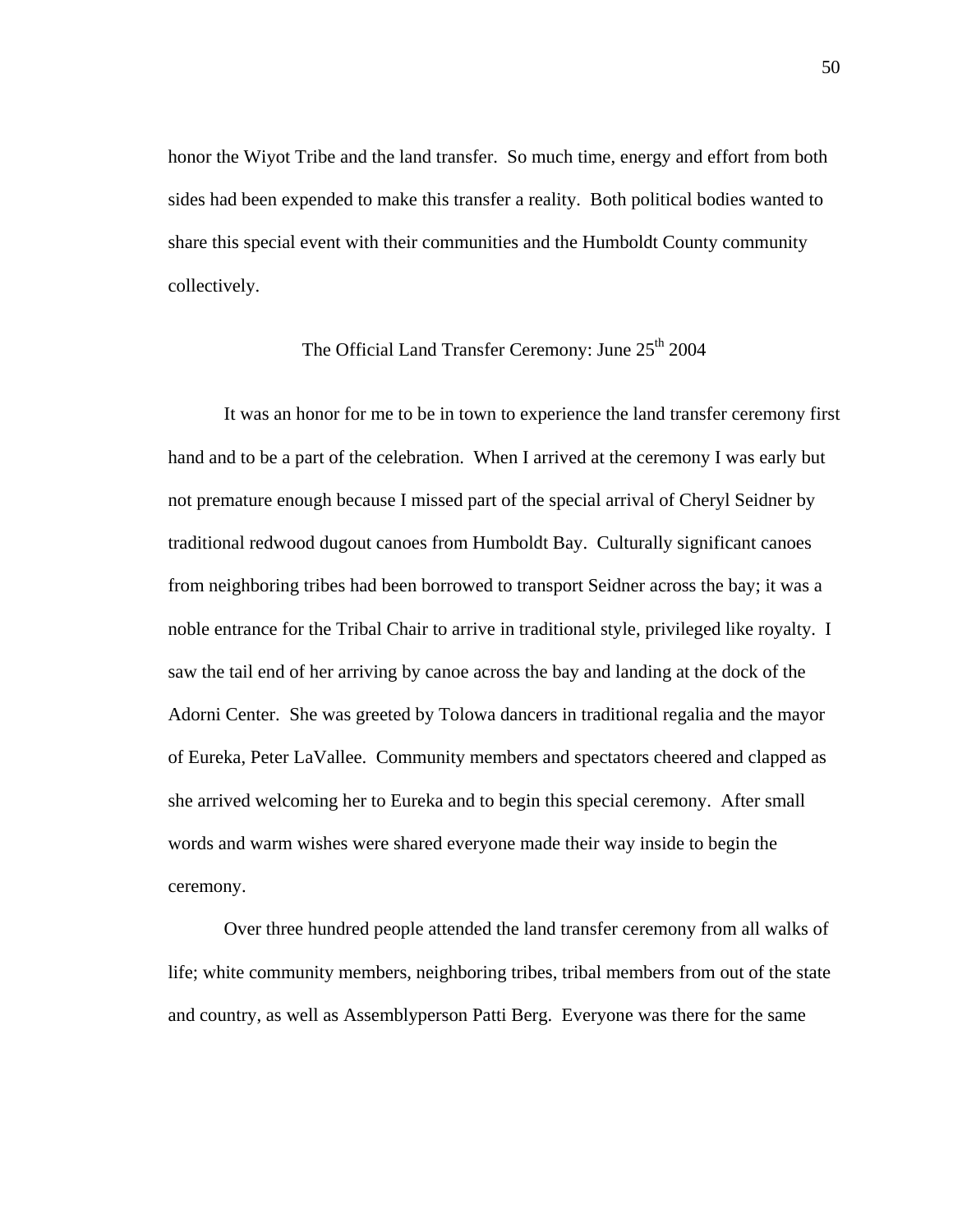honor the Wiyot Tribe and the land transfer. So much time, energy and effort from both sides had been expended to make this transfer a reality. Both political bodies wanted to share this special event with their communities and the Humboldt County community collectively.

# The Official Land Transfer Ceremony: June 25<sup>th</sup> 2004

 It was an honor for me to be in town to experience the land transfer ceremony first hand and to be a part of the celebration. When I arrived at the ceremony I was early but not premature enough because I missed part of the special arrival of Cheryl Seidner by traditional redwood dugout canoes from Humboldt Bay. Culturally significant canoes from neighboring tribes had been borrowed to transport Seidner across the bay; it was a noble entrance for the Tribal Chair to arrive in traditional style, privileged like royalty. I saw the tail end of her arriving by canoe across the bay and landing at the dock of the Adorni Center. She was greeted by Tolowa dancers in traditional regalia and the mayor of Eureka, Peter LaVallee. Community members and spectators cheered and clapped as she arrived welcoming her to Eureka and to begin this special ceremony. After small words and warm wishes were shared everyone made their way inside to begin the ceremony.

 Over three hundred people attended the land transfer ceremony from all walks of life; white community members, neighboring tribes, tribal members from out of the state and country, as well as Assemblyperson Patti Berg. Everyone was there for the same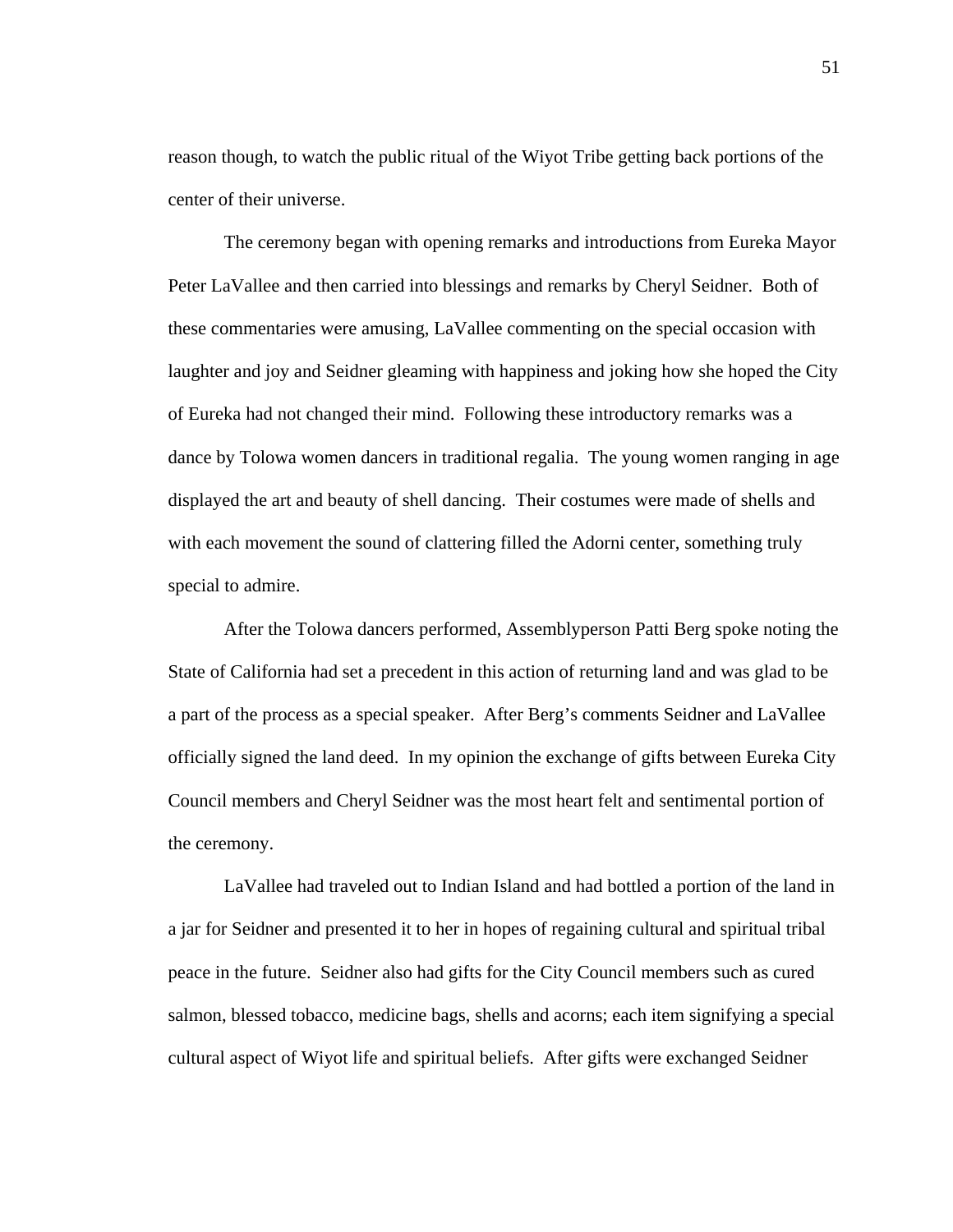reason though, to watch the public ritual of the Wiyot Tribe getting back portions of the center of their universe.

 The ceremony began with opening remarks and introductions from Eureka Mayor Peter LaVallee and then carried into blessings and remarks by Cheryl Seidner. Both of these commentaries were amusing, LaVallee commenting on the special occasion with laughter and joy and Seidner gleaming with happiness and joking how she hoped the City of Eureka had not changed their mind. Following these introductory remarks was a dance by Tolowa women dancers in traditional regalia. The young women ranging in age displayed the art and beauty of shell dancing. Their costumes were made of shells and with each movement the sound of clattering filled the Adorni center, something truly special to admire.

After the Tolowa dancers performed, Assemblyperson Patti Berg spoke noting the State of California had set a precedent in this action of returning land and was glad to be a part of the process as a special speaker. After Berg's comments Seidner and LaVallee officially signed the land deed. In my opinion the exchange of gifts between Eureka City Council members and Cheryl Seidner was the most heart felt and sentimental portion of the ceremony.

 LaVallee had traveled out to Indian Island and had bottled a portion of the land in a jar for Seidner and presented it to her in hopes of regaining cultural and spiritual tribal peace in the future. Seidner also had gifts for the City Council members such as cured salmon, blessed tobacco, medicine bags, shells and acorns; each item signifying a special cultural aspect of Wiyot life and spiritual beliefs. After gifts were exchanged Seidner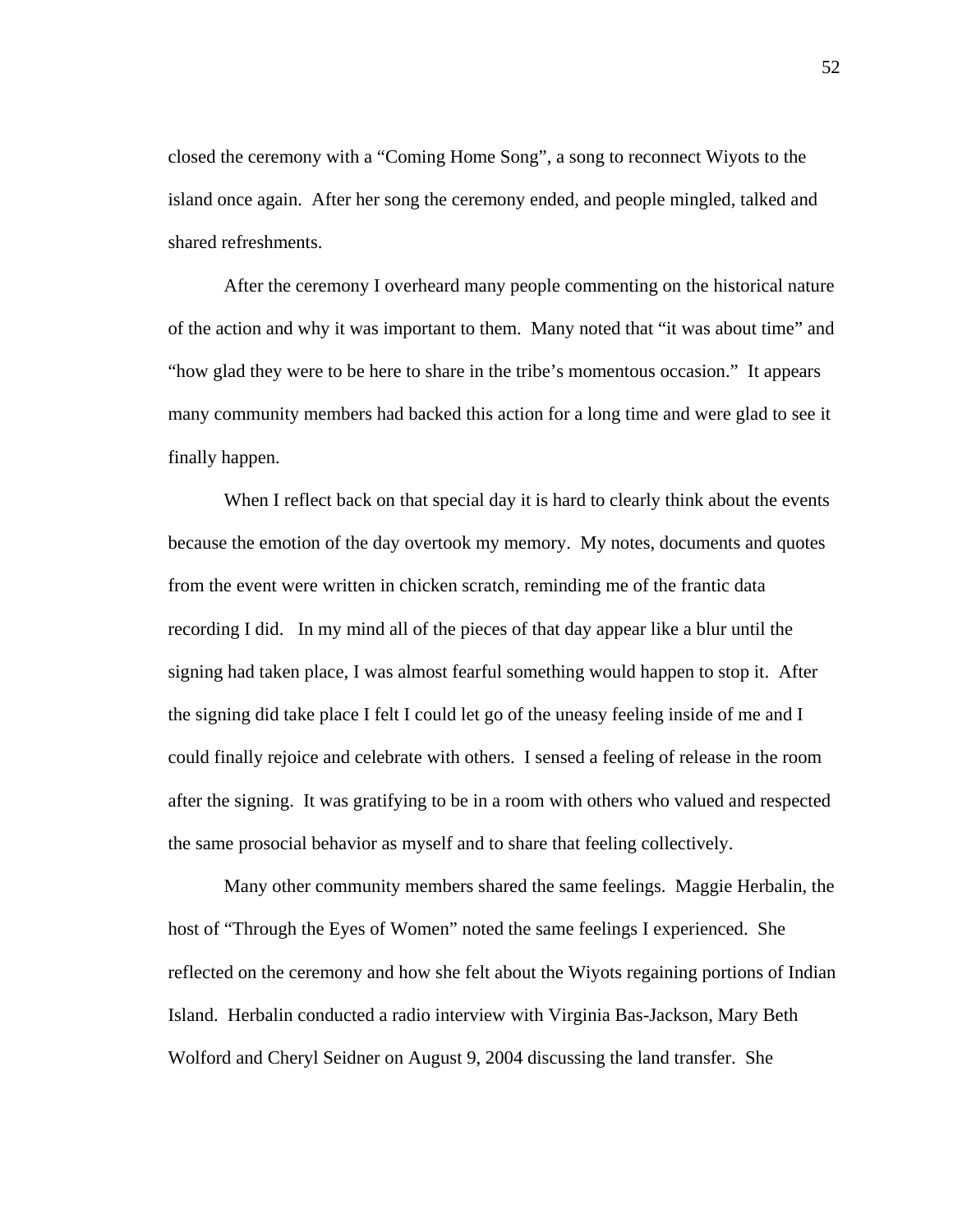closed the ceremony with a "Coming Home Song", a song to reconnect Wiyots to the island once again. After her song the ceremony ended, and people mingled, talked and shared refreshments.

 After the ceremony I overheard many people commenting on the historical nature of the action and why it was important to them. Many noted that "it was about time" and "how glad they were to be here to share in the tribe's momentous occasion." It appears many community members had backed this action for a long time and were glad to see it finally happen.

When I reflect back on that special day it is hard to clearly think about the events because the emotion of the day overtook my memory. My notes, documents and quotes from the event were written in chicken scratch, reminding me of the frantic data recording I did. In my mind all of the pieces of that day appear like a blur until the signing had taken place, I was almost fearful something would happen to stop it. After the signing did take place I felt I could let go of the uneasy feeling inside of me and I could finally rejoice and celebrate with others. I sensed a feeling of release in the room after the signing. It was gratifying to be in a room with others who valued and respected the same prosocial behavior as myself and to share that feeling collectively.

 Many other community members shared the same feelings. Maggie Herbalin, the host of "Through the Eyes of Women" noted the same feelings I experienced. She reflected on the ceremony and how she felt about the Wiyots regaining portions of Indian Island. Herbalin conducted a radio interview with Virginia Bas-Jackson, Mary Beth Wolford and Cheryl Seidner on August 9, 2004 discussing the land transfer. She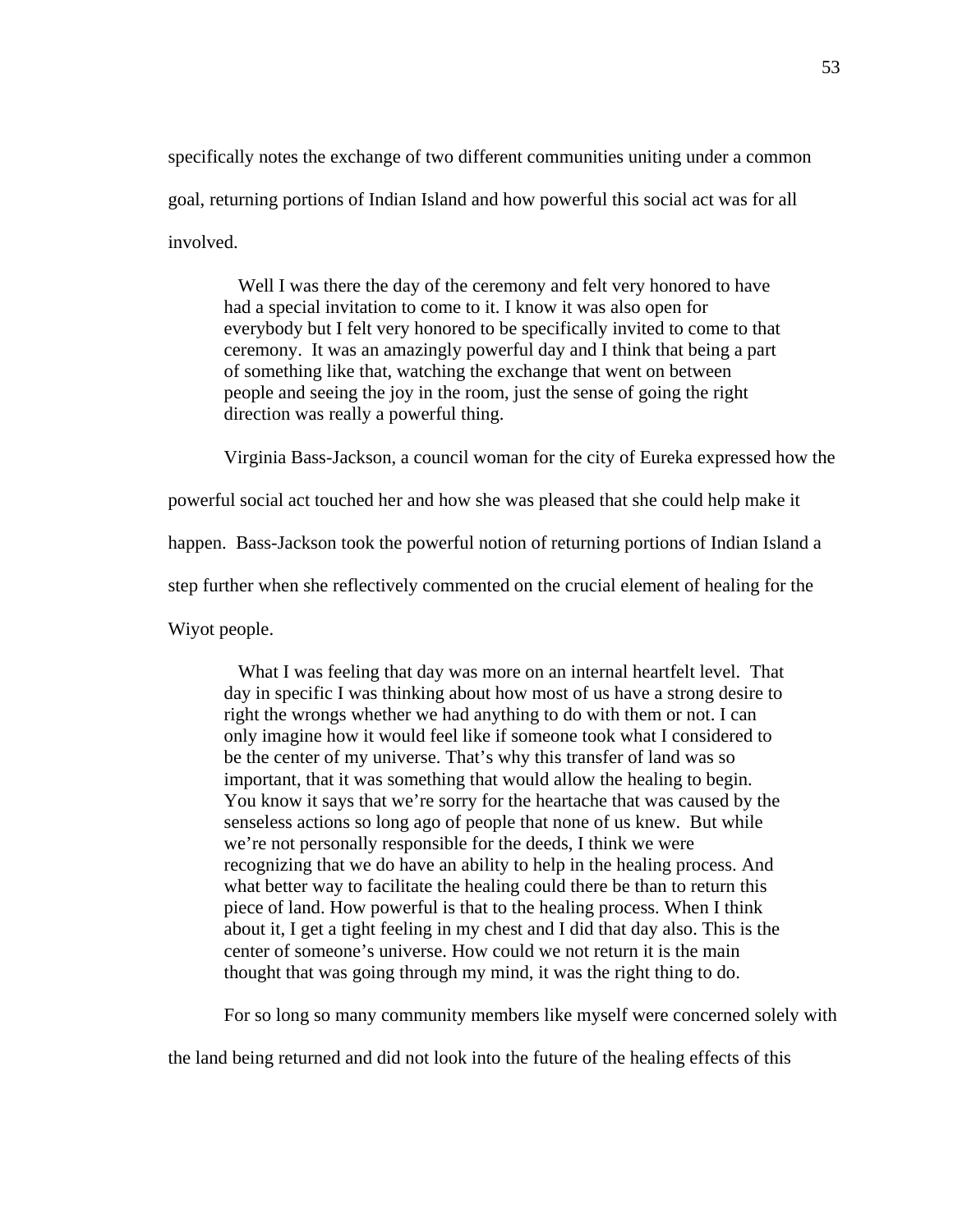specifically notes the exchange of two different communities uniting under a common goal, returning portions of Indian Island and how powerful this social act was for all involved.

 Well I was there the day of the ceremony and felt very honored to have had a special invitation to come to it. I know it was also open for everybody but I felt very honored to be specifically invited to come to that ceremony. It was an amazingly powerful day and I think that being a part of something like that, watching the exchange that went on between people and seeing the joy in the room, just the sense of going the right direction was really a powerful thing.

Virginia Bass-Jackson, a council woman for the city of Eureka expressed how the

powerful social act touched her and how she was pleased that she could help make it

happen. Bass-Jackson took the powerful notion of returning portions of Indian Island a

step further when she reflectively commented on the crucial element of healing for the

Wiyot people.

 What I was feeling that day was more on an internal heartfelt level. That day in specific I was thinking about how most of us have a strong desire to right the wrongs whether we had anything to do with them or not. I can only imagine how it would feel like if someone took what I considered to be the center of my universe. That's why this transfer of land was so important, that it was something that would allow the healing to begin. You know it says that we're sorry for the heartache that was caused by the senseless actions so long ago of people that none of us knew. But while we're not personally responsible for the deeds, I think we were recognizing that we do have an ability to help in the healing process. And what better way to facilitate the healing could there be than to return this piece of land. How powerful is that to the healing process. When I think about it, I get a tight feeling in my chest and I did that day also. This is the center of someone's universe. How could we not return it is the main thought that was going through my mind, it was the right thing to do.

For so long so many community members like myself were concerned solely with

the land being returned and did not look into the future of the healing effects of this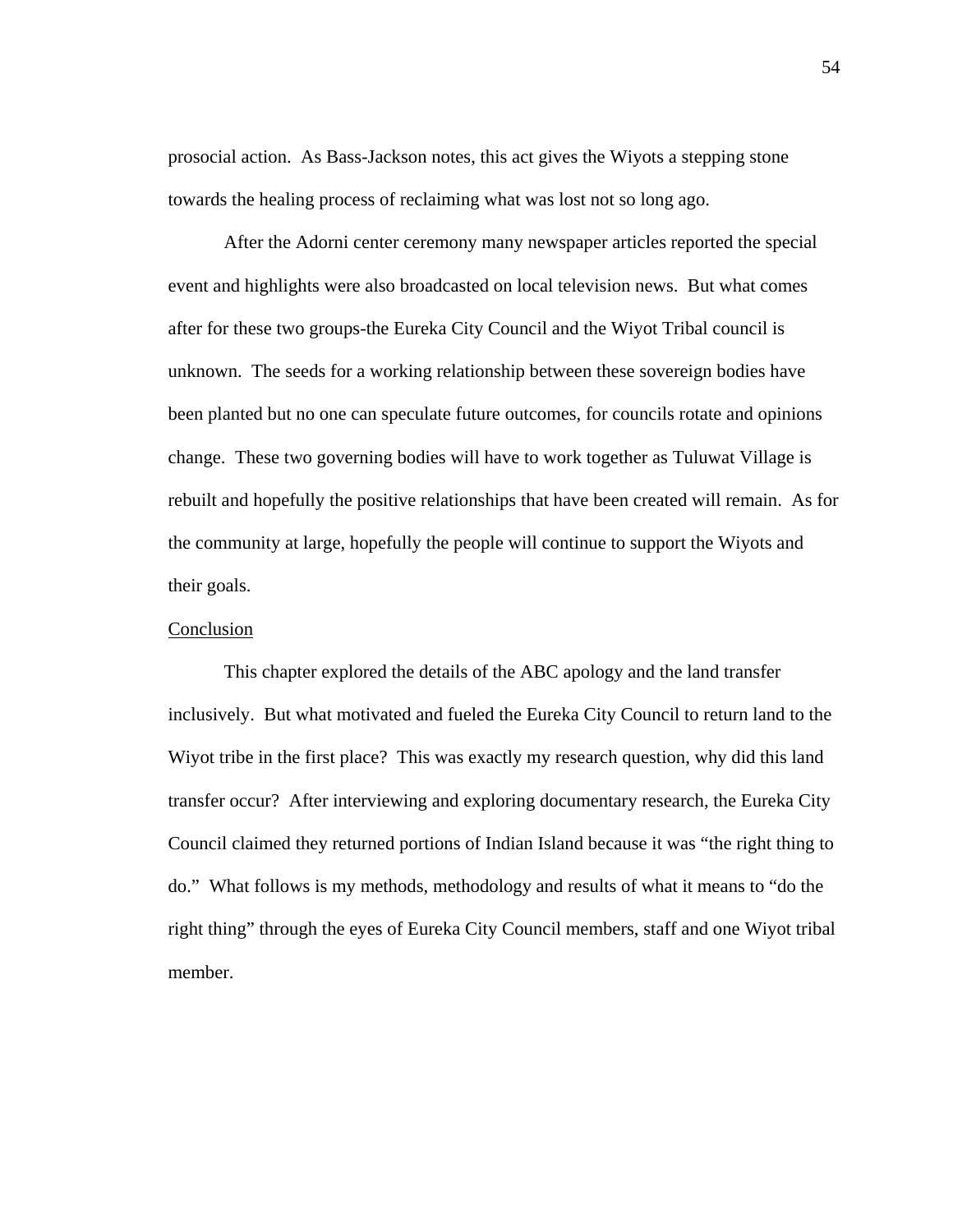prosocial action. As Bass-Jackson notes, this act gives the Wiyots a stepping stone towards the healing process of reclaiming what was lost not so long ago.

After the Adorni center ceremony many newspaper articles reported the special event and highlights were also broadcasted on local television news. But what comes after for these two groups-the Eureka City Council and the Wiyot Tribal council is unknown. The seeds for a working relationship between these sovereign bodies have been planted but no one can speculate future outcomes, for councils rotate and opinions change. These two governing bodies will have to work together as Tuluwat Village is rebuilt and hopefully the positive relationships that have been created will remain. As for the community at large, hopefully the people will continue to support the Wiyots and their goals.

#### Conclusion

 This chapter explored the details of the ABC apology and the land transfer inclusively. But what motivated and fueled the Eureka City Council to return land to the Wiyot tribe in the first place? This was exactly my research question, why did this land transfer occur? After interviewing and exploring documentary research, the Eureka City Council claimed they returned portions of Indian Island because it was "the right thing to do." What follows is my methods, methodology and results of what it means to "do the right thing" through the eyes of Eureka City Council members, staff and one Wiyot tribal member.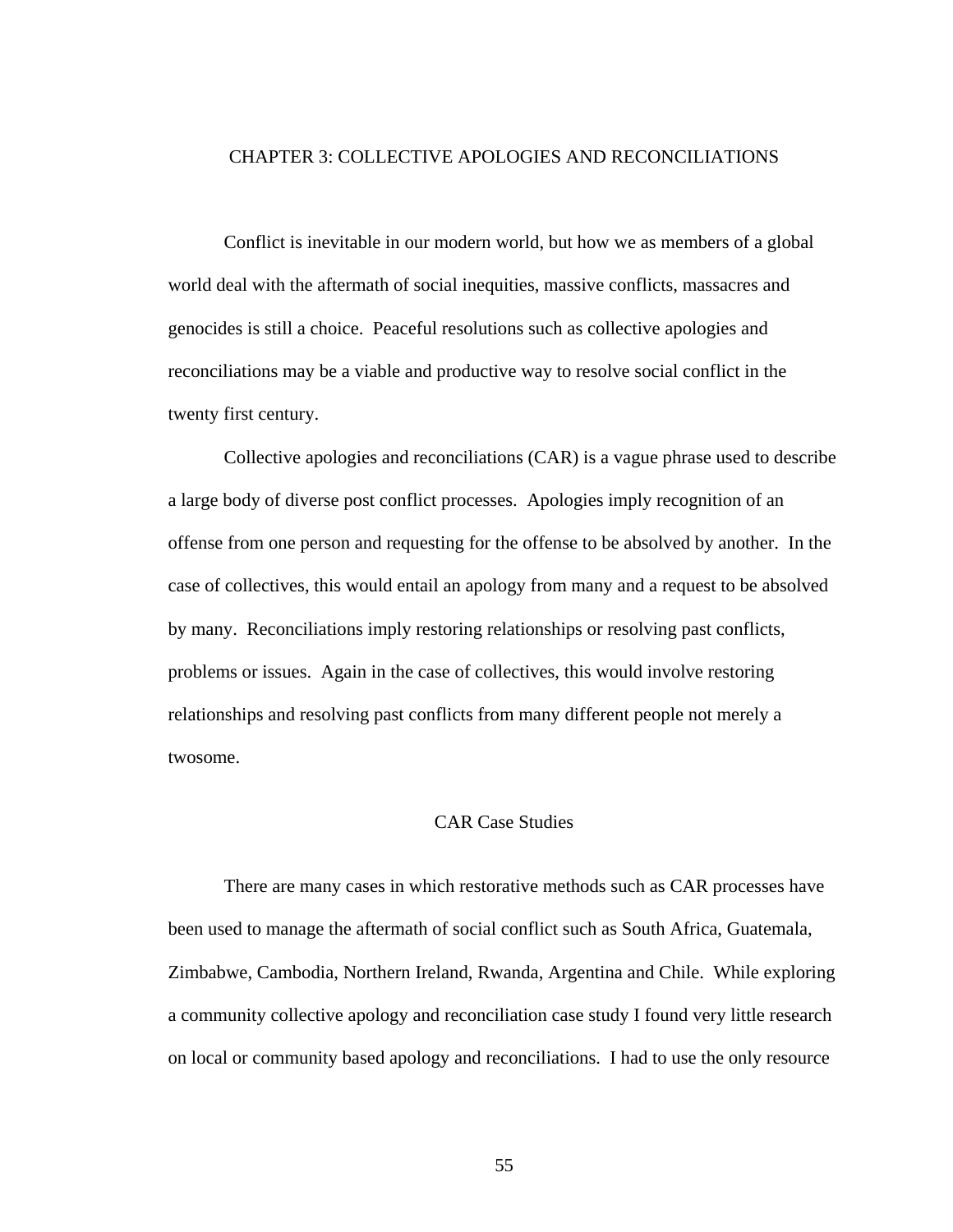#### CHAPTER 3: COLLECTIVE APOLOGIES AND RECONCILIATIONS

Conflict is inevitable in our modern world, but how we as members of a global world deal with the aftermath of social inequities, massive conflicts, massacres and genocides is still a choice. Peaceful resolutions such as collective apologies and reconciliations may be a viable and productive way to resolve social conflict in the twenty first century.

Collective apologies and reconciliations (CAR) is a vague phrase used to describe a large body of diverse post conflict processes. Apologies imply recognition of an offense from one person and requesting for the offense to be absolved by another. In the case of collectives, this would entail an apology from many and a request to be absolved by many. Reconciliations imply restoring relationships or resolving past conflicts, problems or issues. Again in the case of collectives, this would involve restoring relationships and resolving past conflicts from many different people not merely a twosome.

# CAR Case Studies

There are many cases in which restorative methods such as CAR processes have been used to manage the aftermath of social conflict such as South Africa, Guatemala, Zimbabwe, Cambodia, Northern Ireland, Rwanda, Argentina and Chile. While exploring a community collective apology and reconciliation case study I found very little research on local or community based apology and reconciliations. I had to use the only resource

55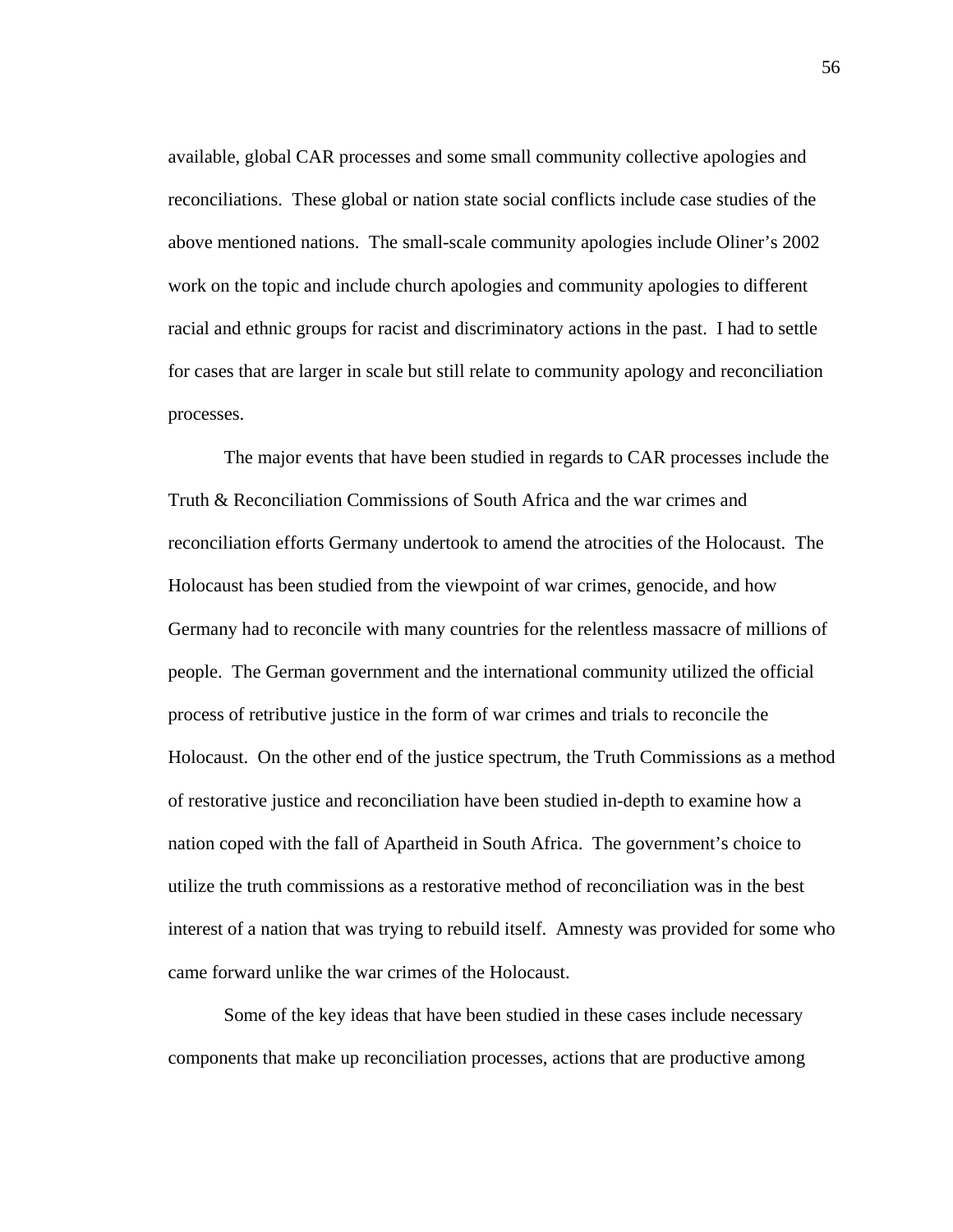available, global CAR processes and some small community collective apologies and reconciliations. These global or nation state social conflicts include case studies of the above mentioned nations. The small-scale community apologies include Oliner's 2002 work on the topic and include church apologies and community apologies to different racial and ethnic groups for racist and discriminatory actions in the past. I had to settle for cases that are larger in scale but still relate to community apology and reconciliation processes.

The major events that have been studied in regards to CAR processes include the Truth & Reconciliation Commissions of South Africa and the war crimes and reconciliation efforts Germany undertook to amend the atrocities of the Holocaust. The Holocaust has been studied from the viewpoint of war crimes, genocide, and how Germany had to reconcile with many countries for the relentless massacre of millions of people. The German government and the international community utilized the official process of retributive justice in the form of war crimes and trials to reconcile the Holocaust. On the other end of the justice spectrum, the Truth Commissions as a method of restorative justice and reconciliation have been studied in-depth to examine how a nation coped with the fall of Apartheid in South Africa. The government's choice to utilize the truth commissions as a restorative method of reconciliation was in the best interest of a nation that was trying to rebuild itself. Amnesty was provided for some who came forward unlike the war crimes of the Holocaust.

Some of the key ideas that have been studied in these cases include necessary components that make up reconciliation processes, actions that are productive among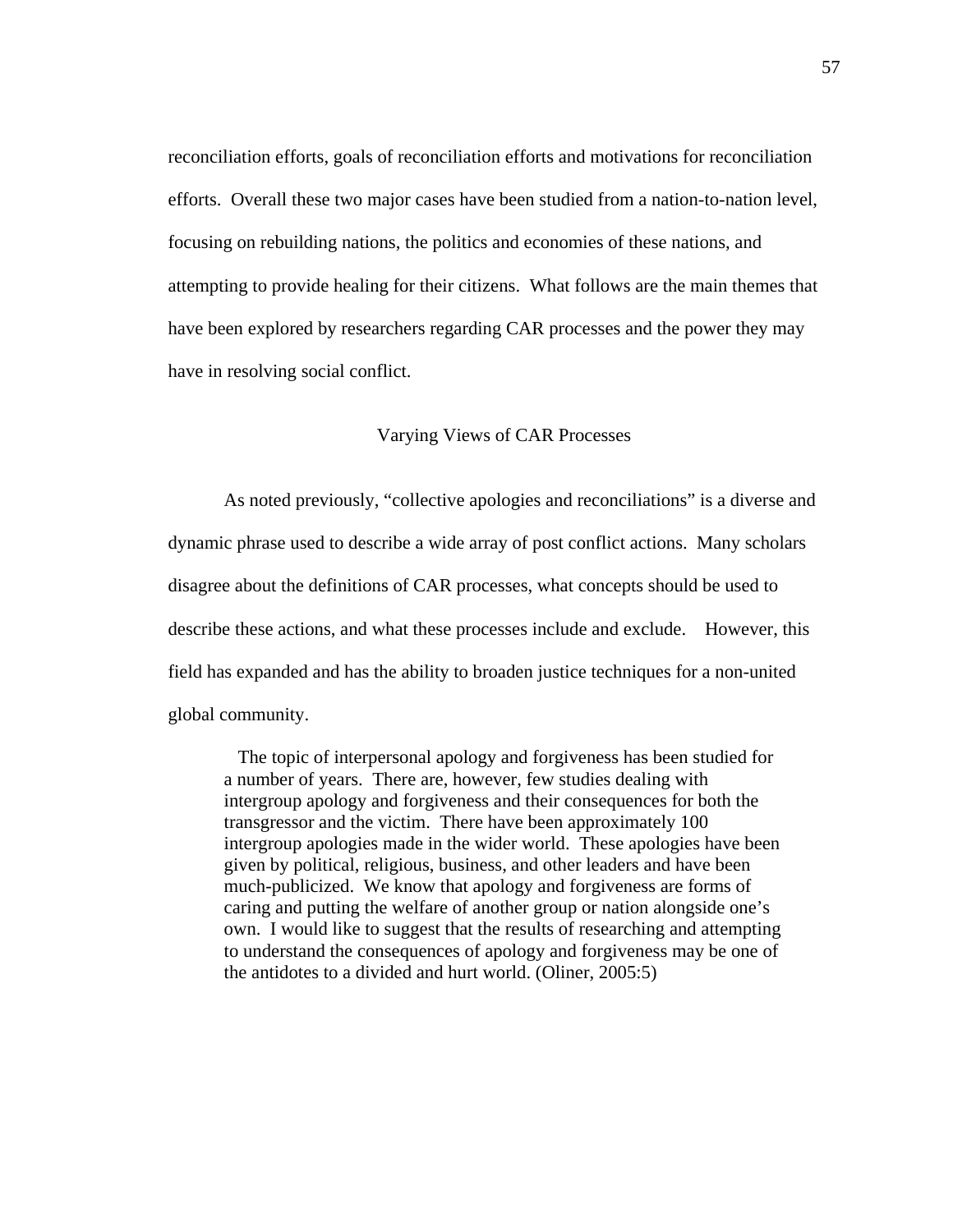reconciliation efforts, goals of reconciliation efforts and motivations for reconciliation efforts. Overall these two major cases have been studied from a nation-to-nation level, focusing on rebuilding nations, the politics and economies of these nations, and attempting to provide healing for their citizens. What follows are the main themes that have been explored by researchers regarding CAR processes and the power they may have in resolving social conflict.

# Varying Views of CAR Processes

 As noted previously, "collective apologies and reconciliations" is a diverse and dynamic phrase used to describe a wide array of post conflict actions. Many scholars disagree about the definitions of CAR processes, what concepts should be used to describe these actions, and what these processes include and exclude. However, this field has expanded and has the ability to broaden justice techniques for a non-united global community.

 The topic of interpersonal apology and forgiveness has been studied for a number of years. There are, however, few studies dealing with intergroup apology and forgiveness and their consequences for both the transgressor and the victim. There have been approximately 100 intergroup apologies made in the wider world. These apologies have been given by political, religious, business, and other leaders and have been much-publicized. We know that apology and forgiveness are forms of caring and putting the welfare of another group or nation alongside one's own. I would like to suggest that the results of researching and attempting to understand the consequences of apology and forgiveness may be one of the antidotes to a divided and hurt world. (Oliner, 2005:5)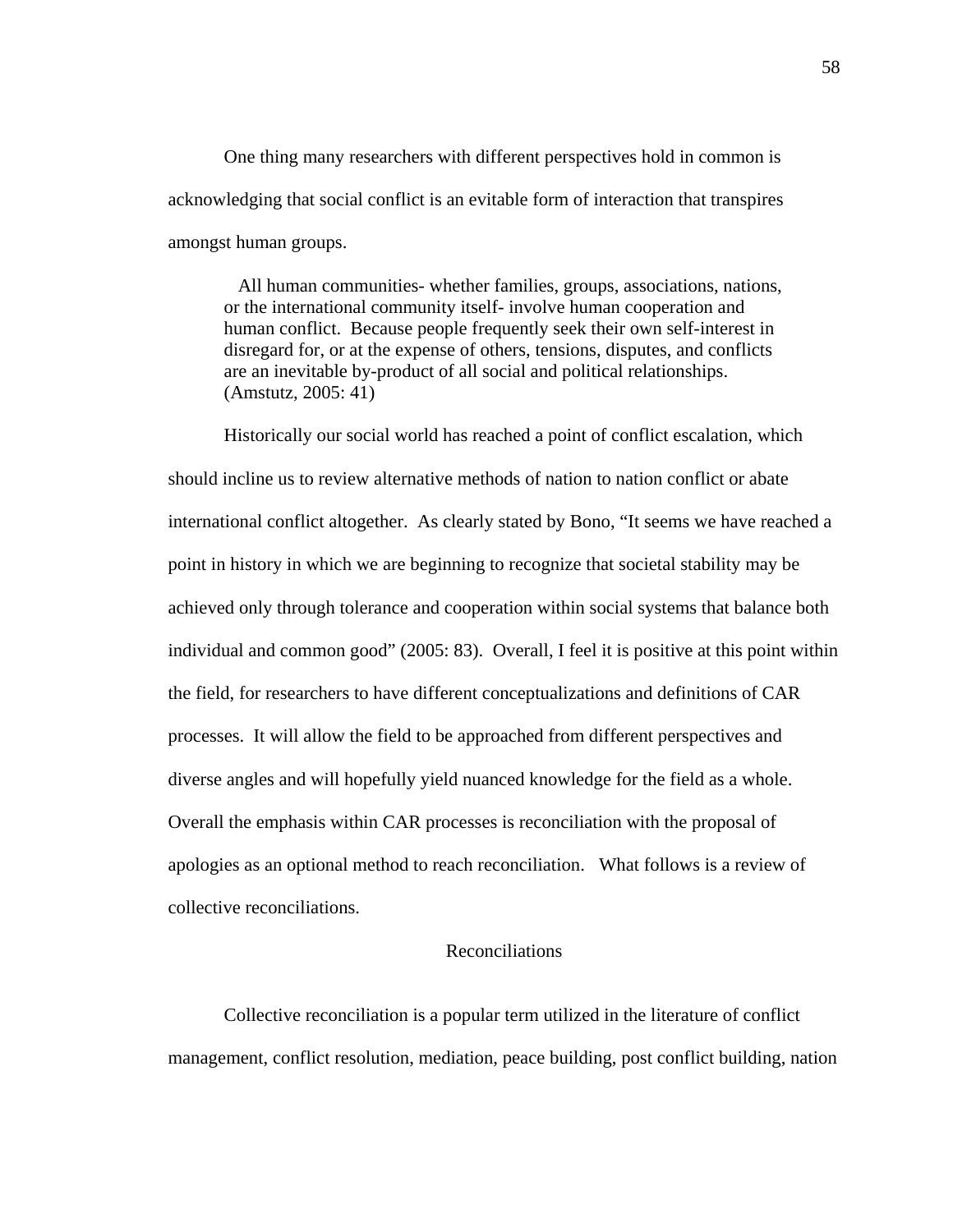One thing many researchers with different perspectives hold in common is acknowledging that social conflict is an evitable form of interaction that transpires amongst human groups.

 All human communities- whether families, groups, associations, nations, or the international community itself- involve human cooperation and human conflict. Because people frequently seek their own self-interest in disregard for, or at the expense of others, tensions, disputes, and conflicts are an inevitable by-product of all social and political relationships. (Amstutz, 2005: 41)

Historically our social world has reached a point of conflict escalation, which should incline us to review alternative methods of nation to nation conflict or abate international conflict altogether. As clearly stated by Bono, "It seems we have reached a point in history in which we are beginning to recognize that societal stability may be achieved only through tolerance and cooperation within social systems that balance both individual and common good" (2005: 83). Overall, I feel it is positive at this point within the field, for researchers to have different conceptualizations and definitions of CAR processes. It will allow the field to be approached from different perspectives and diverse angles and will hopefully yield nuanced knowledge for the field as a whole. Overall the emphasis within CAR processes is reconciliation with the proposal of apologies as an optional method to reach reconciliation. What follows is a review of collective reconciliations.

# Reconciliations

Collective reconciliation is a popular term utilized in the literature of conflict management, conflict resolution, mediation, peace building, post conflict building, nation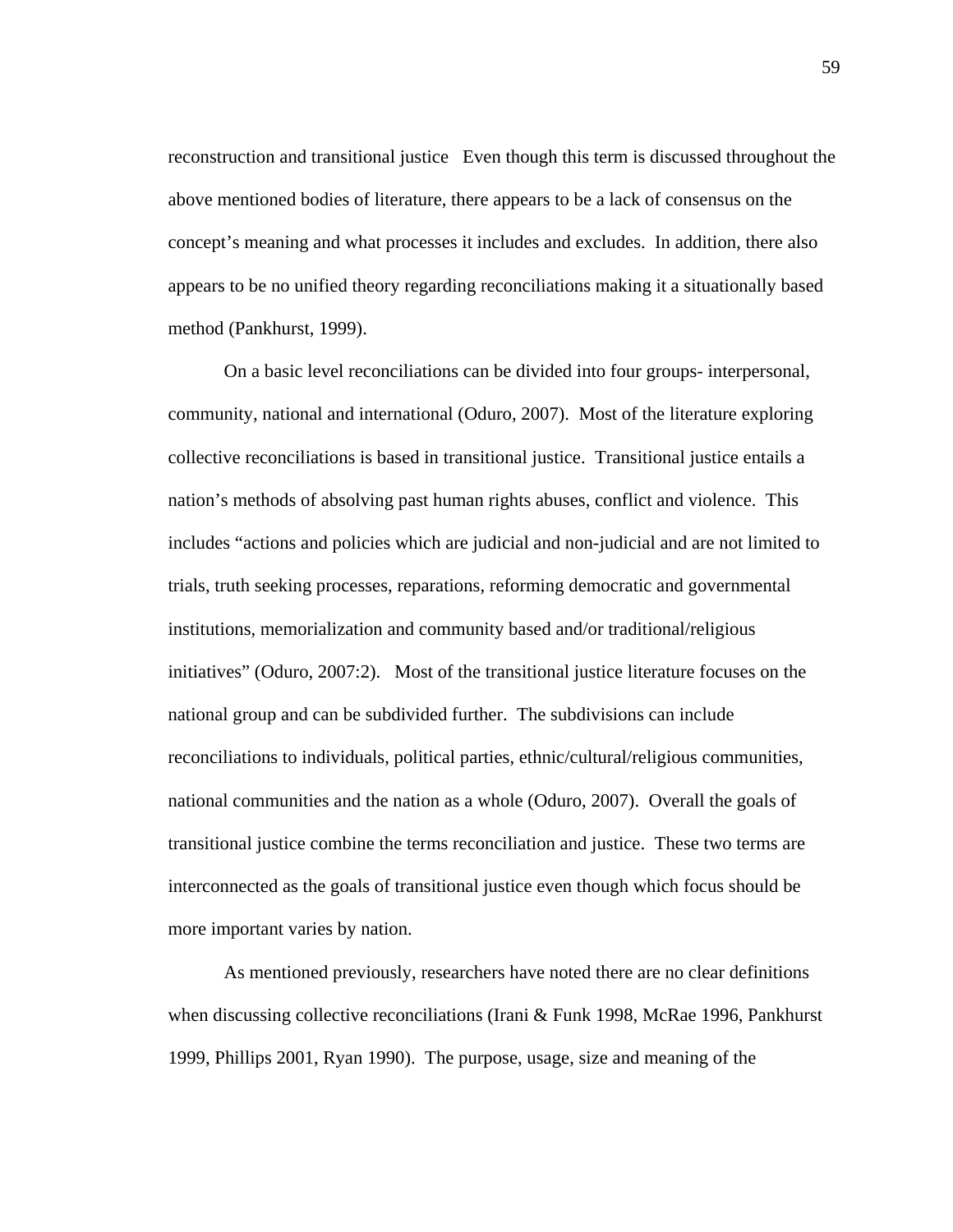reconstruction and transitional justice Even though this term is discussed throughout the above mentioned bodies of literature, there appears to be a lack of consensus on the concept's meaning and what processes it includes and excludes. In addition, there also appears to be no unified theory regarding reconciliations making it a situationally based method (Pankhurst, 1999).

On a basic level reconciliations can be divided into four groups- interpersonal, community, national and international (Oduro, 2007). Most of the literature exploring collective reconciliations is based in transitional justice. Transitional justice entails a nation's methods of absolving past human rights abuses, conflict and violence. This includes "actions and policies which are judicial and non-judicial and are not limited to trials, truth seeking processes, reparations, reforming democratic and governmental institutions, memorialization and community based and/or traditional/religious initiatives" (Oduro, 2007:2). Most of the transitional justice literature focuses on the national group and can be subdivided further. The subdivisions can include reconciliations to individuals, political parties, ethnic/cultural/religious communities, national communities and the nation as a whole (Oduro, 2007). Overall the goals of transitional justice combine the terms reconciliation and justice. These two terms are interconnected as the goals of transitional justice even though which focus should be more important varies by nation.

As mentioned previously, researchers have noted there are no clear definitions when discussing collective reconciliations (Irani & Funk 1998, McRae 1996, Pankhurst 1999, Phillips 2001, Ryan 1990). The purpose, usage, size and meaning of the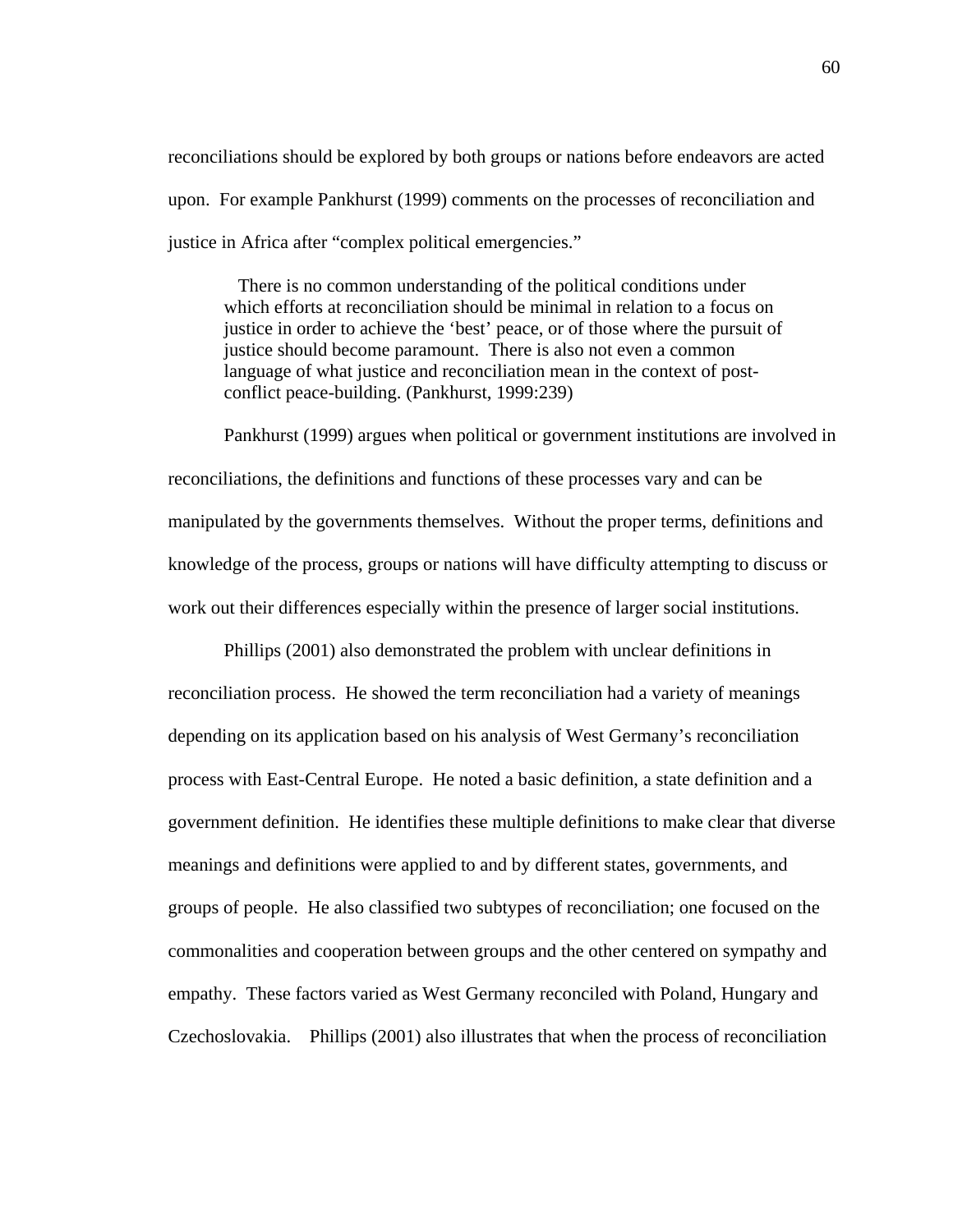reconciliations should be explored by both groups or nations before endeavors are acted upon. For example Pankhurst (1999) comments on the processes of reconciliation and justice in Africa after "complex political emergencies."

 There is no common understanding of the political conditions under which efforts at reconciliation should be minimal in relation to a focus on justice in order to achieve the 'best' peace, or of those where the pursuit of justice should become paramount. There is also not even a common language of what justice and reconciliation mean in the context of postconflict peace-building. (Pankhurst, 1999:239)

 Pankhurst (1999) argues when political or government institutions are involved in reconciliations, the definitions and functions of these processes vary and can be manipulated by the governments themselves. Without the proper terms, definitions and knowledge of the process, groups or nations will have difficulty attempting to discuss or work out their differences especially within the presence of larger social institutions.

Phillips (2001) also demonstrated the problem with unclear definitions in reconciliation process. He showed the term reconciliation had a variety of meanings depending on its application based on his analysis of West Germany's reconciliation process with East-Central Europe. He noted a basic definition, a state definition and a government definition. He identifies these multiple definitions to make clear that diverse meanings and definitions were applied to and by different states, governments, and groups of people. He also classified two subtypes of reconciliation; one focused on the commonalities and cooperation between groups and the other centered on sympathy and empathy. These factors varied as West Germany reconciled with Poland, Hungary and Czechoslovakia. Phillips (2001) also illustrates that when the process of reconciliation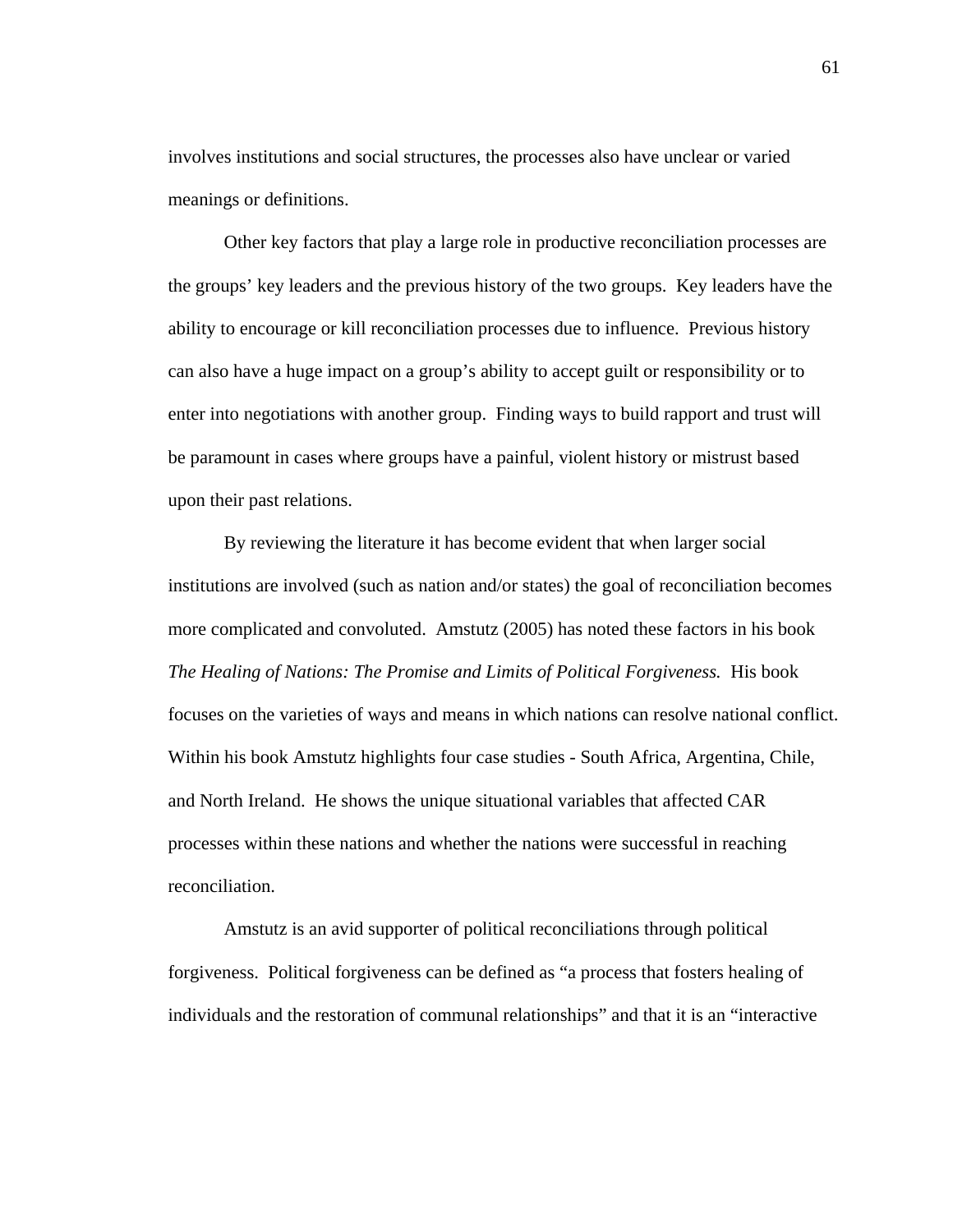involves institutions and social structures, the processes also have unclear or varied meanings or definitions.

Other key factors that play a large role in productive reconciliation processes are the groups' key leaders and the previous history of the two groups. Key leaders have the ability to encourage or kill reconciliation processes due to influence. Previous history can also have a huge impact on a group's ability to accept guilt or responsibility or to enter into negotiations with another group. Finding ways to build rapport and trust will be paramount in cases where groups have a painful, violent history or mistrust based upon their past relations.

By reviewing the literature it has become evident that when larger social institutions are involved (such as nation and/or states) the goal of reconciliation becomes more complicated and convoluted. Amstutz (2005) has noted these factors in his book *The Healing of Nations: The Promise and Limits of Political Forgiveness.* His book focuses on the varieties of ways and means in which nations can resolve national conflict. Within his book Amstutz highlights four case studies - South Africa, Argentina, Chile, and North Ireland. He shows the unique situational variables that affected CAR processes within these nations and whether the nations were successful in reaching reconciliation.

Amstutz is an avid supporter of political reconciliations through political forgiveness. Political forgiveness can be defined as "a process that fosters healing of individuals and the restoration of communal relationships" and that it is an "interactive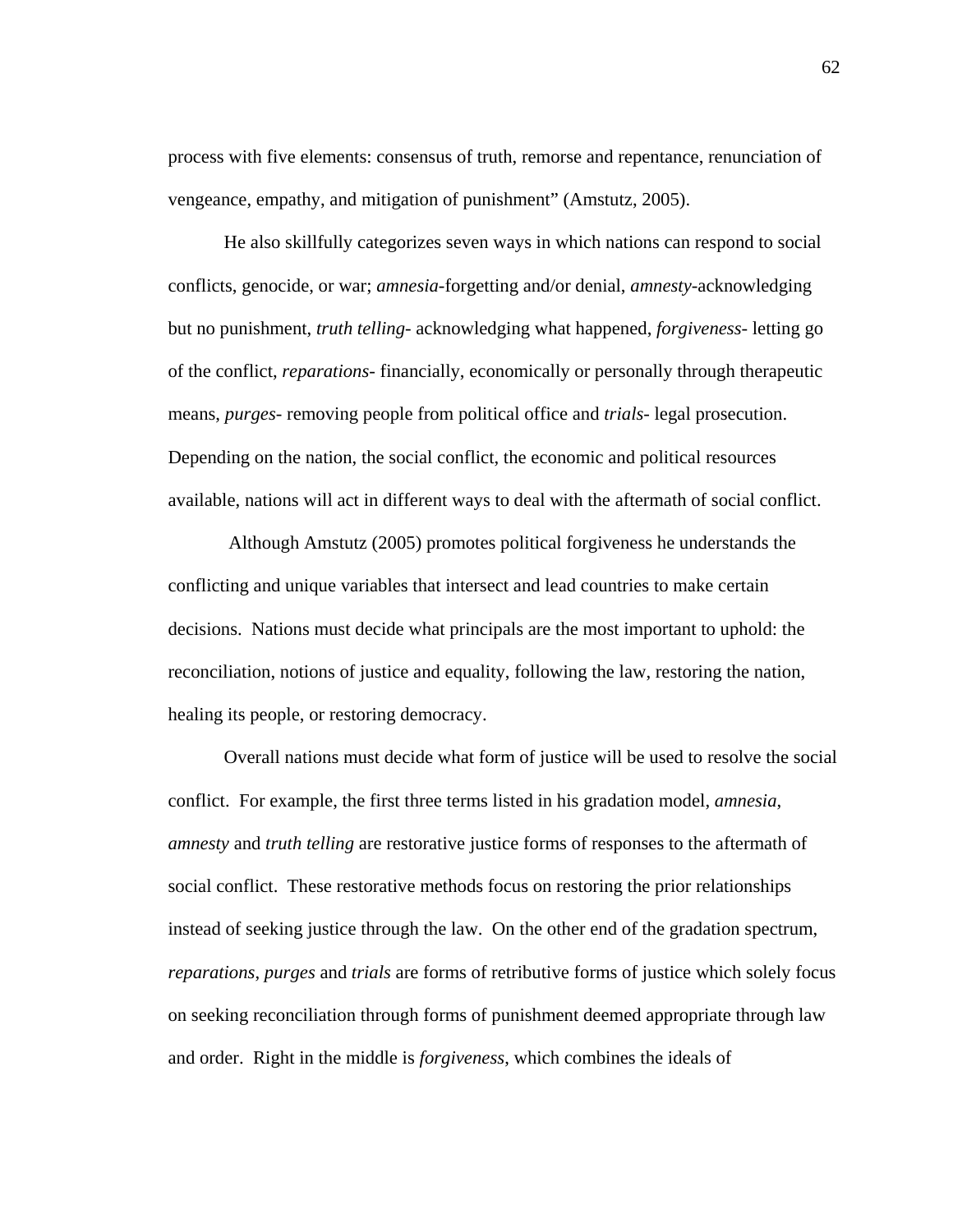process with five elements: consensus of truth, remorse and repentance, renunciation of vengeance, empathy, and mitigation of punishment" (Amstutz, 2005).

He also skillfully categorizes seven ways in which nations can respond to social conflicts, genocide, or war; *amnesia*-forgetting and/or denial, *amnesty*-acknowledging but no punishment, *truth telling*- acknowledging what happened, *forgiveness*- letting go of the conflict, *reparations*- financially, economically or personally through therapeutic means, *purges*- removing people from political office and *trials*- legal prosecution. Depending on the nation, the social conflict, the economic and political resources available, nations will act in different ways to deal with the aftermath of social conflict.

 Although Amstutz (2005) promotes political forgiveness he understands the conflicting and unique variables that intersect and lead countries to make certain decisions. Nations must decide what principals are the most important to uphold: the reconciliation, notions of justice and equality, following the law, restoring the nation, healing its people, or restoring democracy.

Overall nations must decide what form of justice will be used to resolve the social conflict. For example, the first three terms listed in his gradation model, *amnesia*, *amnesty* and *truth telling* are restorative justice forms of responses to the aftermath of social conflict. These restorative methods focus on restoring the prior relationships instead of seeking justice through the law. On the other end of the gradation spectrum, *reparations*, *purges* and *trials* are forms of retributive forms of justice which solely focus on seeking reconciliation through forms of punishment deemed appropriate through law and order. Right in the middle is *forgiveness*, which combines the ideals of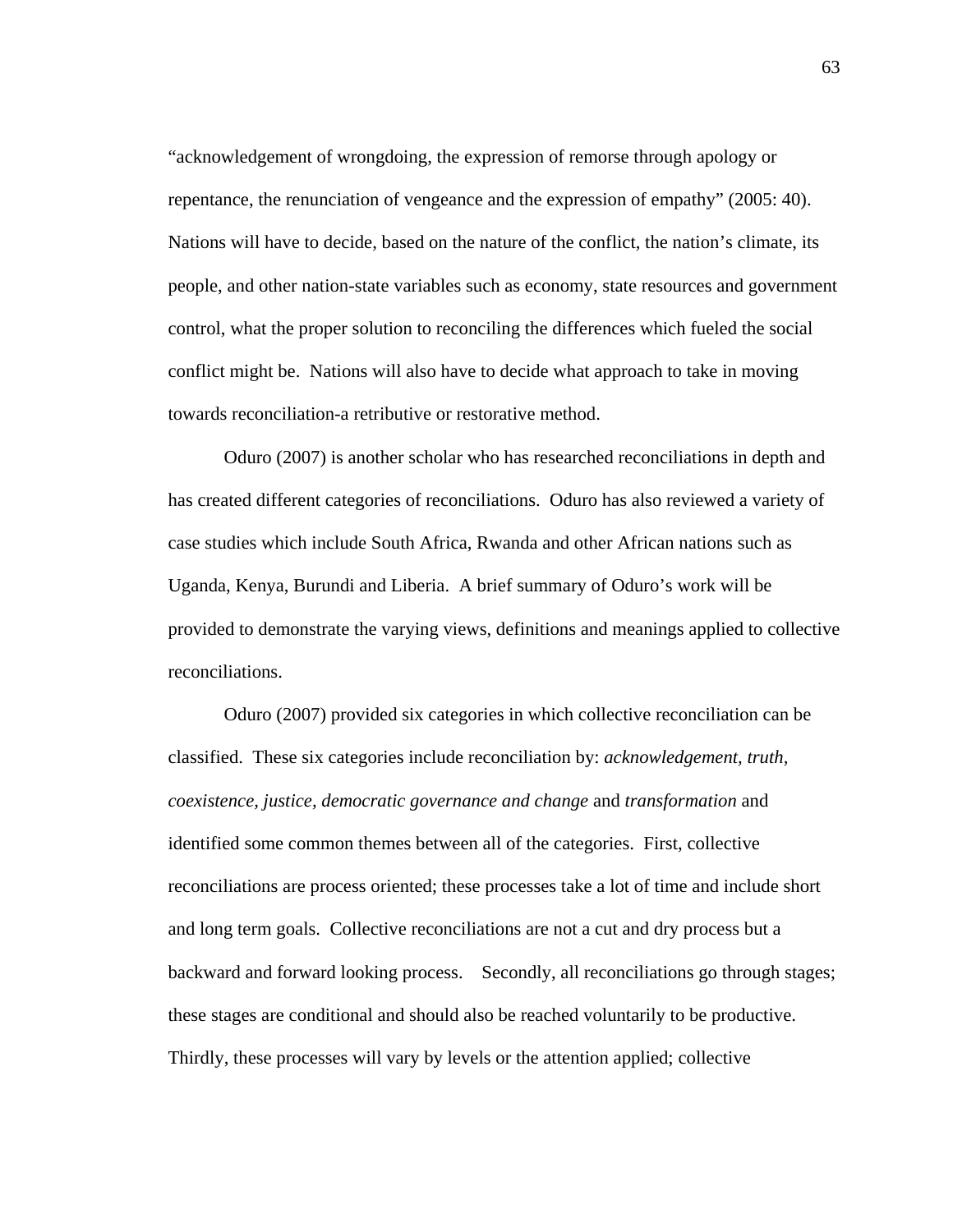"acknowledgement of wrongdoing, the expression of remorse through apology or repentance, the renunciation of vengeance and the expression of empathy" (2005: 40). Nations will have to decide, based on the nature of the conflict, the nation's climate, its people, and other nation-state variables such as economy, state resources and government control, what the proper solution to reconciling the differences which fueled the social conflict might be. Nations will also have to decide what approach to take in moving towards reconciliation-a retributive or restorative method.

Oduro (2007) is another scholar who has researched reconciliations in depth and has created different categories of reconciliations. Oduro has also reviewed a variety of case studies which include South Africa, Rwanda and other African nations such as Uganda, Kenya, Burundi and Liberia. A brief summary of Oduro's work will be provided to demonstrate the varying views, definitions and meanings applied to collective reconciliations.

Oduro (2007) provided six categories in which collective reconciliation can be classified. These six categories include reconciliation by: *acknowledgement, truth, coexistence, justice, democratic governance and change* and *transformation* and identified some common themes between all of the categories. First, collective reconciliations are process oriented; these processes take a lot of time and include short and long term goals. Collective reconciliations are not a cut and dry process but a backward and forward looking process. Secondly, all reconciliations go through stages; these stages are conditional and should also be reached voluntarily to be productive. Thirdly, these processes will vary by levels or the attention applied; collective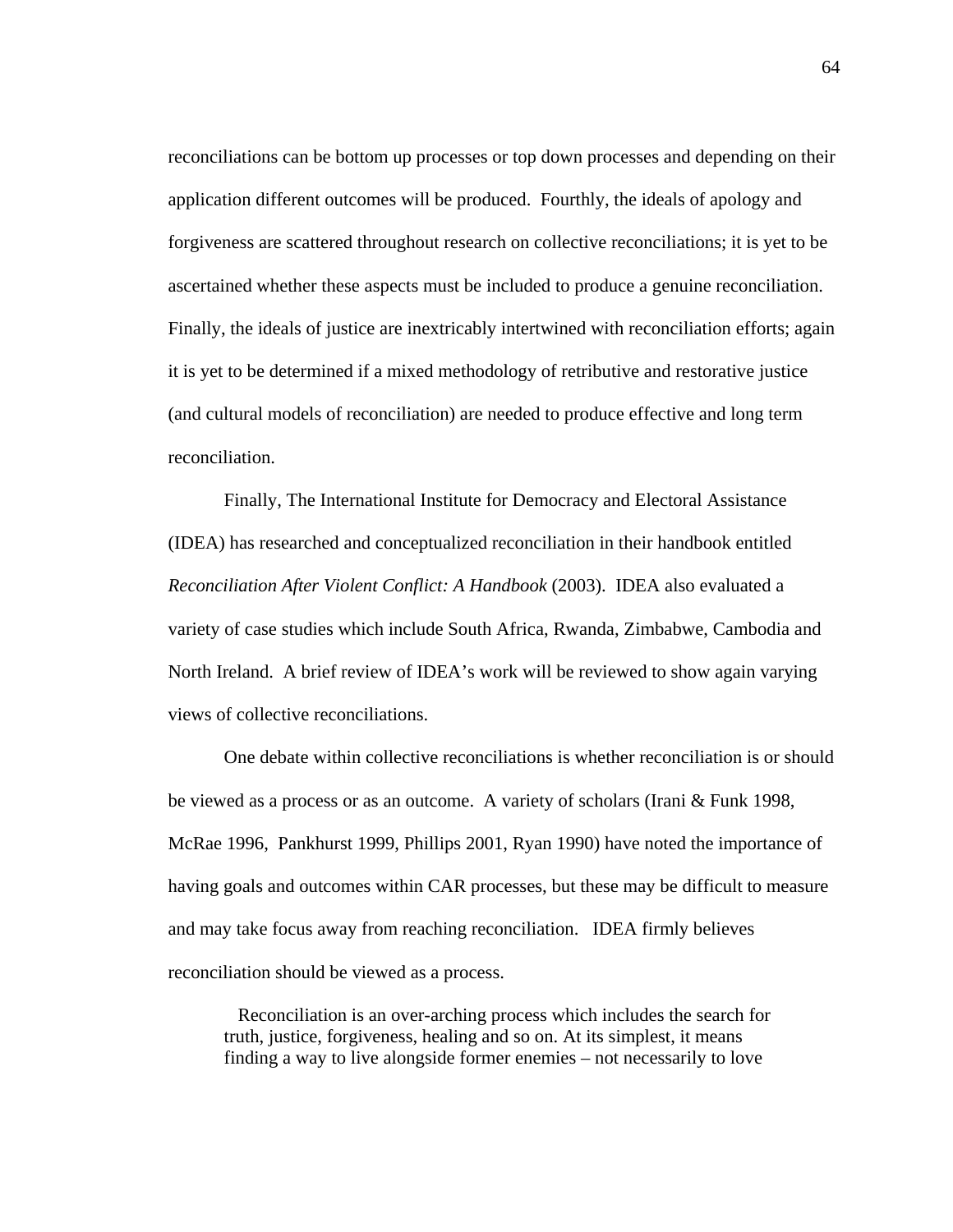reconciliations can be bottom up processes or top down processes and depending on their application different outcomes will be produced. Fourthly, the ideals of apology and forgiveness are scattered throughout research on collective reconciliations; it is yet to be ascertained whether these aspects must be included to produce a genuine reconciliation. Finally, the ideals of justice are inextricably intertwined with reconciliation efforts; again it is yet to be determined if a mixed methodology of retributive and restorative justice (and cultural models of reconciliation) are needed to produce effective and long term reconciliation.

Finally, The International Institute for Democracy and Electoral Assistance (IDEA) has researched and conceptualized reconciliation in their handbook entitled *Reconciliation After Violent Conflict: A Handbook* (2003). IDEA also evaluated a variety of case studies which include South Africa, Rwanda, Zimbabwe, Cambodia and North Ireland. A brief review of IDEA's work will be reviewed to show again varying views of collective reconciliations.

One debate within collective reconciliations is whether reconciliation is or should be viewed as a process or as an outcome. A variety of scholars (Irani & Funk 1998, McRae 1996, Pankhurst 1999, Phillips 2001, Ryan 1990) have noted the importance of having goals and outcomes within CAR processes, but these may be difficult to measure and may take focus away from reaching reconciliation. IDEA firmly believes reconciliation should be viewed as a process.

 Reconciliation is an over-arching process which includes the search for truth, justice, forgiveness, healing and so on. At its simplest, it means finding a way to live alongside former enemies – not necessarily to love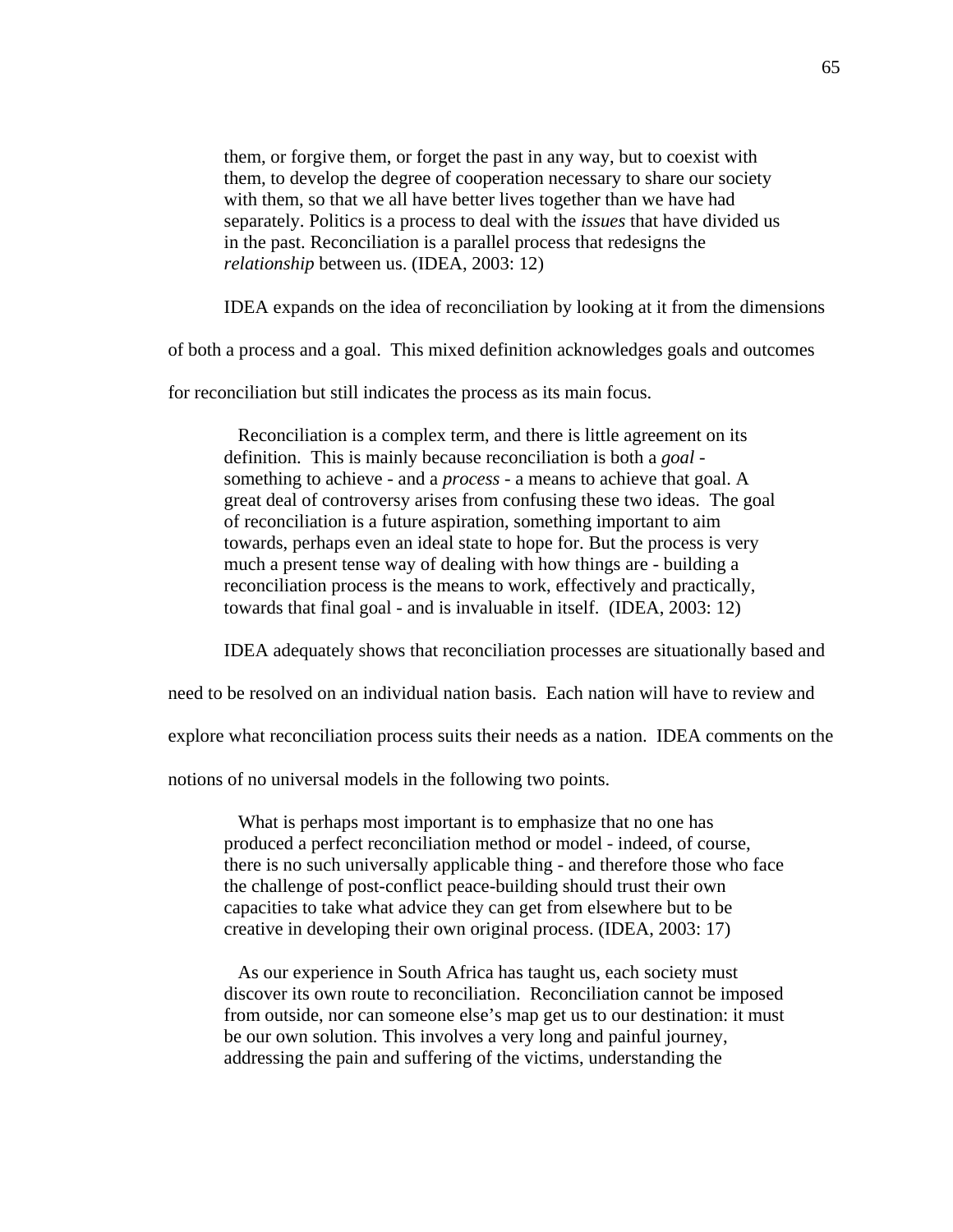them, or forgive them, or forget the past in any way, but to coexist with them, to develop the degree of cooperation necessary to share our society with them, so that we all have better lives together than we have had separately. Politics is a process to deal with the *issues* that have divided us in the past. Reconciliation is a parallel process that redesigns the *relationship* between us. (IDEA, 2003: 12)

IDEA expands on the idea of reconciliation by looking at it from the dimensions

of both a process and a goal. This mixed definition acknowledges goals and outcomes

for reconciliation but still indicates the process as its main focus.

 Reconciliation is a complex term, and there is little agreement on its definition. This is mainly because reconciliation is both a *goal*  something to achieve - and a *process* - a means to achieve that goal. A great deal of controversy arises from confusing these two ideas. The goal of reconciliation is a future aspiration, something important to aim towards, perhaps even an ideal state to hope for. But the process is very much a present tense way of dealing with how things are - building a reconciliation process is the means to work, effectively and practically, towards that final goal - and is invaluable in itself. (IDEA, 2003: 12)

IDEA adequately shows that reconciliation processes are situationally based and

need to be resolved on an individual nation basis. Each nation will have to review and

explore what reconciliation process suits their needs as a nation. IDEA comments on the

notions of no universal models in the following two points.

 What is perhaps most important is to emphasize that no one has produced a perfect reconciliation method or model - indeed, of course, there is no such universally applicable thing - and therefore those who face the challenge of post-conflict peace-building should trust their own capacities to take what advice they can get from elsewhere but to be creative in developing their own original process. (IDEA, 2003: 17)

 As our experience in South Africa has taught us, each society must discover its own route to reconciliation. Reconciliation cannot be imposed from outside, nor can someone else's map get us to our destination: it must be our own solution. This involves a very long and painful journey, addressing the pain and suffering of the victims, understanding the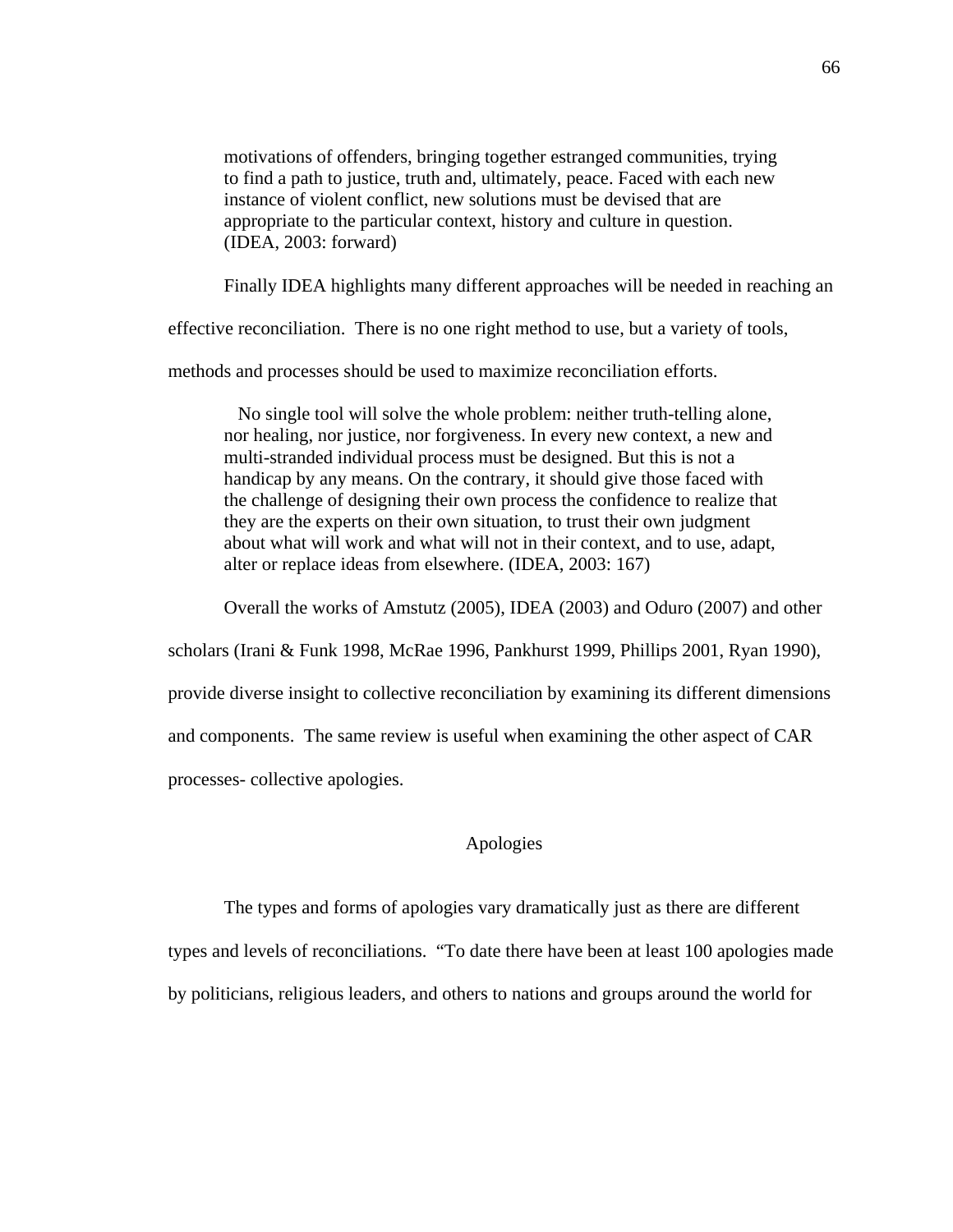motivations of offenders, bringing together estranged communities, trying to find a path to justice, truth and, ultimately, peace. Faced with each new instance of violent conflict, new solutions must be devised that are appropriate to the particular context, history and culture in question. (IDEA, 2003: forward)

Finally IDEA highlights many different approaches will be needed in reaching an

effective reconciliation. There is no one right method to use, but a variety of tools,

methods and processes should be used to maximize reconciliation efforts.

 No single tool will solve the whole problem: neither truth-telling alone, nor healing, nor justice, nor forgiveness. In every new context, a new and multi-stranded individual process must be designed. But this is not a handicap by any means. On the contrary, it should give those faced with the challenge of designing their own process the confidence to realize that they are the experts on their own situation, to trust their own judgment about what will work and what will not in their context, and to use, adapt, alter or replace ideas from elsewhere. (IDEA, 2003: 167)

Overall the works of Amstutz (2005), IDEA (2003) and Oduro (2007) and other

scholars (Irani & Funk 1998, McRae 1996, Pankhurst 1999, Phillips 2001, Ryan 1990),

provide diverse insight to collective reconciliation by examining its different dimensions

and components. The same review is useful when examining the other aspect of CAR

processes- collective apologies.

# Apologies

The types and forms of apologies vary dramatically just as there are different

types and levels of reconciliations. "To date there have been at least 100 apologies made

by politicians, religious leaders, and others to nations and groups around the world for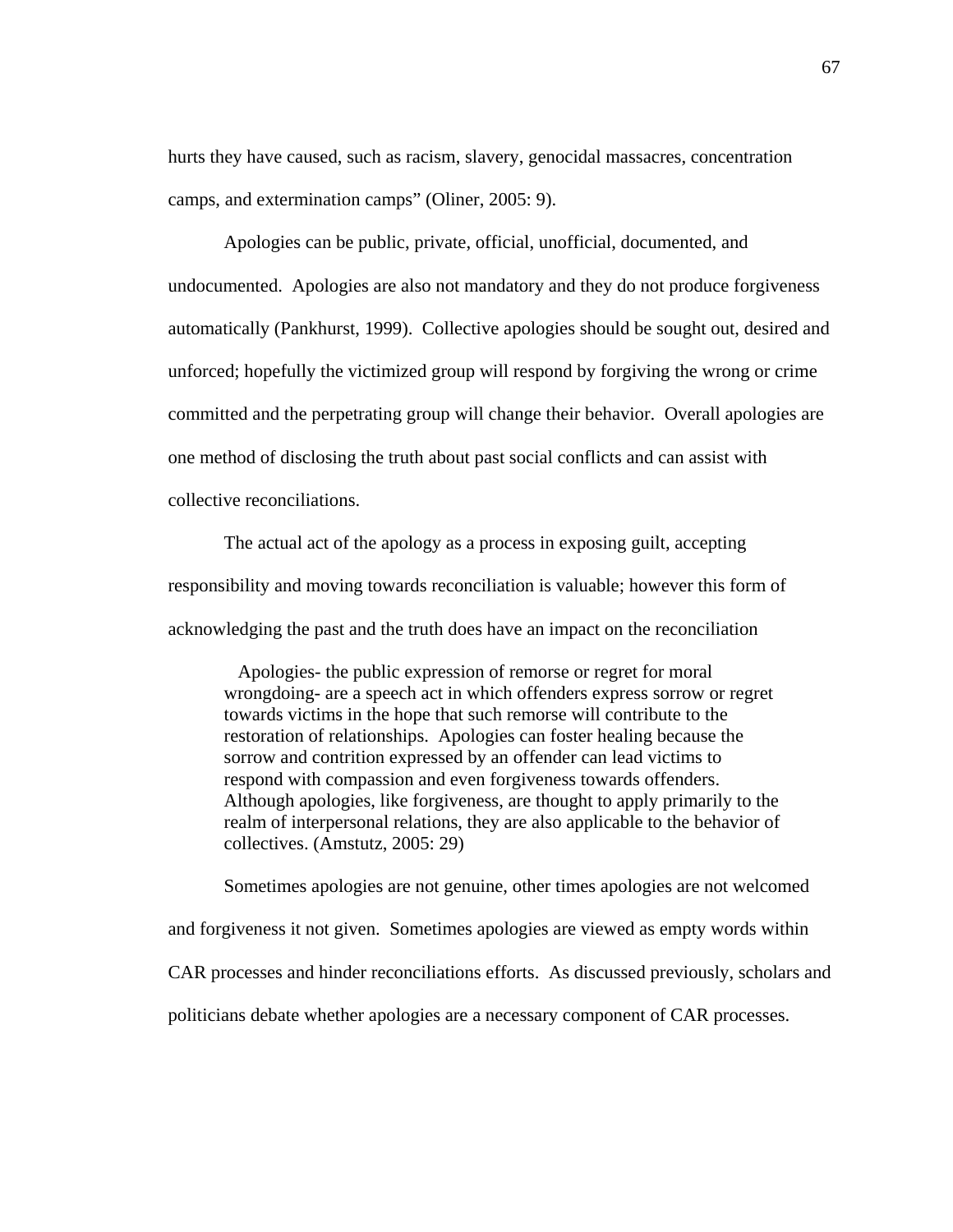hurts they have caused, such as racism, slavery, genocidal massacres, concentration camps, and extermination camps" (Oliner, 2005: 9).

Apologies can be public, private, official, unofficial, documented, and undocumented. Apologies are also not mandatory and they do not produce forgiveness automatically (Pankhurst, 1999). Collective apologies should be sought out, desired and unforced; hopefully the victimized group will respond by forgiving the wrong or crime committed and the perpetrating group will change their behavior. Overall apologies are one method of disclosing the truth about past social conflicts and can assist with collective reconciliations.

The actual act of the apology as a process in exposing guilt, accepting responsibility and moving towards reconciliation is valuable; however this form of acknowledging the past and the truth does have an impact on the reconciliation

 Apologies- the public expression of remorse or regret for moral wrongdoing- are a speech act in which offenders express sorrow or regret towards victims in the hope that such remorse will contribute to the restoration of relationships. Apologies can foster healing because the sorrow and contrition expressed by an offender can lead victims to respond with compassion and even forgiveness towards offenders. Although apologies, like forgiveness, are thought to apply primarily to the realm of interpersonal relations, they are also applicable to the behavior of collectives. (Amstutz, 2005: 29)

Sometimes apologies are not genuine, other times apologies are not welcomed and forgiveness it not given. Sometimes apologies are viewed as empty words within CAR processes and hinder reconciliations efforts. As discussed previously, scholars and politicians debate whether apologies are a necessary component of CAR processes.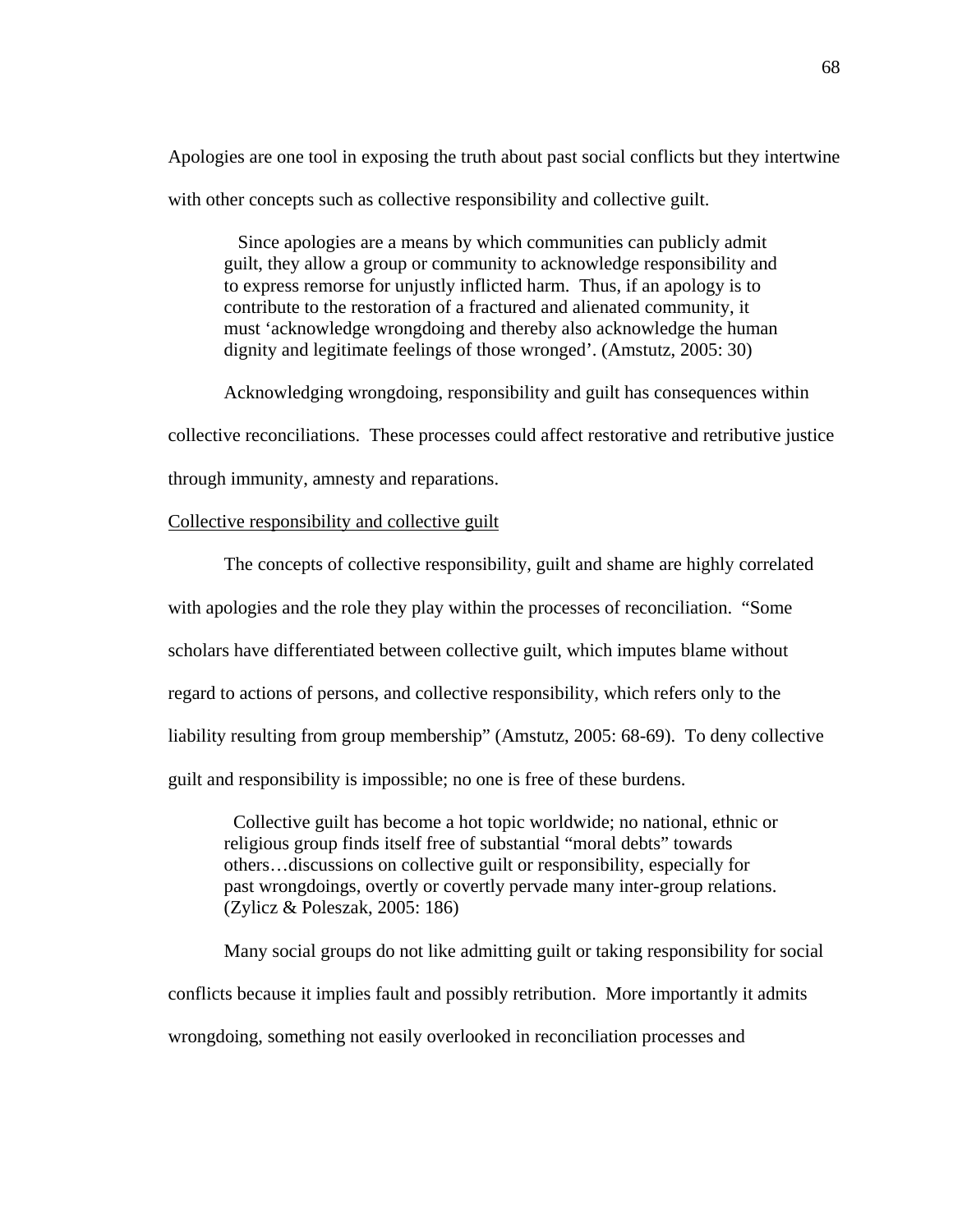Apologies are one tool in exposing the truth about past social conflicts but they intertwine with other concepts such as collective responsibility and collective guilt.

 Since apologies are a means by which communities can publicly admit guilt, they allow a group or community to acknowledge responsibility and to express remorse for unjustly inflicted harm. Thus, if an apology is to contribute to the restoration of a fractured and alienated community, it must 'acknowledge wrongdoing and thereby also acknowledge the human dignity and legitimate feelings of those wronged'. (Amstutz, 2005: 30)

Acknowledging wrongdoing, responsibility and guilt has consequences within collective reconciliations. These processes could affect restorative and retributive justice through immunity, amnesty and reparations.

# Collective responsibility and collective guilt

The concepts of collective responsibility, guilt and shame are highly correlated with apologies and the role they play within the processes of reconciliation. "Some scholars have differentiated between collective guilt, which imputes blame without regard to actions of persons, and collective responsibility, which refers only to the liability resulting from group membership" (Amstutz, 2005: 68-69). To deny collective guilt and responsibility is impossible; no one is free of these burdens.

 Collective guilt has become a hot topic worldwide; no national, ethnic or religious group finds itself free of substantial "moral debts" towards others…discussions on collective guilt or responsibility, especially for past wrongdoings, overtly or covertly pervade many inter-group relations. (Zylicz & Poleszak, 2005: 186)

Many social groups do not like admitting guilt or taking responsibility for social conflicts because it implies fault and possibly retribution. More importantly it admits wrongdoing, something not easily overlooked in reconciliation processes and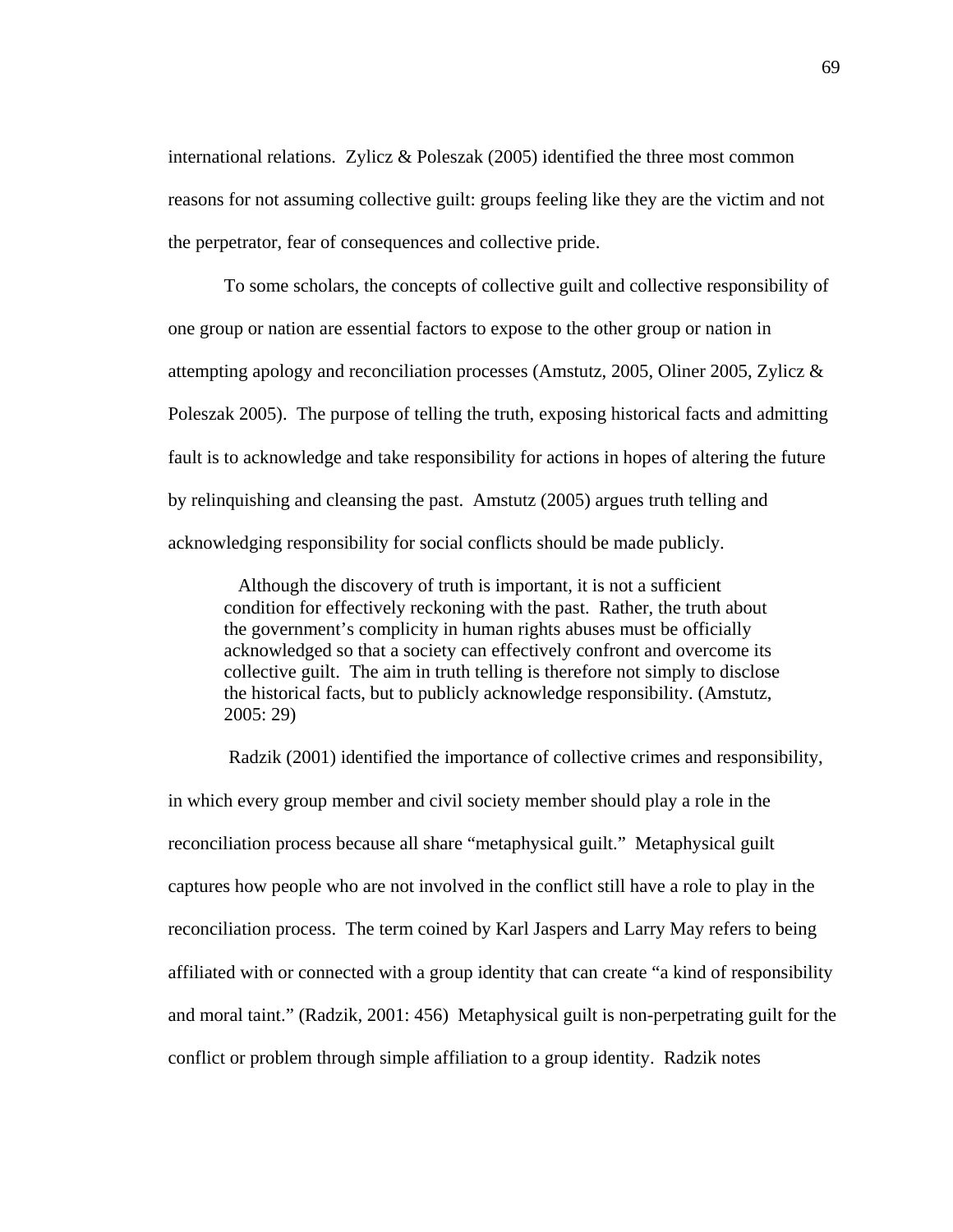international relations. Zylicz & Poleszak (2005) identified the three most common reasons for not assuming collective guilt: groups feeling like they are the victim and not the perpetrator, fear of consequences and collective pride.

To some scholars, the concepts of collective guilt and collective responsibility of one group or nation are essential factors to expose to the other group or nation in attempting apology and reconciliation processes (Amstutz, 2005, Oliner 2005, Zylicz & Poleszak 2005). The purpose of telling the truth, exposing historical facts and admitting fault is to acknowledge and take responsibility for actions in hopes of altering the future by relinquishing and cleansing the past. Amstutz (2005) argues truth telling and acknowledging responsibility for social conflicts should be made publicly.

 Although the discovery of truth is important, it is not a sufficient condition for effectively reckoning with the past. Rather, the truth about the government's complicity in human rights abuses must be officially acknowledged so that a society can effectively confront and overcome its collective guilt. The aim in truth telling is therefore not simply to disclose the historical facts, but to publicly acknowledge responsibility. (Amstutz, 2005: 29)

 Radzik (2001) identified the importance of collective crimes and responsibility, in which every group member and civil society member should play a role in the reconciliation process because all share "metaphysical guilt." Metaphysical guilt captures how people who are not involved in the conflict still have a role to play in the reconciliation process. The term coined by Karl Jaspers and Larry May refers to being affiliated with or connected with a group identity that can create "a kind of responsibility and moral taint." (Radzik, 2001: 456) Metaphysical guilt is non-perpetrating guilt for the conflict or problem through simple affiliation to a group identity. Radzik notes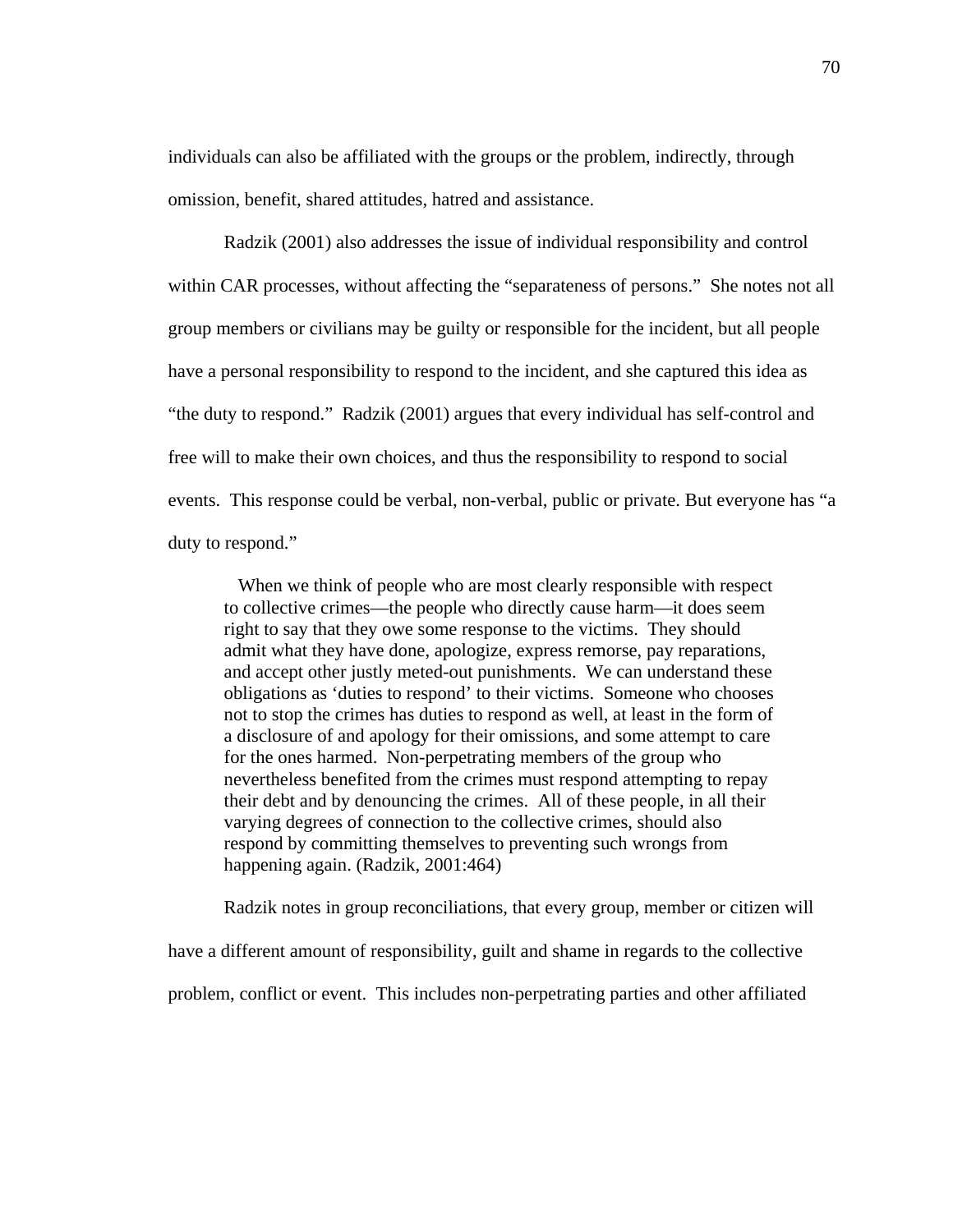individuals can also be affiliated with the groups or the problem, indirectly, through omission, benefit, shared attitudes, hatred and assistance.

Radzik (2001) also addresses the issue of individual responsibility and control within CAR processes, without affecting the "separateness of persons." She notes not all group members or civilians may be guilty or responsible for the incident, but all people have a personal responsibility to respond to the incident, and she captured this idea as "the duty to respond." Radzik (2001) argues that every individual has self-control and free will to make their own choices, and thus the responsibility to respond to social events. This response could be verbal, non-verbal, public or private. But everyone has "a duty to respond."

 When we think of people who are most clearly responsible with respect to collective crimes—the people who directly cause harm—it does seem right to say that they owe some response to the victims. They should admit what they have done, apologize, express remorse, pay reparations, and accept other justly meted-out punishments. We can understand these obligations as 'duties to respond' to their victims. Someone who chooses not to stop the crimes has duties to respond as well, at least in the form of a disclosure of and apology for their omissions, and some attempt to care for the ones harmed. Non-perpetrating members of the group who nevertheless benefited from the crimes must respond attempting to repay their debt and by denouncing the crimes. All of these people, in all their varying degrees of connection to the collective crimes, should also respond by committing themselves to preventing such wrongs from happening again. (Radzik, 2001:464)

Radzik notes in group reconciliations, that every group, member or citizen will

have a different amount of responsibility, guilt and shame in regards to the collective

problem, conflict or event. This includes non-perpetrating parties and other affiliated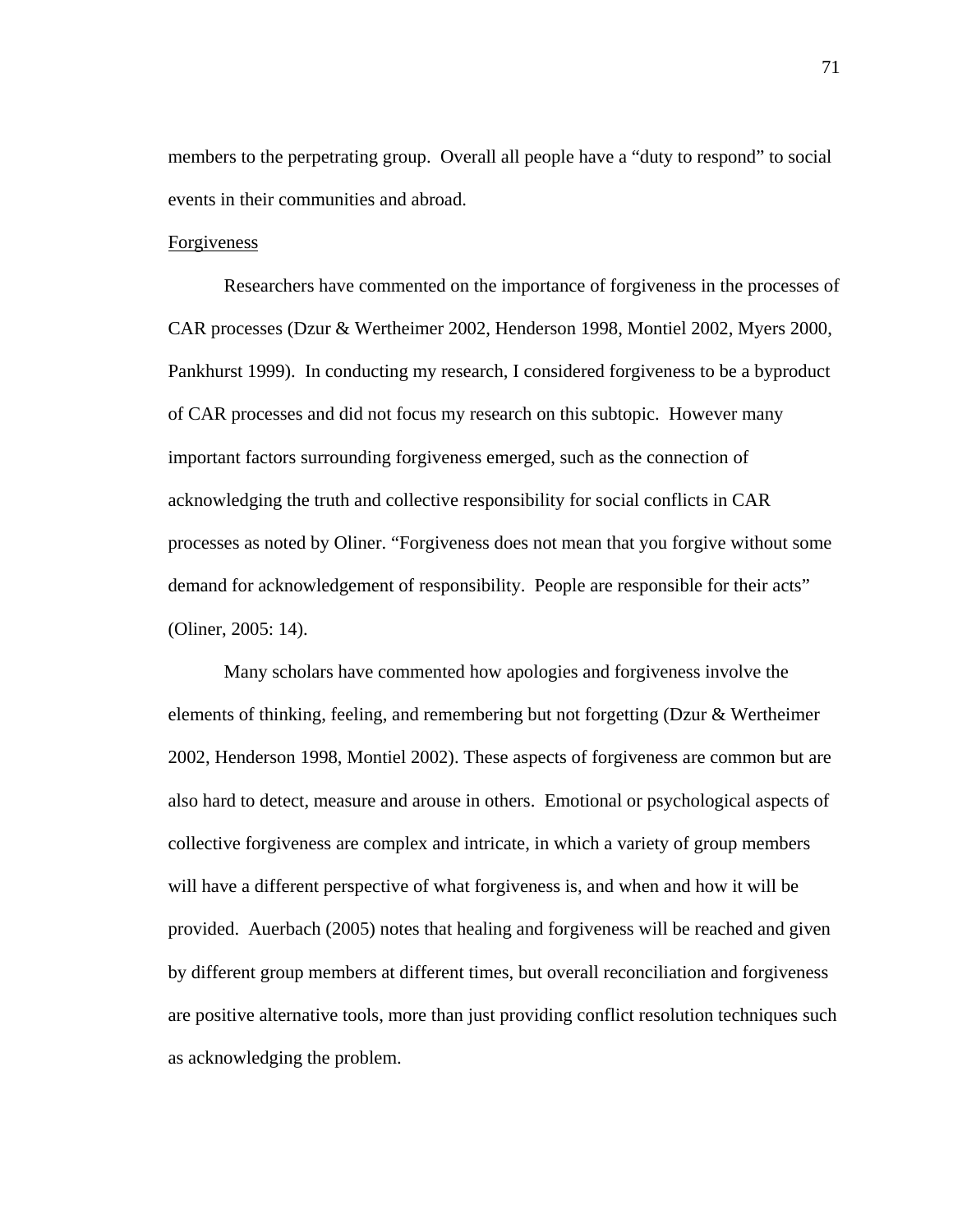members to the perpetrating group. Overall all people have a "duty to respond" to social events in their communities and abroad.

#### Forgiveness

Researchers have commented on the importance of forgiveness in the processes of CAR processes (Dzur & Wertheimer 2002, Henderson 1998, Montiel 2002, Myers 2000, Pankhurst 1999). In conducting my research, I considered forgiveness to be a byproduct of CAR processes and did not focus my research on this subtopic. However many important factors surrounding forgiveness emerged, such as the connection of acknowledging the truth and collective responsibility for social conflicts in CAR processes as noted by Oliner. "Forgiveness does not mean that you forgive without some demand for acknowledgement of responsibility. People are responsible for their acts" (Oliner, 2005: 14).

Many scholars have commented how apologies and forgiveness involve the elements of thinking, feeling, and remembering but not forgetting (Dzur & Wertheimer 2002, Henderson 1998, Montiel 2002). These aspects of forgiveness are common but are also hard to detect, measure and arouse in others. Emotional or psychological aspects of collective forgiveness are complex and intricate, in which a variety of group members will have a different perspective of what forgiveness is, and when and how it will be provided. Auerbach (2005) notes that healing and forgiveness will be reached and given by different group members at different times, but overall reconciliation and forgiveness are positive alternative tools, more than just providing conflict resolution techniques such as acknowledging the problem.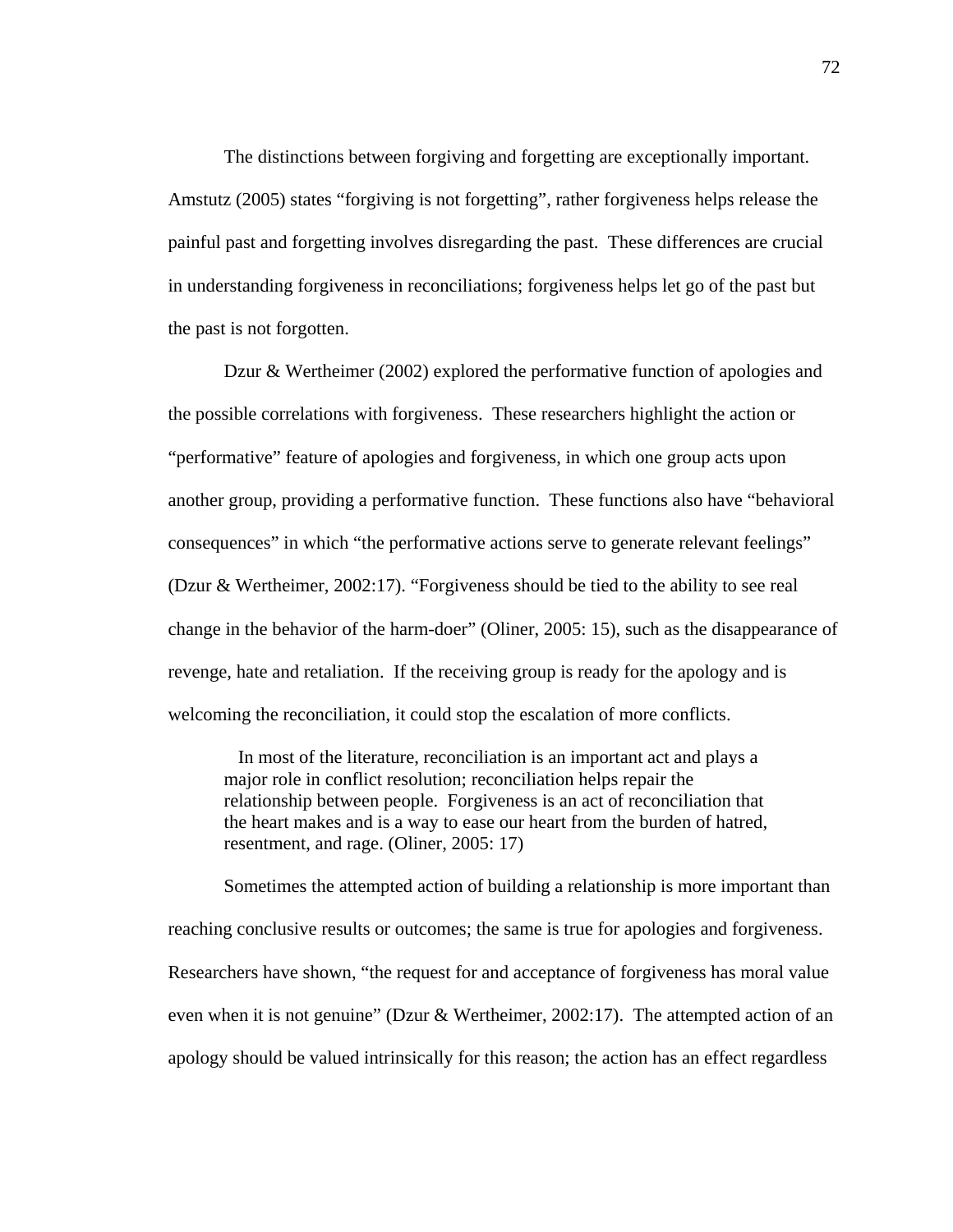The distinctions between forgiving and forgetting are exceptionally important. Amstutz (2005) states "forgiving is not forgetting", rather forgiveness helps release the painful past and forgetting involves disregarding the past. These differences are crucial in understanding forgiveness in reconciliations; forgiveness helps let go of the past but the past is not forgotten.

Dzur & Wertheimer (2002) explored the performative function of apologies and the possible correlations with forgiveness. These researchers highlight the action or "performative" feature of apologies and forgiveness, in which one group acts upon another group, providing a performative function. These functions also have "behavioral consequences" in which "the performative actions serve to generate relevant feelings" (Dzur & Wertheimer, 2002:17). "Forgiveness should be tied to the ability to see real change in the behavior of the harm-doer" (Oliner, 2005: 15), such as the disappearance of revenge, hate and retaliation. If the receiving group is ready for the apology and is welcoming the reconciliation, it could stop the escalation of more conflicts.

 In most of the literature, reconciliation is an important act and plays a major role in conflict resolution; reconciliation helps repair the relationship between people. Forgiveness is an act of reconciliation that the heart makes and is a way to ease our heart from the burden of hatred, resentment, and rage. (Oliner, 2005: 17)

Sometimes the attempted action of building a relationship is more important than reaching conclusive results or outcomes; the same is true for apologies and forgiveness. Researchers have shown, "the request for and acceptance of forgiveness has moral value even when it is not genuine" (Dzur & Wertheimer, 2002:17). The attempted action of an apology should be valued intrinsically for this reason; the action has an effect regardless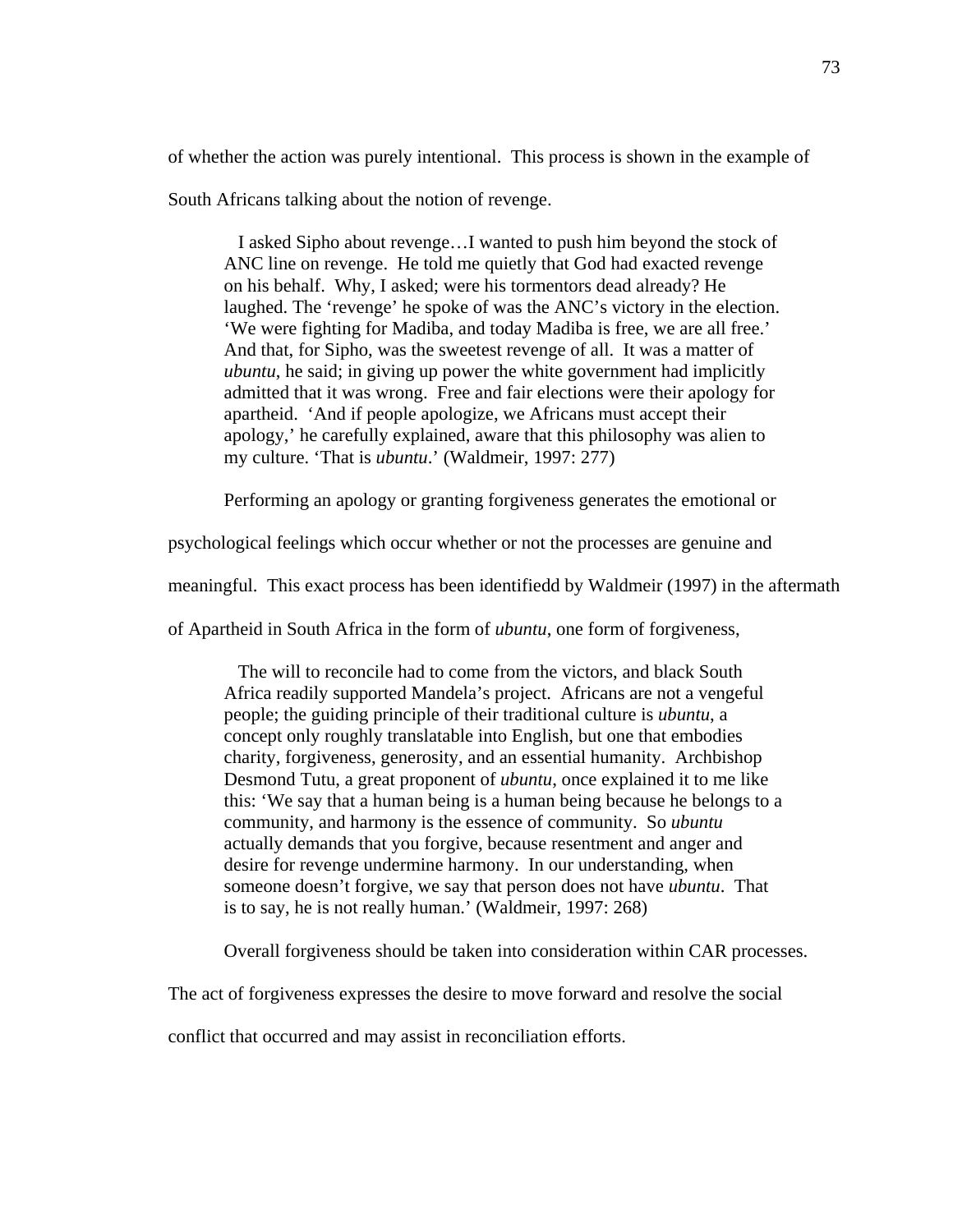of whether the action was purely intentional. This process is shown in the example of

South Africans talking about the notion of revenge.

 I asked Sipho about revenge…I wanted to push him beyond the stock of ANC line on revenge. He told me quietly that God had exacted revenge on his behalf. Why, I asked; were his tormentors dead already? He laughed. The 'revenge' he spoke of was the ANC's victory in the election. 'We were fighting for Madiba, and today Madiba is free, we are all free.' And that, for Sipho, was the sweetest revenge of all. It was a matter of *ubuntu*, he said; in giving up power the white government had implicitly admitted that it was wrong. Free and fair elections were their apology for apartheid. 'And if people apologize, we Africans must accept their apology,' he carefully explained, aware that this philosophy was alien to my culture. 'That is *ubuntu*.' (Waldmeir, 1997: 277)

Performing an apology or granting forgiveness generates the emotional or

psychological feelings which occur whether or not the processes are genuine and

meaningful. This exact process has been identifiedd by Waldmeir (1997) in the aftermath

of Apartheid in South Africa in the form of *ubuntu*, one form of forgiveness,

 The will to reconcile had to come from the victors, and black South Africa readily supported Mandela's project. Africans are not a vengeful people; the guiding principle of their traditional culture is *ubuntu*, a concept only roughly translatable into English, but one that embodies charity, forgiveness, generosity, and an essential humanity. Archbishop Desmond Tutu, a great proponent of *ubuntu*, once explained it to me like this: 'We say that a human being is a human being because he belongs to a community, and harmony is the essence of community. So *ubuntu* actually demands that you forgive, because resentment and anger and desire for revenge undermine harmony. In our understanding, when someone doesn't forgive, we say that person does not have *ubuntu*. That is to say, he is not really human.' (Waldmeir, 1997: 268)

Overall forgiveness should be taken into consideration within CAR processes.

The act of forgiveness expresses the desire to move forward and resolve the social

conflict that occurred and may assist in reconciliation efforts.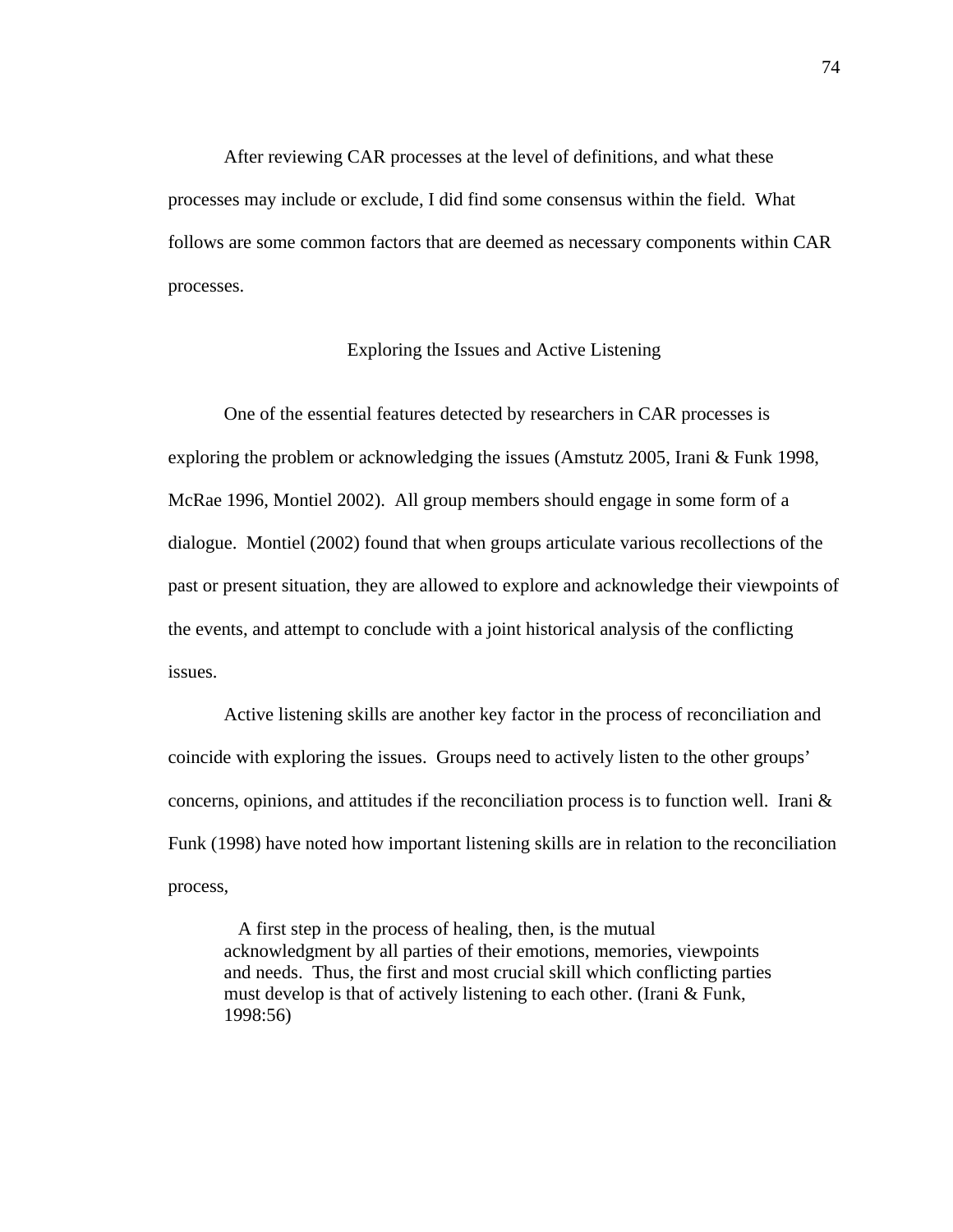After reviewing CAR processes at the level of definitions, and what these processes may include or exclude, I did find some consensus within the field. What follows are some common factors that are deemed as necessary components within CAR processes.

# Exploring the Issues and Active Listening

One of the essential features detected by researchers in CAR processes is exploring the problem or acknowledging the issues (Amstutz 2005, Irani & Funk 1998, McRae 1996, Montiel 2002). All group members should engage in some form of a dialogue. Montiel (2002) found that when groups articulate various recollections of the past or present situation, they are allowed to explore and acknowledge their viewpoints of the events, and attempt to conclude with a joint historical analysis of the conflicting issues.

Active listening skills are another key factor in the process of reconciliation and coincide with exploring the issues. Groups need to actively listen to the other groups' concerns, opinions, and attitudes if the reconciliation process is to function well. Irani  $\&$ Funk (1998) have noted how important listening skills are in relation to the reconciliation process,

 A first step in the process of healing, then, is the mutual acknowledgment by all parties of their emotions, memories, viewpoints and needs. Thus, the first and most crucial skill which conflicting parties must develop is that of actively listening to each other. (Irani & Funk, 1998:56)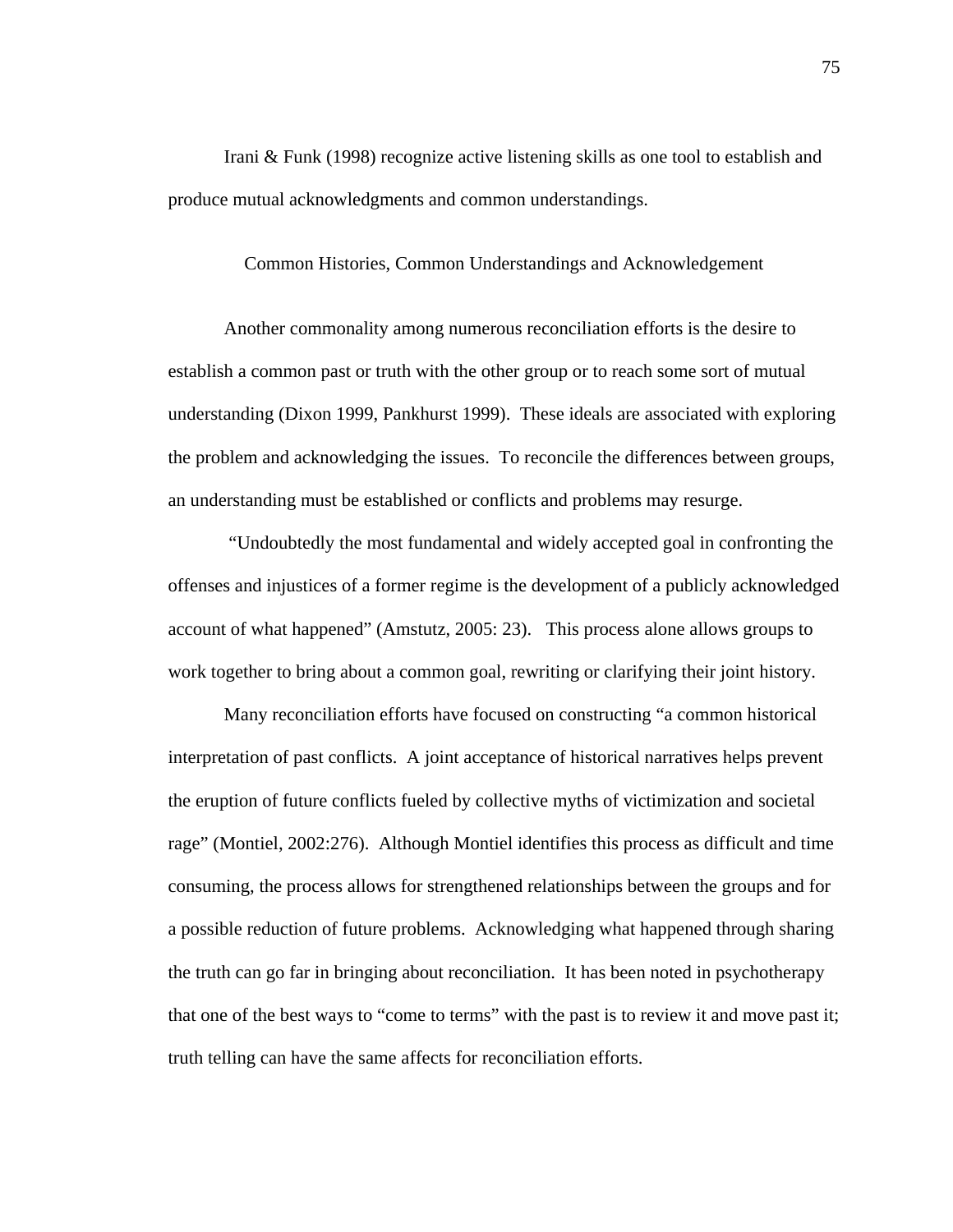Irani & Funk (1998) recognize active listening skills as one tool to establish and produce mutual acknowledgments and common understandings.

# Common Histories, Common Understandings and Acknowledgement

Another commonality among numerous reconciliation efforts is the desire to establish a common past or truth with the other group or to reach some sort of mutual understanding (Dixon 1999, Pankhurst 1999). These ideals are associated with exploring the problem and acknowledging the issues. To reconcile the differences between groups, an understanding must be established or conflicts and problems may resurge.

 "Undoubtedly the most fundamental and widely accepted goal in confronting the offenses and injustices of a former regime is the development of a publicly acknowledged account of what happened" (Amstutz, 2005: 23). This process alone allows groups to work together to bring about a common goal, rewriting or clarifying their joint history.

Many reconciliation efforts have focused on constructing "a common historical interpretation of past conflicts. A joint acceptance of historical narratives helps prevent the eruption of future conflicts fueled by collective myths of victimization and societal rage" (Montiel, 2002:276). Although Montiel identifies this process as difficult and time consuming, the process allows for strengthened relationships between the groups and for a possible reduction of future problems. Acknowledging what happened through sharing the truth can go far in bringing about reconciliation. It has been noted in psychotherapy that one of the best ways to "come to terms" with the past is to review it and move past it; truth telling can have the same affects for reconciliation efforts.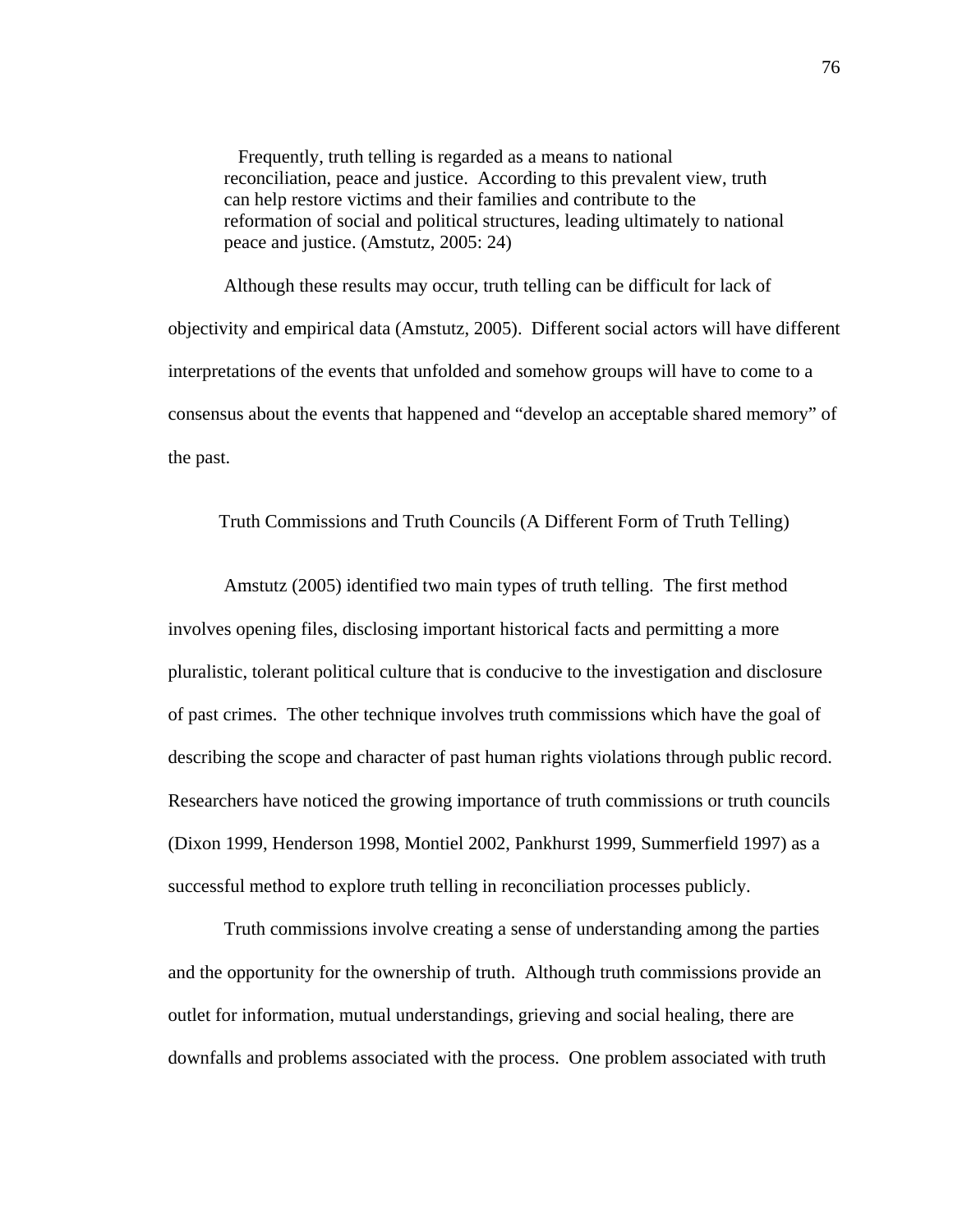Frequently, truth telling is regarded as a means to national reconciliation, peace and justice. According to this prevalent view, truth can help restore victims and their families and contribute to the reformation of social and political structures, leading ultimately to national peace and justice. (Amstutz, 2005: 24)

Although these results may occur, truth telling can be difficult for lack of objectivity and empirical data (Amstutz, 2005). Different social actors will have different interpretations of the events that unfolded and somehow groups will have to come to a consensus about the events that happened and "develop an acceptable shared memory" of the past.

Truth Commissions and Truth Councils (A Different Form of Truth Telling)

Amstutz (2005) identified two main types of truth telling. The first method involves opening files, disclosing important historical facts and permitting a more pluralistic, tolerant political culture that is conducive to the investigation and disclosure of past crimes. The other technique involves truth commissions which have the goal of describing the scope and character of past human rights violations through public record. Researchers have noticed the growing importance of truth commissions or truth councils (Dixon 1999, Henderson 1998, Montiel 2002, Pankhurst 1999, Summerfield 1997) as a successful method to explore truth telling in reconciliation processes publicly.

Truth commissions involve creating a sense of understanding among the parties and the opportunity for the ownership of truth. Although truth commissions provide an outlet for information, mutual understandings, grieving and social healing, there are downfalls and problems associated with the process. One problem associated with truth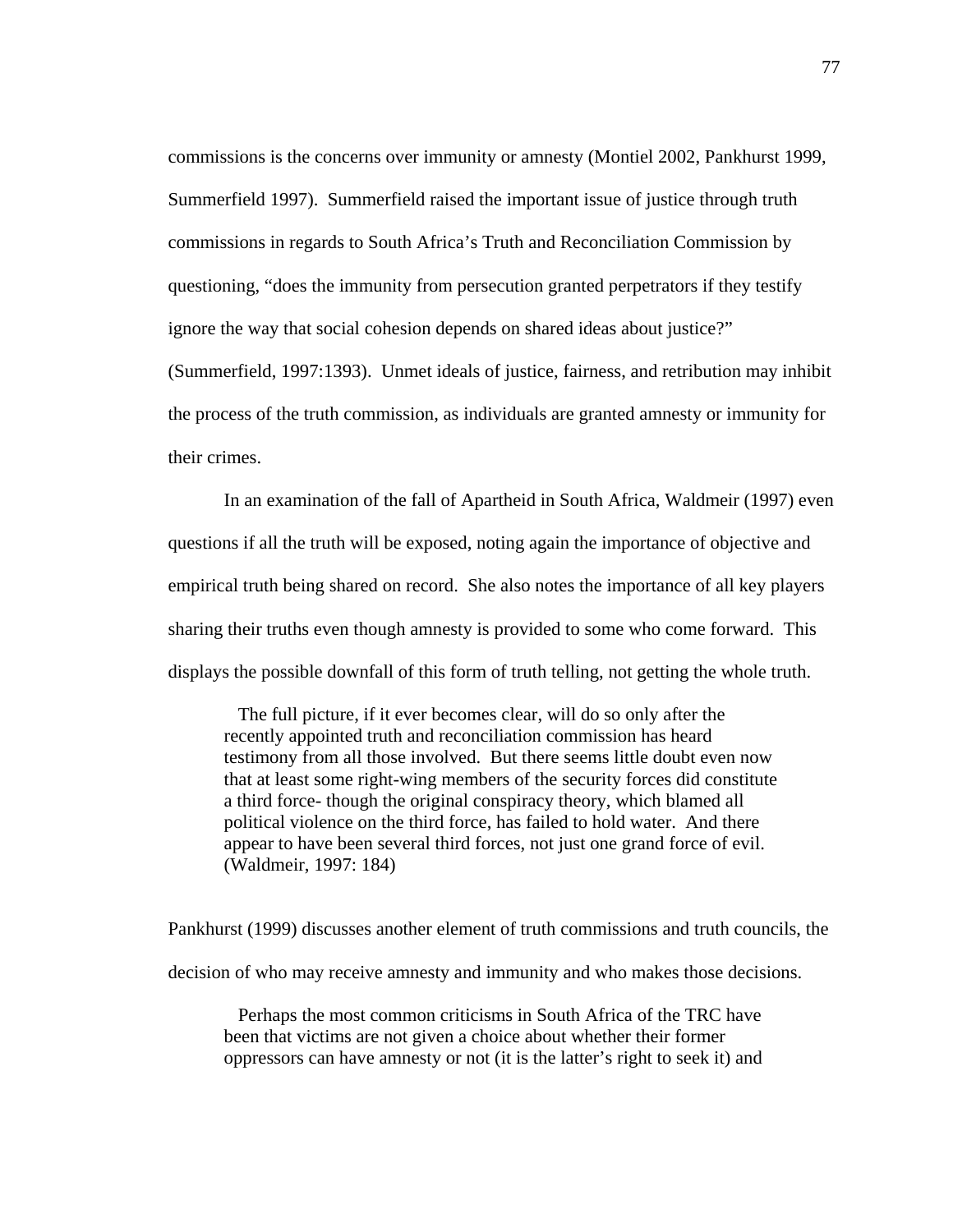commissions is the concerns over immunity or amnesty (Montiel 2002, Pankhurst 1999, Summerfield 1997). Summerfield raised the important issue of justice through truth commissions in regards to South Africa's Truth and Reconciliation Commission by questioning, "does the immunity from persecution granted perpetrators if they testify ignore the way that social cohesion depends on shared ideas about justice?" (Summerfield, 1997:1393). Unmet ideals of justice, fairness, and retribution may inhibit

the process of the truth commission, as individuals are granted amnesty or immunity for their crimes.

In an examination of the fall of Apartheid in South Africa, Waldmeir (1997) even questions if all the truth will be exposed, noting again the importance of objective and empirical truth being shared on record. She also notes the importance of all key players sharing their truths even though amnesty is provided to some who come forward. This displays the possible downfall of this form of truth telling, not getting the whole truth.

 The full picture, if it ever becomes clear, will do so only after the recently appointed truth and reconciliation commission has heard testimony from all those involved. But there seems little doubt even now that at least some right-wing members of the security forces did constitute a third force- though the original conspiracy theory, which blamed all political violence on the third force, has failed to hold water. And there appear to have been several third forces, not just one grand force of evil. (Waldmeir, 1997: 184)

Pankhurst (1999) discusses another element of truth commissions and truth councils, the decision of who may receive amnesty and immunity and who makes those decisions.

 Perhaps the most common criticisms in South Africa of the TRC have been that victims are not given a choice about whether their former oppressors can have amnesty or not (it is the latter's right to seek it) and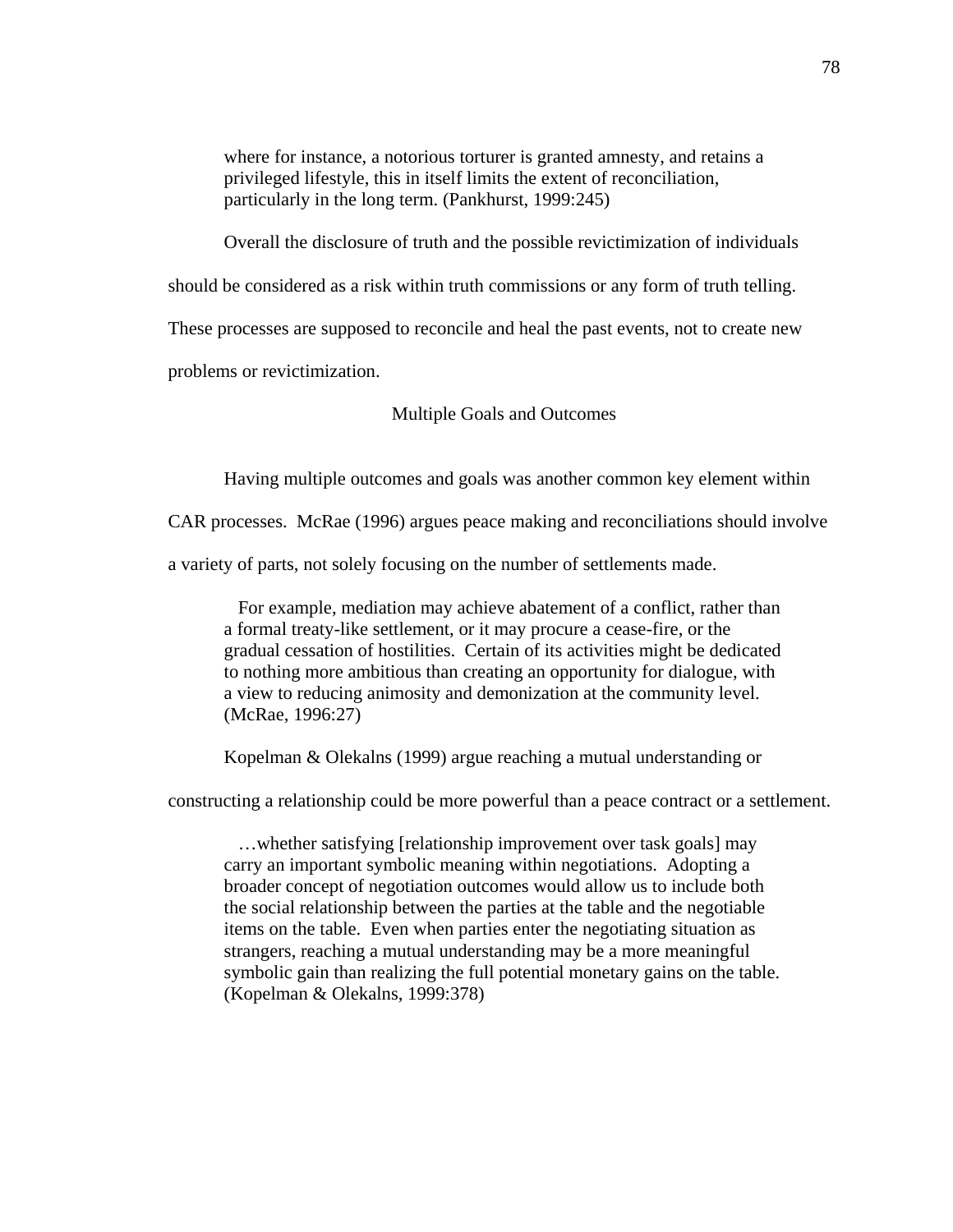where for instance, a notorious torturer is granted amnesty, and retains a privileged lifestyle, this in itself limits the extent of reconciliation, particularly in the long term. (Pankhurst, 1999:245)

Overall the disclosure of truth and the possible revictimization of individuals

should be considered as a risk within truth commissions or any form of truth telling.

These processes are supposed to reconcile and heal the past events, not to create new

problems or revictimization.

Multiple Goals and Outcomes

Having multiple outcomes and goals was another common key element within

CAR processes. McRae (1996) argues peace making and reconciliations should involve

a variety of parts, not solely focusing on the number of settlements made.

 For example, mediation may achieve abatement of a conflict, rather than a formal treaty-like settlement, or it may procure a cease-fire, or the gradual cessation of hostilities. Certain of its activities might be dedicated to nothing more ambitious than creating an opportunity for dialogue, with a view to reducing animosity and demonization at the community level. (McRae, 1996:27)

Kopelman & Olekalns (1999) argue reaching a mutual understanding or

constructing a relationship could be more powerful than a peace contract or a settlement.

 …whether satisfying [relationship improvement over task goals] may carry an important symbolic meaning within negotiations. Adopting a broader concept of negotiation outcomes would allow us to include both the social relationship between the parties at the table and the negotiable items on the table. Even when parties enter the negotiating situation as strangers, reaching a mutual understanding may be a more meaningful symbolic gain than realizing the full potential monetary gains on the table. (Kopelman & Olekalns, 1999:378)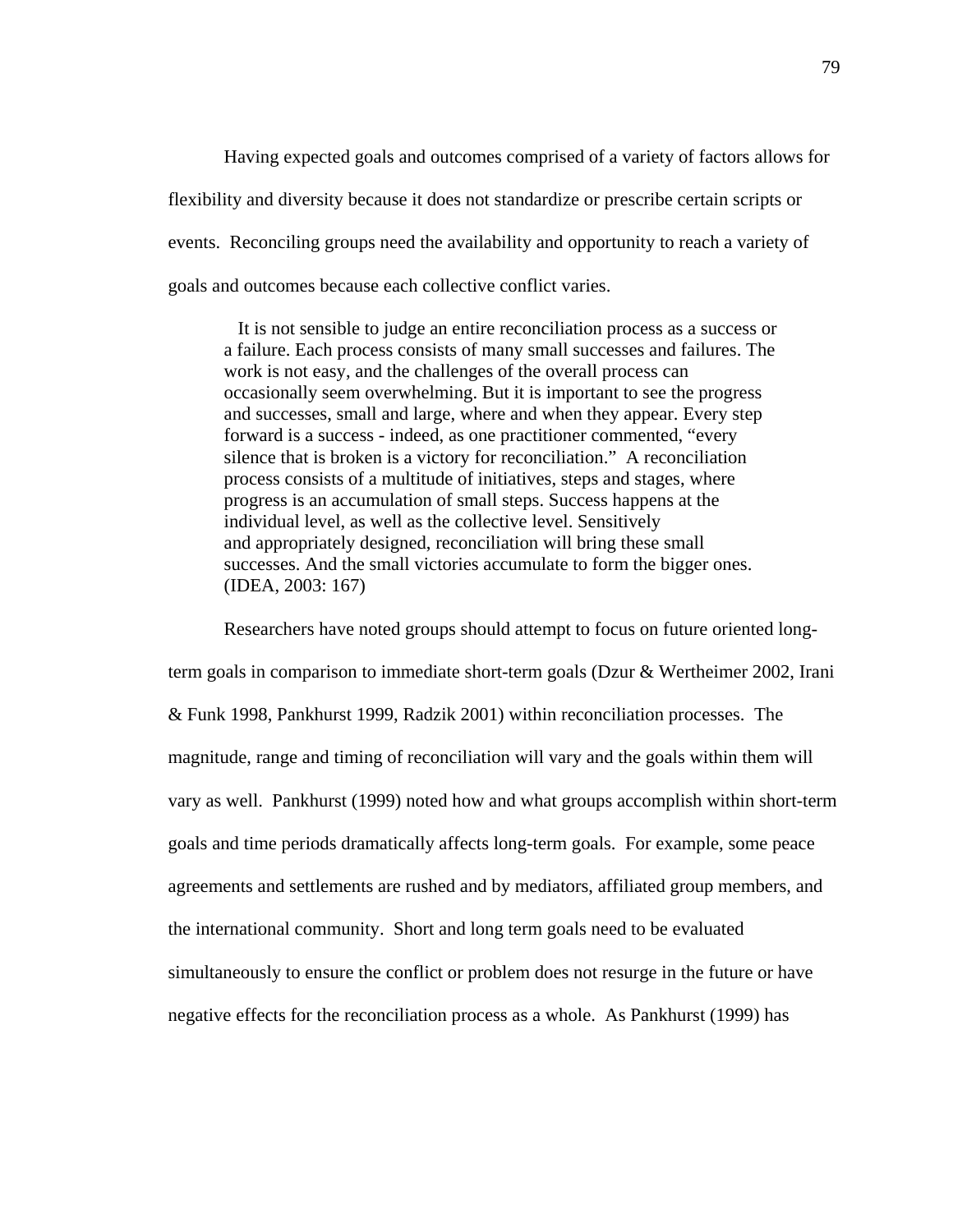Having expected goals and outcomes comprised of a variety of factors allows for flexibility and diversity because it does not standardize or prescribe certain scripts or events. Reconciling groups need the availability and opportunity to reach a variety of goals and outcomes because each collective conflict varies.

 It is not sensible to judge an entire reconciliation process as a success or a failure. Each process consists of many small successes and failures. The work is not easy, and the challenges of the overall process can occasionally seem overwhelming. But it is important to see the progress and successes, small and large, where and when they appear. Every step forward is a success - indeed, as one practitioner commented, "every silence that is broken is a victory for reconciliation." A reconciliation process consists of a multitude of initiatives, steps and stages, where progress is an accumulation of small steps. Success happens at the individual level, as well as the collective level. Sensitively and appropriately designed, reconciliation will bring these small successes. And the small victories accumulate to form the bigger ones. (IDEA, 2003: 167)

Researchers have noted groups should attempt to focus on future oriented longterm goals in comparison to immediate short-term goals (Dzur & Wertheimer 2002, Irani & Funk 1998, Pankhurst 1999, Radzik 2001) within reconciliation processes. The magnitude, range and timing of reconciliation will vary and the goals within them will vary as well. Pankhurst (1999) noted how and what groups accomplish within short-term goals and time periods dramatically affects long-term goals. For example, some peace agreements and settlements are rushed and by mediators, affiliated group members, and the international community. Short and long term goals need to be evaluated simultaneously to ensure the conflict or problem does not resurge in the future or have negative effects for the reconciliation process as a whole. As Pankhurst (1999) has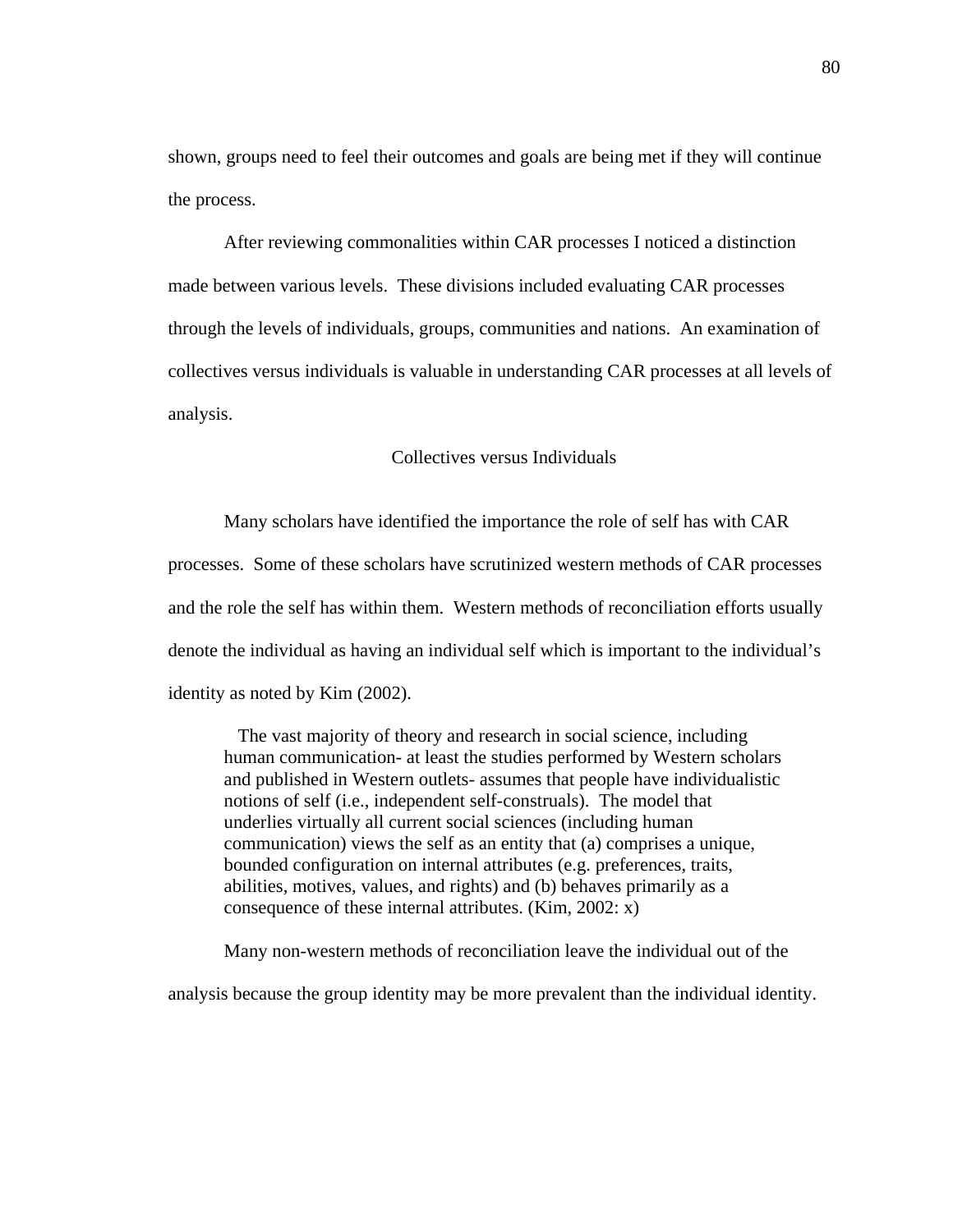shown, groups need to feel their outcomes and goals are being met if they will continue the process.

After reviewing commonalities within CAR processes I noticed a distinction made between various levels. These divisions included evaluating CAR processes through the levels of individuals, groups, communities and nations. An examination of collectives versus individuals is valuable in understanding CAR processes at all levels of analysis.

## Collectives versus Individuals

Many scholars have identified the importance the role of self has with CAR processes. Some of these scholars have scrutinized western methods of CAR processes and the role the self has within them. Western methods of reconciliation efforts usually denote the individual as having an individual self which is important to the individual's identity as noted by Kim (2002).

 The vast majority of theory and research in social science, including human communication- at least the studies performed by Western scholars and published in Western outlets- assumes that people have individualistic notions of self (i.e., independent self-construals). The model that underlies virtually all current social sciences (including human communication) views the self as an entity that (a) comprises a unique, bounded configuration on internal attributes (e.g. preferences, traits, abilities, motives, values, and rights) and (b) behaves primarily as a consequence of these internal attributes. (Kim, 2002: x)

Many non-western methods of reconciliation leave the individual out of the

analysis because the group identity may be more prevalent than the individual identity.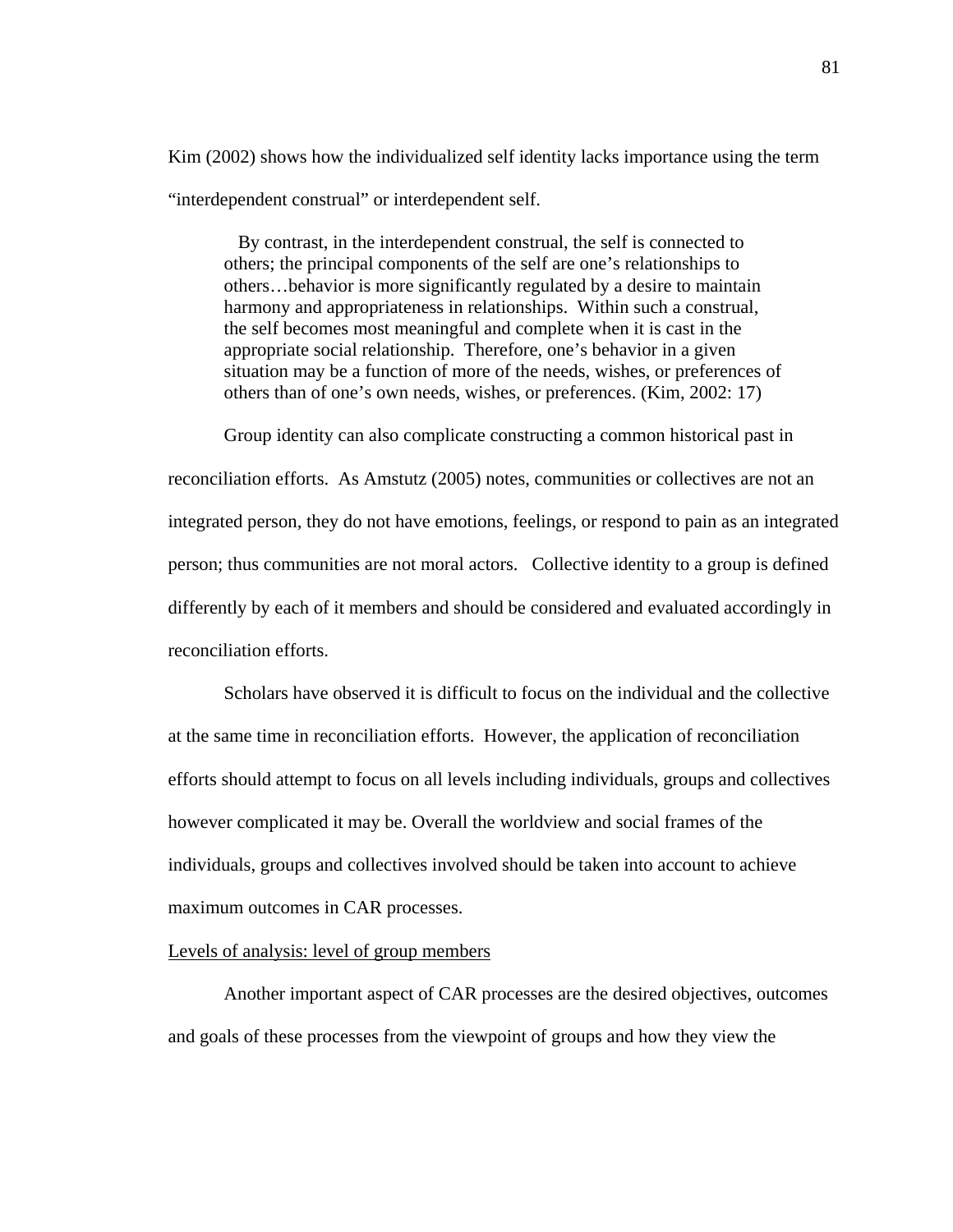Kim (2002) shows how the individualized self identity lacks importance using the term "interdependent construal" or interdependent self.

 By contrast, in the interdependent construal, the self is connected to others; the principal components of the self are one's relationships to others…behavior is more significantly regulated by a desire to maintain harmony and appropriateness in relationships. Within such a construal, the self becomes most meaningful and complete when it is cast in the appropriate social relationship. Therefore, one's behavior in a given situation may be a function of more of the needs, wishes, or preferences of others than of one's own needs, wishes, or preferences. (Kim, 2002: 17)

Group identity can also complicate constructing a common historical past in reconciliation efforts. As Amstutz (2005) notes, communities or collectives are not an integrated person, they do not have emotions, feelings, or respond to pain as an integrated person; thus communities are not moral actors. Collective identity to a group is defined differently by each of it members and should be considered and evaluated accordingly in reconciliation efforts.

Scholars have observed it is difficult to focus on the individual and the collective at the same time in reconciliation efforts. However, the application of reconciliation efforts should attempt to focus on all levels including individuals, groups and collectives however complicated it may be. Overall the worldview and social frames of the individuals, groups and collectives involved should be taken into account to achieve maximum outcomes in CAR processes.

### Levels of analysis: level of group members

Another important aspect of CAR processes are the desired objectives, outcomes and goals of these processes from the viewpoint of groups and how they view the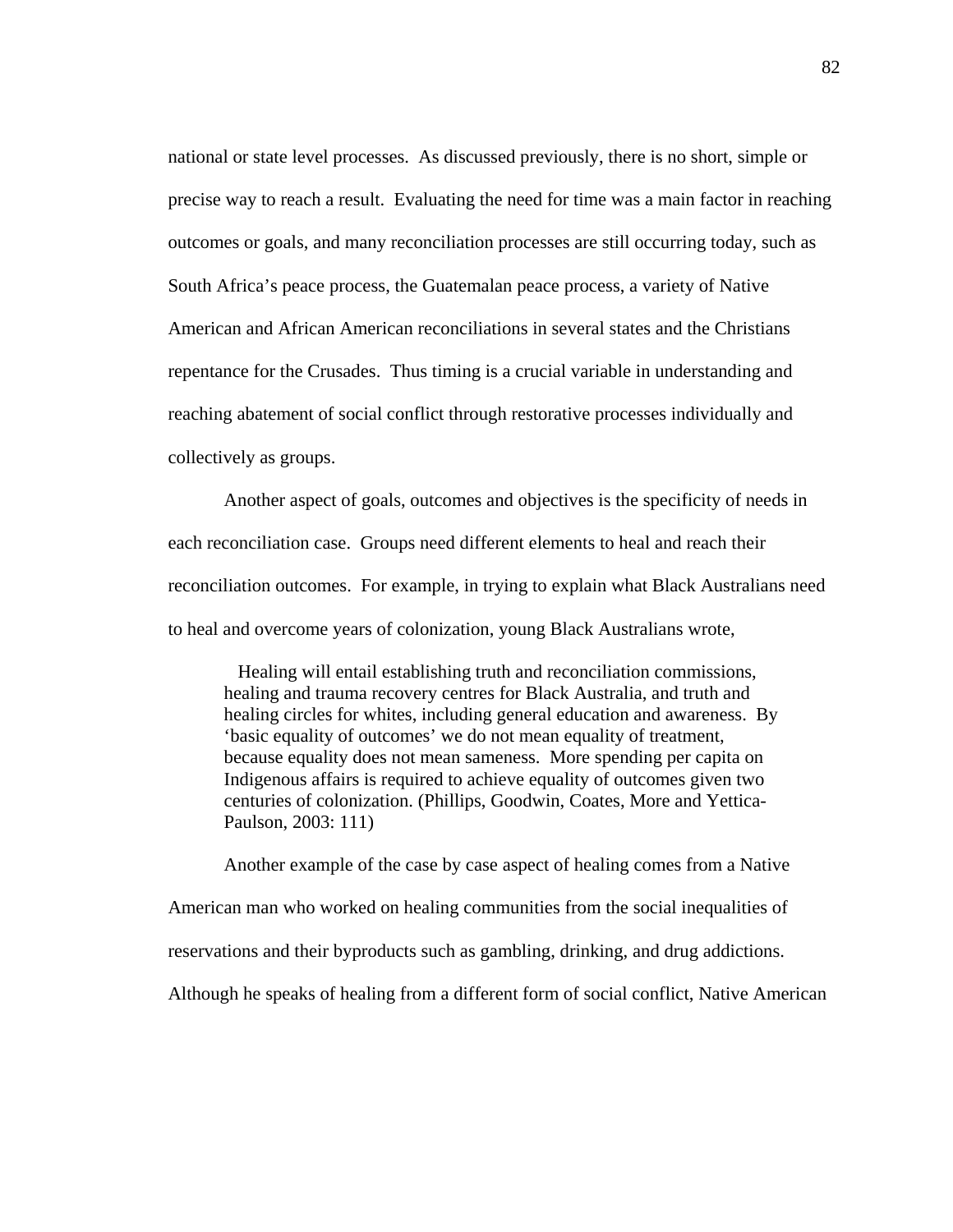national or state level processes. As discussed previously, there is no short, simple or precise way to reach a result. Evaluating the need for time was a main factor in reaching outcomes or goals, and many reconciliation processes are still occurring today, such as South Africa's peace process, the Guatemalan peace process, a variety of Native American and African American reconciliations in several states and the Christians repentance for the Crusades. Thus timing is a crucial variable in understanding and reaching abatement of social conflict through restorative processes individually and collectively as groups.

Another aspect of goals, outcomes and objectives is the specificity of needs in each reconciliation case. Groups need different elements to heal and reach their reconciliation outcomes. For example, in trying to explain what Black Australians need to heal and overcome years of colonization, young Black Australians wrote,

 Healing will entail establishing truth and reconciliation commissions, healing and trauma recovery centres for Black Australia, and truth and healing circles for whites, including general education and awareness. By 'basic equality of outcomes' we do not mean equality of treatment, because equality does not mean sameness. More spending per capita on Indigenous affairs is required to achieve equality of outcomes given two centuries of colonization. (Phillips, Goodwin, Coates, More and Yettica-Paulson, 2003: 111)

Another example of the case by case aspect of healing comes from a Native American man who worked on healing communities from the social inequalities of reservations and their byproducts such as gambling, drinking, and drug addictions. Although he speaks of healing from a different form of social conflict, Native American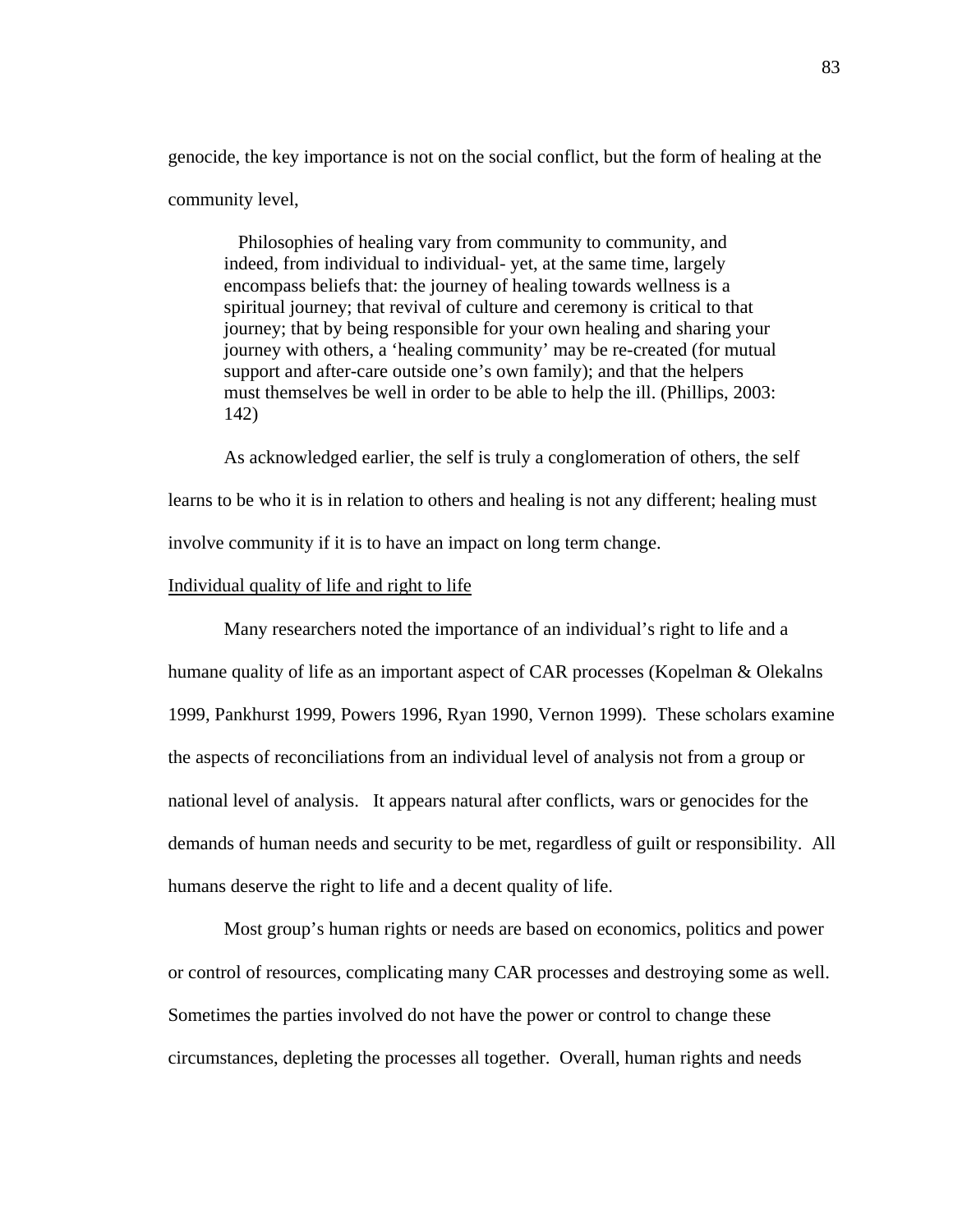genocide, the key importance is not on the social conflict, but the form of healing at the community level,

 Philosophies of healing vary from community to community, and indeed, from individual to individual- yet, at the same time, largely encompass beliefs that: the journey of healing towards wellness is a spiritual journey; that revival of culture and ceremony is critical to that journey; that by being responsible for your own healing and sharing your journey with others, a 'healing community' may be re-created (for mutual support and after-care outside one's own family); and that the helpers must themselves be well in order to be able to help the ill. (Phillips, 2003: 142)

As acknowledged earlier, the self is truly a conglomeration of others, the self learns to be who it is in relation to others and healing is not any different; healing must involve community if it is to have an impact on long term change.

## Individual quality of life and right to life

Many researchers noted the importance of an individual's right to life and a humane quality of life as an important aspect of CAR processes (Kopelman & Olekalns 1999, Pankhurst 1999, Powers 1996, Ryan 1990, Vernon 1999). These scholars examine the aspects of reconciliations from an individual level of analysis not from a group or national level of analysis. It appears natural after conflicts, wars or genocides for the demands of human needs and security to be met, regardless of guilt or responsibility. All humans deserve the right to life and a decent quality of life.

Most group's human rights or needs are based on economics, politics and power or control of resources, complicating many CAR processes and destroying some as well. Sometimes the parties involved do not have the power or control to change these circumstances, depleting the processes all together. Overall, human rights and needs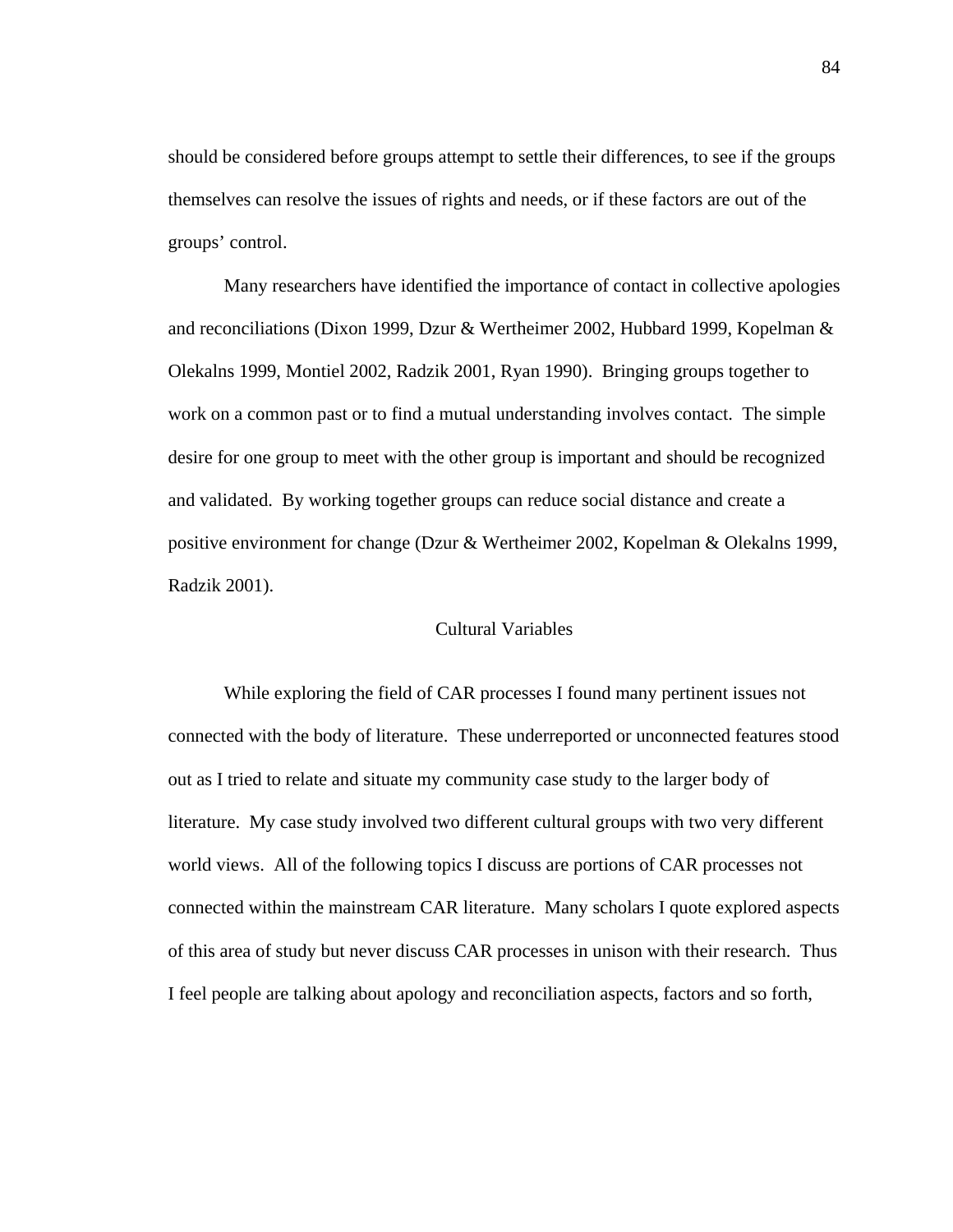should be considered before groups attempt to settle their differences, to see if the groups themselves can resolve the issues of rights and needs, or if these factors are out of the groups' control.

Many researchers have identified the importance of contact in collective apologies and reconciliations (Dixon 1999, Dzur & Wertheimer 2002, Hubbard 1999, Kopelman & Olekalns 1999, Montiel 2002, Radzik 2001, Ryan 1990). Bringing groups together to work on a common past or to find a mutual understanding involves contact. The simple desire for one group to meet with the other group is important and should be recognized and validated. By working together groups can reduce social distance and create a positive environment for change (Dzur & Wertheimer 2002, Kopelman & Olekalns 1999, Radzik 2001).

### Cultural Variables

 While exploring the field of CAR processes I found many pertinent issues not connected with the body of literature. These underreported or unconnected features stood out as I tried to relate and situate my community case study to the larger body of literature. My case study involved two different cultural groups with two very different world views. All of the following topics I discuss are portions of CAR processes not connected within the mainstream CAR literature. Many scholars I quote explored aspects of this area of study but never discuss CAR processes in unison with their research. Thus I feel people are talking about apology and reconciliation aspects, factors and so forth,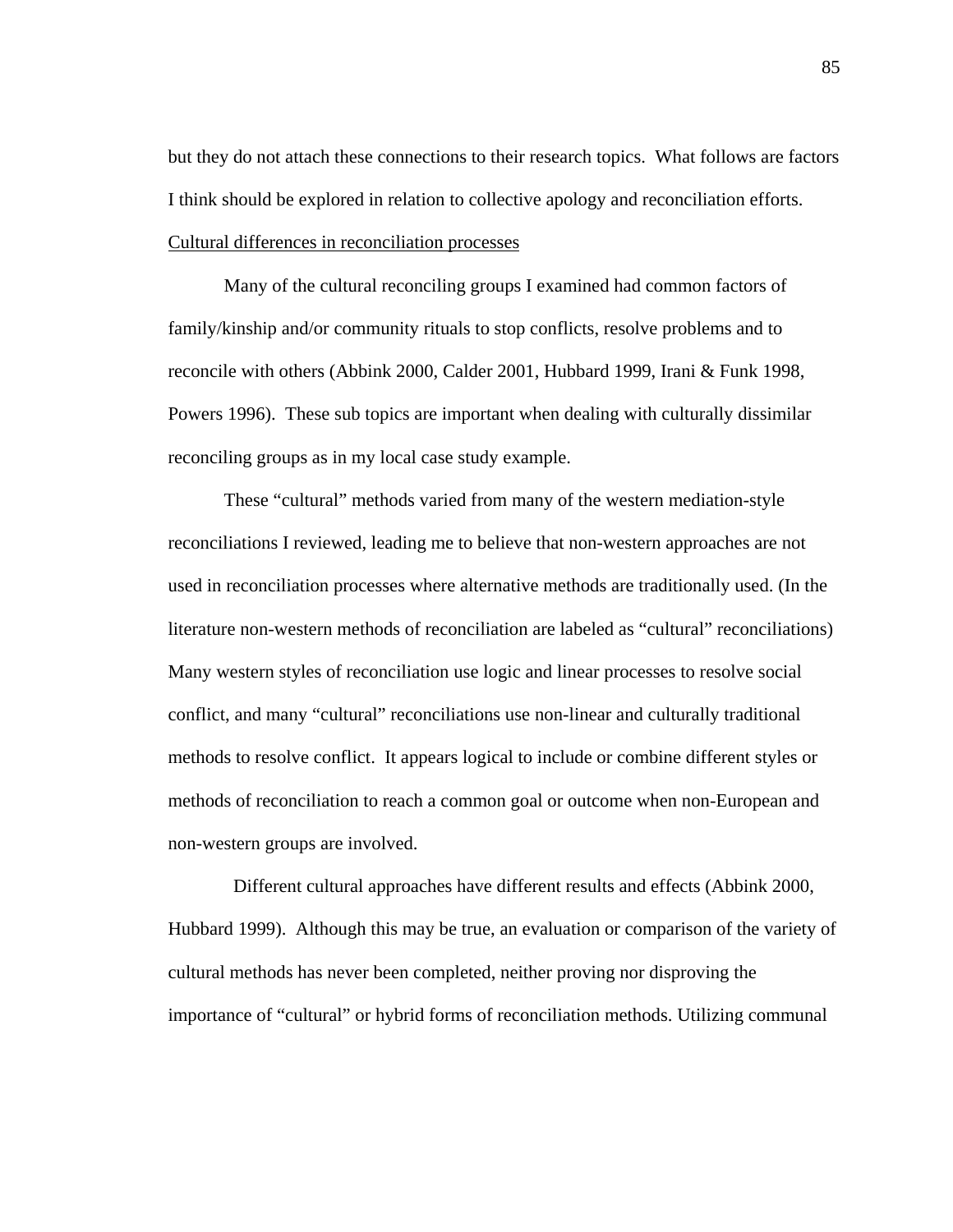but they do not attach these connections to their research topics. What follows are factors I think should be explored in relation to collective apology and reconciliation efforts. Cultural differences in reconciliation processes

Many of the cultural reconciling groups I examined had common factors of family/kinship and/or community rituals to stop conflicts, resolve problems and to reconcile with others (Abbink 2000, Calder 2001, Hubbard 1999, Irani & Funk 1998, Powers 1996). These sub topics are important when dealing with culturally dissimilar reconciling groups as in my local case study example.

These "cultural" methods varied from many of the western mediation-style reconciliations I reviewed, leading me to believe that non-western approaches are not used in reconciliation processes where alternative methods are traditionally used. (In the literature non-western methods of reconciliation are labeled as "cultural" reconciliations) Many western styles of reconciliation use logic and linear processes to resolve social conflict, and many "cultural" reconciliations use non-linear and culturally traditional methods to resolve conflict. It appears logical to include or combine different styles or methods of reconciliation to reach a common goal or outcome when non-European and non-western groups are involved.

 Different cultural approaches have different results and effects (Abbink 2000, Hubbard 1999). Although this may be true, an evaluation or comparison of the variety of cultural methods has never been completed, neither proving nor disproving the importance of "cultural" or hybrid forms of reconciliation methods. Utilizing communal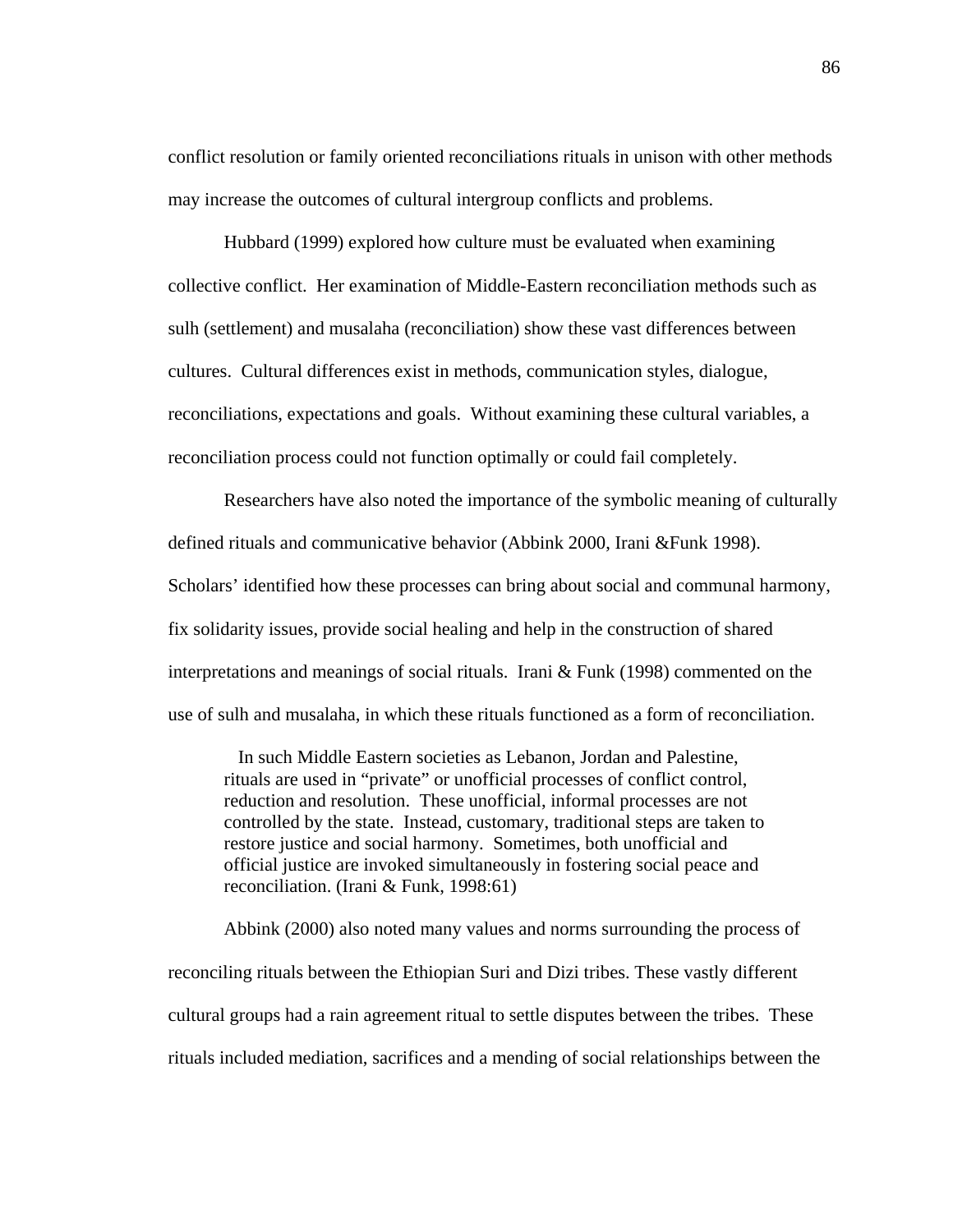conflict resolution or family oriented reconciliations rituals in unison with other methods may increase the outcomes of cultural intergroup conflicts and problems.

Hubbard (1999) explored how culture must be evaluated when examining collective conflict. Her examination of Middle-Eastern reconciliation methods such as sulh (settlement) and musalaha (reconciliation) show these vast differences between cultures. Cultural differences exist in methods, communication styles, dialogue, reconciliations, expectations and goals. Without examining these cultural variables, a reconciliation process could not function optimally or could fail completely.

Researchers have also noted the importance of the symbolic meaning of culturally defined rituals and communicative behavior (Abbink 2000, Irani &Funk 1998). Scholars' identified how these processes can bring about social and communal harmony, fix solidarity issues, provide social healing and help in the construction of shared interpretations and meanings of social rituals. Irani & Funk (1998) commented on the use of sulh and musalaha, in which these rituals functioned as a form of reconciliation.

 In such Middle Eastern societies as Lebanon, Jordan and Palestine, rituals are used in "private" or unofficial processes of conflict control, reduction and resolution. These unofficial, informal processes are not controlled by the state. Instead, customary, traditional steps are taken to restore justice and social harmony. Sometimes, both unofficial and official justice are invoked simultaneously in fostering social peace and reconciliation. (Irani & Funk, 1998:61)

Abbink (2000) also noted many values and norms surrounding the process of reconciling rituals between the Ethiopian Suri and Dizi tribes. These vastly different cultural groups had a rain agreement ritual to settle disputes between the tribes. These rituals included mediation, sacrifices and a mending of social relationships between the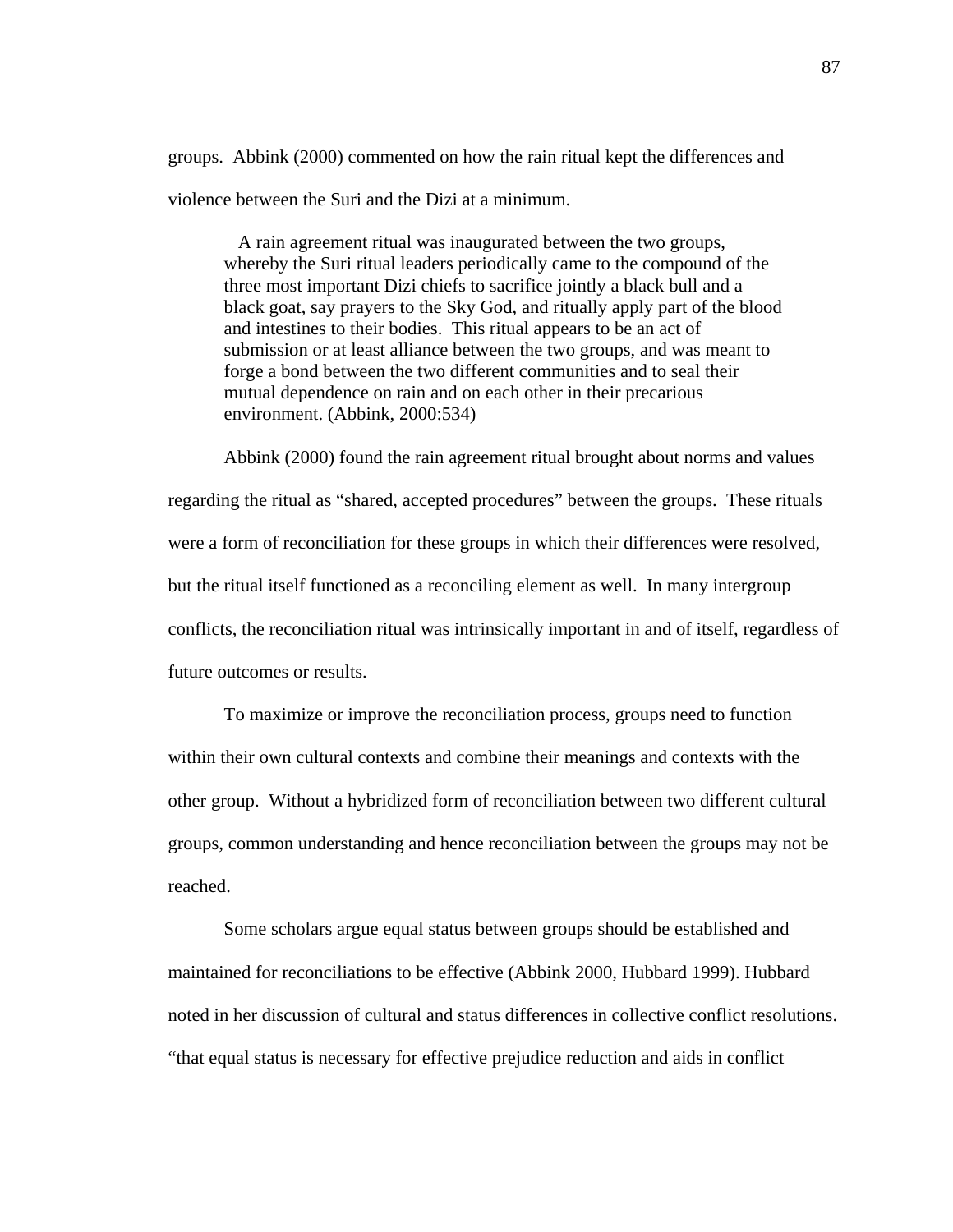groups. Abbink (2000) commented on how the rain ritual kept the differences and violence between the Suri and the Dizi at a minimum.

 A rain agreement ritual was inaugurated between the two groups, whereby the Suri ritual leaders periodically came to the compound of the three most important Dizi chiefs to sacrifice jointly a black bull and a black goat, say prayers to the Sky God, and ritually apply part of the blood and intestines to their bodies. This ritual appears to be an act of submission or at least alliance between the two groups, and was meant to forge a bond between the two different communities and to seal their mutual dependence on rain and on each other in their precarious environment. (Abbink, 2000:534)

Abbink (2000) found the rain agreement ritual brought about norms and values regarding the ritual as "shared, accepted procedures" between the groups. These rituals were a form of reconciliation for these groups in which their differences were resolved, but the ritual itself functioned as a reconciling element as well. In many intergroup conflicts, the reconciliation ritual was intrinsically important in and of itself, regardless of future outcomes or results.

To maximize or improve the reconciliation process, groups need to function within their own cultural contexts and combine their meanings and contexts with the other group. Without a hybridized form of reconciliation between two different cultural groups, common understanding and hence reconciliation between the groups may not be reached.

Some scholars argue equal status between groups should be established and maintained for reconciliations to be effective (Abbink 2000, Hubbard 1999). Hubbard noted in her discussion of cultural and status differences in collective conflict resolutions. "that equal status is necessary for effective prejudice reduction and aids in conflict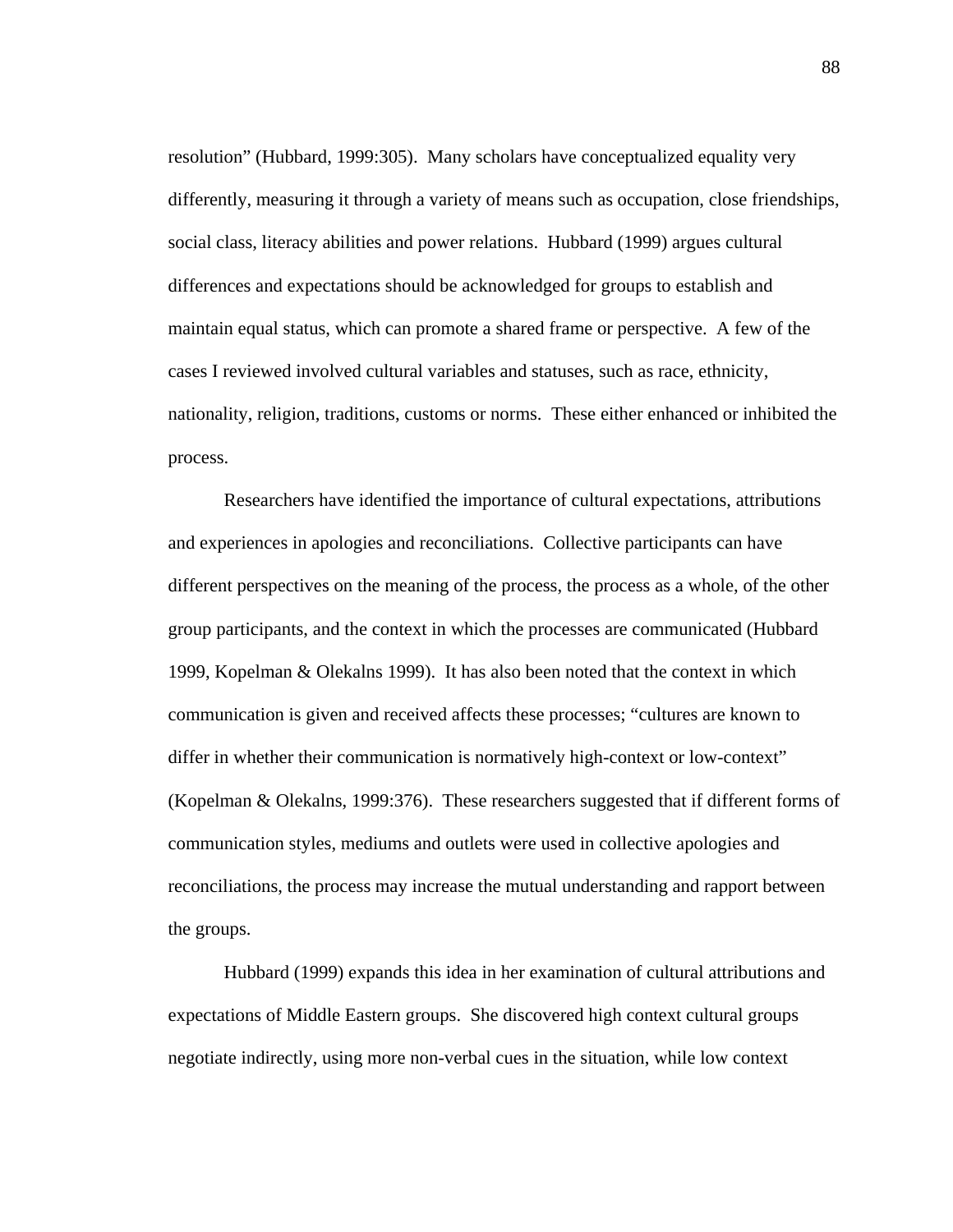resolution" (Hubbard, 1999:305). Many scholars have conceptualized equality very differently, measuring it through a variety of means such as occupation, close friendships, social class, literacy abilities and power relations. Hubbard (1999) argues cultural differences and expectations should be acknowledged for groups to establish and maintain equal status, which can promote a shared frame or perspective. A few of the cases I reviewed involved cultural variables and statuses, such as race, ethnicity, nationality, religion, traditions, customs or norms. These either enhanced or inhibited the process.

Researchers have identified the importance of cultural expectations, attributions and experiences in apologies and reconciliations. Collective participants can have different perspectives on the meaning of the process, the process as a whole, of the other group participants, and the context in which the processes are communicated (Hubbard 1999, Kopelman & Olekalns 1999). It has also been noted that the context in which communication is given and received affects these processes; "cultures are known to differ in whether their communication is normatively high-context or low-context" (Kopelman & Olekalns, 1999:376). These researchers suggested that if different forms of communication styles, mediums and outlets were used in collective apologies and reconciliations, the process may increase the mutual understanding and rapport between the groups.

Hubbard (1999) expands this idea in her examination of cultural attributions and expectations of Middle Eastern groups. She discovered high context cultural groups negotiate indirectly, using more non-verbal cues in the situation, while low context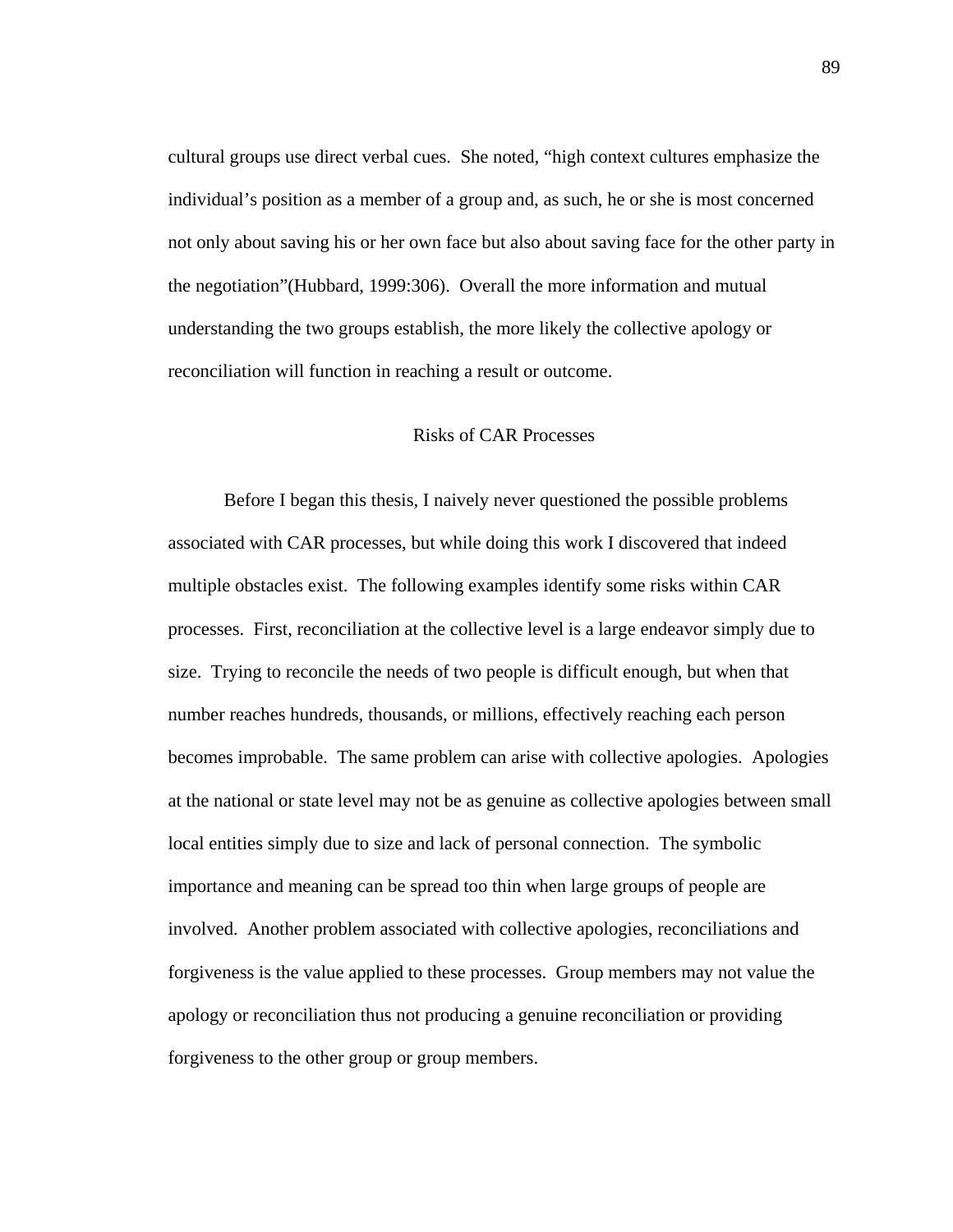cultural groups use direct verbal cues. She noted, "high context cultures emphasize the individual's position as a member of a group and, as such, he or she is most concerned not only about saving his or her own face but also about saving face for the other party in the negotiation"(Hubbard, 1999:306). Overall the more information and mutual understanding the two groups establish, the more likely the collective apology or reconciliation will function in reaching a result or outcome.

### Risks of CAR Processes

Before I began this thesis, I naively never questioned the possible problems associated with CAR processes, but while doing this work I discovered that indeed multiple obstacles exist. The following examples identify some risks within CAR processes. First, reconciliation at the collective level is a large endeavor simply due to size. Trying to reconcile the needs of two people is difficult enough, but when that number reaches hundreds, thousands, or millions, effectively reaching each person becomes improbable. The same problem can arise with collective apologies. Apologies at the national or state level may not be as genuine as collective apologies between small local entities simply due to size and lack of personal connection. The symbolic importance and meaning can be spread too thin when large groups of people are involved. Another problem associated with collective apologies, reconciliations and forgiveness is the value applied to these processes. Group members may not value the apology or reconciliation thus not producing a genuine reconciliation or providing forgiveness to the other group or group members.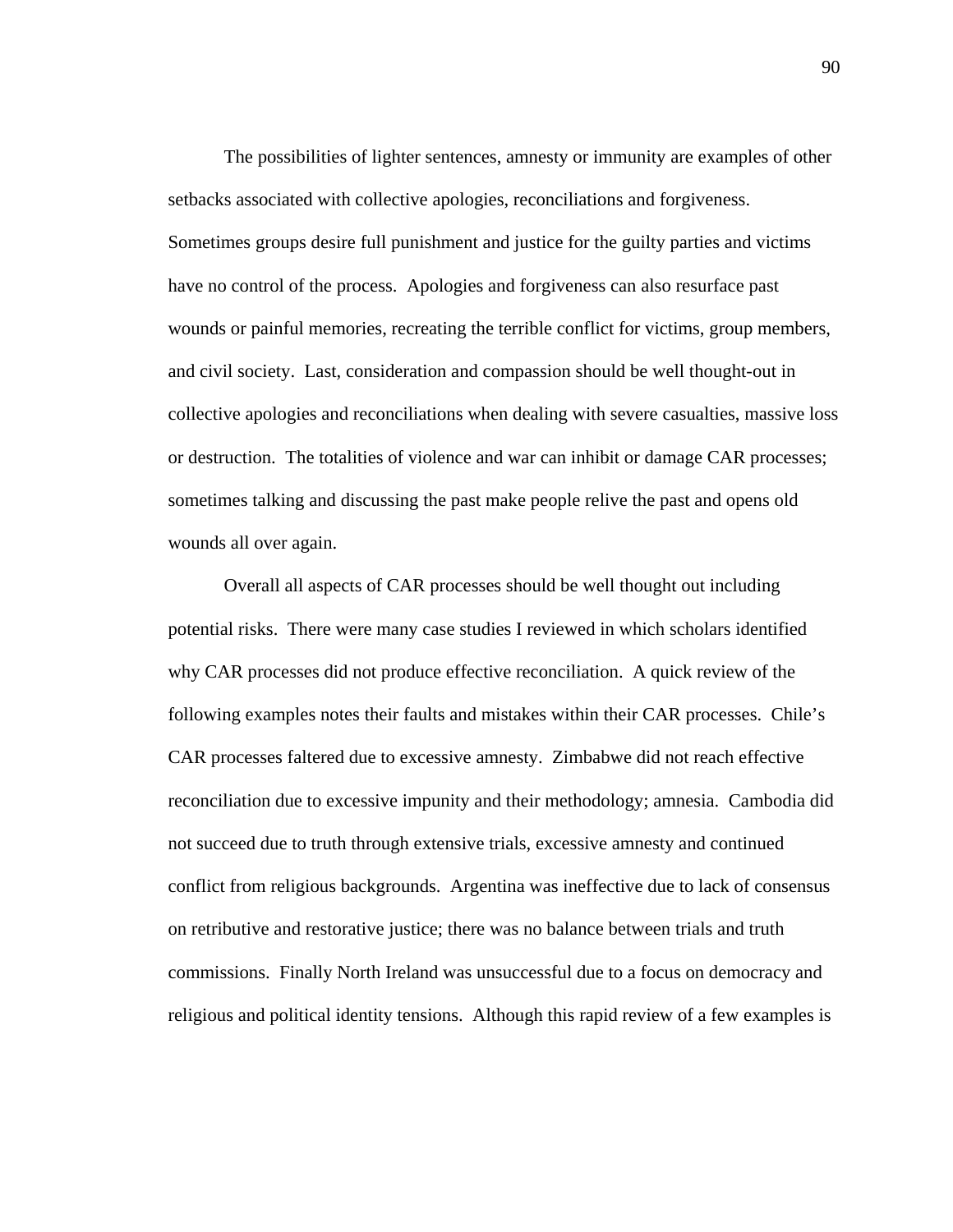The possibilities of lighter sentences, amnesty or immunity are examples of other setbacks associated with collective apologies, reconciliations and forgiveness. Sometimes groups desire full punishment and justice for the guilty parties and victims have no control of the process. Apologies and forgiveness can also resurface past wounds or painful memories, recreating the terrible conflict for victims, group members, and civil society. Last, consideration and compassion should be well thought-out in collective apologies and reconciliations when dealing with severe casualties, massive loss or destruction. The totalities of violence and war can inhibit or damage CAR processes; sometimes talking and discussing the past make people relive the past and opens old wounds all over again.

Overall all aspects of CAR processes should be well thought out including potential risks. There were many case studies I reviewed in which scholars identified why CAR processes did not produce effective reconciliation. A quick review of the following examples notes their faults and mistakes within their CAR processes. Chile's CAR processes faltered due to excessive amnesty. Zimbabwe did not reach effective reconciliation due to excessive impunity and their methodology; amnesia. Cambodia did not succeed due to truth through extensive trials, excessive amnesty and continued conflict from religious backgrounds. Argentina was ineffective due to lack of consensus on retributive and restorative justice; there was no balance between trials and truth commissions. Finally North Ireland was unsuccessful due to a focus on democracy and religious and political identity tensions. Although this rapid review of a few examples is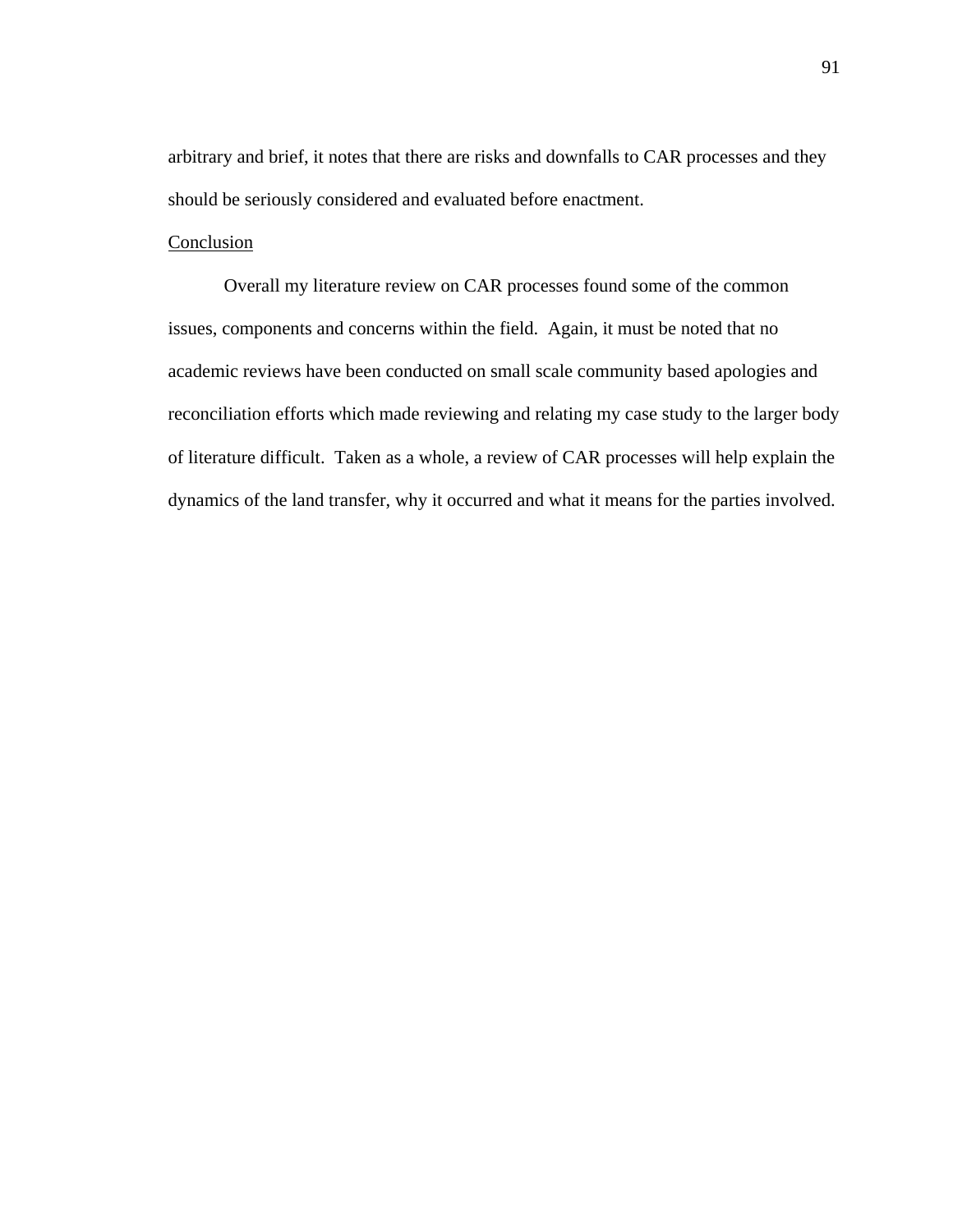arbitrary and brief, it notes that there are risks and downfalls to CAR processes and they should be seriously considered and evaluated before enactment.

### Conclusion

 Overall my literature review on CAR processes found some of the common issues, components and concerns within the field. Again, it must be noted that no academic reviews have been conducted on small scale community based apologies and reconciliation efforts which made reviewing and relating my case study to the larger body of literature difficult. Taken as a whole, a review of CAR processes will help explain the dynamics of the land transfer, why it occurred and what it means for the parties involved.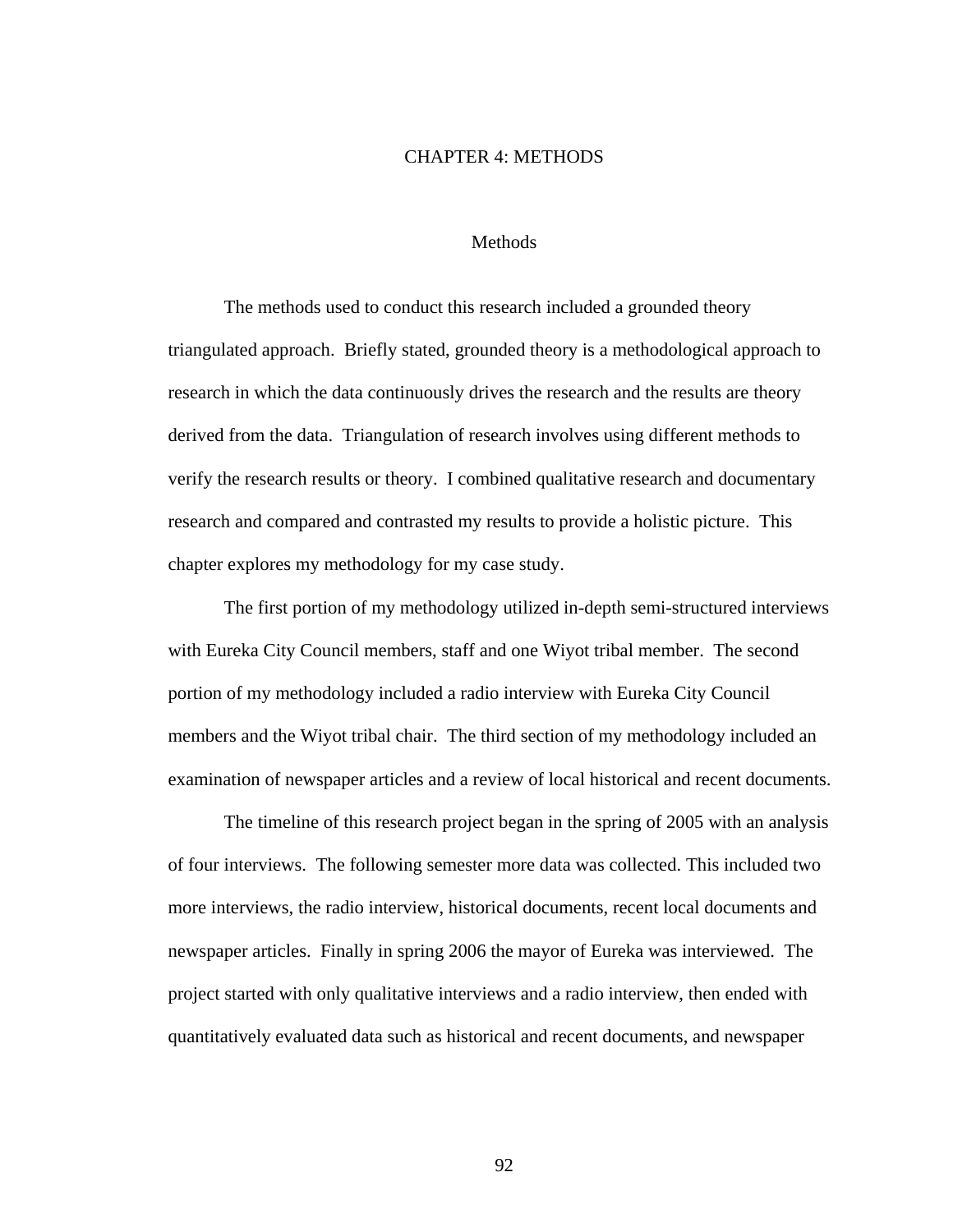#### CHAPTER 4: METHODS

### Methods

The methods used to conduct this research included a grounded theory triangulated approach. Briefly stated, grounded theory is a methodological approach to research in which the data continuously drives the research and the results are theory derived from the data. Triangulation of research involves using different methods to verify the research results or theory. I combined qualitative research and documentary research and compared and contrasted my results to provide a holistic picture. This chapter explores my methodology for my case study.

The first portion of my methodology utilized in-depth semi-structured interviews with Eureka City Council members, staff and one Wiyot tribal member. The second portion of my methodology included a radio interview with Eureka City Council members and the Wiyot tribal chair. The third section of my methodology included an examination of newspaper articles and a review of local historical and recent documents.

The timeline of this research project began in the spring of 2005 with an analysis of four interviews. The following semester more data was collected. This included two more interviews, the radio interview, historical documents, recent local documents and newspaper articles. Finally in spring 2006 the mayor of Eureka was interviewed. The project started with only qualitative interviews and a radio interview, then ended with quantitatively evaluated data such as historical and recent documents, and newspaper

92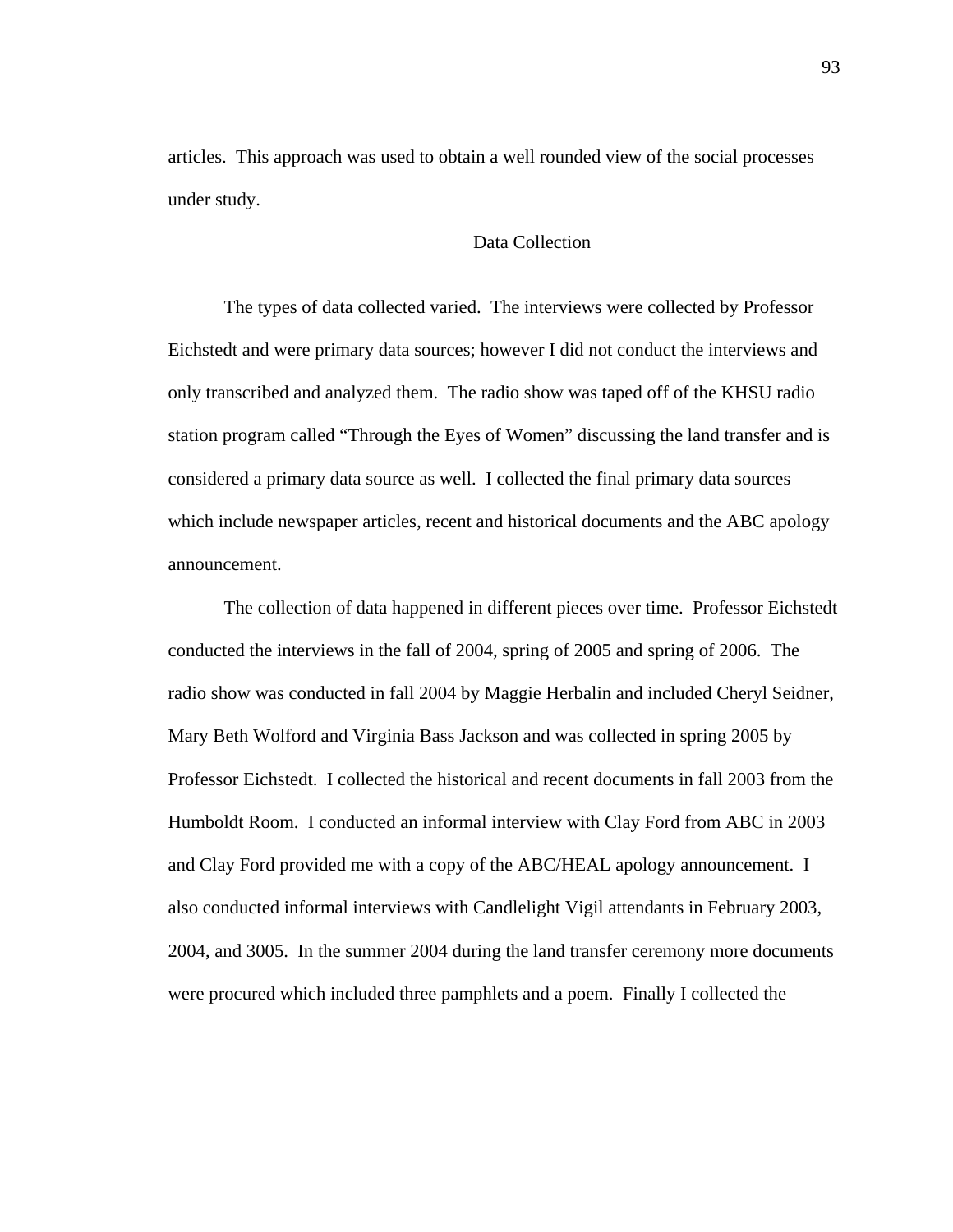articles. This approach was used to obtain a well rounded view of the social processes under study.

# Data Collection

The types of data collected varied. The interviews were collected by Professor Eichstedt and were primary data sources; however I did not conduct the interviews and only transcribed and analyzed them. The radio show was taped off of the KHSU radio station program called "Through the Eyes of Women" discussing the land transfer and is considered a primary data source as well. I collected the final primary data sources which include newspaper articles, recent and historical documents and the ABC apology announcement.

The collection of data happened in different pieces over time. Professor Eichstedt conducted the interviews in the fall of 2004, spring of 2005 and spring of 2006. The radio show was conducted in fall 2004 by Maggie Herbalin and included Cheryl Seidner, Mary Beth Wolford and Virginia Bass Jackson and was collected in spring 2005 by Professor Eichstedt. I collected the historical and recent documents in fall 2003 from the Humboldt Room. I conducted an informal interview with Clay Ford from ABC in 2003 and Clay Ford provided me with a copy of the ABC/HEAL apology announcement. I also conducted informal interviews with Candlelight Vigil attendants in February 2003, 2004, and 3005. In the summer 2004 during the land transfer ceremony more documents were procured which included three pamphlets and a poem. Finally I collected the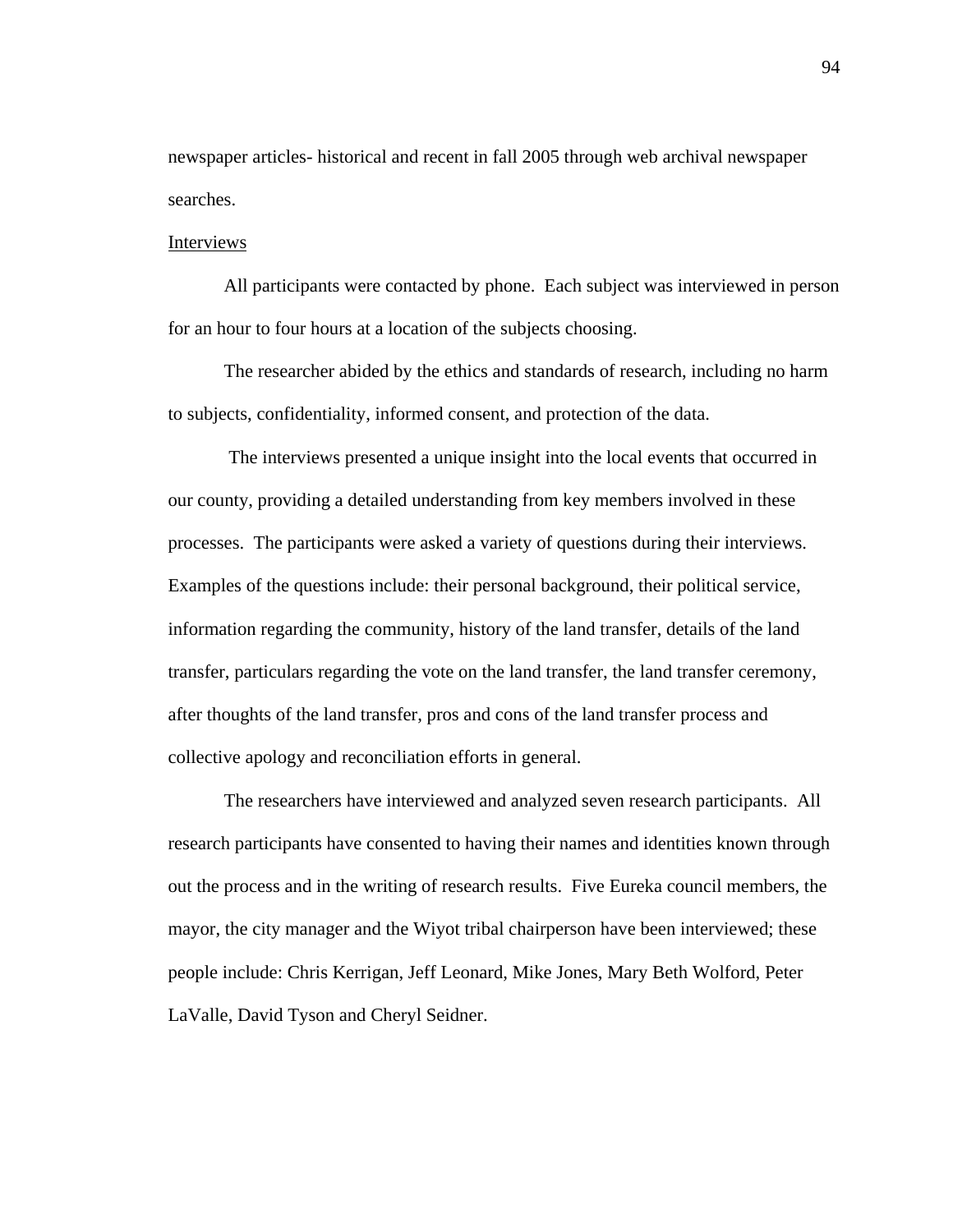newspaper articles- historical and recent in fall 2005 through web archival newspaper searches.

#### Interviews

All participants were contacted by phone. Each subject was interviewed in person for an hour to four hours at a location of the subjects choosing.

The researcher abided by the ethics and standards of research, including no harm to subjects, confidentiality, informed consent, and protection of the data.

 The interviews presented a unique insight into the local events that occurred in our county, providing a detailed understanding from key members involved in these processes. The participants were asked a variety of questions during their interviews. Examples of the questions include: their personal background, their political service, information regarding the community, history of the land transfer, details of the land transfer, particulars regarding the vote on the land transfer, the land transfer ceremony, after thoughts of the land transfer, pros and cons of the land transfer process and collective apology and reconciliation efforts in general.

The researchers have interviewed and analyzed seven research participants. All research participants have consented to having their names and identities known through out the process and in the writing of research results. Five Eureka council members, the mayor, the city manager and the Wiyot tribal chairperson have been interviewed; these people include: Chris Kerrigan, Jeff Leonard, Mike Jones, Mary Beth Wolford, Peter LaValle, David Tyson and Cheryl Seidner.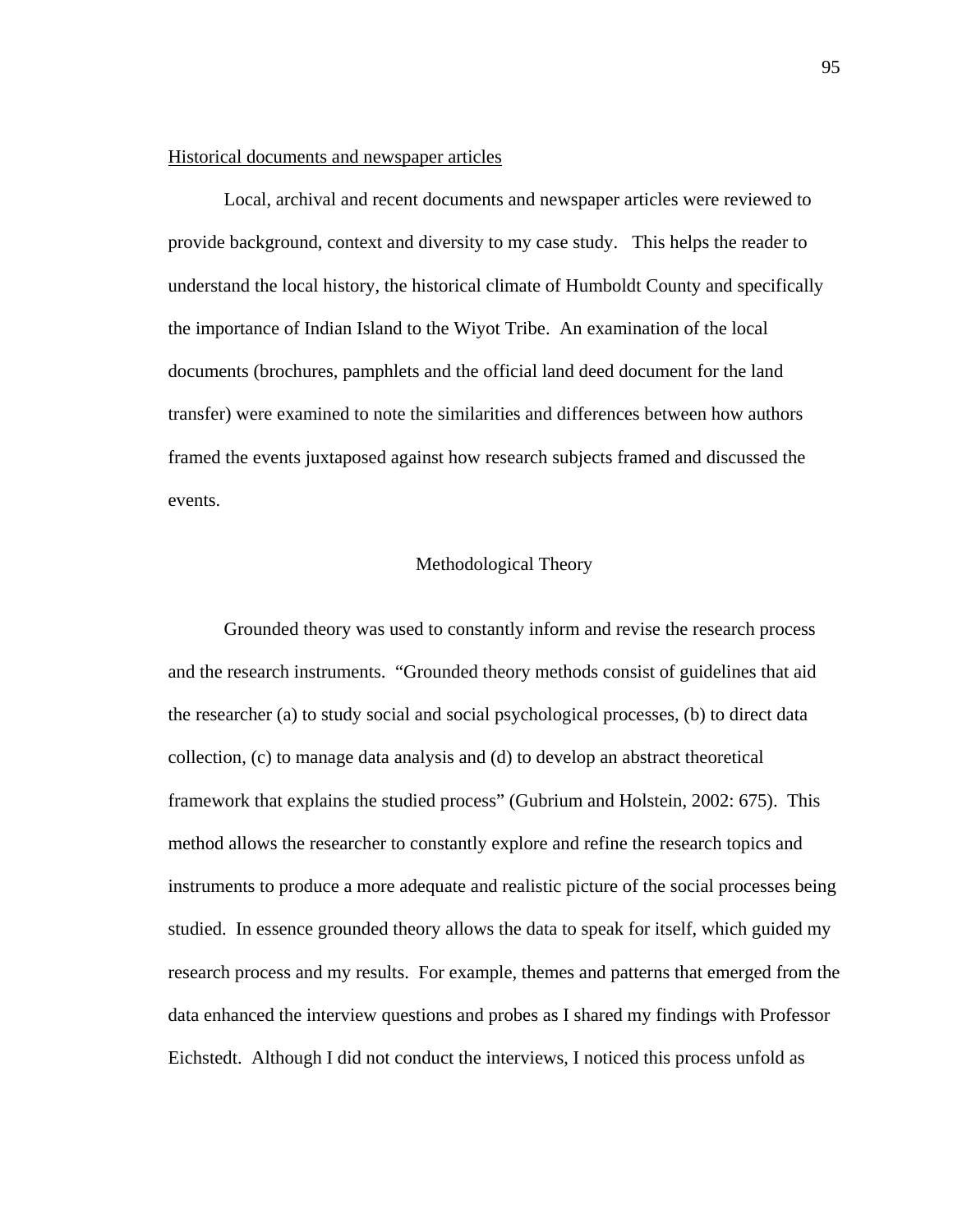# Historical documents and newspaper articles

Local, archival and recent documents and newspaper articles were reviewed to provide background, context and diversity to my case study. This helps the reader to understand the local history, the historical climate of Humboldt County and specifically the importance of Indian Island to the Wiyot Tribe. An examination of the local documents (brochures, pamphlets and the official land deed document for the land transfer) were examined to note the similarities and differences between how authors framed the events juxtaposed against how research subjects framed and discussed the events.

## Methodological Theory

Grounded theory was used to constantly inform and revise the research process and the research instruments. "Grounded theory methods consist of guidelines that aid the researcher (a) to study social and social psychological processes, (b) to direct data collection, (c) to manage data analysis and (d) to develop an abstract theoretical framework that explains the studied process" (Gubrium and Holstein, 2002: 675). This method allows the researcher to constantly explore and refine the research topics and instruments to produce a more adequate and realistic picture of the social processes being studied. In essence grounded theory allows the data to speak for itself, which guided my research process and my results. For example, themes and patterns that emerged from the data enhanced the interview questions and probes as I shared my findings with Professor Eichstedt. Although I did not conduct the interviews, I noticed this process unfold as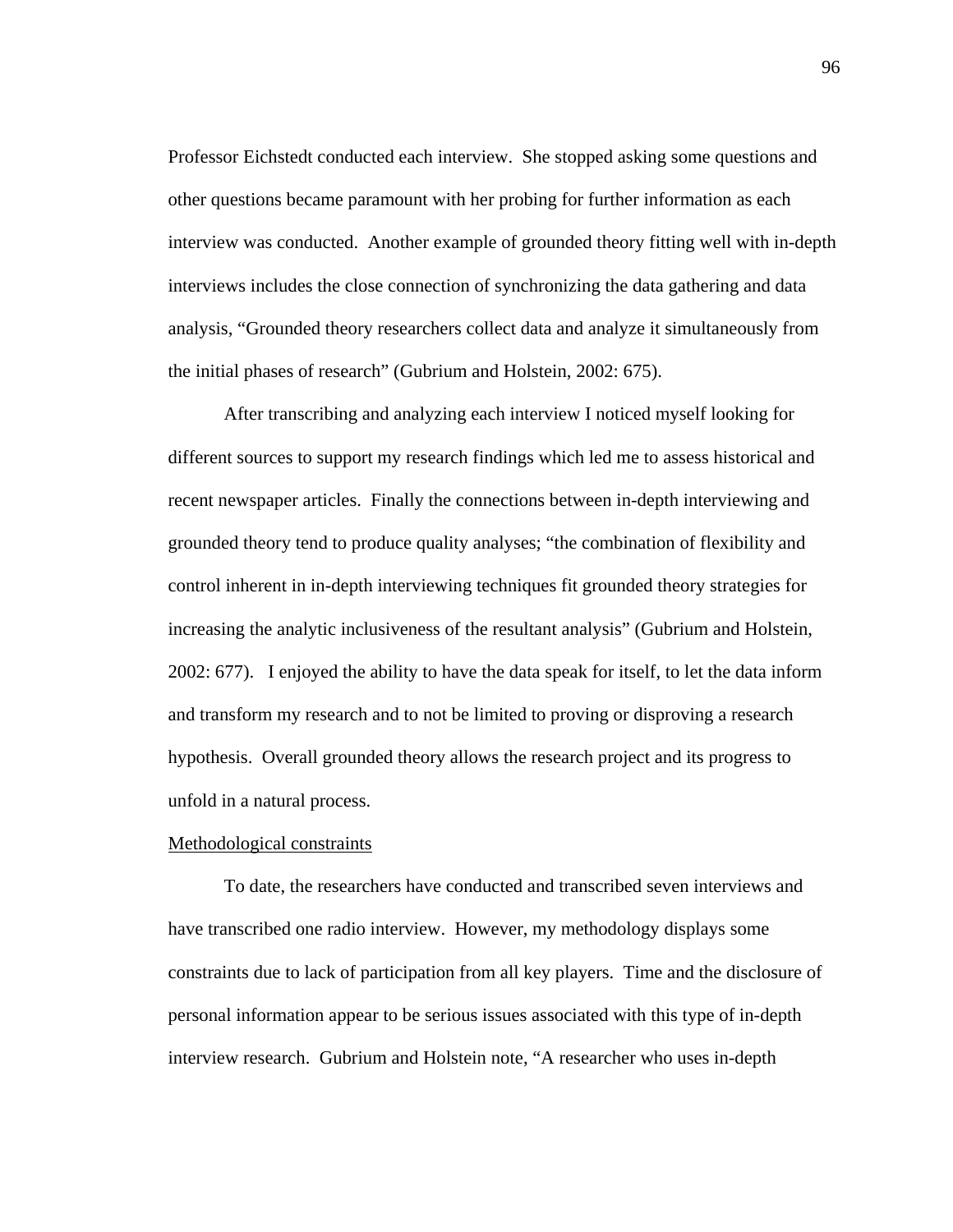Professor Eichstedt conducted each interview. She stopped asking some questions and other questions became paramount with her probing for further information as each interview was conducted. Another example of grounded theory fitting well with in-depth interviews includes the close connection of synchronizing the data gathering and data analysis, "Grounded theory researchers collect data and analyze it simultaneously from the initial phases of research" (Gubrium and Holstein, 2002: 675).

After transcribing and analyzing each interview I noticed myself looking for different sources to support my research findings which led me to assess historical and recent newspaper articles. Finally the connections between in-depth interviewing and grounded theory tend to produce quality analyses; "the combination of flexibility and control inherent in in-depth interviewing techniques fit grounded theory strategies for increasing the analytic inclusiveness of the resultant analysis" (Gubrium and Holstein, 2002: 677). I enjoyed the ability to have the data speak for itself, to let the data inform and transform my research and to not be limited to proving or disproving a research hypothesis. Overall grounded theory allows the research project and its progress to unfold in a natural process.

#### Methodological constraints

 To date, the researchers have conducted and transcribed seven interviews and have transcribed one radio interview. However, my methodology displays some constraints due to lack of participation from all key players. Time and the disclosure of personal information appear to be serious issues associated with this type of in-depth interview research. Gubrium and Holstein note, "A researcher who uses in-depth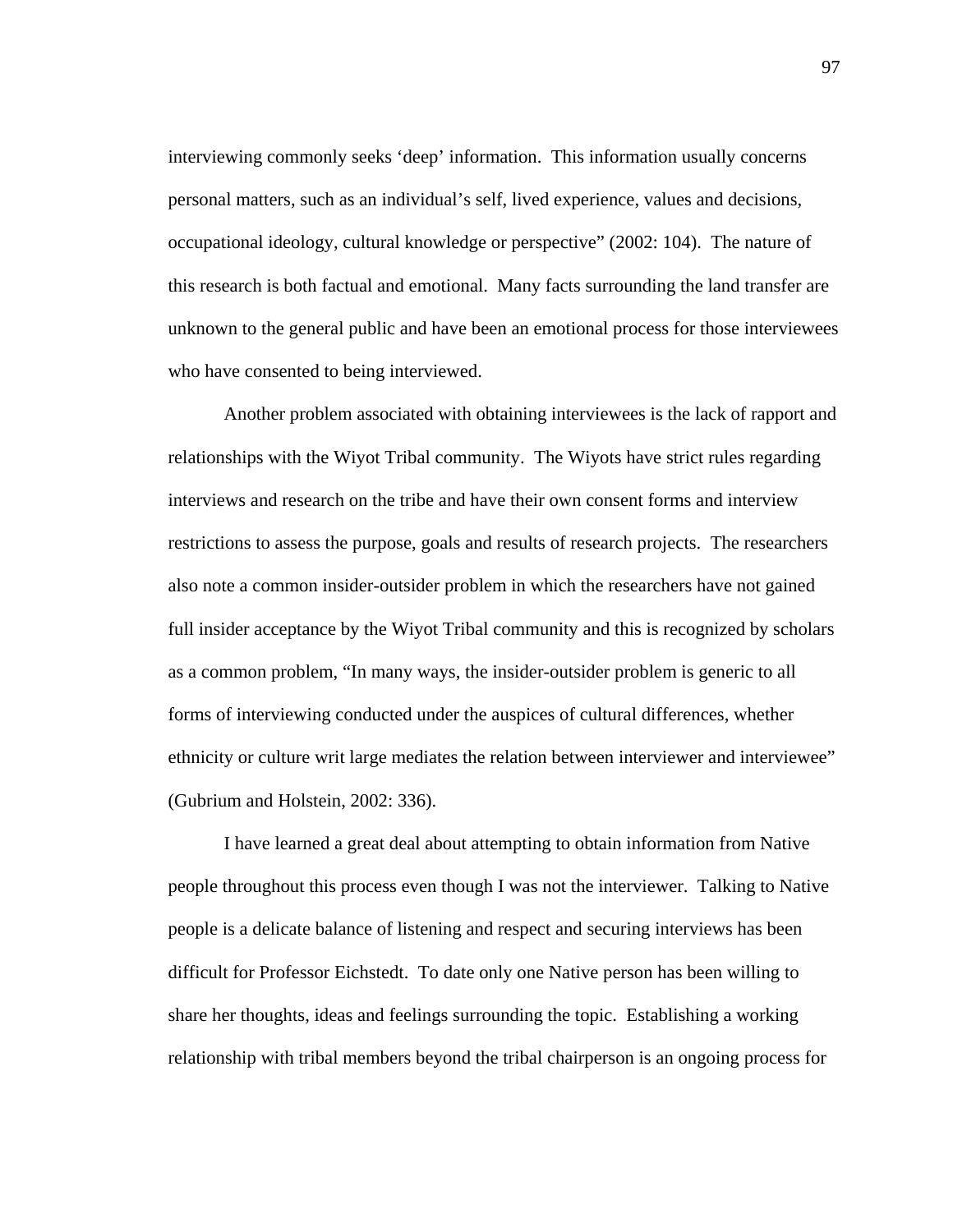interviewing commonly seeks 'deep' information. This information usually concerns personal matters, such as an individual's self, lived experience, values and decisions, occupational ideology, cultural knowledge or perspective" (2002: 104). The nature of this research is both factual and emotional. Many facts surrounding the land transfer are unknown to the general public and have been an emotional process for those interviewees who have consented to being interviewed.

Another problem associated with obtaining interviewees is the lack of rapport and relationships with the Wiyot Tribal community. The Wiyots have strict rules regarding interviews and research on the tribe and have their own consent forms and interview restrictions to assess the purpose, goals and results of research projects. The researchers also note a common insider-outsider problem in which the researchers have not gained full insider acceptance by the Wiyot Tribal community and this is recognized by scholars as a common problem, "In many ways, the insider-outsider problem is generic to all forms of interviewing conducted under the auspices of cultural differences, whether ethnicity or culture writ large mediates the relation between interviewer and interviewee" (Gubrium and Holstein, 2002: 336).

I have learned a great deal about attempting to obtain information from Native people throughout this process even though I was not the interviewer. Talking to Native people is a delicate balance of listening and respect and securing interviews has been difficult for Professor Eichstedt. To date only one Native person has been willing to share her thoughts, ideas and feelings surrounding the topic. Establishing a working relationship with tribal members beyond the tribal chairperson is an ongoing process for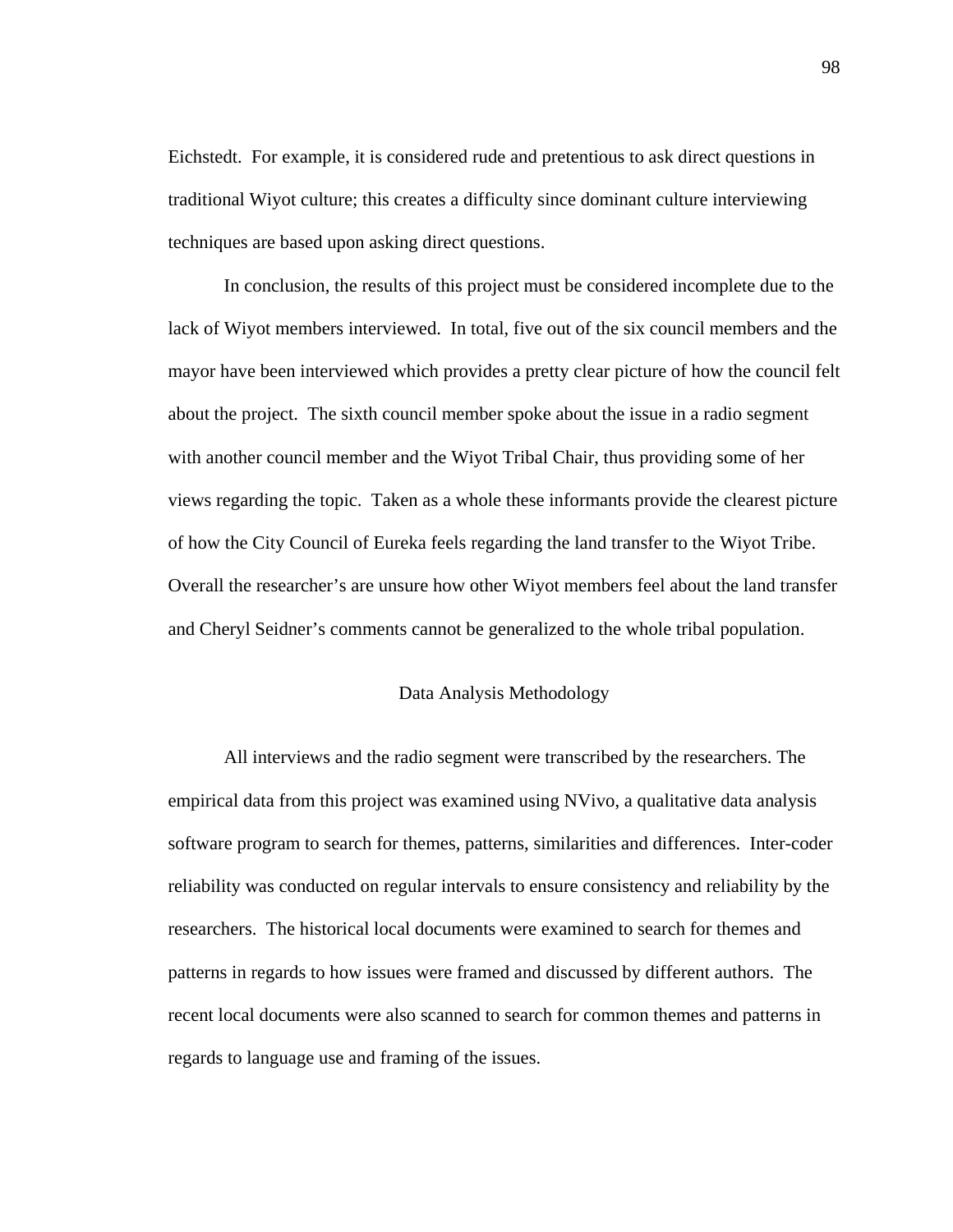Eichstedt. For example, it is considered rude and pretentious to ask direct questions in traditional Wiyot culture; this creates a difficulty since dominant culture interviewing techniques are based upon asking direct questions.

 In conclusion, the results of this project must be considered incomplete due to the lack of Wiyot members interviewed. In total, five out of the six council members and the mayor have been interviewed which provides a pretty clear picture of how the council felt about the project. The sixth council member spoke about the issue in a radio segment with another council member and the Wiyot Tribal Chair, thus providing some of her views regarding the topic. Taken as a whole these informants provide the clearest picture of how the City Council of Eureka feels regarding the land transfer to the Wiyot Tribe. Overall the researcher's are unsure how other Wiyot members feel about the land transfer and Cheryl Seidner's comments cannot be generalized to the whole tribal population.

# Data Analysis Methodology

All interviews and the radio segment were transcribed by the researchers. The empirical data from this project was examined using NVivo, a qualitative data analysis software program to search for themes, patterns, similarities and differences. Inter-coder reliability was conducted on regular intervals to ensure consistency and reliability by the researchers. The historical local documents were examined to search for themes and patterns in regards to how issues were framed and discussed by different authors. The recent local documents were also scanned to search for common themes and patterns in regards to language use and framing of the issues.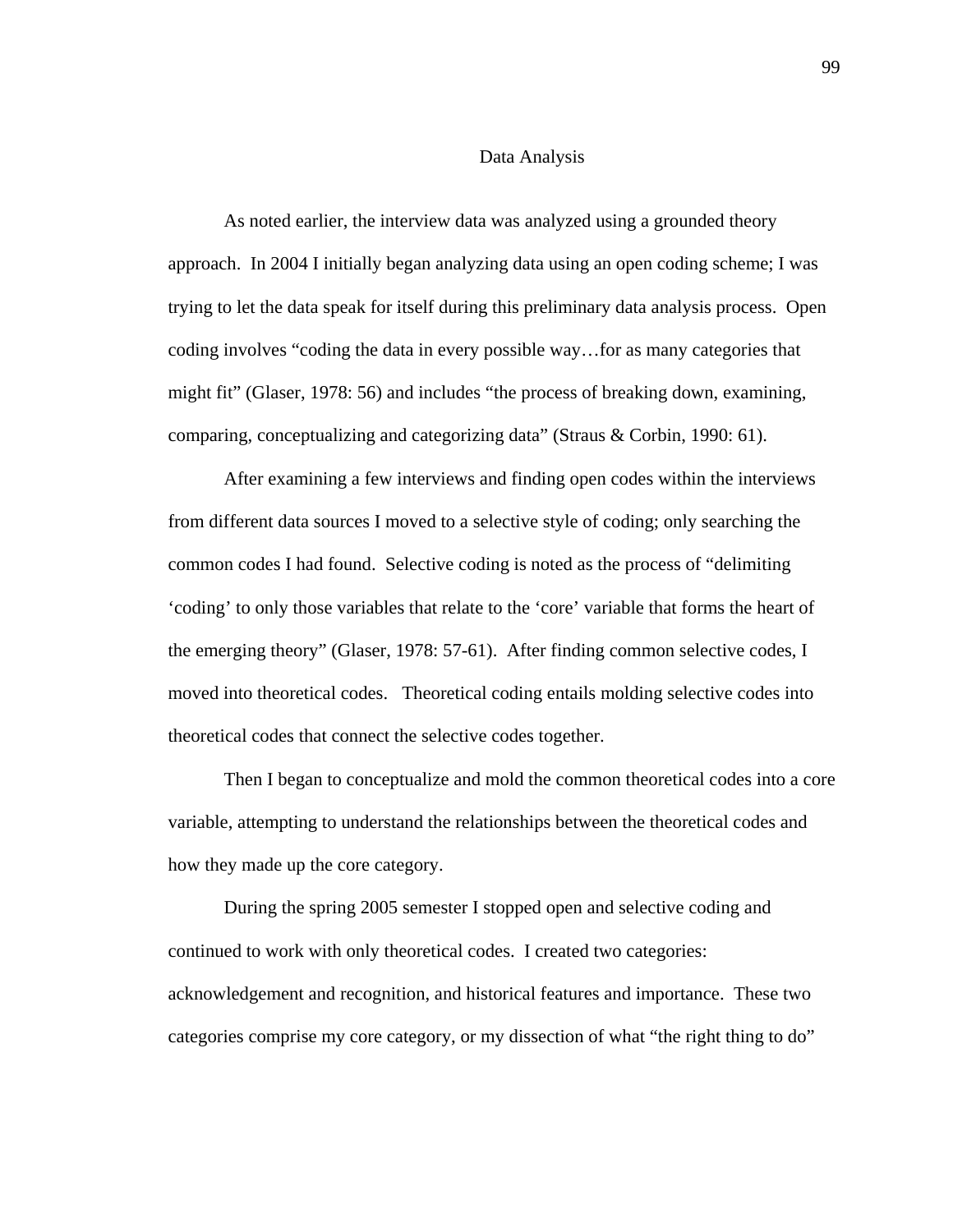## Data Analysis

As noted earlier, the interview data was analyzed using a grounded theory approach. In 2004 I initially began analyzing data using an open coding scheme; I was trying to let the data speak for itself during this preliminary data analysis process. Open coding involves "coding the data in every possible way…for as many categories that might fit" (Glaser, 1978: 56) and includes "the process of breaking down, examining, comparing, conceptualizing and categorizing data" (Straus & Corbin, 1990: 61).

After examining a few interviews and finding open codes within the interviews from different data sources I moved to a selective style of coding; only searching the common codes I had found. Selective coding is noted as the process of "delimiting 'coding' to only those variables that relate to the 'core' variable that forms the heart of the emerging theory" (Glaser, 1978: 57-61). After finding common selective codes, I moved into theoretical codes. Theoretical coding entails molding selective codes into theoretical codes that connect the selective codes together.

Then I began to conceptualize and mold the common theoretical codes into a core variable, attempting to understand the relationships between the theoretical codes and how they made up the core category.

During the spring 2005 semester I stopped open and selective coding and continued to work with only theoretical codes. I created two categories: acknowledgement and recognition, and historical features and importance. These two categories comprise my core category, or my dissection of what "the right thing to do"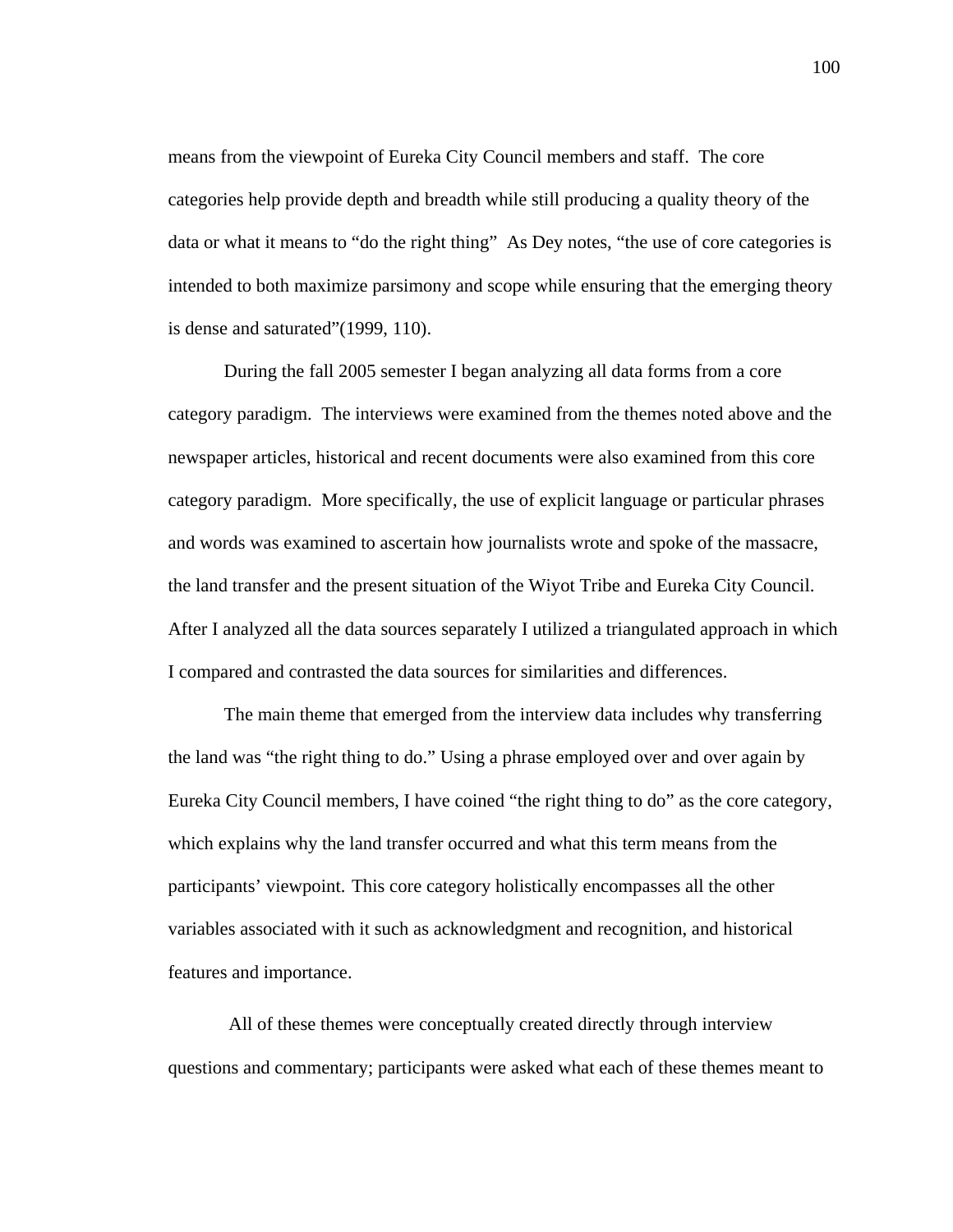means from the viewpoint of Eureka City Council members and staff. The core categories help provide depth and breadth while still producing a quality theory of the data or what it means to "do the right thing" As Dey notes, "the use of core categories is intended to both maximize parsimony and scope while ensuring that the emerging theory is dense and saturated"(1999, 110).

 During the fall 2005 semester I began analyzing all data forms from a core category paradigm. The interviews were examined from the themes noted above and the newspaper articles, historical and recent documents were also examined from this core category paradigm. More specifically, the use of explicit language or particular phrases and words was examined to ascertain how journalists wrote and spoke of the massacre, the land transfer and the present situation of the Wiyot Tribe and Eureka City Council. After I analyzed all the data sources separately I utilized a triangulated approach in which I compared and contrasted the data sources for similarities and differences.

The main theme that emerged from the interview data includes why transferring the land was "the right thing to do." Using a phrase employed over and over again by Eureka City Council members, I have coined "the right thing to do" as the core category, which explains why the land transfer occurred and what this term means from the participants' viewpoint. This core category holistically encompasses all the other variables associated with it such as acknowledgment and recognition, and historical features and importance.

 All of these themes were conceptually created directly through interview questions and commentary; participants were asked what each of these themes meant to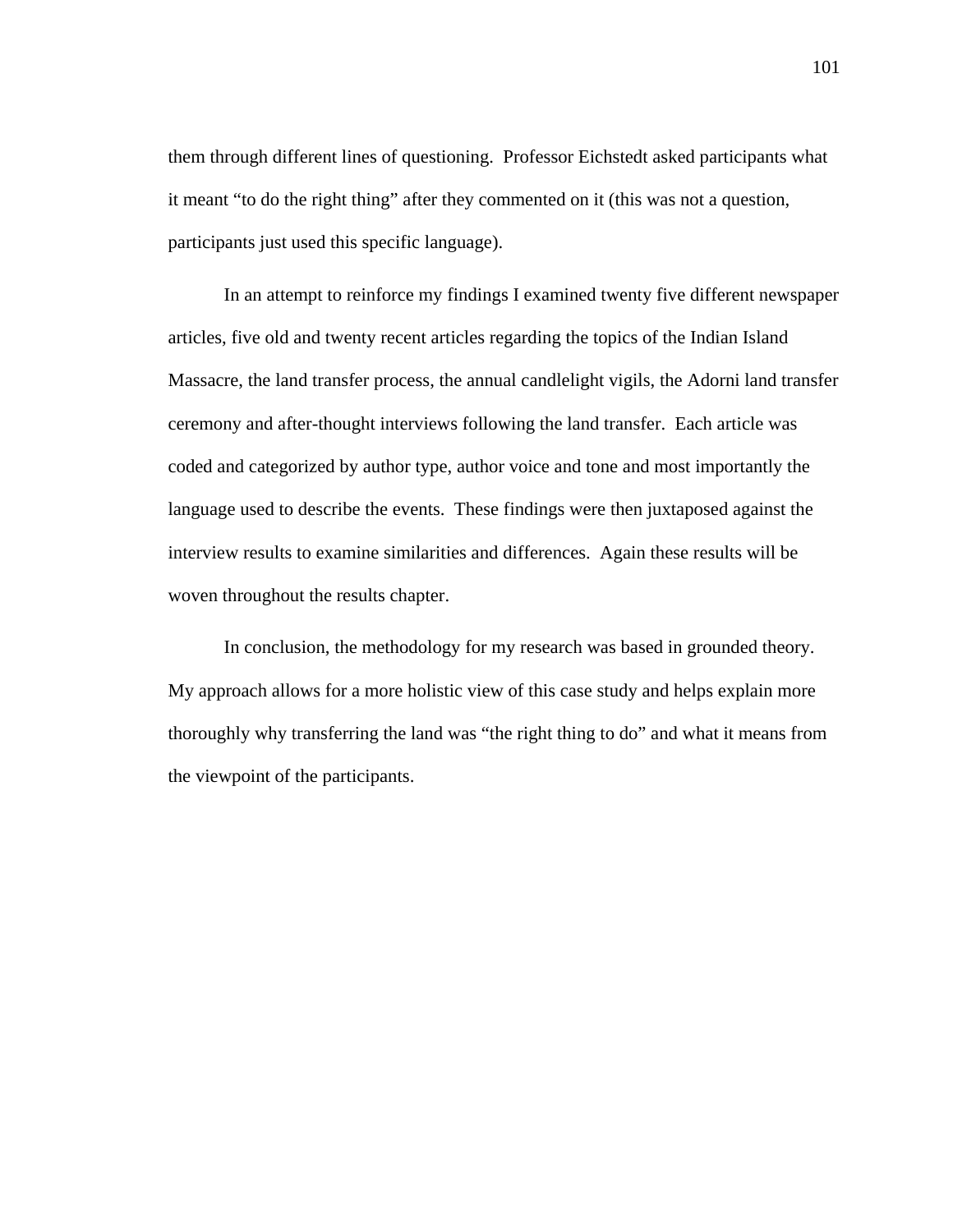them through different lines of questioning. Professor Eichstedt asked participants what it meant "to do the right thing" after they commented on it (this was not a question, participants just used this specific language).

In an attempt to reinforce my findings I examined twenty five different newspaper articles, five old and twenty recent articles regarding the topics of the Indian Island Massacre, the land transfer process, the annual candlelight vigils, the Adorni land transfer ceremony and after-thought interviews following the land transfer. Each article was coded and categorized by author type, author voice and tone and most importantly the language used to describe the events. These findings were then juxtaposed against the interview results to examine similarities and differences. Again these results will be woven throughout the results chapter.

In conclusion, the methodology for my research was based in grounded theory. My approach allows for a more holistic view of this case study and helps explain more thoroughly why transferring the land was "the right thing to do" and what it means from the viewpoint of the participants.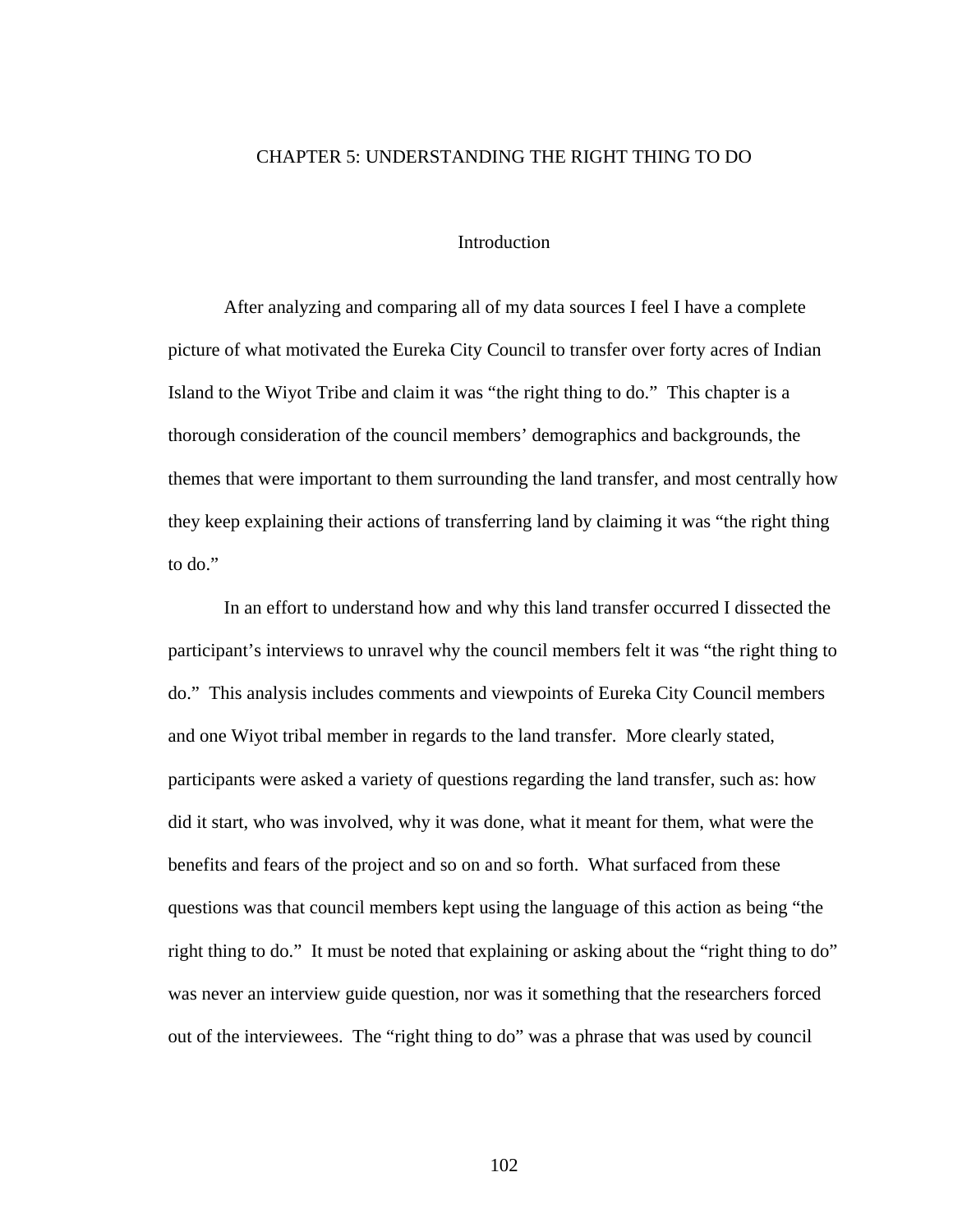## CHAPTER 5: UNDERSTANDING THE RIGHT THING TO DO

# Introduction

After analyzing and comparing all of my data sources I feel I have a complete picture of what motivated the Eureka City Council to transfer over forty acres of Indian Island to the Wiyot Tribe and claim it was "the right thing to do." This chapter is a thorough consideration of the council members' demographics and backgrounds, the themes that were important to them surrounding the land transfer, and most centrally how they keep explaining their actions of transferring land by claiming it was "the right thing to do."

In an effort to understand how and why this land transfer occurred I dissected the participant's interviews to unravel why the council members felt it was "the right thing to do." This analysis includes comments and viewpoints of Eureka City Council members and one Wiyot tribal member in regards to the land transfer. More clearly stated, participants were asked a variety of questions regarding the land transfer, such as: how did it start, who was involved, why it was done, what it meant for them, what were the benefits and fears of the project and so on and so forth. What surfaced from these questions was that council members kept using the language of this action as being "the right thing to do." It must be noted that explaining or asking about the "right thing to do" was never an interview guide question, nor was it something that the researchers forced out of the interviewees. The "right thing to do" was a phrase that was used by council

102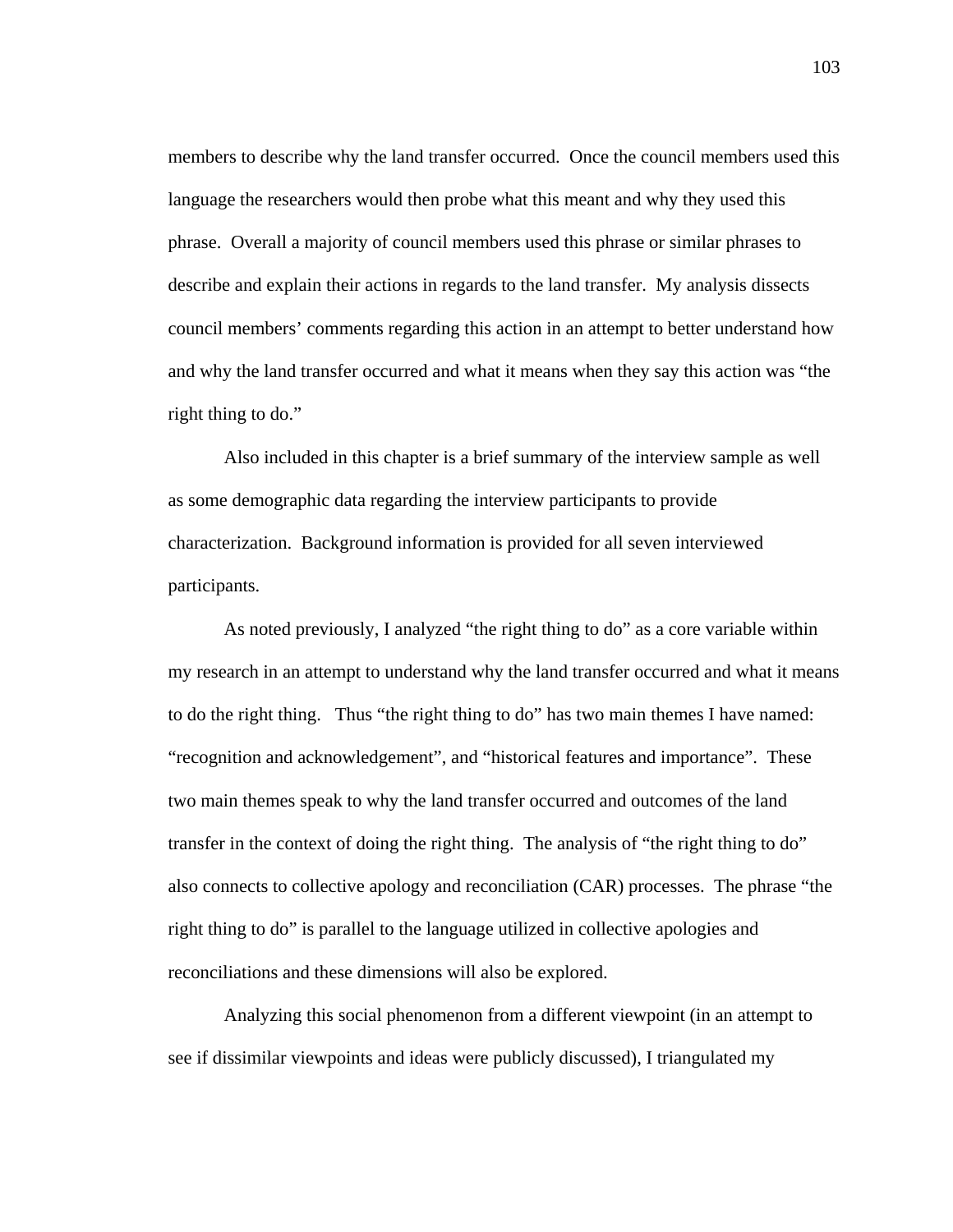members to describe why the land transfer occurred. Once the council members used this language the researchers would then probe what this meant and why they used this phrase. Overall a majority of council members used this phrase or similar phrases to describe and explain their actions in regards to the land transfer. My analysis dissects council members' comments regarding this action in an attempt to better understand how and why the land transfer occurred and what it means when they say this action was "the right thing to do."

Also included in this chapter is a brief summary of the interview sample as well as some demographic data regarding the interview participants to provide characterization. Background information is provided for all seven interviewed participants.

As noted previously, I analyzed "the right thing to do" as a core variable within my research in an attempt to understand why the land transfer occurred and what it means to do the right thing. Thus "the right thing to do" has two main themes I have named: "recognition and acknowledgement", and "historical features and importance". These two main themes speak to why the land transfer occurred and outcomes of the land transfer in the context of doing the right thing. The analysis of "the right thing to do" also connects to collective apology and reconciliation (CAR) processes. The phrase "the right thing to do" is parallel to the language utilized in collective apologies and reconciliations and these dimensions will also be explored.

Analyzing this social phenomenon from a different viewpoint (in an attempt to see if dissimilar viewpoints and ideas were publicly discussed), I triangulated my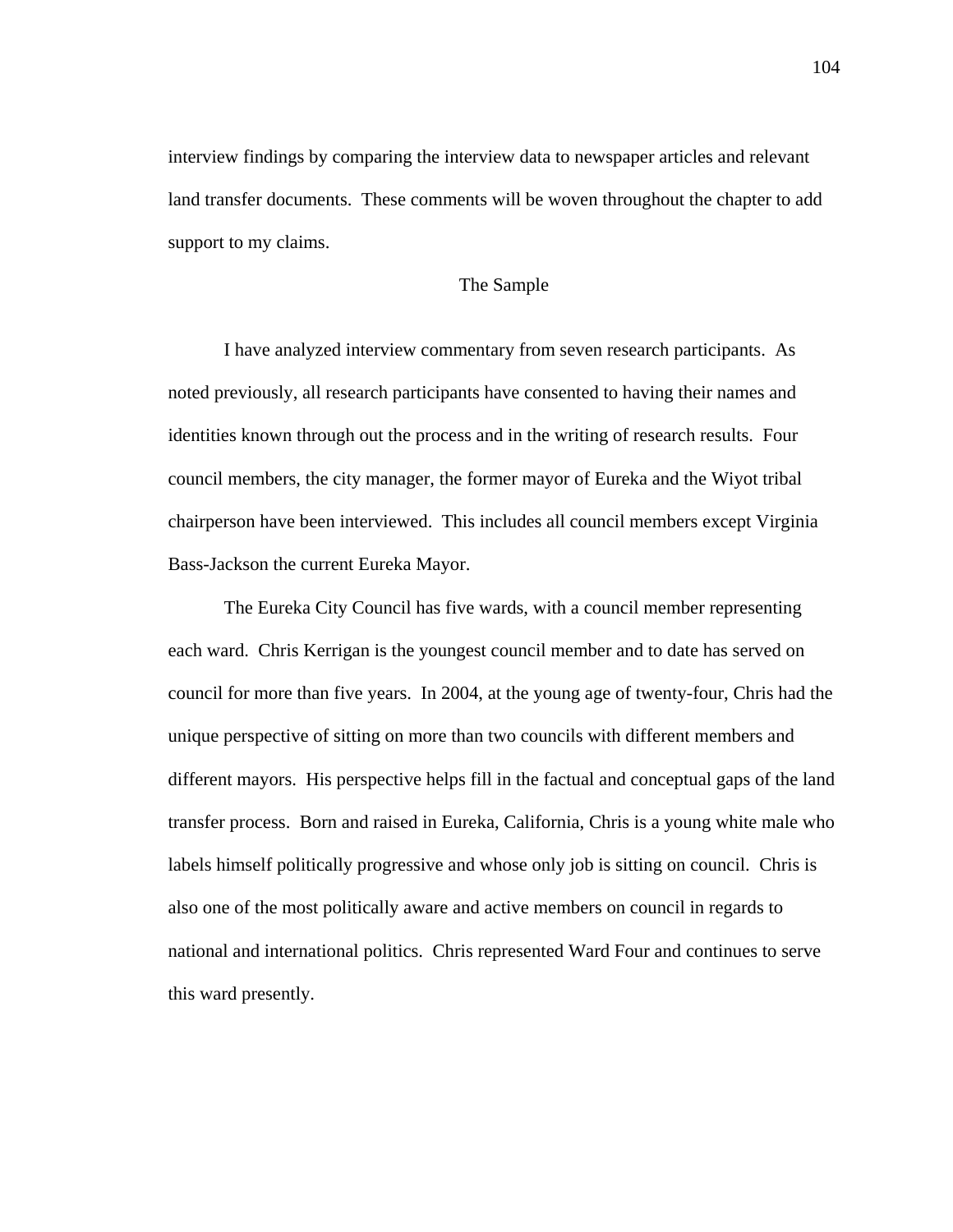interview findings by comparing the interview data to newspaper articles and relevant land transfer documents. These comments will be woven throughout the chapter to add support to my claims.

# The Sample

 I have analyzed interview commentary from seven research participants. As noted previously, all research participants have consented to having their names and identities known through out the process and in the writing of research results. Four council members, the city manager, the former mayor of Eureka and the Wiyot tribal chairperson have been interviewed. This includes all council members except Virginia Bass-Jackson the current Eureka Mayor.

The Eureka City Council has five wards, with a council member representing each ward. Chris Kerrigan is the youngest council member and to date has served on council for more than five years. In 2004, at the young age of twenty-four, Chris had the unique perspective of sitting on more than two councils with different members and different mayors. His perspective helps fill in the factual and conceptual gaps of the land transfer process. Born and raised in Eureka, California, Chris is a young white male who labels himself politically progressive and whose only job is sitting on council. Chris is also one of the most politically aware and active members on council in regards to national and international politics. Chris represented Ward Four and continues to serve this ward presently.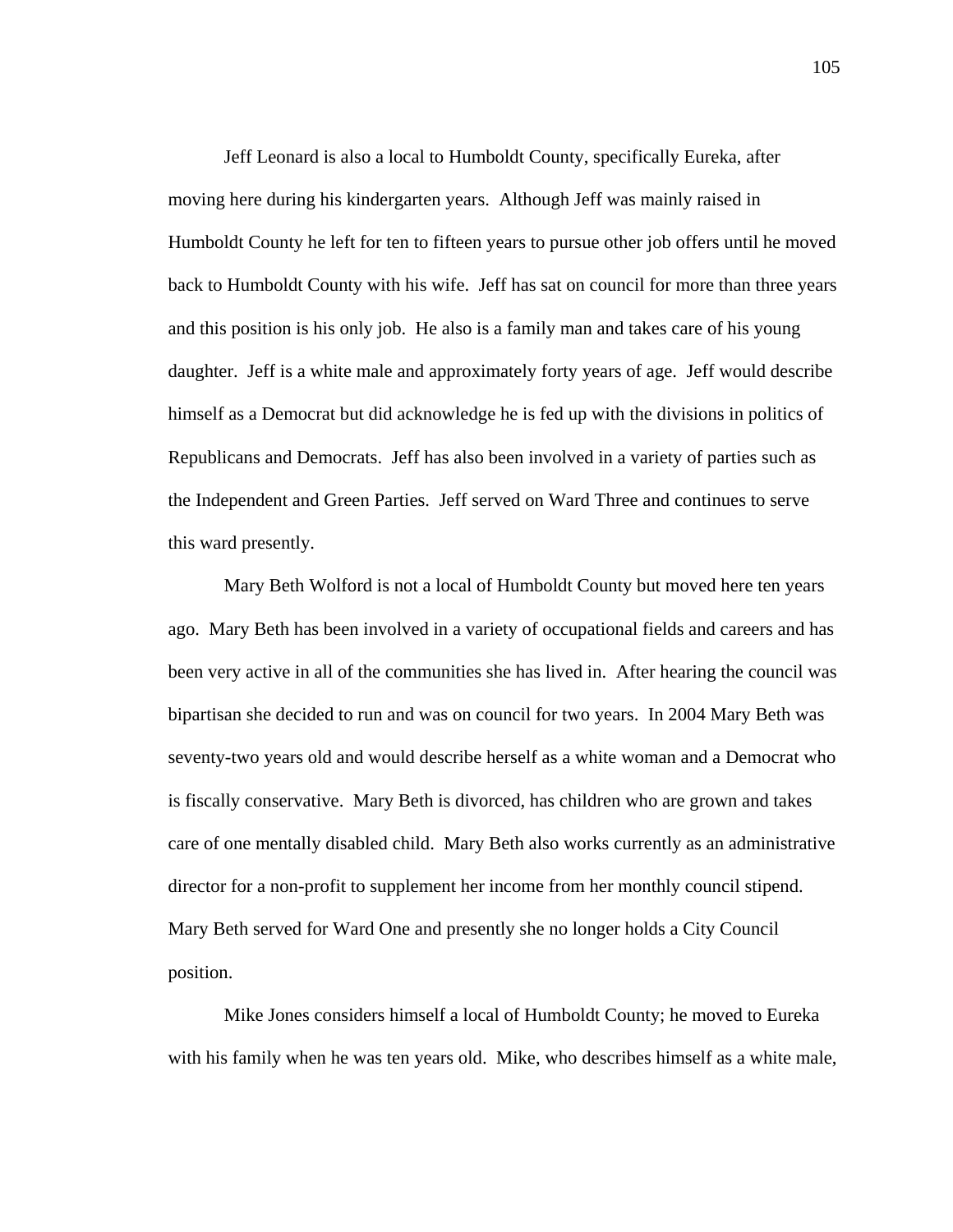Jeff Leonard is also a local to Humboldt County, specifically Eureka, after moving here during his kindergarten years. Although Jeff was mainly raised in Humboldt County he left for ten to fifteen years to pursue other job offers until he moved back to Humboldt County with his wife. Jeff has sat on council for more than three years and this position is his only job. He also is a family man and takes care of his young daughter. Jeff is a white male and approximately forty years of age. Jeff would describe himself as a Democrat but did acknowledge he is fed up with the divisions in politics of Republicans and Democrats. Jeff has also been involved in a variety of parties such as the Independent and Green Parties. Jeff served on Ward Three and continues to serve this ward presently.

 Mary Beth Wolford is not a local of Humboldt County but moved here ten years ago. Mary Beth has been involved in a variety of occupational fields and careers and has been very active in all of the communities she has lived in. After hearing the council was bipartisan she decided to run and was on council for two years. In 2004 Mary Beth was seventy-two years old and would describe herself as a white woman and a Democrat who is fiscally conservative. Mary Beth is divorced, has children who are grown and takes care of one mentally disabled child. Mary Beth also works currently as an administrative director for a non-profit to supplement her income from her monthly council stipend. Mary Beth served for Ward One and presently she no longer holds a City Council position.

 Mike Jones considers himself a local of Humboldt County; he moved to Eureka with his family when he was ten years old. Mike, who describes himself as a white male,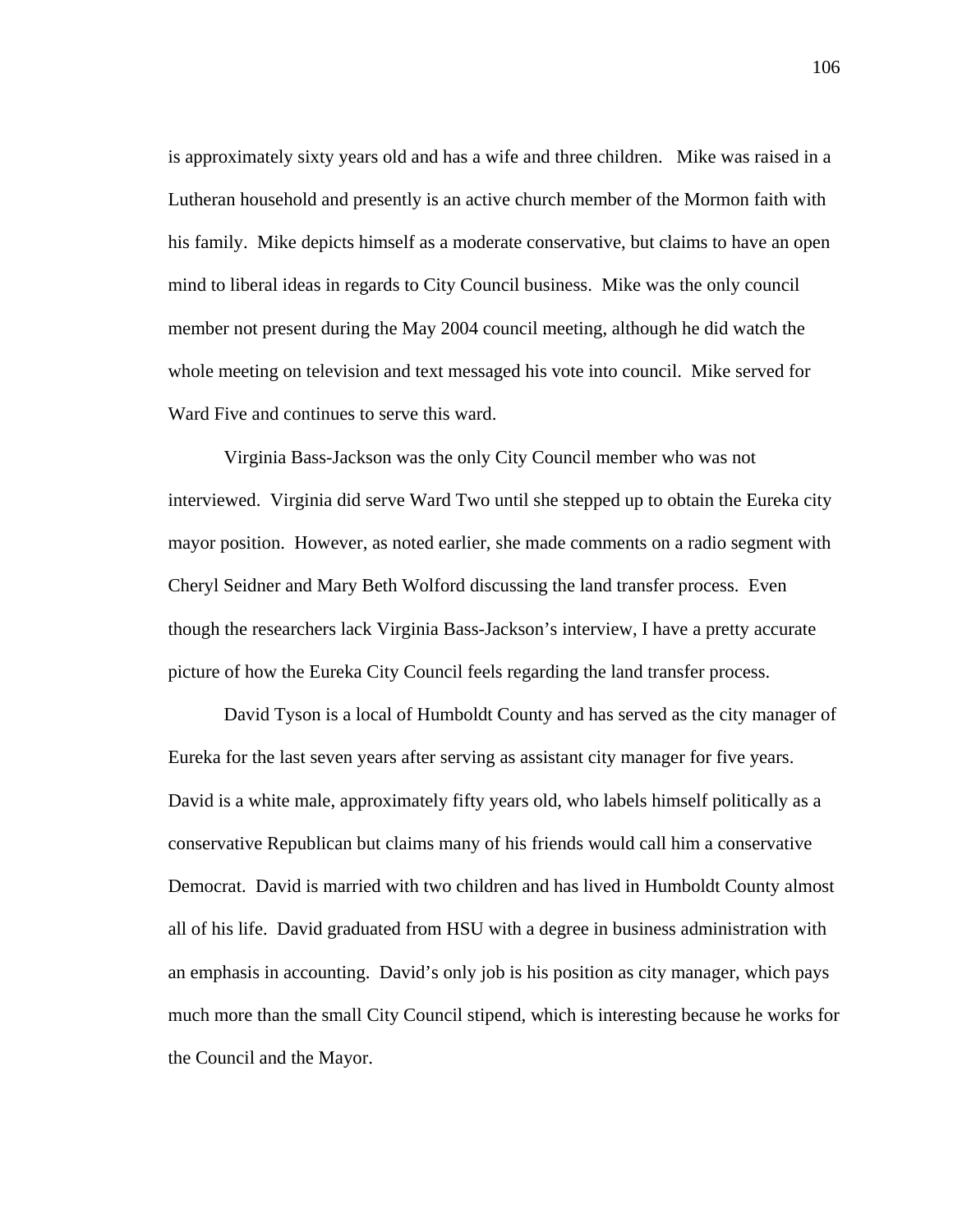is approximately sixty years old and has a wife and three children. Mike was raised in a Lutheran household and presently is an active church member of the Mormon faith with his family. Mike depicts himself as a moderate conservative, but claims to have an open mind to liberal ideas in regards to City Council business. Mike was the only council member not present during the May 2004 council meeting, although he did watch the whole meeting on television and text messaged his vote into council. Mike served for Ward Five and continues to serve this ward.

 Virginia Bass-Jackson was the only City Council member who was not interviewed. Virginia did serve Ward Two until she stepped up to obtain the Eureka city mayor position. However, as noted earlier, she made comments on a radio segment with Cheryl Seidner and Mary Beth Wolford discussing the land transfer process. Even though the researchers lack Virginia Bass-Jackson's interview, I have a pretty accurate picture of how the Eureka City Council feels regarding the land transfer process.

 David Tyson is a local of Humboldt County and has served as the city manager of Eureka for the last seven years after serving as assistant city manager for five years. David is a white male, approximately fifty years old, who labels himself politically as a conservative Republican but claims many of his friends would call him a conservative Democrat. David is married with two children and has lived in Humboldt County almost all of his life. David graduated from HSU with a degree in business administration with an emphasis in accounting. David's only job is his position as city manager, which pays much more than the small City Council stipend, which is interesting because he works for the Council and the Mayor.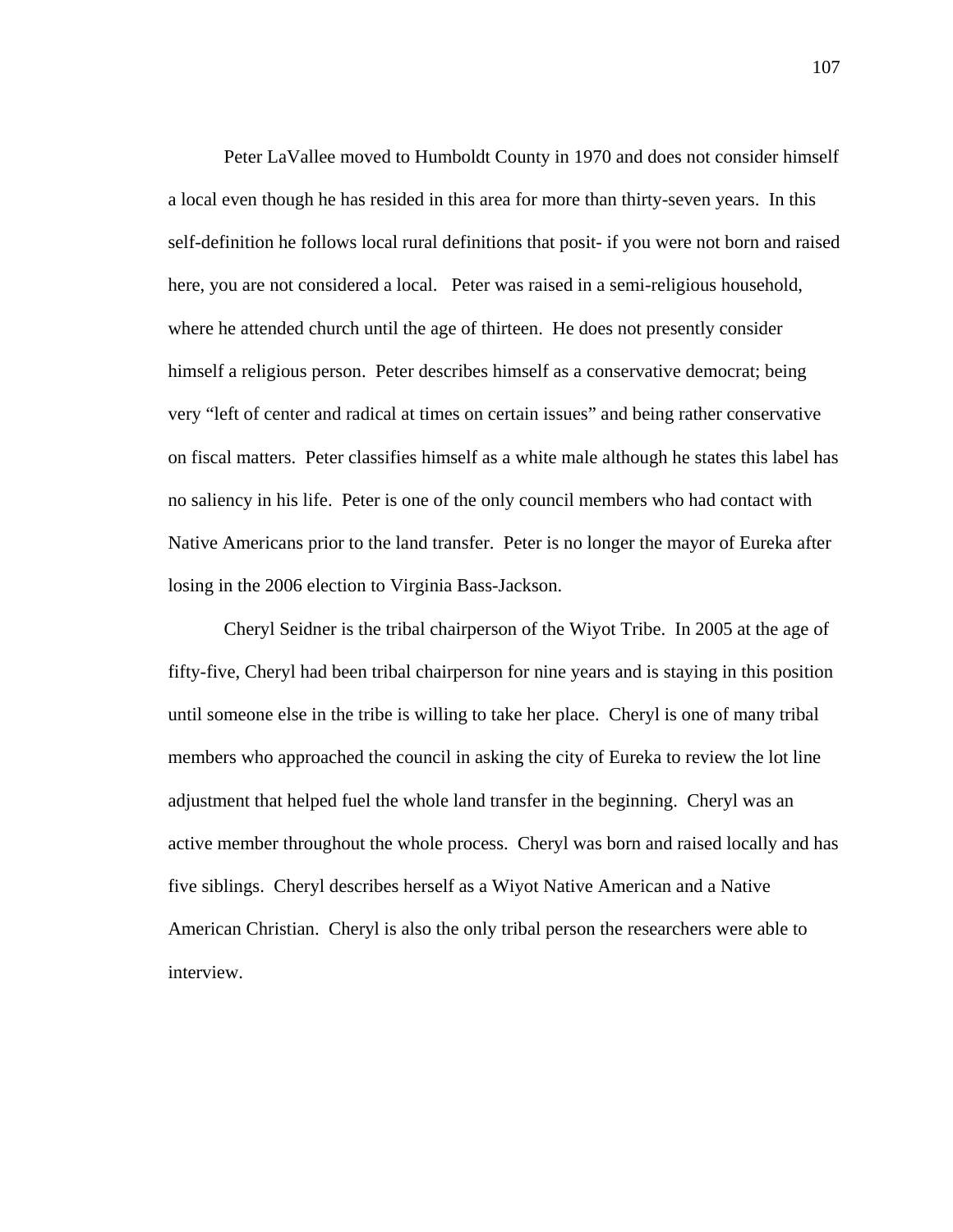Peter LaVallee moved to Humboldt County in 1970 and does not consider himself a local even though he has resided in this area for more than thirty-seven years. In this self-definition he follows local rural definitions that posit- if you were not born and raised here, you are not considered a local. Peter was raised in a semi-religious household, where he attended church until the age of thirteen. He does not presently consider himself a religious person. Peter describes himself as a conservative democrat; being very "left of center and radical at times on certain issues" and being rather conservative on fiscal matters. Peter classifies himself as a white male although he states this label has no saliency in his life. Peter is one of the only council members who had contact with Native Americans prior to the land transfer. Peter is no longer the mayor of Eureka after losing in the 2006 election to Virginia Bass-Jackson.

Cheryl Seidner is the tribal chairperson of the Wiyot Tribe. In 2005 at the age of fifty-five, Cheryl had been tribal chairperson for nine years and is staying in this position until someone else in the tribe is willing to take her place. Cheryl is one of many tribal members who approached the council in asking the city of Eureka to review the lot line adjustment that helped fuel the whole land transfer in the beginning. Cheryl was an active member throughout the whole process. Cheryl was born and raised locally and has five siblings. Cheryl describes herself as a Wiyot Native American and a Native American Christian. Cheryl is also the only tribal person the researchers were able to interview.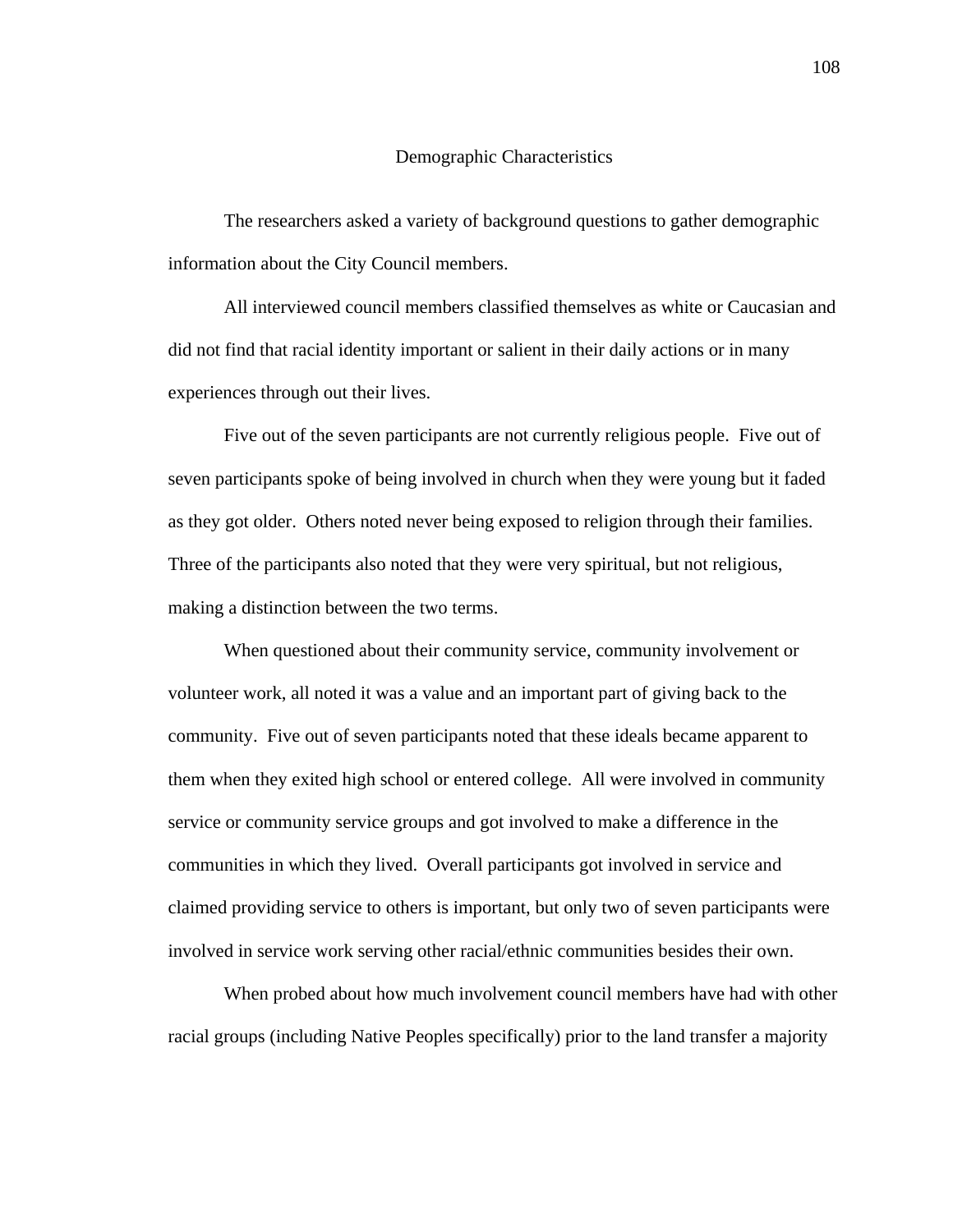# Demographic Characteristics

The researchers asked a variety of background questions to gather demographic information about the City Council members.

All interviewed council members classified themselves as white or Caucasian and did not find that racial identity important or salient in their daily actions or in many experiences through out their lives.

Five out of the seven participants are not currently religious people. Five out of seven participants spoke of being involved in church when they were young but it faded as they got older. Others noted never being exposed to religion through their families. Three of the participants also noted that they were very spiritual, but not religious, making a distinction between the two terms.

When questioned about their community service, community involvement or volunteer work, all noted it was a value and an important part of giving back to the community. Five out of seven participants noted that these ideals became apparent to them when they exited high school or entered college. All were involved in community service or community service groups and got involved to make a difference in the communities in which they lived. Overall participants got involved in service and claimed providing service to others is important, but only two of seven participants were involved in service work serving other racial/ethnic communities besides their own.

 When probed about how much involvement council members have had with other racial groups (including Native Peoples specifically) prior to the land transfer a majority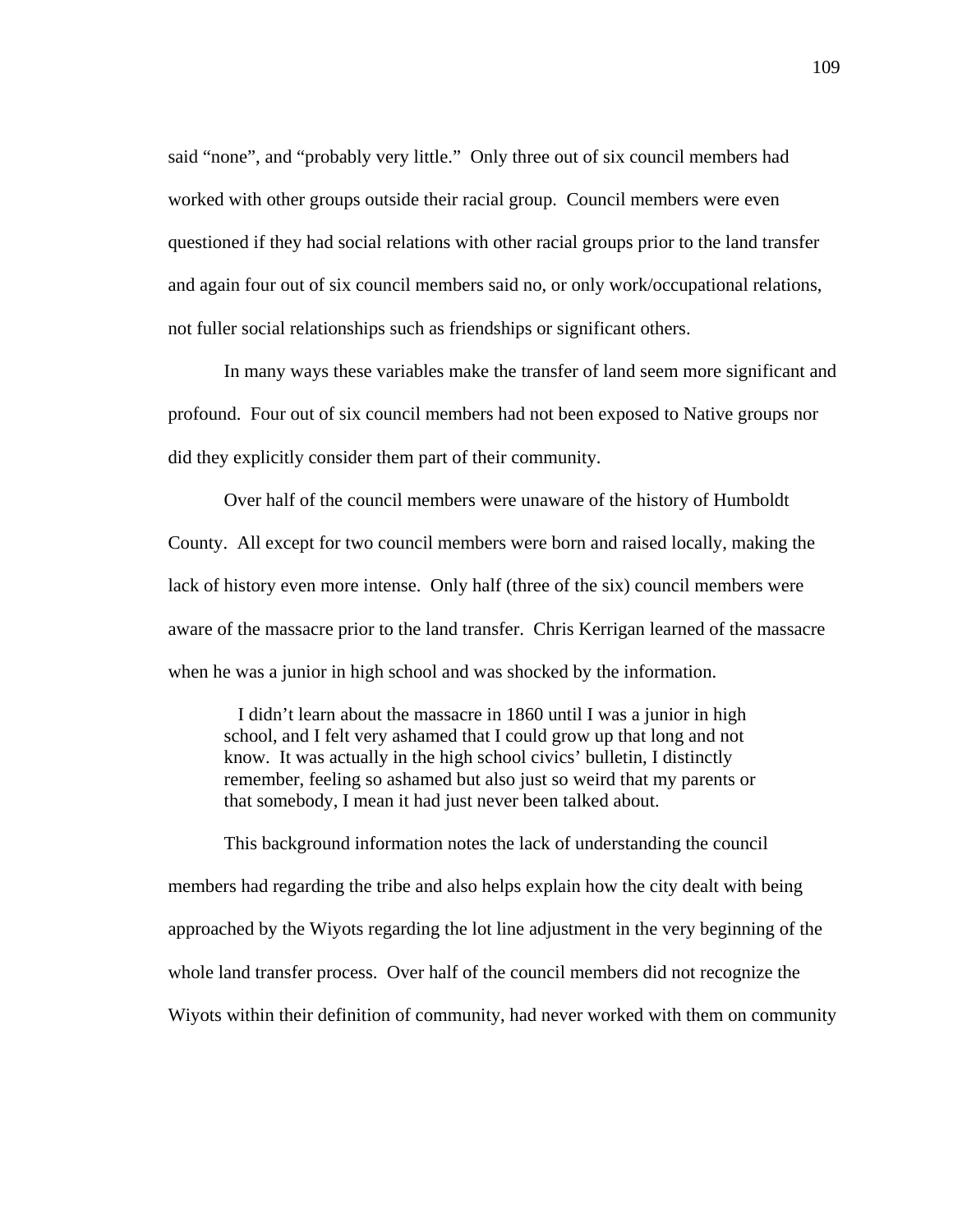said "none", and "probably very little." Only three out of six council members had worked with other groups outside their racial group. Council members were even questioned if they had social relations with other racial groups prior to the land transfer and again four out of six council members said no, or only work/occupational relations, not fuller social relationships such as friendships or significant others.

In many ways these variables make the transfer of land seem more significant and profound. Four out of six council members had not been exposed to Native groups nor did they explicitly consider them part of their community.

 Over half of the council members were unaware of the history of Humboldt County. All except for two council members were born and raised locally, making the lack of history even more intense. Only half (three of the six) council members were aware of the massacre prior to the land transfer. Chris Kerrigan learned of the massacre when he was a junior in high school and was shocked by the information.

 I didn't learn about the massacre in 1860 until I was a junior in high school, and I felt very ashamed that I could grow up that long and not know. It was actually in the high school civics' bulletin, I distinctly remember, feeling so ashamed but also just so weird that my parents or that somebody, I mean it had just never been talked about.

This background information notes the lack of understanding the council members had regarding the tribe and also helps explain how the city dealt with being approached by the Wiyots regarding the lot line adjustment in the very beginning of the whole land transfer process. Over half of the council members did not recognize the Wiyots within their definition of community, had never worked with them on community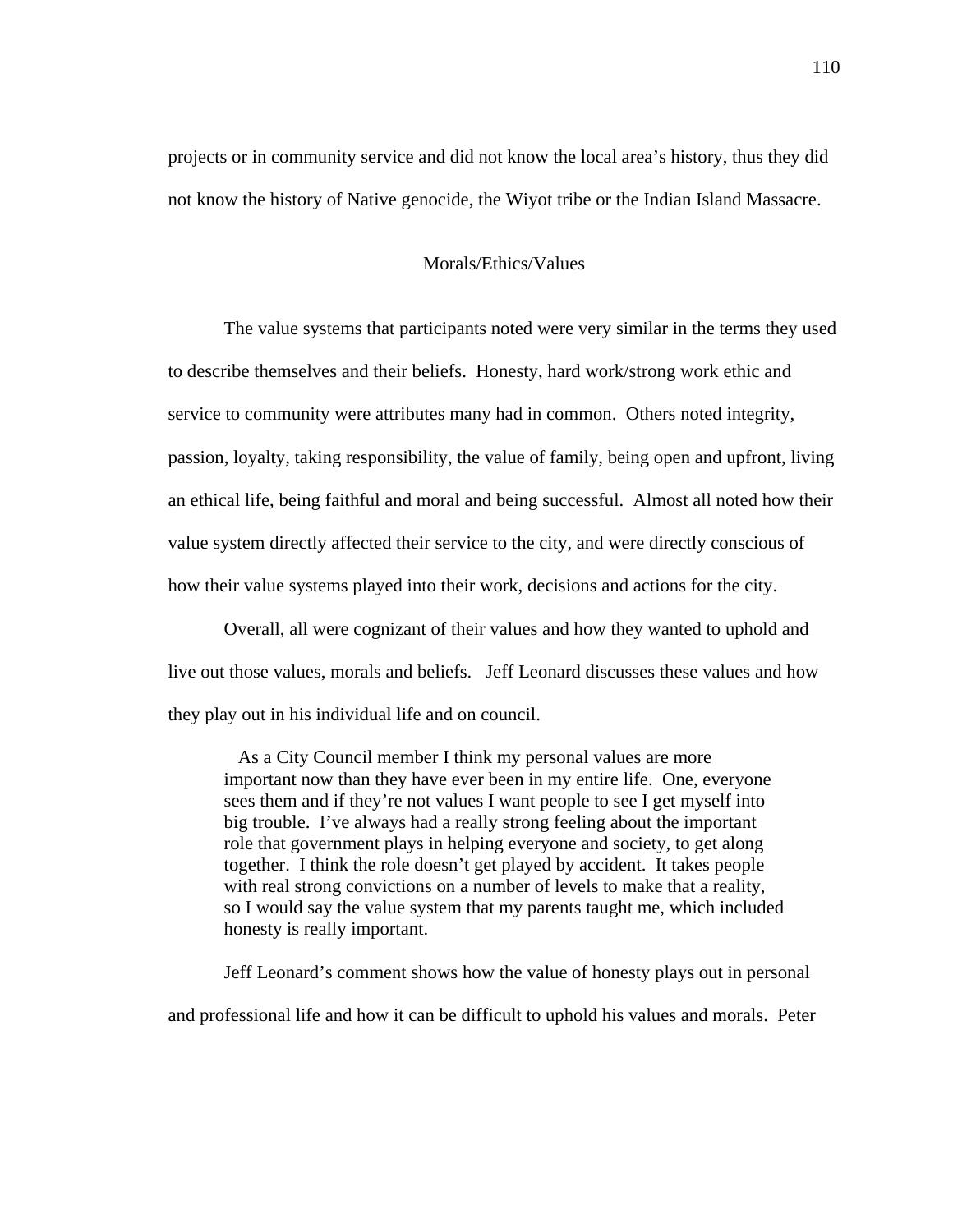projects or in community service and did not know the local area's history, thus they did not know the history of Native genocide, the Wiyot tribe or the Indian Island Massacre.

# Morals/Ethics/Values

 The value systems that participants noted were very similar in the terms they used to describe themselves and their beliefs. Honesty, hard work/strong work ethic and service to community were attributes many had in common. Others noted integrity, passion, loyalty, taking responsibility, the value of family, being open and upfront, living an ethical life, being faithful and moral and being successful. Almost all noted how their value system directly affected their service to the city, and were directly conscious of how their value systems played into their work, decisions and actions for the city.

Overall, all were cognizant of their values and how they wanted to uphold and live out those values, morals and beliefs. Jeff Leonard discusses these values and how they play out in his individual life and on council.

 As a City Council member I think my personal values are more important now than they have ever been in my entire life. One, everyone sees them and if they're not values I want people to see I get myself into big trouble. I've always had a really strong feeling about the important role that government plays in helping everyone and society, to get along together. I think the role doesn't get played by accident. It takes people with real strong convictions on a number of levels to make that a reality, so I would say the value system that my parents taught me, which included honesty is really important.

 Jeff Leonard's comment shows how the value of honesty plays out in personal and professional life and how it can be difficult to uphold his values and morals. Peter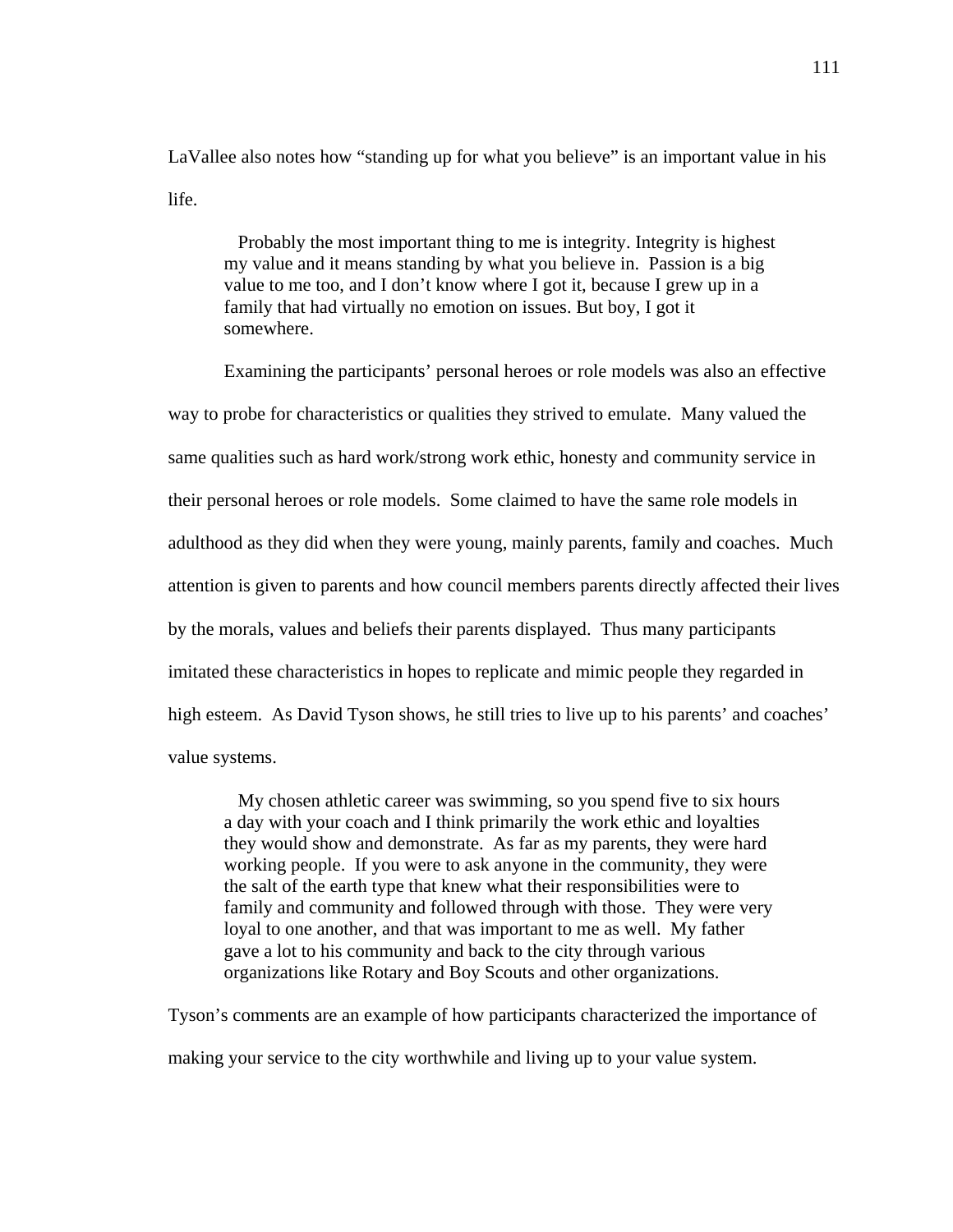LaVallee also notes how "standing up for what you believe" is an important value in his life.

 Probably the most important thing to me is integrity. Integrity is highest my value and it means standing by what you believe in. Passion is a big value to me too, and I don't know where I got it, because I grew up in a family that had virtually no emotion on issues. But boy, I got it somewhere.

 Examining the participants' personal heroes or role models was also an effective way to probe for characteristics or qualities they strived to emulate. Many valued the same qualities such as hard work/strong work ethic, honesty and community service in their personal heroes or role models. Some claimed to have the same role models in adulthood as they did when they were young, mainly parents, family and coaches. Much attention is given to parents and how council members parents directly affected their lives by the morals, values and beliefs their parents displayed. Thus many participants imitated these characteristics in hopes to replicate and mimic people they regarded in high esteem. As David Tyson shows, he still tries to live up to his parents' and coaches' value systems.

 My chosen athletic career was swimming, so you spend five to six hours a day with your coach and I think primarily the work ethic and loyalties they would show and demonstrate. As far as my parents, they were hard working people. If you were to ask anyone in the community, they were the salt of the earth type that knew what their responsibilities were to family and community and followed through with those. They were very loyal to one another, and that was important to me as well. My father gave a lot to his community and back to the city through various organizations like Rotary and Boy Scouts and other organizations.

Tyson's comments are an example of how participants characterized the importance of making your service to the city worthwhile and living up to your value system.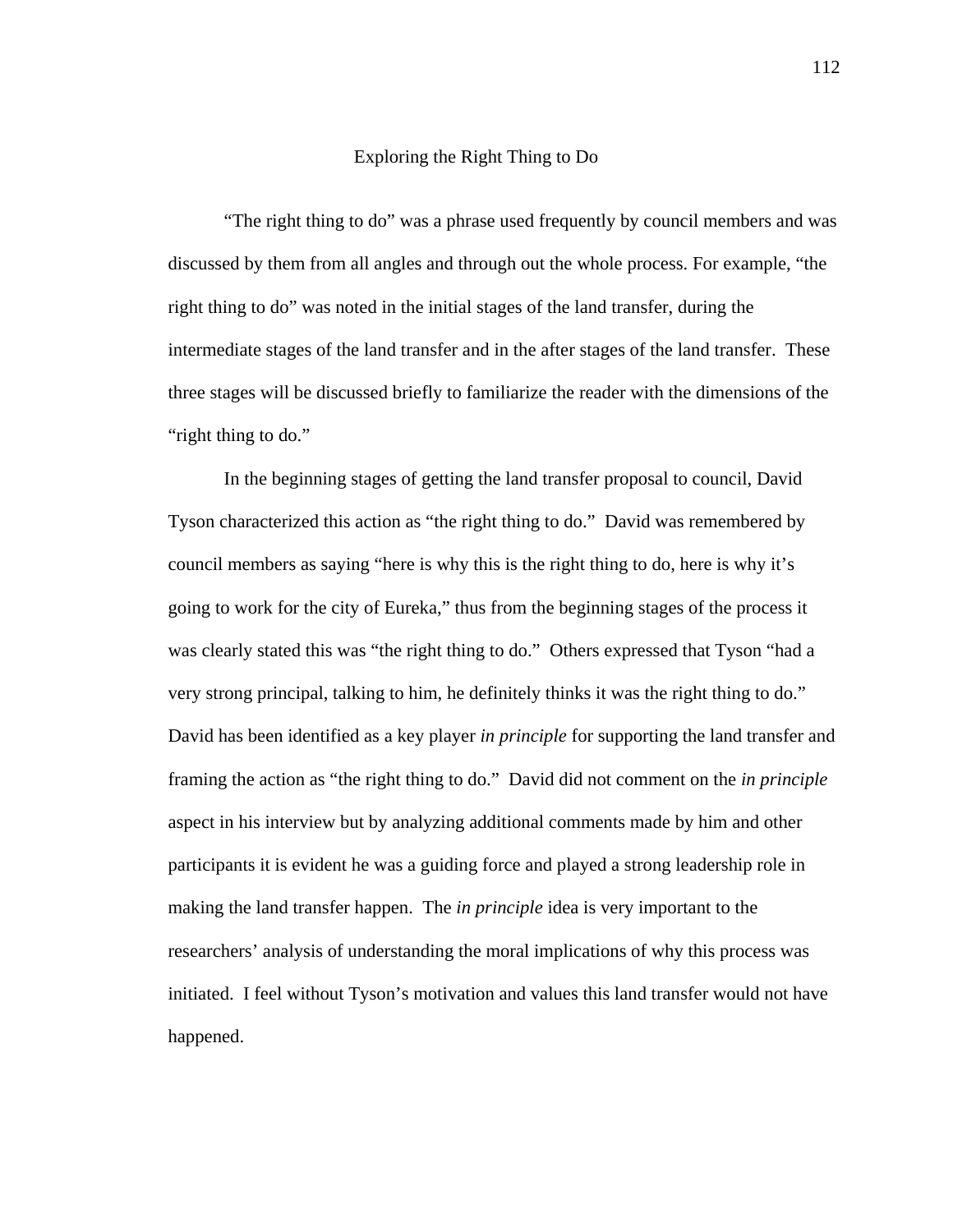## Exploring the Right Thing to Do

"The right thing to do" was a phrase used frequently by council members and was discussed by them from all angles and through out the whole process. For example, "the right thing to do" was noted in the initial stages of the land transfer, during the intermediate stages of the land transfer and in the after stages of the land transfer. These three stages will be discussed briefly to familiarize the reader with the dimensions of the "right thing to do."

 In the beginning stages of getting the land transfer proposal to council, David Tyson characterized this action as "the right thing to do." David was remembered by council members as saying "here is why this is the right thing to do, here is why it's going to work for the city of Eureka," thus from the beginning stages of the process it was clearly stated this was "the right thing to do." Others expressed that Tyson "had a very strong principal, talking to him, he definitely thinks it was the right thing to do." David has been identified as a key player *in principle* for supporting the land transfer and framing the action as "the right thing to do." David did not comment on the *in principle* aspect in his interview but by analyzing additional comments made by him and other participants it is evident he was a guiding force and played a strong leadership role in making the land transfer happen. The *in principle* idea is very important to the researchers' analysis of understanding the moral implications of why this process was initiated. I feel without Tyson's motivation and values this land transfer would not have happened.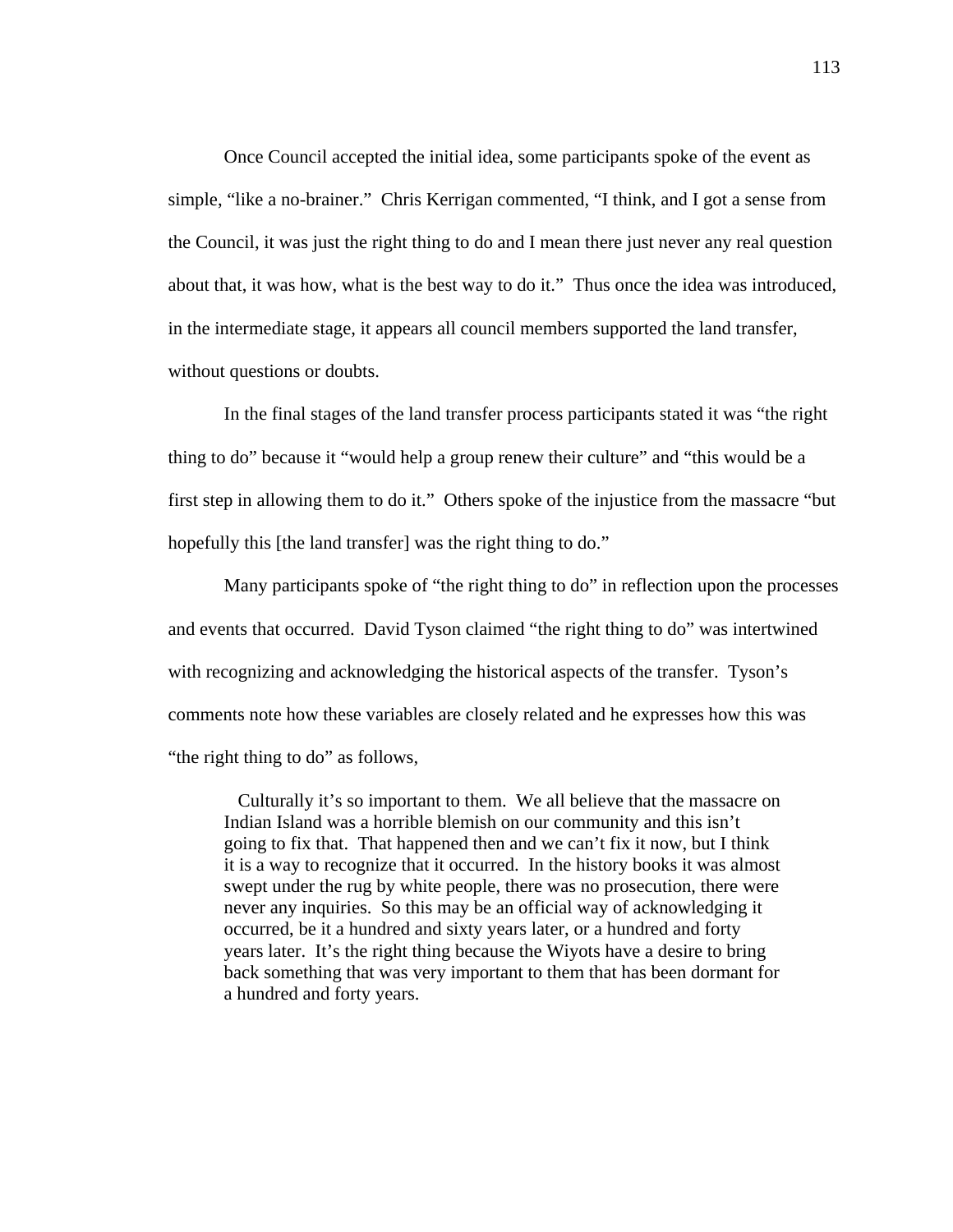Once Council accepted the initial idea, some participants spoke of the event as simple, "like a no-brainer." Chris Kerrigan commented, "I think, and I got a sense from the Council, it was just the right thing to do and I mean there just never any real question about that, it was how, what is the best way to do it." Thus once the idea was introduced, in the intermediate stage, it appears all council members supported the land transfer, without questions or doubts.

 In the final stages of the land transfer process participants stated it was "the right thing to do" because it "would help a group renew their culture" and "this would be a first step in allowing them to do it." Others spoke of the injustice from the massacre "but hopefully this [the land transfer] was the right thing to do."

 Many participants spoke of "the right thing to do" in reflection upon the processes and events that occurred. David Tyson claimed "the right thing to do" was intertwined with recognizing and acknowledging the historical aspects of the transfer. Tyson's comments note how these variables are closely related and he expresses how this was "the right thing to do" as follows,

 Culturally it's so important to them. We all believe that the massacre on Indian Island was a horrible blemish on our community and this isn't going to fix that. That happened then and we can't fix it now, but I think it is a way to recognize that it occurred. In the history books it was almost swept under the rug by white people, there was no prosecution, there were never any inquiries. So this may be an official way of acknowledging it occurred, be it a hundred and sixty years later, or a hundred and forty years later. It's the right thing because the Wiyots have a desire to bring back something that was very important to them that has been dormant for a hundred and forty years.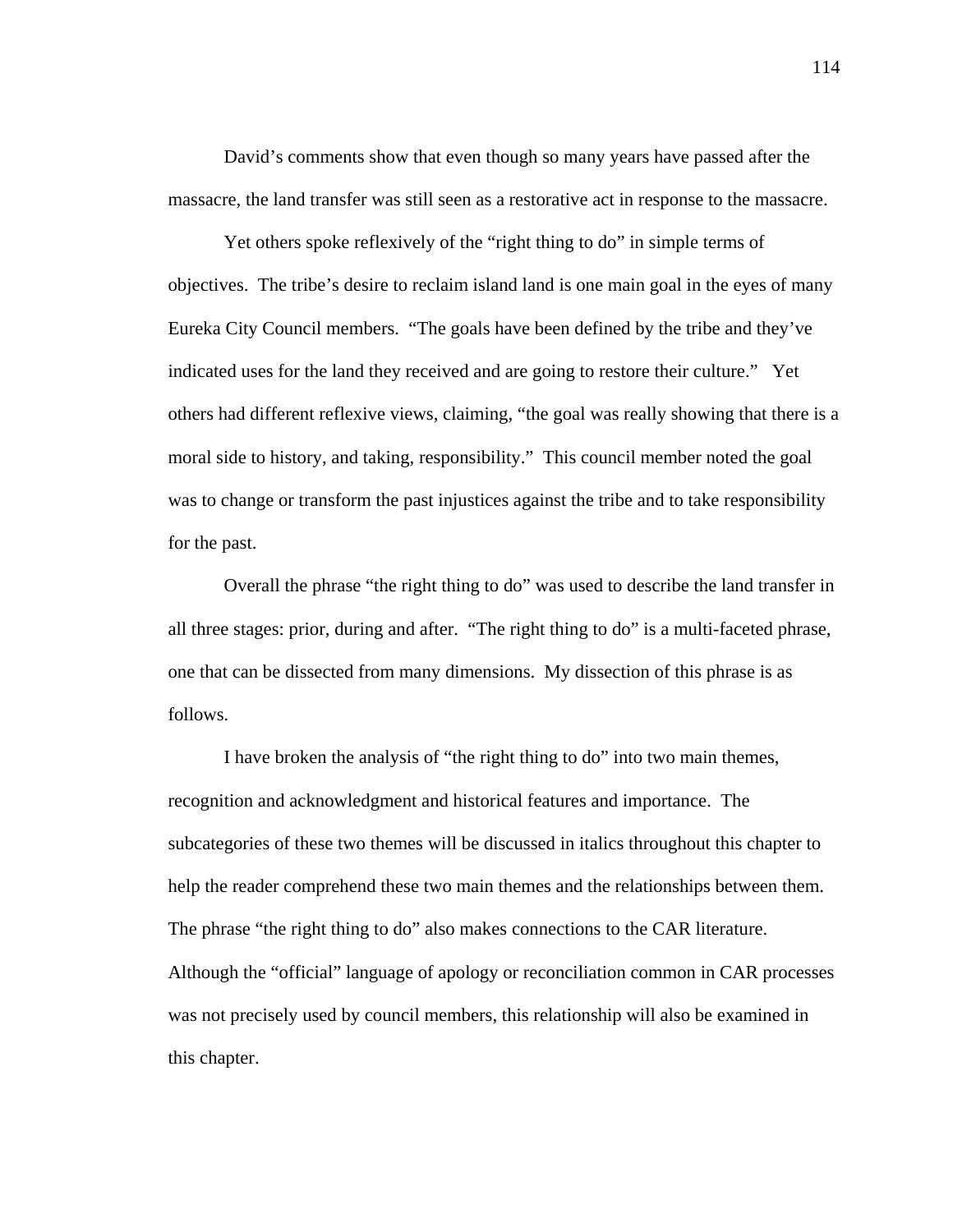David's comments show that even though so many years have passed after the massacre, the land transfer was still seen as a restorative act in response to the massacre.

Yet others spoke reflexively of the "right thing to do" in simple terms of objectives. The tribe's desire to reclaim island land is one main goal in the eyes of many Eureka City Council members. "The goals have been defined by the tribe and they've indicated uses for the land they received and are going to restore their culture." Yet others had different reflexive views, claiming, "the goal was really showing that there is a moral side to history, and taking, responsibility." This council member noted the goal was to change or transform the past injustices against the tribe and to take responsibility for the past.

Overall the phrase "the right thing to do" was used to describe the land transfer in all three stages: prior, during and after. "The right thing to do" is a multi-faceted phrase, one that can be dissected from many dimensions. My dissection of this phrase is as follows.

I have broken the analysis of "the right thing to do" into two main themes, recognition and acknowledgment and historical features and importance. The subcategories of these two themes will be discussed in italics throughout this chapter to help the reader comprehend these two main themes and the relationships between them. The phrase "the right thing to do" also makes connections to the CAR literature. Although the "official" language of apology or reconciliation common in CAR processes was not precisely used by council members, this relationship will also be examined in this chapter.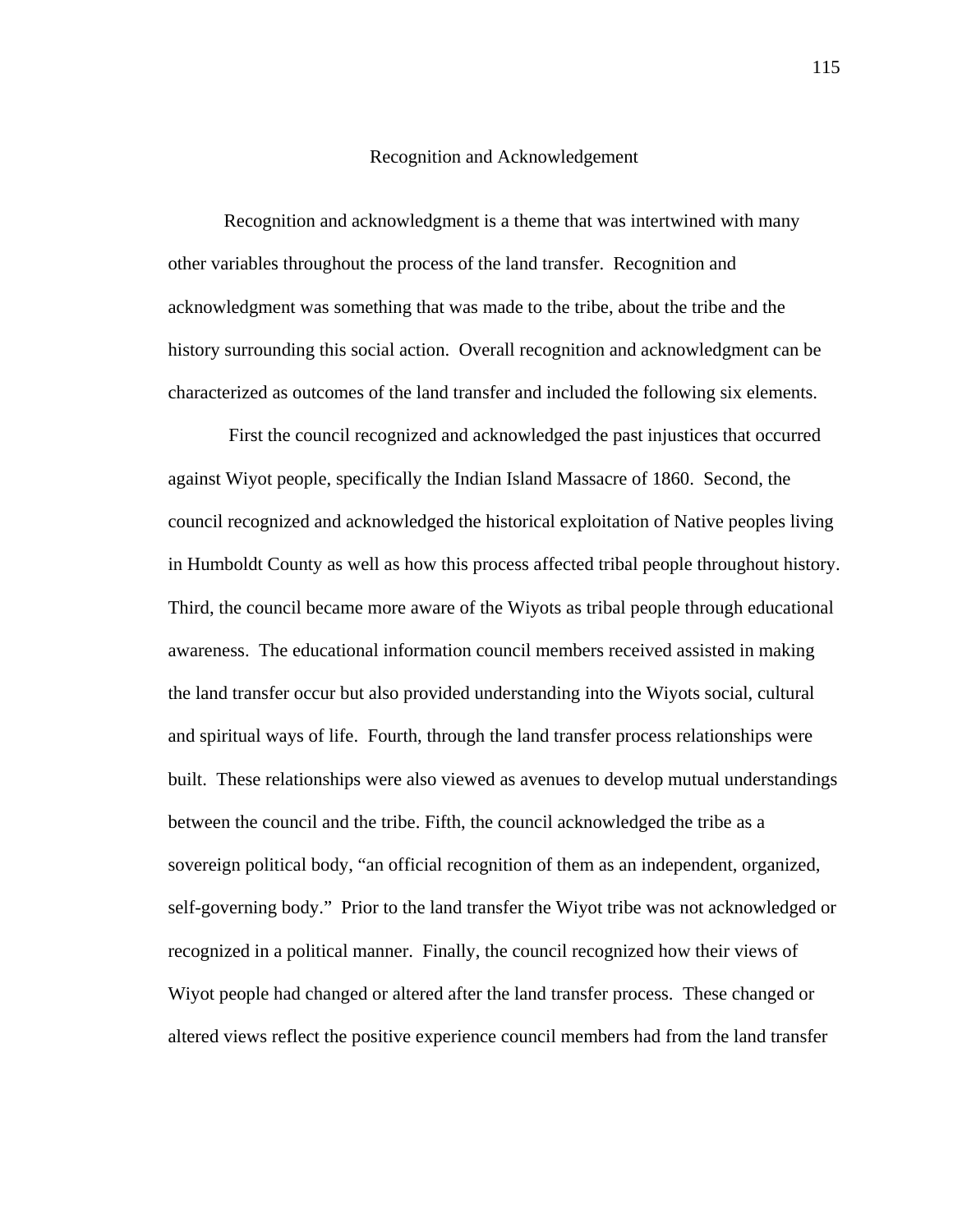#### Recognition and Acknowledgement

Recognition and acknowledgment is a theme that was intertwined with many other variables throughout the process of the land transfer. Recognition and acknowledgment was something that was made to the tribe, about the tribe and the history surrounding this social action. Overall recognition and acknowledgment can be characterized as outcomes of the land transfer and included the following six elements.

 First the council recognized and acknowledged the past injustices that occurred against Wiyot people, specifically the Indian Island Massacre of 1860. Second, the council recognized and acknowledged the historical exploitation of Native peoples living in Humboldt County as well as how this process affected tribal people throughout history. Third, the council became more aware of the Wiyots as tribal people through educational awareness. The educational information council members received assisted in making the land transfer occur but also provided understanding into the Wiyots social, cultural and spiritual ways of life. Fourth, through the land transfer process relationships were built. These relationships were also viewed as avenues to develop mutual understandings between the council and the tribe. Fifth, the council acknowledged the tribe as a sovereign political body, "an official recognition of them as an independent, organized, self-governing body." Prior to the land transfer the Wiyot tribe was not acknowledged or recognized in a political manner. Finally, the council recognized how their views of Wiyot people had changed or altered after the land transfer process. These changed or altered views reflect the positive experience council members had from the land transfer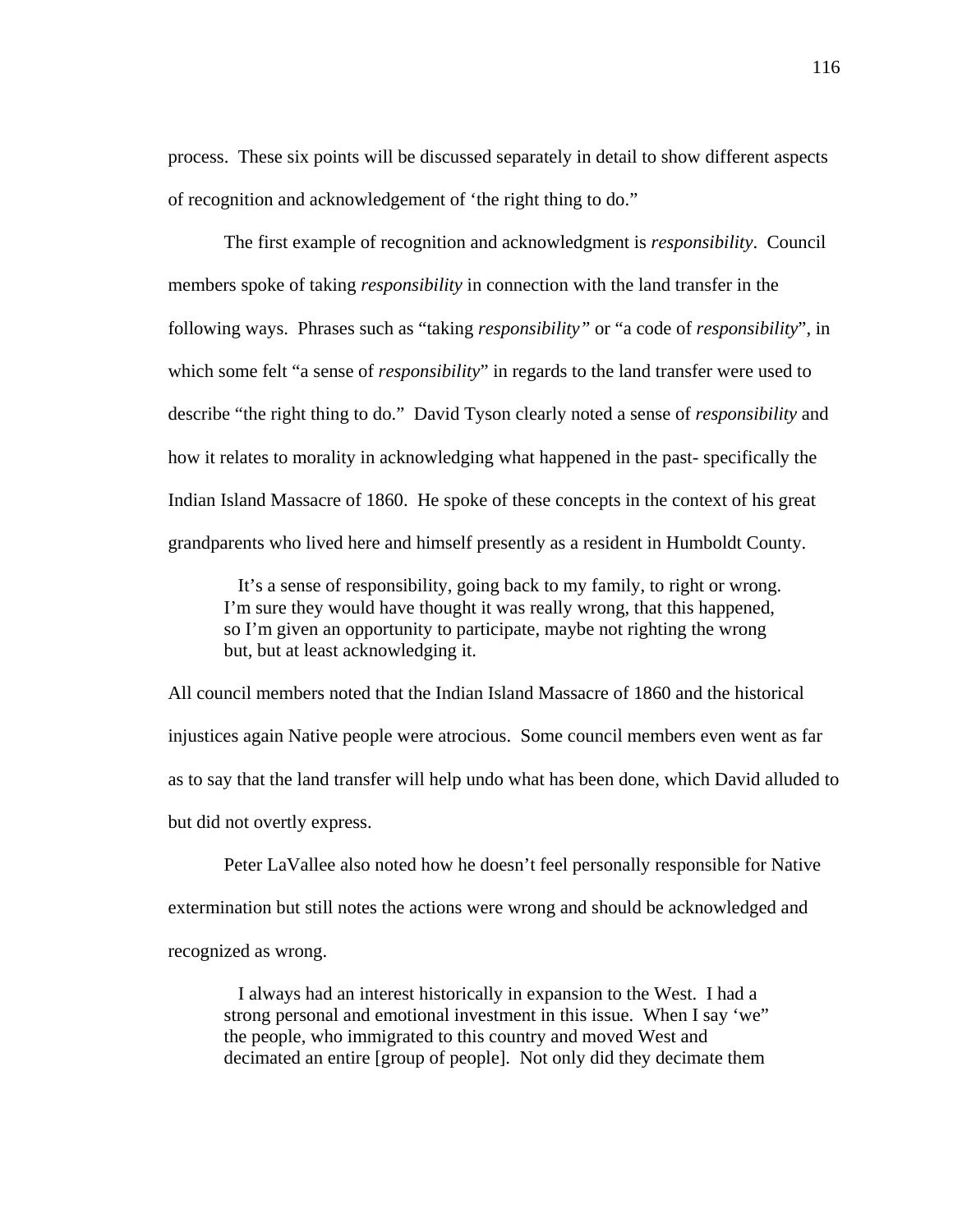process. These six points will be discussed separately in detail to show different aspects of recognition and acknowledgement of 'the right thing to do."

 The first example of recognition and acknowledgment is *responsibility*. Council members spoke of taking *responsibility* in connection with the land transfer in the following ways. Phrases such as "taking *responsibility"* or "a code of *responsibility*", in which some felt "a sense of *responsibility*" in regards to the land transfer were used to describe "the right thing to do." David Tyson clearly noted a sense of *responsibility* and how it relates to morality in acknowledging what happened in the past- specifically the Indian Island Massacre of 1860. He spoke of these concepts in the context of his great grandparents who lived here and himself presently as a resident in Humboldt County.

 It's a sense of responsibility, going back to my family, to right or wrong. I'm sure they would have thought it was really wrong, that this happened, so I'm given an opportunity to participate, maybe not righting the wrong but, but at least acknowledging it.

All council members noted that the Indian Island Massacre of 1860 and the historical injustices again Native people were atrocious. Some council members even went as far as to say that the land transfer will help undo what has been done, which David alluded to but did not overtly express.

Peter LaVallee also noted how he doesn't feel personally responsible for Native extermination but still notes the actions were wrong and should be acknowledged and recognized as wrong.

 I always had an interest historically in expansion to the West. I had a strong personal and emotional investment in this issue. When I say 'we" the people, who immigrated to this country and moved West and decimated an entire [group of people]. Not only did they decimate them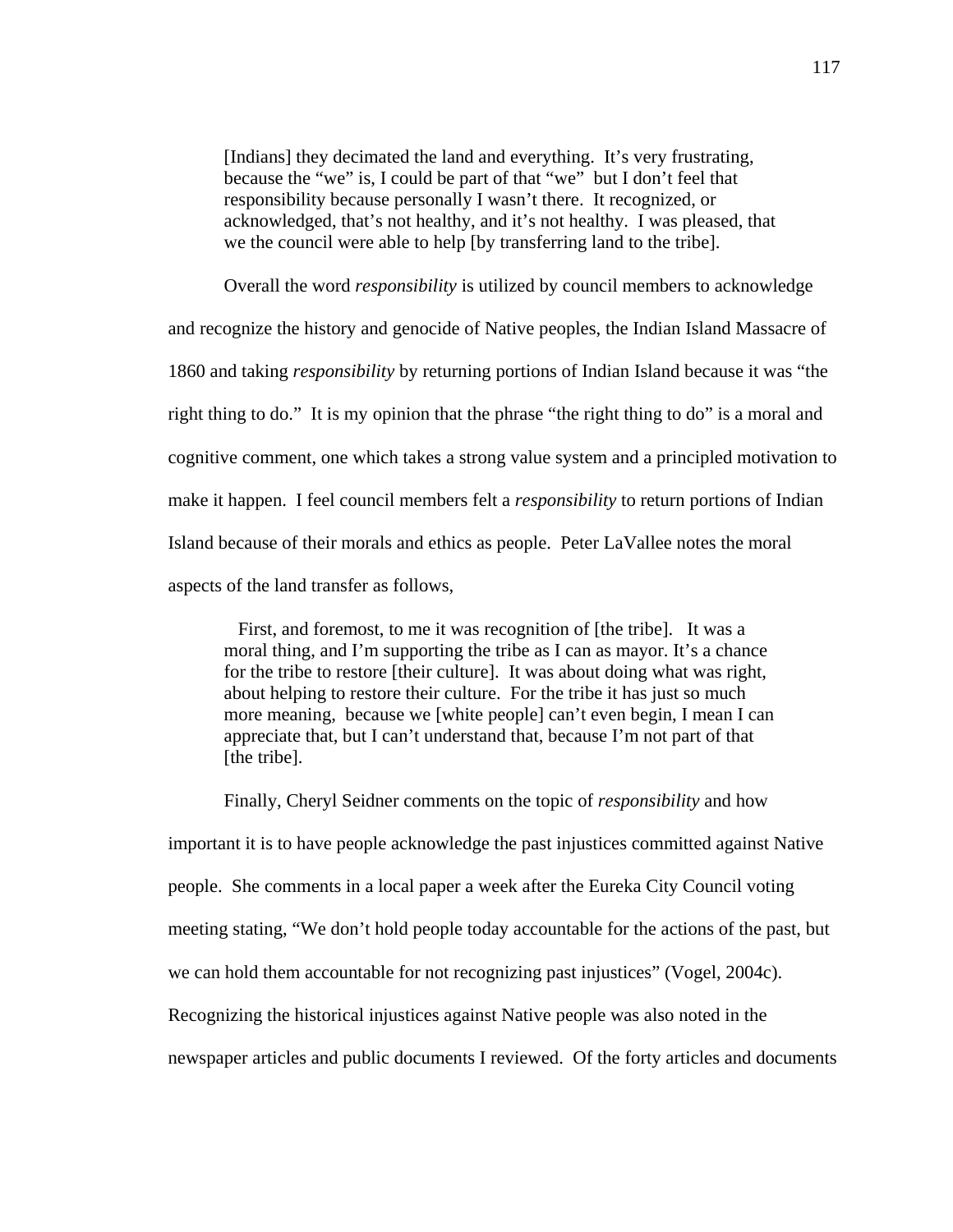[Indians] they decimated the land and everything. It's very frustrating, because the "we" is, I could be part of that "we" but I don't feel that responsibility because personally I wasn't there. It recognized, or acknowledged, that's not healthy, and it's not healthy. I was pleased, that we the council were able to help [by transferring land to the tribe].

Overall the word *responsibility* is utilized by council members to acknowledge

and recognize the history and genocide of Native peoples, the Indian Island Massacre of 1860 and taking *responsibility* by returning portions of Indian Island because it was "the right thing to do." It is my opinion that the phrase "the right thing to do" is a moral and cognitive comment, one which takes a strong value system and a principled motivation to make it happen. I feel council members felt a *responsibility* to return portions of Indian Island because of their morals and ethics as people. Peter LaVallee notes the moral aspects of the land transfer as follows,

 First, and foremost, to me it was recognition of [the tribe]. It was a moral thing, and I'm supporting the tribe as I can as mayor. It's a chance for the tribe to restore [their culture]. It was about doing what was right, about helping to restore their culture. For the tribe it has just so much more meaning, because we [white people] can't even begin, I mean I can appreciate that, but I can't understand that, because I'm not part of that [the tribe].

Finally, Cheryl Seidner comments on the topic of *responsibility* and how important it is to have people acknowledge the past injustices committed against Native people. She comments in a local paper a week after the Eureka City Council voting meeting stating, "We don't hold people today accountable for the actions of the past, but we can hold them accountable for not recognizing past injustices" (Vogel, 2004c). Recognizing the historical injustices against Native people was also noted in the newspaper articles and public documents I reviewed. Of the forty articles and documents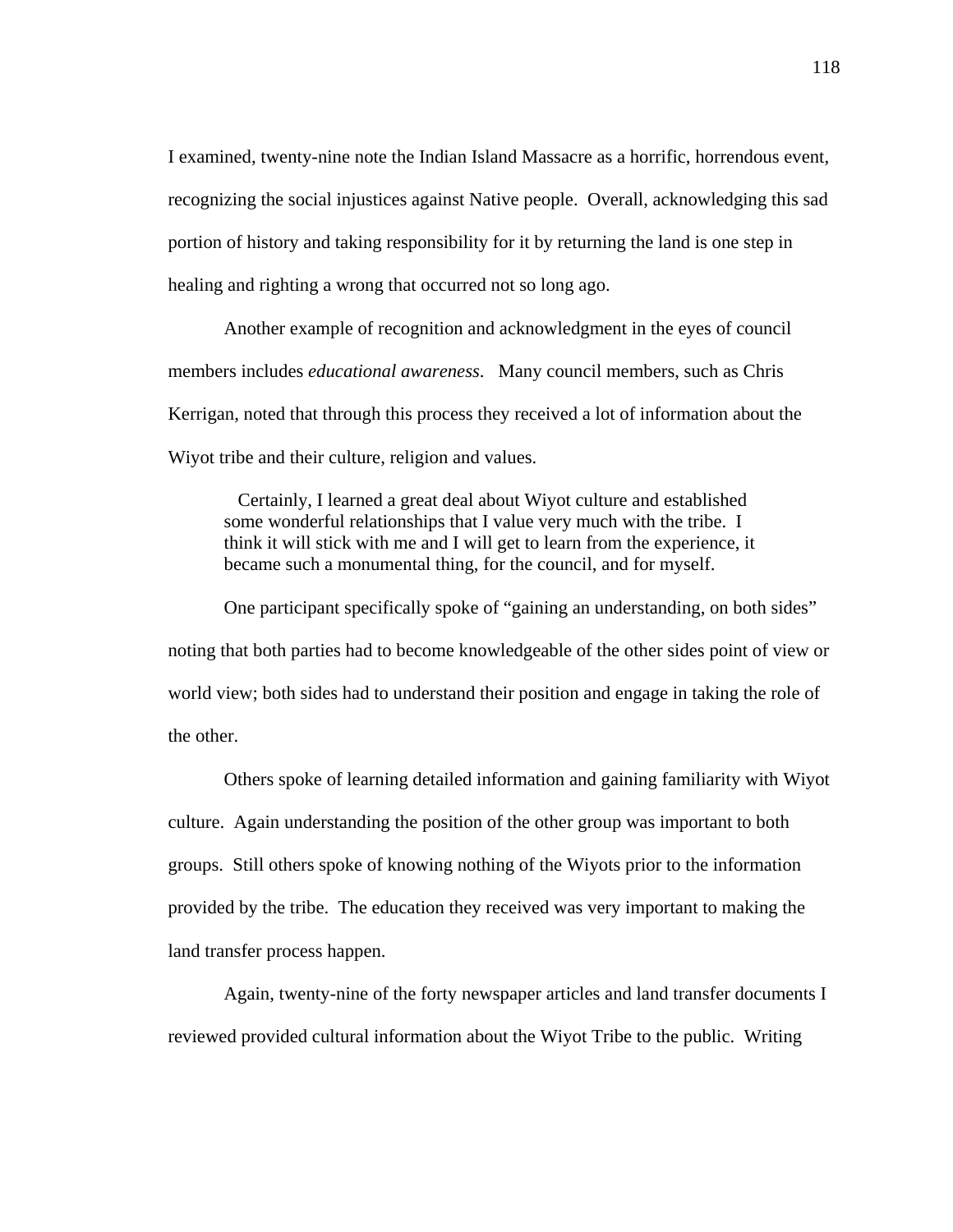I examined, twenty-nine note the Indian Island Massacre as a horrific, horrendous event, recognizing the social injustices against Native people. Overall, acknowledging this sad portion of history and taking responsibility for it by returning the land is one step in healing and righting a wrong that occurred not so long ago.

Another example of recognition and acknowledgment in the eyes of council members includes *educational awareness*. Many council members, such as Chris Kerrigan, noted that through this process they received a lot of information about the Wiyot tribe and their culture, religion and values.

 Certainly, I learned a great deal about Wiyot culture and established some wonderful relationships that I value very much with the tribe. I think it will stick with me and I will get to learn from the experience, it became such a monumental thing, for the council, and for myself.

One participant specifically spoke of "gaining an understanding, on both sides" noting that both parties had to become knowledgeable of the other sides point of view or world view; both sides had to understand their position and engage in taking the role of the other.

 Others spoke of learning detailed information and gaining familiarity with Wiyot culture. Again understanding the position of the other group was important to both groups. Still others spoke of knowing nothing of the Wiyots prior to the information provided by the tribe. The education they received was very important to making the land transfer process happen.

 Again, twenty-nine of the forty newspaper articles and land transfer documents I reviewed provided cultural information about the Wiyot Tribe to the public. Writing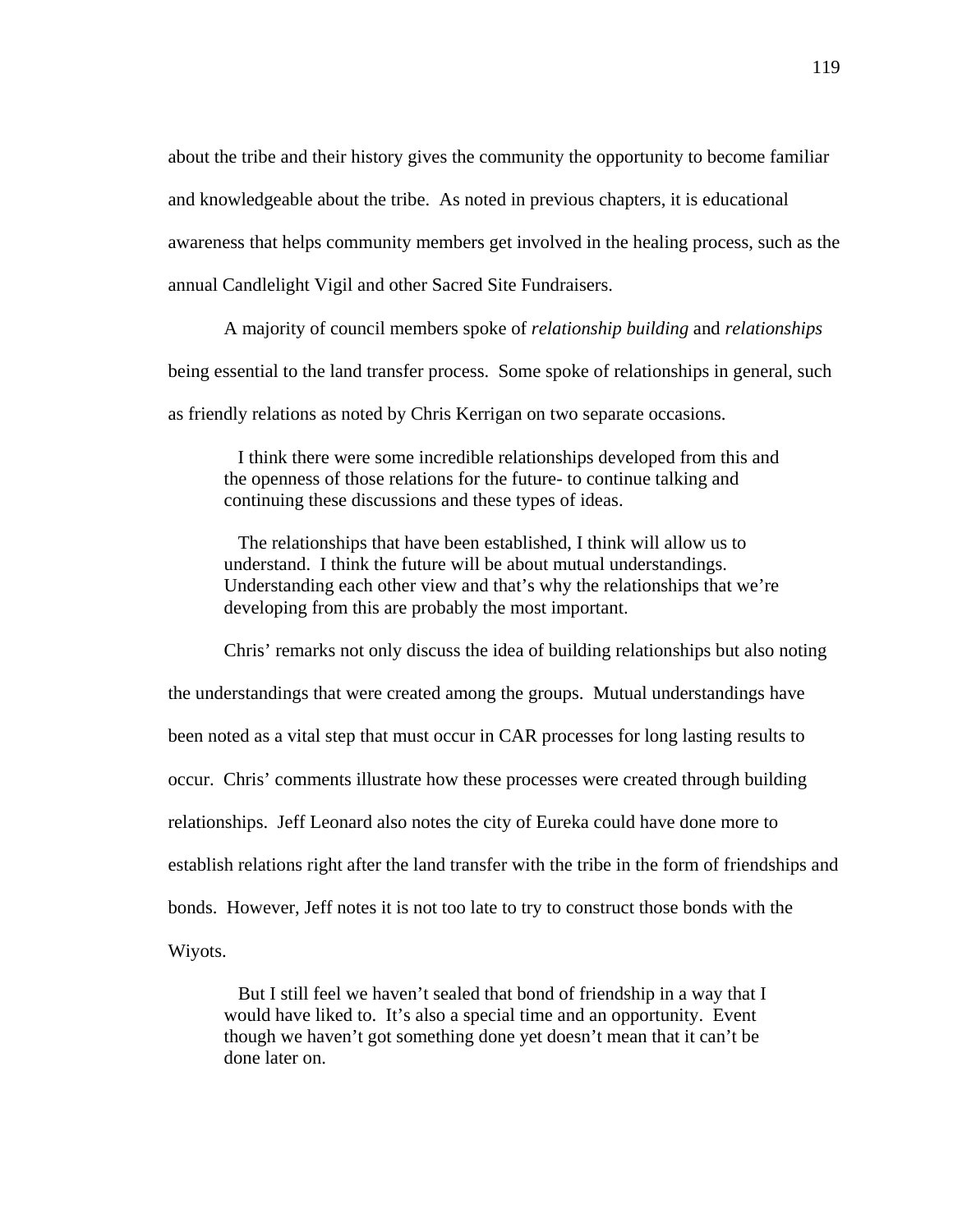about the tribe and their history gives the community the opportunity to become familiar and knowledgeable about the tribe. As noted in previous chapters, it is educational awareness that helps community members get involved in the healing process, such as the annual Candlelight Vigil and other Sacred Site Fundraisers.

 A majority of council members spoke of *relationship building* and *relationships* being essential to the land transfer process. Some spoke of relationships in general, such as friendly relations as noted by Chris Kerrigan on two separate occasions.

 I think there were some incredible relationships developed from this and the openness of those relations for the future- to continue talking and continuing these discussions and these types of ideas.

 The relationships that have been established, I think will allow us to understand. I think the future will be about mutual understandings. Understanding each other view and that's why the relationships that we're developing from this are probably the most important.

Chris' remarks not only discuss the idea of building relationships but also noting the understandings that were created among the groups. Mutual understandings have been noted as a vital step that must occur in CAR processes for long lasting results to occur. Chris' comments illustrate how these processes were created through building relationships. Jeff Leonard also notes the city of Eureka could have done more to establish relations right after the land transfer with the tribe in the form of friendships and bonds. However, Jeff notes it is not too late to try to construct those bonds with the Wiyots.

 But I still feel we haven't sealed that bond of friendship in a way that I would have liked to. It's also a special time and an opportunity. Event though we haven't got something done yet doesn't mean that it can't be done later on.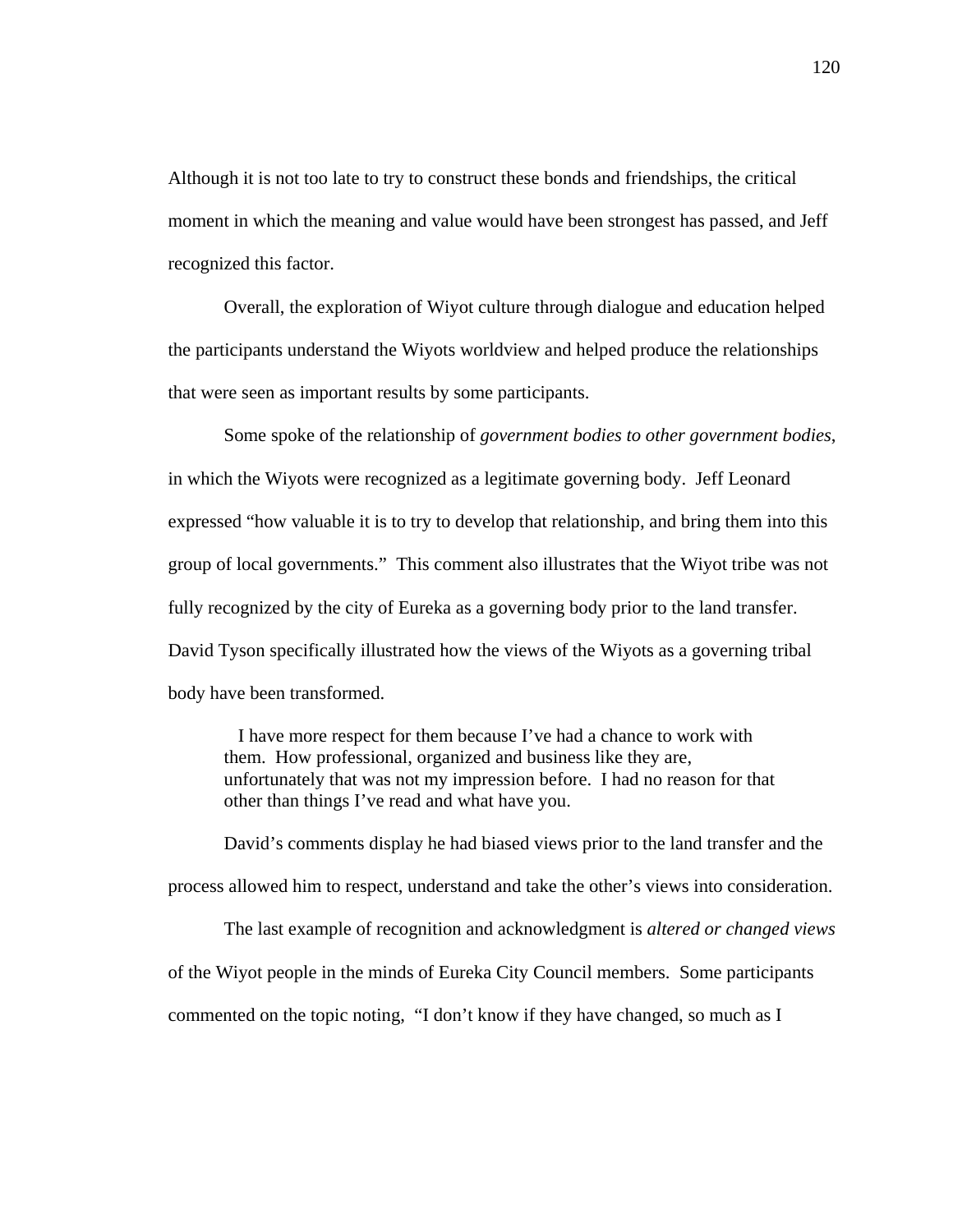Although it is not too late to try to construct these bonds and friendships, the critical moment in which the meaning and value would have been strongest has passed, and Jeff recognized this factor.

Overall, the exploration of Wiyot culture through dialogue and education helped the participants understand the Wiyots worldview and helped produce the relationships that were seen as important results by some participants.

Some spoke of the relationship of *government bodies to other government bodies*, in which the Wiyots were recognized as a legitimate governing body. Jeff Leonard expressed "how valuable it is to try to develop that relationship, and bring them into this group of local governments." This comment also illustrates that the Wiyot tribe was not fully recognized by the city of Eureka as a governing body prior to the land transfer. David Tyson specifically illustrated how the views of the Wiyots as a governing tribal body have been transformed.

 I have more respect for them because I've had a chance to work with them. How professional, organized and business like they are, unfortunately that was not my impression before. I had no reason for that other than things I've read and what have you.

David's comments display he had biased views prior to the land transfer and the process allowed him to respect, understand and take the other's views into consideration.

The last example of recognition and acknowledgment is *altered or changed views*  of the Wiyot people in the minds of Eureka City Council members. Some participants commented on the topic noting, "I don't know if they have changed, so much as I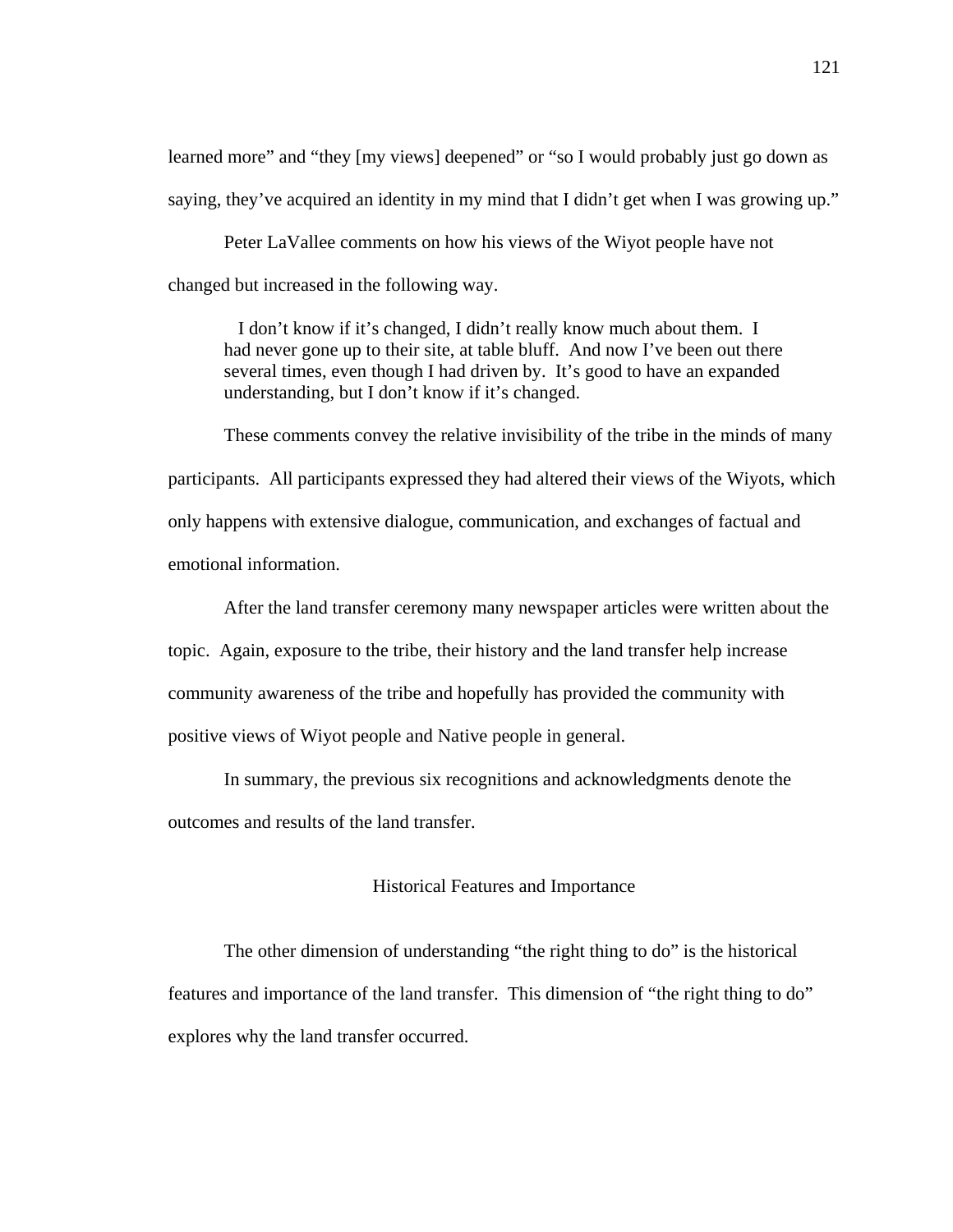learned more" and "they [my views] deepened" or "so I would probably just go down as saying, they've acquired an identity in my mind that I didn't get when I was growing up."

Peter LaVallee comments on how his views of the Wiyot people have not changed but increased in the following way.

 I don't know if it's changed, I didn't really know much about them. I had never gone up to their site, at table bluff. And now I've been out there several times, even though I had driven by. It's good to have an expanded understanding, but I don't know if it's changed.

These comments convey the relative invisibility of the tribe in the minds of many participants. All participants expressed they had altered their views of the Wiyots, which only happens with extensive dialogue, communication, and exchanges of factual and emotional information.

After the land transfer ceremony many newspaper articles were written about the topic. Again, exposure to the tribe, their history and the land transfer help increase community awareness of the tribe and hopefully has provided the community with positive views of Wiyot people and Native people in general.

In summary, the previous six recognitions and acknowledgments denote the outcomes and results of the land transfer.

#### Historical Features and Importance

The other dimension of understanding "the right thing to do" is the historical features and importance of the land transfer. This dimension of "the right thing to do" explores why the land transfer occurred.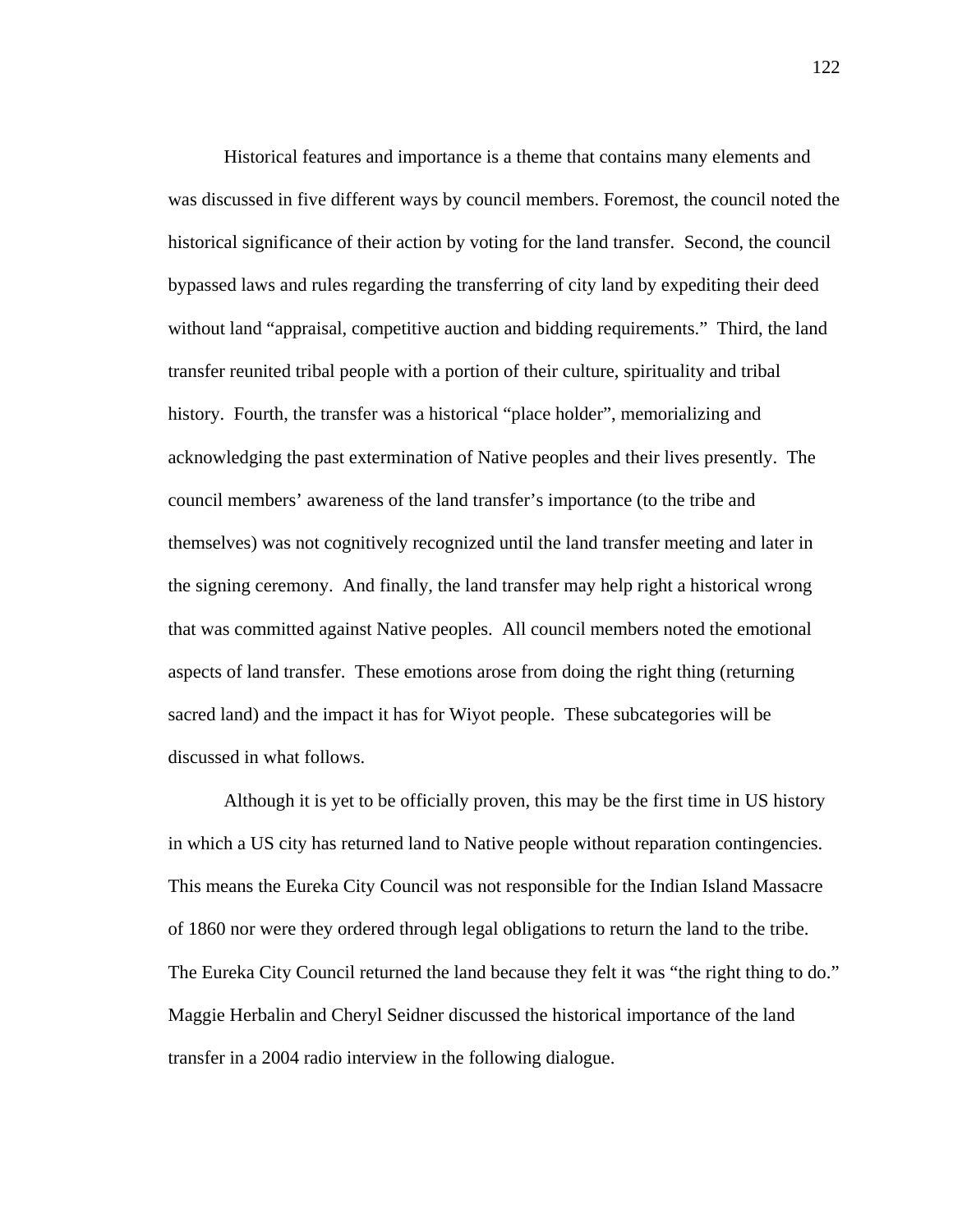Historical features and importance is a theme that contains many elements and was discussed in five different ways by council members. Foremost, the council noted the historical significance of their action by voting for the land transfer. Second, the council bypassed laws and rules regarding the transferring of city land by expediting their deed without land "appraisal, competitive auction and bidding requirements." Third, the land transfer reunited tribal people with a portion of their culture, spirituality and tribal history. Fourth, the transfer was a historical "place holder", memorializing and acknowledging the past extermination of Native peoples and their lives presently. The council members' awareness of the land transfer's importance (to the tribe and themselves) was not cognitively recognized until the land transfer meeting and later in the signing ceremony. And finally, the land transfer may help right a historical wrong that was committed against Native peoples. All council members noted the emotional aspects of land transfer. These emotions arose from doing the right thing (returning sacred land) and the impact it has for Wiyot people. These subcategories will be discussed in what follows.

Although it is yet to be officially proven, this may be the first time in US history in which a US city has returned land to Native people without reparation contingencies. This means the Eureka City Council was not responsible for the Indian Island Massacre of 1860 nor were they ordered through legal obligations to return the land to the tribe. The Eureka City Council returned the land because they felt it was "the right thing to do." Maggie Herbalin and Cheryl Seidner discussed the historical importance of the land transfer in a 2004 radio interview in the following dialogue.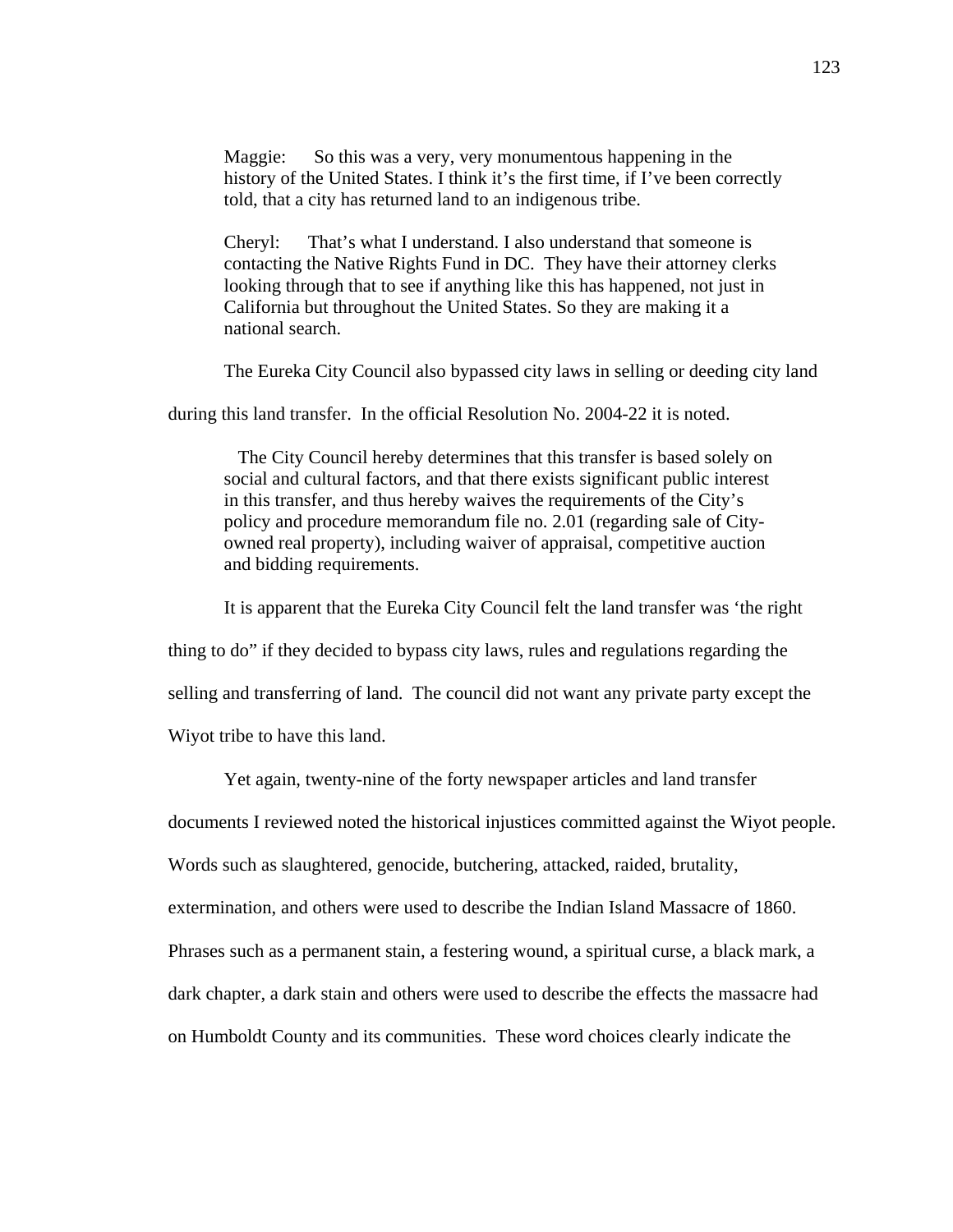Maggie: So this was a very, very monumentous happening in the history of the United States. I think it's the first time, if I've been correctly told, that a city has returned land to an indigenous tribe.

Cheryl: That's what I understand. I also understand that someone is contacting the Native Rights Fund in DC. They have their attorney clerks looking through that to see if anything like this has happened, not just in California but throughout the United States. So they are making it a national search.

The Eureka City Council also bypassed city laws in selling or deeding city land

during this land transfer. In the official Resolution No. 2004-22 it is noted.

 The City Council hereby determines that this transfer is based solely on social and cultural factors, and that there exists significant public interest in this transfer, and thus hereby waives the requirements of the City's policy and procedure memorandum file no. 2.01 (regarding sale of Cityowned real property), including waiver of appraisal, competitive auction and bidding requirements.

It is apparent that the Eureka City Council felt the land transfer was 'the right

thing to do" if they decided to bypass city laws, rules and regulations regarding the

selling and transferring of land. The council did not want any private party except the

Wiyot tribe to have this land.

Yet again, twenty-nine of the forty newspaper articles and land transfer

documents I reviewed noted the historical injustices committed against the Wiyot people.

Words such as slaughtered, genocide, butchering, attacked, raided, brutality,

extermination, and others were used to describe the Indian Island Massacre of 1860.

Phrases such as a permanent stain, a festering wound, a spiritual curse, a black mark, a

dark chapter, a dark stain and others were used to describe the effects the massacre had

on Humboldt County and its communities. These word choices clearly indicate the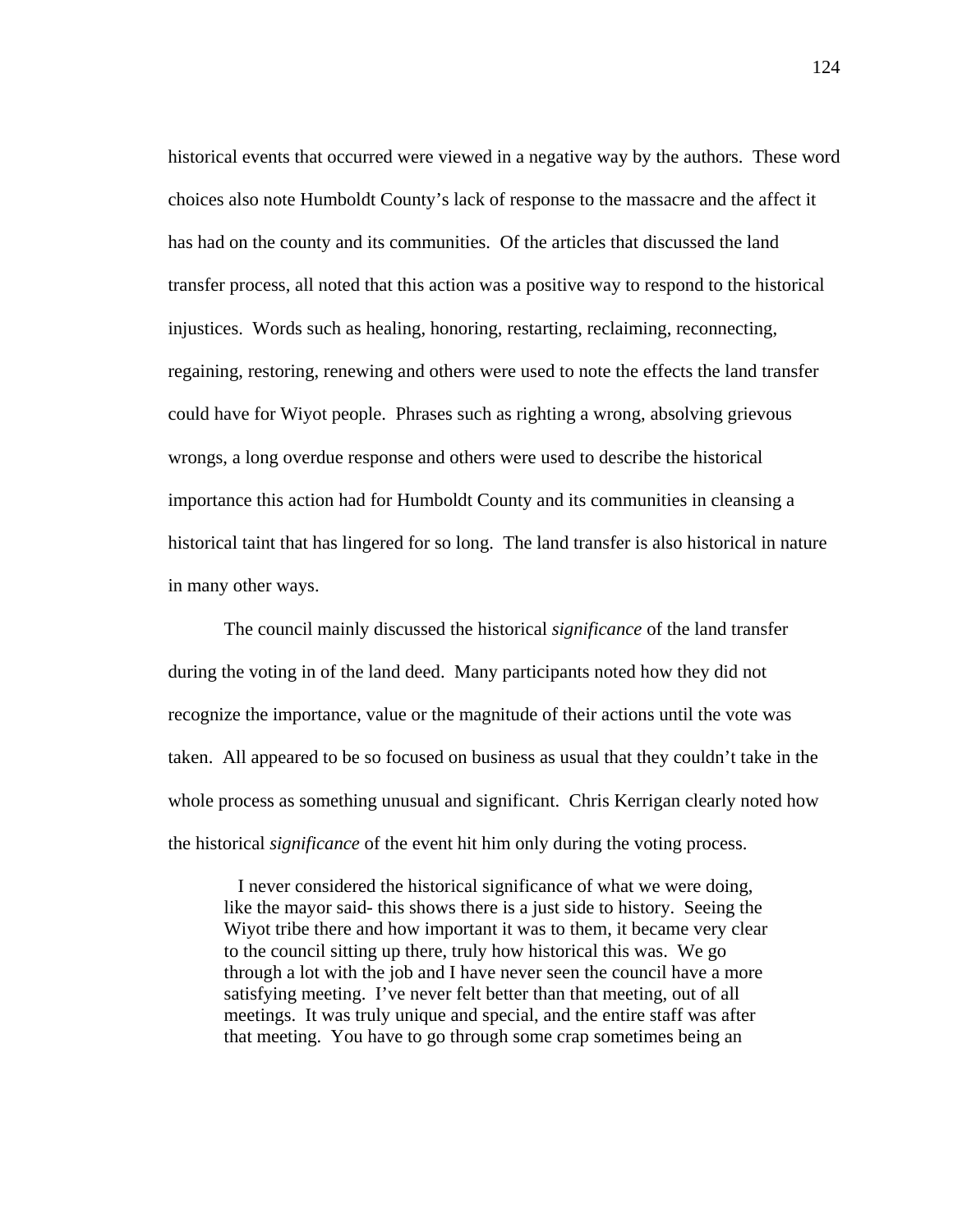historical events that occurred were viewed in a negative way by the authors. These word choices also note Humboldt County's lack of response to the massacre and the affect it has had on the county and its communities. Of the articles that discussed the land transfer process, all noted that this action was a positive way to respond to the historical injustices. Words such as healing, honoring, restarting, reclaiming, reconnecting, regaining, restoring, renewing and others were used to note the effects the land transfer could have for Wiyot people. Phrases such as righting a wrong, absolving grievous wrongs, a long overdue response and others were used to describe the historical importance this action had for Humboldt County and its communities in cleansing a historical taint that has lingered for so long. The land transfer is also historical in nature in many other ways.

The council mainly discussed the historical *significance* of the land transfer during the voting in of the land deed. Many participants noted how they did not recognize the importance, value or the magnitude of their actions until the vote was taken. All appeared to be so focused on business as usual that they couldn't take in the whole process as something unusual and significant. Chris Kerrigan clearly noted how the historical *significance* of the event hit him only during the voting process.

 I never considered the historical significance of what we were doing, like the mayor said- this shows there is a just side to history. Seeing the Wiyot tribe there and how important it was to them, it became very clear to the council sitting up there, truly how historical this was. We go through a lot with the job and I have never seen the council have a more satisfying meeting. I've never felt better than that meeting, out of all meetings. It was truly unique and special, and the entire staff was after that meeting. You have to go through some crap sometimes being an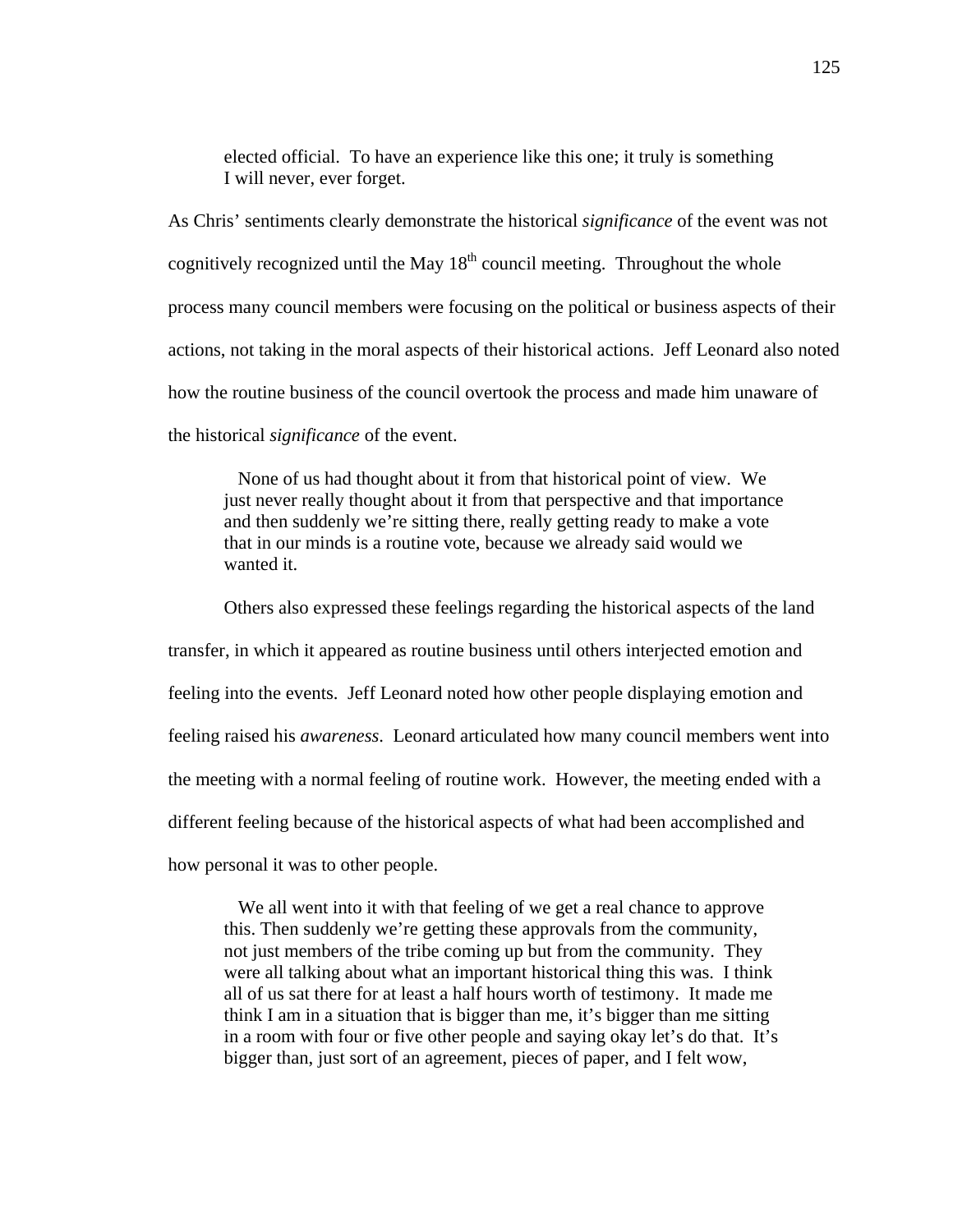elected official. To have an experience like this one; it truly is something I will never, ever forget.

As Chris' sentiments clearly demonstrate the historical *significance* of the event was not cognitively recognized until the May  $18<sup>th</sup>$  council meeting. Throughout the whole process many council members were focusing on the political or business aspects of their actions, not taking in the moral aspects of their historical actions. Jeff Leonard also noted how the routine business of the council overtook the process and made him unaware of the historical *significance* of the event.

 None of us had thought about it from that historical point of view. We just never really thought about it from that perspective and that importance and then suddenly we're sitting there, really getting ready to make a vote that in our minds is a routine vote, because we already said would we wanted it.

Others also expressed these feelings regarding the historical aspects of the land transfer, in which it appeared as routine business until others interjected emotion and feeling into the events. Jeff Leonard noted how other people displaying emotion and feeling raised his *awareness*. Leonard articulated how many council members went into the meeting with a normal feeling of routine work. However, the meeting ended with a different feeling because of the historical aspects of what had been accomplished and how personal it was to other people.

 We all went into it with that feeling of we get a real chance to approve this. Then suddenly we're getting these approvals from the community, not just members of the tribe coming up but from the community. They were all talking about what an important historical thing this was. I think all of us sat there for at least a half hours worth of testimony. It made me think I am in a situation that is bigger than me, it's bigger than me sitting in a room with four or five other people and saying okay let's do that. It's bigger than, just sort of an agreement, pieces of paper, and I felt wow,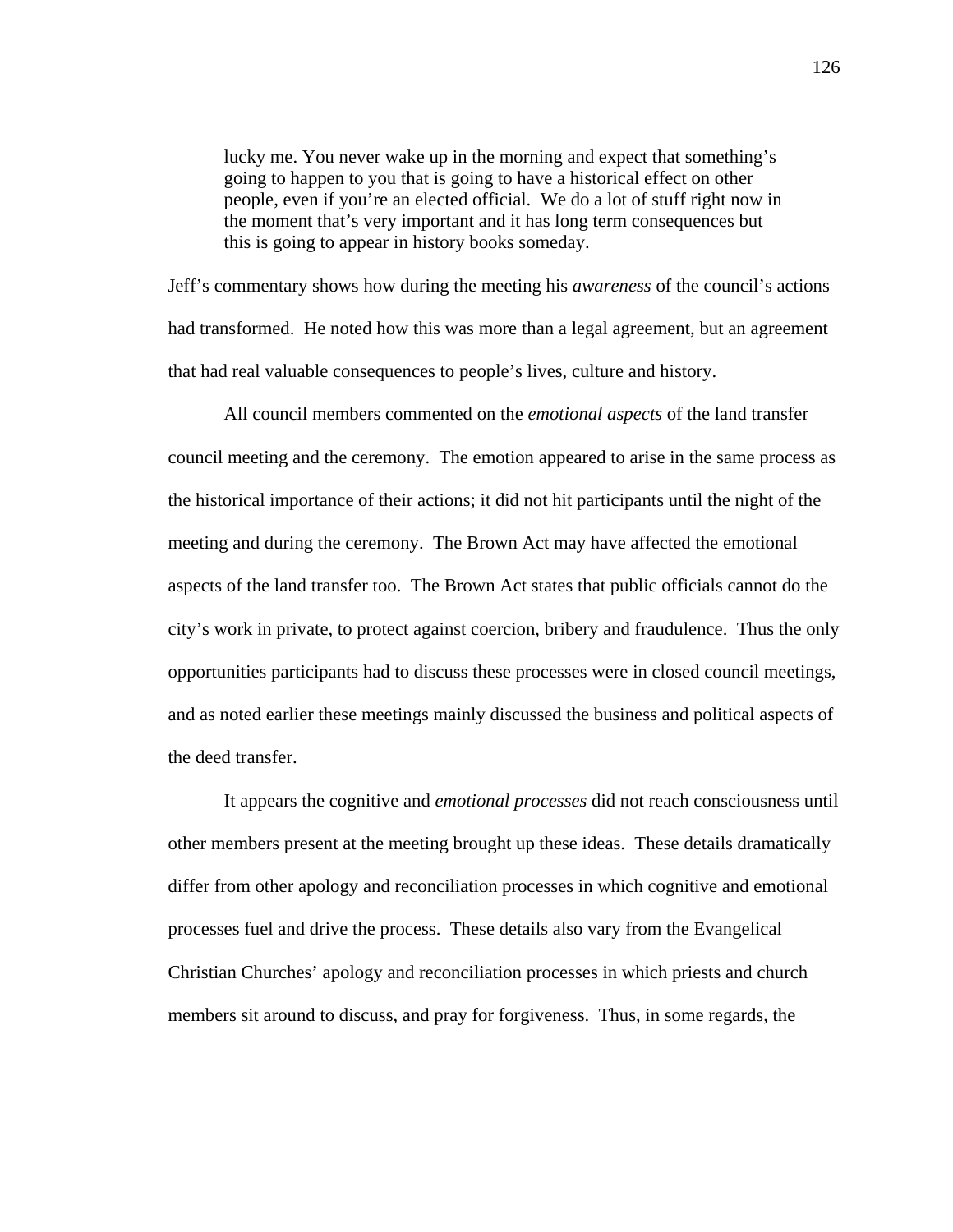lucky me. You never wake up in the morning and expect that something's going to happen to you that is going to have a historical effect on other people, even if you're an elected official. We do a lot of stuff right now in the moment that's very important and it has long term consequences but this is going to appear in history books someday.

Jeff's commentary shows how during the meeting his *awareness* of the council's actions had transformed. He noted how this was more than a legal agreement, but an agreement that had real valuable consequences to people's lives, culture and history.

 All council members commented on the *emotional aspects* of the land transfer council meeting and the ceremony. The emotion appeared to arise in the same process as the historical importance of their actions; it did not hit participants until the night of the meeting and during the ceremony. The Brown Act may have affected the emotional aspects of the land transfer too. The Brown Act states that public officials cannot do the city's work in private, to protect against coercion, bribery and fraudulence. Thus the only opportunities participants had to discuss these processes were in closed council meetings, and as noted earlier these meetings mainly discussed the business and political aspects of the deed transfer.

It appears the cognitive and *emotional processes* did not reach consciousness until other members present at the meeting brought up these ideas. These details dramatically differ from other apology and reconciliation processes in which cognitive and emotional processes fuel and drive the process. These details also vary from the Evangelical Christian Churches' apology and reconciliation processes in which priests and church members sit around to discuss, and pray for forgiveness. Thus, in some regards, the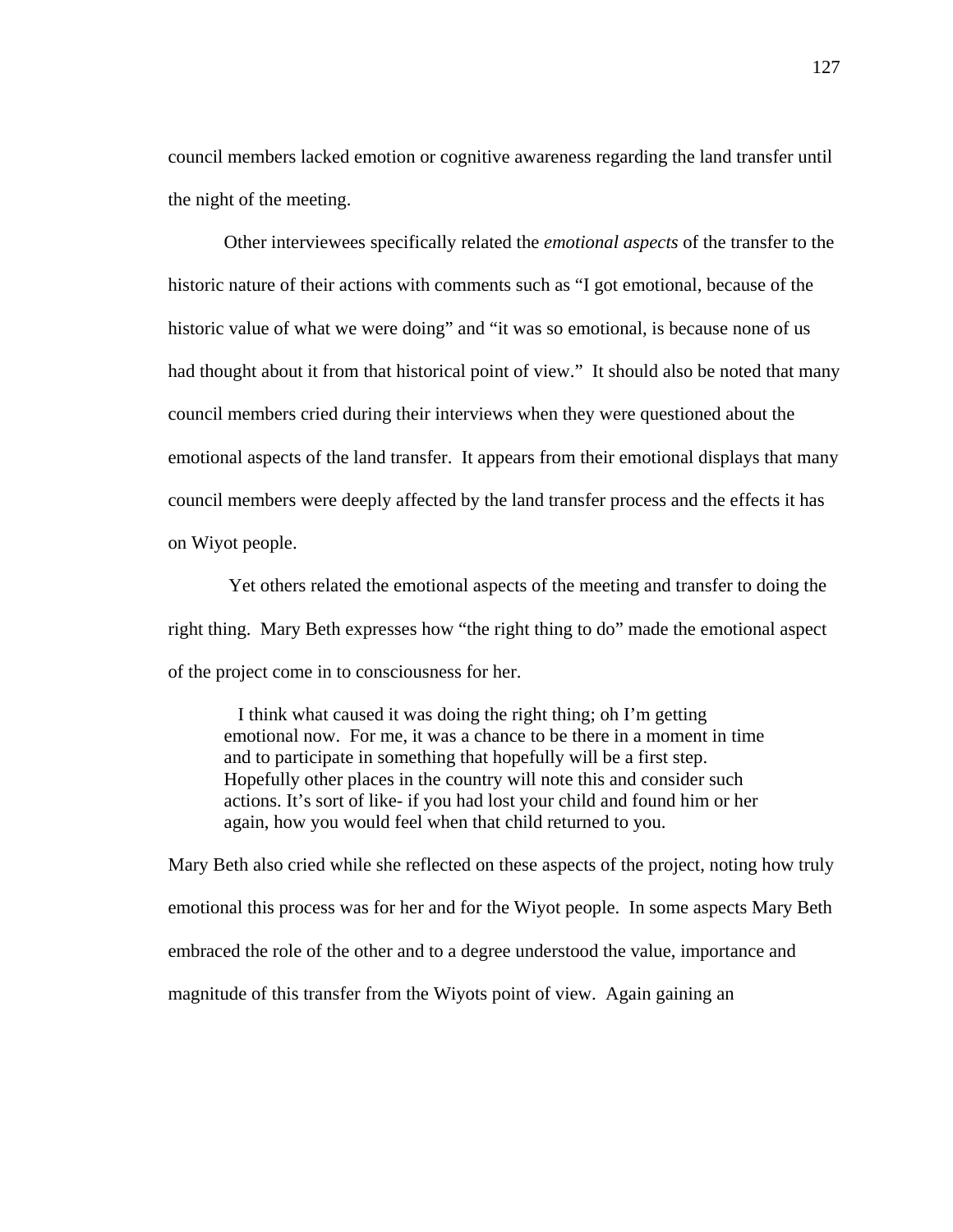council members lacked emotion or cognitive awareness regarding the land transfer until the night of the meeting.

 Other interviewees specifically related the *emotional aspects* of the transfer to the historic nature of their actions with comments such as "I got emotional, because of the historic value of what we were doing" and "it was so emotional, is because none of us had thought about it from that historical point of view." It should also be noted that many council members cried during their interviews when they were questioned about the emotional aspects of the land transfer. It appears from their emotional displays that many council members were deeply affected by the land transfer process and the effects it has on Wiyot people.

 Yet others related the emotional aspects of the meeting and transfer to doing the right thing. Mary Beth expresses how "the right thing to do" made the emotional aspect of the project come in to consciousness for her.

 I think what caused it was doing the right thing; oh I'm getting emotional now. For me, it was a chance to be there in a moment in time and to participate in something that hopefully will be a first step. Hopefully other places in the country will note this and consider such actions. It's sort of like- if you had lost your child and found him or her again, how you would feel when that child returned to you.

Mary Beth also cried while she reflected on these aspects of the project, noting how truly emotional this process was for her and for the Wiyot people. In some aspects Mary Beth embraced the role of the other and to a degree understood the value, importance and magnitude of this transfer from the Wiyots point of view. Again gaining an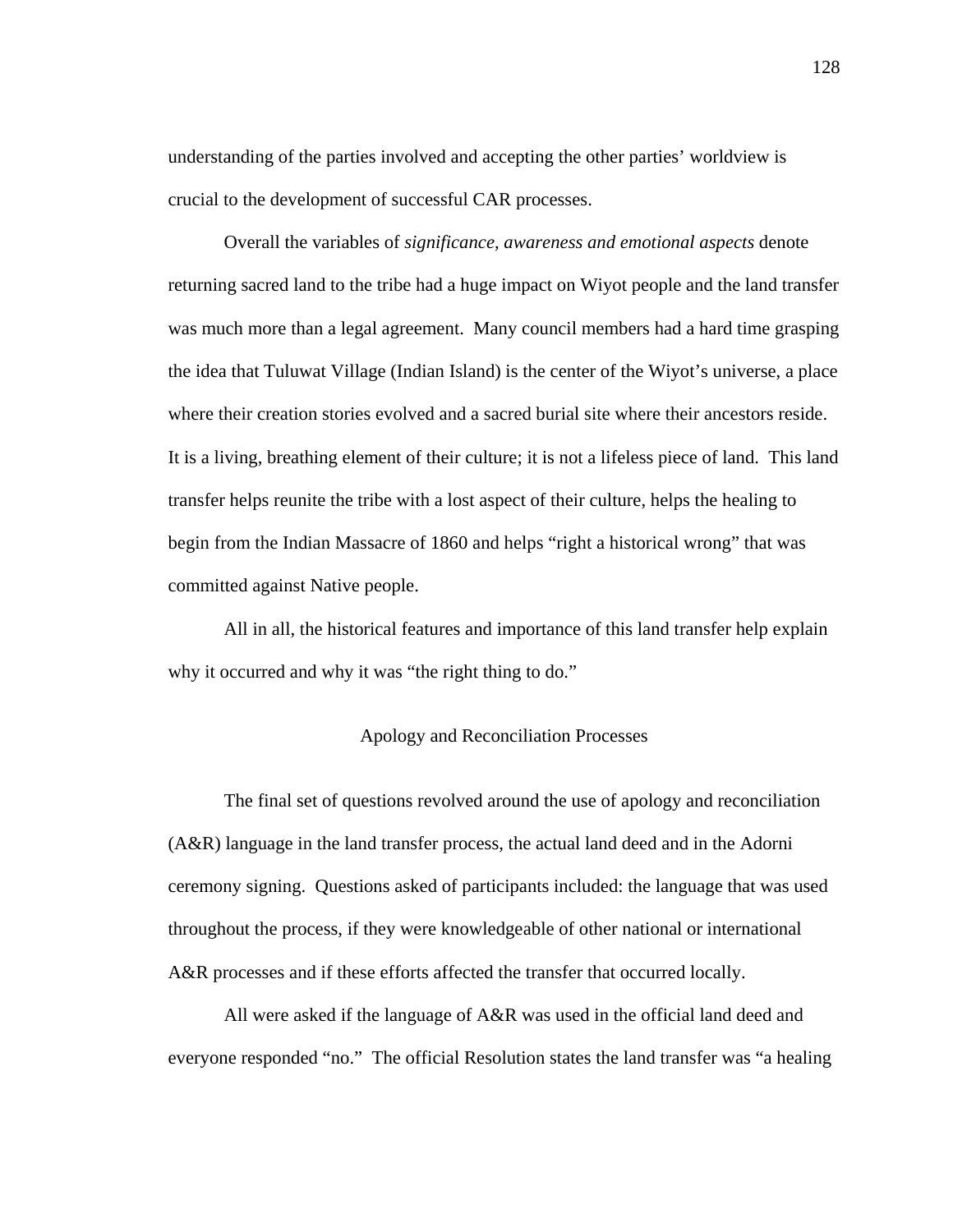understanding of the parties involved and accepting the other parties' worldview is crucial to the development of successful CAR processes.

Overall the variables of *significance, awareness and emotional aspects* denote returning sacred land to the tribe had a huge impact on Wiyot people and the land transfer was much more than a legal agreement. Many council members had a hard time grasping the idea that Tuluwat Village (Indian Island) is the center of the Wiyot's universe, a place where their creation stories evolved and a sacred burial site where their ancestors reside. It is a living, breathing element of their culture; it is not a lifeless piece of land. This land transfer helps reunite the tribe with a lost aspect of their culture, helps the healing to begin from the Indian Massacre of 1860 and helps "right a historical wrong" that was committed against Native people.

All in all, the historical features and importance of this land transfer help explain why it occurred and why it was "the right thing to do."

# Apology and Reconciliation Processes

 The final set of questions revolved around the use of apology and reconciliation (A&R) language in the land transfer process, the actual land deed and in the Adorni ceremony signing. Questions asked of participants included: the language that was used throughout the process, if they were knowledgeable of other national or international A&R processes and if these efforts affected the transfer that occurred locally.

 All were asked if the language of A&R was used in the official land deed and everyone responded "no." The official Resolution states the land transfer was "a healing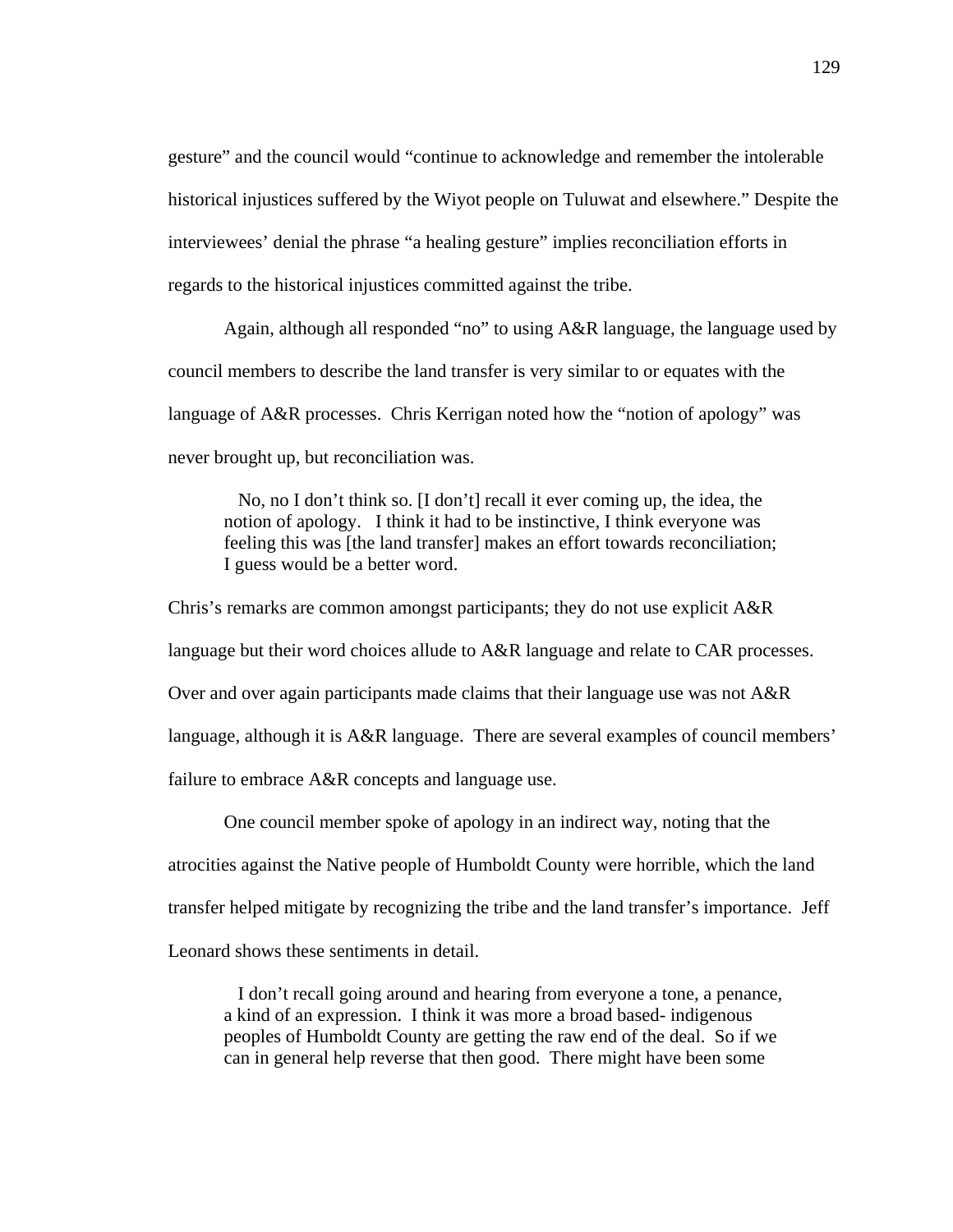gesture" and the council would "continue to acknowledge and remember the intolerable historical injustices suffered by the Wiyot people on Tuluwat and elsewhere." Despite the interviewees' denial the phrase "a healing gesture" implies reconciliation efforts in regards to the historical injustices committed against the tribe.

Again, although all responded "no" to using A&R language, the language used by council members to describe the land transfer is very similar to or equates with the language of A&R processes. Chris Kerrigan noted how the "notion of apology" was never brought up, but reconciliation was.

 No, no I don't think so. [I don't] recall it ever coming up, the idea, the notion of apology. I think it had to be instinctive, I think everyone was feeling this was [the land transfer] makes an effort towards reconciliation; I guess would be a better word.

Chris's remarks are common amongst participants; they do not use explicit A&R language but their word choices allude to A&R language and relate to CAR processes. Over and over again participants made claims that their language use was not A&R language, although it is A&R language. There are several examples of council members' failure to embrace A&R concepts and language use.

One council member spoke of apology in an indirect way, noting that the atrocities against the Native people of Humboldt County were horrible, which the land transfer helped mitigate by recognizing the tribe and the land transfer's importance. Jeff Leonard shows these sentiments in detail.

 I don't recall going around and hearing from everyone a tone, a penance, a kind of an expression. I think it was more a broad based- indigenous peoples of Humboldt County are getting the raw end of the deal. So if we can in general help reverse that then good. There might have been some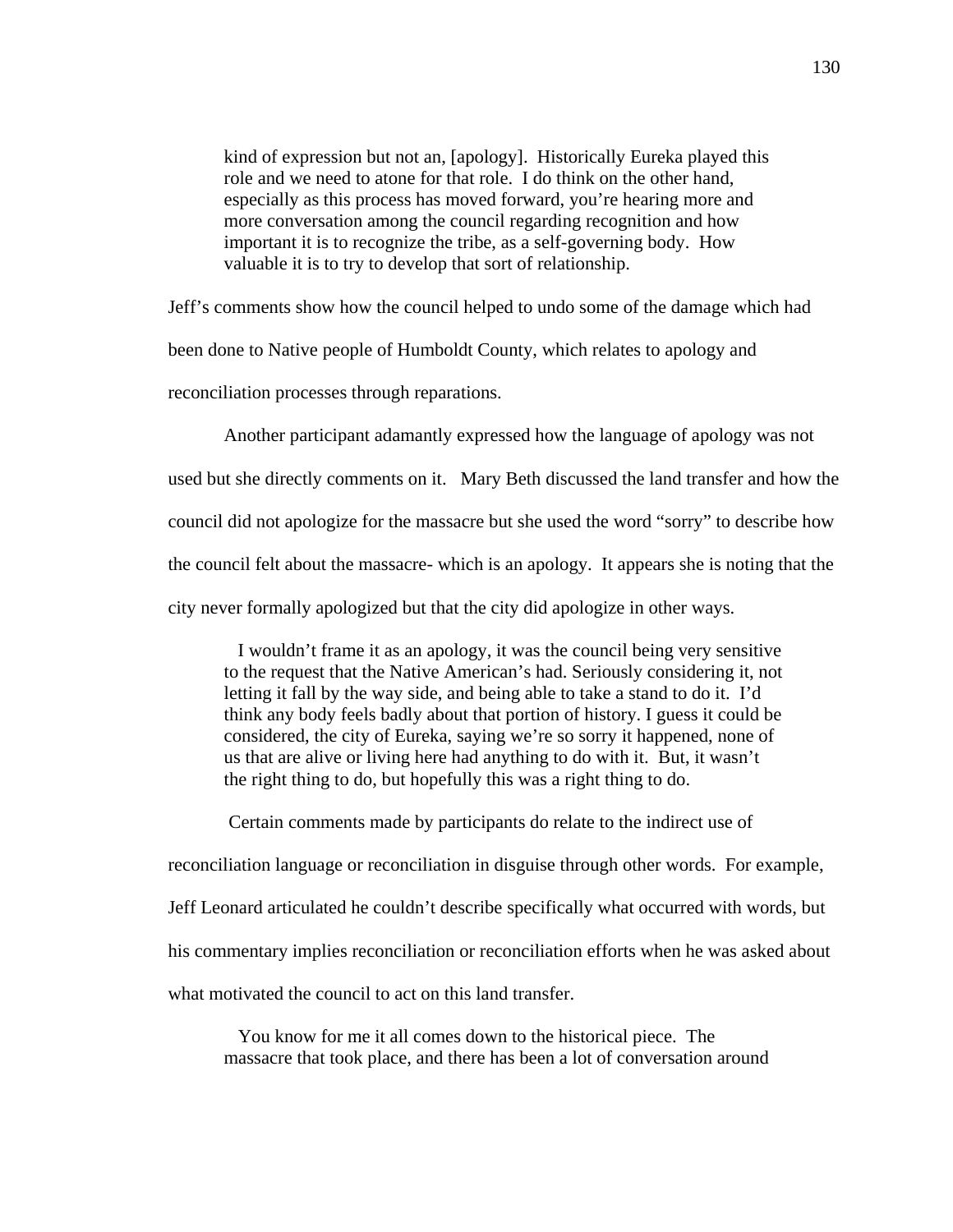kind of expression but not an, [apology]. Historically Eureka played this role and we need to atone for that role. I do think on the other hand, especially as this process has moved forward, you're hearing more and more conversation among the council regarding recognition and how important it is to recognize the tribe, as a self-governing body. How valuable it is to try to develop that sort of relationship.

Jeff's comments show how the council helped to undo some of the damage which had

been done to Native people of Humboldt County, which relates to apology and

reconciliation processes through reparations.

Another participant adamantly expressed how the language of apology was not

used but she directly comments on it. Mary Beth discussed the land transfer and how the

council did not apologize for the massacre but she used the word "sorry" to describe how

the council felt about the massacre- which is an apology. It appears she is noting that the

city never formally apologized but that the city did apologize in other ways.

 I wouldn't frame it as an apology, it was the council being very sensitive to the request that the Native American's had. Seriously considering it, not letting it fall by the way side, and being able to take a stand to do it. I'd think any body feels badly about that portion of history. I guess it could be considered, the city of Eureka, saying we're so sorry it happened, none of us that are alive or living here had anything to do with it. But, it wasn't the right thing to do, but hopefully this was a right thing to do.

Certain comments made by participants do relate to the indirect use of

reconciliation language or reconciliation in disguise through other words. For example, Jeff Leonard articulated he couldn't describe specifically what occurred with words, but his commentary implies reconciliation or reconciliation efforts when he was asked about what motivated the council to act on this land transfer.

 You know for me it all comes down to the historical piece. The massacre that took place, and there has been a lot of conversation around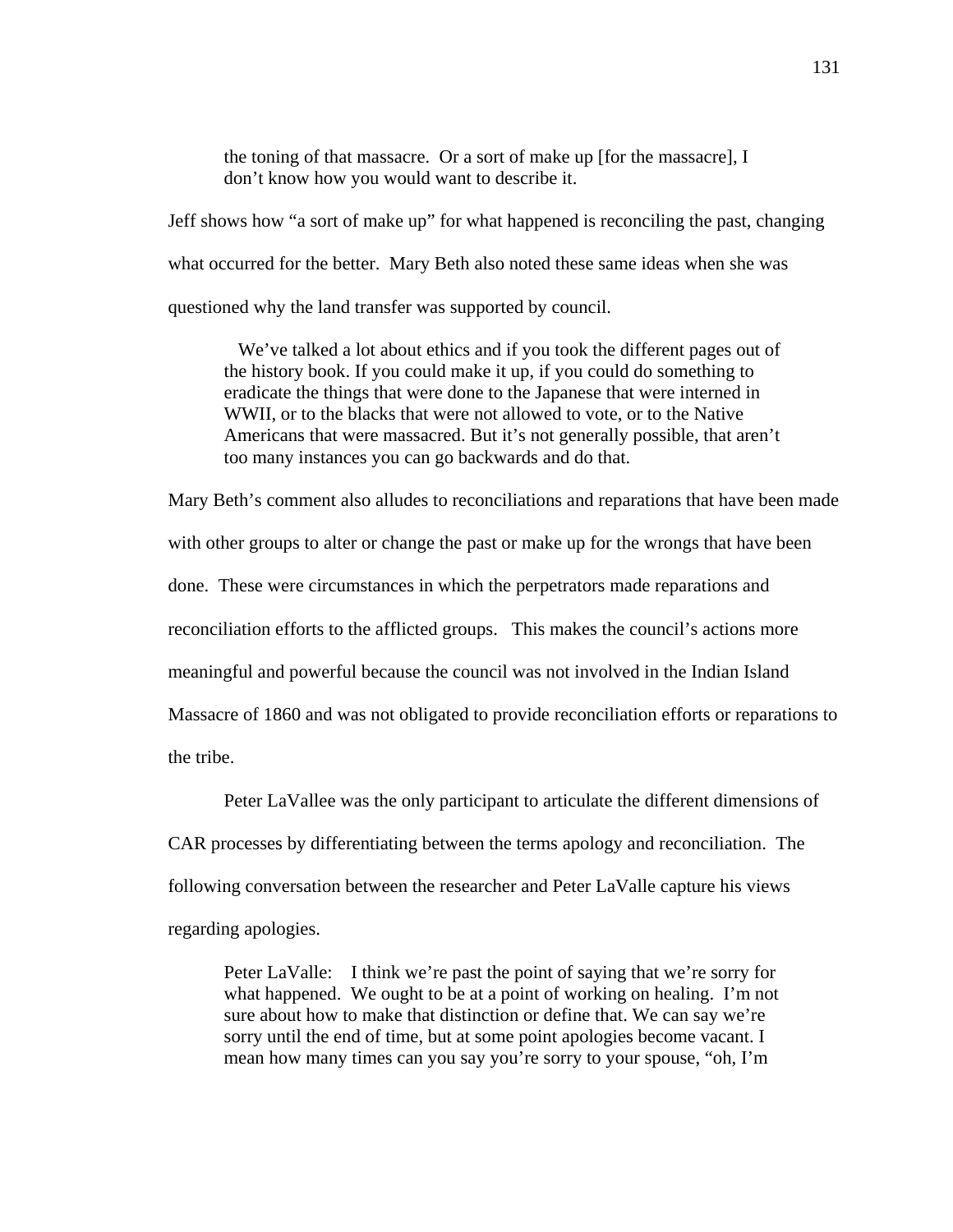the toning of that massacre. Or a sort of make up [for the massacre], I don't know how you would want to describe it.

Jeff shows how "a sort of make up" for what happened is reconciling the past, changing what occurred for the better. Mary Beth also noted these same ideas when she was questioned why the land transfer was supported by council.

 We've talked a lot about ethics and if you took the different pages out of the history book. If you could make it up, if you could do something to eradicate the things that were done to the Japanese that were interned in WWII, or to the blacks that were not allowed to vote, or to the Native Americans that were massacred. But it's not generally possible, that aren't too many instances you can go backwards and do that.

Mary Beth's comment also alludes to reconciliations and reparations that have been made with other groups to alter or change the past or make up for the wrongs that have been done. These were circumstances in which the perpetrators made reparations and reconciliation efforts to the afflicted groups. This makes the council's actions more meaningful and powerful because the council was not involved in the Indian Island Massacre of 1860 and was not obligated to provide reconciliation efforts or reparations to the tribe.

Peter LaVallee was the only participant to articulate the different dimensions of

CAR processes by differentiating between the terms apology and reconciliation. The

following conversation between the researcher and Peter LaValle capture his views

regarding apologies.

Peter LaValle: I think we're past the point of saying that we're sorry for what happened. We ought to be at a point of working on healing. I'm not sure about how to make that distinction or define that. We can say we're sorry until the end of time, but at some point apologies become vacant. I mean how many times can you say you're sorry to your spouse, "oh, I'm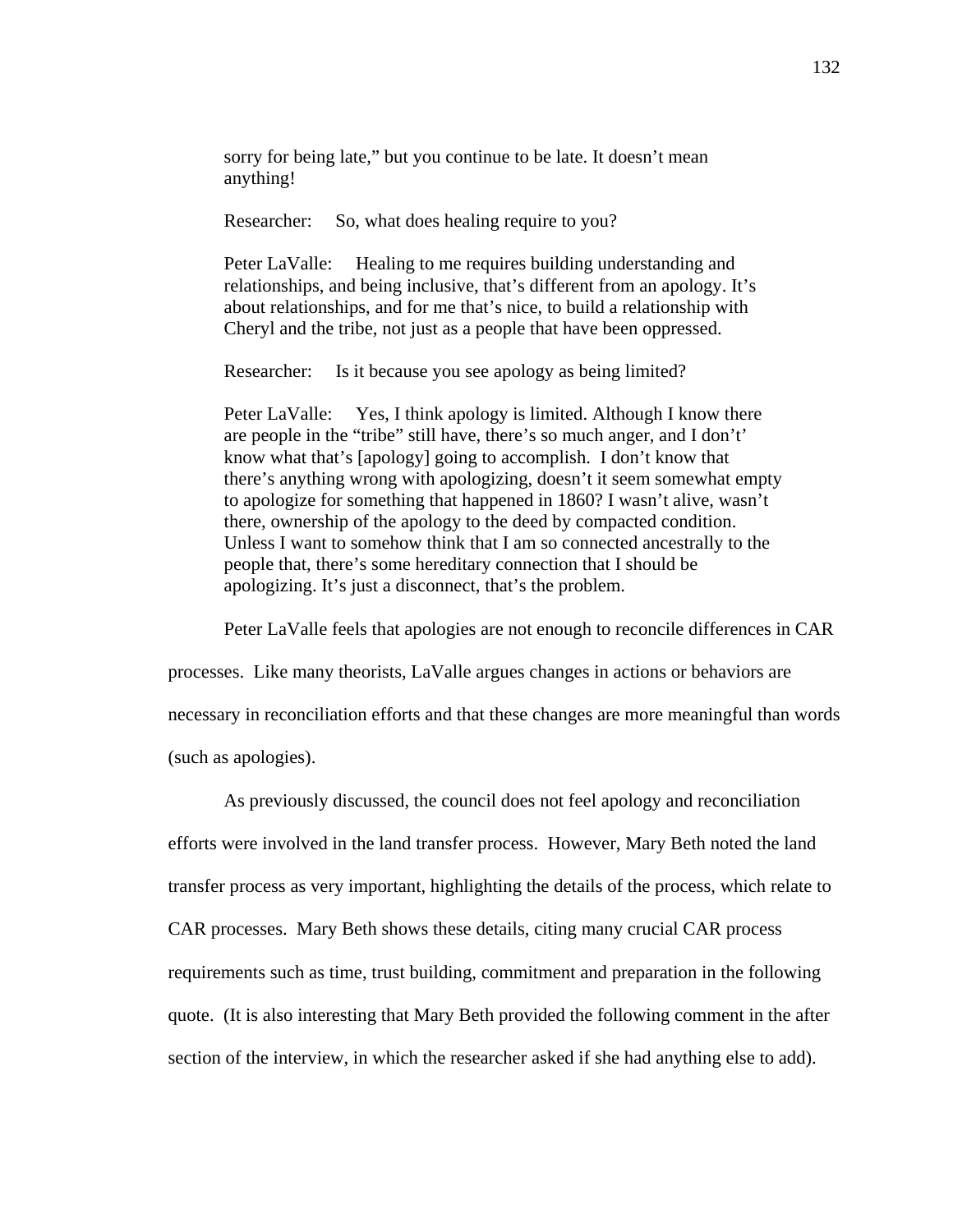sorry for being late," but you continue to be late. It doesn't mean anything!

Researcher: So, what does healing require to you?

Peter LaValle: Healing to me requires building understanding and relationships, and being inclusive, that's different from an apology. It's about relationships, and for me that's nice, to build a relationship with Cheryl and the tribe, not just as a people that have been oppressed.

Researcher: Is it because you see apology as being limited?

Peter LaValle:Yes, I think apology is limited. Although I know there are people in the "tribe" still have, there's so much anger, and I don't' know what that's [apology] going to accomplish. I don't know that there's anything wrong with apologizing, doesn't it seem somewhat empty to apologize for something that happened in 1860? I wasn't alive, wasn't there, ownership of the apology to the deed by compacted condition. Unless I want to somehow think that I am so connected ancestrally to the people that, there's some hereditary connection that I should be apologizing. It's just a disconnect, that's the problem.

Peter LaValle feels that apologies are not enough to reconcile differences in CAR

processes. Like many theorists, LaValle argues changes in actions or behaviors are

necessary in reconciliation efforts and that these changes are more meaningful than words

(such as apologies).

As previously discussed, the council does not feel apology and reconciliation efforts were involved in the land transfer process. However, Mary Beth noted the land transfer process as very important, highlighting the details of the process, which relate to CAR processes. Mary Beth shows these details, citing many crucial CAR process requirements such as time, trust building, commitment and preparation in the following quote. (It is also interesting that Mary Beth provided the following comment in the after section of the interview, in which the researcher asked if she had anything else to add).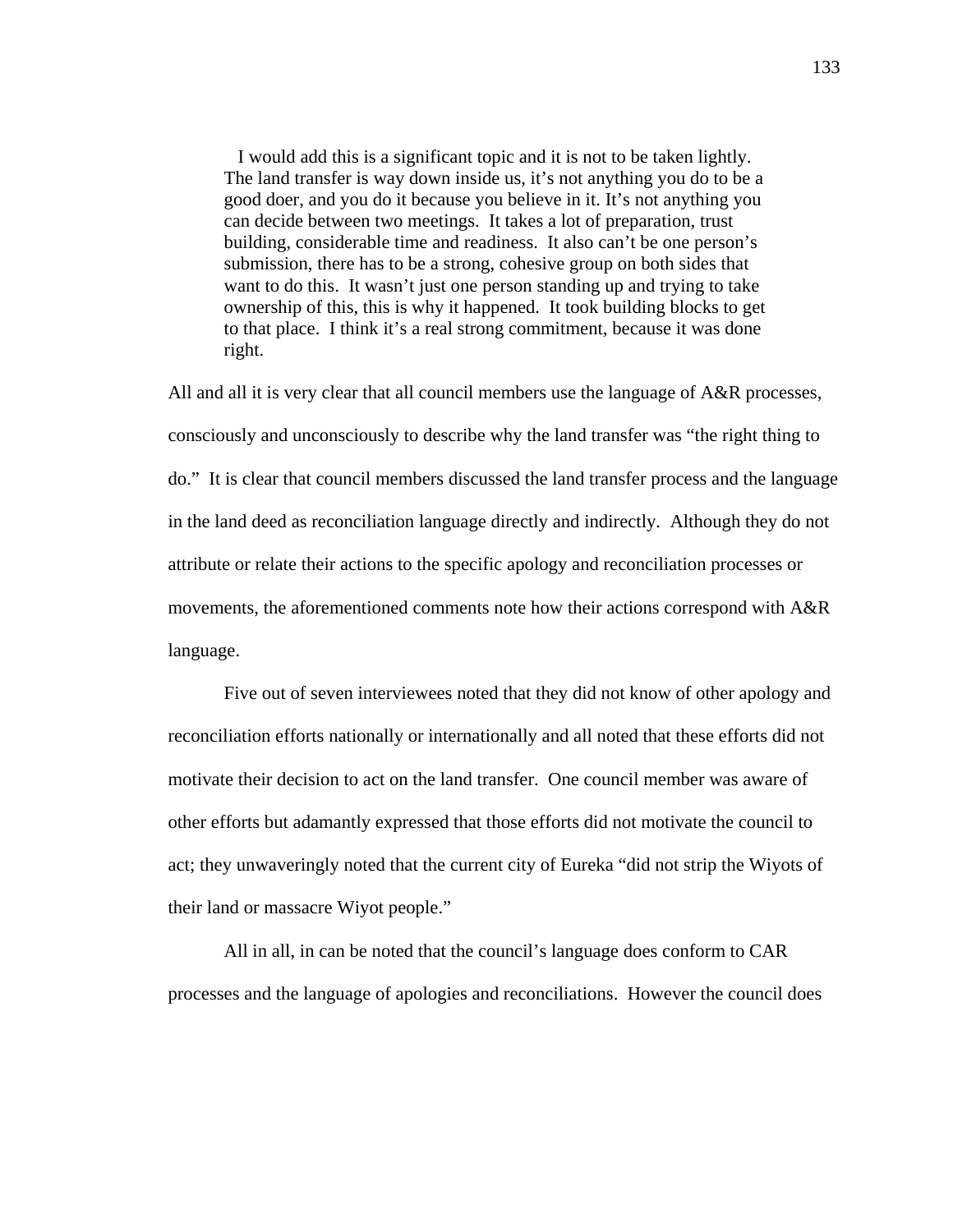I would add this is a significant topic and it is not to be taken lightly. The land transfer is way down inside us, it's not anything you do to be a good doer, and you do it because you believe in it. It's not anything you can decide between two meetings. It takes a lot of preparation, trust building, considerable time and readiness. It also can't be one person's submission, there has to be a strong, cohesive group on both sides that want to do this. It wasn't just one person standing up and trying to take ownership of this, this is why it happened. It took building blocks to get to that place. I think it's a real strong commitment, because it was done right.

All and all it is very clear that all council members use the language of A&R processes, consciously and unconsciously to describe why the land transfer was "the right thing to do." It is clear that council members discussed the land transfer process and the language in the land deed as reconciliation language directly and indirectly. Although they do not attribute or relate their actions to the specific apology and reconciliation processes or movements, the aforementioned comments note how their actions correspond with A&R language.

Five out of seven interviewees noted that they did not know of other apology and reconciliation efforts nationally or internationally and all noted that these efforts did not motivate their decision to act on the land transfer. One council member was aware of other efforts but adamantly expressed that those efforts did not motivate the council to act; they unwaveringly noted that the current city of Eureka "did not strip the Wiyots of their land or massacre Wiyot people."

All in all, in can be noted that the council's language does conform to CAR processes and the language of apologies and reconciliations. However the council does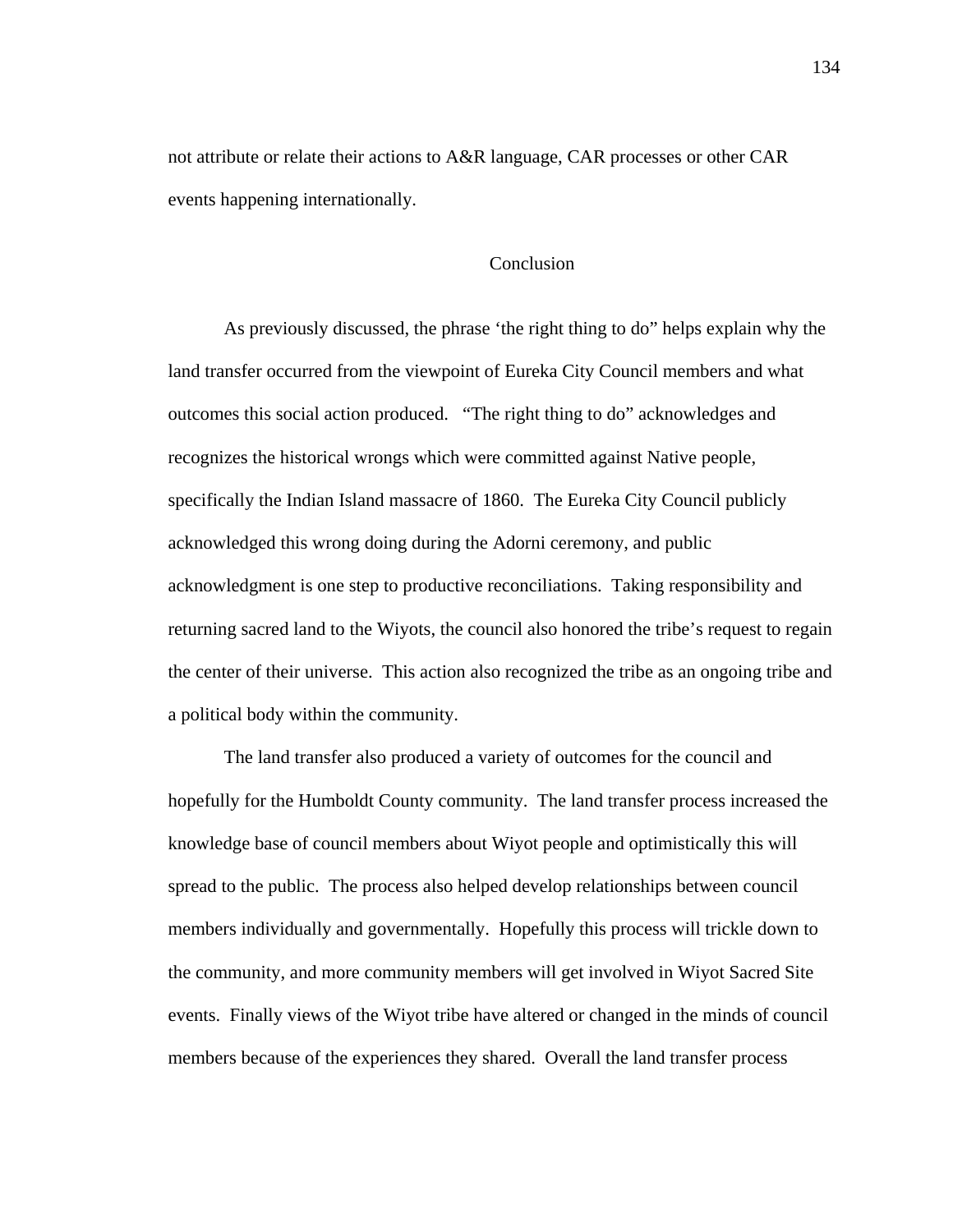not attribute or relate their actions to A&R language, CAR processes or other CAR events happening internationally.

### Conclusion

 As previously discussed, the phrase 'the right thing to do" helps explain why the land transfer occurred from the viewpoint of Eureka City Council members and what outcomes this social action produced. "The right thing to do" acknowledges and recognizes the historical wrongs which were committed against Native people, specifically the Indian Island massacre of 1860. The Eureka City Council publicly acknowledged this wrong doing during the Adorni ceremony, and public acknowledgment is one step to productive reconciliations. Taking responsibility and returning sacred land to the Wiyots, the council also honored the tribe's request to regain the center of their universe. This action also recognized the tribe as an ongoing tribe and a political body within the community.

The land transfer also produced a variety of outcomes for the council and hopefully for the Humboldt County community. The land transfer process increased the knowledge base of council members about Wiyot people and optimistically this will spread to the public. The process also helped develop relationships between council members individually and governmentally. Hopefully this process will trickle down to the community, and more community members will get involved in Wiyot Sacred Site events. Finally views of the Wiyot tribe have altered or changed in the minds of council members because of the experiences they shared. Overall the land transfer process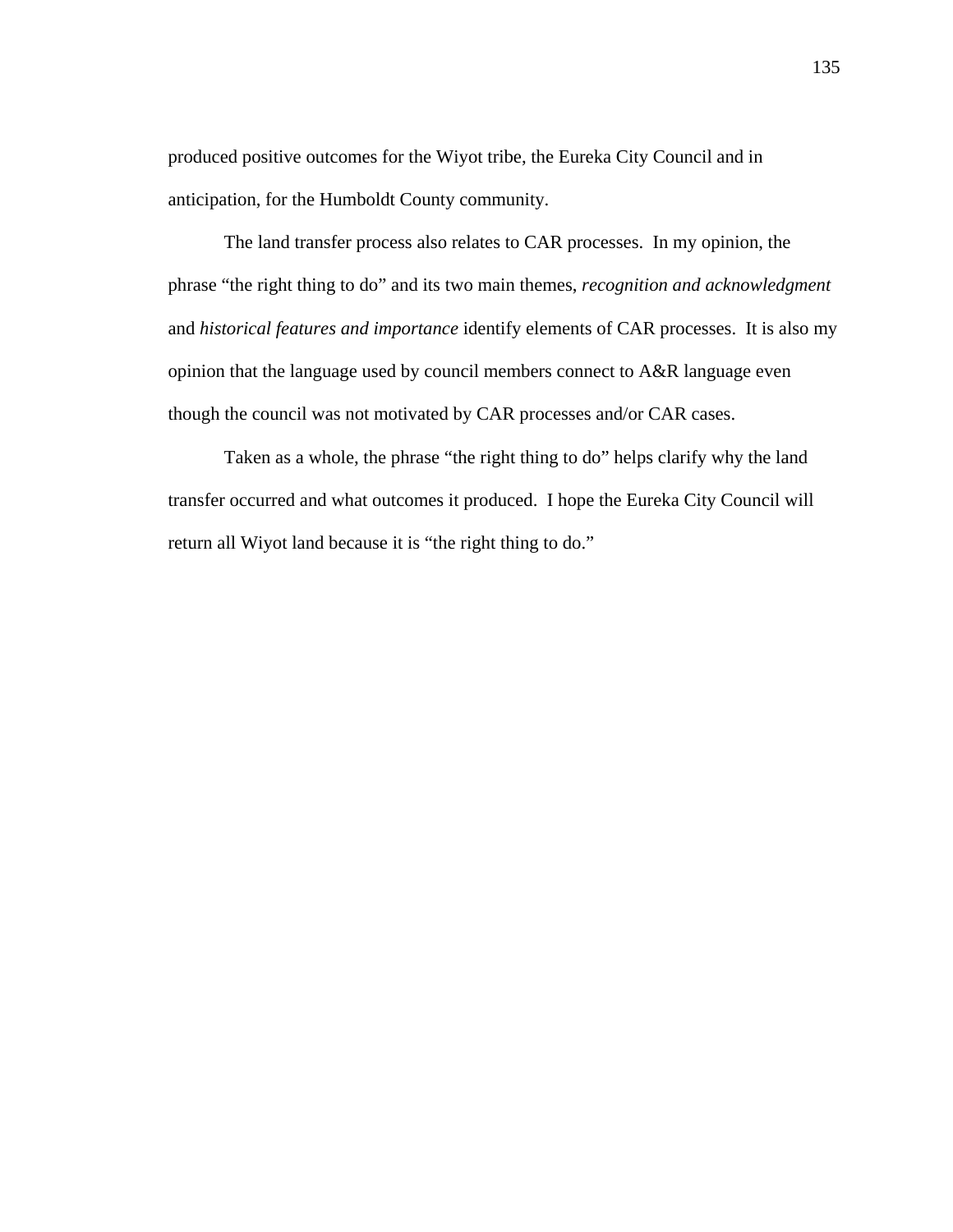produced positive outcomes for the Wiyot tribe, the Eureka City Council and in anticipation, for the Humboldt County community.

The land transfer process also relates to CAR processes. In my opinion, the phrase "the right thing to do" and its two main themes, *recognition and acknowledgment* and *historical features and importance* identify elements of CAR processes. It is also my opinion that the language used by council members connect to A&R language even though the council was not motivated by CAR processes and/or CAR cases.

Taken as a whole, the phrase "the right thing to do" helps clarify why the land transfer occurred and what outcomes it produced. I hope the Eureka City Council will return all Wiyot land because it is "the right thing to do."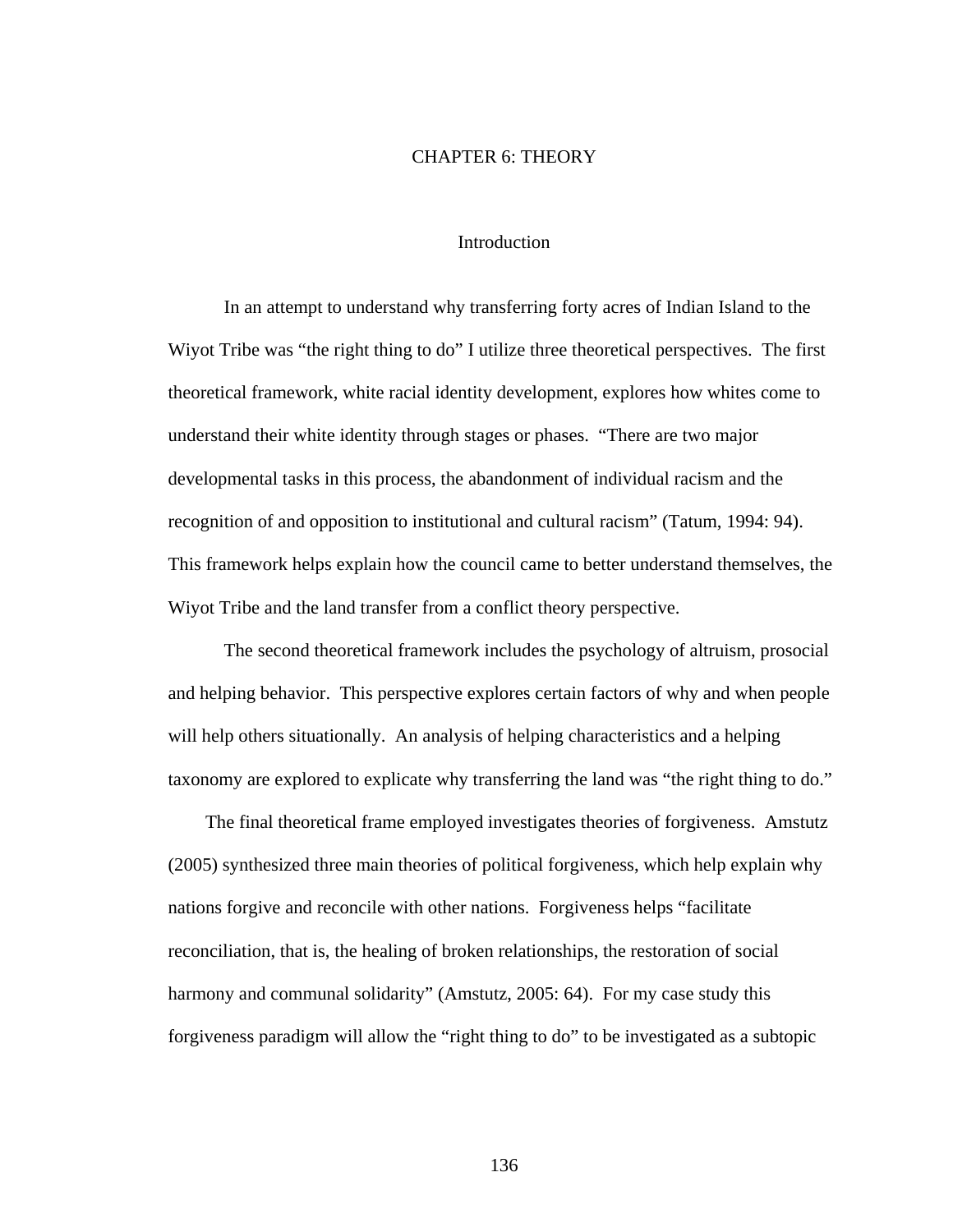#### CHAPTER 6: THEORY

## **Introduction**

In an attempt to understand why transferring forty acres of Indian Island to the Wiyot Tribe was "the right thing to do" I utilize three theoretical perspectives. The first theoretical framework, white racial identity development, explores how whites come to understand their white identity through stages or phases. "There are two major developmental tasks in this process, the abandonment of individual racism and the recognition of and opposition to institutional and cultural racism" (Tatum, 1994: 94). This framework helps explain how the council came to better understand themselves, the Wiyot Tribe and the land transfer from a conflict theory perspective.

The second theoretical framework includes the psychology of altruism, prosocial and helping behavior. This perspective explores certain factors of why and when people will help others situationally. An analysis of helping characteristics and a helping taxonomy are explored to explicate why transferring the land was "the right thing to do."

 The final theoretical frame employed investigates theories of forgiveness. Amstutz (2005) synthesized three main theories of political forgiveness, which help explain why nations forgive and reconcile with other nations. Forgiveness helps "facilitate reconciliation, that is, the healing of broken relationships, the restoration of social harmony and communal solidarity" (Amstutz, 2005: 64). For my case study this forgiveness paradigm will allow the "right thing to do" to be investigated as a subtopic

136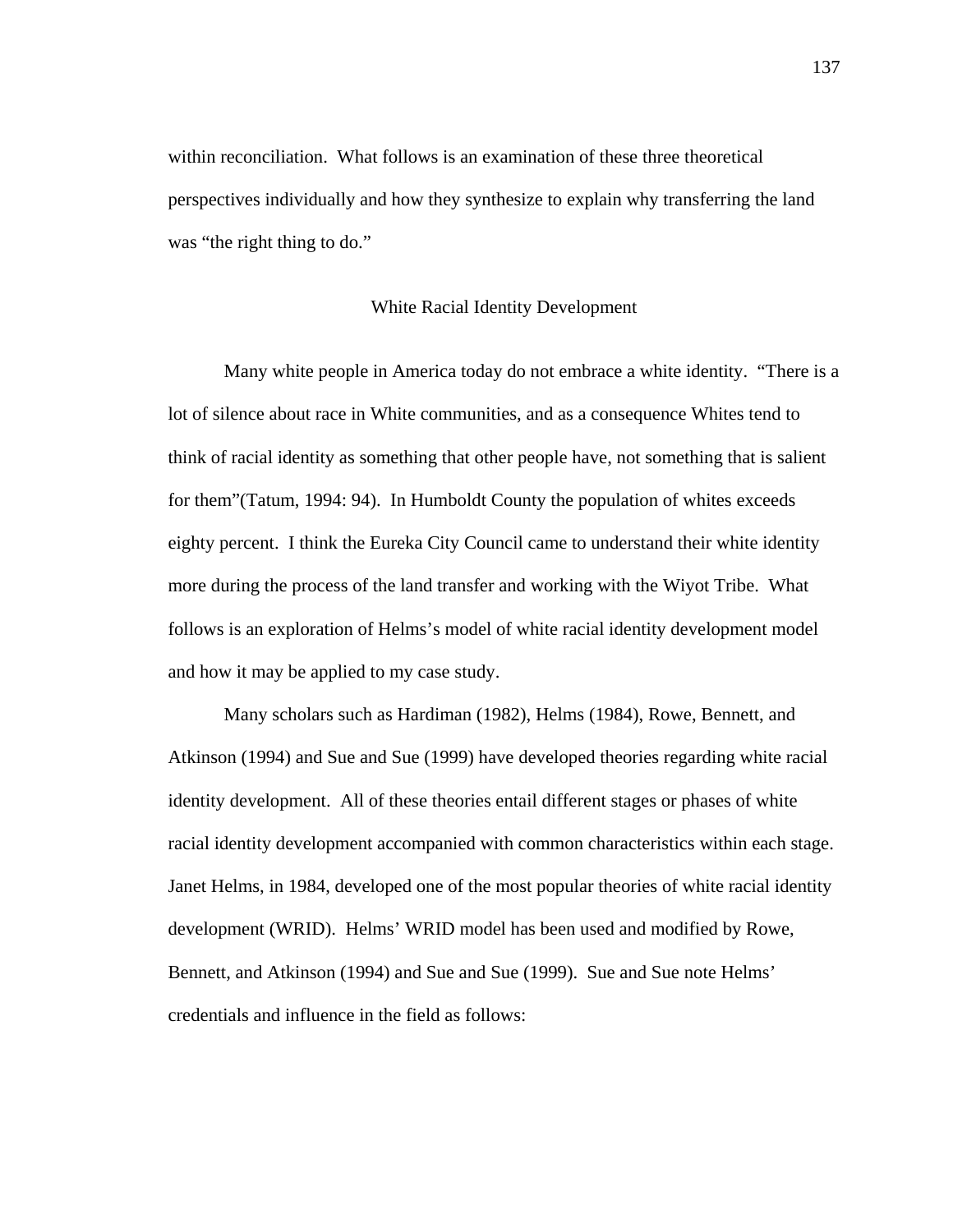within reconciliation. What follows is an examination of these three theoretical perspectives individually and how they synthesize to explain why transferring the land was "the right thing to do."

#### White Racial Identity Development

 Many white people in America today do not embrace a white identity. "There is a lot of silence about race in White communities, and as a consequence Whites tend to think of racial identity as something that other people have, not something that is salient for them"(Tatum, 1994: 94). In Humboldt County the population of whites exceeds eighty percent. I think the Eureka City Council came to understand their white identity more during the process of the land transfer and working with the Wiyot Tribe. What follows is an exploration of Helms's model of white racial identity development model and how it may be applied to my case study.

 Many scholars such as Hardiman (1982), Helms (1984), Rowe, Bennett, and Atkinson (1994) and Sue and Sue (1999) have developed theories regarding white racial identity development. All of these theories entail different stages or phases of white racial identity development accompanied with common characteristics within each stage. Janet Helms, in 1984, developed one of the most popular theories of white racial identity development (WRID). Helms' WRID model has been used and modified by Rowe, Bennett, and Atkinson (1994) and Sue and Sue (1999). Sue and Sue note Helms' credentials and influence in the field as follows: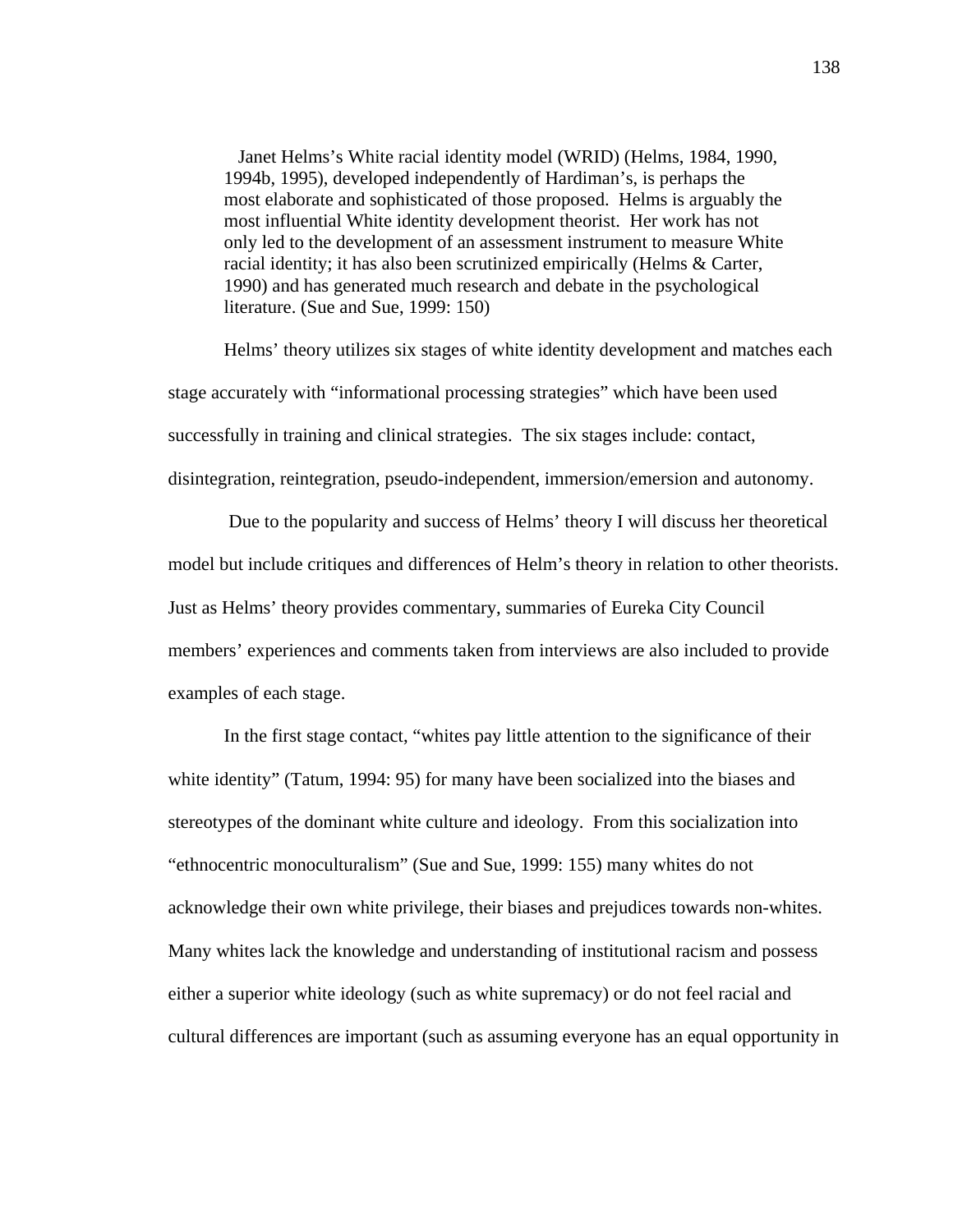Janet Helms's White racial identity model (WRID) (Helms, 1984, 1990, 1994b, 1995), developed independently of Hardiman's, is perhaps the most elaborate and sophisticated of those proposed. Helms is arguably the most influential White identity development theorist. Her work has not only led to the development of an assessment instrument to measure White racial identity; it has also been scrutinized empirically (Helms & Carter, 1990) and has generated much research and debate in the psychological literature. (Sue and Sue, 1999: 150)

Helms' theory utilizes six stages of white identity development and matches each stage accurately with "informational processing strategies" which have been used successfully in training and clinical strategies. The six stages include: contact, disintegration, reintegration, pseudo-independent, immersion/emersion and autonomy.

 Due to the popularity and success of Helms' theory I will discuss her theoretical model but include critiques and differences of Helm's theory in relation to other theorists. Just as Helms' theory provides commentary, summaries of Eureka City Council members' experiences and comments taken from interviews are also included to provide examples of each stage.

 In the first stage contact, "whites pay little attention to the significance of their white identity" (Tatum, 1994: 95) for many have been socialized into the biases and stereotypes of the dominant white culture and ideology. From this socialization into "ethnocentric monoculturalism" (Sue and Sue, 1999: 155) many whites do not acknowledge their own white privilege, their biases and prejudices towards non-whites. Many whites lack the knowledge and understanding of institutional racism and possess either a superior white ideology (such as white supremacy) or do not feel racial and cultural differences are important (such as assuming everyone has an equal opportunity in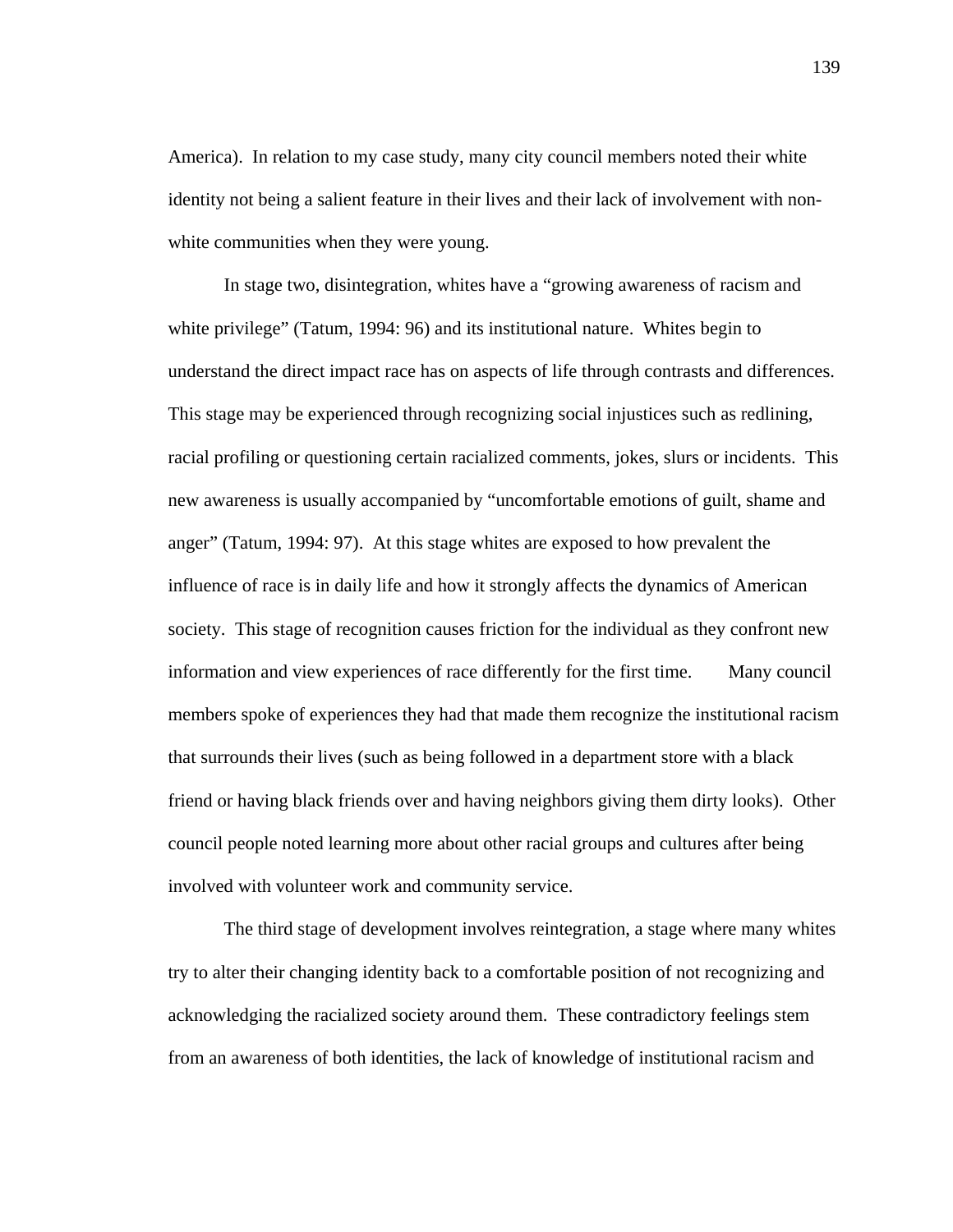America). In relation to my case study, many city council members noted their white identity not being a salient feature in their lives and their lack of involvement with nonwhite communities when they were young.

In stage two, disintegration, whites have a "growing awareness of racism and white privilege" (Tatum, 1994: 96) and its institutional nature. Whites begin to understand the direct impact race has on aspects of life through contrasts and differences. This stage may be experienced through recognizing social injustices such as redlining, racial profiling or questioning certain racialized comments, jokes, slurs or incidents. This new awareness is usually accompanied by "uncomfortable emotions of guilt, shame and anger" (Tatum, 1994: 97). At this stage whites are exposed to how prevalent the influence of race is in daily life and how it strongly affects the dynamics of American society. This stage of recognition causes friction for the individual as they confront new information and view experiences of race differently for the first time. Many council members spoke of experiences they had that made them recognize the institutional racism that surrounds their lives (such as being followed in a department store with a black friend or having black friends over and having neighbors giving them dirty looks). Other council people noted learning more about other racial groups and cultures after being involved with volunteer work and community service.

 The third stage of development involves reintegration, a stage where many whites try to alter their changing identity back to a comfortable position of not recognizing and acknowledging the racialized society around them. These contradictory feelings stem from an awareness of both identities, the lack of knowledge of institutional racism and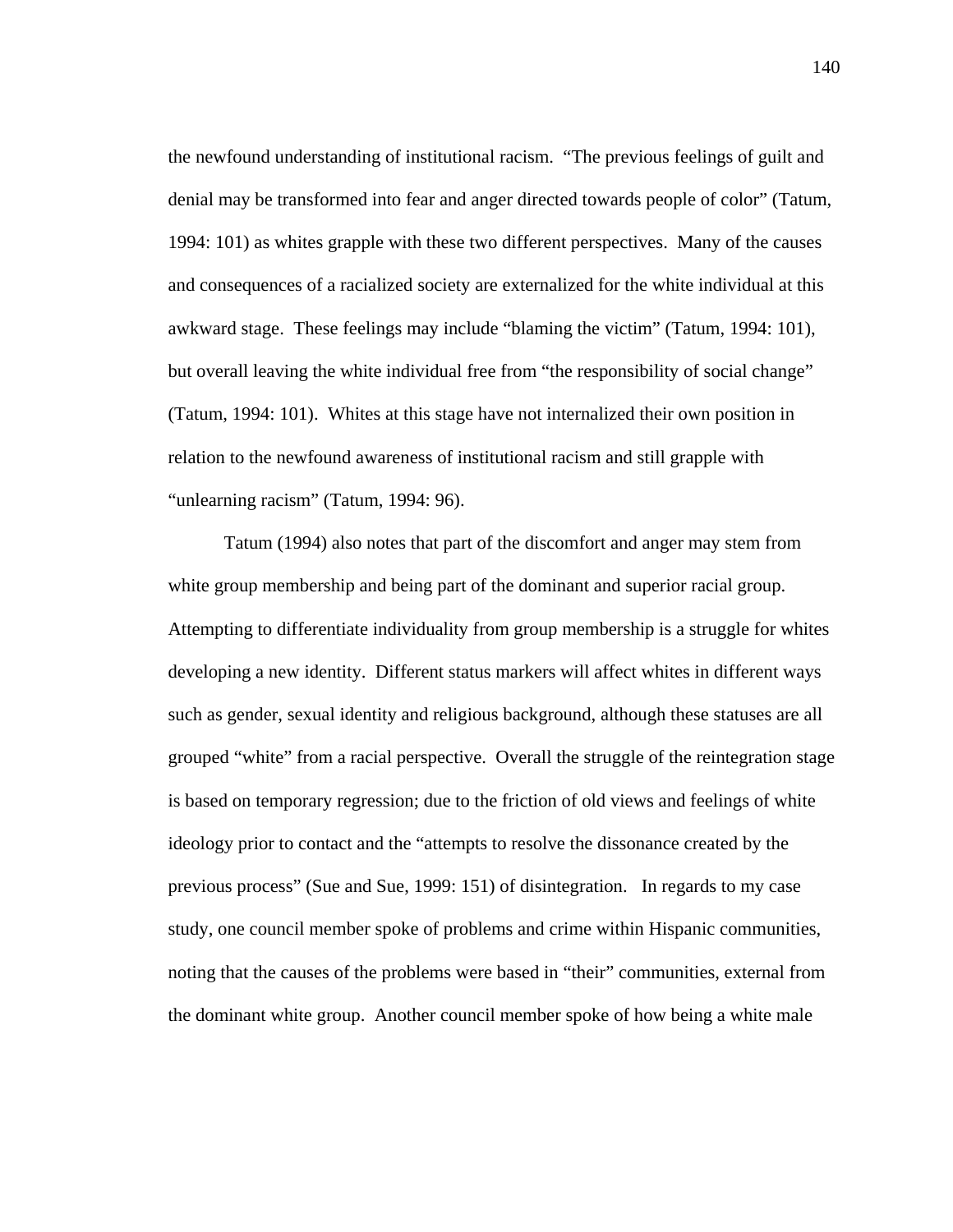the newfound understanding of institutional racism. "The previous feelings of guilt and denial may be transformed into fear and anger directed towards people of color" (Tatum, 1994: 101) as whites grapple with these two different perspectives. Many of the causes and consequences of a racialized society are externalized for the white individual at this awkward stage. These feelings may include "blaming the victim" (Tatum, 1994: 101), but overall leaving the white individual free from "the responsibility of social change" (Tatum, 1994: 101). Whites at this stage have not internalized their own position in relation to the newfound awareness of institutional racism and still grapple with "unlearning racism" (Tatum, 1994: 96).

Tatum (1994) also notes that part of the discomfort and anger may stem from white group membership and being part of the dominant and superior racial group. Attempting to differentiate individuality from group membership is a struggle for whites developing a new identity. Different status markers will affect whites in different ways such as gender, sexual identity and religious background, although these statuses are all grouped "white" from a racial perspective. Overall the struggle of the reintegration stage is based on temporary regression; due to the friction of old views and feelings of white ideology prior to contact and the "attempts to resolve the dissonance created by the previous process" (Sue and Sue, 1999: 151) of disintegration. In regards to my case study, one council member spoke of problems and crime within Hispanic communities, noting that the causes of the problems were based in "their" communities, external from the dominant white group. Another council member spoke of how being a white male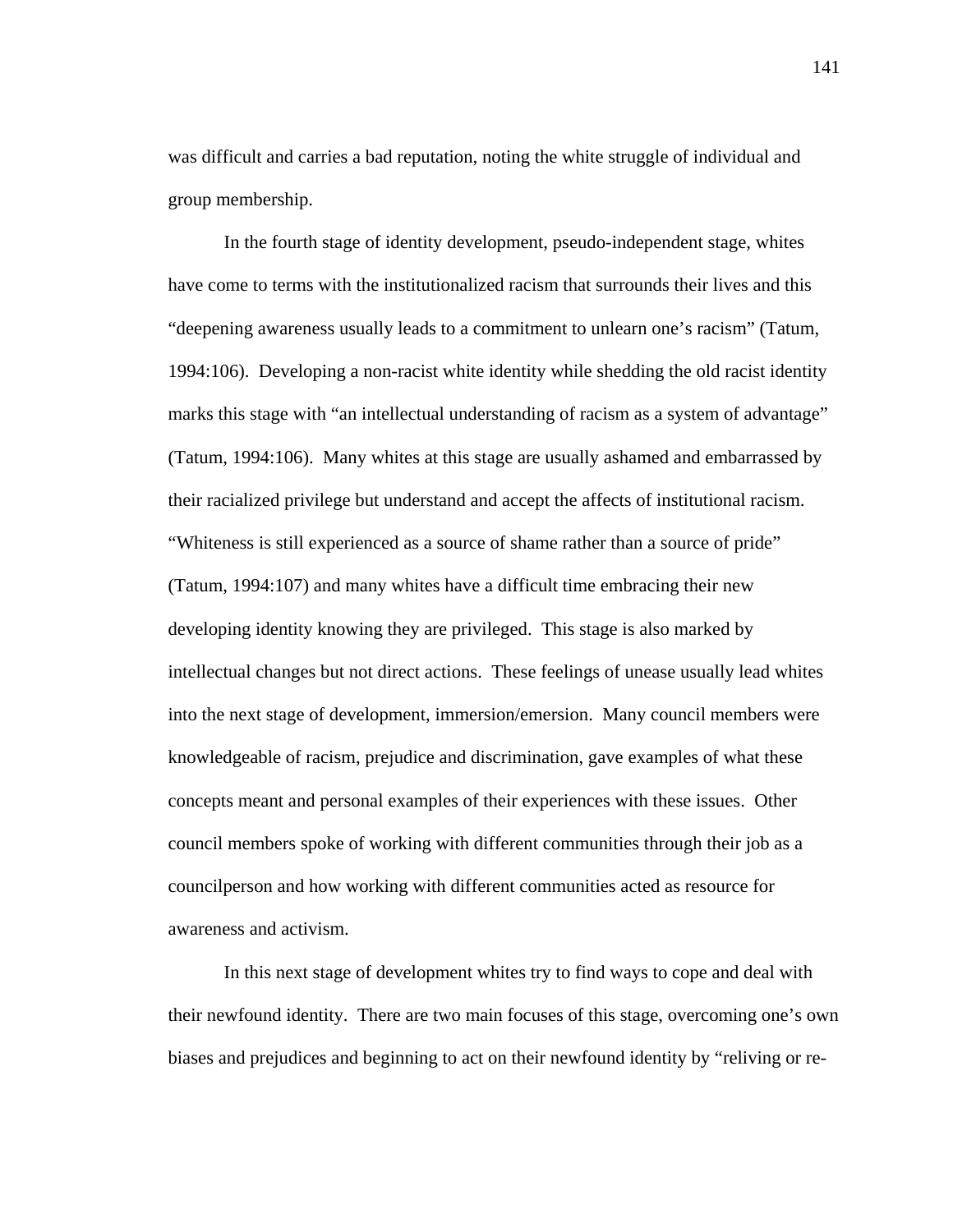was difficult and carries a bad reputation, noting the white struggle of individual and group membership.

 In the fourth stage of identity development, pseudo-independent stage, whites have come to terms with the institutionalized racism that surrounds their lives and this "deepening awareness usually leads to a commitment to unlearn one's racism" (Tatum, 1994:106). Developing a non-racist white identity while shedding the old racist identity marks this stage with "an intellectual understanding of racism as a system of advantage" (Tatum, 1994:106). Many whites at this stage are usually ashamed and embarrassed by their racialized privilege but understand and accept the affects of institutional racism. "Whiteness is still experienced as a source of shame rather than a source of pride" (Tatum, 1994:107) and many whites have a difficult time embracing their new developing identity knowing they are privileged. This stage is also marked by intellectual changes but not direct actions. These feelings of unease usually lead whites into the next stage of development, immersion/emersion. Many council members were knowledgeable of racism, prejudice and discrimination, gave examples of what these concepts meant and personal examples of their experiences with these issues. Other council members spoke of working with different communities through their job as a councilperson and how working with different communities acted as resource for awareness and activism.

 In this next stage of development whites try to find ways to cope and deal with their newfound identity. There are two main focuses of this stage, overcoming one's own biases and prejudices and beginning to act on their newfound identity by "reliving or re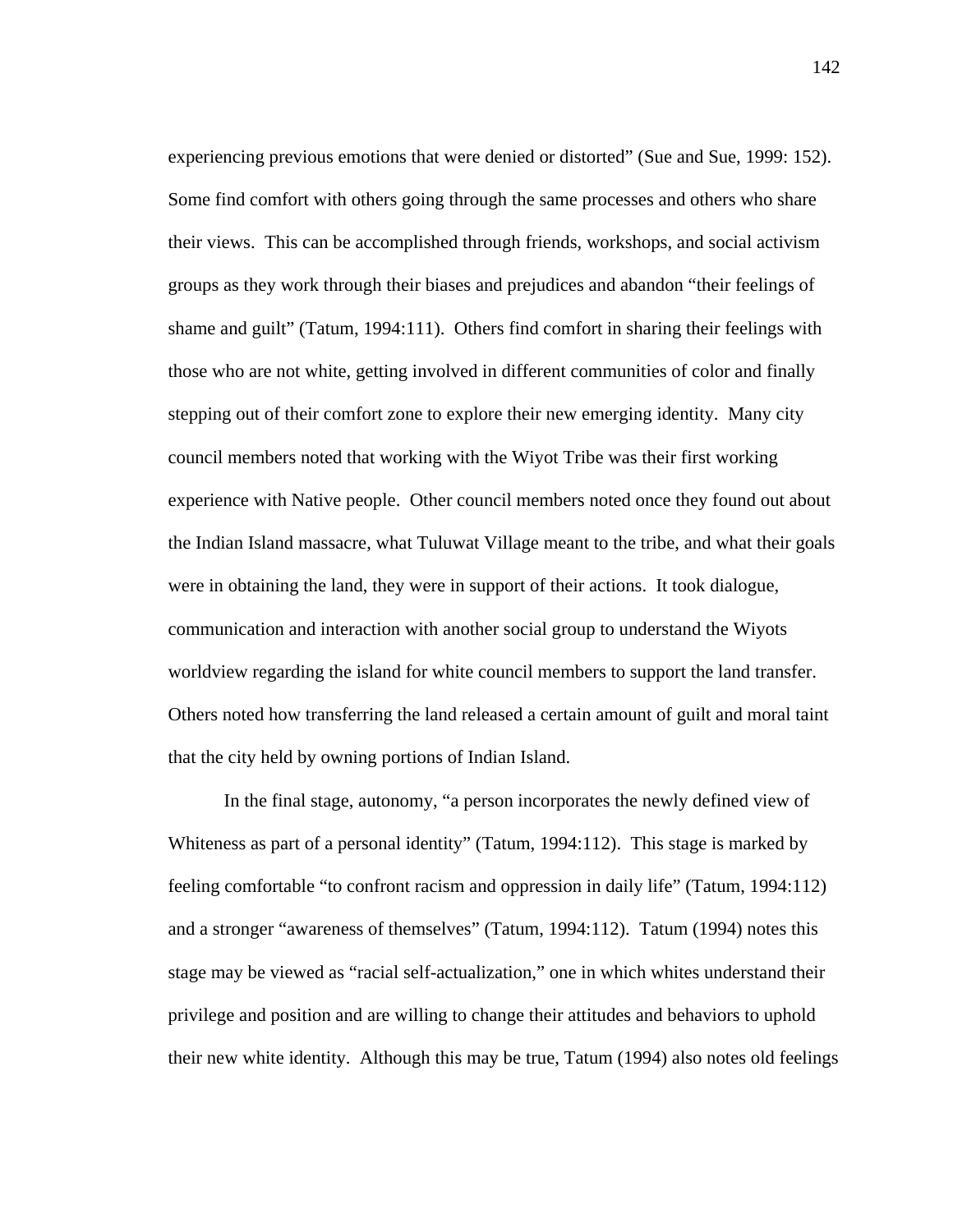experiencing previous emotions that were denied or distorted" (Sue and Sue, 1999: 152). Some find comfort with others going through the same processes and others who share their views. This can be accomplished through friends, workshops, and social activism groups as they work through their biases and prejudices and abandon "their feelings of shame and guilt" (Tatum, 1994:111). Others find comfort in sharing their feelings with those who are not white, getting involved in different communities of color and finally stepping out of their comfort zone to explore their new emerging identity. Many city council members noted that working with the Wiyot Tribe was their first working experience with Native people. Other council members noted once they found out about the Indian Island massacre, what Tuluwat Village meant to the tribe, and what their goals were in obtaining the land, they were in support of their actions. It took dialogue, communication and interaction with another social group to understand the Wiyots worldview regarding the island for white council members to support the land transfer. Others noted how transferring the land released a certain amount of guilt and moral taint that the city held by owning portions of Indian Island.

 In the final stage, autonomy, "a person incorporates the newly defined view of Whiteness as part of a personal identity" (Tatum, 1994:112). This stage is marked by feeling comfortable "to confront racism and oppression in daily life" (Tatum, 1994:112) and a stronger "awareness of themselves" (Tatum, 1994:112). Tatum (1994) notes this stage may be viewed as "racial self-actualization," one in which whites understand their privilege and position and are willing to change their attitudes and behaviors to uphold their new white identity. Although this may be true, Tatum (1994) also notes old feelings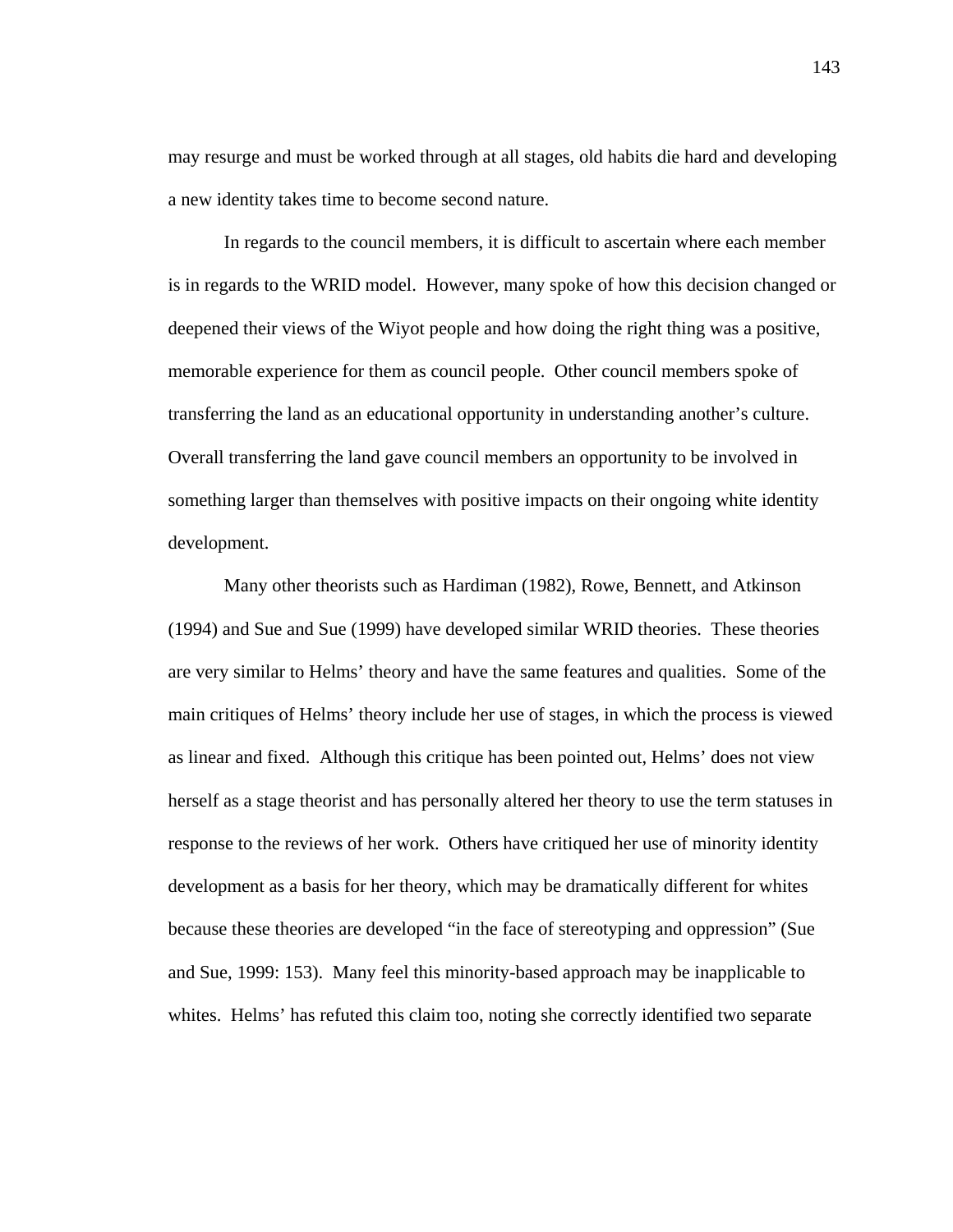may resurge and must be worked through at all stages, old habits die hard and developing a new identity takes time to become second nature.

In regards to the council members, it is difficult to ascertain where each member is in regards to the WRID model. However, many spoke of how this decision changed or deepened their views of the Wiyot people and how doing the right thing was a positive, memorable experience for them as council people. Other council members spoke of transferring the land as an educational opportunity in understanding another's culture. Overall transferring the land gave council members an opportunity to be involved in something larger than themselves with positive impacts on their ongoing white identity development.

 Many other theorists such as Hardiman (1982), Rowe, Bennett, and Atkinson (1994) and Sue and Sue (1999) have developed similar WRID theories. These theories are very similar to Helms' theory and have the same features and qualities. Some of the main critiques of Helms' theory include her use of stages, in which the process is viewed as linear and fixed. Although this critique has been pointed out, Helms' does not view herself as a stage theorist and has personally altered her theory to use the term statuses in response to the reviews of her work. Others have critiqued her use of minority identity development as a basis for her theory, which may be dramatically different for whites because these theories are developed "in the face of stereotyping and oppression" (Sue and Sue, 1999: 153). Many feel this minority-based approach may be inapplicable to whites. Helms' has refuted this claim too, noting she correctly identified two separate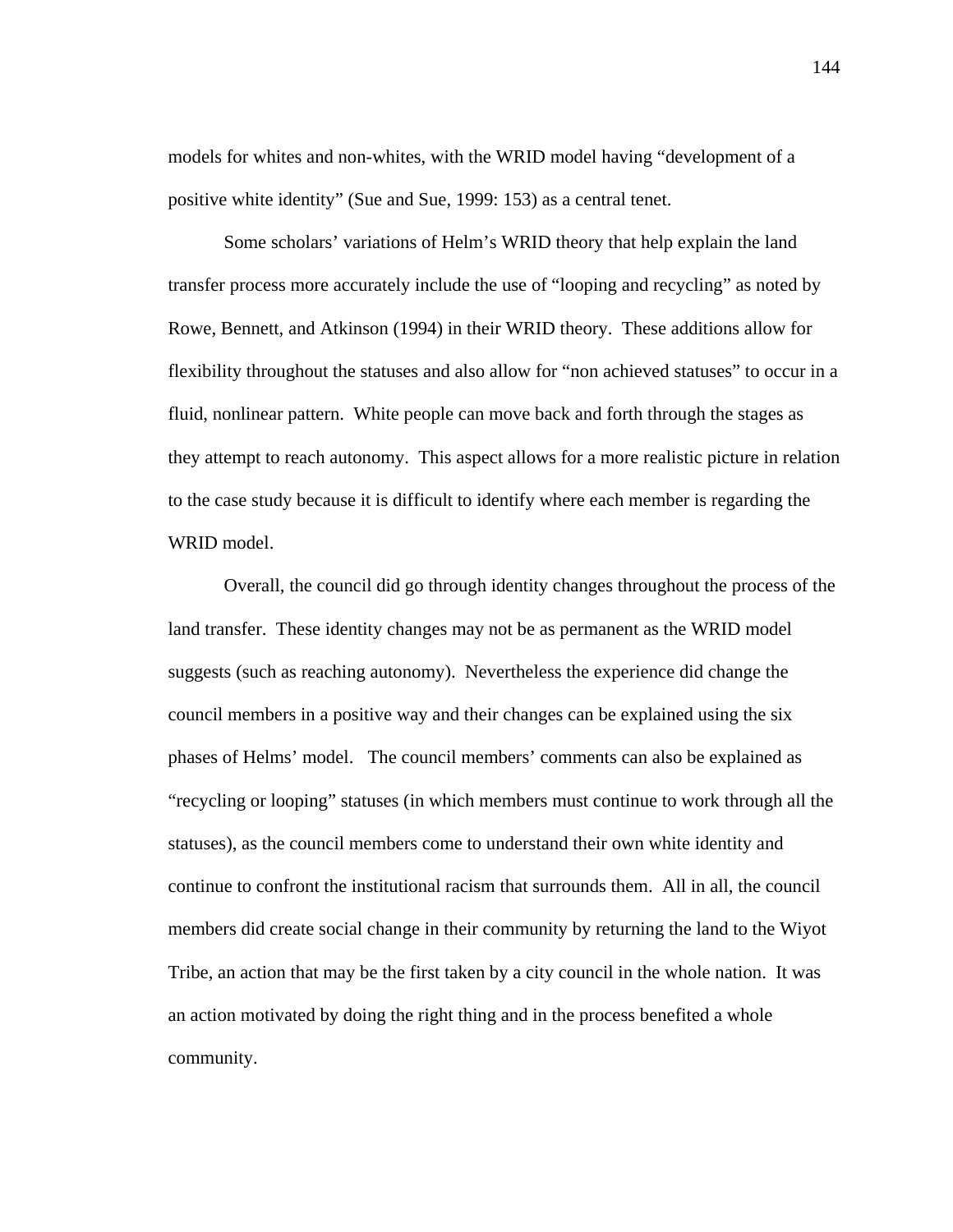models for whites and non-whites, with the WRID model having "development of a positive white identity" (Sue and Sue, 1999: 153) as a central tenet.

 Some scholars' variations of Helm's WRID theory that help explain the land transfer process more accurately include the use of "looping and recycling" as noted by Rowe, Bennett, and Atkinson (1994) in their WRID theory. These additions allow for flexibility throughout the statuses and also allow for "non achieved statuses" to occur in a fluid, nonlinear pattern. White people can move back and forth through the stages as they attempt to reach autonomy. This aspect allows for a more realistic picture in relation to the case study because it is difficult to identify where each member is regarding the WRID model.

 Overall, the council did go through identity changes throughout the process of the land transfer. These identity changes may not be as permanent as the WRID model suggests (such as reaching autonomy). Nevertheless the experience did change the council members in a positive way and their changes can be explained using the six phases of Helms' model. The council members' comments can also be explained as "recycling or looping" statuses (in which members must continue to work through all the statuses), as the council members come to understand their own white identity and continue to confront the institutional racism that surrounds them. All in all, the council members did create social change in their community by returning the land to the Wiyot Tribe, an action that may be the first taken by a city council in the whole nation. It was an action motivated by doing the right thing and in the process benefited a whole community.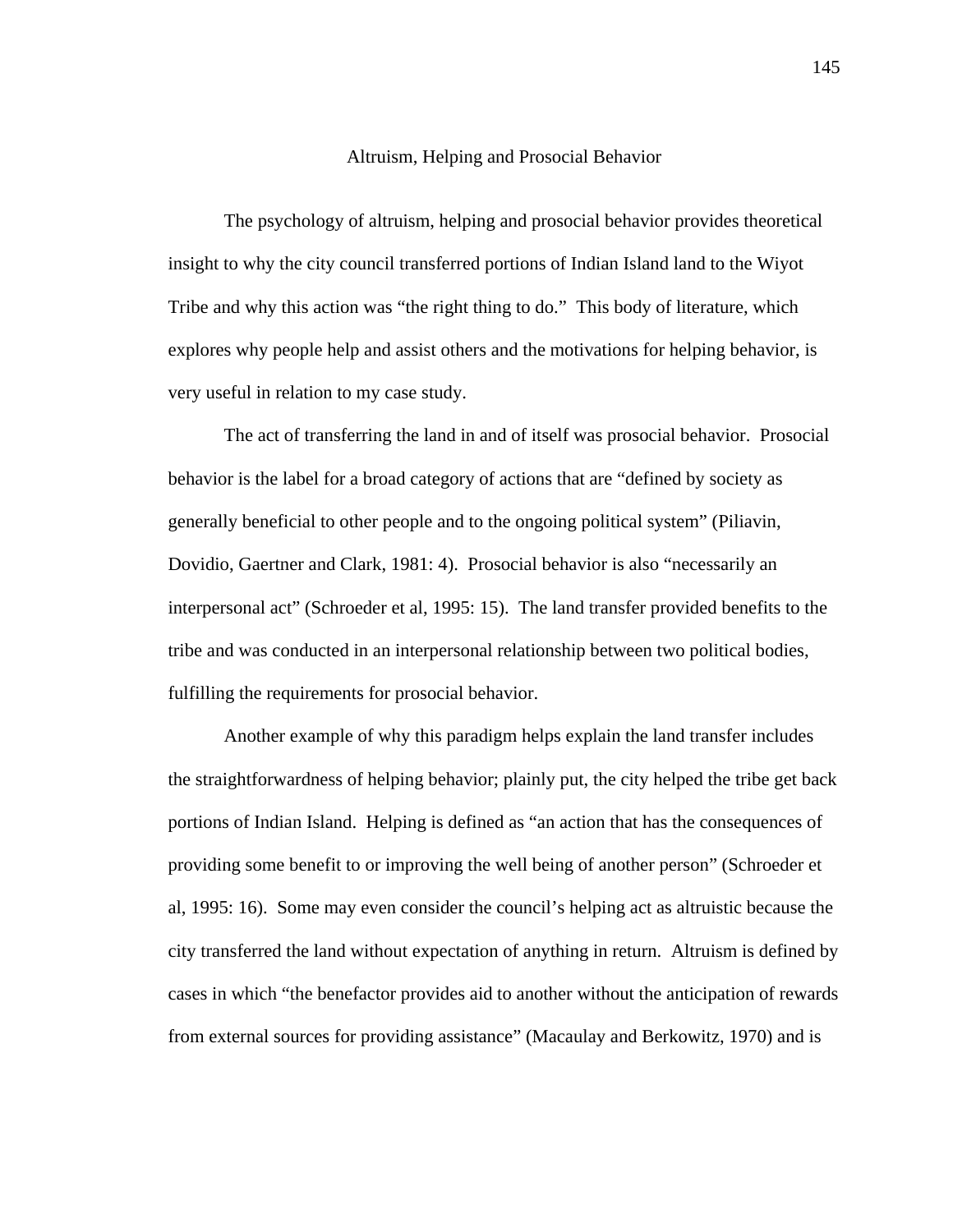#### Altruism, Helping and Prosocial Behavior

 The psychology of altruism, helping and prosocial behavior provides theoretical insight to why the city council transferred portions of Indian Island land to the Wiyot Tribe and why this action was "the right thing to do." This body of literature, which explores why people help and assist others and the motivations for helping behavior, is very useful in relation to my case study.

The act of transferring the land in and of itself was prosocial behavior. Prosocial behavior is the label for a broad category of actions that are "defined by society as generally beneficial to other people and to the ongoing political system" (Piliavin, Dovidio, Gaertner and Clark, 1981: 4). Prosocial behavior is also "necessarily an interpersonal act" (Schroeder et al, 1995: 15). The land transfer provided benefits to the tribe and was conducted in an interpersonal relationship between two political bodies, fulfilling the requirements for prosocial behavior.

Another example of why this paradigm helps explain the land transfer includes the straightforwardness of helping behavior; plainly put, the city helped the tribe get back portions of Indian Island. Helping is defined as "an action that has the consequences of providing some benefit to or improving the well being of another person" (Schroeder et al, 1995: 16). Some may even consider the council's helping act as altruistic because the city transferred the land without expectation of anything in return. Altruism is defined by cases in which "the benefactor provides aid to another without the anticipation of rewards from external sources for providing assistance" (Macaulay and Berkowitz, 1970) and is

145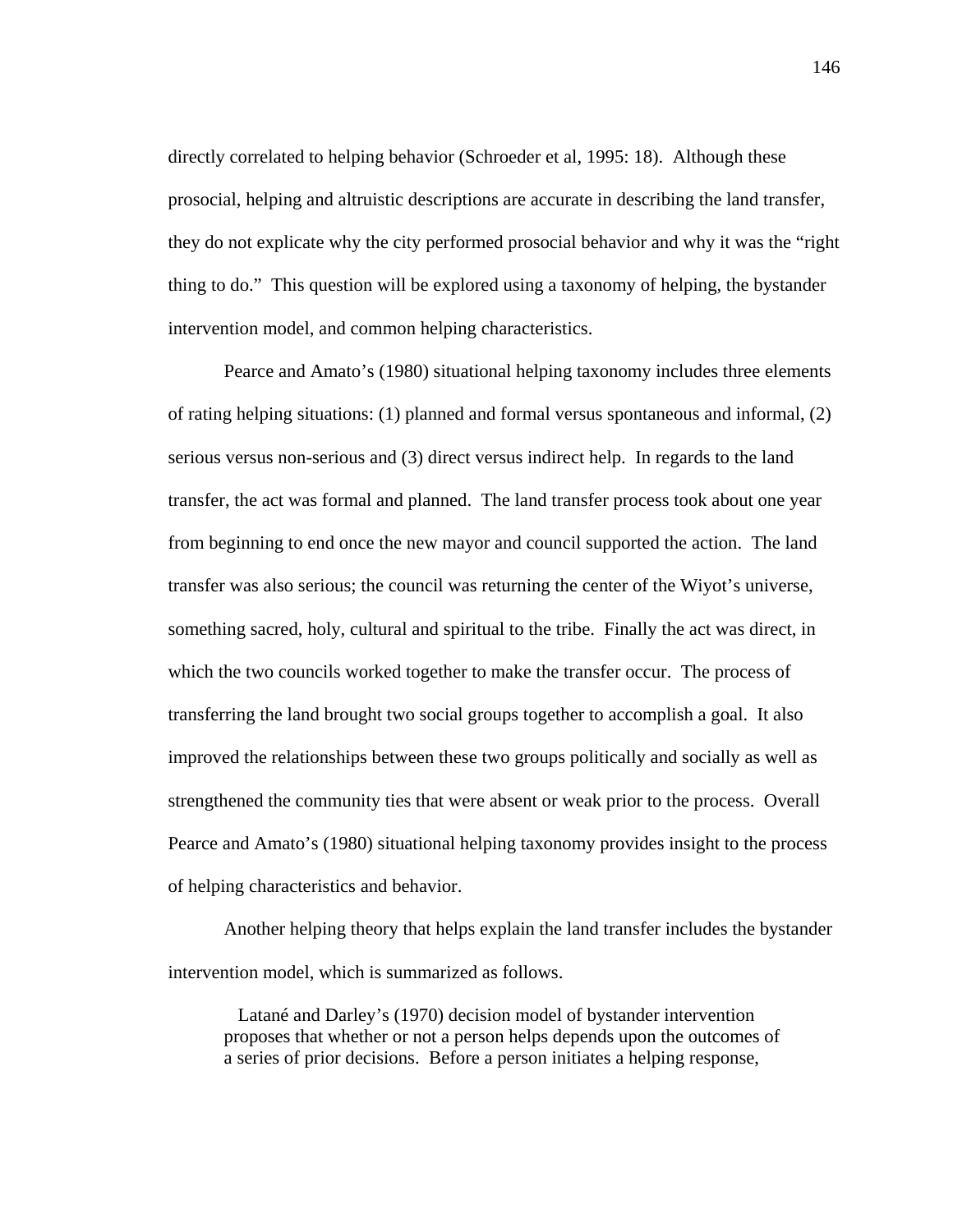directly correlated to helping behavior (Schroeder et al, 1995: 18). Although these prosocial, helping and altruistic descriptions are accurate in describing the land transfer, they do not explicate why the city performed prosocial behavior and why it was the "right thing to do." This question will be explored using a taxonomy of helping, the bystander intervention model, and common helping characteristics.

Pearce and Amato's (1980) situational helping taxonomy includes three elements of rating helping situations: (1) planned and formal versus spontaneous and informal, (2) serious versus non-serious and (3) direct versus indirect help. In regards to the land transfer, the act was formal and planned. The land transfer process took about one year from beginning to end once the new mayor and council supported the action. The land transfer was also serious; the council was returning the center of the Wiyot's universe, something sacred, holy, cultural and spiritual to the tribe. Finally the act was direct, in which the two councils worked together to make the transfer occur. The process of transferring the land brought two social groups together to accomplish a goal. It also improved the relationships between these two groups politically and socially as well as strengthened the community ties that were absent or weak prior to the process. Overall Pearce and Amato's (1980) situational helping taxonomy provides insight to the process of helping characteristics and behavior.

Another helping theory that helps explain the land transfer includes the bystander intervention model, which is summarized as follows.

 Latané and Darley's (1970) decision model of bystander intervention proposes that whether or not a person helps depends upon the outcomes of a series of prior decisions. Before a person initiates a helping response,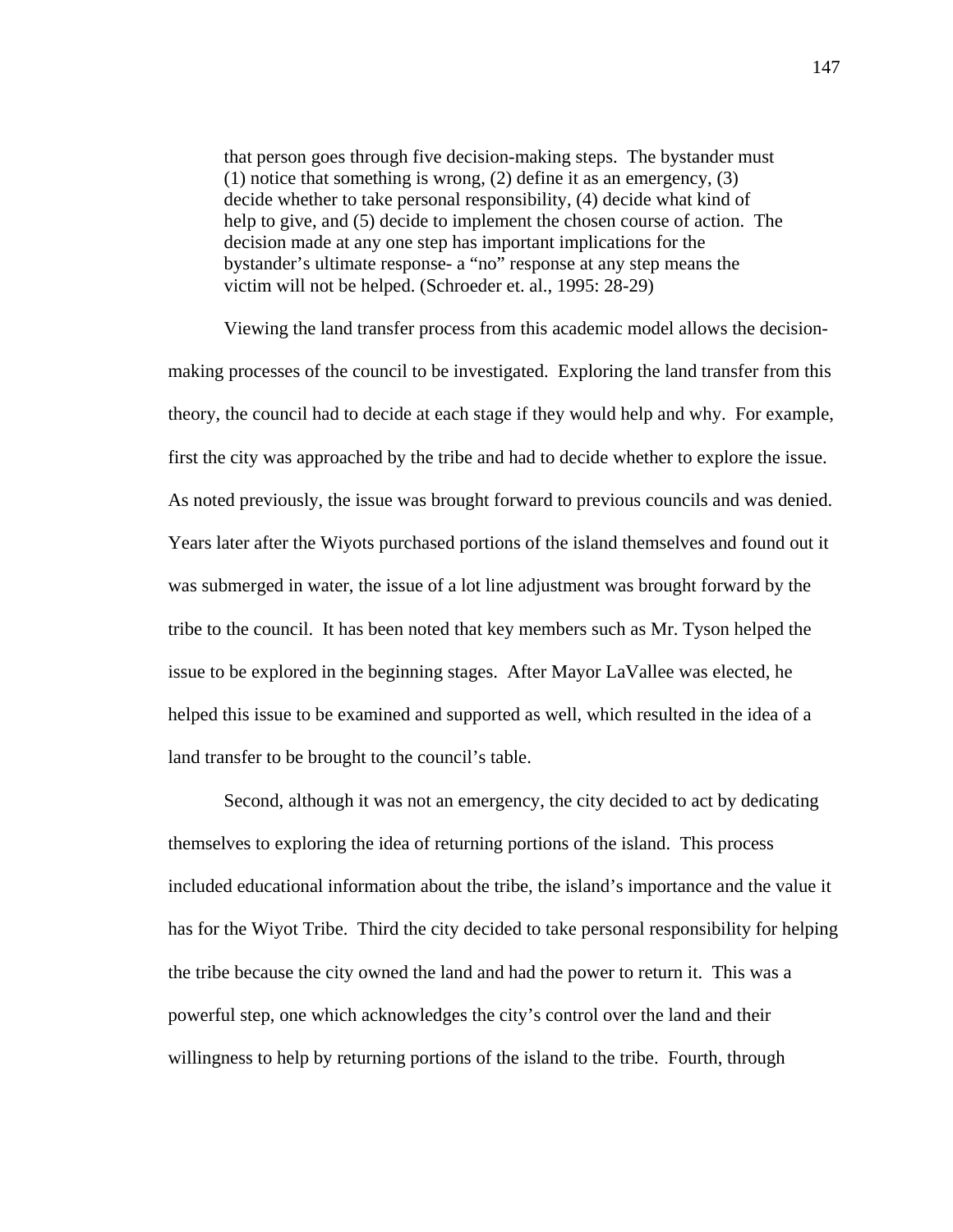that person goes through five decision-making steps. The bystander must (1) notice that something is wrong, (2) define it as an emergency, (3) decide whether to take personal responsibility, (4) decide what kind of help to give, and (5) decide to implement the chosen course of action. The decision made at any one step has important implications for the bystander's ultimate response- a "no" response at any step means the victim will not be helped. (Schroeder et. al., 1995: 28-29)

Viewing the land transfer process from this academic model allows the decisionmaking processes of the council to be investigated. Exploring the land transfer from this theory, the council had to decide at each stage if they would help and why. For example, first the city was approached by the tribe and had to decide whether to explore the issue. As noted previously, the issue was brought forward to previous councils and was denied. Years later after the Wiyots purchased portions of the island themselves and found out it was submerged in water, the issue of a lot line adjustment was brought forward by the tribe to the council. It has been noted that key members such as Mr. Tyson helped the issue to be explored in the beginning stages. After Mayor LaVallee was elected, he helped this issue to be examined and supported as well, which resulted in the idea of a land transfer to be brought to the council's table.

Second, although it was not an emergency, the city decided to act by dedicating themselves to exploring the idea of returning portions of the island. This process included educational information about the tribe, the island's importance and the value it has for the Wiyot Tribe. Third the city decided to take personal responsibility for helping the tribe because the city owned the land and had the power to return it. This was a powerful step, one which acknowledges the city's control over the land and their willingness to help by returning portions of the island to the tribe. Fourth, through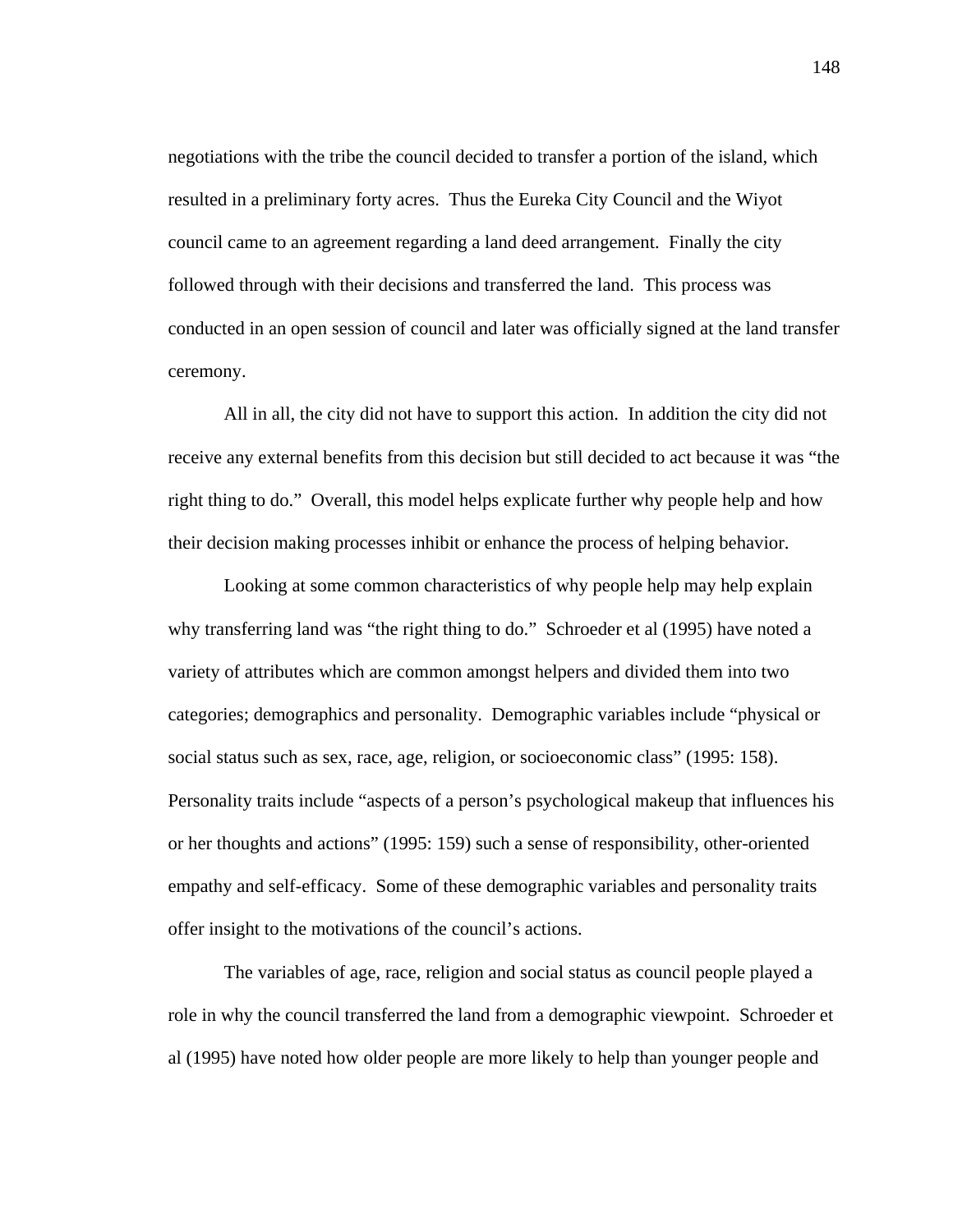negotiations with the tribe the council decided to transfer a portion of the island, which resulted in a preliminary forty acres. Thus the Eureka City Council and the Wiyot council came to an agreement regarding a land deed arrangement. Finally the city followed through with their decisions and transferred the land. This process was conducted in an open session of council and later was officially signed at the land transfer ceremony.

All in all, the city did not have to support this action. In addition the city did not receive any external benefits from this decision but still decided to act because it was "the right thing to do." Overall, this model helps explicate further why people help and how their decision making processes inhibit or enhance the process of helping behavior.

Looking at some common characteristics of why people help may help explain why transferring land was "the right thing to do." Schroeder et al (1995) have noted a variety of attributes which are common amongst helpers and divided them into two categories; demographics and personality. Demographic variables include "physical or social status such as sex, race, age, religion, or socioeconomic class" (1995: 158). Personality traits include "aspects of a person's psychological makeup that influences his or her thoughts and actions" (1995: 159) such a sense of responsibility, other-oriented empathy and self-efficacy. Some of these demographic variables and personality traits offer insight to the motivations of the council's actions.

The variables of age, race, religion and social status as council people played a role in why the council transferred the land from a demographic viewpoint. Schroeder et al (1995) have noted how older people are more likely to help than younger people and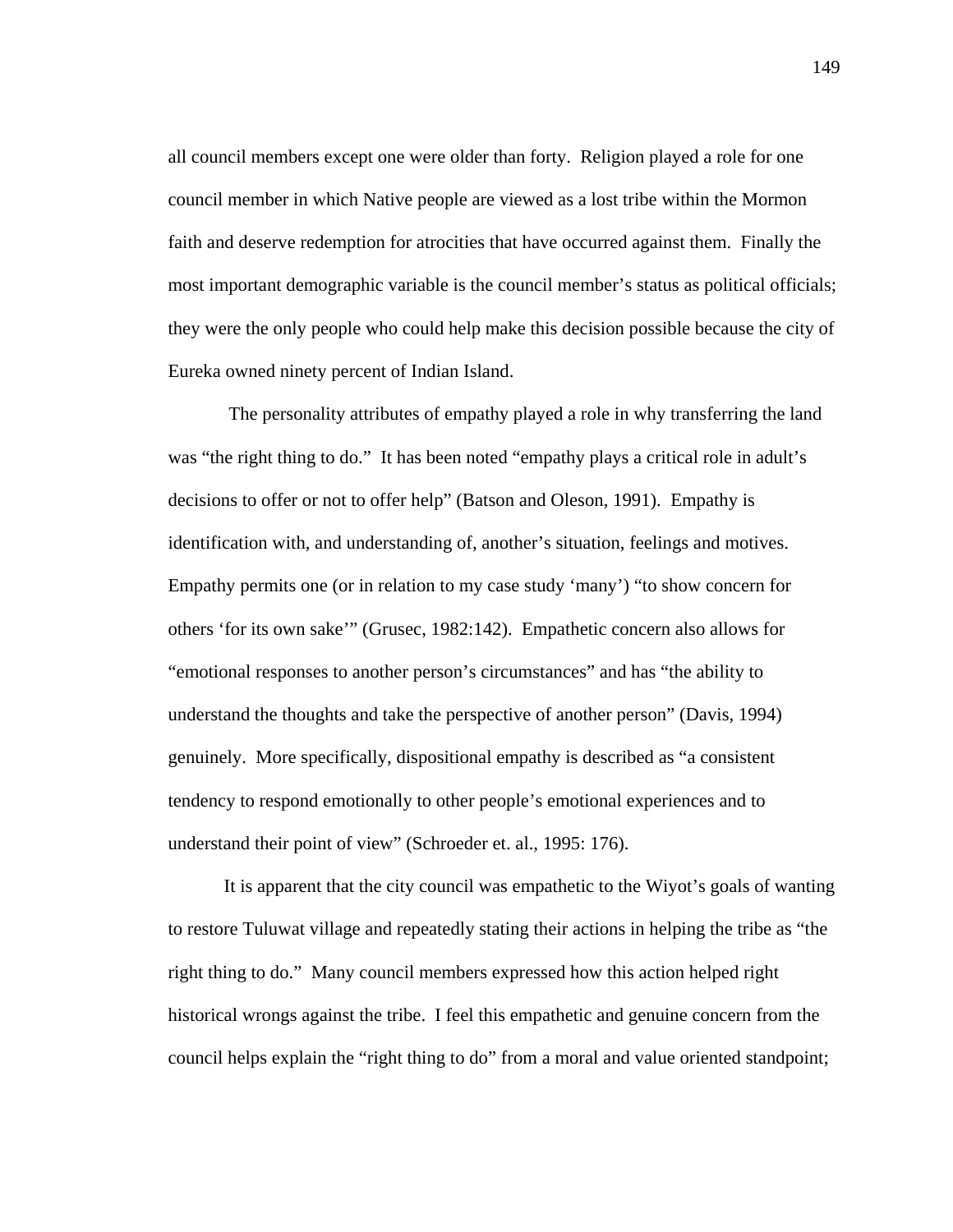all council members except one were older than forty. Religion played a role for one council member in which Native people are viewed as a lost tribe within the Mormon faith and deserve redemption for atrocities that have occurred against them. Finally the most important demographic variable is the council member's status as political officials; they were the only people who could help make this decision possible because the city of Eureka owned ninety percent of Indian Island.

 The personality attributes of empathy played a role in why transferring the land was "the right thing to do." It has been noted "empathy plays a critical role in adult's decisions to offer or not to offer help" (Batson and Oleson, 1991). Empathy is identification with, and understanding of, another's situation, feelings and motives. Empathy permits one (or in relation to my case study 'many') "to show concern for others 'for its own sake'" (Grusec, 1982:142). Empathetic concern also allows for "emotional responses to another person's circumstances" and has "the ability to understand the thoughts and take the perspective of another person" (Davis, 1994) genuinely. More specifically, dispositional empathy is described as "a consistent tendency to respond emotionally to other people's emotional experiences and to understand their point of view" (Schroeder et. al., 1995: 176).

It is apparent that the city council was empathetic to the Wiyot's goals of wanting to restore Tuluwat village and repeatedly stating their actions in helping the tribe as "the right thing to do." Many council members expressed how this action helped right historical wrongs against the tribe. I feel this empathetic and genuine concern from the council helps explain the "right thing to do" from a moral and value oriented standpoint;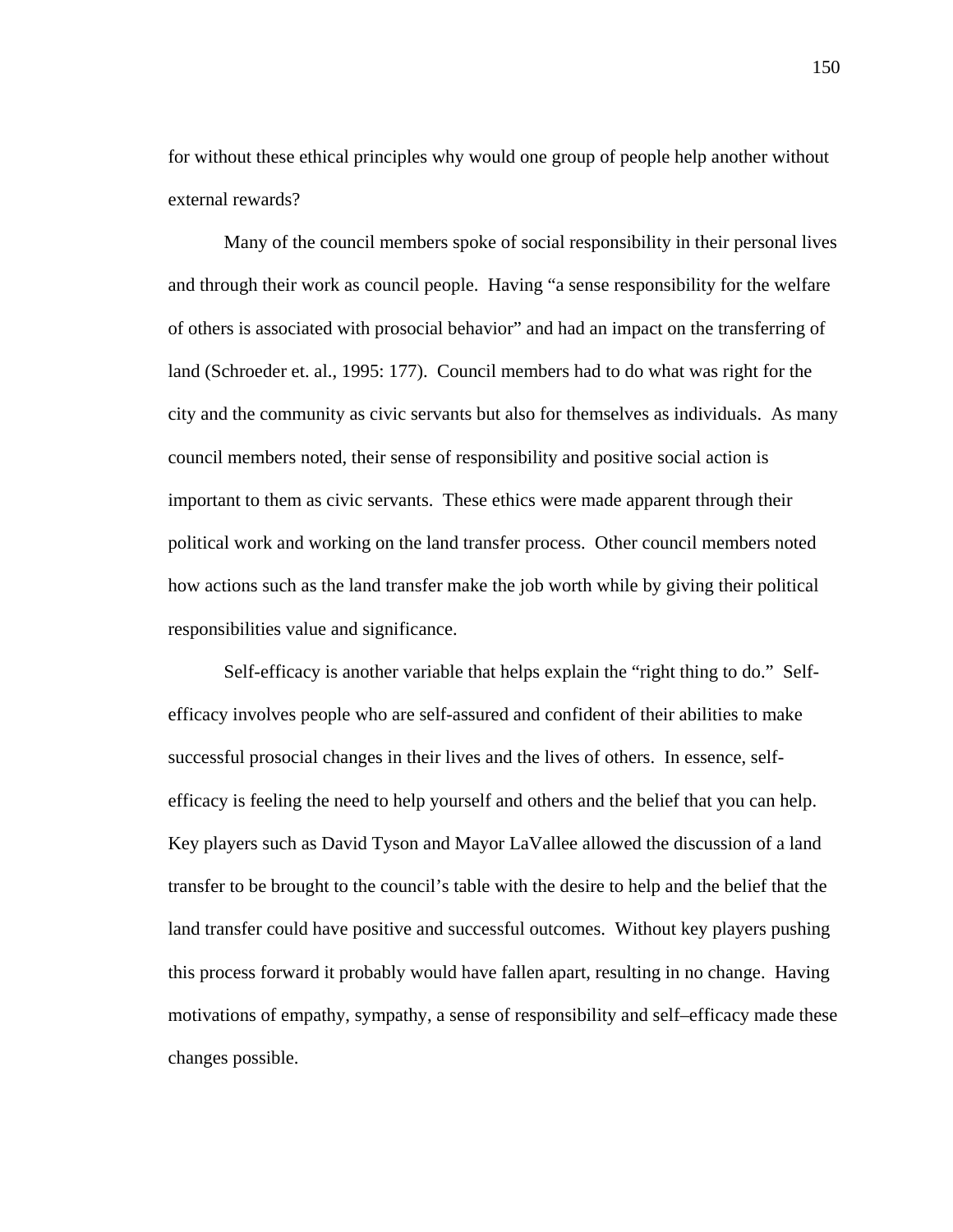for without these ethical principles why would one group of people help another without external rewards?

Many of the council members spoke of social responsibility in their personal lives and through their work as council people. Having "a sense responsibility for the welfare of others is associated with prosocial behavior" and had an impact on the transferring of land (Schroeder et. al., 1995: 177). Council members had to do what was right for the city and the community as civic servants but also for themselves as individuals. As many council members noted, their sense of responsibility and positive social action is important to them as civic servants. These ethics were made apparent through their political work and working on the land transfer process. Other council members noted how actions such as the land transfer make the job worth while by giving their political responsibilities value and significance.

Self-efficacy is another variable that helps explain the "right thing to do." Selfefficacy involves people who are self-assured and confident of their abilities to make successful prosocial changes in their lives and the lives of others. In essence, selfefficacy is feeling the need to help yourself and others and the belief that you can help. Key players such as David Tyson and Mayor LaVallee allowed the discussion of a land transfer to be brought to the council's table with the desire to help and the belief that the land transfer could have positive and successful outcomes. Without key players pushing this process forward it probably would have fallen apart, resulting in no change. Having motivations of empathy, sympathy, a sense of responsibility and self–efficacy made these changes possible.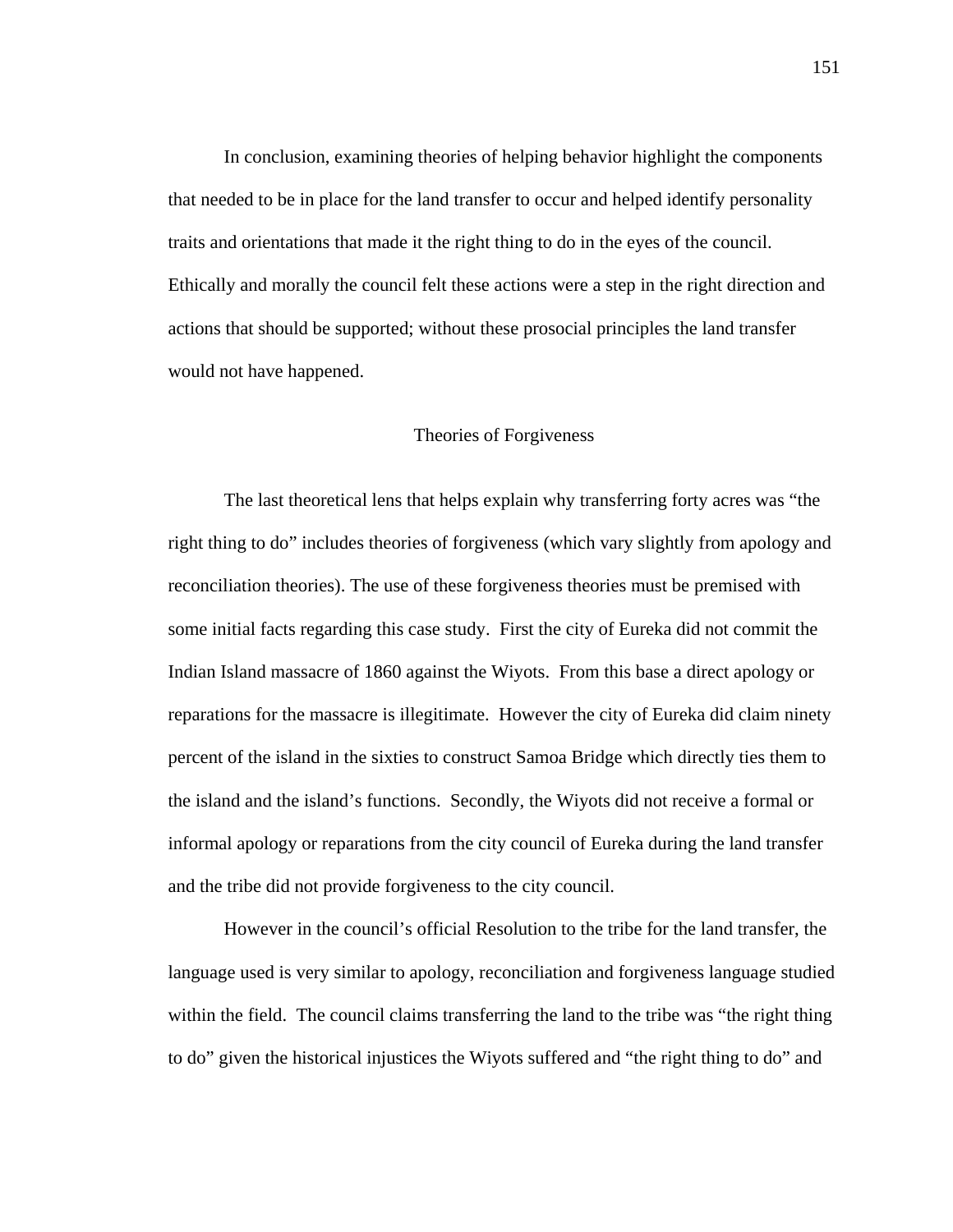In conclusion, examining theories of helping behavior highlight the components that needed to be in place for the land transfer to occur and helped identify personality traits and orientations that made it the right thing to do in the eyes of the council. Ethically and morally the council felt these actions were a step in the right direction and actions that should be supported; without these prosocial principles the land transfer would not have happened.

#### Theories of Forgiveness

 The last theoretical lens that helps explain why transferring forty acres was "the right thing to do" includes theories of forgiveness (which vary slightly from apology and reconciliation theories). The use of these forgiveness theories must be premised with some initial facts regarding this case study. First the city of Eureka did not commit the Indian Island massacre of 1860 against the Wiyots. From this base a direct apology or reparations for the massacre is illegitimate. However the city of Eureka did claim ninety percent of the island in the sixties to construct Samoa Bridge which directly ties them to the island and the island's functions. Secondly, the Wiyots did not receive a formal or informal apology or reparations from the city council of Eureka during the land transfer and the tribe did not provide forgiveness to the city council.

However in the council's official Resolution to the tribe for the land transfer, the language used is very similar to apology, reconciliation and forgiveness language studied within the field. The council claims transferring the land to the tribe was "the right thing to do" given the historical injustices the Wiyots suffered and "the right thing to do" and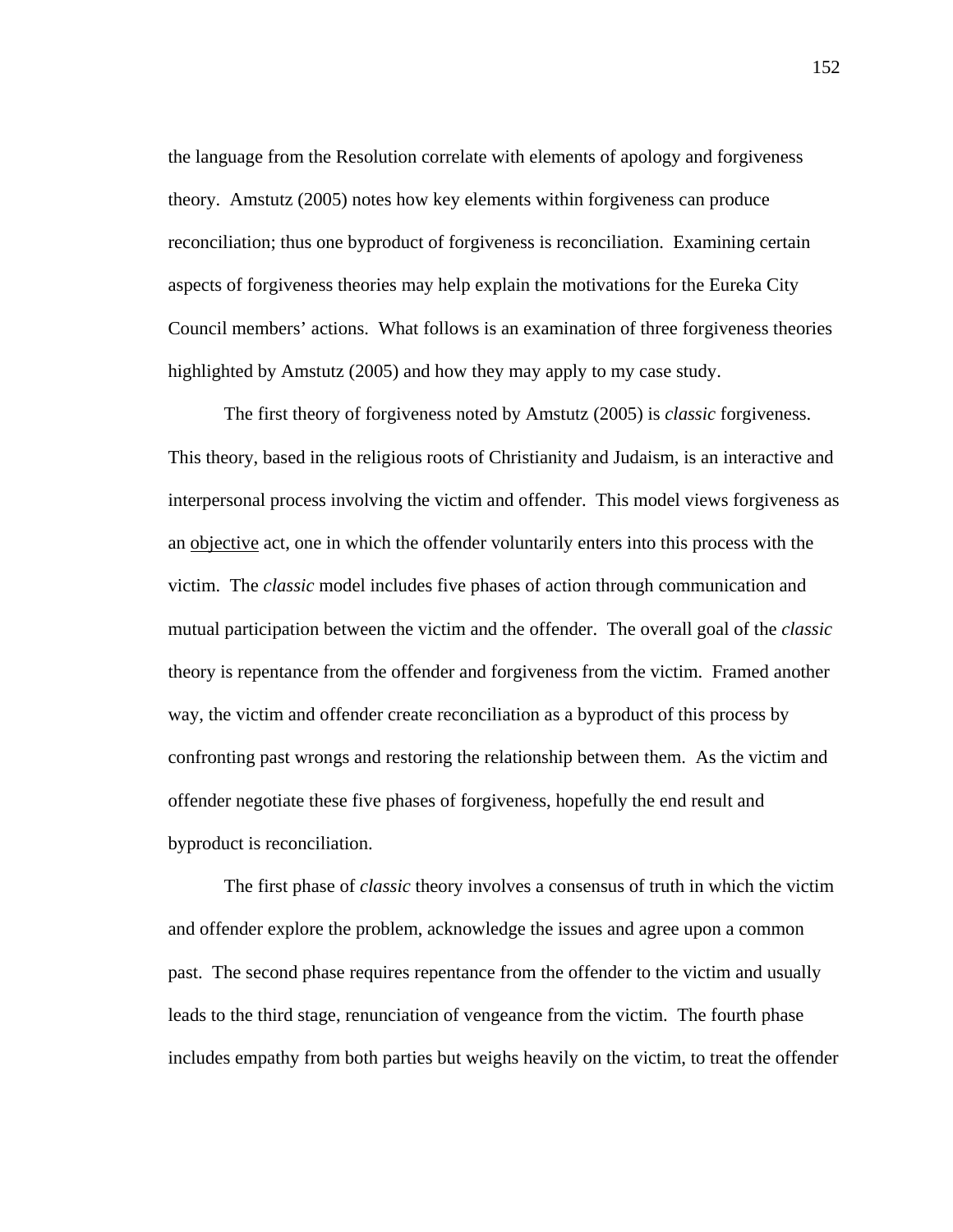the language from the Resolution correlate with elements of apology and forgiveness theory. Amstutz (2005) notes how key elements within forgiveness can produce reconciliation; thus one byproduct of forgiveness is reconciliation. Examining certain aspects of forgiveness theories may help explain the motivations for the Eureka City Council members' actions. What follows is an examination of three forgiveness theories highlighted by Amstutz (2005) and how they may apply to my case study.

 The first theory of forgiveness noted by Amstutz (2005) is *classic* forgiveness. This theory, based in the religious roots of Christianity and Judaism, is an interactive and interpersonal process involving the victim and offender. This model views forgiveness as an objective act, one in which the offender voluntarily enters into this process with the victim. The *classic* model includes five phases of action through communication and mutual participation between the victim and the offender. The overall goal of the *classic*  theory is repentance from the offender and forgiveness from the victim. Framed another way, the victim and offender create reconciliation as a byproduct of this process by confronting past wrongs and restoring the relationship between them. As the victim and offender negotiate these five phases of forgiveness, hopefully the end result and byproduct is reconciliation.

 The first phase of *classic* theory involves a consensus of truth in which the victim and offender explore the problem, acknowledge the issues and agree upon a common past. The second phase requires repentance from the offender to the victim and usually leads to the third stage, renunciation of vengeance from the victim. The fourth phase includes empathy from both parties but weighs heavily on the victim, to treat the offender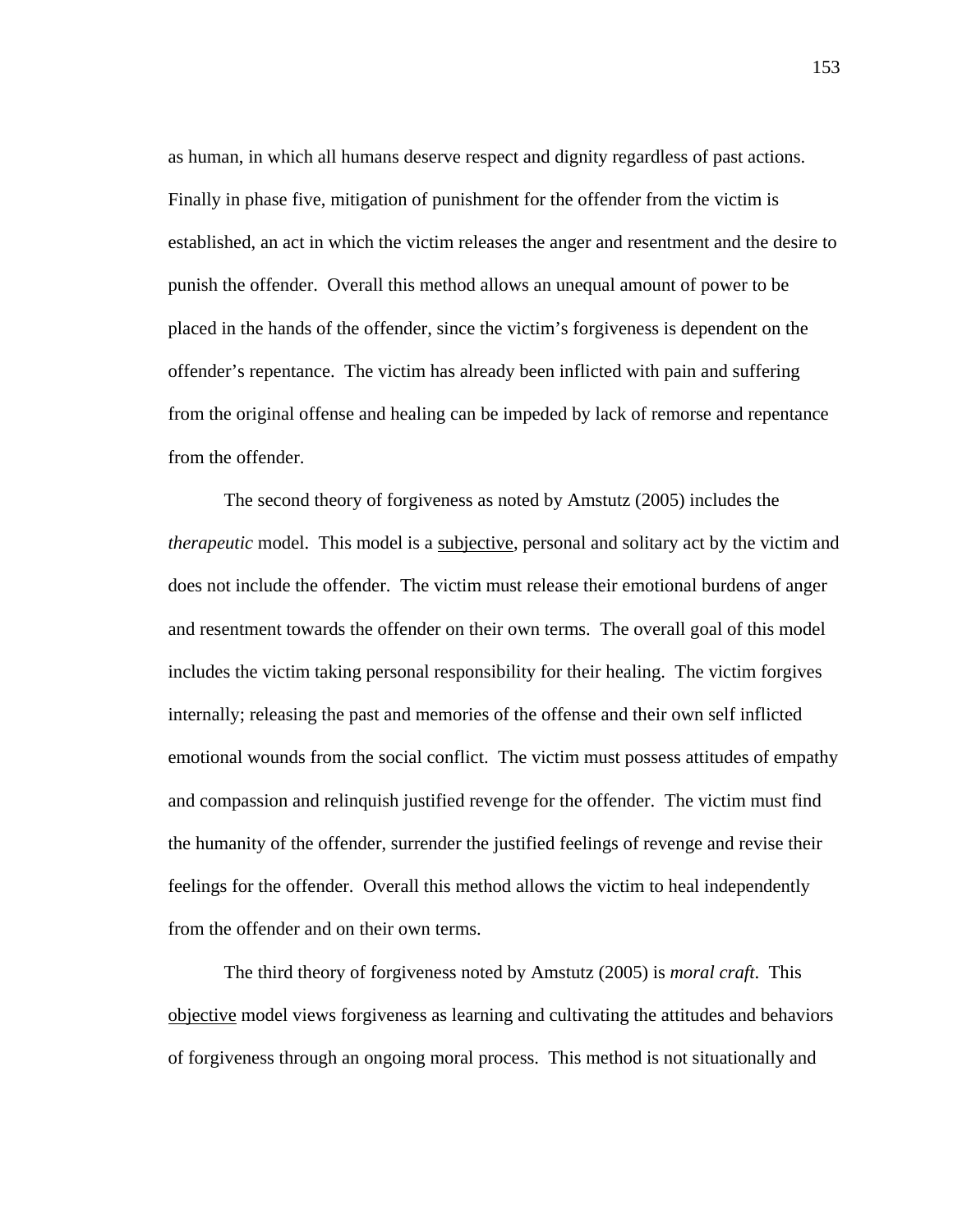as human, in which all humans deserve respect and dignity regardless of past actions. Finally in phase five, mitigation of punishment for the offender from the victim is established, an act in which the victim releases the anger and resentment and the desire to punish the offender. Overall this method allows an unequal amount of power to be placed in the hands of the offender, since the victim's forgiveness is dependent on the offender's repentance. The victim has already been inflicted with pain and suffering from the original offense and healing can be impeded by lack of remorse and repentance from the offender.

 The second theory of forgiveness as noted by Amstutz (2005) includes the *therapeutic* model. This model is a subjective, personal and solitary act by the victim and does not include the offender. The victim must release their emotional burdens of anger and resentment towards the offender on their own terms. The overall goal of this model includes the victim taking personal responsibility for their healing. The victim forgives internally; releasing the past and memories of the offense and their own self inflicted emotional wounds from the social conflict. The victim must possess attitudes of empathy and compassion and relinquish justified revenge for the offender. The victim must find the humanity of the offender, surrender the justified feelings of revenge and revise their feelings for the offender. Overall this method allows the victim to heal independently from the offender and on their own terms.

 The third theory of forgiveness noted by Amstutz (2005) is *moral craft*. This objective model views forgiveness as learning and cultivating the attitudes and behaviors of forgiveness through an ongoing moral process. This method is not situationally and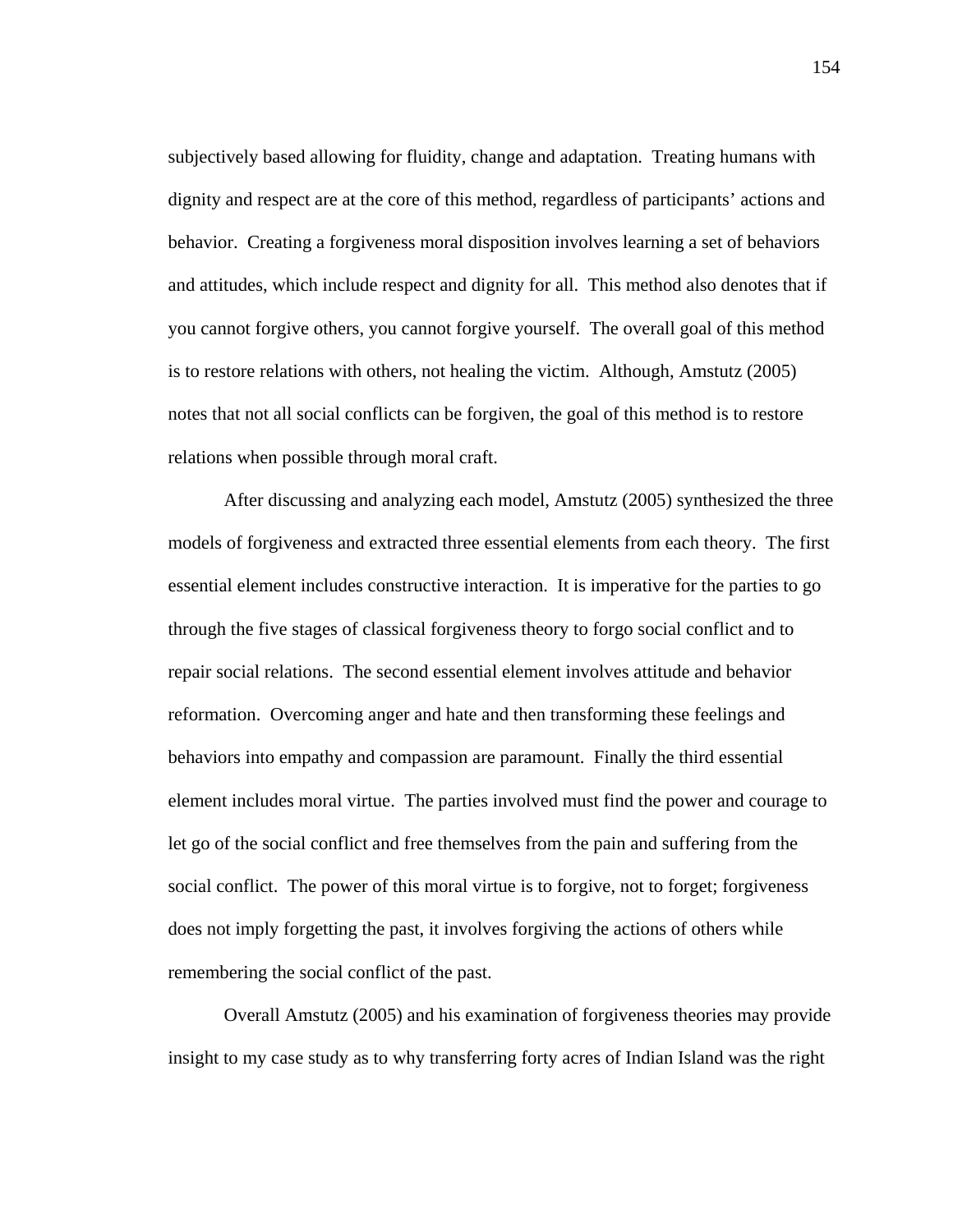subjectively based allowing for fluidity, change and adaptation. Treating humans with dignity and respect are at the core of this method, regardless of participants' actions and behavior. Creating a forgiveness moral disposition involves learning a set of behaviors and attitudes, which include respect and dignity for all. This method also denotes that if you cannot forgive others, you cannot forgive yourself. The overall goal of this method is to restore relations with others, not healing the victim. Although, Amstutz (2005) notes that not all social conflicts can be forgiven, the goal of this method is to restore relations when possible through moral craft.

 After discussing and analyzing each model, Amstutz (2005) synthesized the three models of forgiveness and extracted three essential elements from each theory. The first essential element includes constructive interaction. It is imperative for the parties to go through the five stages of classical forgiveness theory to forgo social conflict and to repair social relations. The second essential element involves attitude and behavior reformation. Overcoming anger and hate and then transforming these feelings and behaviors into empathy and compassion are paramount. Finally the third essential element includes moral virtue. The parties involved must find the power and courage to let go of the social conflict and free themselves from the pain and suffering from the social conflict. The power of this moral virtue is to forgive, not to forget; forgiveness does not imply forgetting the past, it involves forgiving the actions of others while remembering the social conflict of the past.

 Overall Amstutz (2005) and his examination of forgiveness theories may provide insight to my case study as to why transferring forty acres of Indian Island was the right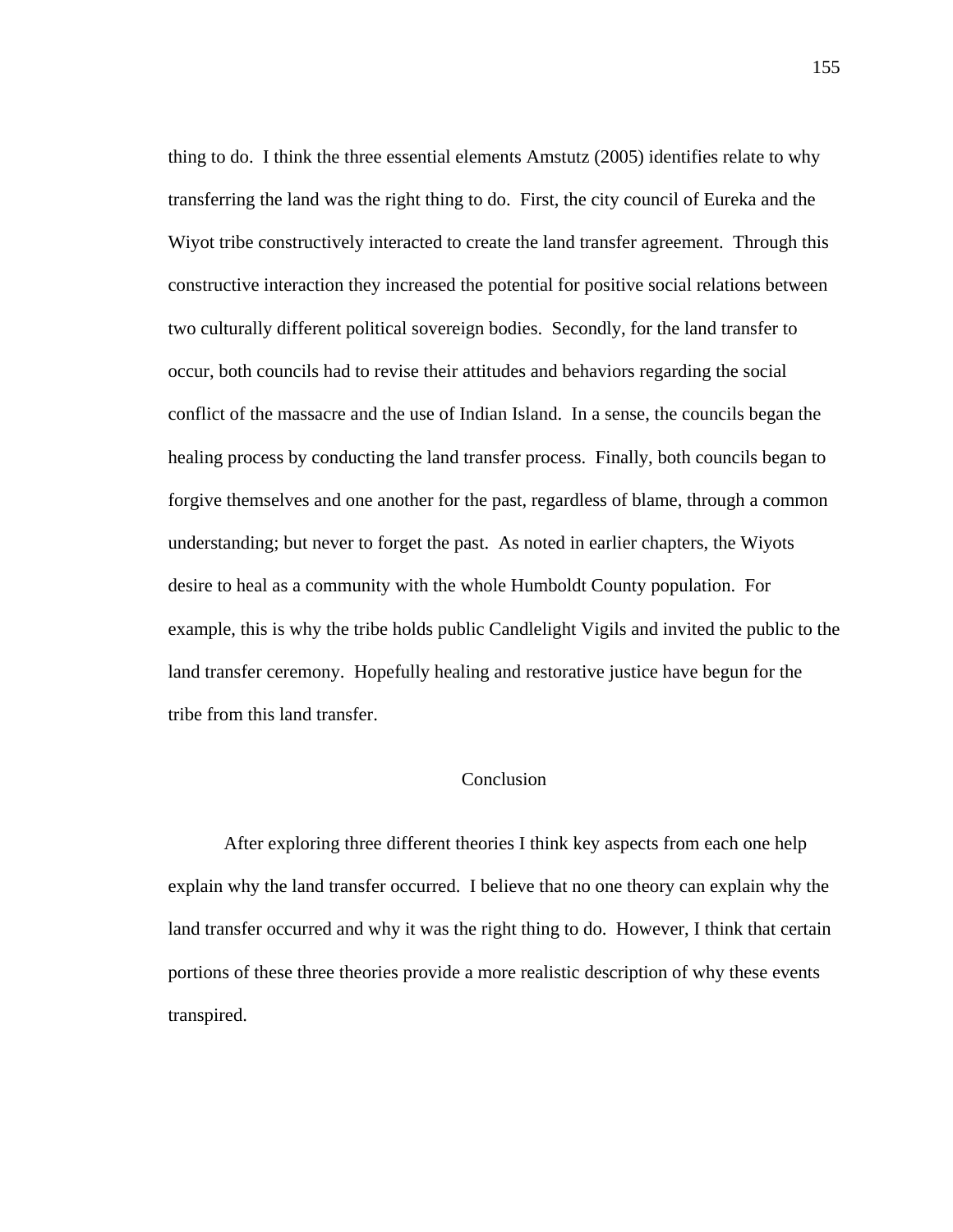thing to do. I think the three essential elements Amstutz (2005) identifies relate to why transferring the land was the right thing to do. First, the city council of Eureka and the Wiyot tribe constructively interacted to create the land transfer agreement. Through this constructive interaction they increased the potential for positive social relations between two culturally different political sovereign bodies. Secondly, for the land transfer to occur, both councils had to revise their attitudes and behaviors regarding the social conflict of the massacre and the use of Indian Island. In a sense, the councils began the healing process by conducting the land transfer process. Finally, both councils began to forgive themselves and one another for the past, regardless of blame, through a common understanding; but never to forget the past. As noted in earlier chapters, the Wiyots desire to heal as a community with the whole Humboldt County population. For example, this is why the tribe holds public Candlelight Vigils and invited the public to the land transfer ceremony. Hopefully healing and restorative justice have begun for the tribe from this land transfer.

# Conclusion

 After exploring three different theories I think key aspects from each one help explain why the land transfer occurred. I believe that no one theory can explain why the land transfer occurred and why it was the right thing to do. However, I think that certain portions of these three theories provide a more realistic description of why these events transpired.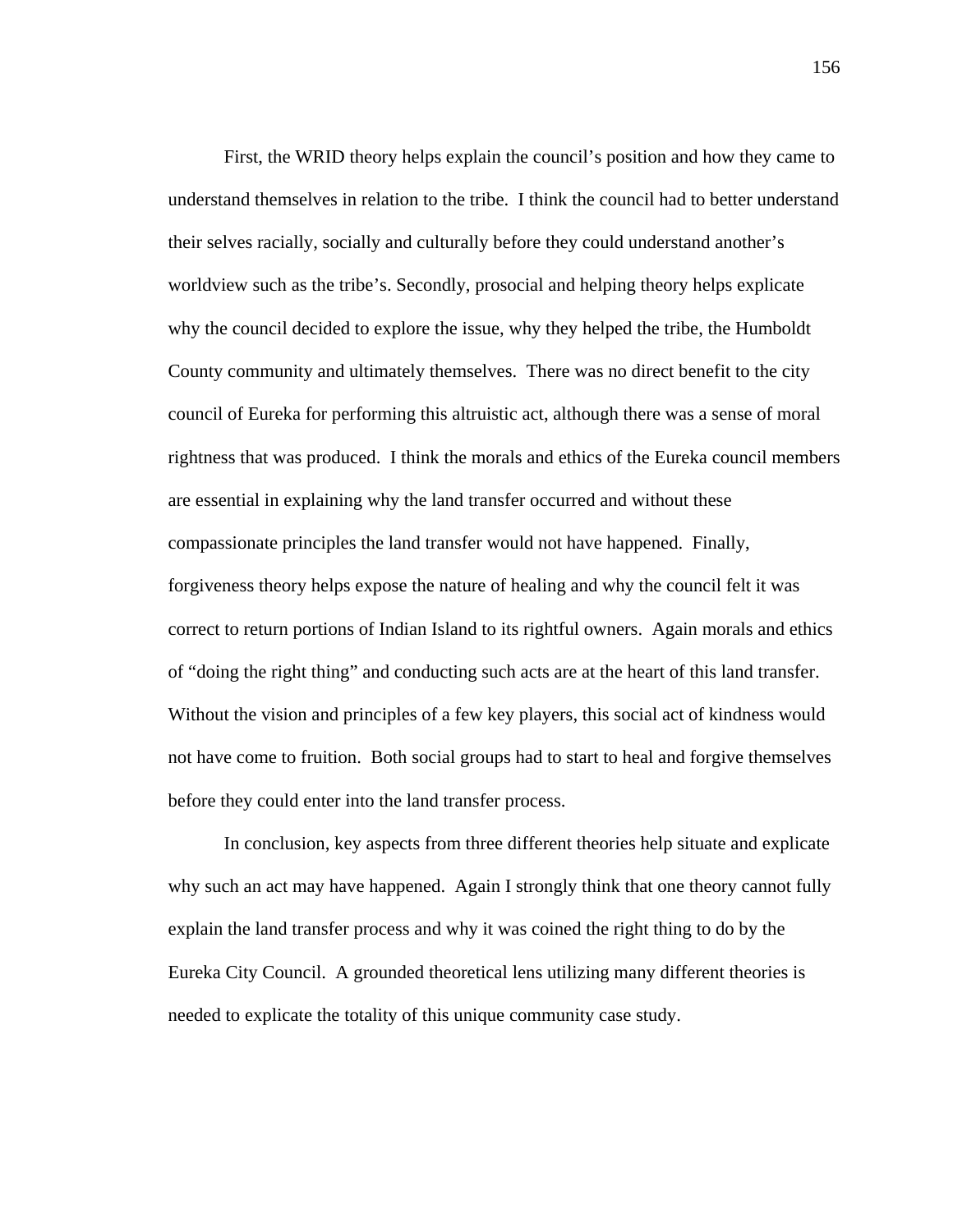First, the WRID theory helps explain the council's position and how they came to understand themselves in relation to the tribe. I think the council had to better understand their selves racially, socially and culturally before they could understand another's worldview such as the tribe's. Secondly, prosocial and helping theory helps explicate why the council decided to explore the issue, why they helped the tribe, the Humboldt County community and ultimately themselves. There was no direct benefit to the city council of Eureka for performing this altruistic act, although there was a sense of moral rightness that was produced. I think the morals and ethics of the Eureka council members are essential in explaining why the land transfer occurred and without these compassionate principles the land transfer would not have happened. Finally, forgiveness theory helps expose the nature of healing and why the council felt it was correct to return portions of Indian Island to its rightful owners. Again morals and ethics of "doing the right thing" and conducting such acts are at the heart of this land transfer. Without the vision and principles of a few key players, this social act of kindness would not have come to fruition. Both social groups had to start to heal and forgive themselves before they could enter into the land transfer process.

In conclusion, key aspects from three different theories help situate and explicate why such an act may have happened. Again I strongly think that one theory cannot fully explain the land transfer process and why it was coined the right thing to do by the Eureka City Council. A grounded theoretical lens utilizing many different theories is needed to explicate the totality of this unique community case study.

156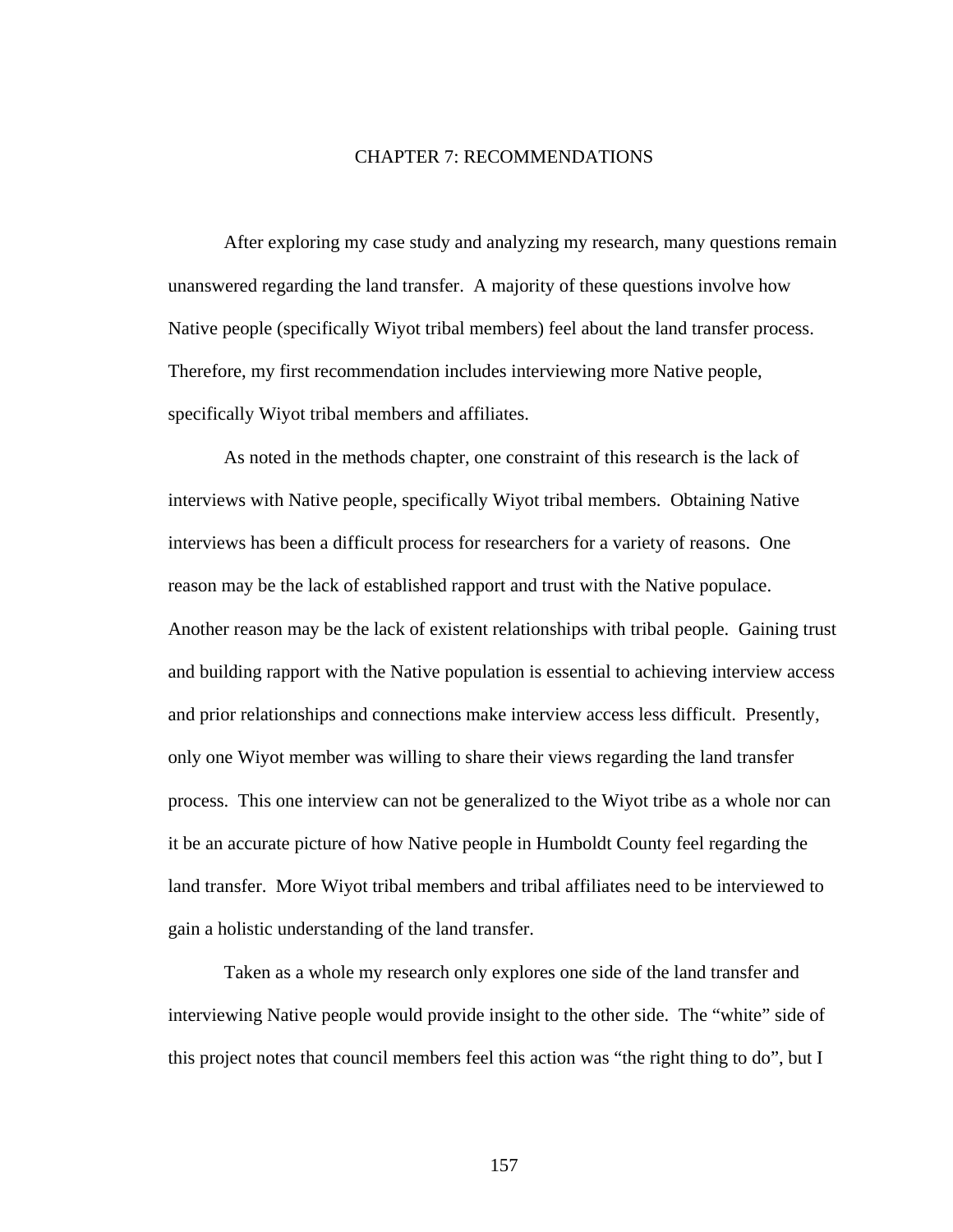#### CHAPTER 7: RECOMMENDATIONS

After exploring my case study and analyzing my research, many questions remain unanswered regarding the land transfer. A majority of these questions involve how Native people (specifically Wiyot tribal members) feel about the land transfer process. Therefore, my first recommendation includes interviewing more Native people, specifically Wiyot tribal members and affiliates.

 As noted in the methods chapter, one constraint of this research is the lack of interviews with Native people, specifically Wiyot tribal members. Obtaining Native interviews has been a difficult process for researchers for a variety of reasons. One reason may be the lack of established rapport and trust with the Native populace. Another reason may be the lack of existent relationships with tribal people. Gaining trust and building rapport with the Native population is essential to achieving interview access and prior relationships and connections make interview access less difficult. Presently, only one Wiyot member was willing to share their views regarding the land transfer process. This one interview can not be generalized to the Wiyot tribe as a whole nor can it be an accurate picture of how Native people in Humboldt County feel regarding the land transfer. More Wiyot tribal members and tribal affiliates need to be interviewed to gain a holistic understanding of the land transfer.

Taken as a whole my research only explores one side of the land transfer and interviewing Native people would provide insight to the other side. The "white" side of this project notes that council members feel this action was "the right thing to do", but I

157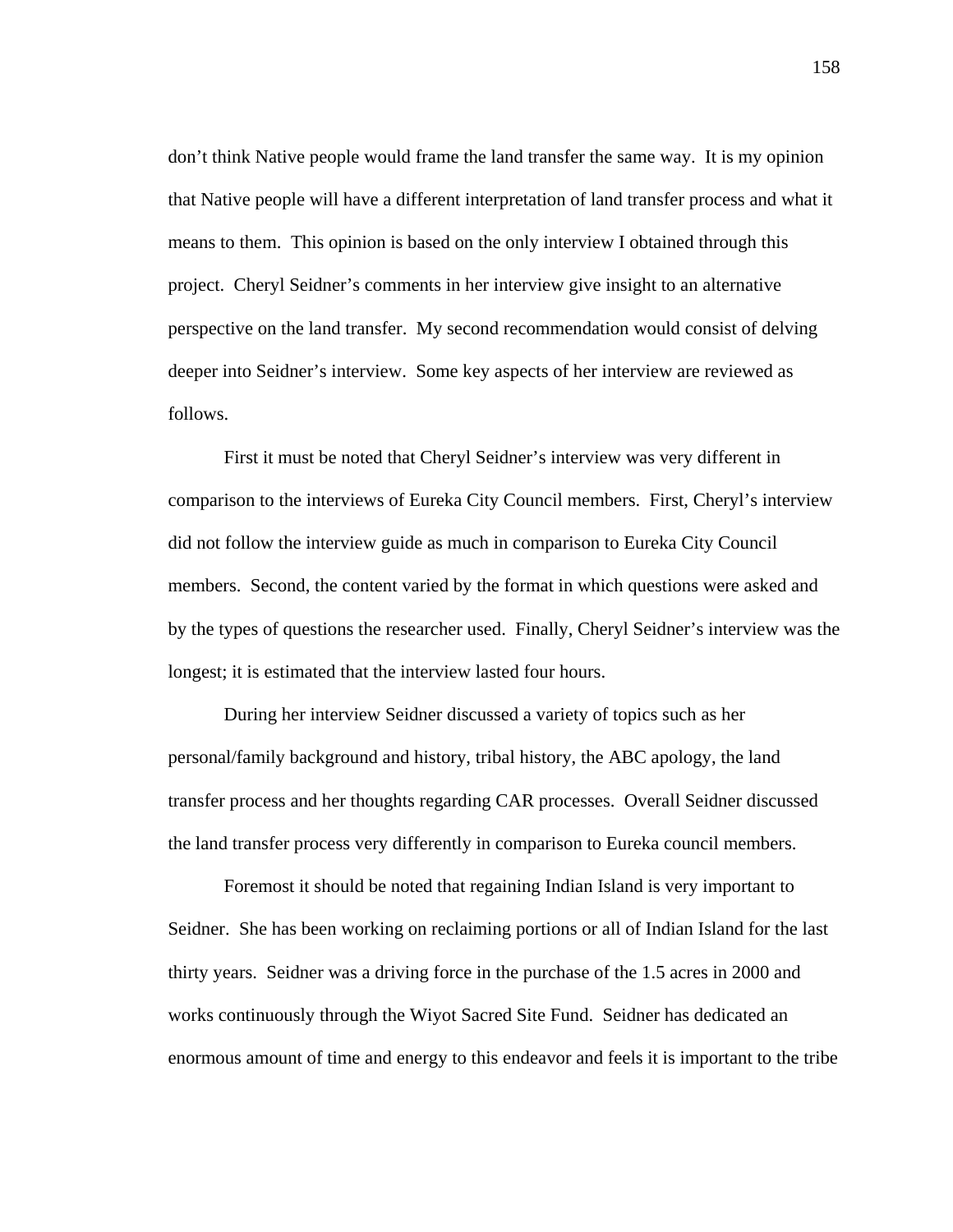don't think Native people would frame the land transfer the same way. It is my opinion that Native people will have a different interpretation of land transfer process and what it means to them. This opinion is based on the only interview I obtained through this project. Cheryl Seidner's comments in her interview give insight to an alternative perspective on the land transfer. My second recommendation would consist of delving deeper into Seidner's interview. Some key aspects of her interview are reviewed as follows.

First it must be noted that Cheryl Seidner's interview was very different in comparison to the interviews of Eureka City Council members. First, Cheryl's interview did not follow the interview guide as much in comparison to Eureka City Council members. Second, the content varied by the format in which questions were asked and by the types of questions the researcher used. Finally, Cheryl Seidner's interview was the longest; it is estimated that the interview lasted four hours.

During her interview Seidner discussed a variety of topics such as her personal/family background and history, tribal history, the ABC apology, the land transfer process and her thoughts regarding CAR processes. Overall Seidner discussed the land transfer process very differently in comparison to Eureka council members.

Foremost it should be noted that regaining Indian Island is very important to Seidner. She has been working on reclaiming portions or all of Indian Island for the last thirty years. Seidner was a driving force in the purchase of the 1.5 acres in 2000 and works continuously through the Wiyot Sacred Site Fund. Seidner has dedicated an enormous amount of time and energy to this endeavor and feels it is important to the tribe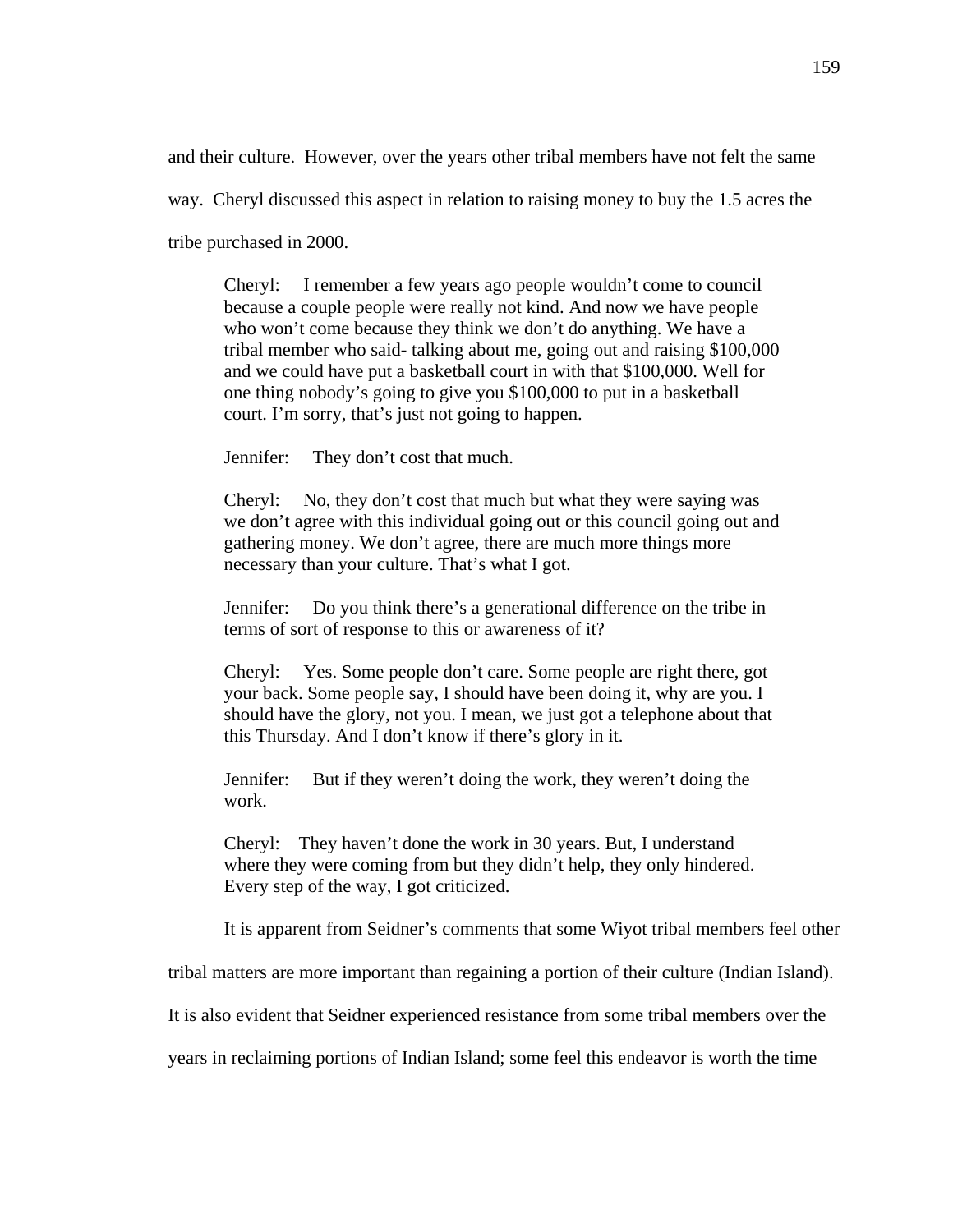and their culture. However, over the years other tribal members have not felt the same

way. Cheryl discussed this aspect in relation to raising money to buy the 1.5 acres the

tribe purchased in 2000.

Cheryl: I remember a few years ago people wouldn't come to council because a couple people were really not kind. And now we have people who won't come because they think we don't do anything. We have a tribal member who said- talking about me, going out and raising \$100,000 and we could have put a basketball court in with that \$100,000. Well for one thing nobody's going to give you \$100,000 to put in a basketball court. I'm sorry, that's just not going to happen.

Jennifer: They don't cost that much.

Cheryl: No, they don't cost that much but what they were saying was we don't agree with this individual going out or this council going out and gathering money. We don't agree, there are much more things more necessary than your culture. That's what I got.

Jennifer: Do you think there's a generational difference on the tribe in terms of sort of response to this or awareness of it?

Cheryl: Yes. Some people don't care. Some people are right there, got your back. Some people say, I should have been doing it, why are you. I should have the glory, not you. I mean, we just got a telephone about that this Thursday. And I don't know if there's glory in it.

Jennifer: But if they weren't doing the work, they weren't doing the work.

Cheryl: They haven't done the work in 30 years. But, I understand where they were coming from but they didn't help, they only hindered. Every step of the way, I got criticized.

It is apparent from Seidner's comments that some Wiyot tribal members feel other

tribal matters are more important than regaining a portion of their culture (Indian Island).

It is also evident that Seidner experienced resistance from some tribal members over the

years in reclaiming portions of Indian Island; some feel this endeavor is worth the time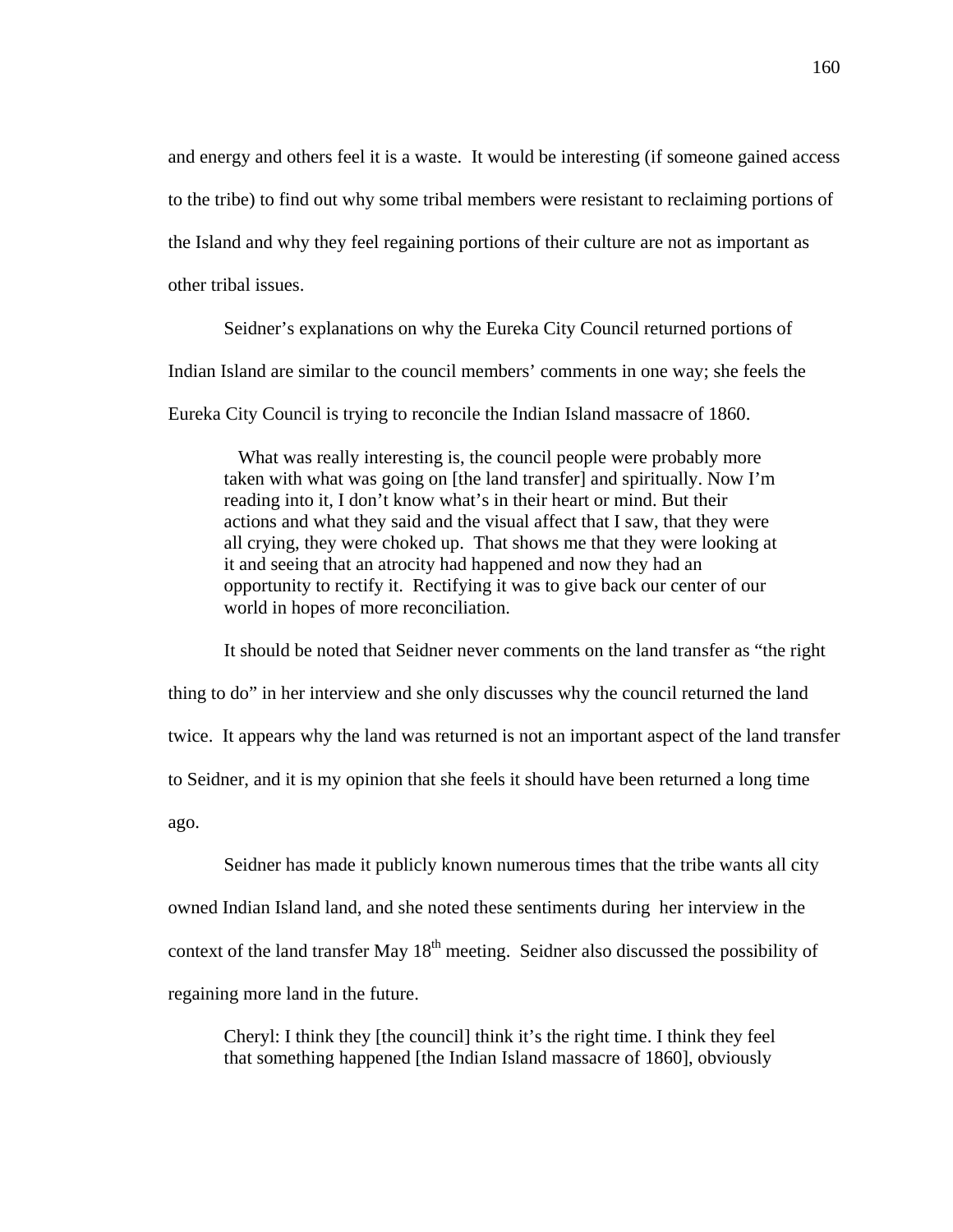and energy and others feel it is a waste. It would be interesting (if someone gained access to the tribe) to find out why some tribal members were resistant to reclaiming portions of the Island and why they feel regaining portions of their culture are not as important as other tribal issues.

Seidner's explanations on why the Eureka City Council returned portions of Indian Island are similar to the council members' comments in one way; she feels the Eureka City Council is trying to reconcile the Indian Island massacre of 1860.

 What was really interesting is, the council people were probably more taken with what was going on [the land transfer] and spiritually. Now I'm reading into it, I don't know what's in their heart or mind. But their actions and what they said and the visual affect that I saw, that they were all crying, they were choked up. That shows me that they were looking at it and seeing that an atrocity had happened and now they had an opportunity to rectify it. Rectifying it was to give back our center of our world in hopes of more reconciliation.

It should be noted that Seidner never comments on the land transfer as "the right thing to do" in her interview and she only discusses why the council returned the land twice. It appears why the land was returned is not an important aspect of the land transfer to Seidner, and it is my opinion that she feels it should have been returned a long time ago.

Seidner has made it publicly known numerous times that the tribe wants all city owned Indian Island land, and she noted these sentiments during her interview in the context of the land transfer May  $18<sup>th</sup>$  meeting. Seidner also discussed the possibility of regaining more land in the future.

Cheryl: I think they [the council] think it's the right time. I think they feel that something happened [the Indian Island massacre of 1860], obviously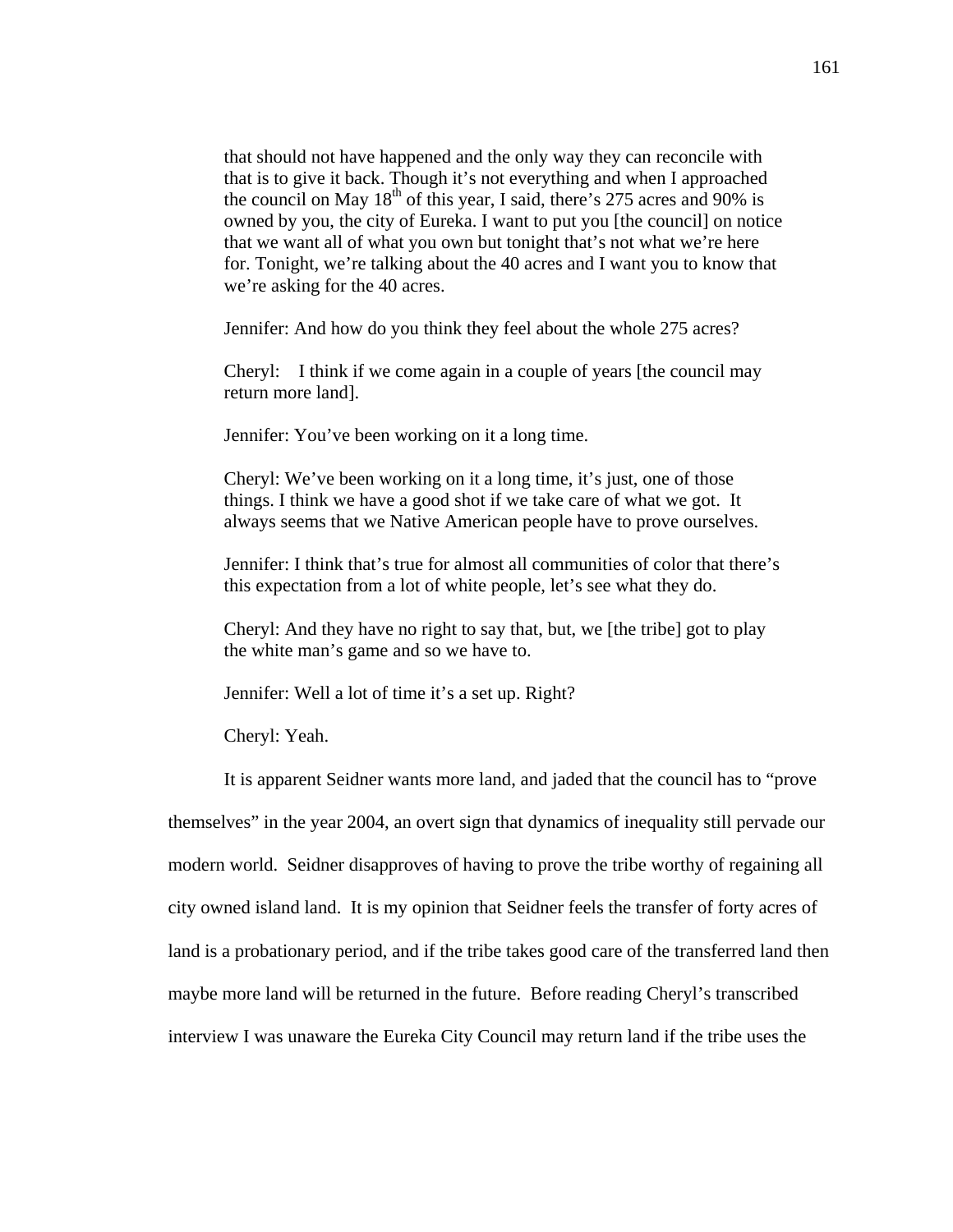that should not have happened and the only way they can reconcile with that is to give it back. Though it's not everything and when I approached the council on May  $18<sup>th</sup>$  of this year, I said, there's 275 acres and 90% is owned by you, the city of Eureka. I want to put you [the council] on notice that we want all of what you own but tonight that's not what we're here for. Tonight, we're talking about the 40 acres and I want you to know that we're asking for the 40 acres.

Jennifer: And how do you think they feel about the whole 275 acres?

Cheryl: I think if we come again in a couple of years [the council may return more land].

Jennifer: You've been working on it a long time.

Cheryl: We've been working on it a long time, it's just, one of those things. I think we have a good shot if we take care of what we got. It always seems that we Native American people have to prove ourselves.

Jennifer: I think that's true for almost all communities of color that there's this expectation from a lot of white people, let's see what they do.

Cheryl: And they have no right to say that, but, we [the tribe] got to play the white man's game and so we have to.

Jennifer: Well a lot of time it's a set up. Right?

Cheryl: Yeah.

It is apparent Seidner wants more land, and jaded that the council has to "prove

themselves" in the year 2004, an overt sign that dynamics of inequality still pervade our modern world. Seidner disapproves of having to prove the tribe worthy of regaining all city owned island land. It is my opinion that Seidner feels the transfer of forty acres of land is a probationary period, and if the tribe takes good care of the transferred land then maybe more land will be returned in the future. Before reading Cheryl's transcribed interview I was unaware the Eureka City Council may return land if the tribe uses the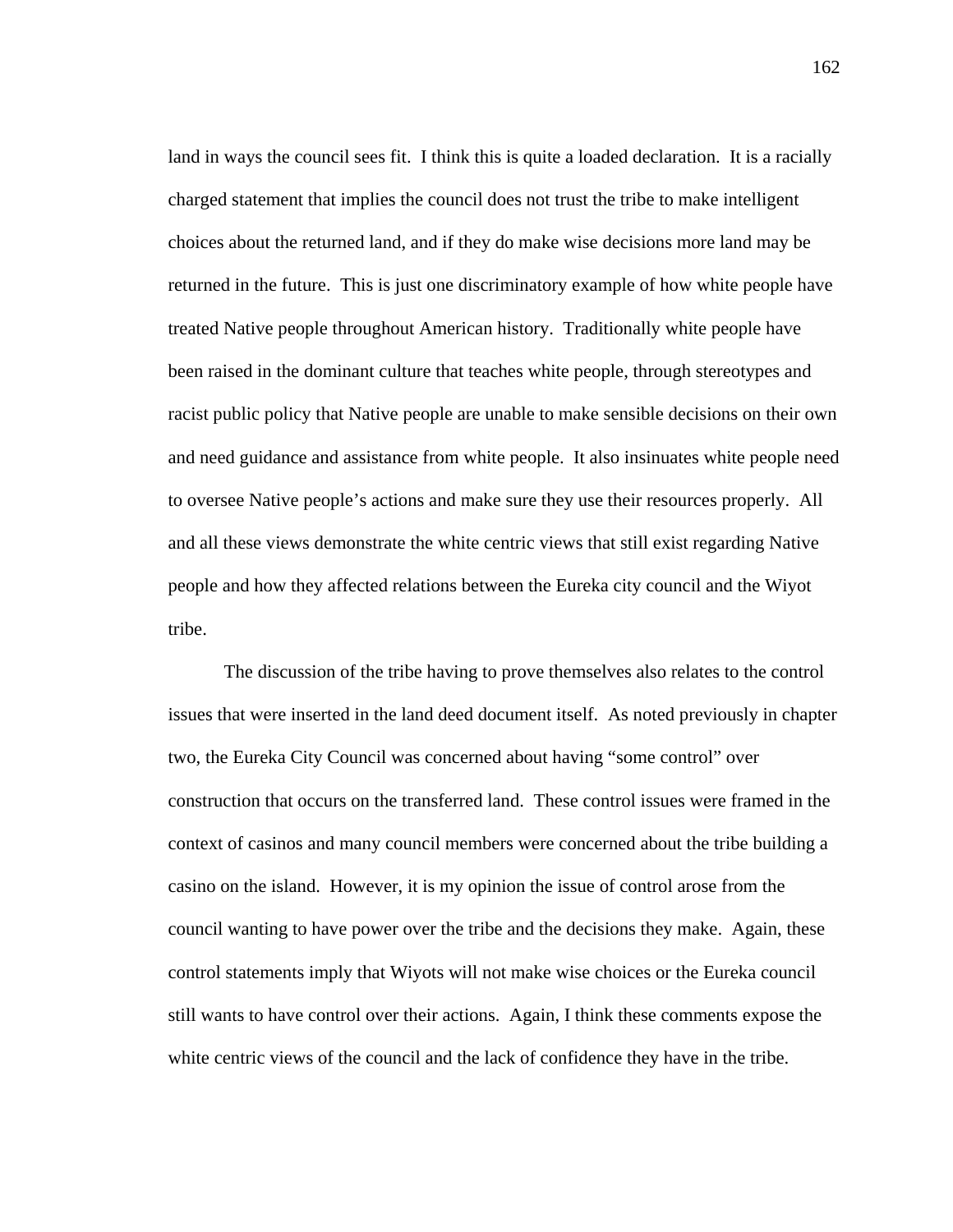land in ways the council sees fit. I think this is quite a loaded declaration. It is a racially charged statement that implies the council does not trust the tribe to make intelligent choices about the returned land, and if they do make wise decisions more land may be returned in the future. This is just one discriminatory example of how white people have treated Native people throughout American history. Traditionally white people have been raised in the dominant culture that teaches white people, through stereotypes and racist public policy that Native people are unable to make sensible decisions on their own and need guidance and assistance from white people. It also insinuates white people need to oversee Native people's actions and make sure they use their resources properly. All and all these views demonstrate the white centric views that still exist regarding Native people and how they affected relations between the Eureka city council and the Wiyot tribe.

The discussion of the tribe having to prove themselves also relates to the control issues that were inserted in the land deed document itself. As noted previously in chapter two, the Eureka City Council was concerned about having "some control" over construction that occurs on the transferred land. These control issues were framed in the context of casinos and many council members were concerned about the tribe building a casino on the island. However, it is my opinion the issue of control arose from the council wanting to have power over the tribe and the decisions they make. Again, these control statements imply that Wiyots will not make wise choices or the Eureka council still wants to have control over their actions. Again, I think these comments expose the white centric views of the council and the lack of confidence they have in the tribe.

162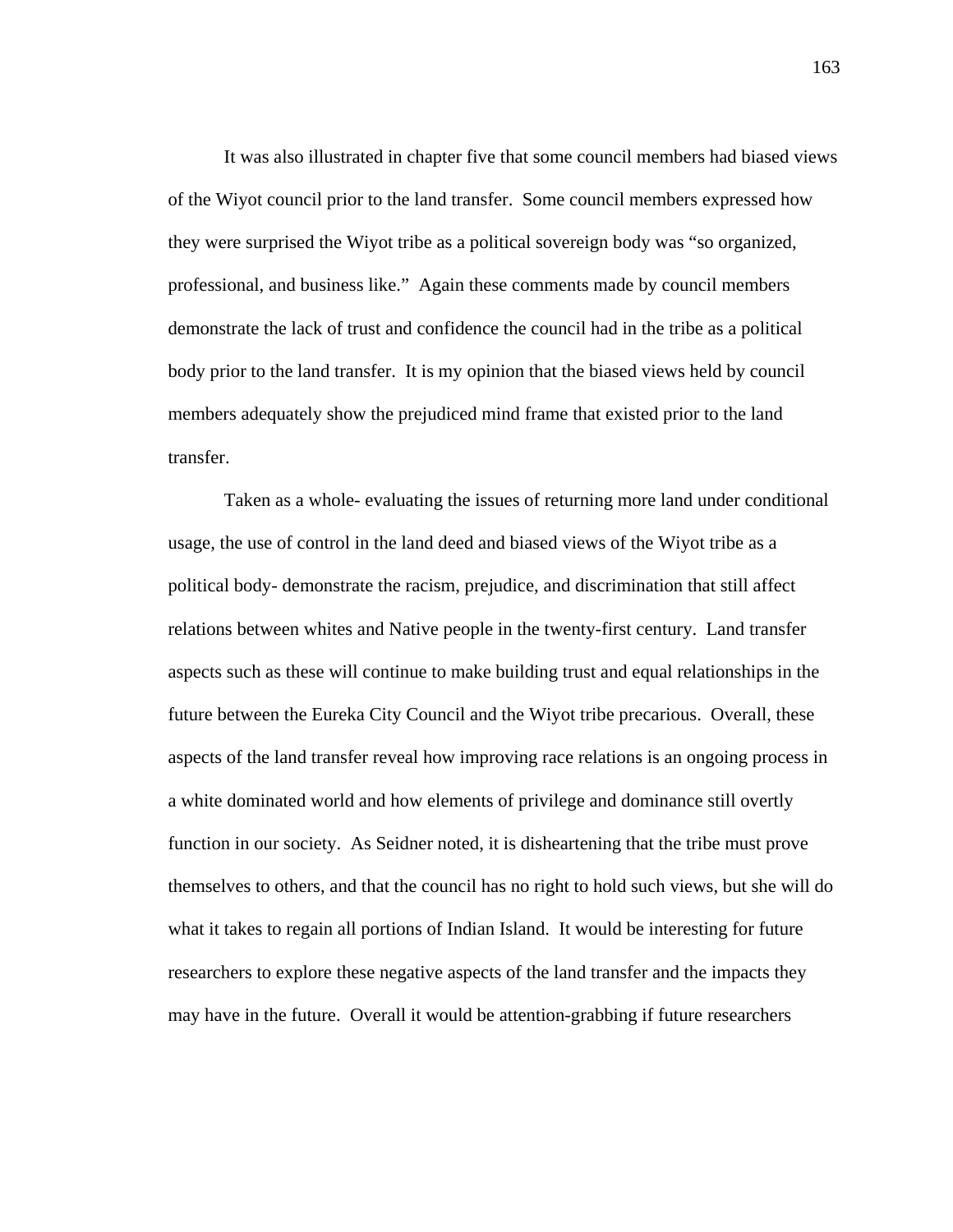It was also illustrated in chapter five that some council members had biased views of the Wiyot council prior to the land transfer. Some council members expressed how they were surprised the Wiyot tribe as a political sovereign body was "so organized, professional, and business like." Again these comments made by council members demonstrate the lack of trust and confidence the council had in the tribe as a political body prior to the land transfer. It is my opinion that the biased views held by council members adequately show the prejudiced mind frame that existed prior to the land transfer.

Taken as a whole- evaluating the issues of returning more land under conditional usage, the use of control in the land deed and biased views of the Wiyot tribe as a political body- demonstrate the racism, prejudice, and discrimination that still affect relations between whites and Native people in the twenty-first century. Land transfer aspects such as these will continue to make building trust and equal relationships in the future between the Eureka City Council and the Wiyot tribe precarious. Overall, these aspects of the land transfer reveal how improving race relations is an ongoing process in a white dominated world and how elements of privilege and dominance still overtly function in our society. As Seidner noted, it is disheartening that the tribe must prove themselves to others, and that the council has no right to hold such views, but she will do what it takes to regain all portions of Indian Island. It would be interesting for future researchers to explore these negative aspects of the land transfer and the impacts they may have in the future. Overall it would be attention-grabbing if future researchers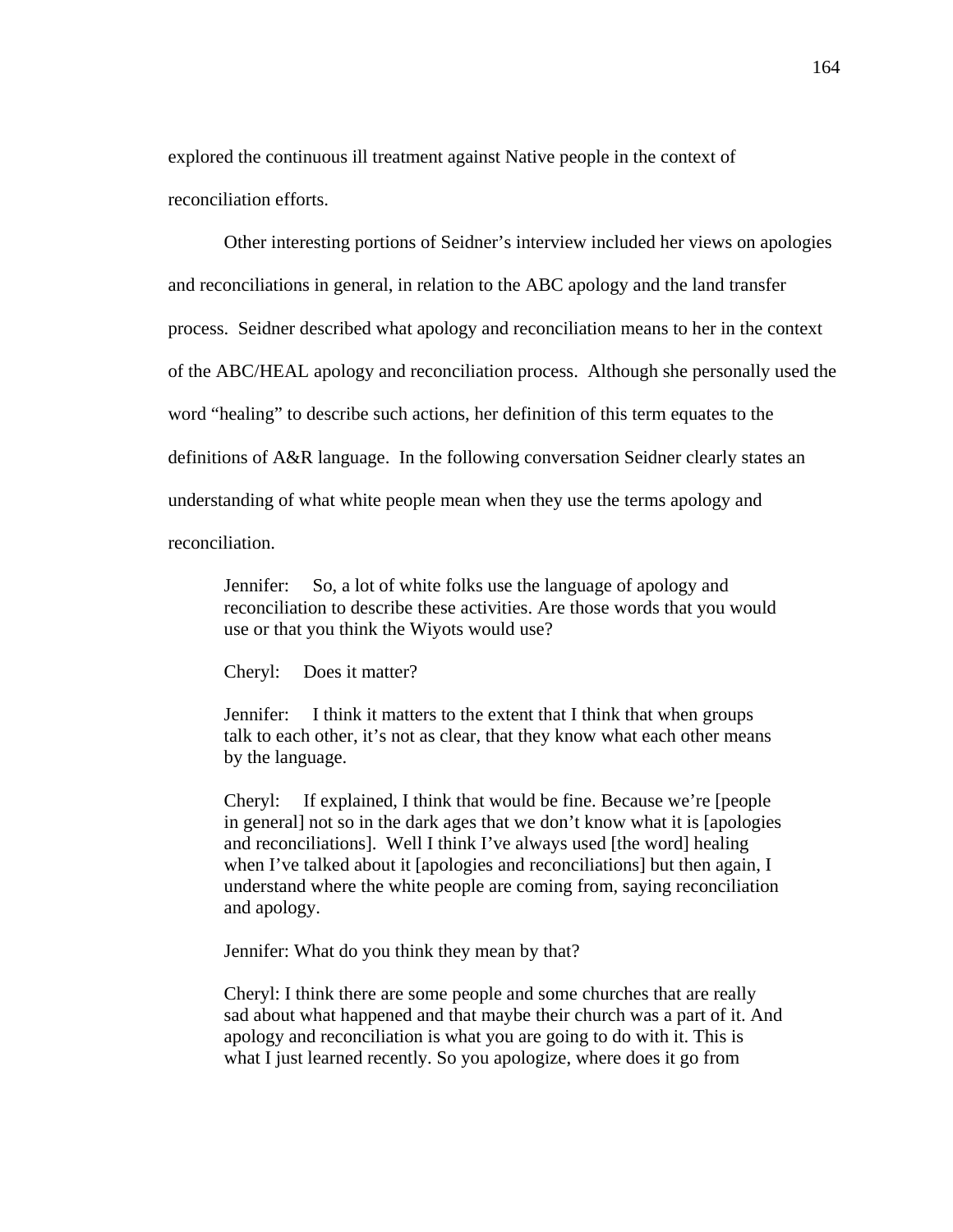explored the continuous ill treatment against Native people in the context of reconciliation efforts.

Other interesting portions of Seidner's interview included her views on apologies and reconciliations in general, in relation to the ABC apology and the land transfer process. Seidner described what apology and reconciliation means to her in the context of the ABC/HEAL apology and reconciliation process. Although she personally used the word "healing" to describe such actions, her definition of this term equates to the definitions of A&R language. In the following conversation Seidner clearly states an understanding of what white people mean when they use the terms apology and reconciliation.

Jennifer: So, a lot of white folks use the language of apology and reconciliation to describe these activities. Are those words that you would use or that you think the Wiyots would use?

Cheryl: Does it matter?

Jennifer: I think it matters to the extent that I think that when groups talk to each other, it's not as clear, that they know what each other means by the language.

Cheryl: If explained, I think that would be fine. Because we're [people in general] not so in the dark ages that we don't know what it is [apologies and reconciliations]. Well I think I've always used [the word] healing when I've talked about it [apologies and reconciliations] but then again, I understand where the white people are coming from, saying reconciliation and apology.

Jennifer: What do you think they mean by that?

Cheryl: I think there are some people and some churches that are really sad about what happened and that maybe their church was a part of it. And apology and reconciliation is what you are going to do with it. This is what I just learned recently. So you apologize, where does it go from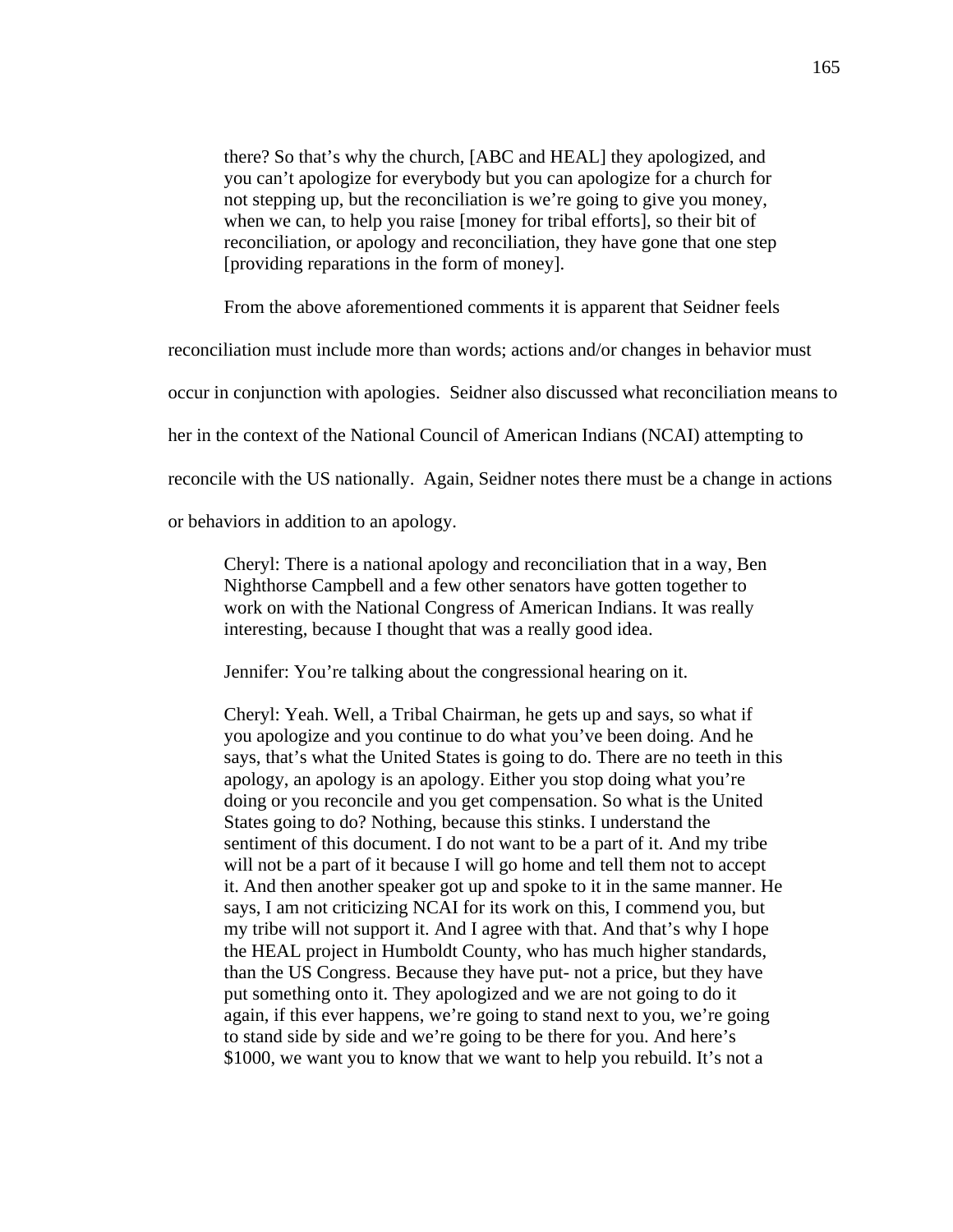there? So that's why the church, [ABC and HEAL] they apologized, and you can't apologize for everybody but you can apologize for a church for not stepping up, but the reconciliation is we're going to give you money, when we can, to help you raise [money for tribal efforts], so their bit of reconciliation, or apology and reconciliation, they have gone that one step [providing reparations in the form of money].

From the above aforementioned comments it is apparent that Seidner feels

reconciliation must include more than words; actions and/or changes in behavior must

occur in conjunction with apologies. Seidner also discussed what reconciliation means to

her in the context of the National Council of American Indians (NCAI) attempting to

reconcile with the US nationally. Again, Seidner notes there must be a change in actions

or behaviors in addition to an apology.

Cheryl: There is a national apology and reconciliation that in a way, Ben Nighthorse Campbell and a few other senators have gotten together to work on with the National Congress of American Indians. It was really interesting, because I thought that was a really good idea.

Jennifer: You're talking about the congressional hearing on it.

Cheryl: Yeah. Well, a Tribal Chairman, he gets up and says, so what if you apologize and you continue to do what you've been doing. And he says, that's what the United States is going to do. There are no teeth in this apology, an apology is an apology. Either you stop doing what you're doing or you reconcile and you get compensation. So what is the United States going to do? Nothing, because this stinks. I understand the sentiment of this document. I do not want to be a part of it. And my tribe will not be a part of it because I will go home and tell them not to accept it. And then another speaker got up and spoke to it in the same manner. He says, I am not criticizing NCAI for its work on this, I commend you, but my tribe will not support it. And I agree with that. And that's why I hope the HEAL project in Humboldt County, who has much higher standards, than the US Congress. Because they have put- not a price, but they have put something onto it. They apologized and we are not going to do it again, if this ever happens, we're going to stand next to you, we're going to stand side by side and we're going to be there for you. And here's \$1000, we want you to know that we want to help you rebuild. It's not a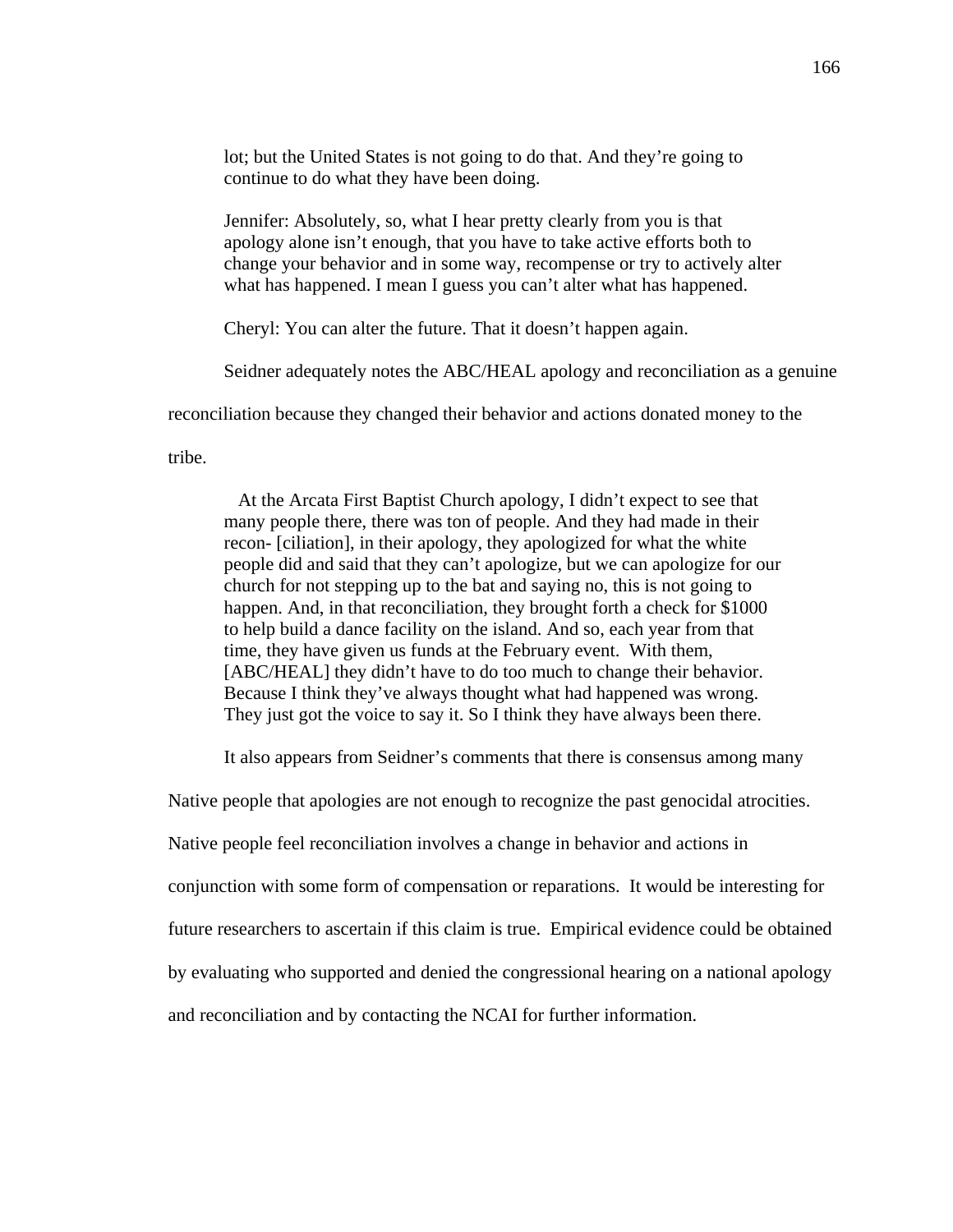lot; but the United States is not going to do that. And they're going to continue to do what they have been doing.

Jennifer: Absolutely, so, what I hear pretty clearly from you is that apology alone isn't enough, that you have to take active efforts both to change your behavior and in some way, recompense or try to actively alter what has happened. I mean I guess you can't alter what has happened.

Cheryl: You can alter the future. That it doesn't happen again.

Seidner adequately notes the ABC/HEAL apology and reconciliation as a genuine

reconciliation because they changed their behavior and actions donated money to the

tribe.

 At the Arcata First Baptist Church apology, I didn't expect to see that many people there, there was ton of people. And they had made in their recon- [ciliation], in their apology, they apologized for what the white people did and said that they can't apologize, but we can apologize for our church for not stepping up to the bat and saying no, this is not going to happen. And, in that reconciliation, they brought forth a check for \$1000 to help build a dance facility on the island. And so, each year from that time, they have given us funds at the February event. With them, [ABC/HEAL] they didn't have to do too much to change their behavior. Because I think they've always thought what had happened was wrong. They just got the voice to say it. So I think they have always been there.

It also appears from Seidner's comments that there is consensus among many

Native people that apologies are not enough to recognize the past genocidal atrocities.

Native people feel reconciliation involves a change in behavior and actions in

conjunction with some form of compensation or reparations. It would be interesting for

future researchers to ascertain if this claim is true. Empirical evidence could be obtained

by evaluating who supported and denied the congressional hearing on a national apology

and reconciliation and by contacting the NCAI for further information.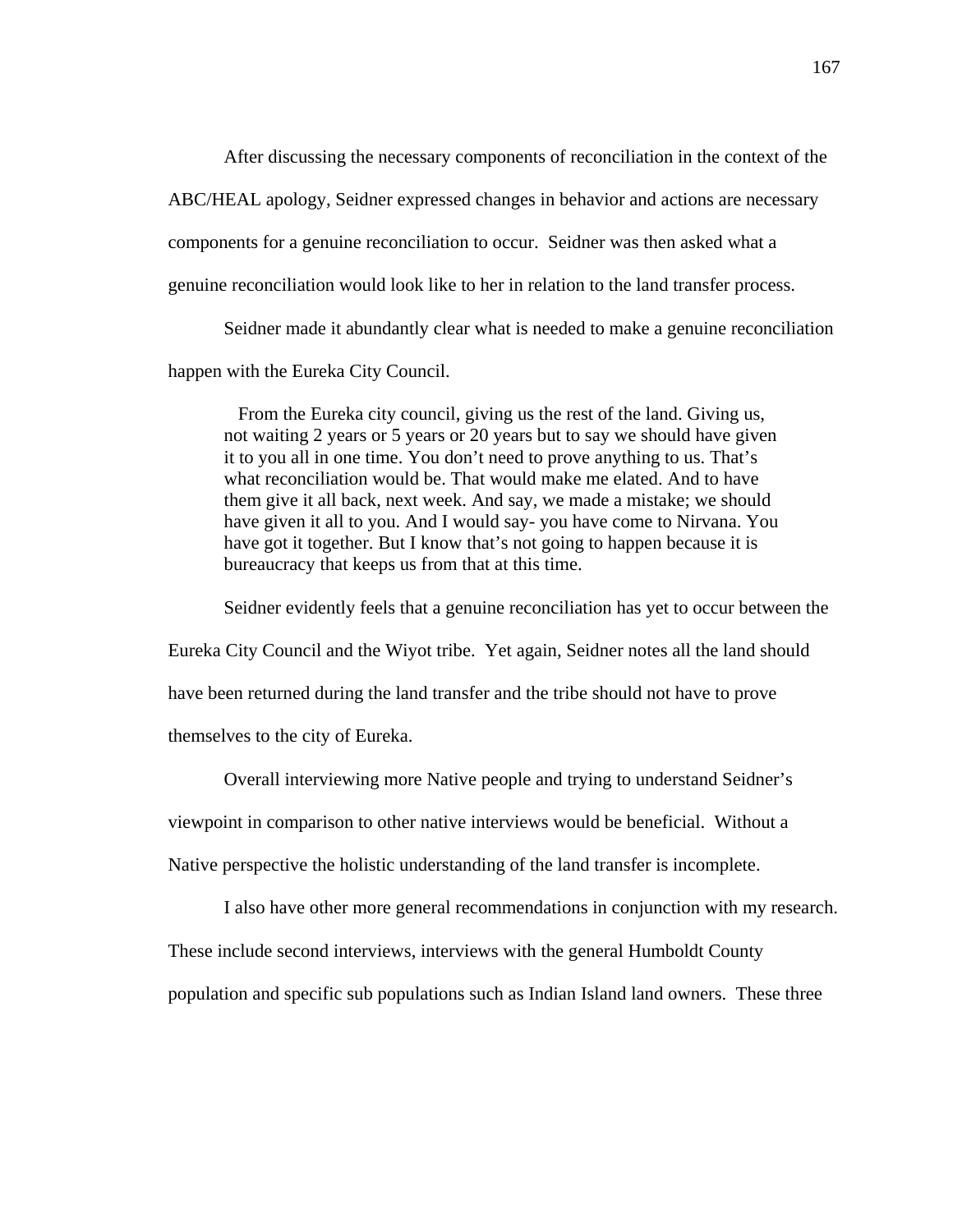After discussing the necessary components of reconciliation in the context of the ABC/HEAL apology, Seidner expressed changes in behavior and actions are necessary

components for a genuine reconciliation to occur. Seidner was then asked what a

genuine reconciliation would look like to her in relation to the land transfer process.

Seidner made it abundantly clear what is needed to make a genuine reconciliation

happen with the Eureka City Council.

 From the Eureka city council, giving us the rest of the land. Giving us, not waiting 2 years or 5 years or 20 years but to say we should have given it to you all in one time. You don't need to prove anything to us. That's what reconciliation would be. That would make me elated. And to have them give it all back, next week. And say, we made a mistake; we should have given it all to you. And I would say- you have come to Nirvana. You have got it together. But I know that's not going to happen because it is bureaucracy that keeps us from that at this time.

Seidner evidently feels that a genuine reconciliation has yet to occur between the

Eureka City Council and the Wiyot tribe. Yet again, Seidner notes all the land should

have been returned during the land transfer and the tribe should not have to prove

themselves to the city of Eureka.

Overall interviewing more Native people and trying to understand Seidner's

viewpoint in comparison to other native interviews would be beneficial. Without a

Native perspective the holistic understanding of the land transfer is incomplete.

I also have other more general recommendations in conjunction with my research.

These include second interviews, interviews with the general Humboldt County

population and specific sub populations such as Indian Island land owners. These three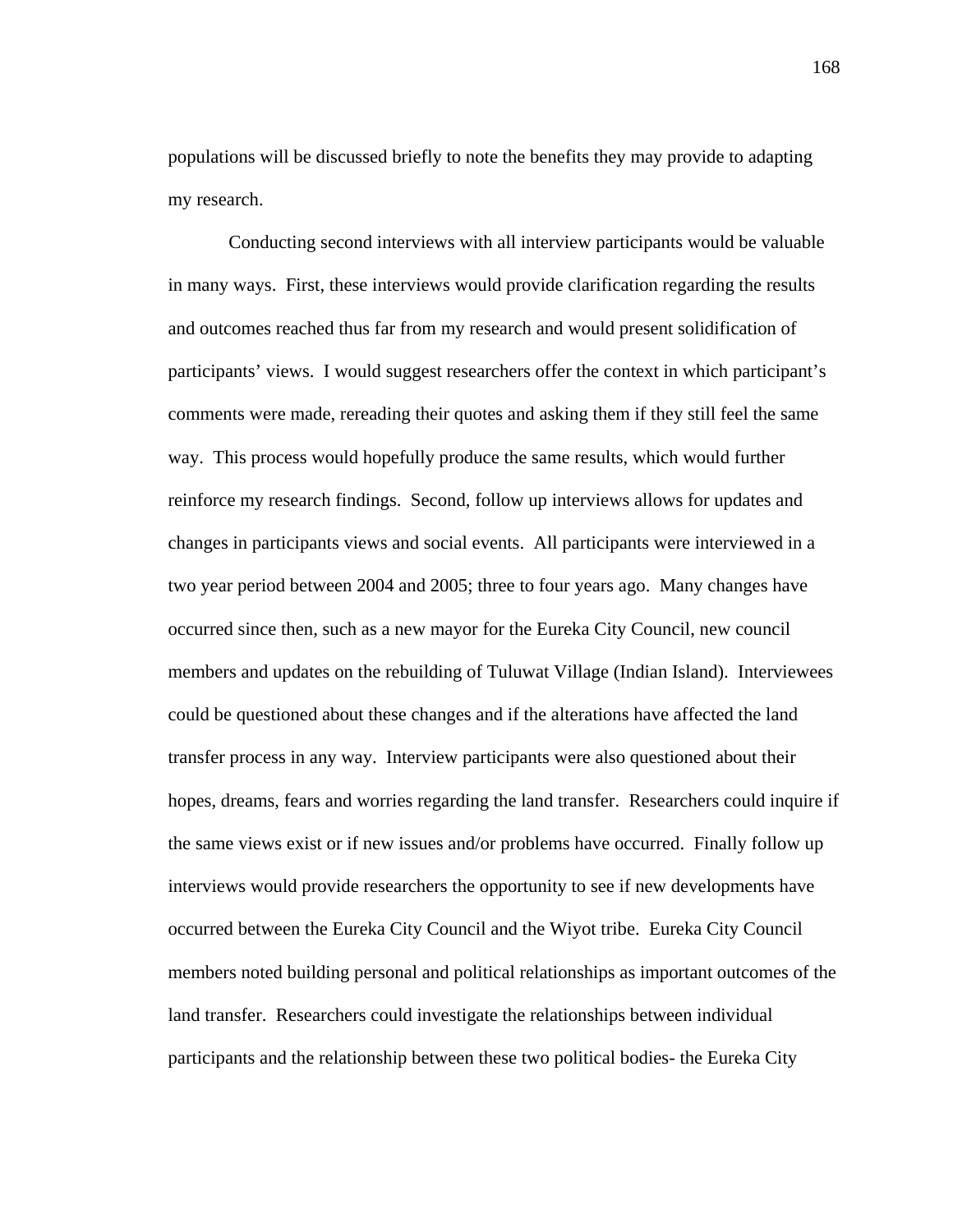populations will be discussed briefly to note the benefits they may provide to adapting my research.

 Conducting second interviews with all interview participants would be valuable in many ways. First, these interviews would provide clarification regarding the results and outcomes reached thus far from my research and would present solidification of participants' views. I would suggest researchers offer the context in which participant's comments were made, rereading their quotes and asking them if they still feel the same way. This process would hopefully produce the same results, which would further reinforce my research findings. Second, follow up interviews allows for updates and changes in participants views and social events. All participants were interviewed in a two year period between 2004 and 2005; three to four years ago. Many changes have occurred since then, such as a new mayor for the Eureka City Council, new council members and updates on the rebuilding of Tuluwat Village (Indian Island). Interviewees could be questioned about these changes and if the alterations have affected the land transfer process in any way. Interview participants were also questioned about their hopes, dreams, fears and worries regarding the land transfer. Researchers could inquire if the same views exist or if new issues and/or problems have occurred. Finally follow up interviews would provide researchers the opportunity to see if new developments have occurred between the Eureka City Council and the Wiyot tribe. Eureka City Council members noted building personal and political relationships as important outcomes of the land transfer. Researchers could investigate the relationships between individual participants and the relationship between these two political bodies- the Eureka City

168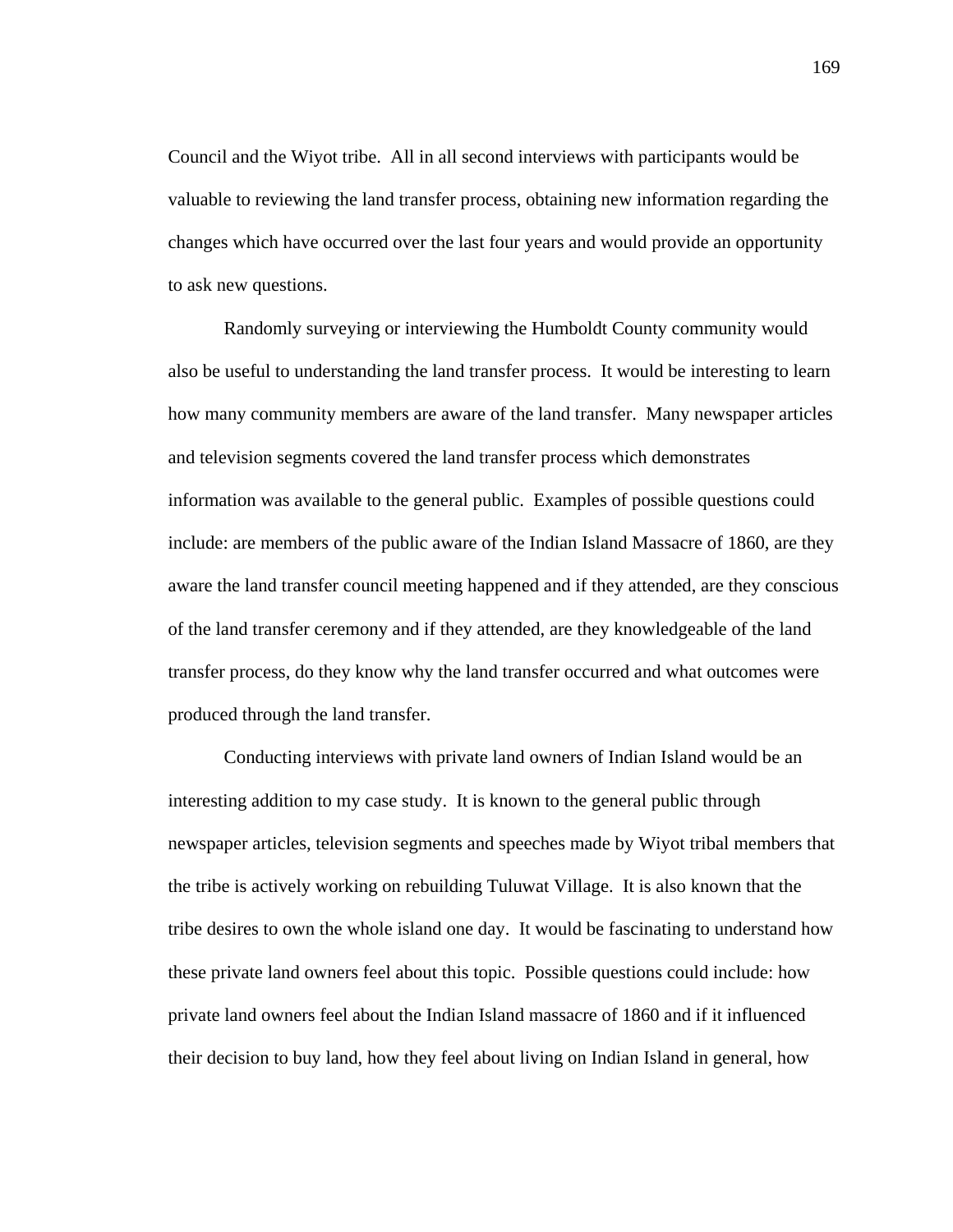Council and the Wiyot tribe. All in all second interviews with participants would be valuable to reviewing the land transfer process, obtaining new information regarding the changes which have occurred over the last four years and would provide an opportunity to ask new questions.

 Randomly surveying or interviewing the Humboldt County community would also be useful to understanding the land transfer process. It would be interesting to learn how many community members are aware of the land transfer. Many newspaper articles and television segments covered the land transfer process which demonstrates information was available to the general public. Examples of possible questions could include: are members of the public aware of the Indian Island Massacre of 1860, are they aware the land transfer council meeting happened and if they attended, are they conscious of the land transfer ceremony and if they attended, are they knowledgeable of the land transfer process, do they know why the land transfer occurred and what outcomes were produced through the land transfer.

 Conducting interviews with private land owners of Indian Island would be an interesting addition to my case study. It is known to the general public through newspaper articles, television segments and speeches made by Wiyot tribal members that the tribe is actively working on rebuilding Tuluwat Village. It is also known that the tribe desires to own the whole island one day. It would be fascinating to understand how these private land owners feel about this topic. Possible questions could include: how private land owners feel about the Indian Island massacre of 1860 and if it influenced their decision to buy land, how they feel about living on Indian Island in general, how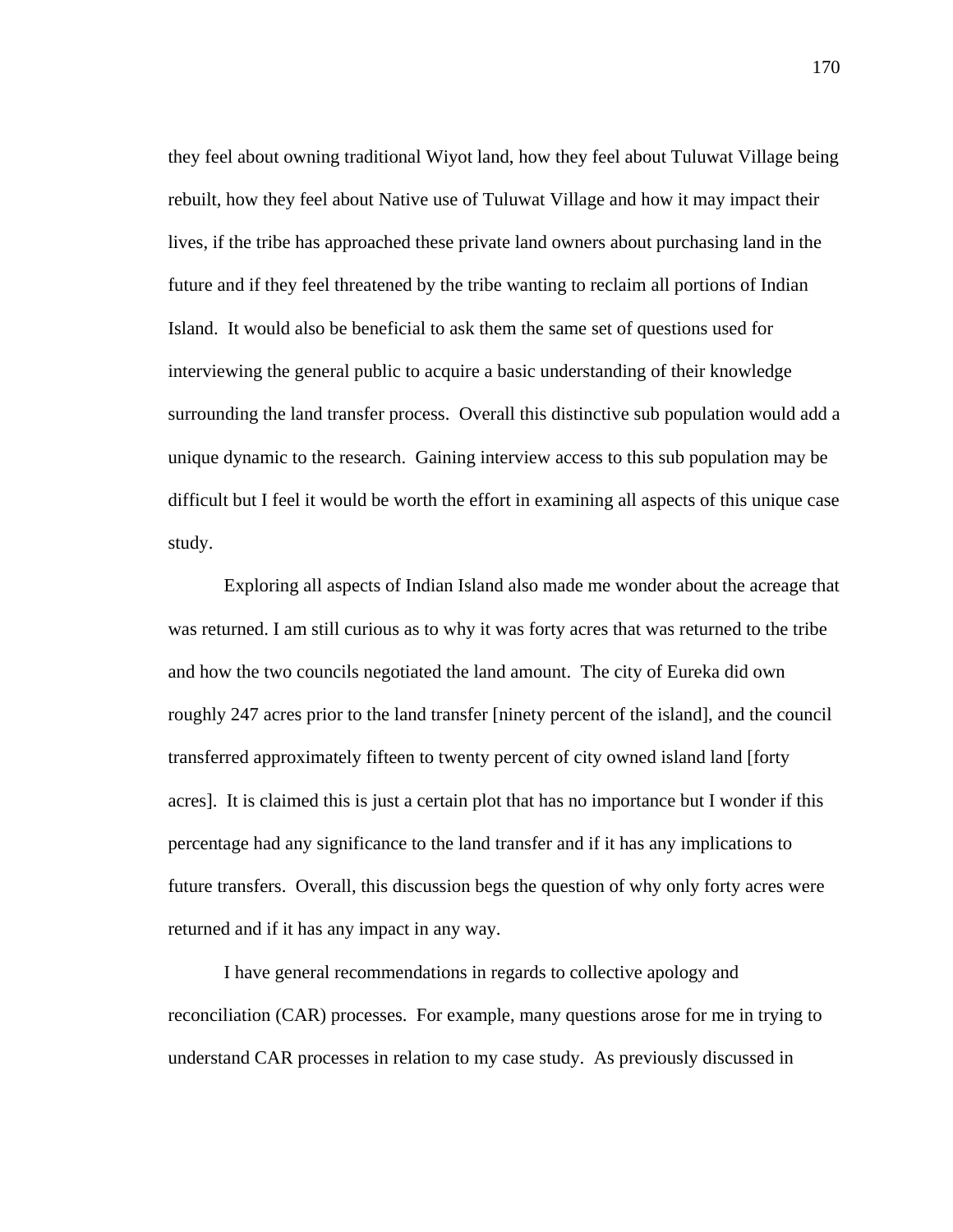they feel about owning traditional Wiyot land, how they feel about Tuluwat Village being rebuilt, how they feel about Native use of Tuluwat Village and how it may impact their lives, if the tribe has approached these private land owners about purchasing land in the future and if they feel threatened by the tribe wanting to reclaim all portions of Indian Island. It would also be beneficial to ask them the same set of questions used for interviewing the general public to acquire a basic understanding of their knowledge surrounding the land transfer process. Overall this distinctive sub population would add a unique dynamic to the research. Gaining interview access to this sub population may be difficult but I feel it would be worth the effort in examining all aspects of this unique case study.

Exploring all aspects of Indian Island also made me wonder about the acreage that was returned. I am still curious as to why it was forty acres that was returned to the tribe and how the two councils negotiated the land amount. The city of Eureka did own roughly 247 acres prior to the land transfer [ninety percent of the island], and the council transferred approximately fifteen to twenty percent of city owned island land [forty acres]. It is claimed this is just a certain plot that has no importance but I wonder if this percentage had any significance to the land transfer and if it has any implications to future transfers. Overall, this discussion begs the question of why only forty acres were returned and if it has any impact in any way.

 I have general recommendations in regards to collective apology and reconciliation (CAR) processes. For example, many questions arose for me in trying to understand CAR processes in relation to my case study. As previously discussed in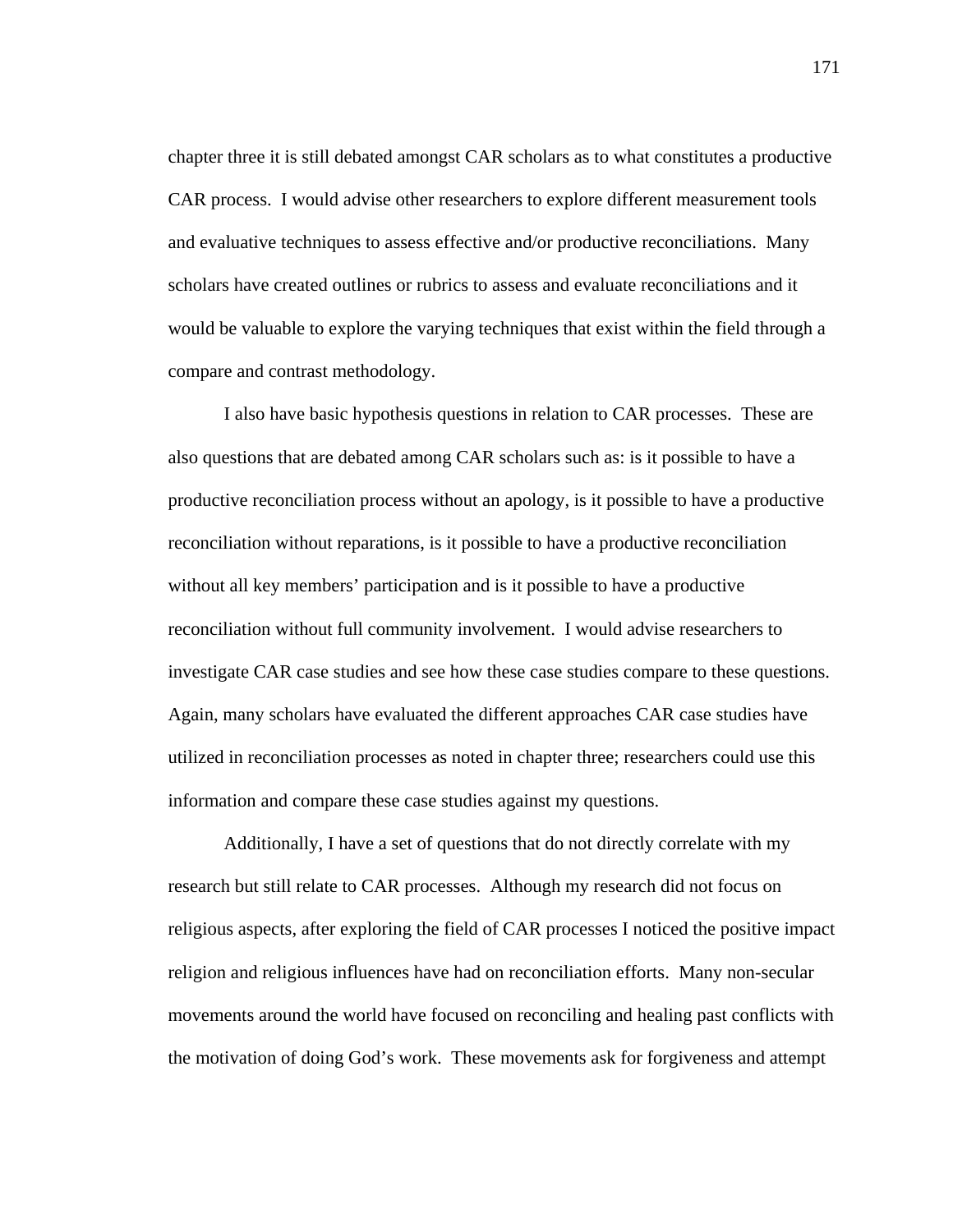chapter three it is still debated amongst CAR scholars as to what constitutes a productive CAR process. I would advise other researchers to explore different measurement tools and evaluative techniques to assess effective and/or productive reconciliations. Many scholars have created outlines or rubrics to assess and evaluate reconciliations and it would be valuable to explore the varying techniques that exist within the field through a compare and contrast methodology.

I also have basic hypothesis questions in relation to CAR processes. These are also questions that are debated among CAR scholars such as: is it possible to have a productive reconciliation process without an apology, is it possible to have a productive reconciliation without reparations, is it possible to have a productive reconciliation without all key members' participation and is it possible to have a productive reconciliation without full community involvement. I would advise researchers to investigate CAR case studies and see how these case studies compare to these questions. Again, many scholars have evaluated the different approaches CAR case studies have utilized in reconciliation processes as noted in chapter three; researchers could use this information and compare these case studies against my questions.

Additionally, I have a set of questions that do not directly correlate with my research but still relate to CAR processes. Although my research did not focus on religious aspects, after exploring the field of CAR processes I noticed the positive impact religion and religious influences have had on reconciliation efforts. Many non-secular movements around the world have focused on reconciling and healing past conflicts with the motivation of doing God's work. These movements ask for forgiveness and attempt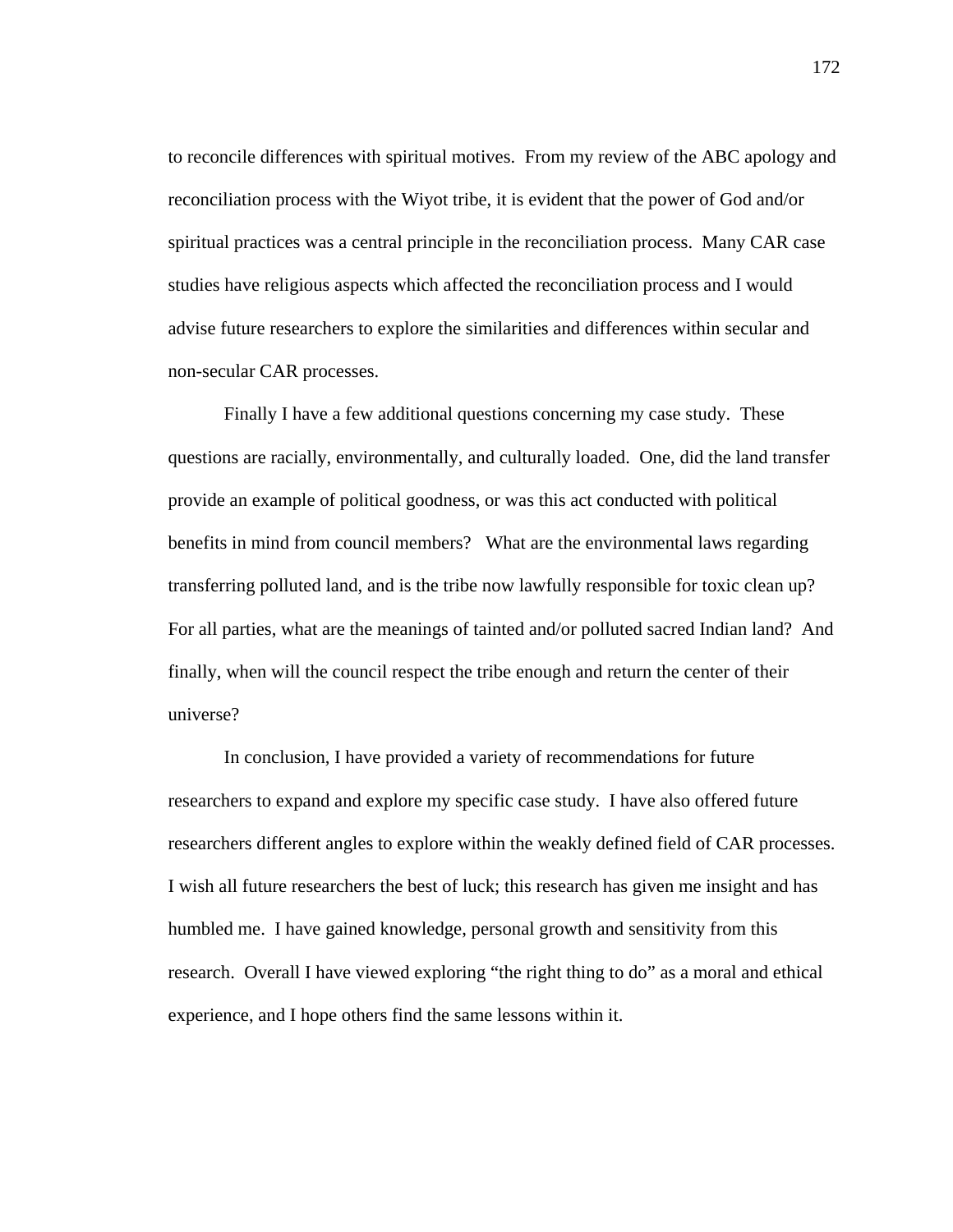to reconcile differences with spiritual motives. From my review of the ABC apology and reconciliation process with the Wiyot tribe, it is evident that the power of God and/or spiritual practices was a central principle in the reconciliation process. Many CAR case studies have religious aspects which affected the reconciliation process and I would advise future researchers to explore the similarities and differences within secular and non-secular CAR processes.

Finally I have a few additional questions concerning my case study. These questions are racially, environmentally, and culturally loaded. One, did the land transfer provide an example of political goodness, or was this act conducted with political benefits in mind from council members? What are the environmental laws regarding transferring polluted land, and is the tribe now lawfully responsible for toxic clean up? For all parties, what are the meanings of tainted and/or polluted sacred Indian land? And finally, when will the council respect the tribe enough and return the center of their universe?

In conclusion, I have provided a variety of recommendations for future researchers to expand and explore my specific case study. I have also offered future researchers different angles to explore within the weakly defined field of CAR processes. I wish all future researchers the best of luck; this research has given me insight and has humbled me. I have gained knowledge, personal growth and sensitivity from this research. Overall I have viewed exploring "the right thing to do" as a moral and ethical experience, and I hope others find the same lessons within it.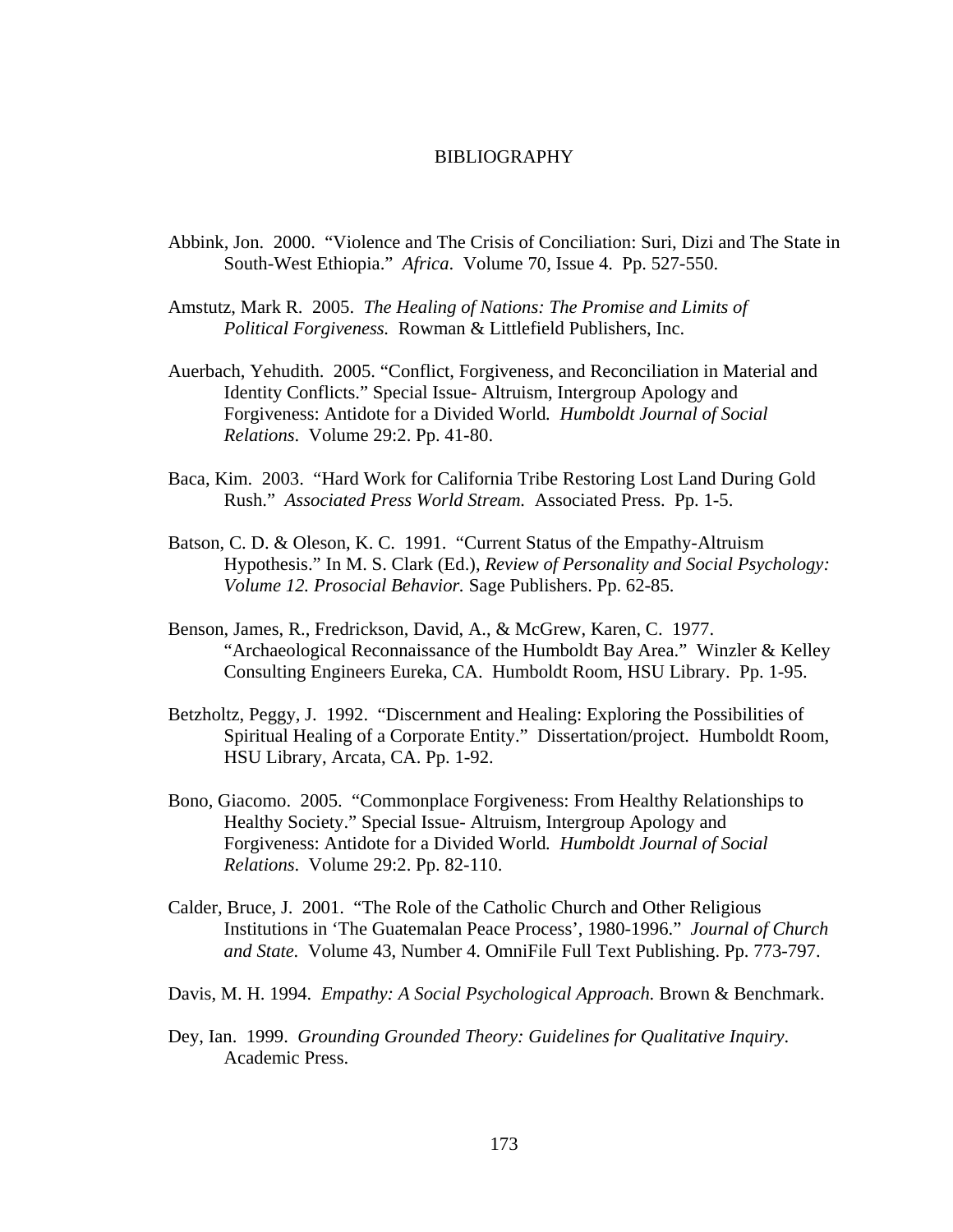## BIBLIOGRAPHY

- Abbink, Jon. 2000. "Violence and The Crisis of Conciliation: Suri, Dizi and The State in South-West Ethiopia." *Africa*. Volume 70, Issue 4. Pp. 527-550.
- Amstutz, Mark R. 2005. *The Healing of Nations: The Promise and Limits of Political Forgiveness.* Rowman & Littlefield Publishers, Inc.
- Auerbach, Yehudith. 2005. "Conflict, Forgiveness, and Reconciliation in Material and Identity Conflicts." Special Issue- Altruism, Intergroup Apology and Forgiveness: Antidote for a Divided World*. Humboldt Journal of Social Relations*. Volume 29:2. Pp. 41-80.
- Baca, Kim. 2003. "Hard Work for California Tribe Restoring Lost Land During Gold Rush." *Associated Press World Stream.* Associated Press. Pp. 1-5.
- Batson, C. D. & Oleson, K. C. 1991. "Current Status of the Empathy-Altruism Hypothesis." In M. S. Clark (Ed.), *Review of Personality and Social Psychology: Volume 12. Prosocial Behavior.* Sage Publishers. Pp. 62-85.
- Benson, James, R., Fredrickson, David, A., & McGrew, Karen, C. 1977. "Archaeological Reconnaissance of the Humboldt Bay Area." Winzler & Kelley Consulting Engineers Eureka, CA. Humboldt Room, HSU Library. Pp. 1-95.
- Betzholtz, Peggy, J. 1992. "Discernment and Healing: Exploring the Possibilities of Spiritual Healing of a Corporate Entity." Dissertation/project. Humboldt Room, HSU Library, Arcata, CA. Pp. 1-92.
- Bono, Giacomo. 2005. "Commonplace Forgiveness: From Healthy Relationships to Healthy Society." Special Issue- Altruism, Intergroup Apology and Forgiveness: Antidote for a Divided World*. Humboldt Journal of Social Relations*. Volume 29:2. Pp. 82-110.
- Calder, Bruce, J. 2001. "The Role of the Catholic Church and Other Religious Institutions in 'The Guatemalan Peace Process', 1980-1996." *Journal of Church and State.* Volume 43, Number 4. OmniFile Full Text Publishing. Pp. 773-797.
- Davis, M. H. 1994. *Empathy: A Social Psychological Approach.* Brown & Benchmark.
- Dey, Ian. 1999. *Grounding Grounded Theory: Guidelines for Qualitative Inquiry*. Academic Press.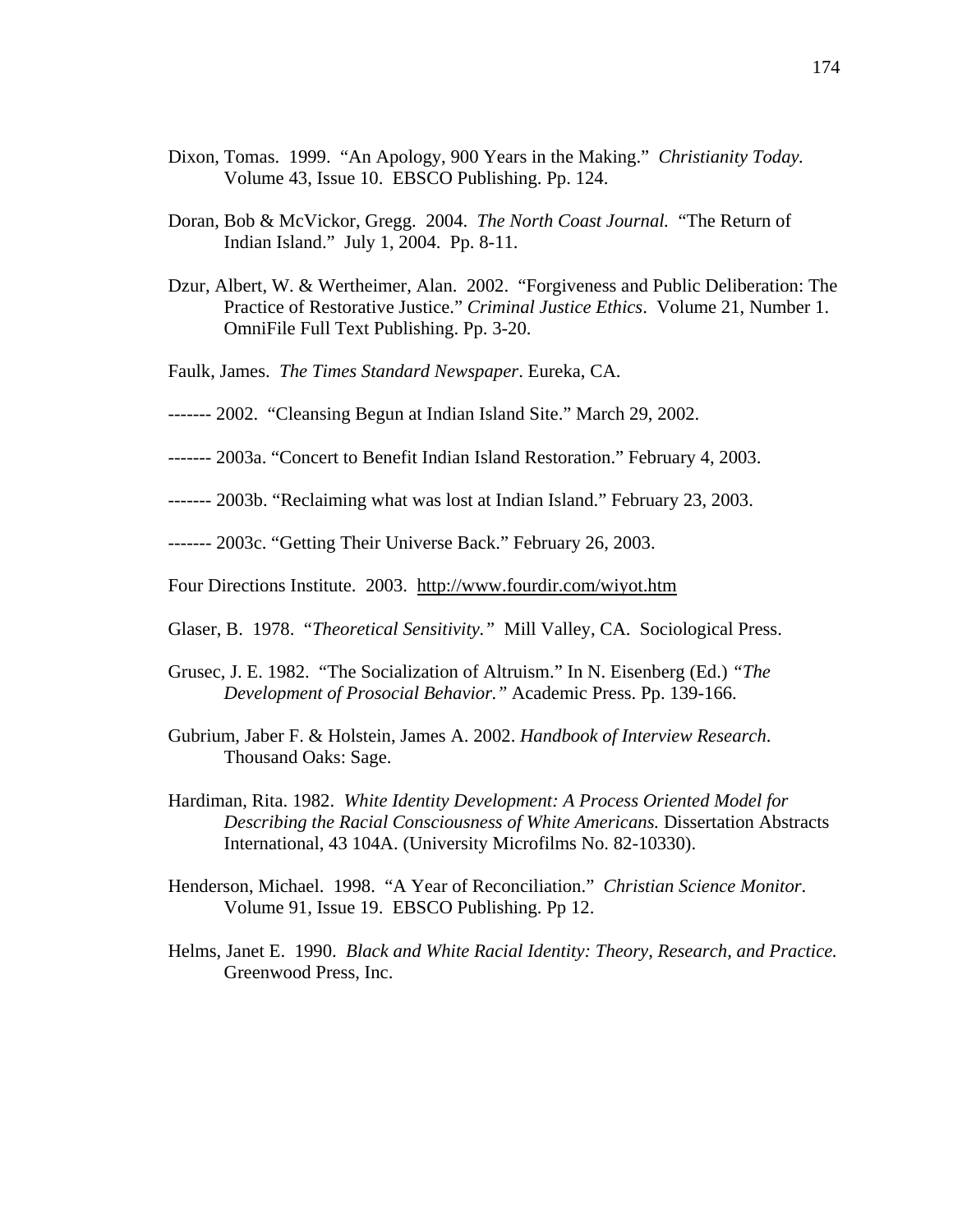- Dixon, Tomas. 1999. "An Apology, 900 Years in the Making." *Christianity Today.* Volume 43, Issue 10. EBSCO Publishing. Pp. 124.
- Doran, Bob & McVickor, Gregg. 2004. *The North Coast Journal.* "The Return of Indian Island." July 1, 2004. Pp. 8-11.
- Dzur, Albert, W. & Wertheimer, Alan. 2002. "Forgiveness and Public Deliberation: The Practice of Restorative Justice." *Criminal Justice Ethics*. Volume 21, Number 1. OmniFile Full Text Publishing. Pp. 3-20.
- Faulk, James. *The Times Standard Newspaper*. Eureka, CA.
- ------- 2002. "Cleansing Begun at Indian Island Site." March 29, 2002.
- ------- 2003a. "Concert to Benefit Indian Island Restoration." February 4, 2003.
- ------- 2003b. "Reclaiming what was lost at Indian Island." February 23, 2003.

------- 2003c. "Getting Their Universe Back." February 26, 2003.

Four Directions Institute. 2003. http://www.fourdir.com/wiyot.htm

- Glaser, B. 1978. "*Theoretical Sensitivity."* Mill Valley, CA. Sociological Press.
- Grusec, J. E. 1982. "The Socialization of Altruism." In N. Eisenberg (Ed.) *"The Development of Prosocial Behavior."* Academic Press. Pp. 139-166.
- Gubrium, Jaber F. & Holstein, James A. 2002. *Handbook of Interview Research*. Thousand Oaks: Sage.
- Hardiman, Rita. 1982. *White Identity Development: A Process Oriented Model for Describing the Racial Consciousness of White Americans.* Dissertation Abstracts International, 43 104A. (University Microfilms No. 82-10330).
- Henderson, Michael. 1998. "A Year of Reconciliation." *Christian Science Monitor*. Volume 91, Issue 19. EBSCO Publishing. Pp 12.
- Helms, Janet E. 1990. *Black and White Racial Identity: Theory, Research, and Practice.*  Greenwood Press, Inc.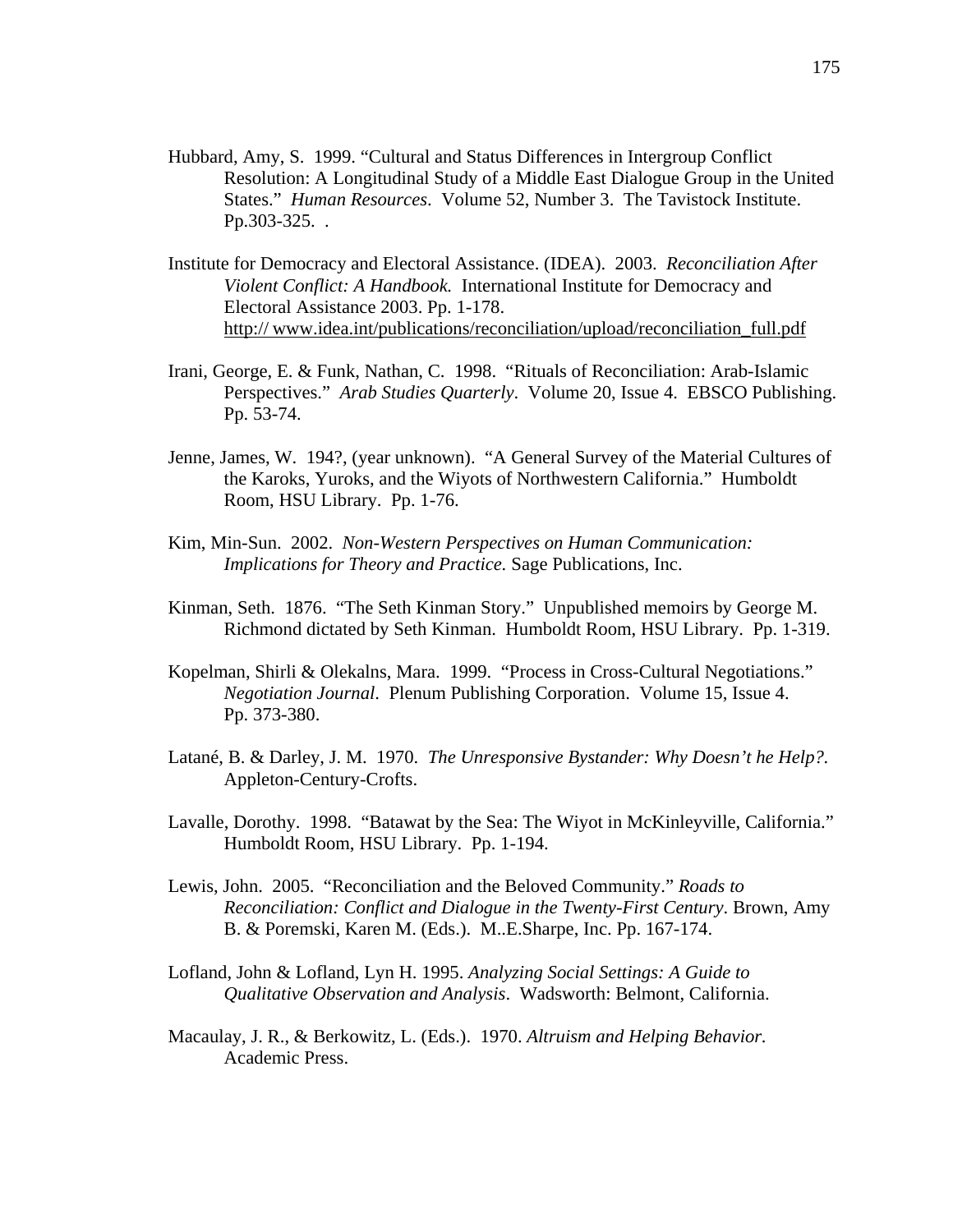- Hubbard, Amy, S. 1999. "Cultural and Status Differences in Intergroup Conflict Resolution: A Longitudinal Study of a Middle East Dialogue Group in the United States." *Human Resources*. Volume 52, Number 3. The Tavistock Institute. Pp.303-325. .
- Institute for Democracy and Electoral Assistance. (IDEA). 2003. *Reconciliation After Violent Conflict: A Handbook.* International Institute for Democracy and Electoral Assistance 2003. Pp. 1-178. http:// www.idea.int/publications/reconciliation/upload/reconciliation\_full.pdf
- Irani, George, E. & Funk, Nathan, C. 1998. "Rituals of Reconciliation: Arab-Islamic Perspectives." *Arab Studies Quarterly*. Volume 20, Issue 4. EBSCO Publishing. Pp. 53-74.
- Jenne, James, W. 194?, (year unknown). "A General Survey of the Material Cultures of the Karoks, Yuroks, and the Wiyots of Northwestern California." Humboldt Room, HSU Library. Pp. 1-76.
- Kim, Min-Sun. 2002. *Non-Western Perspectives on Human Communication: Implications for Theory and Practice.* Sage Publications, Inc.
- Kinman, Seth. 1876. "The Seth Kinman Story." Unpublished memoirs by George M. Richmond dictated by Seth Kinman. Humboldt Room, HSU Library. Pp. 1-319.
- Kopelman, Shirli & Olekalns, Mara. 1999. "Process in Cross-Cultural Negotiations." *Negotiation Journal*. Plenum Publishing Corporation. Volume 15, Issue 4. Pp. 373-380.
- Latané, B. & Darley, J. M. 1970. *The Unresponsive Bystander: Why Doesn't he Help?.* Appleton-Century-Crofts.
- Lavalle, Dorothy. 1998. "Batawat by the Sea: The Wiyot in McKinleyville, California." Humboldt Room, HSU Library. Pp. 1-194.
- Lewis, John. 2005. "Reconciliation and the Beloved Community." *Roads to Reconciliation: Conflict and Dialogue in the Twenty-First Century*. Brown, Amy B. & Poremski, Karen M. (Eds.). M..E.Sharpe, Inc. Pp. 167-174.
- Lofland, John & Lofland, Lyn H. 1995. *Analyzing Social Settings: A Guide to Qualitative Observation and Analysis*. Wadsworth: Belmont, California.
- Macaulay, J. R., & Berkowitz, L. (Eds.). 1970. *Altruism and Helping Behavior.* Academic Press.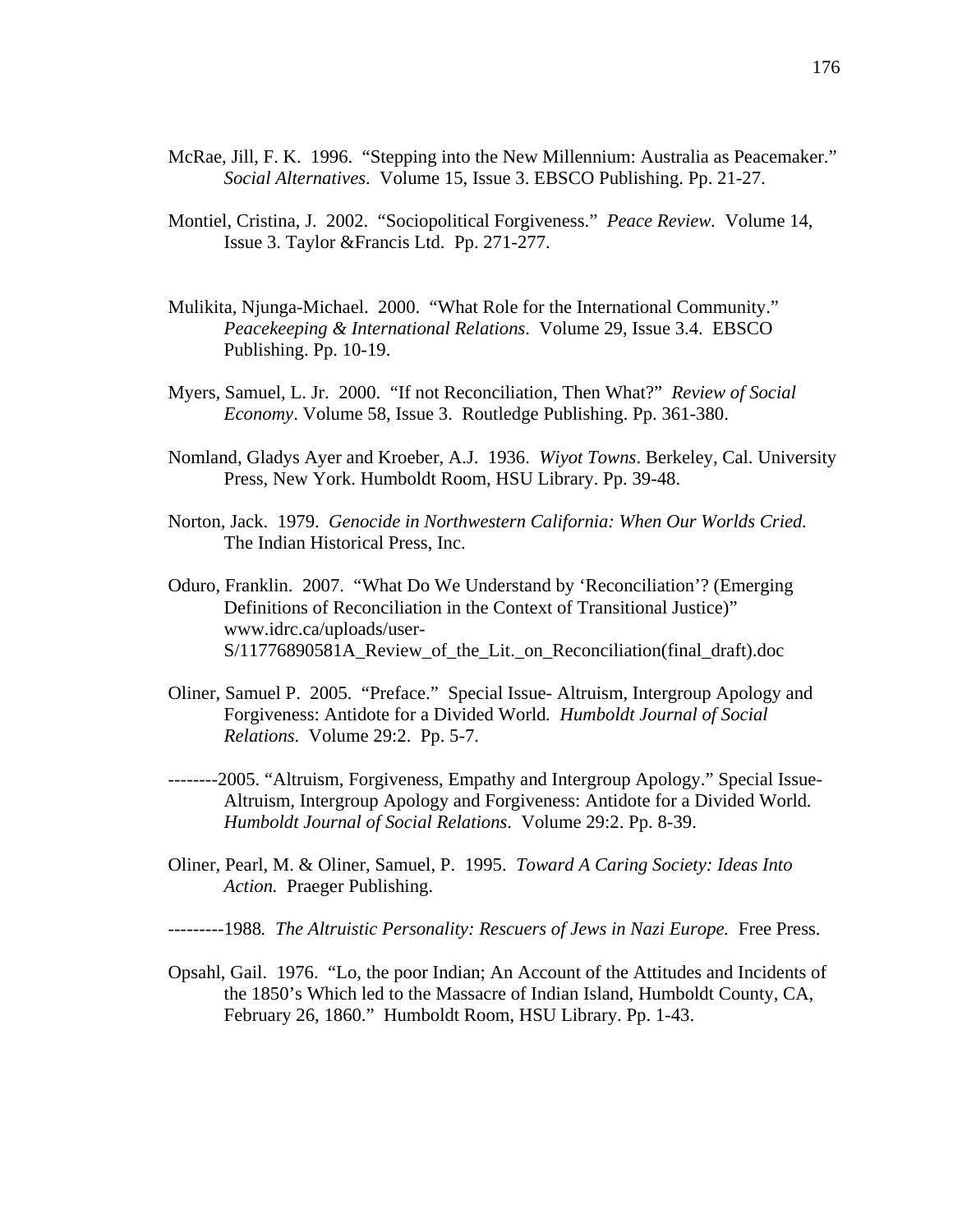- McRae, Jill, F. K. 1996. "Stepping into the New Millennium: Australia as Peacemaker." *Social Alternatives*. Volume 15, Issue 3. EBSCO Publishing. Pp. 21-27.
- Montiel, Cristina, J. 2002. "Sociopolitical Forgiveness." *Peace Review.* Volume 14, Issue 3. Taylor &Francis Ltd. Pp. 271-277.
- Mulikita, Njunga-Michael. 2000. "What Role for the International Community."  *Peacekeeping & International Relations*. Volume 29, Issue 3.4. EBSCO Publishing. Pp. 10-19.
- Myers, Samuel, L. Jr. 2000. "If not Reconciliation, Then What?" *Review of Social Economy*. Volume 58, Issue 3. Routledge Publishing. Pp. 361-380.
- Nomland, Gladys Ayer and Kroeber, A.J. 1936. *Wiyot Towns*. Berkeley, Cal. University Press, New York. Humboldt Room, HSU Library. Pp. 39-48.
- Norton, Jack. 1979. *Genocide in Northwestern California: When Our Worlds Cried.* The Indian Historical Press, Inc.
- Oduro, Franklin. 2007. "What Do We Understand by 'Reconciliation'? (Emerging Definitions of Reconciliation in the Context of Transitional Justice)" www.idrc.ca/uploads/user-S/11776890581A\_Review\_of\_the\_Lit.\_on\_Reconciliation(final\_draft).doc
- Oliner, Samuel P. 2005. "Preface." Special Issue- Altruism, Intergroup Apology and Forgiveness: Antidote for a Divided World*. Humboldt Journal of Social Relations*. Volume 29:2. Pp. 5-7.
- --------2005. "Altruism, Forgiveness, Empathy and Intergroup Apology." Special Issue-Altruism, Intergroup Apology and Forgiveness: Antidote for a Divided World*. Humboldt Journal of Social Relations*. Volume 29:2. Pp. 8-39.
- Oliner, Pearl, M. & Oliner, Samuel, P. 1995. *Toward A Caring Society: Ideas Into Action.* Praeger Publishing.

*---------*1988*. The Altruistic Personality: Rescuers of Jews in Nazi Europe.* Free Press.

Opsahl, Gail. 1976. "Lo, the poor Indian; An Account of the Attitudes and Incidents of the 1850's Which led to the Massacre of Indian Island, Humboldt County, CA, February 26, 1860." Humboldt Room, HSU Library. Pp. 1-43.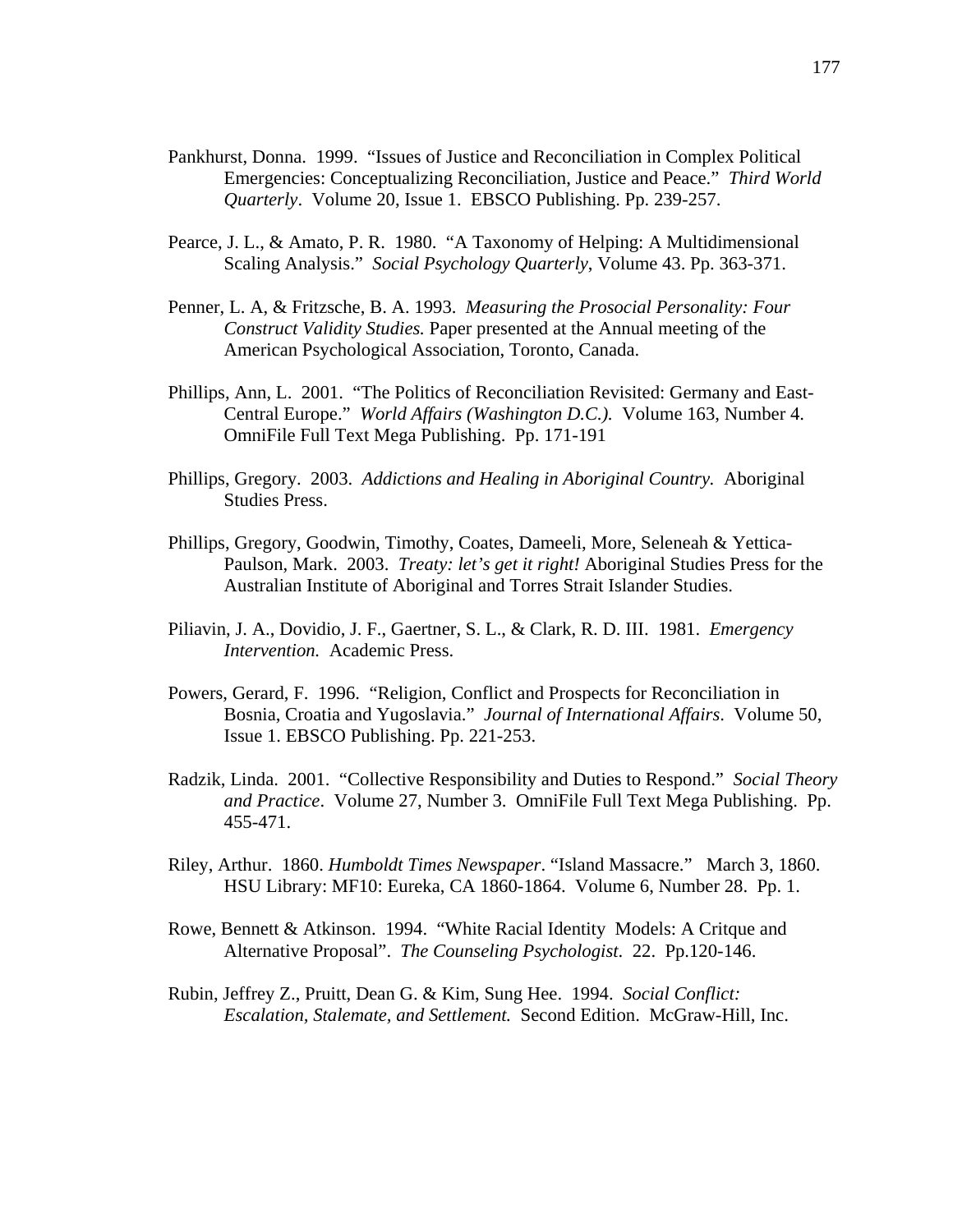- Pankhurst, Donna. 1999. "Issues of Justice and Reconciliation in Complex Political Emergencies: Conceptualizing Reconciliation, Justice and Peace." *Third World Quarterly*. Volume 20, Issue 1. EBSCO Publishing. Pp. 239-257.
- Pearce, J. L., & Amato, P. R. 1980. "A Taxonomy of Helping: A Multidimensional Scaling Analysis." *Social Psychology Quarterly*, Volume 43. Pp. 363-371.
- Penner, L. A, & Fritzsche, B. A. 1993. *Measuring the Prosocial Personality: Four Construct Validity Studies.* Paper presented at the Annual meeting of the American Psychological Association, Toronto, Canada.
- Phillips, Ann, L. 2001. "The Politics of Reconciliation Revisited: Germany and East-Central Europe." *World Affairs (Washington D.C.).* Volume 163, Number 4. OmniFile Full Text Mega Publishing. Pp. 171-191
- Phillips, Gregory. 2003. *Addictions and Healing in Aboriginal Country.* Aboriginal Studies Press.
- Phillips, Gregory, Goodwin, Timothy, Coates, Dameeli, More, Seleneah & Yettica-Paulson, Mark. 2003. *Treaty: let's get it right!* Aboriginal Studies Press for the Australian Institute of Aboriginal and Torres Strait Islander Studies.
- Piliavin, J. A., Dovidio, J. F., Gaertner, S. L., & Clark, R. D. III. 1981. *Emergency Intervention.* Academic Press.
- Powers, Gerard, F. 1996. "Religion, Conflict and Prospects for Reconciliation in Bosnia, Croatia and Yugoslavia." *Journal of International Affairs*. Volume 50, Issue 1. EBSCO Publishing. Pp. 221-253.
- Radzik, Linda. 2001. "Collective Responsibility and Duties to Respond." *Social Theory and Practice*. Volume 27, Number 3. OmniFile Full Text Mega Publishing. Pp. 455-471.
- Riley, Arthur. 1860. *Humboldt Times Newspaper*. "Island Massacre." March 3, 1860. HSU Library: MF10: Eureka, CA 1860-1864. Volume 6, Number 28. Pp. 1.
- Rowe, Bennett & Atkinson. 1994. "White Racial Identity Models: A Critque and Alternative Proposal". *The Counseling Psychologist*. 22. Pp.120-146.
- Rubin, Jeffrey Z., Pruitt, Dean G. & Kim, Sung Hee. 1994. *Social Conflict: Escalation, Stalemate, and Settlement.* Second Edition. McGraw-Hill, Inc.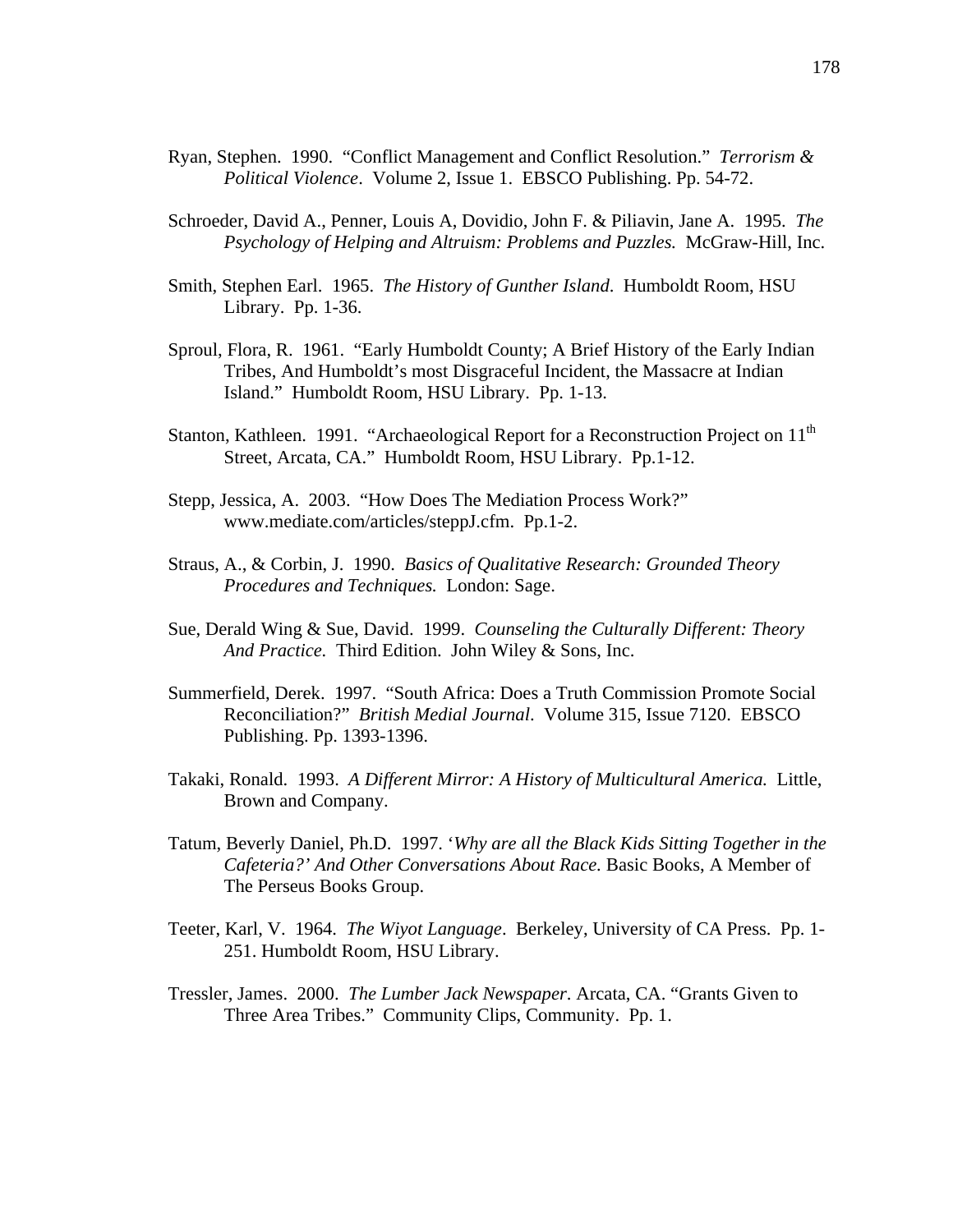- Ryan, Stephen. 1990. "Conflict Management and Conflict Resolution." *Terrorism & Political Violence*. Volume 2, Issue 1. EBSCO Publishing. Pp. 54-72.
- Schroeder, David A., Penner, Louis A, Dovidio, John F. & Piliavin, Jane A. 1995. *The Psychology of Helping and Altruism: Problems and Puzzles.* McGraw-Hill, Inc.
- Smith, Stephen Earl. 1965. *The History of Gunther Island*. Humboldt Room, HSU Library. Pp. 1-36.
- Sproul, Flora, R. 1961. "Early Humboldt County; A Brief History of the Early Indian Tribes, And Humboldt's most Disgraceful Incident, the Massacre at Indian Island." Humboldt Room, HSU Library. Pp. 1-13.
- Stanton, Kathleen. 1991. "Archaeological Report for a Reconstruction Project on 11<sup>th</sup> Street, Arcata, CA." Humboldt Room, HSU Library. Pp.1-12.
- Stepp, Jessica, A. 2003. "How Does The Mediation Process Work?" www.mediate.com/articles/steppJ.cfm. Pp.1-2.
- Straus, A., & Corbin, J. 1990. *Basics of Qualitative Research: Grounded Theory Procedures and Techniques.* London: Sage.
- Sue, Derald Wing & Sue, David. 1999. *Counseling the Culturally Different: Theory And Practice.* Third Edition. John Wiley & Sons, Inc.
- Summerfield, Derek. 1997. "South Africa: Does a Truth Commission Promote Social Reconciliation?" *British Medial Journal*. Volume 315, Issue 7120. EBSCO Publishing. Pp. 1393-1396.
- Takaki, Ronald. 1993. *A Different Mirror: A History of Multicultural America.* Little, Brown and Company.
- Tatum, Beverly Daniel, Ph.D. 1997. '*Why are all the Black Kids Sitting Together in the Cafeteria?' And Other Conversations About Race.* Basic Books, A Member of The Perseus Books Group.
- Teeter, Karl, V. 1964. *The Wiyot Language*. Berkeley, University of CA Press. Pp. 1- 251. Humboldt Room, HSU Library.
- Tressler, James. 2000. *The Lumber Jack Newspaper*. Arcata, CA. "Grants Given to Three Area Tribes." Community Clips, Community. Pp. 1.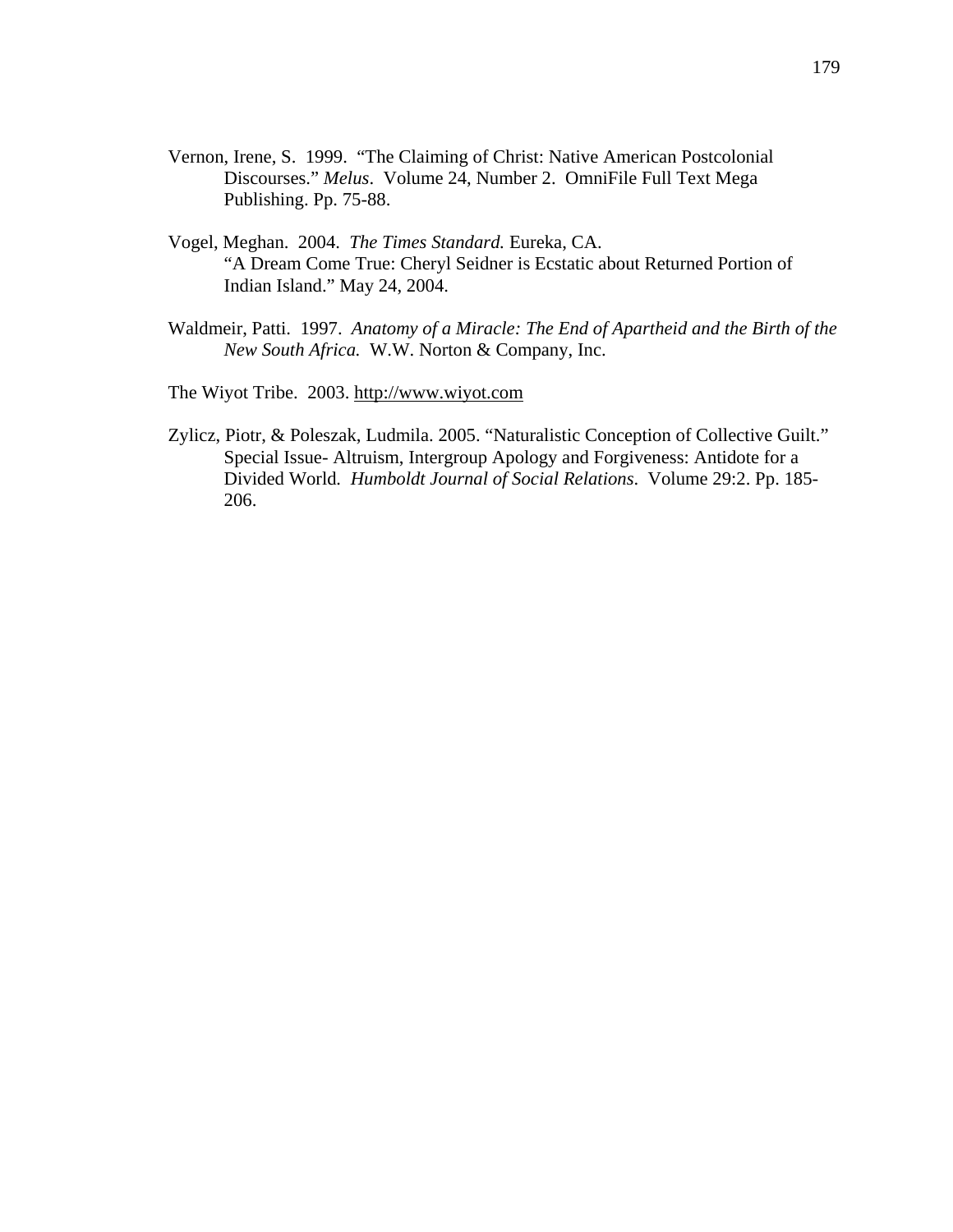- Vernon, Irene, S. 1999. "The Claiming of Christ: Native American Postcolonial Discourses." *Melus*. Volume 24, Number 2. OmniFile Full Text Mega Publishing. Pp. 75-88.
- Vogel, Meghan. 2004. *The Times Standard.* Eureka, CA. "A Dream Come True: Cheryl Seidner is Ecstatic about Returned Portion of Indian Island." May 24, 2004.
- Waldmeir, Patti. 1997. *Anatomy of a Miracle: The End of Apartheid and the Birth of the New South Africa.* W.W. Norton & Company, Inc.
- The Wiyot Tribe. 2003. http://www.wiyot.com
- Zylicz, Piotr, & Poleszak, Ludmila. 2005. "Naturalistic Conception of Collective Guilt." Special Issue- Altruism, Intergroup Apology and Forgiveness: Antidote for a Divided World*. Humboldt Journal of Social Relations*. Volume 29:2. Pp. 185- 206.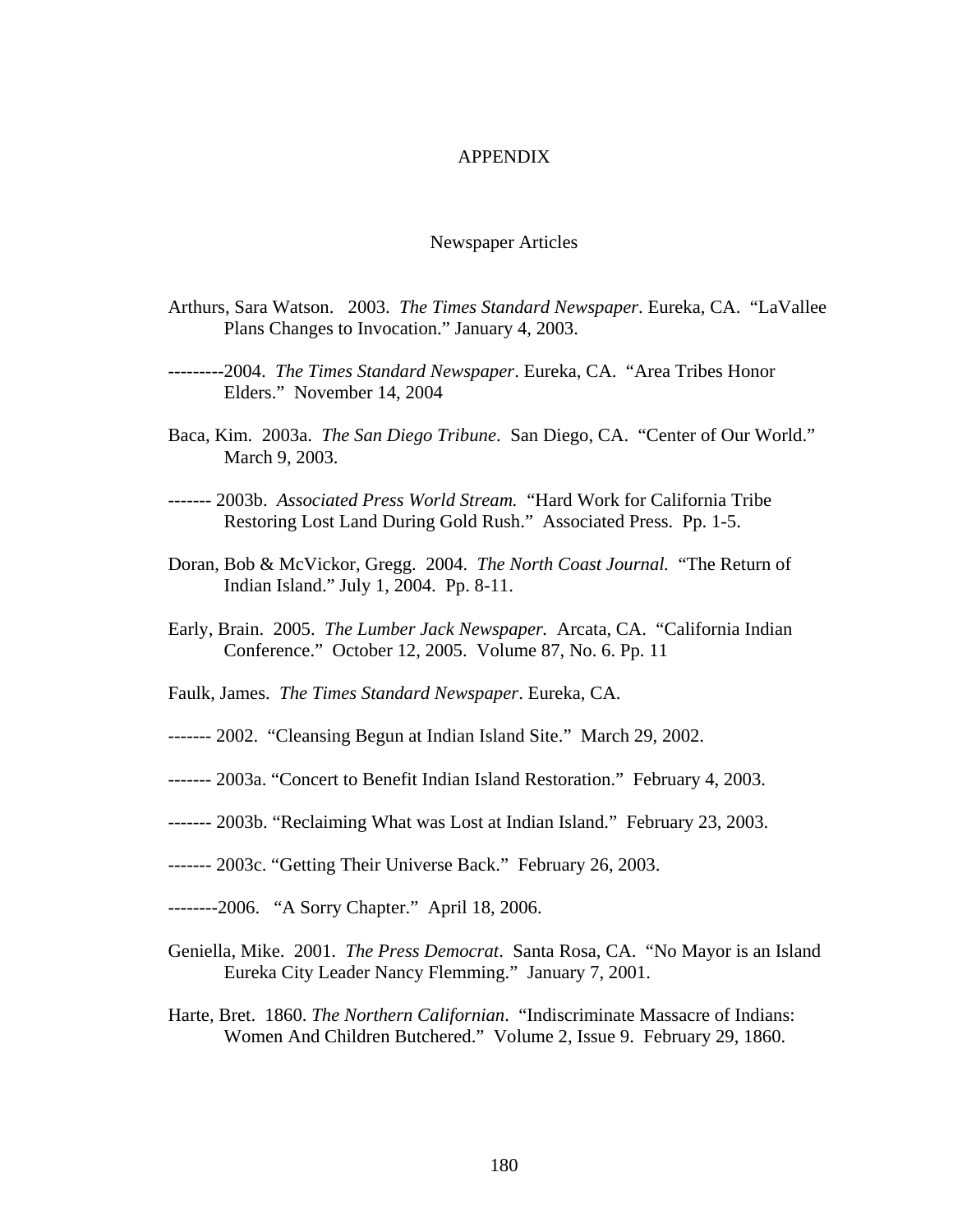## APPENDIX

## Newspaper Articles

- Arthurs, Sara Watson. 2003. *The Times Standard Newspaper*. Eureka, CA. "LaVallee Plans Changes to Invocation." January 4, 2003.
- ---------2004. *The Times Standard Newspaper*. Eureka, CA. "Area Tribes Honor Elders." November 14, 2004
- Baca, Kim. 2003a. *The San Diego Tribune*. San Diego, CA. "Center of Our World." March 9, 2003.
- ------- 2003b. *Associated Press World Stream.* "Hard Work for California Tribe Restoring Lost Land During Gold Rush." Associated Press. Pp. 1-5.
- Doran, Bob & McVickor, Gregg. 2004. *The North Coast Journal.* "The Return of Indian Island." July 1, 2004. Pp. 8-11.
- Early, Brain. 2005. *The Lumber Jack Newspaper.* Arcata, CA. "California Indian Conference." October 12, 2005. Volume 87, No. 6. Pp. 11
- Faulk, James. *The Times Standard Newspaper*. Eureka, CA.
- ------- 2002. "Cleansing Begun at Indian Island Site." March 29, 2002.
- ------- 2003a. "Concert to Benefit Indian Island Restoration." February 4, 2003.
- ------- 2003b. "Reclaiming What was Lost at Indian Island." February 23, 2003.
- ------- 2003c. "Getting Their Universe Back." February 26, 2003.
- --------2006. "A Sorry Chapter." April 18, 2006.
- Geniella, Mike. 2001. *The Press Democrat*. Santa Rosa, CA. "No Mayor is an Island Eureka City Leader Nancy Flemming." January 7, 2001.
- Harte, Bret. 1860. *The Northern Californian*. "Indiscriminate Massacre of Indians: Women And Children Butchered." Volume 2, Issue 9. February 29, 1860.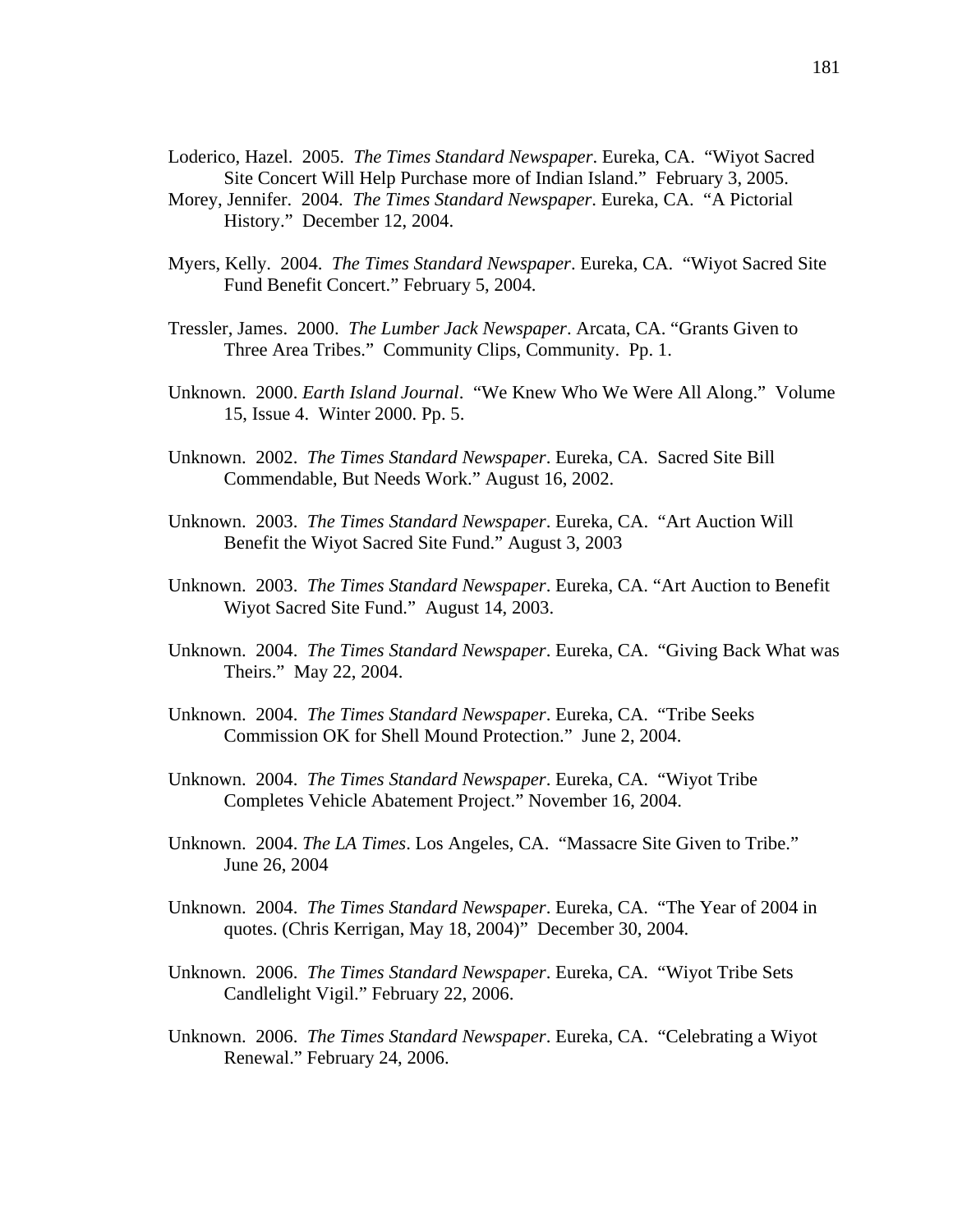- Loderico, Hazel. 2005. *The Times Standard Newspaper*. Eureka, CA. "Wiyot Sacred Site Concert Will Help Purchase more of Indian Island." February 3, 2005.
- Morey, Jennifer. 2004. *The Times Standard Newspaper*. Eureka, CA. "A Pictorial History." December 12, 2004.
- Myers, Kelly. 2004. *The Times Standard Newspaper*. Eureka, CA. "Wiyot Sacred Site Fund Benefit Concert." February 5, 2004.
- Tressler, James. 2000. *The Lumber Jack Newspaper*. Arcata, CA. "Grants Given to Three Area Tribes." Community Clips, Community. Pp. 1.
- Unknown. 2000. *Earth Island Journal*. "We Knew Who We Were All Along." Volume 15, Issue 4. Winter 2000. Pp. 5.
- Unknown. 2002. *The Times Standard Newspaper*. Eureka, CA. Sacred Site Bill Commendable, But Needs Work." August 16, 2002.
- Unknown. 2003. *The Times Standard Newspaper*. Eureka, CA. "Art Auction Will Benefit the Wiyot Sacred Site Fund." August 3, 2003
- Unknown. 2003. *The Times Standard Newspaper*. Eureka, CA. "Art Auction to Benefit Wiyot Sacred Site Fund." August 14, 2003.
- Unknown. 2004. *The Times Standard Newspaper*. Eureka, CA. "Giving Back What was Theirs." May 22, 2004.
- Unknown. 2004. *The Times Standard Newspaper*. Eureka, CA. "Tribe Seeks Commission OK for Shell Mound Protection." June 2, 2004.
- Unknown. 2004. *The Times Standard Newspaper*. Eureka, CA. "Wiyot Tribe Completes Vehicle Abatement Project." November 16, 2004.
- Unknown. 2004. *The LA Times*. Los Angeles, CA. "Massacre Site Given to Tribe." June 26, 2004
- Unknown. 2004. *The Times Standard Newspaper*. Eureka, CA. "The Year of 2004 in quotes. (Chris Kerrigan, May 18, 2004)" December 30, 2004.
- Unknown. 2006. *The Times Standard Newspaper*. Eureka, CA. "Wiyot Tribe Sets Candlelight Vigil." February 22, 2006.
- Unknown. 2006. *The Times Standard Newspaper*. Eureka, CA. "Celebrating a Wiyot Renewal." February 24, 2006.